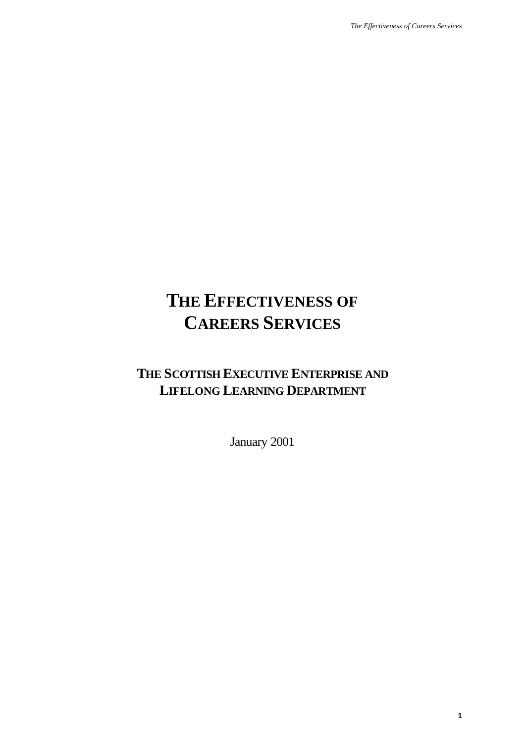## **THE EFFECTIVENESS OF CAREERS SERVICES**

## **THE SCOTTISH EXECUTIVE ENTERPRISE AND LIFELONG LEARNING DEPARTMENT**

January 2001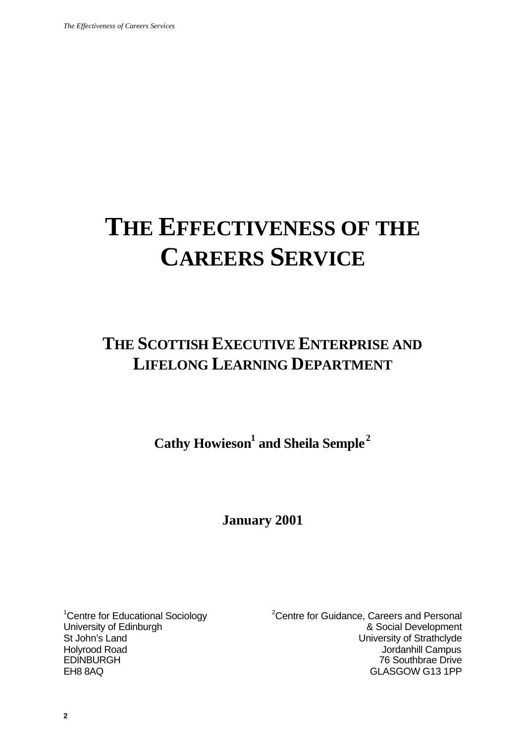# **THE EFFECTIVENESS OF THE CAREERS SERVICE**

## **THE SCOTTISH EXECUTIVE ENTERPRISE AND LIFELONG LEARNING DEPARTMENT**

**Cathy Howieson<sup>1</sup> and Sheila Semple<sup>2</sup>**

**January 2001**

<sup>1</sup>Centre for Educational Sociology  $2C$ entre for Guidance, Careers and Personal University of Edinburgh **Example 2018** University of Edinburgh and Bevelopment St John's Land Controller Controller<br>
St John's Land Controller Controller Controller Controller Controller Controller Controller Controller Co University of Strathclyde Holyrood Road Jordanhill Campus 76 Southbrae Drive EH8 8AQ GLASGOW G13 1PP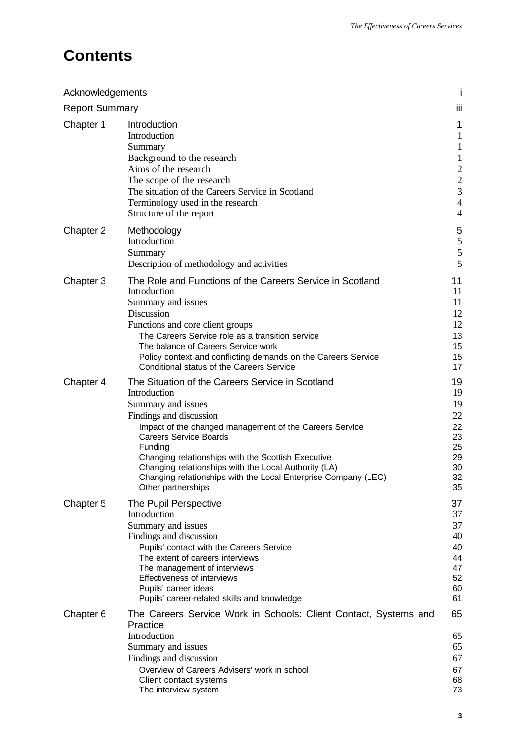## **Contents**

| Acknowledgements      |                                                                                                                                                                                                                                                                                                                                                                                                                                |                                                                                               |
|-----------------------|--------------------------------------------------------------------------------------------------------------------------------------------------------------------------------------------------------------------------------------------------------------------------------------------------------------------------------------------------------------------------------------------------------------------------------|-----------------------------------------------------------------------------------------------|
| <b>Report Summary</b> |                                                                                                                                                                                                                                                                                                                                                                                                                                | Ϊij                                                                                           |
| Chapter 1             | Introduction<br>Introduction<br>Summary<br>Background to the research<br>Aims of the research<br>The scope of the research<br>The situation of the Careers Service in Scotland<br>Terminology used in the research<br>Structure of the report                                                                                                                                                                                  | 1<br>1<br>1<br>1<br>$\overline{c}$<br>$\overline{c}$<br>3<br>$\overline{4}$<br>$\overline{4}$ |
| Chapter 2             | Methodology<br>Introduction<br>Summary<br>Description of methodology and activities                                                                                                                                                                                                                                                                                                                                            | 5<br>5<br>5<br>5                                                                              |
| Chapter 3             | The Role and Functions of the Careers Service in Scotland<br>Introduction<br>Summary and issues<br>Discussion<br>Functions and core client groups<br>The Careers Service role as a transition service<br>The balance of Careers Service work<br>Policy context and conflicting demands on the Careers Service<br>Conditional status of the Careers Service                                                                     | 11<br>11<br>11<br>12<br>12<br>13<br>15<br>15<br>17                                            |
| Chapter 4             | The Situation of the Careers Service in Scotland<br>Introduction<br>Summary and issues<br>Findings and discussion<br>Impact of the changed management of the Careers Service<br><b>Careers Service Boards</b><br>Funding<br>Changing relationships with the Scottish Executive<br>Changing relationships with the Local Authority (LA)<br>Changing relationships with the Local Enterprise Company (LEC)<br>Other partnerships | 19<br>19<br>19<br>22<br>22<br>23<br>25<br>29<br>30<br>32<br>35                                |
| Chapter 5             | The Pupil Perspective<br>Introduction<br>Summary and issues<br>Findings and discussion<br>Pupils' contact with the Careers Service<br>The extent of careers interviews<br>The management of interviews<br>Effectiveness of interviews<br>Pupils' career ideas<br>Pupils' career-related skills and knowledge                                                                                                                   | 37<br>37<br>37<br>40<br>40<br>44<br>47<br>52<br>60<br>61                                      |
| Chapter 6             | The Careers Service Work in Schools: Client Contact, Systems and<br>Practice<br>Introduction<br>Summary and issues<br>Findings and discussion<br>Overview of Careers Advisers' work in school<br>Client contact systems<br>The interview system                                                                                                                                                                                | 65<br>65<br>65<br>67<br>67<br>68<br>73                                                        |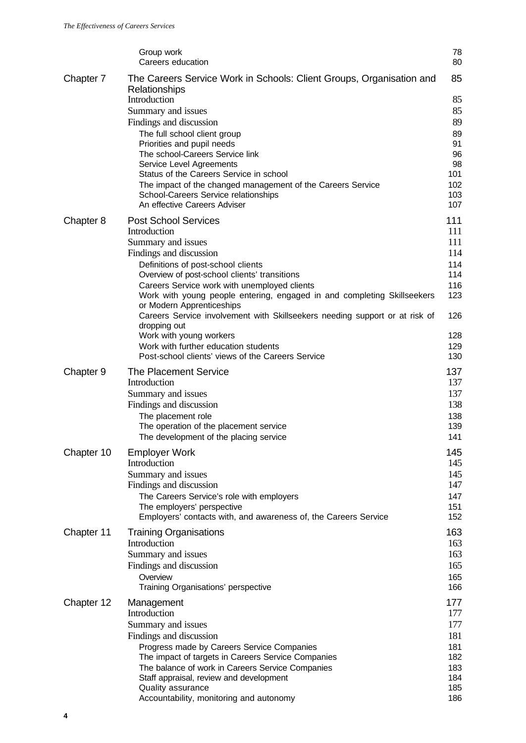|            | Group work<br>Careers education                                                                                                                                                     | 78<br>80   |
|------------|-------------------------------------------------------------------------------------------------------------------------------------------------------------------------------------|------------|
| Chapter 7  | The Careers Service Work in Schools: Client Groups, Organisation and<br>Relationships<br>Introduction                                                                               | 85<br>85   |
|            | Summary and issues                                                                                                                                                                  | 85         |
|            | Findings and discussion                                                                                                                                                             | 89         |
|            | The full school client group                                                                                                                                                        | 89         |
|            | Priorities and pupil needs                                                                                                                                                          | 91         |
|            | The school-Careers Service link<br>Service Level Agreements                                                                                                                         | 96<br>98   |
|            | Status of the Careers Service in school                                                                                                                                             | 101        |
|            | The impact of the changed management of the Careers Service                                                                                                                         | 102        |
|            | School-Careers Service relationships                                                                                                                                                | 103        |
|            | An effective Careers Adviser                                                                                                                                                        | 107        |
| Chapter 8  | <b>Post School Services</b><br>Introduction                                                                                                                                         | 111<br>111 |
|            | Summary and issues                                                                                                                                                                  | 111        |
|            | Findings and discussion                                                                                                                                                             | 114        |
|            | Definitions of post-school clients                                                                                                                                                  | 114        |
|            | Overview of post-school clients' transitions                                                                                                                                        | 114        |
|            | Careers Service work with unemployed clients                                                                                                                                        | 116<br>123 |
|            | Work with young people entering, engaged in and completing Skillseekers<br>or Modern Apprenticeships<br>Careers Service involvement with Skillseekers needing support or at risk of | 126        |
|            | dropping out                                                                                                                                                                        |            |
|            | Work with young workers                                                                                                                                                             | 128        |
|            | Work with further education students                                                                                                                                                | 129        |
|            | Post-school clients' views of the Careers Service                                                                                                                                   | 130        |
| Chapter 9  | <b>The Placement Service</b>                                                                                                                                                        | 137        |
|            | Introduction                                                                                                                                                                        | 137        |
|            | Summary and issues<br>Findings and discussion                                                                                                                                       | 137<br>138 |
|            | The placement role                                                                                                                                                                  | 138        |
|            | The operation of the placement service                                                                                                                                              | 139        |
|            | The development of the placing service                                                                                                                                              | 141        |
| Chapter 10 | <b>Employer Work</b>                                                                                                                                                                | 145        |
|            | Introduction                                                                                                                                                                        | 145        |
|            | Summary and issues                                                                                                                                                                  | 145        |
|            | Findings and discussion<br>The Careers Service's role with employers                                                                                                                | 147<br>147 |
|            | The employers' perspective                                                                                                                                                          | 151        |
|            | Employers' contacts with, and awareness of, the Careers Service                                                                                                                     | 152        |
| Chapter 11 | <b>Training Organisations</b>                                                                                                                                                       | 163        |
|            | Introduction                                                                                                                                                                        | 163        |
|            | Summary and issues                                                                                                                                                                  | 163        |
|            | Findings and discussion                                                                                                                                                             | 165        |
|            | Overview<br>Training Organisations' perspective                                                                                                                                     | 165<br>166 |
| Chapter 12 | Management                                                                                                                                                                          | 177        |
|            | Introduction                                                                                                                                                                        | 177        |
|            | Summary and issues                                                                                                                                                                  | 177        |
|            | Findings and discussion                                                                                                                                                             | 181        |
|            | Progress made by Careers Service Companies                                                                                                                                          | 181        |
|            | The impact of targets in Careers Service Companies                                                                                                                                  | 182        |
|            | The balance of work in Careers Service Companies<br>Staff appraisal, review and development                                                                                         | 183<br>184 |
|            | Quality assurance                                                                                                                                                                   | 185        |
|            | Accountability, monitoring and autonomy                                                                                                                                             | 186        |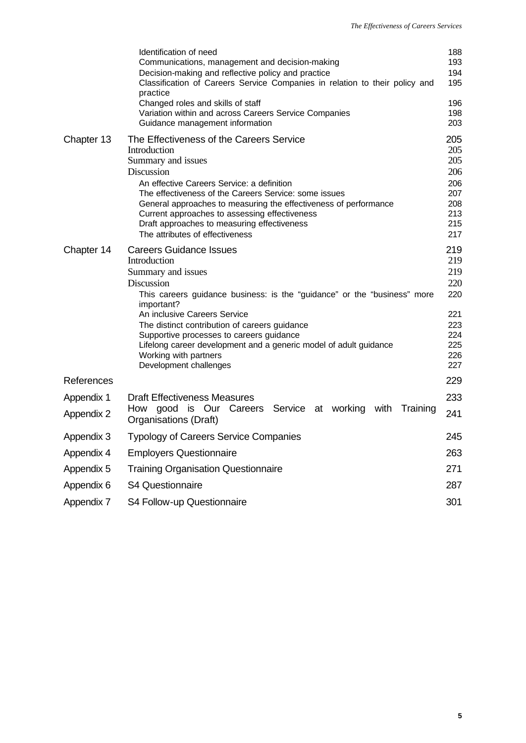|            | Identification of need<br>Communications, management and decision-making<br>Decision-making and reflective policy and practice<br>Classification of Careers Service Companies in relation to their policy and<br>practice<br>Changed roles and skills of staff                                                                                                                                                                    | 188<br>193<br>194<br>195<br>196                                           |
|------------|-----------------------------------------------------------------------------------------------------------------------------------------------------------------------------------------------------------------------------------------------------------------------------------------------------------------------------------------------------------------------------------------------------------------------------------|---------------------------------------------------------------------------|
|            | Variation within and across Careers Service Companies<br>Guidance management information                                                                                                                                                                                                                                                                                                                                          | 198<br>203                                                                |
| Chapter 13 | The Effectiveness of the Careers Service<br>Introduction<br>Summary and issues<br><b>Discussion</b><br>An effective Careers Service: a definition<br>The effectiveness of the Careers Service: some issues<br>General approaches to measuring the effectiveness of performance<br>Current approaches to assessing effectiveness<br>Draft approaches to measuring effectiveness<br>The attributes of effectiveness                 | 205<br>205<br>205<br>206<br>206<br>207<br>208<br>213<br>215<br>217        |
| Chapter 14 | <b>Careers Guidance Issues</b><br>Introduction<br>Summary and issues<br>Discussion<br>This careers guidance business: is the "guidance" or the "business" more<br>important?<br>An inclusive Careers Service<br>The distinct contribution of careers guidance<br>Supportive processes to careers guidance<br>Lifelong career development and a generic model of adult guidance<br>Working with partners<br>Development challenges | 219<br>219<br>219<br>220<br>220<br>221<br>223<br>224<br>225<br>226<br>227 |
| References |                                                                                                                                                                                                                                                                                                                                                                                                                                   | 229                                                                       |
| Appendix 1 | <b>Draft Effectiveness Measures</b>                                                                                                                                                                                                                                                                                                                                                                                               | 233                                                                       |
| Appendix 2 | How good is Our Careers Service at working with<br>Training<br>Organisations (Draft)                                                                                                                                                                                                                                                                                                                                              | 241                                                                       |
| Appendix 3 | <b>Typology of Careers Service Companies</b>                                                                                                                                                                                                                                                                                                                                                                                      | 245                                                                       |
| Appendix 4 | <b>Employers Questionnaire</b>                                                                                                                                                                                                                                                                                                                                                                                                    | 263                                                                       |
| Appendix 5 | <b>Training Organisation Questionnaire</b>                                                                                                                                                                                                                                                                                                                                                                                        | 271                                                                       |
| Appendix 6 | <b>S4 Questionnaire</b>                                                                                                                                                                                                                                                                                                                                                                                                           | 287                                                                       |
| Appendix 7 | S4 Follow-up Questionnaire                                                                                                                                                                                                                                                                                                                                                                                                        | 301                                                                       |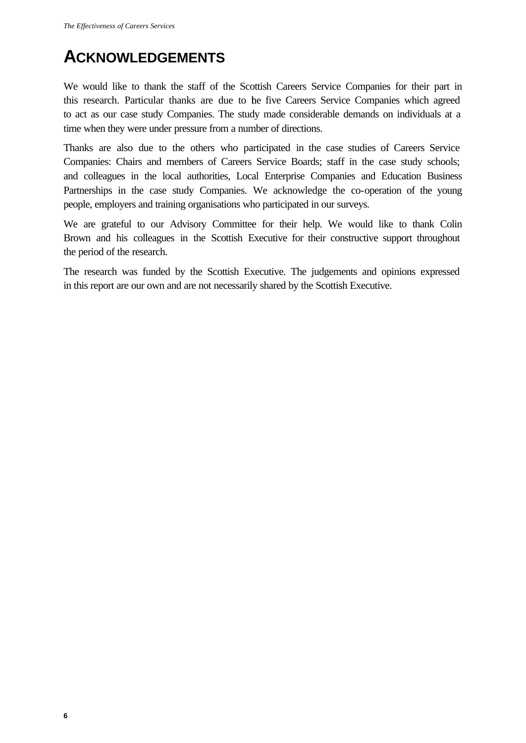## **ACKNOWLEDGEMENTS**

We would like to thank the staff of the Scottish Careers Service Companies for their part in this research. Particular thanks are due to the five Careers Service Companies which agreed to act as our case study Companies. The study made considerable demands on individuals at a time when they were under pressure from a number of directions.

Thanks are also due to the others who participated in the case studies of Careers Service Companies: Chairs and members of Careers Service Boards; staff in the case study schools; and colleagues in the local authorities, Local Enterprise Companies and Education Business Partnerships in the case study Companies. We acknowledge the co-operation of the young people, employers and training organisations who participated in our surveys.

We are grateful to our Advisory Committee for their help. We would like to thank Colin Brown and his colleagues in the Scottish Executive for their constructive support throughout the period of the research.

The research was funded by the Scottish Executive. The judgements and opinions expressed in this report are our own and are not necessarily shared by the Scottish Executive.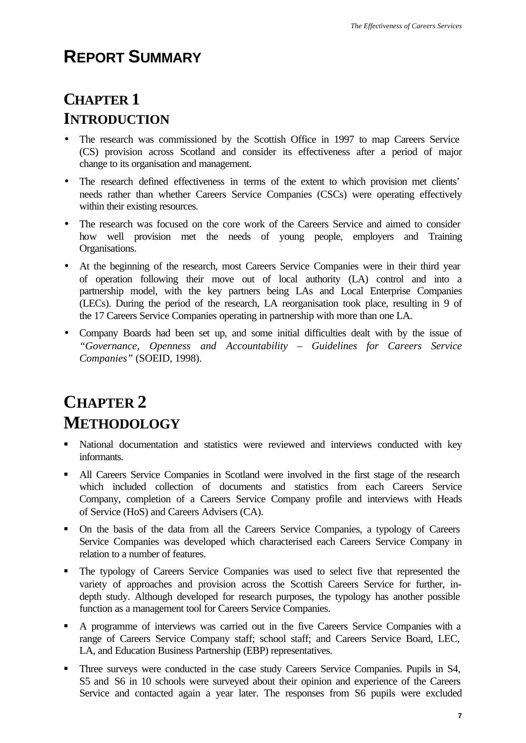## **REPORT SUMMARY**

## **CHAPTER 1 INTRODUCTION**

- The research was commissioned by the Scottish Office in 1997 to map Careers Service (CS) provision across Scotland and consider its effectiveness after a period of major change to its organisation and management.
- The research defined effectiveness in terms of the extent to which provision met clients' needs rather than whether Careers Service Companies (CSCs) were operating effectively within their existing resources.
- The research was focused on the core work of the Careers Service and aimed to consider how well provision met the needs of young people, employers and Training Organisations.
- At the beginning of the research, most Careers Service Companies were in their third year of operation following their move out of local authority (LA) control and into a partnership model, with the key partners being LAs and Local Enterprise Companies (LECs). During the period of the research, LA reorganisation took place, resulting in 9 of the 17 Careers Service Companies operating in partnership with more than one LA.
- Company Boards had been set up, and some initial difficulties dealt with by the issue of *"Governance, Openness and Accountability – Guidelines for Careers Service Companies"* (SOEID, 1998).

## **CHAPTER 2 METHODOLOGY**

- In National documentation and statistics were reviewed and interviews conducted with key informants.
- All Careers Service Companies in Scotland were involved in the first stage of the research which included collection of documents and statistics from each Careers Service Company, completion of a Careers Service Company profile and interviews with Heads of Service (HoS) and Careers Advisers (CA).
- On the basis of the data from all the Careers Service Companies, a typology of Careers Service Companies was developed which characterised each Careers Service Company in relation to a number of features.
- ß The typology of Careers Service Companies was used to select five that represented the variety of approaches and provision across the Scottish Careers Service for further, indepth study. Although developed for research purposes, the typology has another possible function as a management tool for Careers Service Companies.
- A programme of interviews was carried out in the five Careers Service Companies with a range of Careers Service Company staff; school staff; and Careers Service Board, LEC, LA, and Education Business Partnership (EBP) representatives.
- **Three surveys were conducted in the case study Careers Service Companies. Pupils in S4,** S5 and S6 in 10 schools were surveyed about their opinion and experience of the Careers Service and contacted again a year later. The responses from S6 pupils were excluded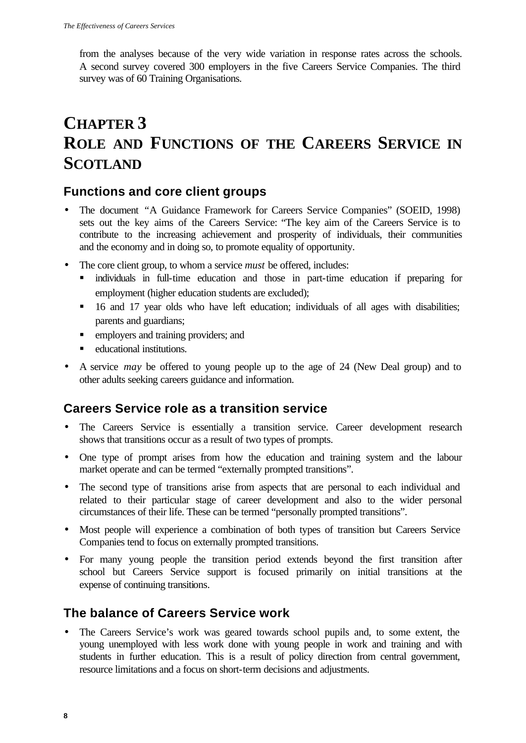from the analyses because of the very wide variation in response rates across the schools. A second survey covered 300 employers in the five Careers Service Companies. The third survey was of 60 Training Organisations.

## **CHAPTER 3 ROLE AND FUNCTIONS OF THE CAREERS SERVICE IN SCOTLAND**

#### **Functions and core client groups**

- The document "A Guidance Framework for Careers Service Companies" (SOEID, 1998) sets out the key aims of the Careers Service: "The key aim of the Careers Service is to contribute to the increasing achievement and prosperity of individuals, their communities and the economy and in doing so, to promote equality of opportunity.
- The core client group, to whom a service *must* be offered, includes:
	- ß individuals in full-time education and those in part-time education if preparing for employment (higher education students are excluded);
	- **16** and 17 year olds who have left education; individuals of all ages with disabilities; parents and guardians;
	- **•** employers and training providers; and
	- educational institutions.
- A service *may* be offered to young people up to the age of 24 (New Deal group) and to other adults seeking careers guidance and information.

#### **Careers Service role as a transition service**

- The Careers Service is essentially a transition service. Career development research shows that transitions occur as a result of two types of prompts.
- One type of prompt arises from how the education and training system and the labour market operate and can be termed "externally prompted transitions".
- The second type of transitions arise from aspects that are personal to each individual and related to their particular stage of career development and also to the wider personal circumstances of their life. These can be termed "personally prompted transitions".
- Most people will experience a combination of both types of transition but Careers Service Companies tend to focus on externally prompted transitions.
- For many young people the transition period extends beyond the first transition after school but Careers Service support is focused primarily on initial transitions at the expense of continuing transitions.

#### **The balance of Careers Service work**

• The Careers Service's work was geared towards school pupils and, to some extent, the young unemployed with less work done with young people in work and training and with students in further education. This is a result of policy direction from central government, resource limitations and a focus on short-term decisions and adjustments.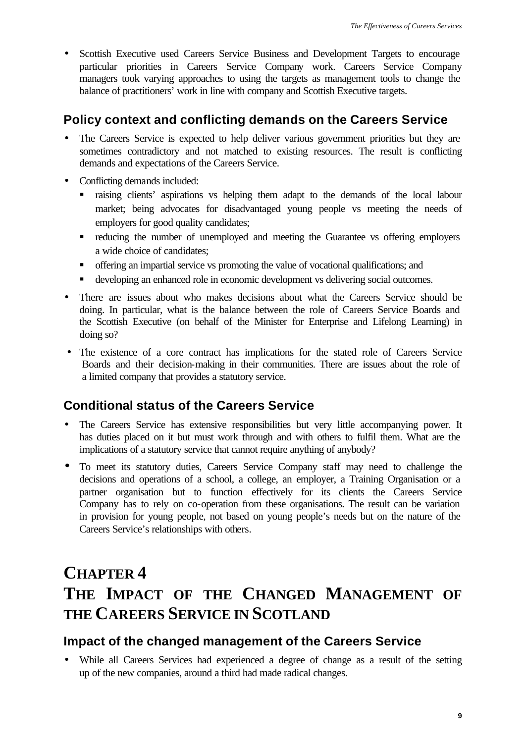• Scottish Executive used Careers Service Business and Development Targets to encourage particular priorities in Careers Service Company work. Careers Service Company managers took varying approaches to using the targets as management tools to change the balance of practitioners' work in line with company and Scottish Executive targets.

#### **Policy context and conflicting demands on the Careers Service**

- The Careers Service is expected to help deliver various government priorities but they are sometimes contradictory and not matched to existing resources. The result is conflicting demands and expectations of the Careers Service.
- Conflicting demands included:
	- raising clients' aspirations vs helping them adapt to the demands of the local labour market; being advocates for disadvantaged young people vs meeting the needs of employers for good quality candidates;
	- reducing the number of unemployed and meeting the Guarantee vs offering employers a wide choice of candidates;
	- **fi** offering an impartial service vs promoting the value of vocational qualifications; and
	- developing an enhanced role in economic development vs delivering social outcomes.
- There are issues about who makes decisions about what the Careers Service should be doing. In particular, what is the balance between the role of Careers Service Boards and the Scottish Executive (on behalf of the Minister for Enterprise and Lifelong Learning) in doing so?
- The existence of a core contract has implications for the stated role of Careers Service Boards and their decision-making in their communities. There are issues about the role of a limited company that provides a statutory service.

## **Conditional status of the Careers Service**

- The Careers Service has extensive responsibilities but very little accompanying power. It has duties placed on it but must work through and with others to fulfil them. What are the implications of a statutory service that cannot require anything of anybody?
- To meet its statutory duties, Careers Service Company staff may need to challenge the decisions and operations of a school, a college, an employer, a Training Organisation or a partner organisation but to function effectively for its clients the Careers Service Company has to rely on co-operation from these organisations. The result can be variation in provision for young people, not based on young people's needs but on the nature of the Careers Service's relationships with others.

## **CHAPTER 4 THE IMPACT OF THE CHANGED MANAGEMENT OF THE CAREERS SERVICE IN SCOTLAND**

#### **Impact of the changed management of the Careers Service**

• While all Careers Services had experienced a degree of change as a result of the setting up of the new companies, around a third had made radical changes.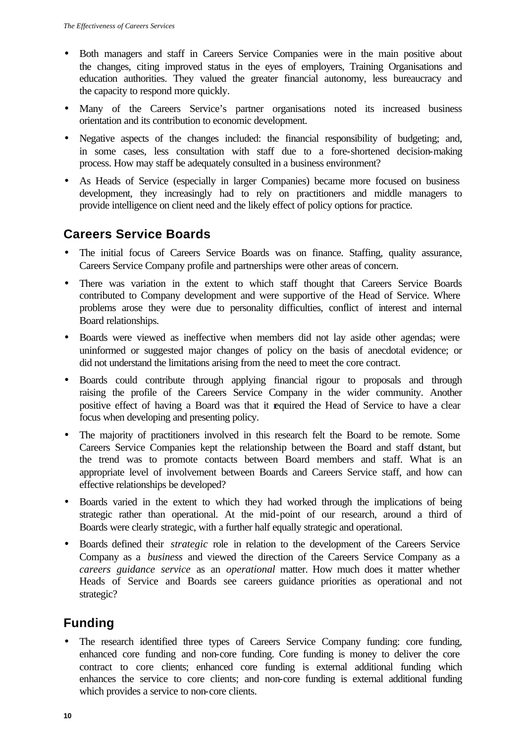- Both managers and staff in Careers Service Companies were in the main positive about the changes, citing improved status in the eyes of employers, Training Organisations and education authorities. They valued the greater financial autonomy, less bureaucracy and the capacity to respond more quickly.
- Many of the Careers Service's partner organisations noted its increased business orientation and its contribution to economic development.
- Negative aspects of the changes included: the financial responsibility of budgeting; and, in some cases, less consultation with staff due to a fore-shortened decision-making process. How may staff be adequately consulted in a business environment?
- As Heads of Service (especially in larger Companies) became more focused on business development, they increasingly had to rely on practitioners and middle managers to provide intelligence on client need and the likely effect of policy options for practice.

## **Careers Service Boards**

- The initial focus of Careers Service Boards was on finance. Staffing, quality assurance, Careers Service Company profile and partnerships were other areas of concern.
- There was variation in the extent to which staff thought that Careers Service Boards contributed to Company development and were supportive of the Head of Service. Where problems arose they were due to personality difficulties, conflict of interest and internal Board relationships.
- Boards were viewed as ineffective when members did not lay aside other agendas; were uninformed or suggested major changes of policy on the basis of anecdotal evidence; or did not understand the limitations arising from the need to meet the core contract.
- Boards could contribute through applying financial rigour to proposals and through raising the profile of the Careers Service Company in the wider community. Another positive effect of having a Board was that it required the Head of Service to have a clear focus when developing and presenting policy.
- The majority of practitioners involved in this research felt the Board to be remote. Some Careers Service Companies kept the relationship between the Board and staff distant, but the trend was to promote contacts between Board members and staff. What is an appropriate level of involvement between Boards and Careers Service staff, and how can effective relationships be developed?
- Boards varied in the extent to which they had worked through the implications of being strategic rather than operational. At the mid-point of our research, around a third of Boards were clearly strategic, with a further half equally strategic and operational.
- Boards defined their *strategic* role in relation to the development of the Careers Service Company as a *business* and viewed the direction of the Careers Service Company as a *careers guidance service* as an *operational* matter. How much does it matter whether Heads of Service and Boards see careers guidance priorities as operational and not strategic?

## **Funding**

• The research identified three types of Careers Service Company funding: core funding, enhanced core funding and non-core funding. Core funding is money to deliver the core contract to core clients; enhanced core funding is external additional funding which enhances the service to core clients; and non-core funding is external additional funding which provides a service to non-core clients.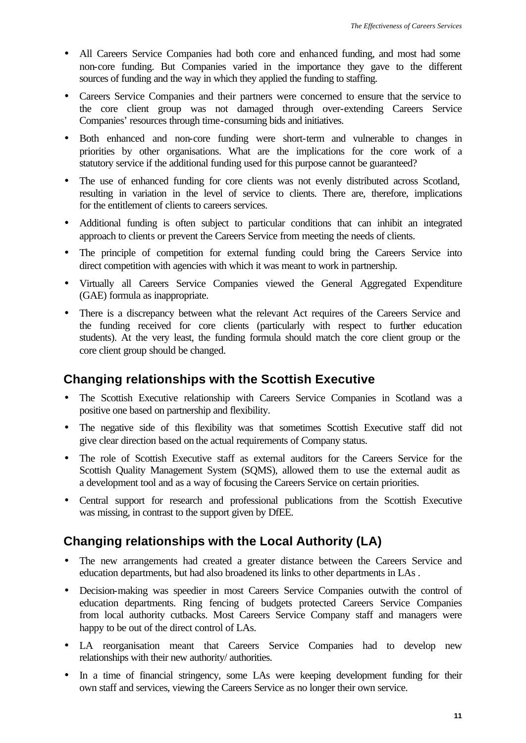- All Careers Service Companies had both core and enhanced funding, and most had some non-core funding. But Companies varied in the importance they gave to the different sources of funding and the way in which they applied the funding to staffing.
- Careers Service Companies and their partners were concerned to ensure that the service to the core client group was not damaged through over-extending Careers Service Companies' resources through time-consuming bids and initiatives.
- Both enhanced and non-core funding were short-term and vulnerable to changes in priorities by other organisations. What are the implications for the core work of a statutory service if the additional funding used for this purpose cannot be guaranteed?
- The use of enhanced funding for core clients was not evenly distributed across Scotland, resulting in variation in the level of service to clients. There are, therefore, implications for the entitlement of clients to careers services.
- Additional funding is often subject to particular conditions that can inhibit an integrated approach to clients or prevent the Careers Service from meeting the needs of clients.
- The principle of competition for external funding could bring the Careers Service into direct competition with agencies with which it was meant to work in partnership.
- Virtually all Careers Service Companies viewed the General Aggregated Expenditure (GAE) formula as inappropriate.
- There is a discrepancy between what the relevant Act requires of the Careers Service and the funding received for core clients (particularly with respect to further education students). At the very least, the funding formula should match the core client group or the core client group should be changed.

## **Changing relationships with the Scottish Executive**

- The Scottish Executive relationship with Careers Service Companies in Scotland was a positive one based on partnership and flexibility.
- The negative side of this flexibility was that sometimes Scottish Executive staff did not give clear direction based on the actual requirements of Company status.
- The role of Scottish Executive staff as external auditors for the Careers Service for the Scottish Quality Management System (SQMS), allowed them to use the external audit as a development tool and as a way of focusing the Careers Service on certain priorities.
- Central support for research and professional publications from the Scottish Executive was missing, in contrast to the support given by DfEE.

## **Changing relationships with the Local Authority (LA)**

- The new arrangements had created a greater distance between the Careers Service and education departments, but had also broadened its links to other departments in LAs .
- Decision-making was speedier in most Careers Service Companies outwith the control of education departments. Ring fencing of budgets protected Careers Service Companies from local authority cutbacks. Most Careers Service Company staff and managers were happy to be out of the direct control of LAs.
- LA reorganisation meant that Careers Service Companies had to develop new relationships with their new authority/ authorities.
- In a time of financial stringency, some LAs were keeping development funding for their own staff and services, viewing the Careers Service as no longer their own service.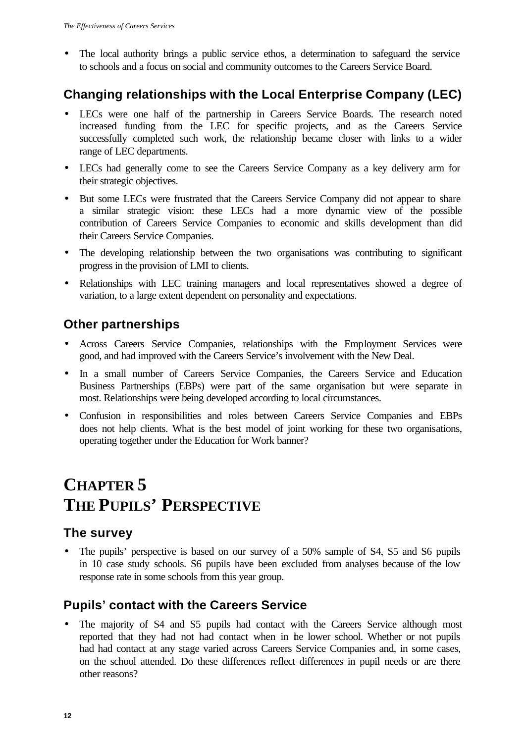• The local authority brings a public service ethos, a determination to safeguard the service to schools and a focus on social and community outcomes to the Careers Service Board.

### **Changing relationships with the Local Enterprise Company (LEC)**

- LECs were one half of the partnership in Careers Service Boards. The research noted increased funding from the LEC for specific projects, and as the Careers Service successfully completed such work, the relationship became closer with links to a wider range of LEC departments.
- LECs had generally come to see the Careers Service Company as a key delivery arm for their strategic objectives.
- But some LECs were frustrated that the Careers Service Company did not appear to share a similar strategic vision: these LECs had a more dynamic view of the possible contribution of Careers Service Companies to economic and skills development than did their Careers Service Companies.
- The developing relationship between the two organisations was contributing to significant progress in the provision of LMI to clients.
- Relationships with LEC training managers and local representatives showed a degree of variation, to a large extent dependent on personality and expectations.

#### **Other partnerships**

- Across Careers Service Companies, relationships with the Employment Services were good, and had improved with the Careers Service's involvement with the New Deal.
- In a small number of Careers Service Companies, the Careers Service and Education Business Partnerships (EBPs) were part of the same organisation but were separate in most. Relationships were being developed according to local circumstances.
- Confusion in responsibilities and roles between Careers Service Companies and EBPs does not help clients. What is the best model of joint working for these two organisations, operating together under the Education for Work banner?

## **CHAPTER 5 THE PUPILS' PERSPECTIVE**

#### **The survey**

• The pupils' perspective is based on our survey of a 50% sample of S4, S5 and S6 pupils in 10 case study schools. S6 pupils have been excluded from analyses because of the low response rate in some schools from this year group.

#### **Pupils' contact with the Careers Service**

• The majority of S4 and S5 pupils had contact with the Careers Service although most reported that they had not had contact when in the lower school. Whether or not pupils had had contact at any stage varied across Careers Service Companies and, in some cases, on the school attended. Do these differences reflect differences in pupil needs or are there other reasons?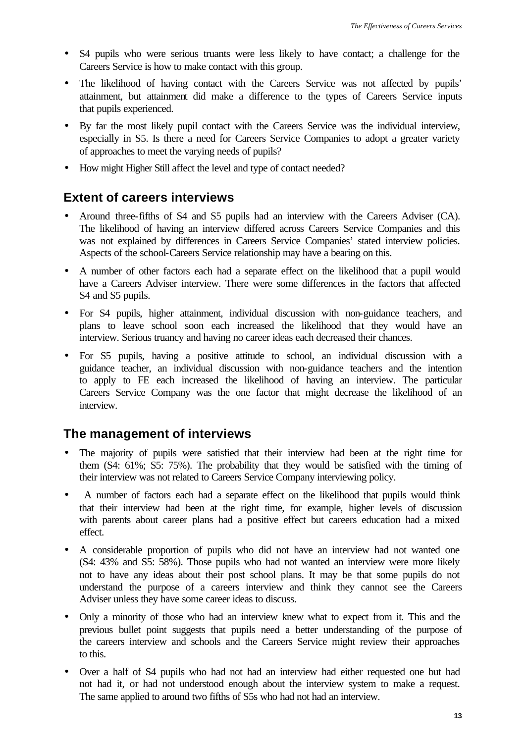- S4 pupils who were serious truants were less likely to have contact; a challenge for the Careers Service is how to make contact with this group.
- The likelihood of having contact with the Careers Service was not affected by pupils' attainment, but attainment did make a difference to the types of Careers Service inputs that pupils experienced.
- By far the most likely pupil contact with the Careers Service was the individual interview, especially in S5. Is there a need for Careers Service Companies to adopt a greater variety of approaches to meet the varying needs of pupils?
- How might Higher Still affect the level and type of contact needed?

#### **Extent of careers interviews**

- Around three-fifths of S4 and S5 pupils had an interview with the Careers Adviser (CA). The likelihood of having an interview differed across Careers Service Companies and this was not explained by differences in Careers Service Companies' stated interview policies. Aspects of the school-Careers Service relationship may have a bearing on this.
- A number of other factors each had a separate effect on the likelihood that a pupil would have a Careers Adviser interview. There were some differences in the factors that affected S4 and S5 pupils.
- For S4 pupils, higher attainment, individual discussion with non-guidance teachers, and plans to leave school soon each increased the likelihood that they would have an interview. Serious truancy and having no career ideas each decreased their chances.
- For S5 pupils, having a positive attitude to school, an individual discussion with a guidance teacher, an individual discussion with non-guidance teachers and the intention to apply to FE each increased the likelihood of having an interview. The particular Careers Service Company was the one factor that might decrease the likelihood of an interview.

## **The management of interviews**

- The majority of pupils were satisfied that their interview had been at the right time for them (S4: 61%; S5: 75%). The probability that they would be satisfied with the timing of their interview was not related to Careers Service Company interviewing policy.
- A number of factors each had a separate effect on the likelihood that pupils would think that their interview had been at the right time, for example, higher levels of discussion with parents about career plans had a positive effect but careers education had a mixed effect.
- A considerable proportion of pupils who did not have an interview had not wanted one (S4: 43% and S5: 58%). Those pupils who had not wanted an interview were more likely not to have any ideas about their post school plans. It may be that some pupils do not understand the purpose of a careers interview and think they cannot see the Careers Adviser unless they have some career ideas to discuss.
- Only a minority of those who had an interview knew what to expect from it. This and the previous bullet point suggests that pupils need a better understanding of the purpose of the careers interview and schools and the Careers Service might review their approaches to this.
- Over a half of S4 pupils who had not had an interview had either requested one but had not had it, or had not understood enough about the interview system to make a request. The same applied to around two fifths of S5s who had not had an interview.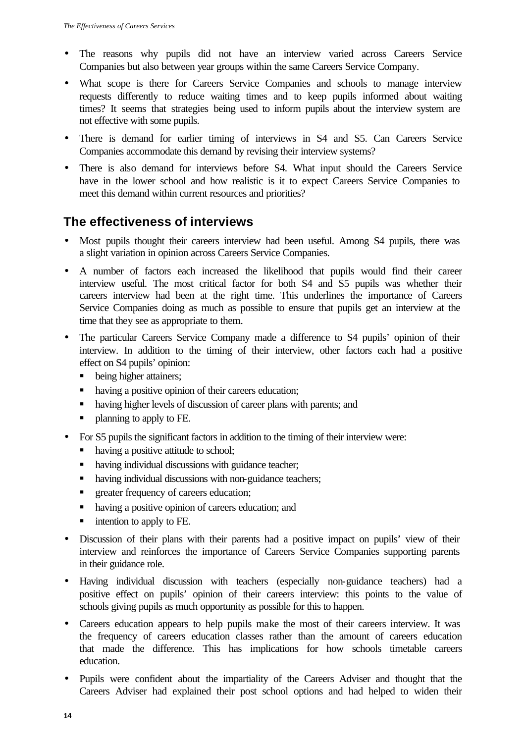- The reasons why pupils did not have an interview varied across Careers Service Companies but also between year groups within the same Careers Service Company.
- What scope is there for Careers Service Companies and schools to manage interview requests differently to reduce waiting times and to keep pupils informed about waiting times? It seems that strategies being used to inform pupils about the interview system are not effective with some pupils.
- There is demand for earlier timing of interviews in S4 and S5. Can Careers Service Companies accommodate this demand by revising their interview systems?
- There is also demand for interviews before S4. What input should the Careers Service have in the lower school and how realistic is it to expect Careers Service Companies to meet this demand within current resources and priorities?

#### **The effectiveness of interviews**

- Most pupils thought their careers interview had been useful. Among S4 pupils, there was a slight variation in opinion across Careers Service Companies.
- A number of factors each increased the likelihood that pupils would find their career interview useful. The most critical factor for both S4 and S5 pupils was whether their careers interview had been at the right time. This underlines the importance of Careers Service Companies doing as much as possible to ensure that pupils get an interview at the time that they see as appropriate to them.
- The particular Careers Service Company made a difference to S4 pupils' opinion of their interview. In addition to the timing of their interview, other factors each had a positive effect on S4 pupils' opinion:
	- being higher attainers;
	- having a positive opinion of their careers education;
	- having higher levels of discussion of career plans with parents; and
	- planning to apply to FE.
- For S5 pupils the significant factors in addition to the timing of their interview were:
	- having a positive attitude to school;
	- having individual discussions with guidance teacher;
	- having individual discussions with non-guidance teachers;
	- **n** greater frequency of careers education;
	- having a positive opinion of careers education; and
	- $\blacksquare$  intention to apply to FE.
- Discussion of their plans with their parents had a positive impact on pupils' view of their interview and reinforces the importance of Careers Service Companies supporting parents in their guidance role.
- Having individual discussion with teachers (especially non-guidance teachers) had a positive effect on pupils' opinion of their careers interview: this points to the value of schools giving pupils as much opportunity as possible for this to happen.
- Careers education appears to help pupils make the most of their careers interview. It was the frequency of careers education classes rather than the amount of careers education that made the difference. This has implications for how schools timetable careers education.
- Pupils were confident about the impartiality of the Careers Adviser and thought that the Careers Adviser had explained their post school options and had helped to widen their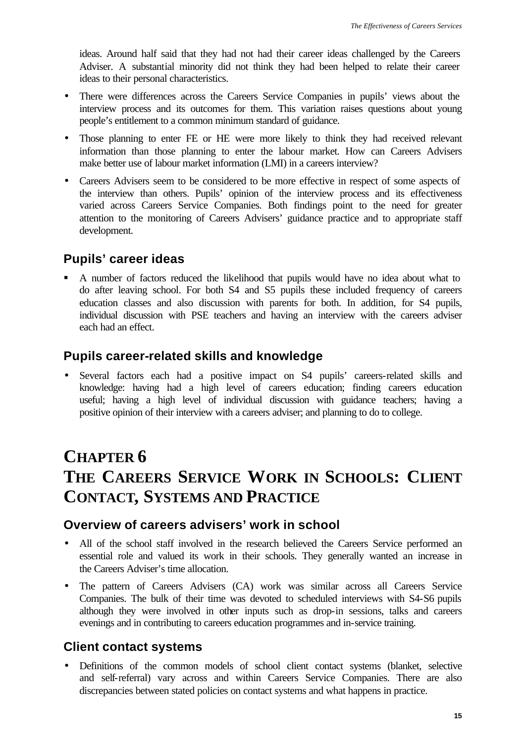ideas. Around half said that they had not had their career ideas challenged by the Careers Adviser. A substantial minority did not think they had been helped to relate their career ideas to their personal characteristics.

- There were differences across the Careers Service Companies in pupils' views about the interview process and its outcomes for them. This variation raises questions about young people's entitlement to a common minimum standard of guidance.
- Those planning to enter FE or HE were more likely to think they had received relevant information than those planning to enter the labour market. How can Careers Advisers make better use of labour market information (LMI) in a careers interview?
- Careers Advisers seem to be considered to be more effective in respect of some aspects of the interview than others. Pupils' opinion of the interview process and its effectiveness varied across Careers Service Companies. Both findings point to the need for greater attention to the monitoring of Careers Advisers' guidance practice and to appropriate staff development.

### **Pupils' career ideas**

ß A number of factors reduced the likelihood that pupils would have no idea about what to do after leaving school. For both S4 and S5 pupils these included frequency of careers education classes and also discussion with parents for both. In addition, for S4 pupils, individual discussion with PSE teachers and having an interview with the careers adviser each had an effect.

#### **Pupils career-related skills and knowledge**

• Several factors each had a positive impact on S4 pupils' careers-related skills and knowledge: having had a high level of careers education; finding careers education useful; having a high level of individual discussion with guidance teachers; having a positive opinion of their interview with a careers adviser; and planning to do to college.

## **CHAPTER 6 THE CAREERS SERVICE WORK IN SCHOOLS: CLIENT CONTACT, SYSTEMS AND PRACTICE**

#### **Overview of careers advisers' work in school**

- All of the school staff involved in the research believed the Careers Service performed an essential role and valued its work in their schools. They generally wanted an increase in the Careers Adviser's time allocation.
- The pattern of Careers Advisers (CA) work was similar across all Careers Service Companies. The bulk of their time was devoted to scheduled interviews with S4-S6 pupils although they were involved in other inputs such as drop-in sessions, talks and careers evenings and in contributing to careers education programmes and in-service training.

#### **Client contact systems**

• Definitions of the common models of school client contact systems (blanket, selective and self-referral) vary across and within Careers Service Companies. There are also discrepancies between stated policies on contact systems and what happens in practice.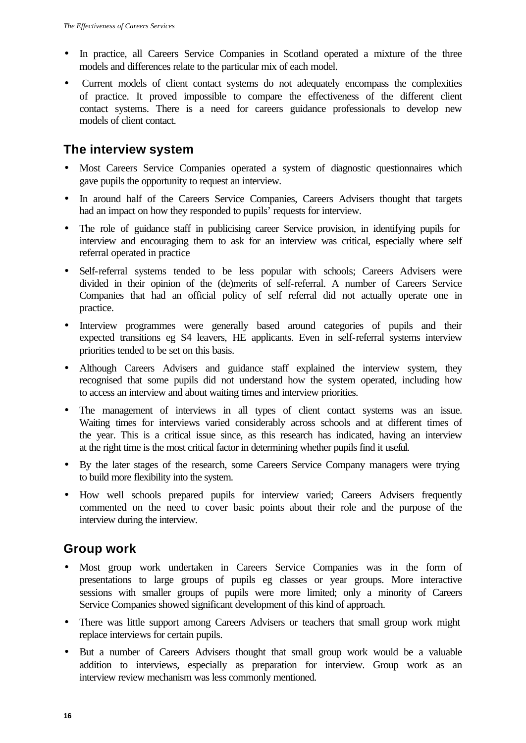- In practice, all Careers Service Companies in Scotland operated a mixture of the three models and differences relate to the particular mix of each model.
- Current models of client contact systems do not adequately encompass the complexities of practice. It proved impossible to compare the effectiveness of the different client contact systems. There is a need for careers guidance professionals to develop new models of client contact.

#### **The interview system**

- Most Careers Service Companies operated a system of diagnostic questionnaires which gave pupils the opportunity to request an interview.
- In around half of the Careers Service Companies, Careers Advisers thought that targets had an impact on how they responded to pupils' requests for interview.
- The role of guidance staff in publicising career Service provision, in identifying pupils for interview and encouraging them to ask for an interview was critical, especially where self referral operated in practice
- Self-referral systems tended to be less popular with schools; Careers Advisers were divided in their opinion of the (de)merits of self-referral. A number of Careers Service Companies that had an official policy of self referral did not actually operate one in practice.
- Interview programmes were generally based around categories of pupils and their expected transitions eg S4 leavers, HE applicants. Even in self-referral systems interview priorities tended to be set on this basis.
- Although Careers Advisers and guidance staff explained the interview system, they recognised that some pupils did not understand how the system operated, including how to access an interview and about waiting times and interview priorities.
- The management of interviews in all types of client contact systems was an issue. Waiting times for interviews varied considerably across schools and at different times of the year. This is a critical issue since, as this research has indicated, having an interview at the right time is the most critical factor in determining whether pupils find it useful.
- By the later stages of the research, some Careers Service Company managers were trying to build more flexibility into the system.
- How well schools prepared pupils for interview varied; Careers Advisers frequently commented on the need to cover basic points about their role and the purpose of the interview during the interview.

## **Group work**

- Most group work undertaken in Careers Service Companies was in the form of presentations to large groups of pupils eg classes or year groups. More interactive sessions with smaller groups of pupils were more limited; only a minority of Careers Service Companies showed significant development of this kind of approach.
- There was little support among Careers Advisers or teachers that small group work might replace interviews for certain pupils.
- But a number of Careers Advisers thought that small group work would be a valuable addition to interviews, especially as preparation for interview. Group work as an interview review mechanism was less commonly mentioned.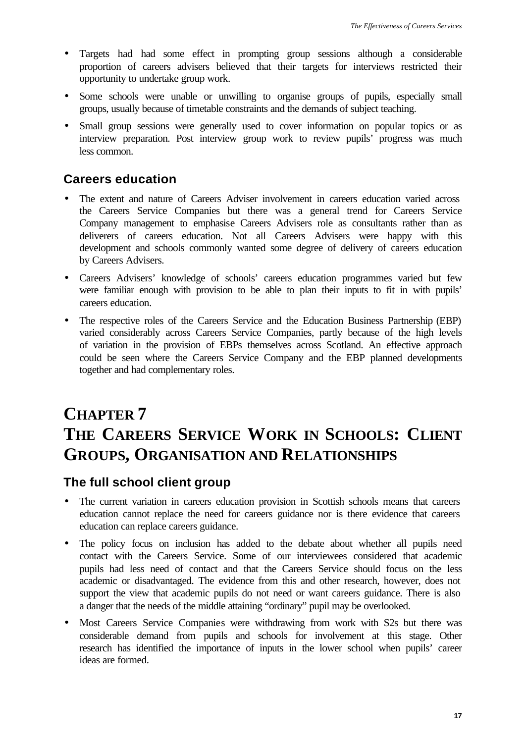- Targets had had some effect in prompting group sessions although a considerable proportion of careers advisers believed that their targets for interviews restricted their opportunity to undertake group work.
- Some schools were unable or unwilling to organise groups of pupils, especially small groups, usually because of timetable constraints and the demands of subject teaching.
- Small group sessions were generally used to cover information on popular topics or as interview preparation. Post interview group work to review pupils' progress was much less common.

#### **Careers education**

- The extent and nature of Careers Adviser involvement in careers education varied across the Careers Service Companies but there was a general trend for Careers Service Company management to emphasise Careers Advisers role as consultants rather than as deliverers of careers education. Not all Careers Advisers were happy with this development and schools commonly wanted some degree of delivery of careers education by Careers Advisers.
- Careers Advisers' knowledge of schools' careers education programmes varied but few were familiar enough with provision to be able to plan their inputs to fit in with pupils' careers education.
- The respective roles of the Careers Service and the Education Business Partnership (EBP) varied considerably across Careers Service Companies, partly because of the high levels of variation in the provision of EBPs themselves across Scotland. An effective approach could be seen where the Careers Service Company and the EBP planned developments together and had complementary roles.

## **CHAPTER 7 THE CAREERS SERVICE WORK IN SCHOOLS: CLIENT GROUPS, ORGANISATION AND RELATIONSHIPS**

#### **The full school client group**

- The current variation in careers education provision in Scottish schools means that careers education cannot replace the need for careers guidance nor is there evidence that careers education can replace careers guidance.
- The policy focus on inclusion has added to the debate about whether all pupils need contact with the Careers Service. Some of our interviewees considered that academic pupils had less need of contact and that the Careers Service should focus on the less academic or disadvantaged. The evidence from this and other research, however, does not support the view that academic pupils do not need or want careers guidance. There is also a danger that the needs of the middle attaining "ordinary" pupil may be overlooked.
- Most Careers Service Companies were withdrawing from work with S2s but there was considerable demand from pupils and schools for involvement at this stage. Other research has identified the importance of inputs in the lower school when pupils' career ideas are formed.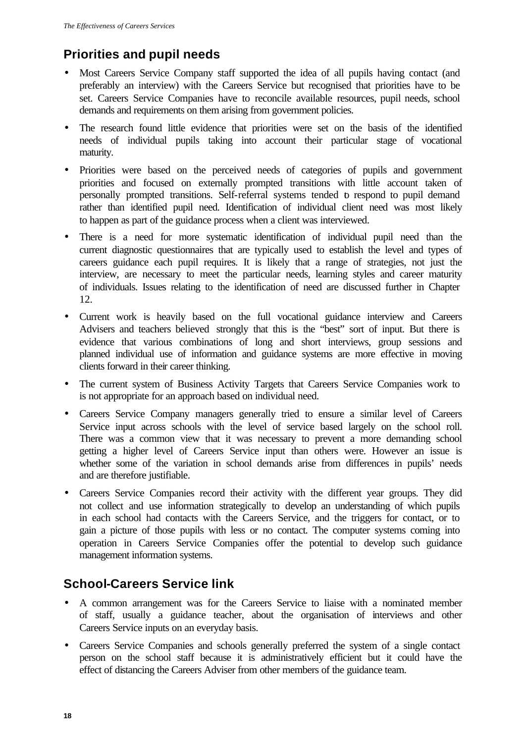## **Priorities and pupil needs**

- Most Careers Service Company staff supported the idea of all pupils having contact (and preferably an interview) with the Careers Service but recognised that priorities have to be set. Careers Service Companies have to reconcile available resources, pupil needs, school demands and requirements on them arising from government policies.
- The research found little evidence that priorities were set on the basis of the identified needs of individual pupils taking into account their particular stage of vocational maturity.
- Priorities were based on the perceived needs of categories of pupils and government priorities and focused on externally prompted transitions with little account taken of personally prompted transitions. Self-referral systems tended to respond to pupil demand rather than identified pupil need. Identification of individual client need was most likely to happen as part of the guidance process when a client was interviewed.
- There is a need for more systematic identification of individual pupil need than the current diagnostic questionnaires that are typically used to establish the level and types of careers guidance each pupil requires. It is likely that a range of strategies, not just the interview, are necessary to meet the particular needs, learning styles and career maturity of individuals. Issues relating to the identification of need are discussed further in Chapter 12.
- Current work is heavily based on the full vocational guidance interview and Careers Advisers and teachers believed strongly that this is the "best" sort of input. But there is evidence that various combinations of long and short interviews, group sessions and planned individual use of information and guidance systems are more effective in moving clients forward in their career thinking.
- The current system of Business Activity Targets that Careers Service Companies work to is not appropriate for an approach based on individual need.
- Careers Service Company managers generally tried to ensure a similar level of Careers Service input across schools with the level of service based largely on the school roll. There was a common view that it was necessary to prevent a more demanding school getting a higher level of Careers Service input than others were. However an issue is whether some of the variation in school demands arise from differences in pupils' needs and are therefore justifiable.
- Careers Service Companies record their activity with the different year groups. They did not collect and use information strategically to develop an understanding of which pupils in each school had contacts with the Careers Service, and the triggers for contact, or to gain a picture of those pupils with less or no contact. The computer systems coming into operation in Careers Service Companies offer the potential to develop such guidance management information systems.

## **School-Careers Service link**

- A common arrangement was for the Careers Service to liaise with a nominated member of staff, usually a guidance teacher, about the organisation of interviews and other Careers Service inputs on an everyday basis.
- Careers Service Companies and schools generally preferred the system of a single contact person on the school staff because it is administratively efficient but it could have the effect of distancing the Careers Adviser from other members of the guidance team.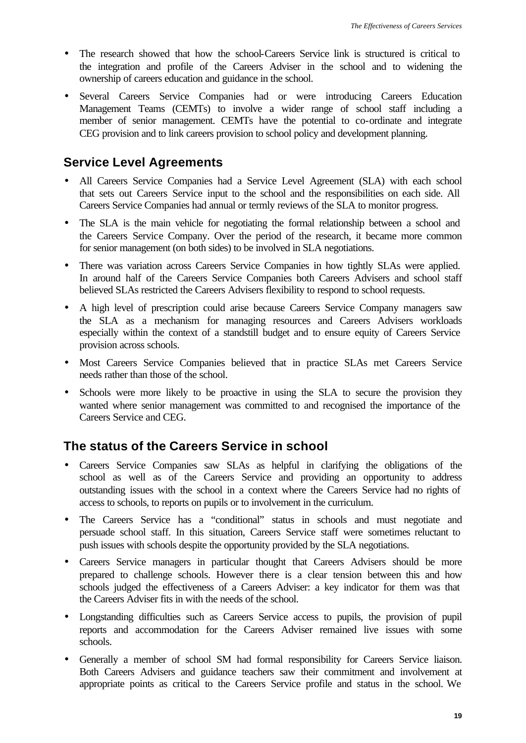- The research showed that how the school-Careers Service link is structured is critical to the integration and profile of the Careers Adviser in the school and to widening the ownership of careers education and guidance in the school.
- Several Careers Service Companies had or were introducing Careers Education Management Teams (CEMTs) to involve a wider range of school staff including a member of senior management. CEMTs have the potential to co-ordinate and integrate CEG provision and to link careers provision to school policy and development planning.

#### **Service Level Agreements**

- All Careers Service Companies had a Service Level Agreement (SLA) with each school that sets out Careers Service input to the school and the responsibilities on each side. All Careers Service Companies had annual or termly reviews of the SLA to monitor progress.
- The SLA is the main vehicle for negotiating the formal relationship between a school and the Careers Service Company. Over the period of the research, it became more common for senior management (on both sides) to be involved in SLA negotiations.
- There was variation across Careers Service Companies in how tightly SLAs were applied. In around half of the Careers Service Companies both Careers Advisers and school staff believed SLAs restricted the Careers Advisers flexibility to respond to school requests.
- A high level of prescription could arise because Careers Service Company managers saw the SLA as a mechanism for managing resources and Careers Advisers workloads especially within the context of a standstill budget and to ensure equity of Careers Service provision across schools.
- Most Careers Service Companies believed that in practice SLAs met Careers Service needs rather than those of the school.
- Schools were more likely to be proactive in using the SLA to secure the provision they wanted where senior management was committed to and recognised the importance of the Careers Service and CEG.

## **The status of the Careers Service in school**

- Careers Service Companies saw SLAs as helpful in clarifying the obligations of the school as well as of the Careers Service and providing an opportunity to address outstanding issues with the school in a context where the Careers Service had no rights of access to schools, to reports on pupils or to involvement in the curriculum.
- The Careers Service has a "conditional" status in schools and must negotiate and persuade school staff. In this situation, Careers Service staff were sometimes reluctant to push issues with schools despite the opportunity provided by the SLA negotiations.
- Careers Service managers in particular thought that Careers Advisers should be more prepared to challenge schools. However there is a clear tension between this and how schools judged the effectiveness of a Careers Adviser: a key indicator for them was that the Careers Adviser fits in with the needs of the school.
- Longstanding difficulties such as Careers Service access to pupils, the provision of pupil reports and accommodation for the Careers Adviser remained live issues with some schools.
- Generally a member of school SM had formal responsibility for Careers Service liaison. Both Careers Advisers and guidance teachers saw their commitment and involvement at appropriate points as critical to the Careers Service profile and status in the school. We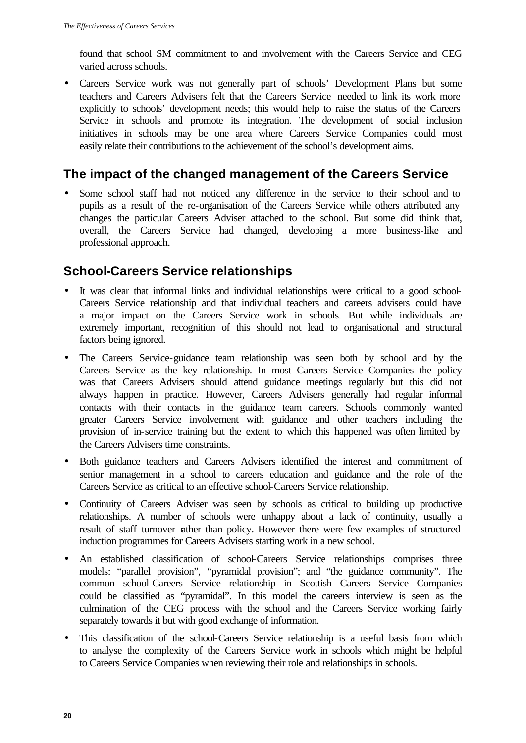found that school SM commitment to and involvement with the Careers Service and CEG varied across schools.

• Careers Service work was not generally part of schools' Development Plans but some teachers and Careers Advisers felt that the Careers Service needed to link its work more explicitly to schools' development needs; this would help to raise the status of the Careers Service in schools and promote its integration. The development of social inclusion initiatives in schools may be one area where Careers Service Companies could most easily relate their contributions to the achievement of the school's development aims.

### **The impact of the changed management of the Careers Service**

Some school staff had not noticed any difference in the service to their school and to pupils as a result of the re-organisation of the Careers Service while others attributed any changes the particular Careers Adviser attached to the school. But some did think that, overall, the Careers Service had changed, developing a more business-like and professional approach.

### **School-Careers Service relationships**

- It was clear that informal links and individual relationships were critical to a good school-Careers Service relationship and that individual teachers and careers advisers could have a major impact on the Careers Service work in schools. But while individuals are extremely important, recognition of this should not lead to organisational and structural factors being ignored.
- The Careers Service-guidance team relationship was seen both by school and by the Careers Service as the key relationship. In most Careers Service Companies the policy was that Careers Advisers should attend guidance meetings regularly but this did not always happen in practice. However, Careers Advisers generally had regular informal contacts with their contacts in the guidance team careers. Schools commonly wanted greater Careers Service involvement with guidance and other teachers including the provision of in-service training but the extent to which this happened was often limited by the Careers Advisers time constraints.
- Both guidance teachers and Careers Advisers identified the interest and commitment of senior management in a school to careers education and guidance and the role of the Careers Service as critical to an effective school-Careers Service relationship.
- Continuity of Careers Adviser was seen by schools as critical to building up productive relationships. A number of schools were unhappy about a lack of continuity, usually a result of staff turnover rather than policy. However there were few examples of structured induction programmes for Careers Advisers starting work in a new school.
- An established classification of school-Careers Service relationships comprises three models: "parallel provision", "pyramidal provision"; and "the guidance community". The common school-Careers Service relationship in Scottish Careers Service Companies could be classified as "pyramidal". In this model the careers interview is seen as the culmination of the CEG process with the school and the Careers Service working fairly separately towards it but with good exchange of information.
- This classification of the school-Careers Service relationship is a useful basis from which to analyse the complexity of the Careers Service work in schools which might be helpful to Careers Service Companies when reviewing their role and relationships in schools.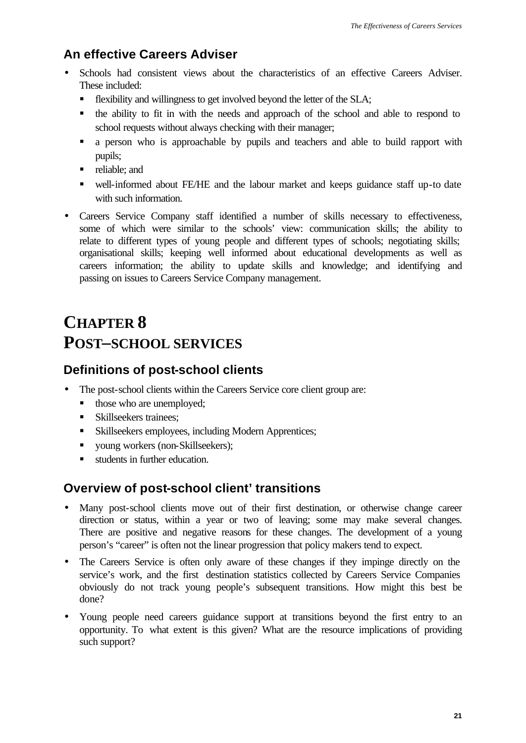## **An effective Careers Adviser**

- Schools had consistent views about the characteristics of an effective Careers Adviser. These included:
	- flexibility and willingness to get involved beyond the letter of the SLA;
	- $\blacksquare$  the ability to fit in with the needs and approach of the school and able to respond to school requests without always checking with their manager;
	- a person who is approachable by pupils and teachers and able to build rapport with pupils;
	- **•** reliable; and
	- well-informed about FE/HE and the labour market and keeps guidance staff up-to date with such information.
- Careers Service Company staff identified a number of skills necessary to effectiveness, some of which were similar to the schools' view: communication skills; the ability to relate to different types of young people and different types of schools; negotiating skills; organisational skills; keeping well informed about educational developments as well as careers information; the ability to update skills and knowledge; and identifying and passing on issues to Careers Service Company management.

## **CHAPTER 8 POST–SCHOOL SERVICES**

### **Definitions of post-school clients**

- The post-school clients within the Careers Service core client group are:
	- those who are unemployed;
	- **Skillseekers trainees;**
	- **Killseekers employees, including Modern Apprentices;**
	- voung workers (non-Skillseekers);
	- students in further education.

#### **Overview of post-school client' transitions**

- Many post-school clients move out of their first destination, or otherwise change career direction or status, within a year or two of leaving; some may make several changes. There are positive and negative reasons for these changes. The development of a young person's "career" is often not the linear progression that policy makers tend to expect.
- The Careers Service is often only aware of these changes if they impinge directly on the service's work, and the first destination statistics collected by Careers Service Companies obviously do not track young people's subsequent transitions. How might this best be done?
- Young people need careers guidance support at transitions beyond the first entry to an opportunity. To what extent is this given? What are the resource implications of providing such support?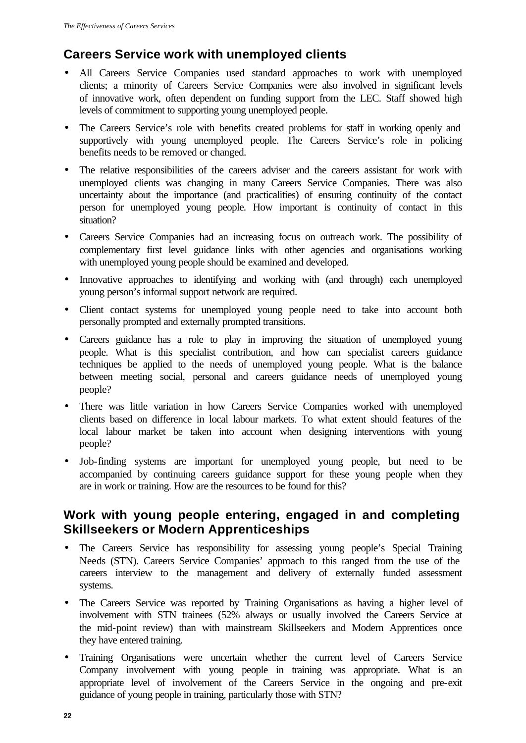## **Careers Service work with unemployed clients**

- All Careers Service Companies used standard approaches to work with unemployed clients; a minority of Careers Service Companies were also involved in significant levels of innovative work, often dependent on funding support from the LEC. Staff showed high levels of commitment to supporting young unemployed people.
- The Careers Service's role with benefits created problems for staff in working openly and supportively with young unemployed people. The Careers Service's role in policing benefits needs to be removed or changed.
- The relative responsibilities of the careers adviser and the careers assistant for work with unemployed clients was changing in many Careers Service Companies. There was also uncertainty about the importance (and practicalities) of ensuring continuity of the contact person for unemployed young people. How important is continuity of contact in this situation?
- Careers Service Companies had an increasing focus on outreach work. The possibility of complementary first level guidance links with other agencies and organisations working with unemployed young people should be examined and developed.
- Innovative approaches to identifying and working with (and through) each unemployed young person's informal support network are required.
- Client contact systems for unemployed young people need to take into account both personally prompted and externally prompted transitions.
- Careers guidance has a role to play in improving the situation of unemployed young people. What is this specialist contribution, and how can specialist careers guidance techniques be applied to the needs of unemployed young people. What is the balance between meeting social, personal and careers guidance needs of unemployed young people?
- There was little variation in how Careers Service Companies worked with unemployed clients based on difference in local labour markets. To what extent should features of the local labour market be taken into account when designing interventions with young people?
- Job-finding systems are important for unemployed young people, but need to be accompanied by continuing careers guidance support for these young people when they are in work or training. How are the resources to be found for this?

#### **Work with young people entering, engaged in and completing Skillseekers or Modern Apprenticeships**

- The Careers Service has responsibility for assessing young people's Special Training Needs (STN). Careers Service Companies' approach to this ranged from the use of the careers interview to the management and delivery of externally funded assessment systems.
- The Careers Service was reported by Training Organisations as having a higher level of involvement with STN trainees (52% always or usually involved the Careers Service at the mid-point review) than with mainstream Skillseekers and Modern Apprentices once they have entered training.
- Training Organisations were uncertain whether the current level of Careers Service Company involvement with young people in training was appropriate. What is an appropriate level of involvement of the Careers Service in the ongoing and pre-exit guidance of young people in training, particularly those with STN?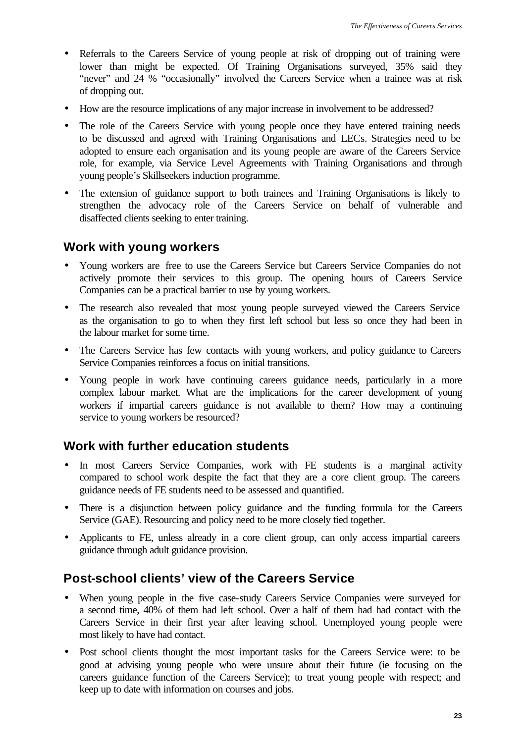- Referrals to the Careers Service of young people at risk of dropping out of training were lower than might be expected. Of Training Organisations surveyed, 35% said they "never" and 24 % "occasionally" involved the Careers Service when a trainee was at risk of dropping out.
- How are the resource implications of any major increase in involvement to be addressed?
- The role of the Careers Service with young people once they have entered training needs to be discussed and agreed with Training Organisations and LECs. Strategies need to be adopted to ensure each organisation and its young people are aware of the Careers Service role, for example, via Service Level Agreements with Training Organisations and through young people's Skillseekers induction programme.
- The extension of guidance support to both trainees and Training Organisations is likely to strengthen the advocacy role of the Careers Service on behalf of vulnerable and disaffected clients seeking to enter training.

#### **Work with young workers**

- Young workers are free to use the Careers Service but Careers Service Companies do not actively promote their services to this group. The opening hours of Careers Service Companies can be a practical barrier to use by young workers.
- The research also revealed that most young people surveyed viewed the Careers Service as the organisation to go to when they first left school but less so once they had been in the labour market for some time.
- The Careers Service has few contacts with young workers, and policy guidance to Careers Service Companies reinforces a focus on initial transitions.
- Young people in work have continuing careers guidance needs, particularly in a more complex labour market. What are the implications for the career development of young workers if impartial careers guidance is not available to them? How may a continuing service to young workers be resourced?

#### **Work with further education students**

- In most Careers Service Companies, work with FE students is a marginal activity compared to school work despite the fact that they are a core client group. The careers guidance needs of FE students need to be assessed and quantified.
- There is a disjunction between policy guidance and the funding formula for the Careers Service (GAE). Resourcing and policy need to be more closely tied together.
- Applicants to FE, unless already in a core client group, can only access impartial careers guidance through adult guidance provision.

#### **Post-school clients' view of the Careers Service**

- When young people in the five case-study Careers Service Companies were surveyed for a second time, 40% of them had left school. Over a half of them had had contact with the Careers Service in their first year after leaving school. Unemployed young people were most likely to have had contact.
- Post school clients thought the most important tasks for the Careers Service were: to be good at advising young people who were unsure about their future (ie focusing on the careers guidance function of the Careers Service); to treat young people with respect; and keep up to date with information on courses and jobs.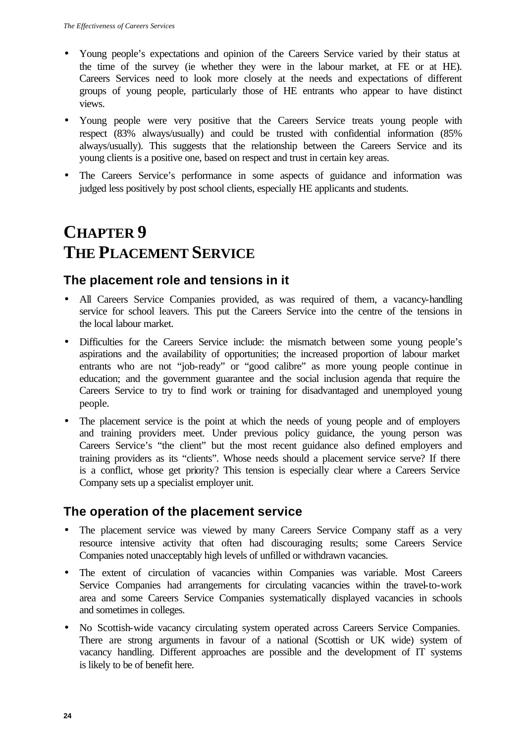- Young people's expectations and opinion of the Careers Service varied by their status at the time of the survey (ie whether they were in the labour market, at FE or at HE). Careers Services need to look more closely at the needs and expectations of different groups of young people, particularly those of HE entrants who appear to have distinct views.
- Young people were very positive that the Careers Service treats young people with respect (83% always/usually) and could be trusted with confidential information (85% always/usually). This suggests that the relationship between the Careers Service and its young clients is a positive one, based on respect and trust in certain key areas.
- The Careers Service's performance in some aspects of guidance and information was judged less positively by post school clients, especially HE applicants and students.

## **CHAPTER 9 THE PLACEMENT SERVICE**

#### **The placement role and tensions in it**

- All Careers Service Companies provided, as was required of them, a vacancy-handling service for school leavers. This put the Careers Service into the centre of the tensions in the local labour market.
- Difficulties for the Careers Service include: the mismatch between some young people's aspirations and the availability of opportunities; the increased proportion of labour market entrants who are not "job-ready" or "good calibre" as more young people continue in education; and the government guarantee and the social inclusion agenda that require the Careers Service to try to find work or training for disadvantaged and unemployed young people.
- The placement service is the point at which the needs of young people and of employers and training providers meet. Under previous policy guidance, the young person was Careers Service's "the client" but the most recent guidance also defined employers and training providers as its "clients". Whose needs should a placement service serve? If there is a conflict, whose get priority? This tension is especially clear where a Careers Service Company sets up a specialist employer unit.

#### **The operation of the placement service**

- The placement service was viewed by many Careers Service Company staff as a very resource intensive activity that often had discouraging results; some Careers Service Companies noted unacceptably high levels of unfilled or withdrawn vacancies.
- The extent of circulation of vacancies within Companies was variable. Most Careers Service Companies had arrangements for circulating vacancies within the travel-to-work area and some Careers Service Companies systematically displayed vacancies in schools and sometimes in colleges.
- No Scottish-wide vacancy circulating system operated across Careers Service Companies. There are strong arguments in favour of a national (Scottish or UK wide) system of vacancy handling. Different approaches are possible and the development of IT systems is likely to be of benefit here.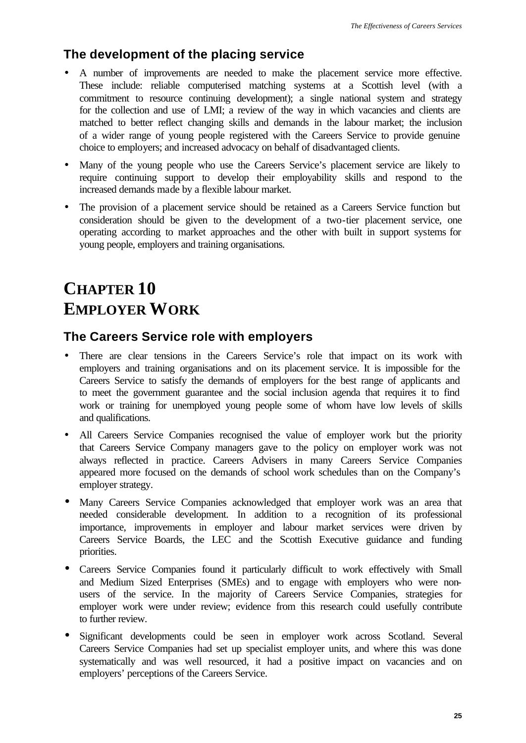### **The development of the placing service**

- A number of improvements are needed to make the placement service more effective. These include: reliable computerised matching systems at a Scottish level (with a commitment to resource continuing development); a single national system and strategy for the collection and use of LMI; a review of the way in which vacancies and clients are matched to better reflect changing skills and demands in the labour market; the inclusion of a wider range of young people registered with the Careers Service to provide genuine choice to employers; and increased advocacy on behalf of disadvantaged clients.
- Many of the young people who use the Careers Service's placement service are likely to require continuing support to develop their employability skills and respond to the increased demands made by a flexible labour market.
- The provision of a placement service should be retained as a Careers Service function but consideration should be given to the development of a two-tier placement service, one operating according to market approaches and the other with built in support systems for young people, employers and training organisations.

## **CHAPTER 10 EMPLOYER WORK**

#### **The Careers Service role with employers**

- There are clear tensions in the Careers Service's role that impact on its work with employers and training organisations and on its placement service. It is impossible for the Careers Service to satisfy the demands of employers for the best range of applicants and to meet the government guarantee and the social inclusion agenda that requires it to find work or training for unemployed young people some of whom have low levels of skills and qualifications.
- All Careers Service Companies recognised the value of employer work but the priority that Careers Service Company managers gave to the policy on employer work was not always reflected in practice. Careers Advisers in many Careers Service Companies appeared more focused on the demands of school work schedules than on the Company's employer strategy.
- Many Careers Service Companies acknowledged that employer work was an area that needed considerable development. In addition to a recognition of its professional importance, improvements in employer and labour market services were driven by Careers Service Boards, the LEC and the Scottish Executive guidance and funding priorities.
- Careers Service Companies found it particularly difficult to work effectively with Small and Medium Sized Enterprises (SMEs) and to engage with employers who were nonusers of the service. In the majority of Careers Service Companies, strategies for employer work were under review; evidence from this research could usefully contribute to further review.
- Significant developments could be seen in employer work across Scotland. Several Careers Service Companies had set up specialist employer units, and where this was done systematically and was well resourced, it had a positive impact on vacancies and on employers' perceptions of the Careers Service.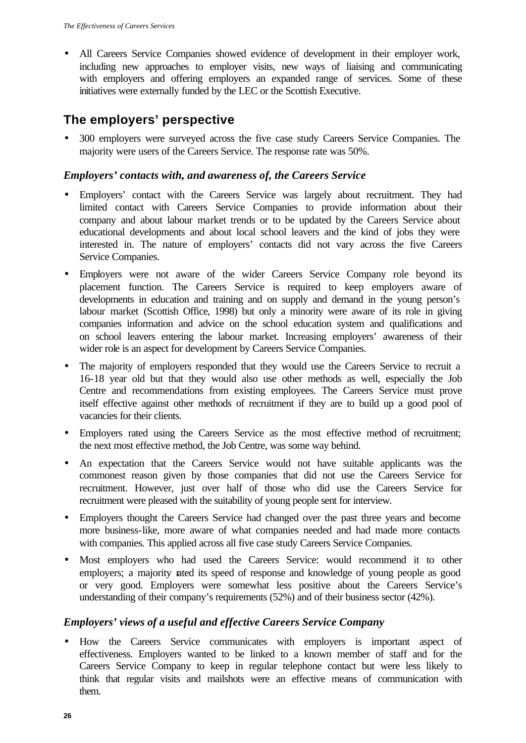• All Careers Service Companies showed evidence of development in their employer work, including new approaches to employer visits, new ways of liaising and communicating with employers and offering employers an expanded range of services. Some of these initiatives were externally funded by the LEC or the Scottish Executive.

### **The employers' perspective**

• 300 employers were surveyed across the five case study Careers Service Companies. The majority were users of the Careers Service. The response rate was 50%.

#### *Employers' contacts with, and awareness of, the Careers Service*

- Employers' contact with the Careers Service was largely about recruitment. They had limited contact with Careers Service Companies to provide information about their company and about labour market trends or to be updated by the Careers Service about educational developments and about local school leavers and the kind of jobs they were interested in. The nature of employers' contacts did not vary across the five Careers Service Companies.
- Employers were not aware of the wider Careers Service Company role beyond its placement function. The Careers Service is required to keep employers aware of developments in education and training and on supply and demand in the young person's labour market (Scottish Office, 1998) but only a minority were aware of its role in giving companies information and advice on the school education system and qualifications and on school leavers entering the labour market. Increasing employers' awareness of their wider role is an aspect for development by Careers Service Companies.
- The majority of employers responded that they would use the Careers Service to recruit a 16-18 year old but that they would also use other methods as well, especially the Job Centre and recommendations from existing employees. The Careers Service must prove itself effective against other methods of recruitment if they are to build up a good pool of vacancies for their clients.
- Employers rated using the Careers Service as the most effective method of recruitment; the next most effective method, the Job Centre, was some way behind.
- An expectation that the Careers Service would not have suitable applicants was the commonest reason given by those companies that did not use the Careers Service for recruitment. However, just over half of those who did use the Careers Service for recruitment were pleased with the suitability of young people sent for interview.
- Employers thought the Careers Service had changed over the past three years and become more business-like, more aware of what companies needed and had made more contacts with companies. This applied across all five case study Careers Service Companies.
- Most employers who had used the Careers Service: would recommend it to other employers; a majority rated its speed of response and knowledge of young people as good or very good. Employers were somewhat less positive about the Careers Service's understanding of their company's requirements (52%) and of their business sector (42%).

#### *Employers' views of a useful and effective Careers Service Company*

• How the Careers Service communicates with employers is important aspect of effectiveness. Employers wanted to be linked to a known member of staff and for the Careers Service Company to keep in regular telephone contact but were less likely to think that regular visits and mailshots were an effective means of communication with them.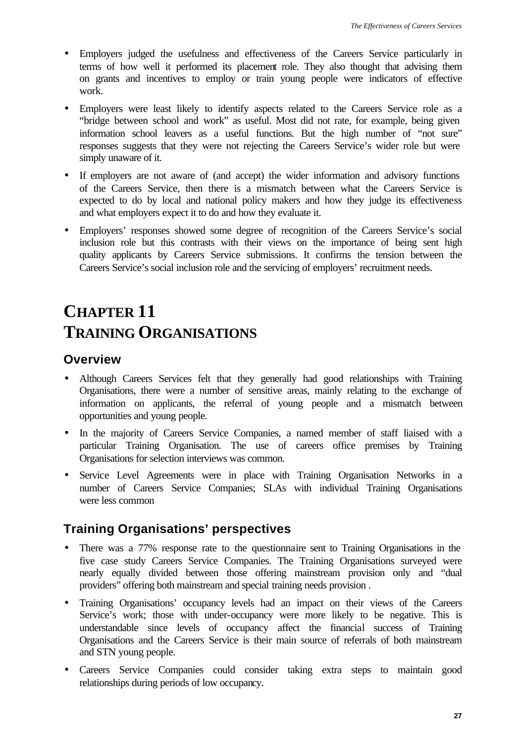- Employers judged the usefulness and effectiveness of the Careers Service particularly in terms of how well it performed its placement role. They also thought that advising them on grants and incentives to employ or train young people were indicators of effective work.
- Employers were least likely to identify aspects related to the Careers Service role as a "bridge between school and work" as useful. Most did not rate, for example, being given information school leavers as a useful functions. But the high number of "not sure" responses suggests that they were not rejecting the Careers Service's wider role but were simply unaware of it.
- If employers are not aware of (and accept) the wider information and advisory functions of the Careers Service, then there is a mismatch between what the Careers Service is expected to do by local and national policy makers and how they judge its effectiveness and what employers expect it to do and how they evaluate it.
- Employers' responses showed some degree of recognition of the Careers Service's social inclusion role but this contrasts with their views on the importance of being sent high quality applicants by Careers Service submissions. It confirms the tension between the Careers Service's social inclusion role and the servicing of employers' recruitment needs.

## **CHAPTER 11 TRAINING ORGANISATIONS**

#### **Overview**

- Although Careers Services felt that they generally had good relationships with Training Organisations, there were a number of sensitive areas, mainly relating to the exchange of information on applicants, the referral of young people and a mismatch between opportunities and young people.
- In the majority of Careers Service Companies, a named member of staff liaised with a particular Training Organisation. The use of careers office premises by Training Organisations for selection interviews was common.
- Service Level Agreements were in place with Training Organisation Networks in a number of Careers Service Companies; SLAs with individual Training Organisations were less common

## **Training Organisations' perspectives**

- There was a 77% response rate to the questionnaire sent to Training Organisations in the five case study Careers Service Companies. The Training Organisations surveyed were nearly equally divided between those offering mainstream provision only and "dual providers" offering both mainstream and special training needs provision .
- Training Organisations' occupancy levels had an impact on their views of the Careers Service's work; those with under-occupancy were more likely to be negative. This is understandable since levels of occupancy affect the financial success of Training Organisations and the Careers Service is their main source of referrals of both mainstream and STN young people.
- Careers Service Companies could consider taking extra steps to maintain good relationships during periods of low occupancy.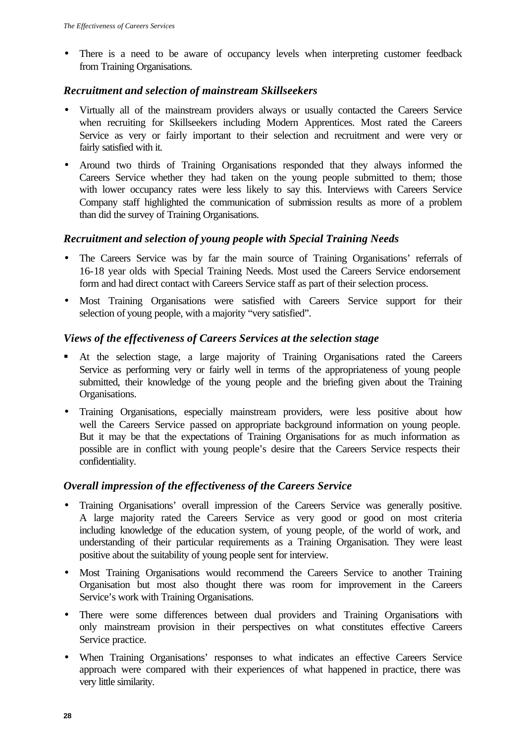• There is a need to be aware of occupancy levels when interpreting customer feedback from Training Organisations.

#### *Recruitment and selection of mainstream Skillseekers*

- Virtually all of the mainstream providers always or usually contacted the Careers Service when recruiting for Skillseekers including Modern Apprentices. Most rated the Careers Service as very or fairly important to their selection and recruitment and were very or fairly satisfied with it.
- Around two thirds of Training Organisations responded that they always informed the Careers Service whether they had taken on the young people submitted to them; those with lower occupancy rates were less likely to say this. Interviews with Careers Service Company staff highlighted the communication of submission results as more of a problem than did the survey of Training Organisations.

#### *Recruitment and selection of young people with Special Training Needs*

- The Careers Service was by far the main source of Training Organisations' referrals of 16-18 year olds with Special Training Needs. Most used the Careers Service endorsement form and had direct contact with Careers Service staff as part of their selection process.
- Most Training Organisations were satisfied with Careers Service support for their selection of young people, with a majority "very satisfied".

#### *Views of the effectiveness of Careers Services at the selection stage*

- ß At the selection stage, a large majority of Training Organisations rated the Careers Service as performing very or fairly well in terms of the appropriateness of young people submitted, their knowledge of the young people and the briefing given about the Training Organisations.
- Training Organisations, especially mainstream providers, were less positive about how well the Careers Service passed on appropriate background information on young people. But it may be that the expectations of Training Organisations for as much information as possible are in conflict with young people's desire that the Careers Service respects their confidentiality.

#### *Overall impression of the effectiveness of the Careers Service*

- Training Organisations' overall impression of the Careers Service was generally positive. A large majority rated the Careers Service as very good or good on most criteria including knowledge of the education system, of young people, of the world of work, and understanding of their particular requirements as a Training Organisation. They were least positive about the suitability of young people sent for interview.
- Most Training Organisations would recommend the Careers Service to another Training Organisation but most also thought there was room for improvement in the Careers Service's work with Training Organisations.
- There were some differences between dual providers and Training Organisations with only mainstream provision in their perspectives on what constitutes effective Careers Service practice.
- When Training Organisations' responses to what indicates an effective Careers Service approach were compared with their experiences of what happened in practice, there was very little similarity.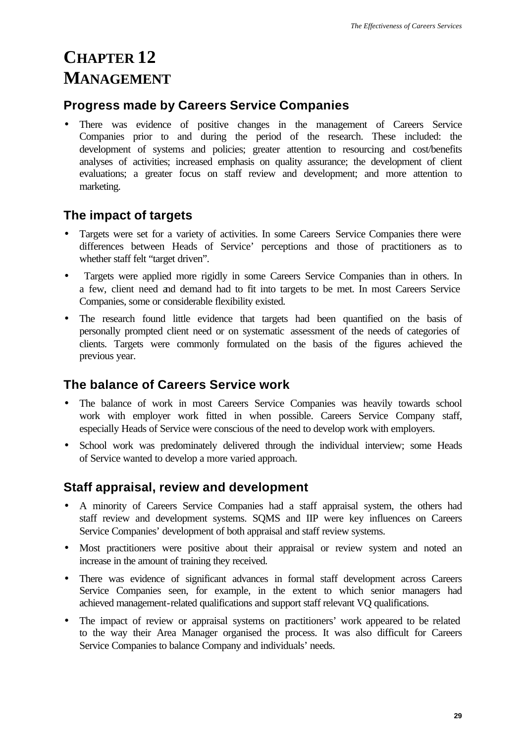## **CHAPTER 12 MANAGEMENT**

### **Progress made by Careers Service Companies**

• There was evidence of positive changes in the management of Careers Service Companies prior to and during the period of the research. These included: the development of systems and policies; greater attention to resourcing and cost/benefits analyses of activities; increased emphasis on quality assurance; the development of client evaluations; a greater focus on staff review and development; and more attention to marketing.

## **The impact of targets**

- Targets were set for a variety of activities. In some Careers Service Companies there were differences between Heads of Service' perceptions and those of practitioners as to whether staff felt "target driven".
- Targets were applied more rigidly in some Careers Service Companies than in others. In a few, client need and demand had to fit into targets to be met. In most Careers Service Companies, some or considerable flexibility existed.
- The research found little evidence that targets had been quantified on the basis of personally prompted client need or on systematic assessment of the needs of categories of clients. Targets were commonly formulated on the basis of the figures achieved the previous year.

## **The balance of Careers Service work**

- The balance of work in most Careers Service Companies was heavily towards school work with employer work fitted in when possible. Careers Service Company staff, especially Heads of Service were conscious of the need to develop work with employers.
- School work was predominately delivered through the individual interview; some Heads of Service wanted to develop a more varied approach.

## **Staff appraisal, review and development**

- A minority of Careers Service Companies had a staff appraisal system, the others had staff review and development systems. SQMS and IIP were key influences on Careers Service Companies' development of both appraisal and staff review systems.
- Most practitioners were positive about their appraisal or review system and noted an increase in the amount of training they received.
- There was evidence of significant advances in formal staff development across Careers Service Companies seen, for example, in the extent to which senior managers had achieved management-related qualifications and support staff relevant VQ qualifications.
- The impact of review or appraisal systems on practitioners' work appeared to be related to the way their Area Manager organised the process. It was also difficult for Careers Service Companies to balance Company and individuals' needs.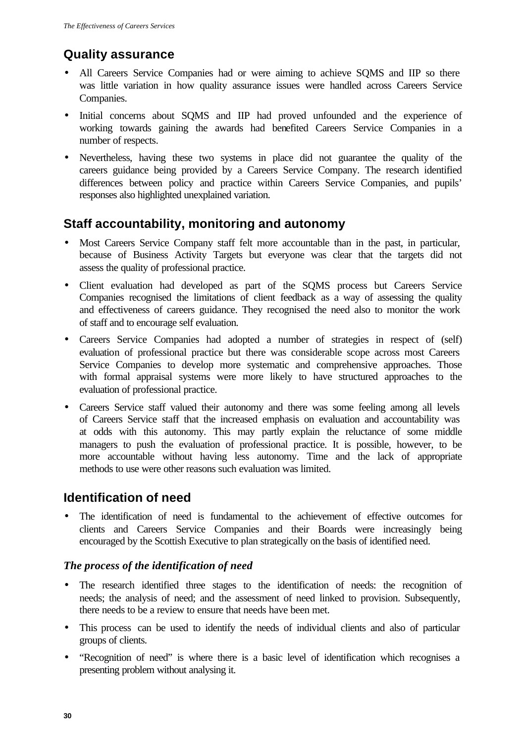## **Quality assurance**

- All Careers Service Companies had or were aiming to achieve SQMS and IIP so there was little variation in how quality assurance issues were handled across Careers Service Companies.
- Initial concerns about SQMS and IIP had proved unfounded and the experience of working towards gaining the awards had benefited Careers Service Companies in a number of respects.
- Nevertheless, having these two systems in place did not guarantee the quality of the careers guidance being provided by a Careers Service Company. The research identified differences between policy and practice within Careers Service Companies, and pupils' responses also highlighted unexplained variation.

#### **Staff accountability, monitoring and autonomy**

- Most Careers Service Company staff felt more accountable than in the past, in particular, because of Business Activity Targets but everyone was clear that the targets did not assess the quality of professional practice.
- Client evaluation had developed as part of the SQMS process but Careers Service Companies recognised the limitations of client feedback as a way of assessing the quality and effectiveness of careers guidance. They recognised the need also to monitor the work of staff and to encourage self evaluation.
- Careers Service Companies had adopted a number of strategies in respect of (self) evaluation of professional practice but there was considerable scope across most Careers Service Companies to develop more systematic and comprehensive approaches. Those with formal appraisal systems were more likely to have structured approaches to the evaluation of professional practice.
- Careers Service staff valued their autonomy and there was some feeling among all levels of Careers Service staff that the increased emphasis on evaluation and accountability was at odds with this autonomy. This may partly explain the reluctance of some middle managers to push the evaluation of professional practice. It is possible, however, to be more accountable without having less autonomy. Time and the lack of appropriate methods to use were other reasons such evaluation was limited.

## **Identification of need**

The identification of need is fundamental to the achievement of effective outcomes for clients and Careers Service Companies and their Boards were increasingly being encouraged by the Scottish Executive to plan strategically on the basis of identified need.

#### *The process of the identification of need*

- The research identified three stages to the identification of needs: the recognition of needs; the analysis of need; and the assessment of need linked to provision. Subsequently, there needs to be a review to ensure that needs have been met.
- This process can be used to identify the needs of individual clients and also of particular groups of clients.
- "Recognition of need" is where there is a basic level of identification which recognises a presenting problem without analysing it.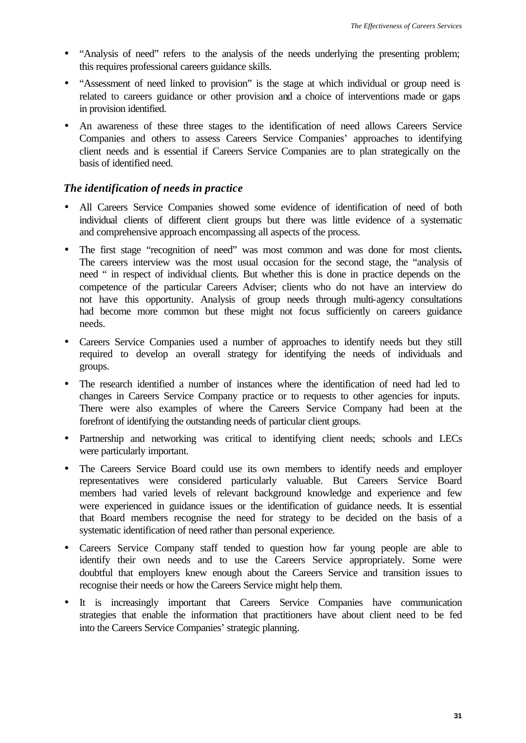- "Analysis of need" refers to the analysis of the needs underlying the presenting problem; this requires professional careers guidance skills.
- "Assessment of need linked to provision" is the stage at which individual or group need is related to careers guidance or other provision and a choice of interventions made or gaps in provision identified.
- An awareness of these three stages to the identification of need allows Careers Service Companies and others to assess Careers Service Companies' approaches to identifying client needs and is essential if Careers Service Companies are to plan strategically on the basis of identified need.

#### *The identification of needs in practice*

- All Careers Service Companies showed some evidence of identification of need of both individual clients of different client groups but there was little evidence of a systematic and comprehensive approach encompassing all aspects of the process.
- The first stage "recognition of need" was most common and was done for most clients**.**  The careers interview was the most usual occasion for the second stage, the "analysis of need " in respect of individual clients. But whether this is done in practice depends on the competence of the particular Careers Adviser; clients who do not have an interview do not have this opportunity. Analysis of group needs through multi-agency consultations had become more common but these might not focus sufficiently on careers guidance needs.
- Careers Service Companies used a number of approaches to identify needs but they still required to develop an overall strategy for identifying the needs of individuals and groups.
- The research identified a number of instances where the identification of need had led to changes in Careers Service Company practice or to requests to other agencies for inputs. There were also examples of where the Careers Service Company had been at the forefront of identifying the outstanding needs of particular client groups.
- Partnership and networking was critical to identifying client needs; schools and LECs were particularly important.
- The Careers Service Board could use its own members to identify needs and employer representatives were considered particularly valuable. But Careers Service Board members had varied levels of relevant background knowledge and experience and few were experienced in guidance issues or the identification of guidance needs. It is essential that Board members recognise the need for strategy to be decided on the basis of a systematic identification of need rather than personal experience.
- Careers Service Company staff tended to question how far young people are able to identify their own needs and to use the Careers Service appropriately. Some were doubtful that employers knew enough about the Careers Service and transition issues to recognise their needs or how the Careers Service might help them.
- It is increasingly important that Careers Service Companies have communication strategies that enable the information that practitioners have about client need to be fed into the Careers Service Companies' strategic planning.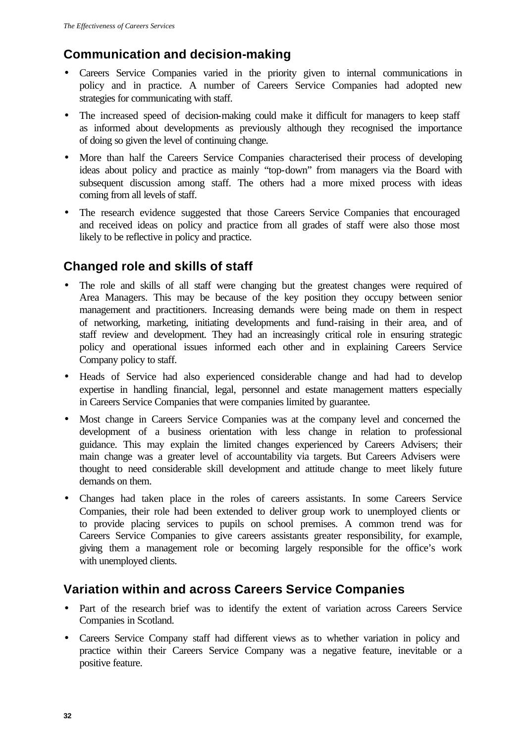## **Communication and decision-making**

- Careers Service Companies varied in the priority given to internal communications in policy and in practice. A number of Careers Service Companies had adopted new strategies for communicating with staff.
- The increased speed of decision-making could make it difficult for managers to keep staff as informed about developments as previously although they recognised the importance of doing so given the level of continuing change.
- More than half the Careers Service Companies characterised their process of developing ideas about policy and practice as mainly "top-down" from managers via the Board with subsequent discussion among staff. The others had a more mixed process with ideas coming from all levels of staff.
- The research evidence suggested that those Careers Service Companies that encouraged and received ideas on policy and practice from all grades of staff were also those most likely to be reflective in policy and practice.

## **Changed role and skills of staff**

- The role and skills of all staff were changing but the greatest changes were required of Area Managers. This may be because of the key position they occupy between senior management and practitioners. Increasing demands were being made on them in respect of networking, marketing, initiating developments and fund-raising in their area, and of staff review and development. They had an increasingly critical role in ensuring strategic policy and operational issues informed each other and in explaining Careers Service Company policy to staff.
- Heads of Service had also experienced considerable change and had had to develop expertise in handling financial, legal, personnel and estate management matters especially in Careers Service Companies that were companies limited by guarantee.
- Most change in Careers Service Companies was at the company level and concerned the development of a business orientation with less change in relation to professional guidance. This may explain the limited changes experienced by Careers Advisers; their main change was a greater level of accountability via targets. But Careers Advisers were thought to need considerable skill development and attitude change to meet likely future demands on them.
- Changes had taken place in the roles of careers assistants. In some Careers Service Companies, their role had been extended to deliver group work to unemployed clients or to provide placing services to pupils on school premises. A common trend was for Careers Service Companies to give careers assistants greater responsibility, for example, giving them a management role or becoming largely responsible for the office's work with unemployed clients.

#### **Variation within and across Careers Service Companies**

- Part of the research brief was to identify the extent of variation across Careers Service Companies in Scotland.
- Careers Service Company staff had different views as to whether variation in policy and practice within their Careers Service Company was a negative feature, inevitable or a positive feature.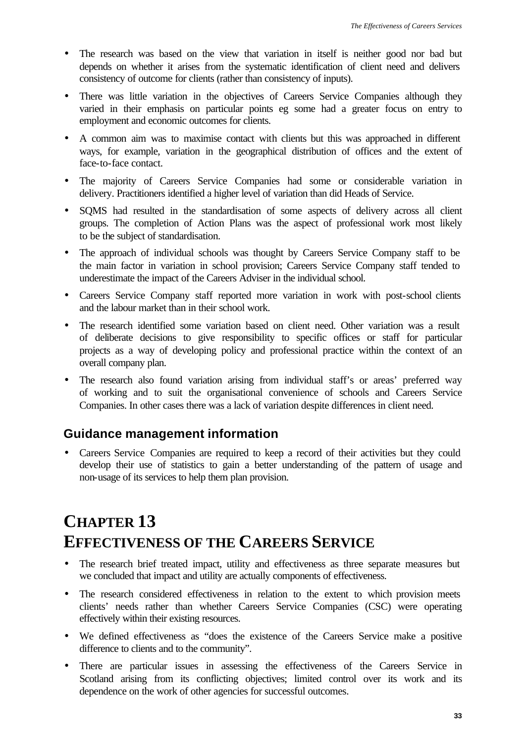- The research was based on the view that variation in itself is neither good nor bad but depends on whether it arises from the systematic identification of client need and delivers consistency of outcome for clients (rather than consistency of inputs).
- There was little variation in the objectives of Careers Service Companies although they varied in their emphasis on particular points eg some had a greater focus on entry to employment and economic outcomes for clients.
- A common aim was to maximise contact with clients but this was approached in different ways, for example, variation in the geographical distribution of offices and the extent of face-to-face contact.
- The majority of Careers Service Companies had some or considerable variation in delivery. Practitioners identified a higher level of variation than did Heads of Service.
- SQMS had resulted in the standardisation of some aspects of delivery across all client groups. The completion of Action Plans was the aspect of professional work most likely to be the subject of standardisation.
- The approach of individual schools was thought by Careers Service Company staff to be the main factor in variation in school provision; Careers Service Company staff tended to underestimate the impact of the Careers Adviser in the individual school.
- Careers Service Company staff reported more variation in work with post-school clients and the labour market than in their school work.
- The research identified some variation based on client need. Other variation was a result of deliberate decisions to give responsibility to specific offices or staff for particular projects as a way of developing policy and professional practice within the context of an overall company plan.
- The research also found variation arising from individual staff's or areas' preferred way of working and to suit the organisational convenience of schools and Careers Service Companies. In other cases there was a lack of variation despite differences in client need.

## **Guidance management information**

• Careers Service Companies are required to keep a record of their activities but they could develop their use of statistics to gain a better understanding of the pattern of usage and non-usage of its services to help them plan provision.

## **CHAPTER 13 EFFECTIVENESS OF THE CAREERS SERVICE**

- The research brief treated impact, utility and effectiveness as three separate measures but we concluded that impact and utility are actually components of effectiveness.
- The research considered effectiveness in relation to the extent to which provision meets clients' needs rather than whether Careers Service Companies (CSC) were operating effectively within their existing resources.
- We defined effectiveness as "does the existence of the Careers Service make a positive difference to clients and to the community".
- There are particular issues in assessing the effectiveness of the Careers Service in Scotland arising from its conflicting objectives; limited control over its work and its dependence on the work of other agencies for successful outcomes.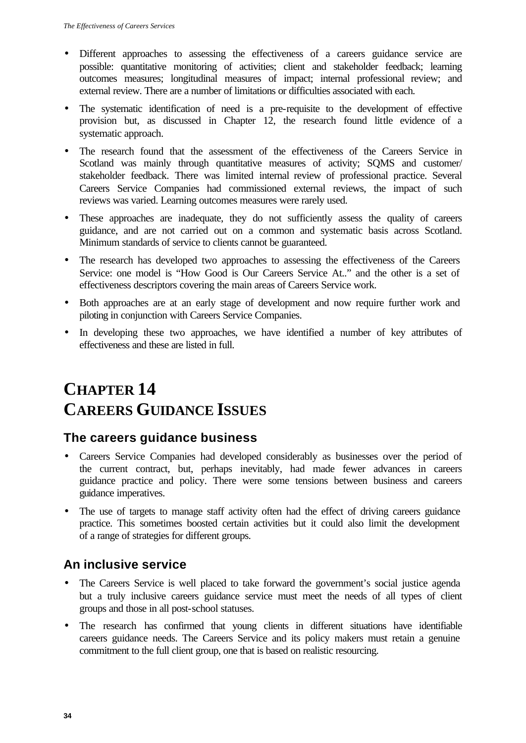- Different approaches to assessing the effectiveness of a careers guidance service are possible: quantitative monitoring of activities; client and stakeholder feedback; learning outcomes measures; longitudinal measures of impact; internal professional review; and external review. There are a number of limitations or difficulties associated with each.
- The systematic identification of need is a pre-requisite to the development of effective provision but, as discussed in Chapter 12, the research found little evidence of a systematic approach.
- The research found that the assessment of the effectiveness of the Careers Service in Scotland was mainly through quantitative measures of activity; SQMS and customer/ stakeholder feedback. There was limited internal review of professional practice. Several Careers Service Companies had commissioned external reviews, the impact of such reviews was varied. Learning outcomes measures were rarely used.
- These approaches are inadequate, they do not sufficiently assess the quality of careers guidance, and are not carried out on a common and systematic basis across Scotland. Minimum standards of service to clients cannot be guaranteed.
- The research has developed two approaches to assessing the effectiveness of the Careers Service: one model is "How Good is Our Careers Service At.." and the other is a set of effectiveness descriptors covering the main areas of Careers Service work.
- Both approaches are at an early stage of development and now require further work and piloting in conjunction with Careers Service Companies.
- In developing these two approaches, we have identified a number of key attributes of effectiveness and these are listed in full.

## **CHAPTER 14 CAREERS GUIDANCE ISSUES**

#### **The careers guidance business**

- Careers Service Companies had developed considerably as businesses over the period of the current contract, but, perhaps inevitably, had made fewer advances in careers guidance practice and policy. There were some tensions between business and careers guidance imperatives.
- The use of targets to manage staff activity often had the effect of driving careers guidance practice. This sometimes boosted certain activities but it could also limit the development of a range of strategies for different groups.

#### **An inclusive service**

- The Careers Service is well placed to take forward the government's social justice agenda but a truly inclusive careers guidance service must meet the needs of all types of client groups and those in all post-school statuses.
- The research has confirmed that young clients in different situations have identifiable careers guidance needs. The Careers Service and its policy makers must retain a genuine commitment to the full client group, one that is based on realistic resourcing.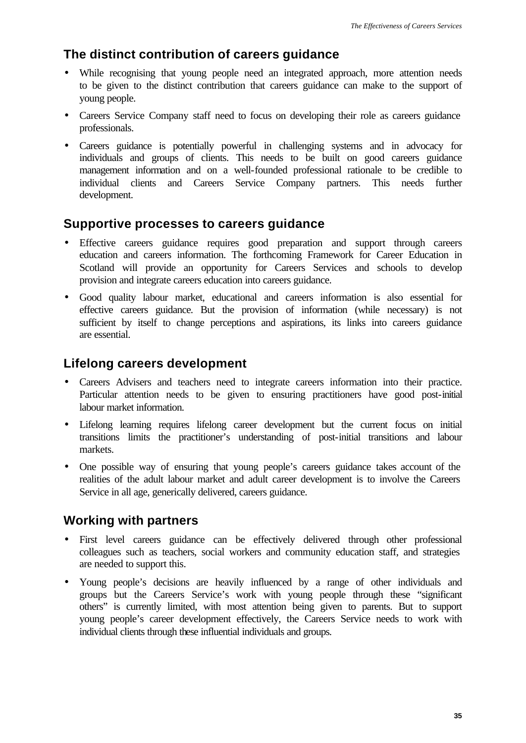### **The distinct contribution of careers guidance**

- While recognising that young people need an integrated approach, more attention needs to be given to the distinct contribution that careers guidance can make to the support of young people.
- Careers Service Company staff need to focus on developing their role as careers guidance professionals.
- Careers guidance is potentially powerful in challenging systems and in advocacy for individuals and groups of clients. This needs to be built on good careers guidance management information and on a well-founded professional rationale to be credible to individual clients and Careers Service Company partners. This needs further development.

#### **Supportive processes to careers guidance**

- Effective careers guidance requires good preparation and support through careers education and careers information. The forthcoming Framework for Career Education in Scotland will provide an opportunity for Careers Services and schools to develop provision and integrate careers education into careers guidance.
- Good quality labour market, educational and careers information is also essential for effective careers guidance. But the provision of information (while necessary) is not sufficient by itself to change perceptions and aspirations, its links into careers guidance are essential.

### **Lifelong careers development**

- Careers Advisers and teachers need to integrate careers information into their practice. Particular attention needs to be given to ensuring practitioners have good post-initial labour market information.
- Lifelong learning requires lifelong career development but the current focus on initial transitions limits the practitioner's understanding of post-initial transitions and labour markets.
- One possible way of ensuring that young people's careers guidance takes account of the realities of the adult labour market and adult career development is to involve the Careers Service in all age, generically delivered, careers guidance.

#### **Working with partners**

- First level careers guidance can be effectively delivered through other professional colleagues such as teachers, social workers and community education staff, and strategies are needed to support this.
- Young people's decisions are heavily influenced by a range of other individuals and groups but the Careers Service's work with young people through these "significant others" is currently limited, with most attention being given to parents. But to support young people's career development effectively, the Careers Service needs to work with individual clients through these influential individuals and groups.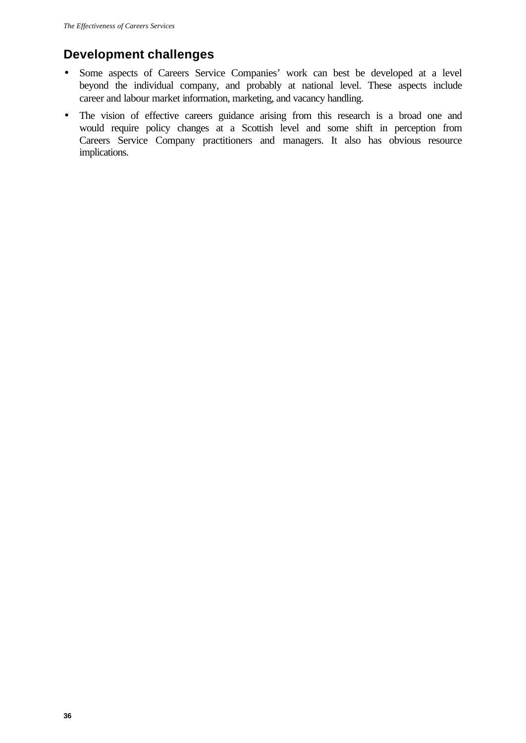## **Development challenges**

- Some aspects of Careers Service Companies' work can best be developed at a level beyond the individual company, and probably at national level. These aspects include career and labour market information, marketing, and vacancy handling.
- The vision of effective careers guidance arising from this research is a broad one and would require policy changes at a Scottish level and some shift in perception from Careers Service Company practitioners and managers. It also has obvious resource implications.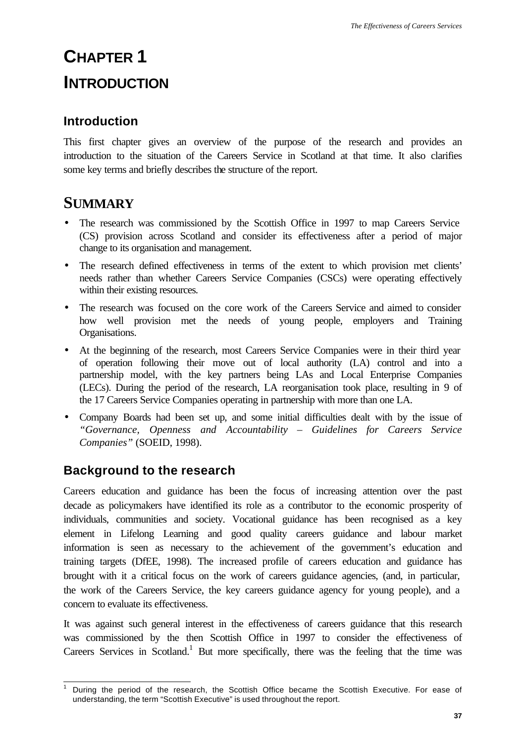# **CHAPTER 1 INTRODUCTION**

### **Introduction**

This first chapter gives an overview of the purpose of the research and provides an introduction to the situation of the Careers Service in Scotland at that time. It also clarifies some key terms and briefly describes the structure of the report.

# **SUMMARY**

- The research was commissioned by the Scottish Office in 1997 to map Careers Service (CS) provision across Scotland and consider its effectiveness after a period of major change to its organisation and management.
- The research defined effectiveness in terms of the extent to which provision met clients' needs rather than whether Careers Service Companies (CSCs) were operating effectively within their existing resources.
- The research was focused on the core work of the Careers Service and aimed to consider how well provision met the needs of young people, employers and Training Organisations.
- At the beginning of the research, most Careers Service Companies were in their third year of operation following their move out of local authority (LA) control and into a partnership model, with the key partners being LAs and Local Enterprise Companies (LECs). During the period of the research, LA reorganisation took place, resulting in 9 of the 17 Careers Service Companies operating in partnership with more than one LA.
- Company Boards had been set up, and some initial difficulties dealt with by the issue of *"Governance, Openness and Accountability – Guidelines for Careers Service Companies"* (SOEID, 1998).

# **Background to the research**

 $\overline{1}$ 

Careers education and guidance has been the focus of increasing attention over the past decade as policymakers have identified its role as a contributor to the economic prosperity of individuals, communities and society. Vocational guidance has been recognised as a key element in Lifelong Learning and good quality careers guidance and labour market information is seen as necessary to the achievement of the government's education and training targets (DfEE, 1998). The increased profile of careers education and guidance has brought with it a critical focus on the work of careers guidance agencies, (and, in particular, the work of the Careers Service, the key careers guidance agency for young people), and a concern to evaluate its effectiveness.

It was against such general interest in the effectiveness of careers guidance that this research was commissioned by the then Scottish Office in 1997 to consider the effectiveness of Careers Services in Scotland.<sup>1</sup> But more specifically, there was the feeling that the time was

During the period of the research, the Scottish Office became the Scottish Executive. For ease of understanding, the term "Scottish Executive" is used throughout the report.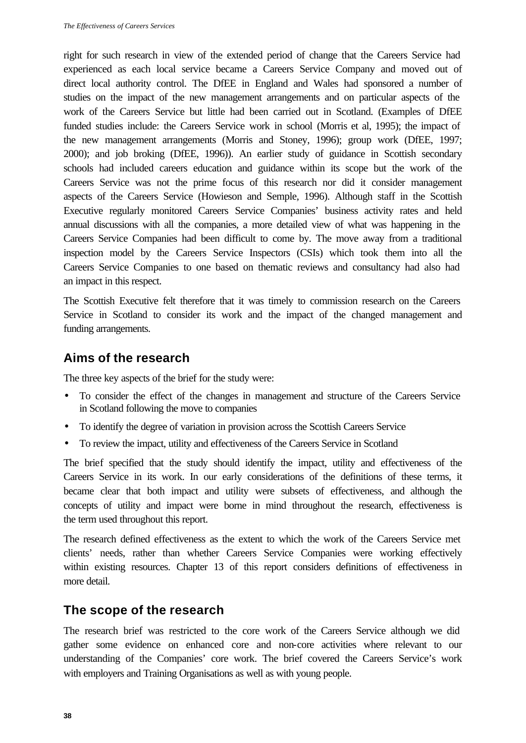right for such research in view of the extended period of change that the Careers Service had experienced as each local service became a Careers Service Company and moved out of direct local authority control. The DfEE in England and Wales had sponsored a number of studies on the impact of the new management arrangements and on particular aspects of the work of the Careers Service but little had been carried out in Scotland. (Examples of DfEE funded studies include: the Careers Service work in school (Morris et al, 1995); the impact of the new management arrangements (Morris and Stoney, 1996); group work (DfEE, 1997; 2000); and job broking (DfEE, 1996)). An earlier study of guidance in Scottish secondary schools had included careers education and guidance within its scope but the work of the Careers Service was not the prime focus of this research nor did it consider management aspects of the Careers Service (Howieson and Semple, 1996). Although staff in the Scottish Executive regularly monitored Careers Service Companies' business activity rates and held annual discussions with all the companies, a more detailed view of what was happening in the Careers Service Companies had been difficult to come by. The move away from a traditional inspection model by the Careers Service Inspectors (CSIs) which took them into all the Careers Service Companies to one based on thematic reviews and consultancy had also had an impact in this respect.

The Scottish Executive felt therefore that it was timely to commission research on the Careers Service in Scotland to consider its work and the impact of the changed management and funding arrangements.

### **Aims of the research**

The three key aspects of the brief for the study were:

- To consider the effect of the changes in management and structure of the Careers Service in Scotland following the move to companies
- To identify the degree of variation in provision across the Scottish Careers Service
- To review the impact, utility and effectiveness of the Careers Service in Scotland

The brief specified that the study should identify the impact, utility and effectiveness of the Careers Service in its work. In our early considerations of the definitions of these terms, it became clear that both impact and utility were subsets of effectiveness, and although the concepts of utility and impact were borne in mind throughout the research, effectiveness is the term used throughout this report.

The research defined effectiveness as the extent to which the work of the Careers Service met clients' needs, rather than whether Careers Service Companies were working effectively within existing resources. Chapter 13 of this report considers definitions of effectiveness in more detail.

### **The scope of the research**

The research brief was restricted to the core work of the Careers Service although we did gather some evidence on enhanced core and non-core activities where relevant to our understanding of the Companies' core work. The brief covered the Careers Service's work with employers and Training Organisations as well as with young people.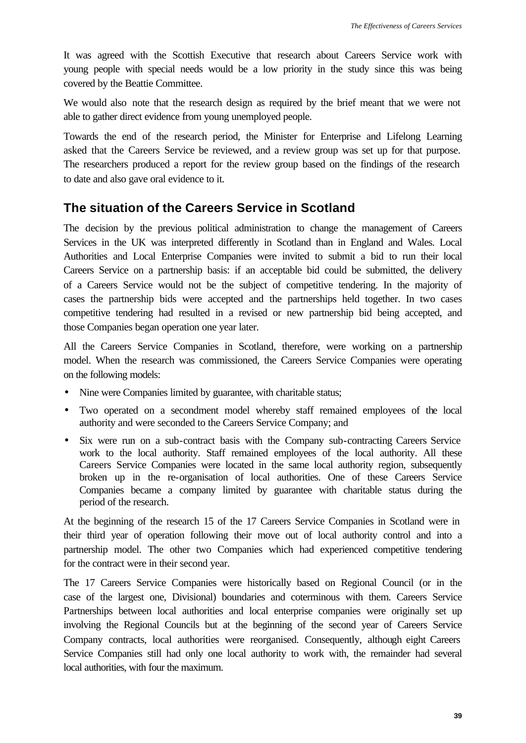It was agreed with the Scottish Executive that research about Careers Service work with young people with special needs would be a low priority in the study since this was being covered by the Beattie Committee.

We would also note that the research design as required by the brief meant that we were not able to gather direct evidence from young unemployed people.

Towards the end of the research period, the Minister for Enterprise and Lifelong Learning asked that the Careers Service be reviewed, and a review group was set up for that purpose. The researchers produced a report for the review group based on the findings of the research to date and also gave oral evidence to it.

### **The situation of the Careers Service in Scotland**

The decision by the previous political administration to change the management of Careers Services in the UK was interpreted differently in Scotland than in England and Wales. Local Authorities and Local Enterprise Companies were invited to submit a bid to run their local Careers Service on a partnership basis: if an acceptable bid could be submitted, the delivery of a Careers Service would not be the subject of competitive tendering. In the majority of cases the partnership bids were accepted and the partnerships held together. In two cases competitive tendering had resulted in a revised or new partnership bid being accepted, and those Companies began operation one year later.

All the Careers Service Companies in Scotland, therefore, were working on a partnership model. When the research was commissioned, the Careers Service Companies were operating on the following models:

- Nine were Companies limited by guarantee, with charitable status;
- Two operated on a secondment model whereby staff remained employees of the local authority and were seconded to the Careers Service Company; and
- Six were run on a sub-contract basis with the Company sub-contracting Careers Service work to the local authority. Staff remained employees of the local authority. All these Careers Service Companies were located in the same local authority region, subsequently broken up in the re-organisation of local authorities. One of these Careers Service Companies became a company limited by guarantee with charitable status during the period of the research.

At the beginning of the research 15 of the 17 Careers Service Companies in Scotland were in their third year of operation following their move out of local authority control and into a partnership model. The other two Companies which had experienced competitive tendering for the contract were in their second year.

The 17 Careers Service Companies were historically based on Regional Council (or in the case of the largest one, Divisional) boundaries and coterminous with them. Careers Service Partnerships between local authorities and local enterprise companies were originally set up involving the Regional Councils but at the beginning of the second year of Careers Service Company contracts, local authorities were reorganised. Consequently, although eight Careers Service Companies still had only one local authority to work with, the remainder had several local authorities, with four the maximum.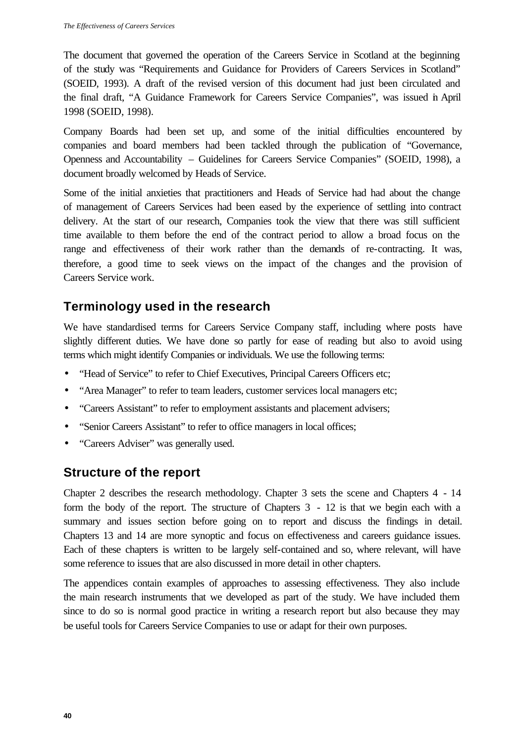The document that governed the operation of the Careers Service in Scotland at the beginning of the study was "Requirements and Guidance for Providers of Careers Services in Scotland" (SOEID, 1993). A draft of the revised version of this document had just been circulated and the final draft, "A Guidance Framework for Careers Service Companies", was issued in April 1998 (SOEID, 1998).

Company Boards had been set up, and some of the initial difficulties encountered by companies and board members had been tackled through the publication of "Governance, Openness and Accountability – Guidelines for Careers Service Companies" (SOEID, 1998), a document broadly welcomed by Heads of Service.

Some of the initial anxieties that practitioners and Heads of Service had had about the change of management of Careers Services had been eased by the experience of settling into contract delivery. At the start of our research, Companies took the view that there was still sufficient time available to them before the end of the contract period to allow a broad focus on the range and effectiveness of their work rather than the demands of re-contracting. It was, therefore, a good time to seek views on the impact of the changes and the provision of Careers Service work.

### **Terminology used in the research**

We have standardised terms for Careers Service Company staff, including where posts have slightly different duties. We have done so partly for ease of reading but also to avoid using terms which might identify Companies or individuals. We use the following terms:

- "Head of Service" to refer to Chief Executives, Principal Careers Officers etc;
- "Area Manager" to refer to team leaders, customer services local managers etc;
- "Careers Assistant" to refer to employment assistants and placement advisers;
- "Senior Careers Assistant" to refer to office managers in local offices;
- "Careers Adviser" was generally used.

### **Structure of the report**

Chapter 2 describes the research methodology. Chapter 3 sets the scene and Chapters 4 - 14 form the body of the report. The structure of Chapters 3 - 12 is that we begin each with a summary and issues section before going on to report and discuss the findings in detail. Chapters 13 and 14 are more synoptic and focus on effectiveness and careers guidance issues. Each of these chapters is written to be largely self-contained and so, where relevant, will have some reference to issues that are also discussed in more detail in other chapters.

The appendices contain examples of approaches to assessing effectiveness. They also include the main research instruments that we developed as part of the study. We have included them since to do so is normal good practice in writing a research report but also because they may be useful tools for Careers Service Companies to use or adapt for their own purposes.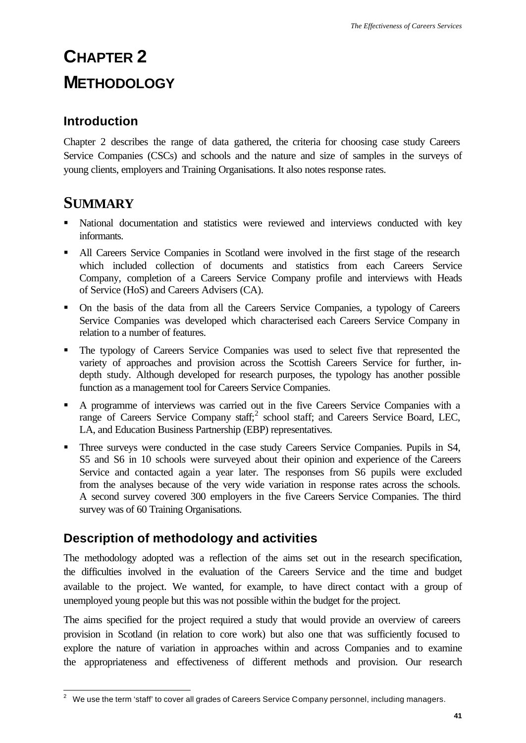# **CHAPTER 2 METHODOLOGY**

### **Introduction**

Chapter 2 describes the range of data gathered, the criteria for choosing case study Careers Service Companies (CSCs) and schools and the nature and size of samples in the surveys of young clients, employers and Training Organisations. It also notes response rates.

# **SUMMARY**

- In National documentation and statistics were reviewed and interviews conducted with key informants.
- All Careers Service Companies in Scotland were involved in the first stage of the research which included collection of documents and statistics from each Careers Service Company, completion of a Careers Service Company profile and interviews with Heads of Service (HoS) and Careers Advisers (CA).
- On the basis of the data from all the Careers Service Companies, a typology of Careers Service Companies was developed which characterised each Careers Service Company in relation to a number of features.
- ß The typology of Careers Service Companies was used to select five that represented the variety of approaches and provision across the Scottish Careers Service for further, indepth study. Although developed for research purposes, the typology has another possible function as a management tool for Careers Service Companies.
- A programme of interviews was carried out in the five Careers Service Companies with a range of Careers Service Company staff;<sup>2</sup> school staff; and Careers Service Board, LEC, LA, and Education Business Partnership (EBP) representatives.
- **Three surveys were conducted in the case study Careers Service Companies. Pupils in S4,** S5 and S6 in 10 schools were surveyed about their opinion and experience of the Careers Service and contacted again a year later. The responses from S6 pupils were excluded from the analyses because of the very wide variation in response rates across the schools. A second survey covered 300 employers in the five Careers Service Companies. The third survey was of 60 Training Organisations.

# **Description of methodology and activities**

The methodology adopted was a reflection of the aims set out in the research specification, the difficulties involved in the evaluation of the Careers Service and the time and budget available to the project. We wanted, for example, to have direct contact with a group of unemployed young people but this was not possible within the budget for the project.

The aims specified for the project required a study that would provide an overview of careers provision in Scotland (in relation to core work) but also one that was sufficiently focused to explore the nature of variation in approaches within and across Companies and to examine the appropriateness and effectiveness of different methods and provision. Our research

 $\overline{\phantom{a}}$  $^{\text{2}}\;$  We use the term 'staff' to cover all grades of Careers Service Company personnel, including managers.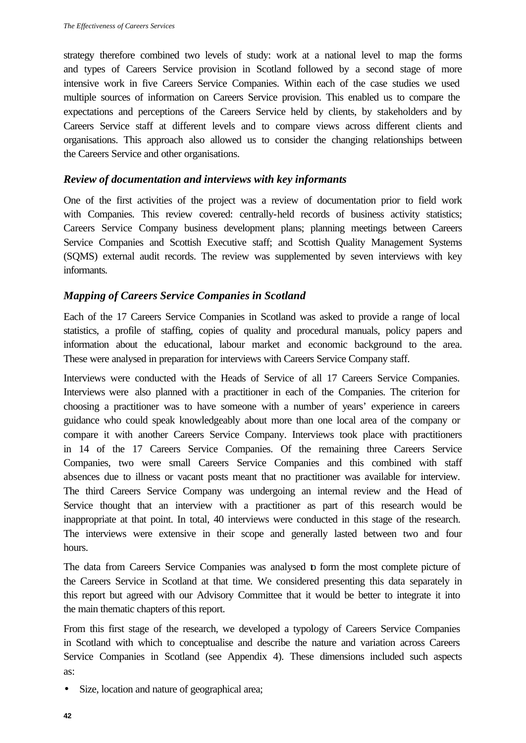strategy therefore combined two levels of study: work at a national level to map the forms and types of Careers Service provision in Scotland followed by a second stage of more intensive work in five Careers Service Companies. Within each of the case studies we used multiple sources of information on Careers Service provision. This enabled us to compare the expectations and perceptions of the Careers Service held by clients, by stakeholders and by Careers Service staff at different levels and to compare views across different clients and organisations. This approach also allowed us to consider the changing relationships between the Careers Service and other organisations.

#### *Review of documentation and interviews with key informants*

One of the first activities of the project was a review of documentation prior to field work with Companies. This review covered: centrally-held records of business activity statistics; Careers Service Company business development plans; planning meetings between Careers Service Companies and Scottish Executive staff; and Scottish Quality Management Systems (SQMS) external audit records. The review was supplemented by seven interviews with key informants.

#### *Mapping of Careers Service Companies in Scotland*

Each of the 17 Careers Service Companies in Scotland was asked to provide a range of local statistics, a profile of staffing, copies of quality and procedural manuals, policy papers and information about the educational, labour market and economic background to the area. These were analysed in preparation for interviews with Careers Service Company staff.

Interviews were conducted with the Heads of Service of all 17 Careers Service Companies. Interviews were also planned with a practitioner in each of the Companies. The criterion for choosing a practitioner was to have someone with a number of years' experience in careers guidance who could speak knowledgeably about more than one local area of the company or compare it with another Careers Service Company. Interviews took place with practitioners in 14 of the 17 Careers Service Companies. Of the remaining three Careers Service Companies, two were small Careers Service Companies and this combined with staff absences due to illness or vacant posts meant that no practitioner was available for interview. The third Careers Service Company was undergoing an internal review and the Head of Service thought that an interview with a practitioner as part of this research would be inappropriate at that point. In total, 40 interviews were conducted in this stage of the research. The interviews were extensive in their scope and generally lasted between two and four hours.

The data from Careers Service Companies was analysed to form the most complete picture of the Careers Service in Scotland at that time. We considered presenting this data separately in this report but agreed with our Advisory Committee that it would be better to integrate it into the main thematic chapters of this report.

From this first stage of the research, we developed a typology of Careers Service Companies in Scotland with which to conceptualise and describe the nature and variation across Careers Service Companies in Scotland (see Appendix 4). These dimensions included such aspects as:

• Size, location and nature of geographical area;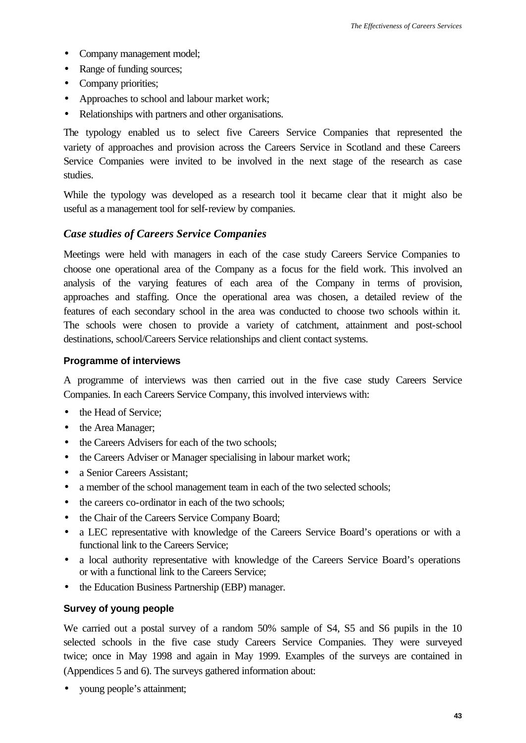- Company management model;
- Range of funding sources;
- Company priorities;
- Approaches to school and labour market work;
- Relationships with partners and other organisations.

The typology enabled us to select five Careers Service Companies that represented the variety of approaches and provision across the Careers Service in Scotland and these Careers Service Companies were invited to be involved in the next stage of the research as case studies.

While the typology was developed as a research tool it became clear that it might also be useful as a management tool for self-review by companies.

#### *Case studies of Careers Service Companies*

Meetings were held with managers in each of the case study Careers Service Companies to choose one operational area of the Company as a focus for the field work. This involved an analysis of the varying features of each area of the Company in terms of provision, approaches and staffing. Once the operational area was chosen, a detailed review of the features of each secondary school in the area was conducted to choose two schools within it. The schools were chosen to provide a variety of catchment, attainment and post-school destinations, school/Careers Service relationships and client contact systems.

#### **Programme of interviews**

A programme of interviews was then carried out in the five case study Careers Service Companies. In each Careers Service Company, this involved interviews with:

- the Head of Service:
- the Area Manager;
- the Careers Advisers for each of the two schools;
- the Careers Adviser or Manager specialising in labour market work;
- a Senior Careers Assistant:
- a member of the school management team in each of the two selected schools;
- the careers co-ordinator in each of the two schools;
- the Chair of the Careers Service Company Board;
- a LEC representative with knowledge of the Careers Service Board's operations or with a functional link to the Careers Service;
- a local authority representative with knowledge of the Careers Service Board's operations or with a functional link to the Careers Service;
- the Education Business Partnership (EBP) manager.

#### **Survey of young people**

We carried out a postal survey of a random 50% sample of S4, S5 and S6 pupils in the 10 selected schools in the five case study Careers Service Companies. They were surveyed twice; once in May 1998 and again in May 1999. Examples of the surveys are contained in (Appendices 5 and 6). The surveys gathered information about:

• young people's attainment;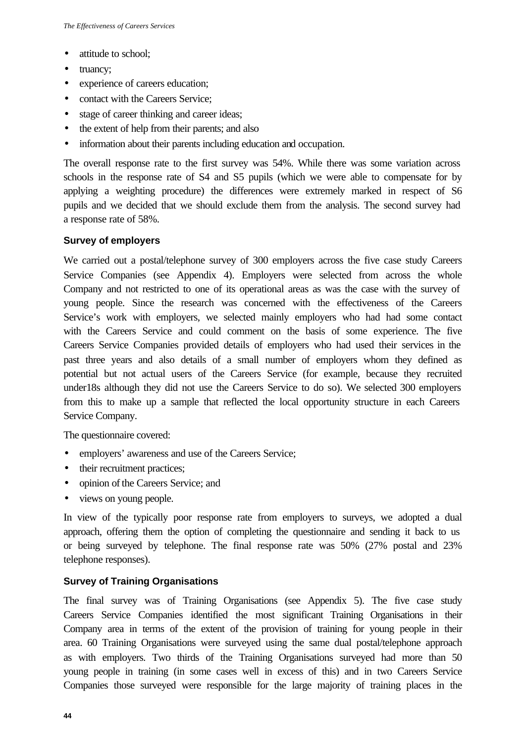- attitude to school;
- truancy;
- experience of careers education;
- contact with the Careers Service;
- stage of career thinking and career ideas;
- the extent of help from their parents; and also
- information about their parents including education and occupation.

The overall response rate to the first survey was 54%. While there was some variation across schools in the response rate of S4 and S5 pupils (which we were able to compensate for by applying a weighting procedure) the differences were extremely marked in respect of S6 pupils and we decided that we should exclude them from the analysis. The second survey had a response rate of 58%.

#### **Survey of employers**

We carried out a postal/telephone survey of 300 employers across the five case study Careers Service Companies (see Appendix 4). Employers were selected from across the whole Company and not restricted to one of its operational areas as was the case with the survey of young people. Since the research was concerned with the effectiveness of the Careers Service's work with employers, we selected mainly employers who had had some contact with the Careers Service and could comment on the basis of some experience. The five Careers Service Companies provided details of employers who had used their services in the past three years and also details of a small number of employers whom they defined as potential but not actual users of the Careers Service (for example, because they recruited under18s although they did not use the Careers Service to do so). We selected 300 employers from this to make up a sample that reflected the local opportunity structure in each Careers Service Company.

The questionnaire covered:

- employers' awareness and use of the Careers Service;
- their recruitment practices;
- opinion of the Careers Service; and
- views on young people.

In view of the typically poor response rate from employers to surveys, we adopted a dual approach, offering them the option of completing the questionnaire and sending it back to us or being surveyed by telephone. The final response rate was 50% (27% postal and 23% telephone responses).

#### **Survey of Training Organisations**

The final survey was of Training Organisations (see Appendix 5). The five case study Careers Service Companies identified the most significant Training Organisations in their Company area in terms of the extent of the provision of training for young people in their area. 60 Training Organisations were surveyed using the same dual postal/telephone approach as with employers. Two thirds of the Training Organisations surveyed had more than 50 young people in training (in some cases well in excess of this) and in two Careers Service Companies those surveyed were responsible for the large majority of training places in the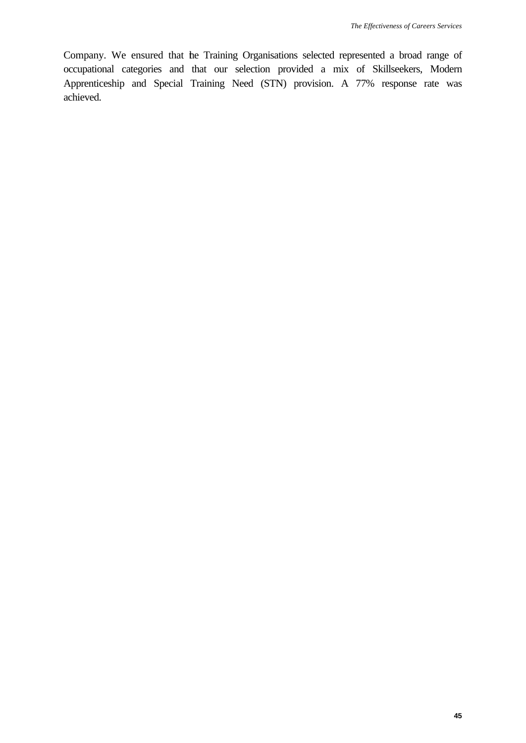Company. We ensured that the Training Organisations selected represented a broad range of occupational categories and that our selection provided a mix of Skillseekers, Modern Apprenticeship and Special Training Need (STN) provision. A 77% response rate was achieved.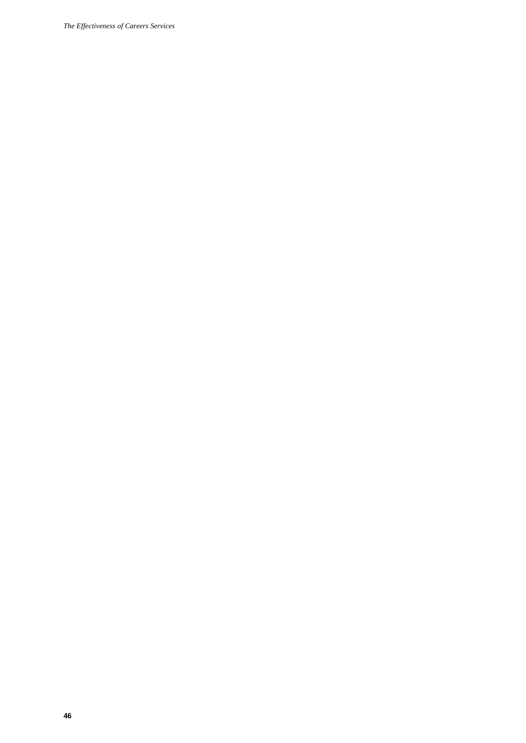*The Effectiveness of Careers Services*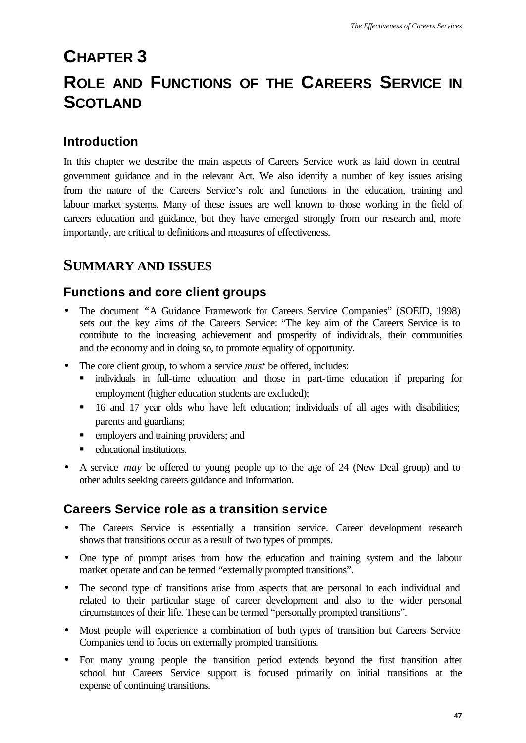# **CHAPTER 3 ROLE AND FUNCTIONS OF THE CAREERS SERVICE IN SCOTLAND**

# **Introduction**

In this chapter we describe the main aspects of Careers Service work as laid down in central government guidance and in the relevant Act. We also identify a number of key issues arising from the nature of the Careers Service's role and functions in the education, training and labour market systems. Many of these issues are well known to those working in the field of careers education and guidance, but they have emerged strongly from our research and, more importantly, are critical to definitions and measures of effectiveness.

# **SUMMARY AND ISSUES**

# **Functions and core client groups**

- The document *"*A Guidance Framework for Careers Service Companies" (SOEID, 1998) sets out the key aims of the Careers Service: "The key aim of the Careers Service is to contribute to the increasing achievement and prosperity of individuals, their communities and the economy and in doing so, to promote equality of opportunity.
- The core client group, to whom a service *must* be offered, includes:
	- ß individuals in full-time education and those in part-time education if preparing for employment (higher education students are excluded);
	- **16** and 17 year olds who have left education; individuals of all ages with disabilities; parents and guardians;
	- employers and training providers; and
	- educational institutions.
- A service *may* be offered to young people up to the age of 24 (New Deal group) and to other adults seeking careers guidance and information.

# **Careers Service role as a transition service**

- The Careers Service is essentially a transition service. Career development research shows that transitions occur as a result of two types of prompts.
- One type of prompt arises from how the education and training system and the labour market operate and can be termed "externally prompted transitions".
- The second type of transitions arise from aspects that are personal to each individual and related to their particular stage of career development and also to the wider personal circumstances of their life. These can be termed "personally prompted transitions".
- Most people will experience a combination of both types of transition but Careers Service Companies tend to focus on externally prompted transitions.
- For many young people the transition period extends beyond the first transition after school but Careers Service support is focused primarily on initial transitions at the expense of continuing transitions.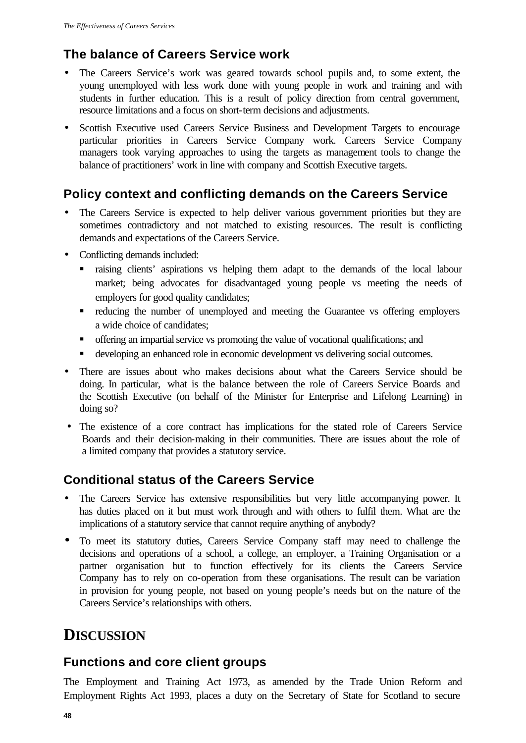# **The balance of Careers Service work**

- The Careers Service's work was geared towards school pupils and, to some extent, the young unemployed with less work done with young people in work and training and with students in further education. This is a result of policy direction from central government, resource limitations and a focus on short-term decisions and adjustments.
- Scottish Executive used Careers Service Business and Development Targets to encourage particular priorities in Careers Service Company work. Careers Service Company managers took varying approaches to using the targets as management tools to change the balance of practitioners' work in line with company and Scottish Executive targets.

# **Policy context and conflicting demands on the Careers Service**

- The Careers Service is expected to help deliver various government priorities but they are sometimes contradictory and not matched to existing resources. The result is conflicting demands and expectations of the Careers Service.
- Conflicting demands included:
	- ß raising clients' aspirations vs helping them adapt to the demands of the local labour market; being advocates for disadvantaged young people vs meeting the needs of employers for good quality candidates;
	- reducing the number of unemployed and meeting the Guarantee vs offering employers a wide choice of candidates;
	- **fi** offering an impartial service vs promoting the value of vocational qualifications; and
	- developing an enhanced role in economic development vs delivering social outcomes.
- There are issues about who makes decisions about what the Careers Service should be doing. In particular, what is the balance between the role of Careers Service Boards and the Scottish Executive (on behalf of the Minister for Enterprise and Lifelong Learning) in doing so?
- The existence of a core contract has implications for the stated role of Careers Service Boards and their decision-making in their communities. There are issues about the role of a limited company that provides a statutory service.

# **Conditional status of the Careers Service**

- The Careers Service has extensive responsibilities but very little accompanying power. It has duties placed on it but must work through and with others to fulfil them. What are the implications of a statutory service that cannot require anything of anybody?
- To meet its statutory duties, Careers Service Company staff may need to challenge the decisions and operations of a school, a college, an employer, a Training Organisation or a partner organisation but to function effectively for its clients the Careers Service Company has to rely on co-operation from these organisations. The result can be variation in provision for young people, not based on young people's needs but on the nature of the Careers Service's relationships with others.

# **DISCUSSION**

# **Functions and core client groups**

The Employment and Training Act 1973, as amended by the Trade Union Reform and Employment Rights Act 1993, places a duty on the Secretary of State for Scotland to secure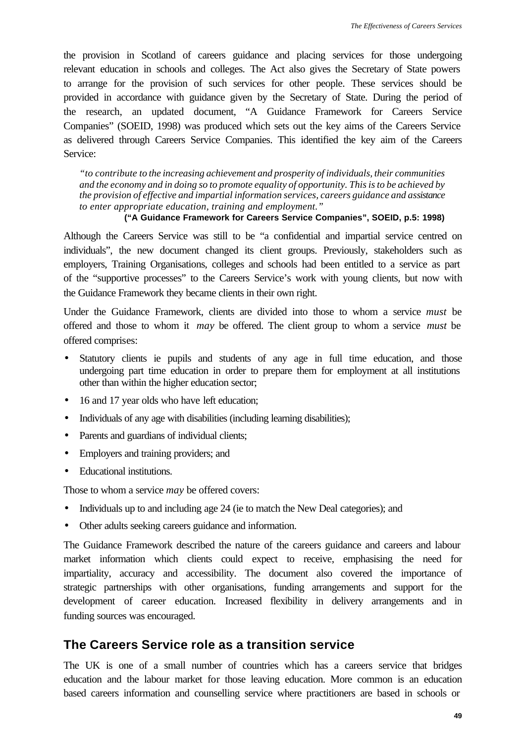the provision in Scotland of careers guidance and placing services for those undergoing relevant education in schools and colleges. The Act also gives the Secretary of State powers to arrange for the provision of such services for other people. These services should be provided in accordance with guidance given by the Secretary of State. During the period of the research, an updated document, "A Guidance Framework for Careers Service Companies" (SOEID, 1998) was produced which sets out the key aims of the Careers Service as delivered through Careers Service Companies. This identified the key aim of the Careers Service:

*"to contribute to the increasing achievement and prosperity of individuals, their communities and the economy and in doing so to promote equality of opportunity. This is to be achieved by the provision of effective and impartial information services, careers guidance and assistance to enter appropriate education, training and employment."*

#### **("A Guidance Framework for Careers Service Companies", SOEID, p.5: 1998)**

Although the Careers Service was still to be "a confidential and impartial service centred on individuals", the new document changed its client groups. Previously, stakeholders such as employers, Training Organisations, colleges and schools had been entitled to a service as part of the "supportive processes" to the Careers Service's work with young clients, but now with the Guidance Framework they became clients in their own right.

Under the Guidance Framework, clients are divided into those to whom a service *must* be offered and those to whom it *may* be offered. The client group to whom a service *must* be offered comprises:

- Statutory clients ie pupils and students of any age in full time education, and those undergoing part time education in order to prepare them for employment at all institutions other than within the higher education sector;
- 16 and 17 year olds who have left education;
- Individuals of any age with disabilities (including learning disabilities);
- Parents and guardians of individual clients;
- Employers and training providers; and
- Educational institutions.

Those to whom a service *may* be offered covers:

- Individuals up to and including age 24 (ie to match the New Deal categories); and
- Other adults seeking careers guidance and information.

The Guidance Framework described the nature of the careers guidance and careers and labour market information which clients could expect to receive, emphasising the need for impartiality, accuracy and accessibility. The document also covered the importance of strategic partnerships with other organisations, funding arrangements and support for the development of career education. Increased flexibility in delivery arrangements and in funding sources was encouraged.

#### **The Careers Service role as a transition service**

The UK is one of a small number of countries which has a careers service that bridges education and the labour market for those leaving education. More common is an education based careers information and counselling service where practitioners are based in schools or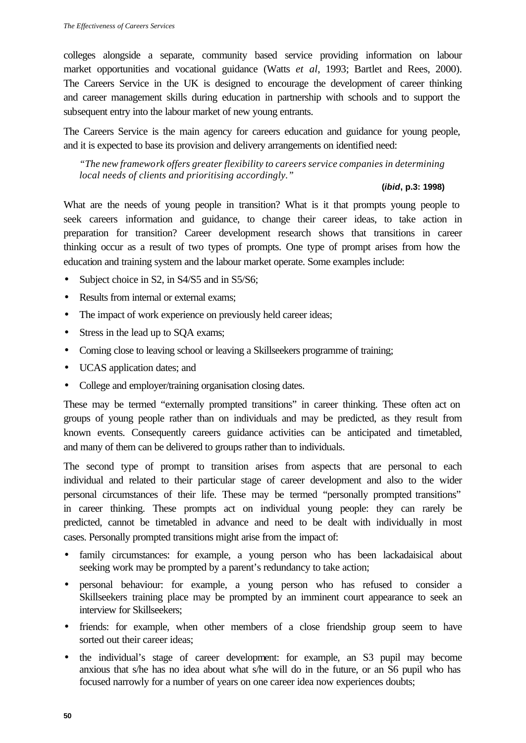colleges alongside a separate, community based service providing information on labour market opportunities and vocational guidance (Watts *et al*, 1993; Bartlet and Rees, 2000). The Careers Service in the UK is designed to encourage the development of career thinking and career management skills during education in partnership with schools and to support the subsequent entry into the labour market of new young entrants.

The Careers Service is the main agency for careers education and guidance for young people, and it is expected to base its provision and delivery arrangements on identified need:

*"The new framework offers greater flexibility to careers service companies in determining local needs of clients and prioritising accordingly."* 

#### **(***ibid***, p.3: 1998)**

What are the needs of young people in transition? What is it that prompts young people to seek careers information and guidance, to change their career ideas, to take action in preparation for transition? Career development research shows that transitions in career thinking occur as a result of two types of prompts. One type of prompt arises from how the education and training system and the labour market operate. Some examples include:

- Subject choice in S2, in S4/S5 and in S5/S6;
- Results from internal or external exams:
- The impact of work experience on previously held career ideas;
- Stress in the lead up to SQA exams;
- Coming close to leaving school or leaving a Skillseekers programme of training;
- UCAS application dates; and
- College and employer/training organisation closing dates.

These may be termed "externally prompted transitions" in career thinking. These often act on groups of young people rather than on individuals and may be predicted, as they result from known events. Consequently careers guidance activities can be anticipated and timetabled, and many of them can be delivered to groups rather than to individuals.

The second type of prompt to transition arises from aspects that are personal to each individual and related to their particular stage of career development and also to the wider personal circumstances of their life. These may be termed "personally prompted transitions" in career thinking. These prompts act on individual young people: they can rarely be predicted, cannot be timetabled in advance and need to be dealt with individually in most cases. Personally prompted transitions might arise from the impact of:

- family circumstances: for example, a young person who has been lackadaisical about seeking work may be prompted by a parent's redundancy to take action;
- personal behaviour: for example, a young person who has refused to consider a Skillseekers training place may be prompted by an imminent court appearance to seek an interview for Skillseekers;
- friends: for example, when other members of a close friendship group seem to have sorted out their career ideas;
- the individual's stage of career development: for example, an S3 pupil may become anxious that s/he has no idea about what s/he will do in the future, or an S6 pupil who has focused narrowly for a number of years on one career idea now experiences doubts;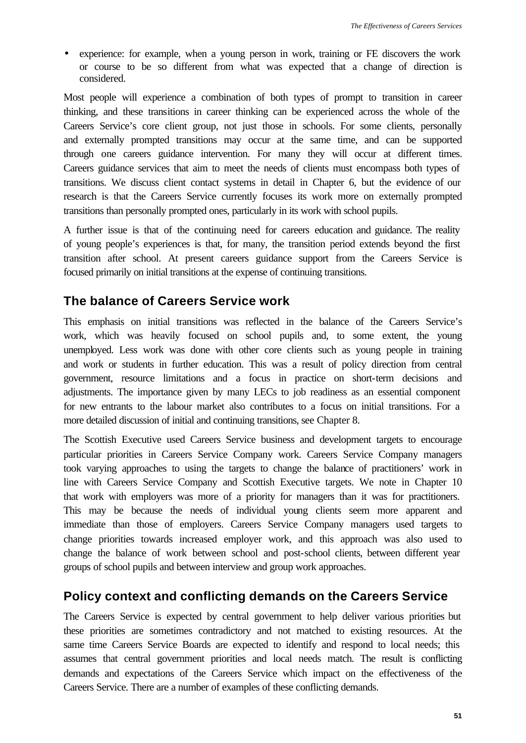• experience: for example, when a young person in work, training or FE discovers the work or course to be so different from what was expected that a change of direction is considered.

Most people will experience a combination of both types of prompt to transition in career thinking, and these transitions in career thinking can be experienced across the whole of the Careers Service's core client group, not just those in schools. For some clients, personally and externally prompted transitions may occur at the same time, and can be supported through one careers guidance intervention. For many they will occur at different times. Careers guidance services that aim to meet the needs of clients must encompass both types of transitions. We discuss client contact systems in detail in Chapter 6, but the evidence of our research is that the Careers Service currently focuses its work more on externally prompted transitions than personally prompted ones, particularly in its work with school pupils.

A further issue is that of the continuing need for careers education and guidance. The reality of young people's experiences is that, for many, the transition period extends beyond the first transition after school. At present careers guidance support from the Careers Service is focused primarily on initial transitions at the expense of continuing transitions.

### **The balance of Careers Service work**

This emphasis on initial transitions was reflected in the balance of the Careers Service's work, which was heavily focused on school pupils and, to some extent, the young unemployed. Less work was done with other core clients such as young people in training and work or students in further education. This was a result of policy direction from central government, resource limitations and a focus in practice on short-term decisions and adjustments. The importance given by many LECs to job readiness as an essential component for new entrants to the labour market also contributes to a focus on initial transitions. For a more detailed discussion of initial and continuing transitions, see Chapter 8.

The Scottish Executive used Careers Service business and development targets to encourage particular priorities in Careers Service Company work. Careers Service Company managers took varying approaches to using the targets to change the balance of practitioners' work in line with Careers Service Company and Scottish Executive targets. We note in Chapter 10 that work with employers was more of a priority for managers than it was for practitioners. This may be because the needs of individual young clients seem more apparent and immediate than those of employers. Careers Service Company managers used targets to change priorities towards increased employer work, and this approach was also used to change the balance of work between school and post-school clients, between different year groups of school pupils and between interview and group work approaches.

#### **Policy context and conflicting demands on the Careers Service**

The Careers Service is expected by central government to help deliver various priorities but these priorities are sometimes contradictory and not matched to existing resources. At the same time Careers Service Boards are expected to identify and respond to local needs; this assumes that central government priorities and local needs match. The result is conflicting demands and expectations of the Careers Service which impact on the effectiveness of the Careers Service. There are a number of examples of these conflicting demands.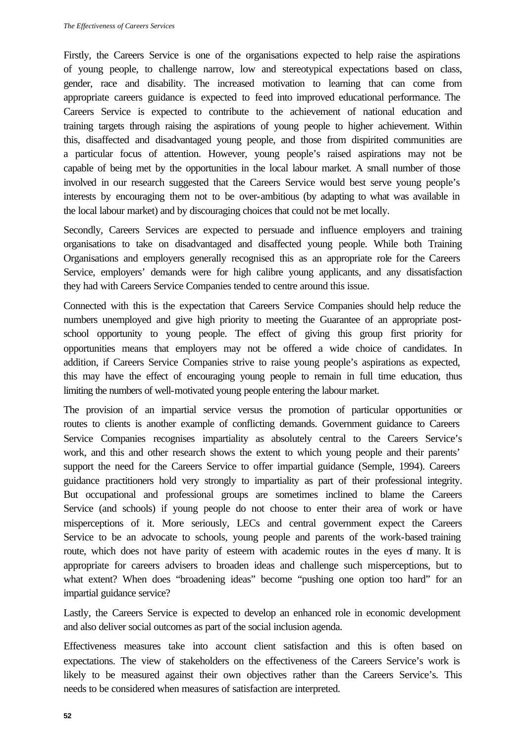Firstly, the Careers Service is one of the organisations expected to help raise the aspirations of young people, to challenge narrow, low and stereotypical expectations based on class, gender, race and disability. The increased motivation to learning that can come from appropriate careers guidance is expected to feed into improved educational performance. The Careers Service is expected to contribute to the achievement of national education and training targets through raising the aspirations of young people to higher achievement. Within this, disaffected and disadvantaged young people, and those from dispirited communities are a particular focus of attention. However, young people's raised aspirations may not be capable of being met by the opportunities in the local labour market. A small number of those involved in our research suggested that the Careers Service would best serve young people's interests by encouraging them not to be over-ambitious (by adapting to what was available in the local labour market) and by discouraging choices that could not be met locally.

Secondly, Careers Services are expected to persuade and influence employers and training organisations to take on disadvantaged and disaffected young people. While both Training Organisations and employers generally recognised this as an appropriate role for the Careers Service, employers' demands were for high calibre young applicants, and any dissatisfaction they had with Careers Service Companies tended to centre around this issue.

Connected with this is the expectation that Careers Service Companies should help reduce the numbers unemployed and give high priority to meeting the Guarantee of an appropriate postschool opportunity to young people. The effect of giving this group first priority for opportunities means that employers may not be offered a wide choice of candidates. In addition, if Careers Service Companies strive to raise young people's aspirations as expected, this may have the effect of encouraging young people to remain in full time education, thus limiting the numbers of well-motivated young people entering the labour market.

The provision of an impartial service versus the promotion of particular opportunities or routes to clients is another example of conflicting demands. Government guidance to Careers Service Companies recognises impartiality as absolutely central to the Careers Service's work, and this and other research shows the extent to which young people and their parents' support the need for the Careers Service to offer impartial guidance (Semple, 1994). Careers guidance practitioners hold very strongly to impartiality as part of their professional integrity. But occupational and professional groups are sometimes inclined to blame the Careers Service (and schools) if young people do not choose to enter their area of work or have misperceptions of it. More seriously, LECs and central government expect the Careers Service to be an advocate to schools, young people and parents of the work-based training route, which does not have parity of esteem with academic routes in the eyes of many. It is appropriate for careers advisers to broaden ideas and challenge such misperceptions, but to what extent? When does "broadening ideas" become "pushing one option too hard" for an impartial guidance service?

Lastly, the Careers Service is expected to develop an enhanced role in economic development and also deliver social outcomes as part of the social inclusion agenda.

Effectiveness measures take into account client satisfaction and this is often based on expectations. The view of stakeholders on the effectiveness of the Careers Service's work is likely to be measured against their own objectives rather than the Careers Service's. This needs to be considered when measures of satisfaction are interpreted.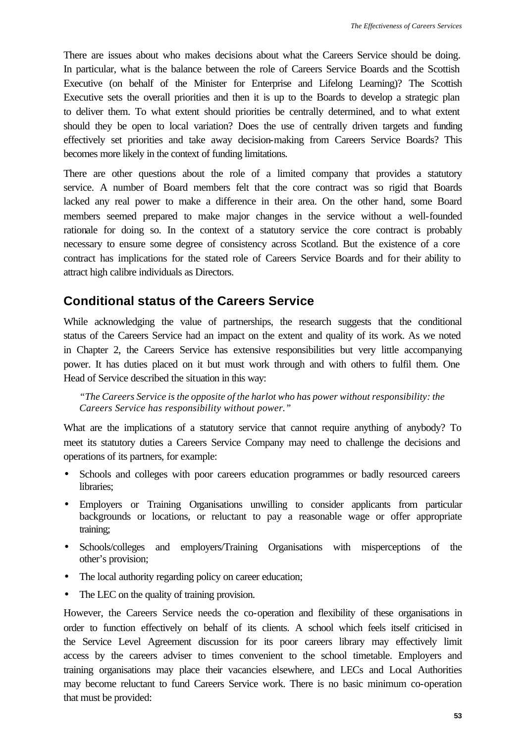There are issues about who makes decisions about what the Careers Service should be doing. In particular, what is the balance between the role of Careers Service Boards and the Scottish Executive (on behalf of the Minister for Enterprise and Lifelong Learning)? The Scottish Executive sets the overall priorities and then it is up to the Boards to develop a strategic plan to deliver them. To what extent should priorities be centrally determined, and to what extent should they be open to local variation? Does the use of centrally driven targets and funding effectively set priorities and take away decision-making from Careers Service Boards? This becomes more likely in the context of funding limitations.

There are other questions about the role of a limited company that provides a statutory service. A number of Board members felt that the core contract was so rigid that Boards lacked any real power to make a difference in their area. On the other hand, some Board members seemed prepared to make major changes in the service without a well-founded rationale for doing so. In the context of a statutory service the core contract is probably necessary to ensure some degree of consistency across Scotland. But the existence of a core contract has implications for the stated role of Careers Service Boards and for their ability to attract high calibre individuals as Directors.

### **Conditional status of the Careers Service**

While acknowledging the value of partnerships, the research suggests that the conditional status of the Careers Service had an impact on the extent and quality of its work. As we noted in Chapter 2, the Careers Service has extensive responsibilities but very little accompanying power. It has duties placed on it but must work through and with others to fulfil them. One Head of Service described the situation in this way:

*"The Careers Service is the opposite of the harlot who has power without responsibility: the Careers Service has responsibility without power."*

What are the implications of a statutory service that cannot require anything of anybody? To meet its statutory duties a Careers Service Company may need to challenge the decisions and operations of its partners, for example:

- Schools and colleges with poor careers education programmes or badly resourced careers libraries;
- Employers or Training Organisations unwilling to consider applicants from particular backgrounds or locations, or reluctant to pay a reasonable wage or offer appropriate training;
- Schools/colleges and employers/Training Organisations with misperceptions of the other's provision;
- The local authority regarding policy on career education;
- The LEC on the quality of training provision.

However, the Careers Service needs the co-operation and flexibility of these organisations in order to function effectively on behalf of its clients. A school which feels itself criticised in the Service Level Agreement discussion for its poor careers library may effectively limit access by the careers adviser to times convenient to the school timetable. Employers and training organisations may place their vacancies elsewhere, and LECs and Local Authorities may become reluctant to fund Careers Service work. There is no basic minimum co-operation that must be provided: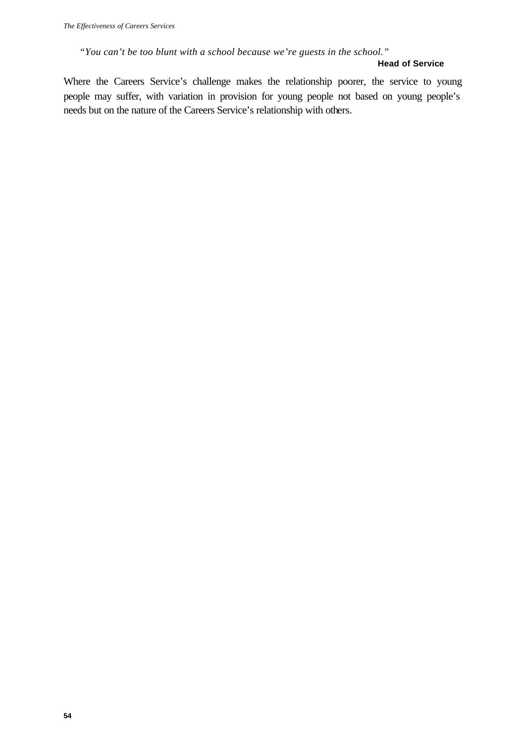*"You can't be too blunt with a school because we're guests in the school."*

#### **Head of Service**

Where the Careers Service's challenge makes the relationship poorer, the service to young people may suffer, with variation in provision for young people not based on young people's needs but on the nature of the Careers Service's relationship with others.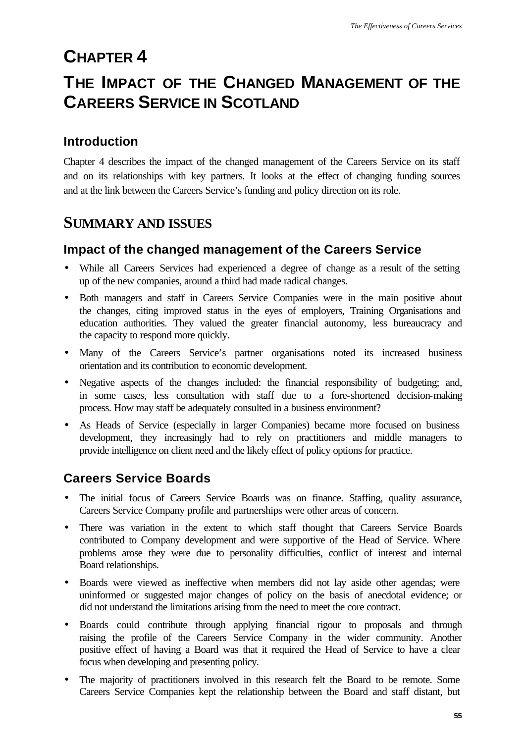# **CHAPTER 4**

# **THE IMPACT OF THE CHANGED MANAGEMENT OF THE CAREERS SERVICE IN SCOTLAND**

# **Introduction**

Chapter 4 describes the impact of the changed management of the Careers Service on its staff and on its relationships with key partners. It looks at the effect of changing funding sources and at the link between the Careers Service's funding and policy direction on its role.

# **SUMMARY AND ISSUES**

### **Impact of the changed management of the Careers Service**

- While all Careers Services had experienced a degree of change as a result of the setting up of the new companies, around a third had made radical changes.
- Both managers and staff in Careers Service Companies were in the main positive about the changes, citing improved status in the eyes of employers, Training Organisations and education authorities. They valued the greater financial autonomy, less bureaucracy and the capacity to respond more quickly.
- Many of the Careers Service's partner organisations noted its increased business orientation and its contribution to economic development.
- Negative aspects of the changes included: the financial responsibility of budgeting; and, in some cases, less consultation with staff due to a fore-shortened decision-making process. How may staff be adequately consulted in a business environment?
- As Heads of Service (especially in larger Companies) became more focused on business development, they increasingly had to rely on practitioners and middle managers to provide intelligence on client need and the likely effect of policy options for practice.

# **Careers Service Boards**

- The initial focus of Careers Service Boards was on finance. Staffing, quality assurance, Careers Service Company profile and partnerships were other areas of concern.
- There was variation in the extent to which staff thought that Careers Service Boards contributed to Company development and were supportive of the Head of Service. Where problems arose they were due to personality difficulties, conflict of interest and internal Board relationships.
- Boards were viewed as ineffective when members did not lay aside other agendas; were uninformed or suggested major changes of policy on the basis of anecdotal evidence; or did not understand the limitations arising from the need to meet the core contract.
- Boards could contribute through applying financial rigour to proposals and through raising the profile of the Careers Service Company in the wider community. Another positive effect of having a Board was that it required the Head of Service to have a clear focus when developing and presenting policy.
- The majority of practitioners involved in this research felt the Board to be remote. Some Careers Service Companies kept the relationship between the Board and staff distant, but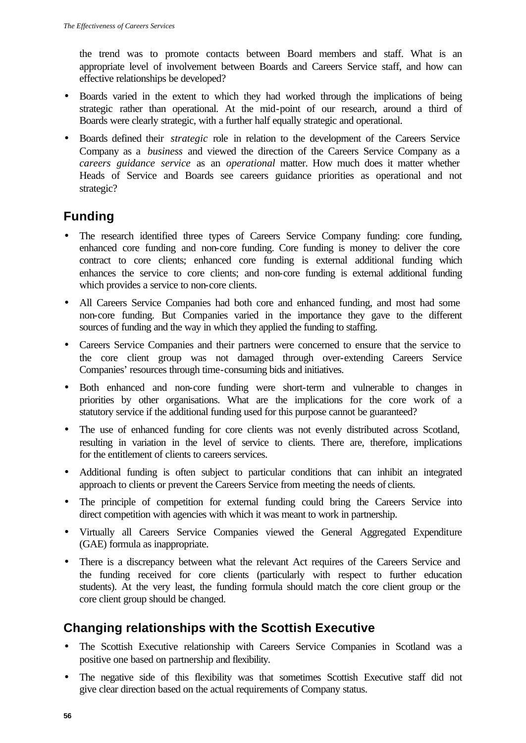the trend was to promote contacts between Board members and staff. What is an appropriate level of involvement between Boards and Careers Service staff, and how can effective relationships be developed?

- Boards varied in the extent to which they had worked through the implications of being strategic rather than operational. At the mid-point of our research, around a third of Boards were clearly strategic, with a further half equally strategic and operational.
- Boards defined their *strategic* role in relation to the development of the Careers Service Company as a *business* and viewed the direction of the Careers Service Company as a *careers guidance service* as an *operational* matter. How much does it matter whether Heads of Service and Boards see careers guidance priorities as operational and not strategic?

# **Funding**

- The research identified three types of Careers Service Company funding: core funding, enhanced core funding and non-core funding. Core funding is money to deliver the core contract to core clients; enhanced core funding is external additional funding which enhances the service to core clients; and non-core funding is external additional funding which provides a service to non-core clients.
- All Careers Service Companies had both core and enhanced funding, and most had some non-core funding. But Companies varied in the importance they gave to the different sources of funding and the way in which they applied the funding to staffing.
- Careers Service Companies and their partners were concerned to ensure that the service to the core client group was not damaged through over-extending Careers Service Companies' resources through time-consuming bids and initiatives.
- Both enhanced and non-core funding were short-term and vulnerable to changes in priorities by other organisations. What are the implications for the core work of a statutory service if the additional funding used for this purpose cannot be guaranteed?
- The use of enhanced funding for core clients was not evenly distributed across Scotland, resulting in variation in the level of service to clients. There are, therefore, implications for the entitlement of clients to careers services.
- Additional funding is often subject to particular conditions that can inhibit an integrated approach to clients or prevent the Careers Service from meeting the needs of clients.
- The principle of competition for external funding could bring the Careers Service into direct competition with agencies with which it was meant to work in partnership.
- Virtually all Careers Service Companies viewed the General Aggregated Expenditure (GAE) formula as inappropriate.
- There is a discrepancy between what the relevant Act requires of the Careers Service and the funding received for core clients (particularly with respect to further education students). At the very least, the funding formula should match the core client group or the core client group should be changed.

# **Changing relationships with the Scottish Executive**

- The Scottish Executive relationship with Careers Service Companies in Scotland was a positive one based on partnership and flexibility.
- The negative side of this flexibility was that sometimes Scottish Executive staff did not give clear direction based on the actual requirements of Company status.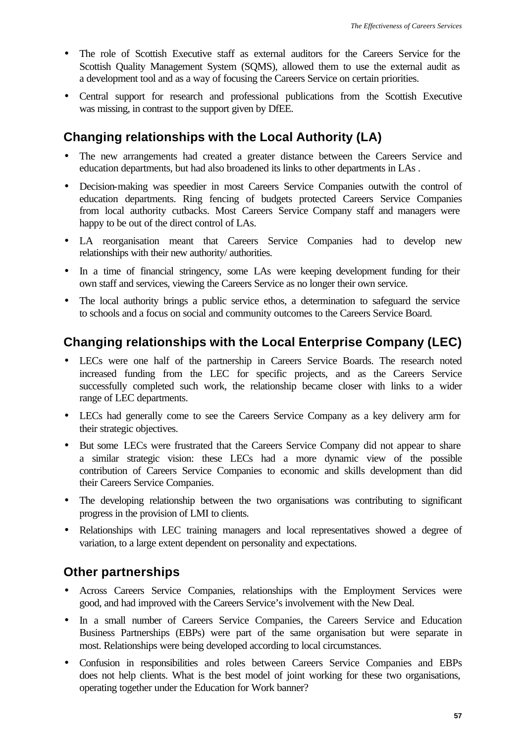- The role of Scottish Executive staff as external auditors for the Careers Service for the Scottish Quality Management System (SQMS), allowed them to use the external audit as a development tool and as a way of focusing the Careers Service on certain priorities.
- Central support for research and professional publications from the Scottish Executive was missing, in contrast to the support given by DfEE.

### **Changing relationships with the Local Authority (LA)**

- The new arrangements had created a greater distance between the Careers Service and education departments, but had also broadened its links to other departments in LAs .
- Decision-making was speedier in most Careers Service Companies outwith the control of education departments. Ring fencing of budgets protected Careers Service Companies from local authority cutbacks. Most Careers Service Company staff and managers were happy to be out of the direct control of LAs.
- LA reorganisation meant that Careers Service Companies had to develop new relationships with their new authority/ authorities.
- In a time of financial stringency, some LAs were keeping development funding for their own staff and services, viewing the Careers Service as no longer their own service.
- The local authority brings a public service ethos, a determination to safeguard the service to schools and a focus on social and community outcomes to the Careers Service Board.

### **Changing relationships with the Local Enterprise Company (LEC)**

- LECs were one half of the partnership in Careers Service Boards. The research noted increased funding from the LEC for specific projects, and as the Careers Service successfully completed such work, the relationship became closer with links to a wider range of LEC departments.
- LECs had generally come to see the Careers Service Company as a key delivery arm for their strategic objectives.
- But some LECs were frustrated that the Careers Service Company did not appear to share a similar strategic vision: these LECs had a more dynamic view of the possible contribution of Careers Service Companies to economic and skills development than did their Careers Service Companies.
- The developing relationship between the two organisations was contributing to significant progress in the provision of LMI to clients.
- Relationships with LEC training managers and local representatives showed a degree of variation, to a large extent dependent on personality and expectations.

### **Other partnerships**

- Across Careers Service Companies, relationships with the Employment Services were good, and had improved with the Careers Service's involvement with the New Deal.
- In a small number of Careers Service Companies, the Careers Service and Education Business Partnerships (EBPs) were part of the same organisation but were separate in most. Relationships were being developed according to local circumstances.
- Confusion in responsibilities and roles between Careers Service Companies and EBPs does not help clients. What is the best model of joint working for these two organisations, operating together under the Education for Work banner?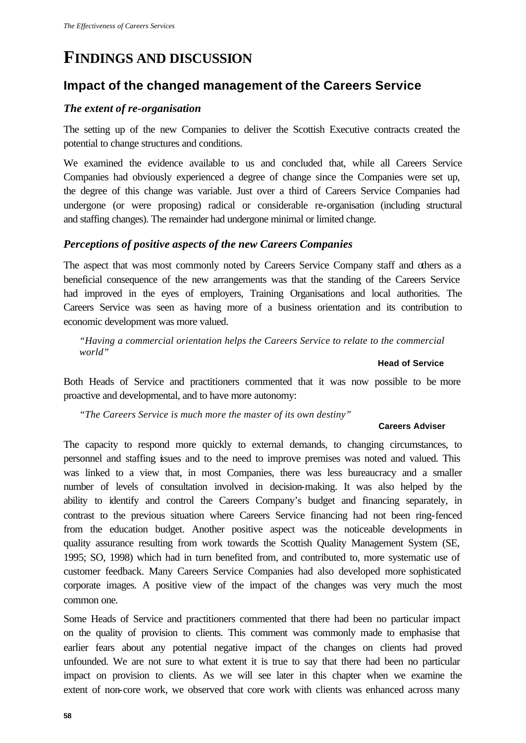# **FINDINGS AND DISCUSSION**

### **Impact of the changed management of the Careers Service**

#### *The extent of re-organisation*

The setting up of the new Companies to deliver the Scottish Executive contracts created the potential to change structures and conditions.

We examined the evidence available to us and concluded that, while all Careers Service Companies had obviously experienced a degree of change since the Companies were set up, the degree of this change was variable. Just over a third of Careers Service Companies had undergone (or were proposing) radical or considerable re-organisation (including structural and staffing changes). The remainder had undergone minimal or limited change.

#### *Perceptions of positive aspects of the new Careers Companies*

The aspect that was most commonly noted by Careers Service Company staff and others as a beneficial consequence of the new arrangements was that the standing of the Careers Service had improved in the eyes of employers, Training Organisations and local authorities. The Careers Service was seen as having more of a business orientation and its contribution to economic development was more valued.

*"Having a commercial orientation helps the Careers Service to relate to the commercial world"*

#### **Head of Service**

Both Heads of Service and practitioners commented that it was now possible to be more proactive and developmental, and to have more autonomy:

*"The Careers Service is much more the master of its own destiny"*

#### **Careers Adviser**

The capacity to respond more quickly to external demands, to changing circumstances, to personnel and staffing issues and to the need to improve premises was noted and valued. This was linked to a view that, in most Companies, there was less bureaucracy and a smaller number of levels of consultation involved in decision-making. It was also helped by the ability to identify and control the Careers Company's budget and financing separately, in contrast to the previous situation where Careers Service financing had not been ring-fenced from the education budget. Another positive aspect was the noticeable developments in quality assurance resulting from work towards the Scottish Quality Management System (SE, 1995; SO, 1998) which had in turn benefited from, and contributed to, more systematic use of customer feedback. Many Careers Service Companies had also developed more sophisticated corporate images. A positive view of the impact of the changes was very much the most common one.

Some Heads of Service and practitioners commented that there had been no particular impact on the quality of provision to clients. This comment was commonly made to emphasise that earlier fears about any potential negative impact of the changes on clients had proved unfounded. We are not sure to what extent it is true to say that there had been no particular impact on provision to clients. As we will see later in this chapter when we examine the extent of non-core work, we observed that core work with clients was enhanced across many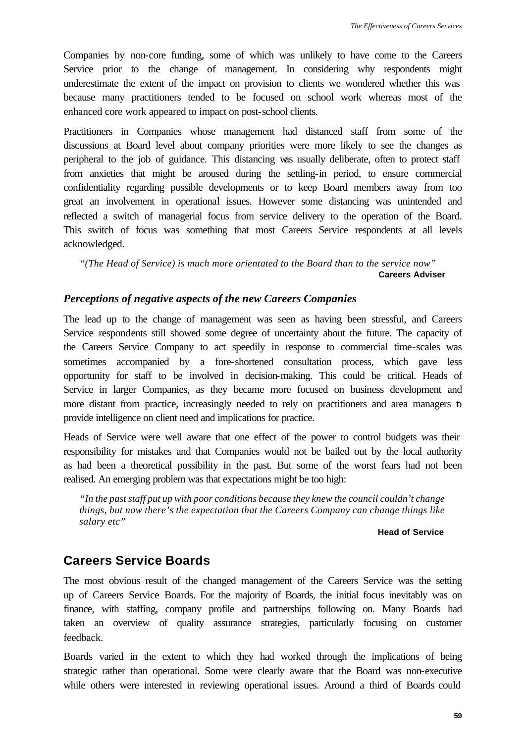Companies by non-core funding, some of which was unlikely to have come to the Careers Service prior to the change of management. In considering why respondents might underestimate the extent of the impact on provision to clients we wondered whether this was because many practitioners tended to be focused on school work whereas most of the enhanced core work appeared to impact on post-school clients.

Practitioners in Companies whose management had distanced staff from some of the discussions at Board level about company priorities were more likely to see the changes as peripheral to the job of guidance. This distancing was usually deliberate, often to protect staff from anxieties that might be aroused during the settling-in period, to ensure commercial confidentiality regarding possible developments or to keep Board members away from too great an involvement in operational issues. However some distancing was unintended and reflected a switch of managerial focus from service delivery to the operation of the Board. This switch of focus was something that most Careers Service respondents at all levels acknowledged.

*"(The Head of Service) is much more orientated to the Board than to the service now"* **Careers Adviser**

#### *Perceptions of negative aspects of the new Careers Companies*

The lead up to the change of management was seen as having been stressful, and Careers Service respondents still showed some degree of uncertainty about the future. The capacity of the Careers Service Company to act speedily in response to commercial time-scales was sometimes accompanied by a fore-shortened consultation process, which gave less opportunity for staff to be involved in decision-making. This could be critical. Heads of Service in larger Companies, as they became more focused on business development and more distant from practice, increasingly needed to rely on practitioners and area managers to provide intelligence on client need and implications for practice.

Heads of Service were well aware that one effect of the power to control budgets was their responsibility for mistakes and that Companies would not be bailed out by the local authority as had been a theoretical possibility in the past. But some of the worst fears had not been realised. An emerging problem was that expectations might be too high:

*"In the past staff put up with poor conditions because they knew the council couldn't change things, but now there's the expectation that the Careers Company can change things like salary etc"*

#### **Head of Service**

### **Careers Service Boards**

The most obvious result of the changed management of the Careers Service was the setting up of Careers Service Boards. For the majority of Boards, the initial focus inevitably was on finance, with staffing, company profile and partnerships following on. Many Boards had taken an overview of quality assurance strategies, particularly focusing on customer feedback.

Boards varied in the extent to which they had worked through the implications of being strategic rather than operational. Some were clearly aware that the Board was non-executive while others were interested in reviewing operational issues. Around a third of Boards could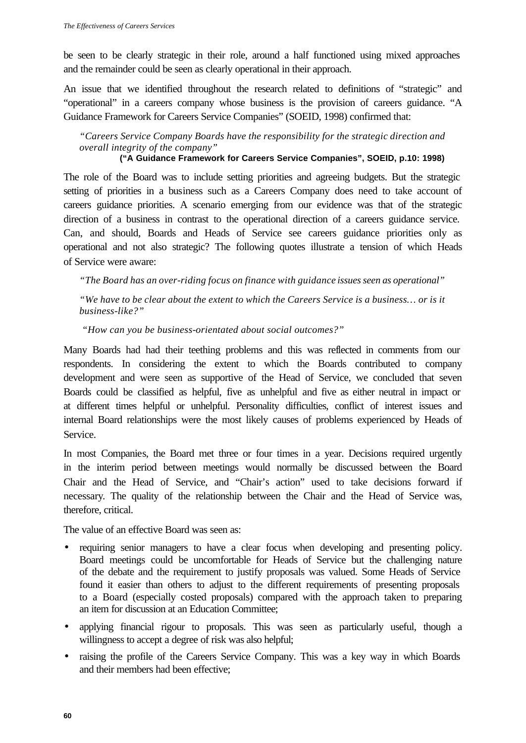be seen to be clearly strategic in their role, around a half functioned using mixed approaches and the remainder could be seen as clearly operational in their approach.

An issue that we identified throughout the research related to definitions of "strategic" and "operational" in a careers company whose business is the provision of careers guidance. "A Guidance Framework for Careers Service Companies" (SOEID, 1998) confirmed that:

*"Careers Service Company Boards have the responsibility for the strategic direction and overall integrity of the company"*

#### **("A Guidance Framework for Careers Service Companies", SOEID, p.10: 1998)**

The role of the Board was to include setting priorities and agreeing budgets. But the strategic setting of priorities in a business such as a Careers Company does need to take account of careers guidance priorities. A scenario emerging from our evidence was that of the strategic direction of a business in contrast to the operational direction of a careers guidance service. Can, and should, Boards and Heads of Service see careers guidance priorities only as operational and not also strategic? The following quotes illustrate a tension of which Heads of Service were aware:

*"The Board has an over-riding focus on finance with guidance issues seen as operational"*

*"We have to be clear about the extent to which the Careers Service is a business… or is it business-like?"*

 *"How can you be business-orientated about social outcomes?"*

Many Boards had had their teething problems and this was reflected in comments from our respondents. In considering the extent to which the Boards contributed to company development and were seen as supportive of the Head of Service, we concluded that seven Boards could be classified as helpful, five as unhelpful and five as either neutral in impact or at different times helpful or unhelpful. Personality difficulties, conflict of interest issues and internal Board relationships were the most likely causes of problems experienced by Heads of Service.

In most Companies, the Board met three or four times in a year. Decisions required urgently in the interim period between meetings would normally be discussed between the Board Chair and the Head of Service, and "Chair's action" used to take decisions forward if necessary. The quality of the relationship between the Chair and the Head of Service was, therefore, critical.

The value of an effective Board was seen as:

- requiring senior managers to have a clear focus when developing and presenting policy. Board meetings could be uncomfortable for Heads of Service but the challenging nature of the debate and the requirement to justify proposals was valued. Some Heads of Service found it easier than others to adjust to the different requirements of presenting proposals to a Board (especially costed proposals) compared with the approach taken to preparing an item for discussion at an Education Committee;
- applying financial rigour to proposals. This was seen as particularly useful, though a willingness to accept a degree of risk was also helpful;
- raising the profile of the Careers Service Company. This was a key way in which Boards and their members had been effective;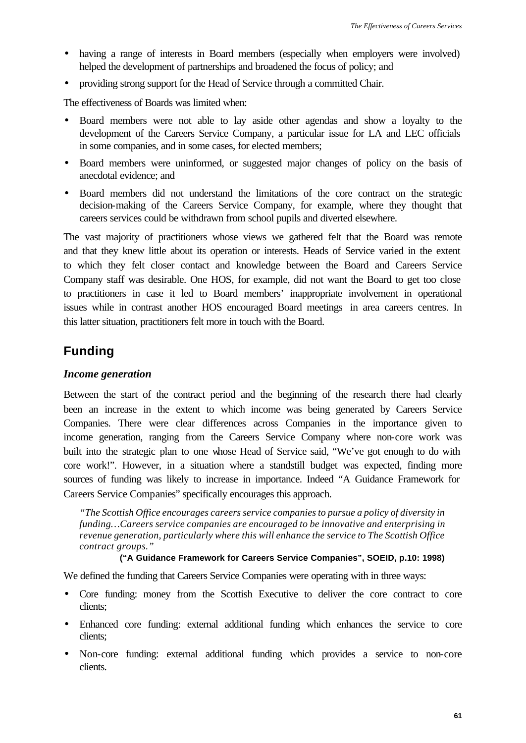- having a range of interests in Board members (especially when employers were involved) helped the development of partnerships and broadened the focus of policy; and
- providing strong support for the Head of Service through a committed Chair.

The effectiveness of Boards was limited when:

- Board members were not able to lay aside other agendas and show a loyalty to the development of the Careers Service Company, a particular issue for LA and LEC officials in some companies, and in some cases, for elected members;
- Board members were uninformed, or suggested major changes of policy on the basis of anecdotal evidence; and
- Board members did not understand the limitations of the core contract on the strategic decision-making of the Careers Service Company, for example, where they thought that careers services could be withdrawn from school pupils and diverted elsewhere.

The vast majority of practitioners whose views we gathered felt that the Board was remote and that they knew little about its operation or interests. Heads of Service varied in the extent to which they felt closer contact and knowledge between the Board and Careers Service Company staff was desirable. One HOS, for example, did not want the Board to get too close to practitioners in case it led to Board members' inappropriate involvement in operational issues while in contrast another HOS encouraged Board meetings in area careers centres. In this latter situation, practitioners felt more in touch with the Board.

### **Funding**

#### *Income generation*

Between the start of the contract period and the beginning of the research there had clearly been an increase in the extent to which income was being generated by Careers Service Companies. There were clear differences across Companies in the importance given to income generation, ranging from the Careers Service Company where non-core work was built into the strategic plan to one whose Head of Service said, "We've got enough to do with core work!". However, in a situation where a standstill budget was expected, finding more sources of funding was likely to increase in importance. Indeed "A Guidance Framework for Careers Service Companies" specifically encourages this approach.

*"The Scottish Office encourages careers service companies to pursue a policy of diversity in funding…Careers service companies are encouraged to be innovative and enterprising in revenue generation, particularly where this will enhance the service to The Scottish Office contract groups."*

#### **("A Guidance Framework for Careers Service Companies", SOEID, p.10: 1998)**

We defined the funding that Careers Service Companies were operating with in three ways:

- Core funding: money from the Scottish Executive to deliver the core contract to core clients;
- Enhanced core funding: external additional funding which enhances the service to core clients;
- Non-core funding: external additional funding which provides a service to non-core clients.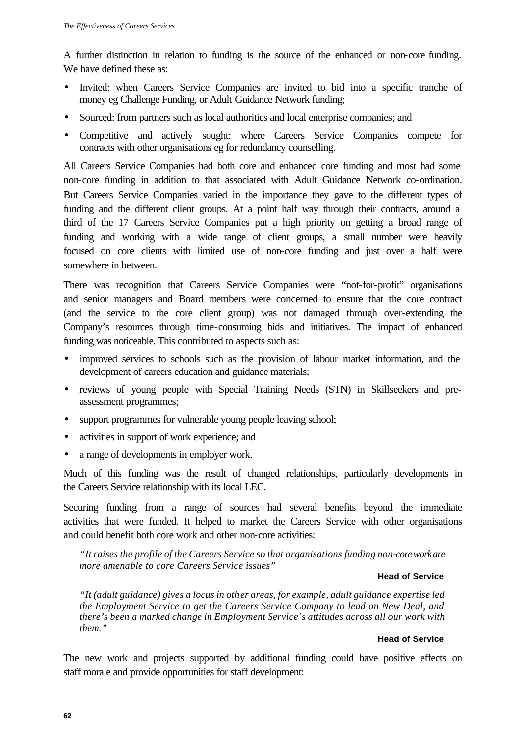A further distinction in relation to funding is the source of the enhanced or non-core funding. We have defined these as:

- Invited: when Careers Service Companies are invited to bid into a specific tranche of money eg Challenge Funding, or Adult Guidance Network funding;
- Sourced: from partners such as local authorities and local enterprise companies; and
- Competitive and actively sought: where Careers Service Companies compete for contracts with other organisations eg for redundancy counselling.

All Careers Service Companies had both core and enhanced core funding and most had some non-core funding in addition to that associated with Adult Guidance Network co-ordination. But Careers Service Companies varied in the importance they gave to the different types of funding and the different client groups. At a point half way through their contracts, around a third of the 17 Careers Service Companies put a high priority on getting a broad range of funding and working with a wide range of client groups, a small number were heavily focused on core clients with limited use of non-core funding and just over a half were somewhere in between.

There was recognition that Careers Service Companies were "not-for-profit" organisations and senior managers and Board members were concerned to ensure that the core contract (and the service to the core client group) was not damaged through over-extending the Company's resources through time-consuming bids and initiatives. The impact of enhanced funding was noticeable. This contributed to aspects such as:

- improved services to schools such as the provision of labour market information, and the development of careers education and guidance materials;
- reviews of young people with Special Training Needs (STN) in Skillseekers and preassessment programmes;
- support programmes for vulnerable young people leaving school;
- activities in support of work experience; and
- a range of developments in employer work.

Much of this funding was the result of changed relationships, particularly developments in the Careers Service relationship with its local LEC.

Securing funding from a range of sources had several benefits beyond the immediate activities that were funded. It helped to market the Careers Service with other organisations and could benefit both core work and other non-core activities:

*"It raises the profile of the Careers Service so that organisations funding non-core work are more amenable to core Careers Service issues"*

#### **Head of Service**

*"It (adult guidance) gives a locus in other areas, for example, adult guidance expertise led the Employment Service to get the Careers Service Company to lead on New Deal, and there's been a marked change in Employment Service's attitudes across all our work with them."*

#### **Head of Service**

The new work and projects supported by additional funding could have positive effects on staff morale and provide opportunities for staff development: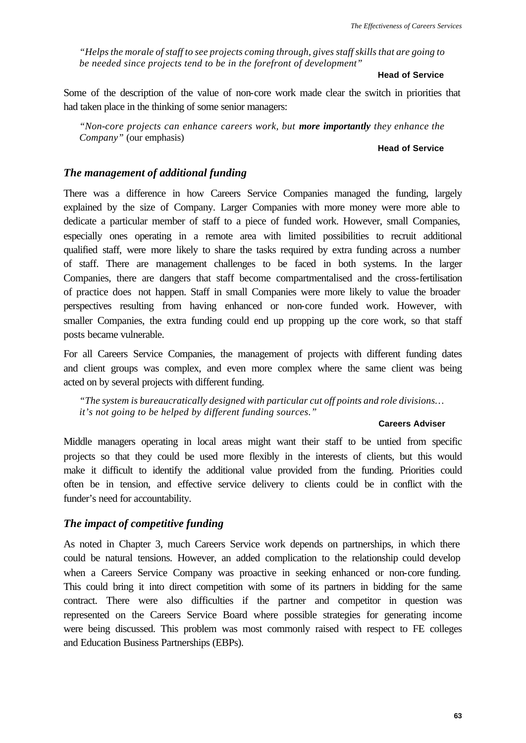*"Helps the morale of staff to see projects coming through, gives staff skills that are going to be needed since projects tend to be in the forefront of development"*

#### **Head of Service**

Some of the description of the value of non-core work made clear the switch in priorities that had taken place in the thinking of some senior managers:

*"Non-core projects can enhance careers work, but more importantly they enhance the Company"* (our emphasis)

#### **Head of Service**

#### *The management of additional funding*

There was a difference in how Careers Service Companies managed the funding, largely explained by the size of Company. Larger Companies with more money were more able to dedicate a particular member of staff to a piece of funded work. However, small Companies, especially ones operating in a remote area with limited possibilities to recruit additional qualified staff, were more likely to share the tasks required by extra funding across a number of staff. There are management challenges to be faced in both systems. In the larger Companies, there are dangers that staff become compartmentalised and the cross-fertilisation of practice does not happen. Staff in small Companies were more likely to value the broader perspectives resulting from having enhanced or non-core funded work. However, with smaller Companies, the extra funding could end up propping up the core work, so that staff posts became vulnerable.

For all Careers Service Companies, the management of projects with different funding dates and client groups was complex, and even more complex where the same client was being acted on by several projects with different funding.

*"The system is bureaucratically designed with particular cut off points and role divisions… it's not going to be helped by different funding sources."*

#### **Careers Adviser**

Middle managers operating in local areas might want their staff to be untied from specific projects so that they could be used more flexibly in the interests of clients, but this would make it difficult to identify the additional value provided from the funding. Priorities could often be in tension, and effective service delivery to clients could be in conflict with the funder's need for accountability.

#### *The impact of competitive funding*

As noted in Chapter 3, much Careers Service work depends on partnerships, in which there could be natural tensions. However, an added complication to the relationship could develop when a Careers Service Company was proactive in seeking enhanced or non-core funding. This could bring it into direct competition with some of its partners in bidding for the same contract. There were also difficulties if the partner and competitor in question was represented on the Careers Service Board where possible strategies for generating income were being discussed. This problem was most commonly raised with respect to FE colleges and Education Business Partnerships (EBPs).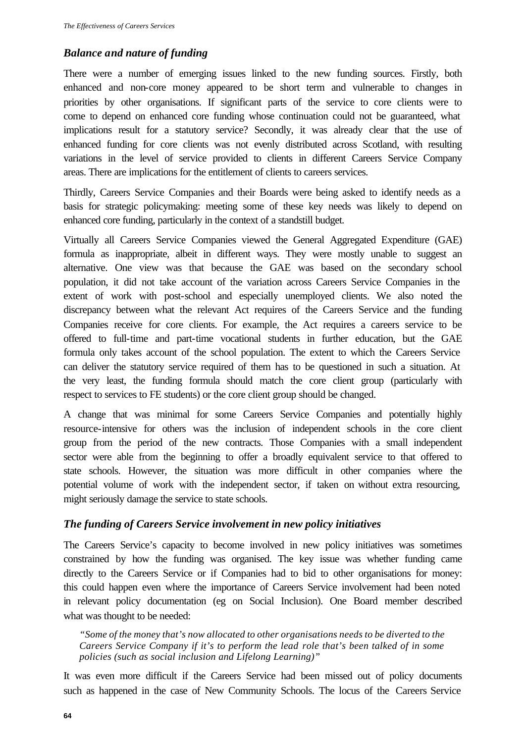#### *Balance and nature of funding*

There were a number of emerging issues linked to the new funding sources. Firstly, both enhanced and non-core money appeared to be short term and vulnerable to changes in priorities by other organisations. If significant parts of the service to core clients were to come to depend on enhanced core funding whose continuation could not be guaranteed, what implications result for a statutory service? Secondly, it was already clear that the use of enhanced funding for core clients was not evenly distributed across Scotland, with resulting variations in the level of service provided to clients in different Careers Service Company areas. There are implications for the entitlement of clients to careers services.

Thirdly, Careers Service Companies and their Boards were being asked to identify needs as a basis for strategic policymaking: meeting some of these key needs was likely to depend on enhanced core funding, particularly in the context of a standstill budget.

Virtually all Careers Service Companies viewed the General Aggregated Expenditure (GAE) formula as inappropriate, albeit in different ways. They were mostly unable to suggest an alternative. One view was that because the GAE was based on the secondary school population, it did not take account of the variation across Careers Service Companies in the extent of work with post-school and especially unemployed clients. We also noted the discrepancy between what the relevant Act requires of the Careers Service and the funding Companies receive for core clients. For example, the Act requires a careers service to be offered to full-time and part-time vocational students in further education, but the GAE formula only takes account of the school population. The extent to which the Careers Service can deliver the statutory service required of them has to be questioned in such a situation. At the very least, the funding formula should match the core client group (particularly with respect to services to FE students) or the core client group should be changed.

A change that was minimal for some Careers Service Companies and potentially highly resource-intensive for others was the inclusion of independent schools in the core client group from the period of the new contracts. Those Companies with a small independent sector were able from the beginning to offer a broadly equivalent service to that offered to state schools. However, the situation was more difficult in other companies where the potential volume of work with the independent sector, if taken on without extra resourcing, might seriously damage the service to state schools.

#### *The funding of Careers Service involvement in new policy initiatives*

The Careers Service's capacity to become involved in new policy initiatives was sometimes constrained by how the funding was organised. The key issue was whether funding came directly to the Careers Service or if Companies had to bid to other organisations for money: this could happen even where the importance of Careers Service involvement had been noted in relevant policy documentation (eg on Social Inclusion). One Board member described what was thought to be needed:

*"Some of the money that's now allocated to other organisations needs to be diverted to the Careers Service Company if it's to perform the lead role that's been talked of in some policies (such as social inclusion and Lifelong Learning)"*

It was even more difficult if the Careers Service had been missed out of policy documents such as happened in the case of New Community Schools. The locus of the Careers Service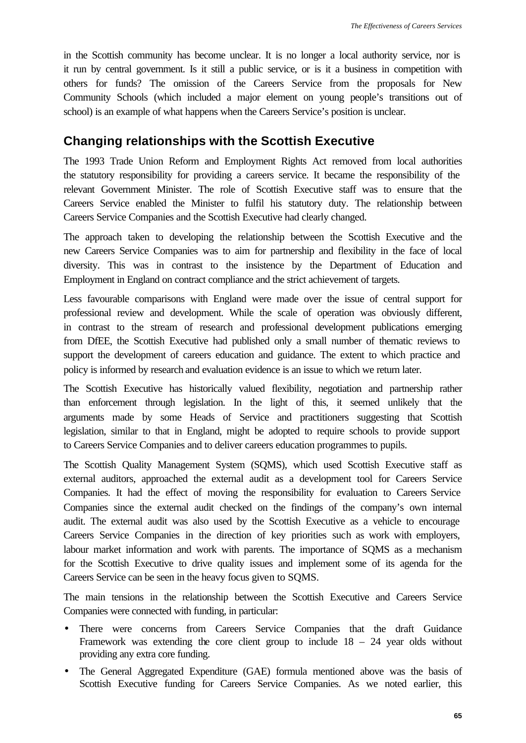in the Scottish community has become unclear. It is no longer a local authority service, nor is it run by central government. Is it still a public service, or is it a business in competition with others for funds? The omission of the Careers Service from the proposals for New Community Schools (which included a major element on young people's transitions out of school) is an example of what happens when the Careers Service's position is unclear.

### **Changing relationships with the Scottish Executive**

The 1993 Trade Union Reform and Employment Rights Act removed from local authorities the statutory responsibility for providing a careers service. It became the responsibility of the relevant Government Minister. The role of Scottish Executive staff was to ensure that the Careers Service enabled the Minister to fulfil his statutory duty. The relationship between Careers Service Companies and the Scottish Executive had clearly changed.

The approach taken to developing the relationship between the Scottish Executive and the new Careers Service Companies was to aim for partnership and flexibility in the face of local diversity. This was in contrast to the insistence by the Department of Education and Employment in England on contract compliance and the strict achievement of targets.

Less favourable comparisons with England were made over the issue of central support for professional review and development. While the scale of operation was obviously different, in contrast to the stream of research and professional development publications emerging from DfEE, the Scottish Executive had published only a small number of thematic reviews to support the development of careers education and guidance. The extent to which practice and policy is informed by research and evaluation evidence is an issue to which we return later.

The Scottish Executive has historically valued flexibility, negotiation and partnership rather than enforcement through legislation. In the light of this, it seemed unlikely that the arguments made by some Heads of Service and practitioners suggesting that Scottish legislation, similar to that in England, might be adopted to require schools to provide support to Careers Service Companies and to deliver careers education programmes to pupils.

The Scottish Quality Management System (SQMS), which used Scottish Executive staff as external auditors, approached the external audit as a development tool for Careers Service Companies. It had the effect of moving the responsibility for evaluation to Careers Service Companies since the external audit checked on the findings of the company's own internal audit. The external audit was also used by the Scottish Executive as a vehicle to encourage Careers Service Companies in the direction of key priorities such as work with employers, labour market information and work with parents. The importance of SQMS as a mechanism for the Scottish Executive to drive quality issues and implement some of its agenda for the Careers Service can be seen in the heavy focus given to SQMS.

The main tensions in the relationship between the Scottish Executive and Careers Service Companies were connected with funding, in particular:

- There were concerns from Careers Service Companies that the draft Guidance Framework was extending the core client group to include 18 – 24 year olds without providing any extra core funding.
- The General Aggregated Expenditure (GAE) formula mentioned above was the basis of Scottish Executive funding for Careers Service Companies. As we noted earlier, this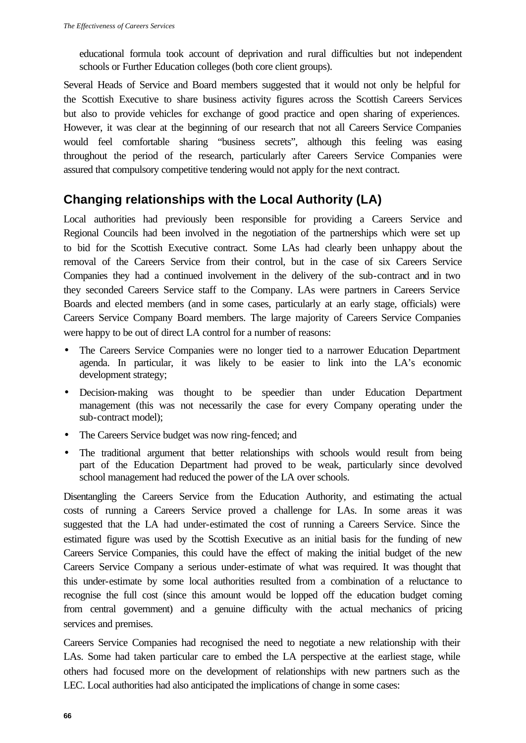educational formula took account of deprivation and rural difficulties but not independent schools or Further Education colleges (both core client groups).

Several Heads of Service and Board members suggested that it would not only be helpful for the Scottish Executive to share business activity figures across the Scottish Careers Services but also to provide vehicles for exchange of good practice and open sharing of experiences. However, it was clear at the beginning of our research that not all Careers Service Companies would feel comfortable sharing "business secrets", although this feeling was easing throughout the period of the research, particularly after Careers Service Companies were assured that compulsory competitive tendering would not apply for the next contract.

### **Changing relationships with the Local Authority (LA)**

Local authorities had previously been responsible for providing a Careers Service and Regional Councils had been involved in the negotiation of the partnerships which were set up to bid for the Scottish Executive contract. Some LAs had clearly been unhappy about the removal of the Careers Service from their control, but in the case of six Careers Service Companies they had a continued involvement in the delivery of the sub-contract and in two they seconded Careers Service staff to the Company. LAs were partners in Careers Service Boards and elected members (and in some cases, particularly at an early stage, officials) were Careers Service Company Board members. The large majority of Careers Service Companies were happy to be out of direct LA control for a number of reasons:

- The Careers Service Companies were no longer tied to a narrower Education Department agenda. In particular, it was likely to be easier to link into the LA's economic development strategy;
- Decision-making was thought to be speedier than under Education Department management (this was not necessarily the case for every Company operating under the sub-contract model);
- The Careers Service budget was now ring-fenced; and
- The traditional argument that better relationships with schools would result from being part of the Education Department had proved to be weak, particularly since devolved school management had reduced the power of the LA over schools.

Disentangling the Careers Service from the Education Authority, and estimating the actual costs of running a Careers Service proved a challenge for LAs. In some areas it was suggested that the LA had under-estimated the cost of running a Careers Service. Since the estimated figure was used by the Scottish Executive as an initial basis for the funding of new Careers Service Companies, this could have the effect of making the initial budget of the new Careers Service Company a serious under-estimate of what was required. It was thought that this under-estimate by some local authorities resulted from a combination of a reluctance to recognise the full cost (since this amount would be lopped off the education budget coming from central government) and a genuine difficulty with the actual mechanics of pricing services and premises.

Careers Service Companies had recognised the need to negotiate a new relationship with their LAs. Some had taken particular care to embed the LA perspective at the earliest stage, while others had focused more on the development of relationships with new partners such as the LEC. Local authorities had also anticipated the implications of change in some cases: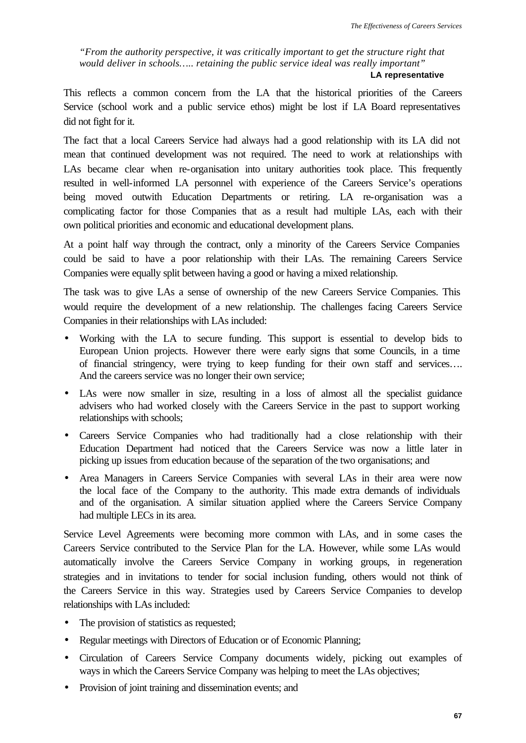*"From the authority perspective, it was critically important to get the structure right that would deliver in schools….. retaining the public service ideal was really important"*

#### **LA representative**

This reflects a common concern from the LA that the historical priorities of the Careers Service (school work and a public service ethos) might be lost if LA Board representatives did not fight for it.

The fact that a local Careers Service had always had a good relationship with its LA did not mean that continued development was not required. The need to work at relationships with LAs became clear when re-organisation into unitary authorities took place. This frequently resulted in well-informed LA personnel with experience of the Careers Service's operations being moved outwith Education Departments or retiring. LA re-organisation was a complicating factor for those Companies that as a result had multiple LAs, each with their own political priorities and economic and educational development plans.

At a point half way through the contract, only a minority of the Careers Service Companies could be said to have a poor relationship with their LAs. The remaining Careers Service Companies were equally split between having a good or having a mixed relationship.

The task was to give LAs a sense of ownership of the new Careers Service Companies. This would require the development of a new relationship. The challenges facing Careers Service Companies in their relationships with LAs included:

- Working with the LA to secure funding. This support is essential to develop bids to European Union projects. However there were early signs that some Councils, in a time of financial stringency, were trying to keep funding for their own staff and services…. And the careers service was no longer their own service;
- LAs were now smaller in size, resulting in a loss of almost all the specialist guidance advisers who had worked closely with the Careers Service in the past to support working relationships with schools;
- Careers Service Companies who had traditionally had a close relationship with their Education Department had noticed that the Careers Service was now a little later in picking up issues from education because of the separation of the two organisations; and
- Area Managers in Careers Service Companies with several LAs in their area were now the local face of the Company to the authority. This made extra demands of individuals and of the organisation. A similar situation applied where the Careers Service Company had multiple LECs in its area.

Service Level Agreements were becoming more common with LAs, and in some cases the Careers Service contributed to the Service Plan for the LA. However, while some LAs would automatically involve the Careers Service Company in working groups, in regeneration strategies and in invitations to tender for social inclusion funding, others would not think of the Careers Service in this way. Strategies used by Careers Service Companies to develop relationships with LAs included:

- The provision of statistics as requested;
- Regular meetings with Directors of Education or of Economic Planning;
- Circulation of Careers Service Company documents widely, picking out examples of ways in which the Careers Service Company was helping to meet the LAs objectives;
- Provision of joint training and dissemination events; and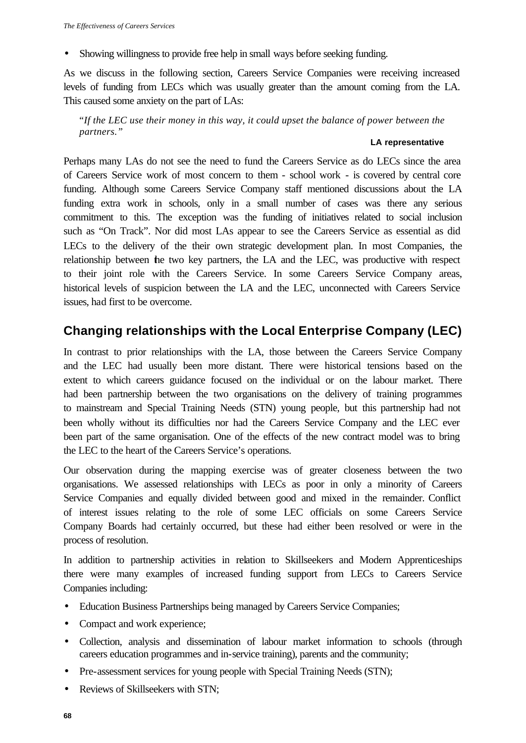• Showing willingness to provide free help in small ways before seeking funding.

As we discuss in the following section, Careers Service Companies were receiving increased levels of funding from LECs which was usually greater than the amount coming from the LA. This caused some anxiety on the part of LAs:

"*If the LEC use their money in this way, it could upset the balance of power between the partners."*

#### **LA representative**

Perhaps many LAs do not see the need to fund the Careers Service as do LECs since the area of Careers Service work of most concern to them - school work - is covered by central core funding. Although some Careers Service Company staff mentioned discussions about the LA funding extra work in schools, only in a small number of cases was there any serious commitment to this. The exception was the funding of initiatives related to social inclusion such as "On Track". Nor did most LAs appear to see the Careers Service as essential as did LECs to the delivery of the their own strategic development plan. In most Companies, the relationship between the two key partners, the LA and the LEC, was productive with respect to their joint role with the Careers Service. In some Careers Service Company areas, historical levels of suspicion between the LA and the LEC, unconnected with Careers Service issues, had first to be overcome.

### **Changing relationships with the Local Enterprise Company (LEC)**

In contrast to prior relationships with the LA, those between the Careers Service Company and the LEC had usually been more distant. There were historical tensions based on the extent to which careers guidance focused on the individual or on the labour market. There had been partnership between the two organisations on the delivery of training programmes to mainstream and Special Training Needs (STN) young people, but this partnership had not been wholly without its difficulties nor had the Careers Service Company and the LEC ever been part of the same organisation. One of the effects of the new contract model was to bring the LEC to the heart of the Careers Service's operations.

Our observation during the mapping exercise was of greater closeness between the two organisations. We assessed relationships with LECs as poor in only a minority of Careers Service Companies and equally divided between good and mixed in the remainder. Conflict of interest issues relating to the role of some LEC officials on some Careers Service Company Boards had certainly occurred, but these had either been resolved or were in the process of resolution.

In addition to partnership activities in relation to Skillseekers and Modern Apprenticeships there were many examples of increased funding support from LECs to Careers Service Companies including:

- Education Business Partnerships being managed by Careers Service Companies;
- Compact and work experience;
- Collection, analysis and dissemination of labour market information to schools (through careers education programmes and in-service training), parents and the community;
- Pre-assessment services for young people with Special Training Needs (STN);
- Reviews of Skillseekers with STN;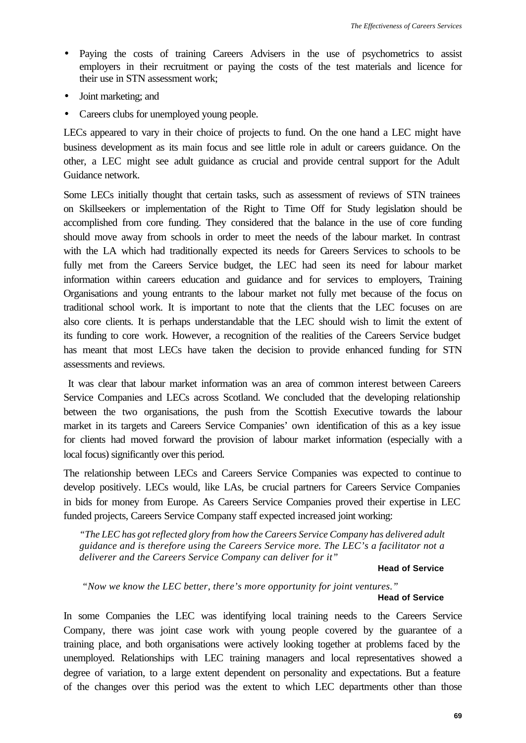- Paying the costs of training Careers Advisers in the use of psychometrics to assist employers in their recruitment or paying the costs of the test materials and licence for their use in STN assessment work;
- Joint marketing; and
- Careers clubs for unemployed young people.

LECs appeared to vary in their choice of projects to fund. On the one hand a LEC might have business development as its main focus and see little role in adult or careers guidance. On the other, a LEC might see adult guidance as crucial and provide central support for the Adult Guidance network.

Some LECs initially thought that certain tasks, such as assessment of reviews of STN trainees on Skillseekers or implementation of the Right to Time Off for Study legislation should be accomplished from core funding. They considered that the balance in the use of core funding should move away from schools in order to meet the needs of the labour market. In contrast with the LA which had traditionally expected its needs for Careers Services to schools to be fully met from the Careers Service budget, the LEC had seen its need for labour market information within careers education and guidance and for services to employers, Training Organisations and young entrants to the labour market not fully met because of the focus on traditional school work. It is important to note that the clients that the LEC focuses on are also core clients. It is perhaps understandable that the LEC should wish to limit the extent of its funding to core work. However, a recognition of the realities of the Careers Service budget has meant that most LECs have taken the decision to provide enhanced funding for STN assessments and reviews.

 It was clear that labour market information was an area of common interest between Careers Service Companies and LECs across Scotland. We concluded that the developing relationship between the two organisations, the push from the Scottish Executive towards the labour market in its targets and Careers Service Companies' own identification of this as a key issue for clients had moved forward the provision of labour market information (especially with a local focus) significantly over this period.

The relationship between LECs and Careers Service Companies was expected to continue to develop positively. LECs would, like LAs, be crucial partners for Careers Service Companies in bids for money from Europe. As Careers Service Companies proved their expertise in LEC funded projects, Careers Service Company staff expected increased joint working:

*"The LEC has got reflected glory from how the Careers Service Company has delivered adult guidance and is therefore using the Careers Service more. The LEC's a facilitator not a deliverer and the Careers Service Company can deliver for it"*

#### **Head of Service**

 *"Now we know the LEC better, there's more opportunity for joint ventures."*

#### **Head of Service**

In some Companies the LEC was identifying local training needs to the Careers Service Company, there was joint case work with young people covered by the guarantee of a training place, and both organisations were actively looking together at problems faced by the unemployed. Relationships with LEC training managers and local representatives showed a degree of variation, to a large extent dependent on personality and expectations. But a feature of the changes over this period was the extent to which LEC departments other than those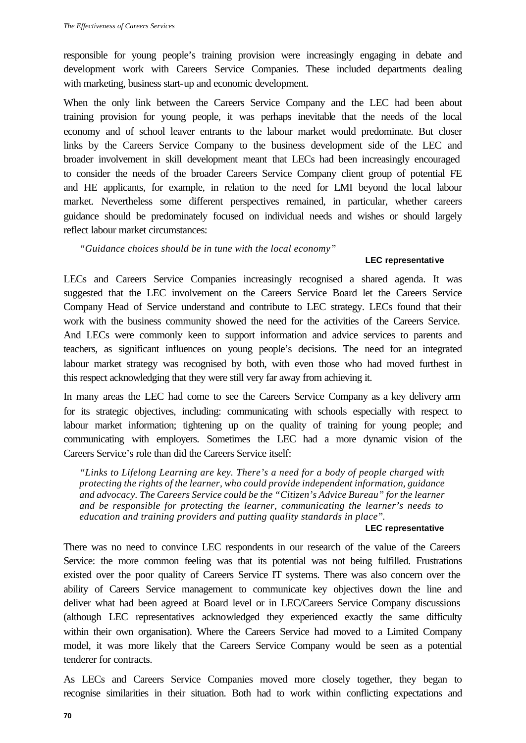responsible for young people's training provision were increasingly engaging in debate and development work with Careers Service Companies. These included departments dealing with marketing, business start-up and economic development.

When the only link between the Careers Service Company and the LEC had been about training provision for young people, it was perhaps inevitable that the needs of the local economy and of school leaver entrants to the labour market would predominate. But closer links by the Careers Service Company to the business development side of the LEC and broader involvement in skill development meant that LECs had been increasingly encouraged to consider the needs of the broader Careers Service Company client group of potential FE and HE applicants, for example, in relation to the need for LMI beyond the local labour market. Nevertheless some different perspectives remained, in particular, whether careers guidance should be predominately focused on individual needs and wishes or should largely reflect labour market circumstances:

*"Guidance choices should be in tune with the local economy"*

#### **LEC representative**

LECs and Careers Service Companies increasingly recognised a shared agenda. It was suggested that the LEC involvement on the Careers Service Board let the Careers Service Company Head of Service understand and contribute to LEC strategy. LECs found that their work with the business community showed the need for the activities of the Careers Service. And LECs were commonly keen to support information and advice services to parents and teachers, as significant influences on young people's decisions. The need for an integrated labour market strategy was recognised by both, with even those who had moved furthest in this respect acknowledging that they were still very far away from achieving it.

In many areas the LEC had come to see the Careers Service Company as a key delivery arm for its strategic objectives, including: communicating with schools especially with respect to labour market information; tightening up on the quality of training for young people; and communicating with employers. Sometimes the LEC had a more dynamic vision of the Careers Service's role than did the Careers Service itself:

*"Links to Lifelong Learning are key. There's a need for a body of people charged with protecting the rights of the learner, who could provide independent information, guidance and advocacy. The Careers Service could be the "Citizen's Advice Bureau" for the learner and be responsible for protecting the learner, communicating the learner's needs to education and training providers and putting quality standards in place".*

#### **LEC representative**

There was no need to convince LEC respondents in our research of the value of the Careers Service: the more common feeling was that its potential was not being fulfilled. Frustrations existed over the poor quality of Careers Service IT systems. There was also concern over the ability of Careers Service management to communicate key objectives down the line and deliver what had been agreed at Board level or in LEC/Careers Service Company discussions (although LEC representatives acknowledged they experienced exactly the same difficulty within their own organisation). Where the Careers Service had moved to a Limited Company model, it was more likely that the Careers Service Company would be seen as a potential tenderer for contracts.

As LECs and Careers Service Companies moved more closely together, they began to recognise similarities in their situation. Both had to work within conflicting expectations and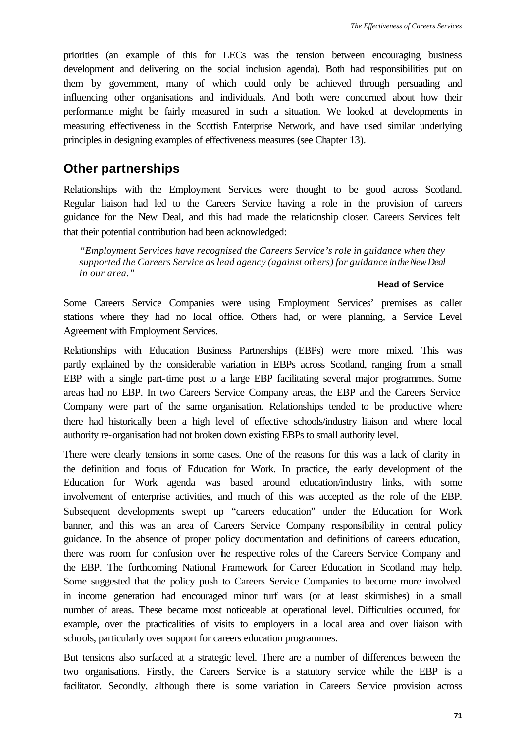priorities (an example of this for LECs was the tension between encouraging business development and delivering on the social inclusion agenda). Both had responsibilities put on them by government, many of which could only be achieved through persuading and influencing other organisations and individuals. And both were concerned about how their performance might be fairly measured in such a situation. We looked at developments in measuring effectiveness in the Scottish Enterprise Network, and have used similar underlying principles in designing examples of effectiveness measures (see Chapter 13).

### **Other partnerships**

Relationships with the Employment Services were thought to be good across Scotland. Regular liaison had led to the Careers Service having a role in the provision of careers guidance for the New Deal, and this had made the relationship closer. Careers Services felt that their potential contribution had been acknowledged:

*"Employment Services have recognised the Careers Service's role in guidance when they supported the Careers Service as lead agency (against others) for guidance in the New Deal in our area."*

#### **Head of Service**

Some Careers Service Companies were using Employment Services' premises as caller stations where they had no local office. Others had, or were planning, a Service Level Agreement with Employment Services.

Relationships with Education Business Partnerships (EBPs) were more mixed. This was partly explained by the considerable variation in EBPs across Scotland, ranging from a small EBP with a single part-time post to a large EBP facilitating several major programmes. Some areas had no EBP. In two Careers Service Company areas, the EBP and the Careers Service Company were part of the same organisation. Relationships tended to be productive where there had historically been a high level of effective schools/industry liaison and where local authority re-organisation had not broken down existing EBPs to small authority level.

There were clearly tensions in some cases. One of the reasons for this was a lack of clarity in the definition and focus of Education for Work. In practice, the early development of the Education for Work agenda was based around education/industry links, with some involvement of enterprise activities, and much of this was accepted as the role of the EBP. Subsequent developments swept up "careers education" under the Education for Work banner, and this was an area of Careers Service Company responsibility in central policy guidance. In the absence of proper policy documentation and definitions of careers education, there was room for confusion over the respective roles of the Careers Service Company and the EBP. The forthcoming National Framework for Career Education in Scotland may help. Some suggested that the policy push to Careers Service Companies to become more involved in income generation had encouraged minor turf wars (or at least skirmishes) in a small number of areas. These became most noticeable at operational level. Difficulties occurred, for example, over the practicalities of visits to employers in a local area and over liaison with schools, particularly over support for careers education programmes.

But tensions also surfaced at a strategic level. There are a number of differences between the two organisations. Firstly, the Careers Service is a statutory service while the EBP is a facilitator. Secondly, although there is some variation in Careers Service provision across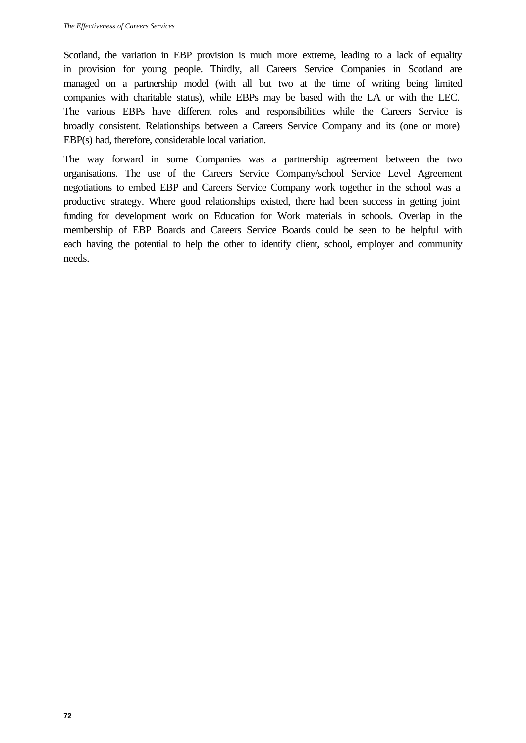Scotland, the variation in EBP provision is much more extreme, leading to a lack of equality in provision for young people. Thirdly, all Careers Service Companies in Scotland are managed on a partnership model (with all but two at the time of writing being limited companies with charitable status), while EBPs may be based with the LA or with the LEC. The various EBPs have different roles and responsibilities while the Careers Service is broadly consistent. Relationships between a Careers Service Company and its (one or more) EBP(s) had, therefore, considerable local variation.

The way forward in some Companies was a partnership agreement between the two organisations. The use of the Careers Service Company/school Service Level Agreement negotiations to embed EBP and Careers Service Company work together in the school was a productive strategy. Where good relationships existed, there had been success in getting joint funding for development work on Education for Work materials in schools. Overlap in the membership of EBP Boards and Careers Service Boards could be seen to be helpful with each having the potential to help the other to identify client, school, employer and community needs.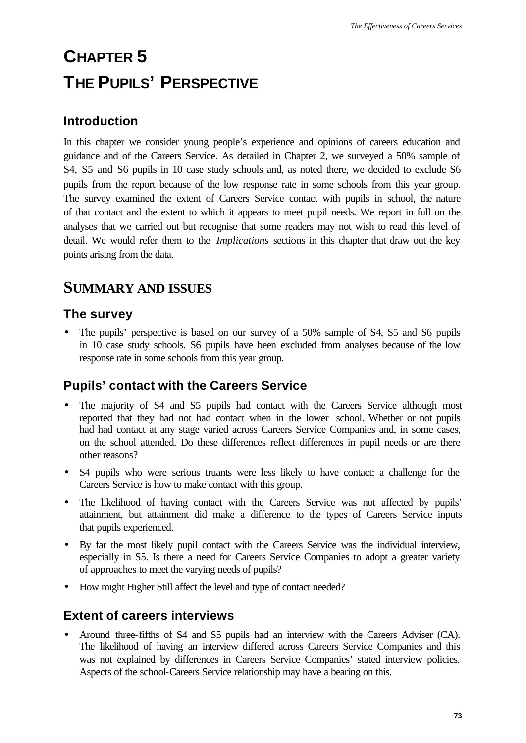# **CHAPTER 5 THE PUPILS' PERSPECTIVE**

# **Introduction**

In this chapter we consider young people's experience and opinions of careers education and guidance and of the Careers Service. As detailed in Chapter 2, we surveyed a 50% sample of S4, S5 and S6 pupils in 10 case study schools and, as noted there, we decided to exclude S6 pupils from the report because of the low response rate in some schools from this year group. The survey examined the extent of Careers Service contact with pupils in school, the nature of that contact and the extent to which it appears to meet pupil needs. We report in full on the analyses that we carried out but recognise that some readers may not wish to read this level of detail. We would refer them to the *Implications* sections in this chapter that draw out the key points arising from the data.

# **SUMMARY AND ISSUES**

# **The survey**

• The pupils' perspective is based on our survey of a 50% sample of S4, S5 and S6 pupils in 10 case study schools. S6 pupils have been excluded from analyses because of the low response rate in some schools from this year group.

# **Pupils' contact with the Careers Service**

- The majority of S4 and S5 pupils had contact with the Careers Service although most reported that they had not had contact when in the lower school. Whether or not pupils had had contact at any stage varied across Careers Service Companies and, in some cases, on the school attended. Do these differences reflect differences in pupil needs or are there other reasons?
- S4 pupils who were serious truants were less likely to have contact; a challenge for the Careers Service is how to make contact with this group.
- The likelihood of having contact with the Careers Service was not affected by pupils' attainment, but attainment did make a difference to the types of Careers Service inputs that pupils experienced.
- By far the most likely pupil contact with the Careers Service was the individual interview, especially in S5. Is there a need for Careers Service Companies to adopt a greater variety of approaches to meet the varying needs of pupils?
- How might Higher Still affect the level and type of contact needed?

# **Extent of careers interviews**

• Around three-fifths of S4 and S5 pupils had an interview with the Careers Adviser (CA). The likelihood of having an interview differed across Careers Service Companies and this was not explained by differences in Careers Service Companies' stated interview policies. Aspects of the school-Careers Service relationship may have a bearing on this.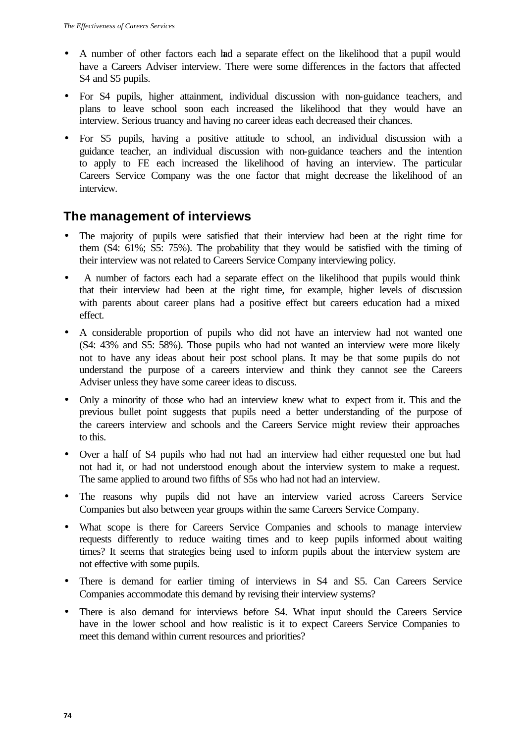- A number of other factors each had a separate effect on the likelihood that a pupil would have a Careers Adviser interview. There were some differences in the factors that affected S4 and S5 pupils.
- For S4 pupils, higher attainment, individual discussion with non-guidance teachers, and plans to leave school soon each increased the likelihood that they would have an interview. Serious truancy and having no career ideas each decreased their chances.
- For S5 pupils, having a positive attitude to school, an individual discussion with a guidance teacher, an individual discussion with non-guidance teachers and the intention to apply to FE each increased the likelihood of having an interview. The particular Careers Service Company was the one factor that might decrease the likelihood of an interview.

# **The management of interviews**

- The majority of pupils were satisfied that their interview had been at the right time for them (S4: 61%; S5: 75%). The probability that they would be satisfied with the timing of their interview was not related to Careers Service Company interviewing policy.
- A number of factors each had a separate effect on the likelihood that pupils would think that their interview had been at the right time, for example, higher levels of discussion with parents about career plans had a positive effect but careers education had a mixed effect.
- A considerable proportion of pupils who did not have an interview had not wanted one (S4: 43% and S5: 58%). Those pupils who had not wanted an interview were more likely not to have any ideas about their post school plans. It may be that some pupils do not understand the purpose of a careers interview and think they cannot see the Careers Adviser unless they have some career ideas to discuss.
- Only a minority of those who had an interview knew what to expect from it. This and the previous bullet point suggests that pupils need a better understanding of the purpose of the careers interview and schools and the Careers Service might review their approaches to this.
- Over a half of S4 pupils who had not had an interview had either requested one but had not had it, or had not understood enough about the interview system to make a request. The same applied to around two fifths of S5s who had not had an interview.
- The reasons why pupils did not have an interview varied across Careers Service Companies but also between year groups within the same Careers Service Company.
- What scope is there for Careers Service Companies and schools to manage interview requests differently to reduce waiting times and to keep pupils informed about waiting times? It seems that strategies being used to inform pupils about the interview system are not effective with some pupils.
- There is demand for earlier timing of interviews in S4 and S5. Can Careers Service Companies accommodate this demand by revising their interview systems?
- There is also demand for interviews before S4. What input should the Careers Service have in the lower school and how realistic is it to expect Careers Service Companies to meet this demand within current resources and priorities?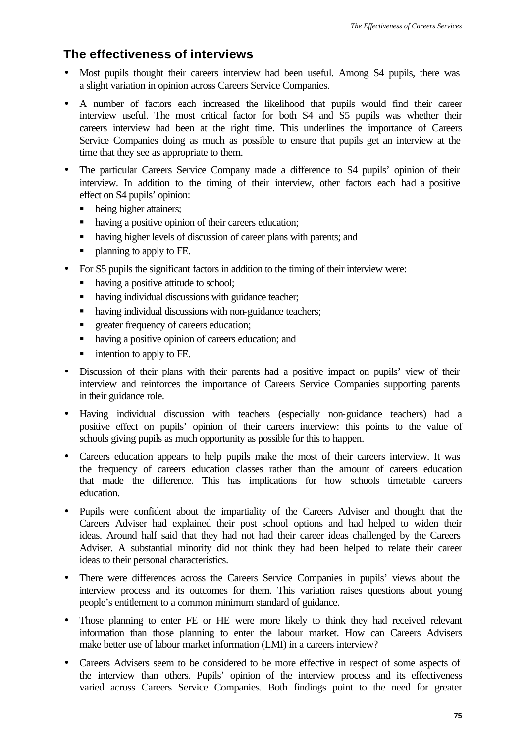# **The effectiveness of interviews**

- Most pupils thought their careers interview had been useful. Among S4 pupils, there was a slight variation in opinion across Careers Service Companies.
- A number of factors each increased the likelihood that pupils would find their career interview useful. The most critical factor for both S4 and S5 pupils was whether their careers interview had been at the right time. This underlines the importance of Careers Service Companies doing as much as possible to ensure that pupils get an interview at the time that they see as appropriate to them.
- The particular Careers Service Company made a difference to S4 pupils' opinion of their interview. In addition to the timing of their interview, other factors each had a positive effect on S4 pupils' opinion:
	- being higher attainers;
	- having a positive opinion of their careers education;
	- having higher levels of discussion of career plans with parents; and
	- planning to apply to FE.
- For S5 pupils the significant factors in addition to the timing of their interview were:
	- having a positive attitude to school;
	- having individual discussions with guidance teacher;
	- having individual discussions with non-guidance teachers;
	- **n** greater frequency of careers education;
	- having a positive opinion of careers education; and
	- $\blacksquare$  intention to apply to FE.
- Discussion of their plans with their parents had a positive impact on pupils' view of their interview and reinforces the importance of Careers Service Companies supporting parents in their guidance role.
- Having individual discussion with teachers (especially non-guidance teachers) had a positive effect on pupils' opinion of their careers interview: this points to the value of schools giving pupils as much opportunity as possible for this to happen.
- Careers education appears to help pupils make the most of their careers interview. It was the frequency of careers education classes rather than the amount of careers education that made the difference. This has implications for how schools timetable careers education.
- Pupils were confident about the impartiality of the Careers Adviser and thought that the Careers Adviser had explained their post school options and had helped to widen their ideas. Around half said that they had not had their career ideas challenged by the Careers Adviser. A substantial minority did not think they had been helped to relate their career ideas to their personal characteristics.
- There were differences across the Careers Service Companies in pupils' views about the interview process and its outcomes for them. This variation raises questions about young people's entitlement to a common minimum standard of guidance.
- Those planning to enter FE or HE were more likely to think they had received relevant information than those planning to enter the labour market. How can Careers Advisers make better use of labour market information (LMI) in a careers interview?
- Careers Advisers seem to be considered to be more effective in respect of some aspects of the interview than others. Pupils' opinion of the interview process and its effectiveness varied across Careers Service Companies. Both findings point to the need for greater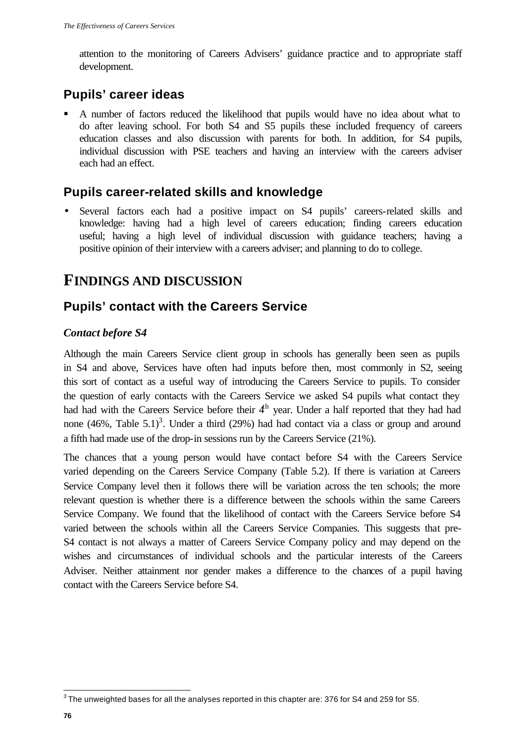attention to the monitoring of Careers Advisers' guidance practice and to appropriate staff development.

# **Pupils' career ideas**

ß A number of factors reduced the likelihood that pupils would have no idea about what to do after leaving school. For both S4 and S5 pupils these included frequency of careers education classes and also discussion with parents for both. In addition, for S4 pupils, individual discussion with PSE teachers and having an interview with the careers adviser each had an effect.

# **Pupils career-related skills and knowledge**

• Several factors each had a positive impact on S4 pupils' careers-related skills and knowledge: having had a high level of careers education; finding careers education useful; having a high level of individual discussion with guidance teachers; having a positive opinion of their interview with a careers adviser; and planning to do to college.

# **FINDINGS AND DISCUSSION**

# **Pupils' contact with the Careers Service**

### *Contact before S4*

Although the main Careers Service client group in schools has generally been seen as pupils in S4 and above, Services have often had inputs before then, most commonly in S2, seeing this sort of contact as a useful way of introducing the Careers Service to pupils. To consider the question of early contacts with the Careers Service we asked S4 pupils what contact they had had with the Careers Service before their  $4<sup>h</sup>$  year. Under a half reported that they had had none  $(46\%, 7ab \text{le } 5.1)^3$ . Under a third  $(29\%)$  had had contact via a class or group and around a fifth had made use of the drop-in sessions run by the Careers Service (21%).

The chances that a young person would have contact before S4 with the Careers Service varied depending on the Careers Service Company (Table 5.2). If there is variation at Careers Service Company level then it follows there will be variation across the ten schools; the more relevant question is whether there is a difference between the schools within the same Careers Service Company. We found that the likelihood of contact with the Careers Service before S4 varied between the schools within all the Careers Service Companies. This suggests that pre-S4 contact is not always a matter of Careers Service Company policy and may depend on the wishes and circumstances of individual schools and the particular interests of the Careers Adviser. Neither attainment nor gender makes a difference to the chances of a pupil having contact with the Careers Service before S4.

 $^3$ The unweighted bases for all the analyses reported in this chapter are: 376 for S4 and 259 for S5.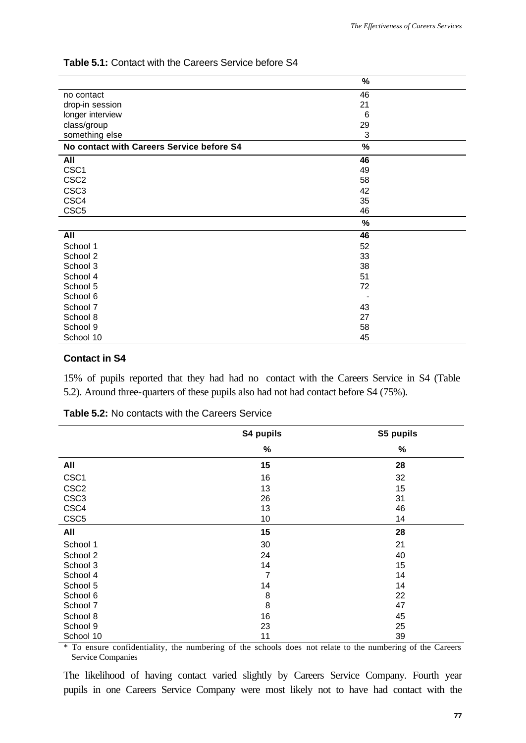|                                           | $\%$ |  |
|-------------------------------------------|------|--|
| no contact                                | 46   |  |
| drop-in session                           | 21   |  |
| longer interview                          | 6    |  |
| class/group                               | 29   |  |
| something else                            | 3    |  |
| No contact with Careers Service before S4 | $\%$ |  |
| All                                       | 46   |  |
| CSC <sub>1</sub>                          | 49   |  |
| CSC <sub>2</sub>                          | 58   |  |
| CSC <sub>3</sub>                          | 42   |  |
| CSC <sub>4</sub>                          | 35   |  |
| CSC <sub>5</sub>                          | 46   |  |
|                                           | $\%$ |  |
| All                                       | 46   |  |
| School 1                                  | 52   |  |
| School 2                                  | 33   |  |
| School 3                                  | 38   |  |
| School 4                                  | 51   |  |
| School 5                                  | 72   |  |
| School 6                                  |      |  |
| School 7                                  | 43   |  |
| School 8                                  | 27   |  |
| School 9                                  | 58   |  |
| School 10                                 | 45   |  |

#### **Table 5.1:** Contact with the Careers Service before S4

#### **Contact in S4**

15% of pupils reported that they had had no contact with the Careers Service in S4 (Table 5.2). Around three-quarters of these pupils also had not had contact before S4 (75%).

|                  | S4 pupils      | S5 pupils |
|------------------|----------------|-----------|
|                  | %              | %         |
| All              | 15             | 28        |
| CSC <sub>1</sub> | 16             | 32        |
| CSC <sub>2</sub> | 13             | 15        |
| CSC <sub>3</sub> | 26             | 31        |
| CSC <sub>4</sub> | 13             | 46        |
| CSC <sub>5</sub> | 10             | 14        |
| All              | 15             | 28        |
| School 1         | 30             | 21        |
| School 2         | 24             | 40        |
| School 3         | 14             | 15        |
| School 4         | $\overline{7}$ | 14        |
| School 5         | 14             | 14        |
| School 6         | $\,$ 8 $\,$    | 22        |
| School 7         | 8              | 47        |
| School 8         | 16             | 45        |
| School 9         | 23             | 25        |
| School 10        | 11             | 39        |

**Table 5.2:** No contacts with the Careers Service

\* To ensure confidentiality, the numbering of the schools does not relate to the numbering of the Careers Service Companies

The likelihood of having contact varied slightly by Careers Service Company. Fourth year pupils in one Careers Service Company were most likely not to have had contact with the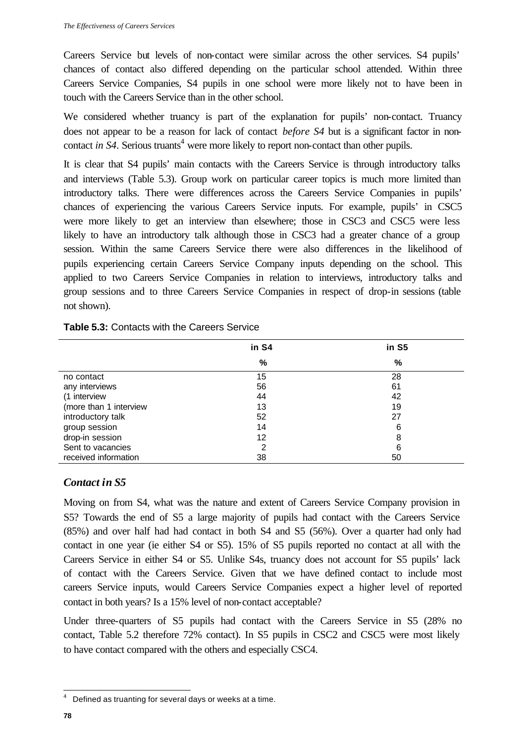Careers Service but levels of non-contact were similar across the other services. S4 pupils' chances of contact also differed depending on the particular school attended. Within three Careers Service Companies, S4 pupils in one school were more likely not to have been in touch with the Careers Service than in the other school.

We considered whether truancy is part of the explanation for pupils' non-contact. Truancy does not appear to be a reason for lack of contact *before S4* but is a significant factor in noncontact *in S4*. Serious truants<sup>4</sup> were more likely to report non-contact than other pupils.

It is clear that S4 pupils' main contacts with the Careers Service is through introductory talks and interviews (Table 5.3). Group work on particular career topics is much more limited than introductory talks. There were differences across the Careers Service Companies in pupils' chances of experiencing the various Careers Service inputs. For example, pupils' in CSC5 were more likely to get an interview than elsewhere; those in CSC3 and CSC5 were less likely to have an introductory talk although those in CSC3 had a greater chance of a group session. Within the same Careers Service there were also differences in the likelihood of pupils experiencing certain Careers Service Company inputs depending on the school. This applied to two Careers Service Companies in relation to interviews, introductory talks and group sessions and to three Careers Service Companies in respect of drop-in sessions (table not shown).

|                        | in S4 | in S5 |
|------------------------|-------|-------|
|                        | $\%$  | %     |
| no contact             | 15    | 28    |
| any interviews         | 56    | 61    |
| (1 interview           | 44    | 42    |
| (more than 1 interview | 13    | 19    |
| introductory talk      | 52    | 27    |
| group session          | 14    | 6     |
| drop-in session        | 12    | 8     |
| Sent to vacancies      | 2     | 6     |
| received information   | 38    | 50    |

#### **Table 5.3:** Contacts with the Careers Service

### *Contact in S5*

Moving on from S4, what was the nature and extent of Careers Service Company provision in S5? Towards the end of S5 a large majority of pupils had contact with the Careers Service (85%) and over half had had contact in both S4 and S5 (56%). Over a quarter had only had contact in one year (ie either S4 or S5). 15% of S5 pupils reported no contact at all with the Careers Service in either S4 or S5. Unlike S4s, truancy does not account for S5 pupils' lack of contact with the Careers Service. Given that we have defined contact to include most careers Service inputs, would Careers Service Companies expect a higher level of reported contact in both years? Is a 15% level of non-contact acceptable?

Under three-quarters of S5 pupils had contact with the Careers Service in S5 (28% no contact, Table 5.2 therefore 72% contact). In S5 pupils in CSC2 and CSC5 were most likely to have contact compared with the others and especially CSC4.

 $\overline{\phantom{a}}$  $4$  Defined as truanting for several days or weeks at a time.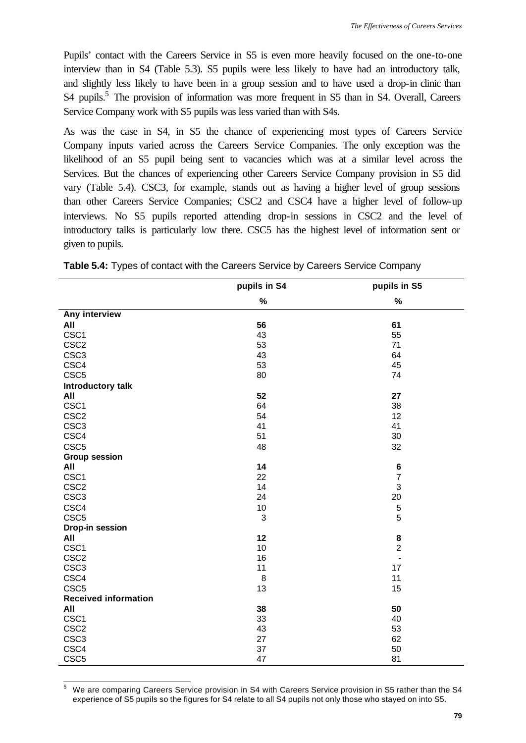Pupils' contact with the Careers Service in S5 is even more heavily focused on the one-to-one interview than in S4 (Table 5.3). S5 pupils were less likely to have had an introductory talk, and slightly less likely to have been in a group session and to have used a drop-in clinic than S4 pupils.<sup>5</sup> The provision of information was more frequent in S5 than in S4. Overall, Careers Service Company work with S5 pupils was less varied than with S4s.

As was the case in S4, in S5 the chance of experiencing most types of Careers Service Company inputs varied across the Careers Service Companies. The only exception was the likelihood of an S5 pupil being sent to vacancies which was at a similar level across the Services. But the chances of experiencing other Careers Service Company provision in S5 did vary (Table 5.4). CSC3, for example, stands out as having a higher level of group sessions than other Careers Service Companies; CSC2 and CSC4 have a higher level of follow-up interviews. No S5 pupils reported attending drop-in sessions in CSC2 and the level of introductory talks is particularly low there. CSC5 has the highest level of information sent or given to pupils.

|                             | pupils in S4 | pupils in S5   |
|-----------------------------|--------------|----------------|
|                             | $\%$         | $\%$           |
| Any interview               |              |                |
| All                         | 56           | 61             |
| CSC1                        | 43           | 55             |
| CSC <sub>2</sub>            | 53           | 71             |
| CSC <sub>3</sub>            | 43           | 64             |
| CSC <sub>4</sub>            | 53           | 45             |
| CSC <sub>5</sub>            | 80           | 74             |
| Introductory talk           |              |                |
| All                         | 52           | 27             |
| CSC1                        | 64           | 38             |
| CSC <sub>2</sub>            | 54           | 12             |
| CSC <sub>3</sub>            | 41           | 41             |
| CSC4                        | 51           | 30             |
| CSC <sub>5</sub>            | 48           | 32             |
| <b>Group session</b>        |              |                |
| All                         | 14           | $\bf 6$        |
| CSC <sub>1</sub>            | 22           | $\overline{7}$ |
| CSC <sub>2</sub>            | 14           | 3              |
| CSC <sub>3</sub>            | 24           | 20             |
| CSC4                        | 10           | $\mathbf 5$    |
| CSC <sub>5</sub>            | 3            | 5              |
| Drop-in session             |              |                |
| All                         | 12           | 8              |
| CSC <sub>1</sub>            | 10           | $\overline{2}$ |
| CSC <sub>2</sub>            | 16           |                |
| CSC <sub>3</sub>            | 11           | 17             |
| CSC4                        | 8            | 11             |
| CSC <sub>5</sub>            | 13           | 15             |
| <b>Received information</b> |              |                |
| All                         | 38           | 50             |
| CSC1                        | 33           | 40             |
| CSC <sub>2</sub>            | 43           | 53             |
| CSC <sub>3</sub>            | 27           | 62             |
| CSC4                        | 37           | 50             |
| CSC <sub>5</sub>            | 47           | 81             |

| Table 5.4: Types of contact with the Careers Service by Careers Service Company |  |  |  |  |
|---------------------------------------------------------------------------------|--|--|--|--|
|                                                                                 |  |  |  |  |

 $\overline{5}$ We are comparing Careers Service provision in S4 with Careers Service provision in S5 rather than the S4 experience of S5 pupils so the figures for S4 relate to all S4 pupils not only those who stayed on into S5.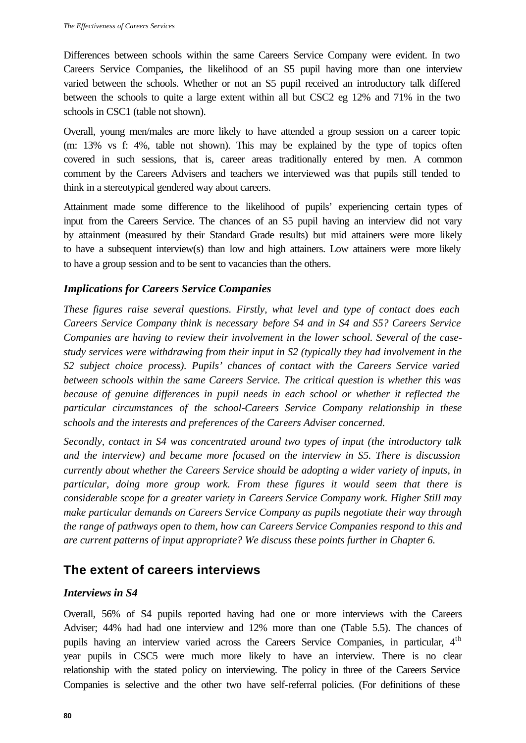Differences between schools within the same Careers Service Company were evident. In two Careers Service Companies, the likelihood of an S5 pupil having more than one interview varied between the schools. Whether or not an S5 pupil received an introductory talk differed between the schools to quite a large extent within all but CSC2 eg 12% and 71% in the two schools in CSC1 (table not shown).

Overall, young men/males are more likely to have attended a group session on a career topic (m: 13% vs f: 4%, table not shown). This may be explained by the type of topics often covered in such sessions, that is, career areas traditionally entered by men. A common comment by the Careers Advisers and teachers we interviewed was that pupils still tended to think in a stereotypical gendered way about careers.

Attainment made some difference to the likelihood of pupils' experiencing certain types of input from the Careers Service. The chances of an S5 pupil having an interview did not vary by attainment (measured by their Standard Grade results) but mid attainers were more likely to have a subsequent interview(s) than low and high attainers. Low attainers were more likely to have a group session and to be sent to vacancies than the others.

### *Implications for Careers Service Companies*

*These figures raise several questions. Firstly, what level and type of contact does each Careers Service Company think is necessary before S4 and in S4 and S5? Careers Service Companies are having to review their involvement in the lower school. Several of the casestudy services were withdrawing from their input in S2 (typically they had involvement in the S2 subject choice process). Pupils' chances of contact with the Careers Service varied between schools within the same Careers Service. The critical question is whether this was because of genuine differences in pupil needs in each school or whether it reflected the particular circumstances of the school-Careers Service Company relationship in these schools and the interests and preferences of the Careers Adviser concerned.*

*Secondly, contact in S4 was concentrated around two types of input (the introductory talk and the interview) and became more focused on the interview in S5. There is discussion currently about whether the Careers Service should be adopting a wider variety of inputs, in particular, doing more group work. From these figures it would seem that there is considerable scope for a greater variety in Careers Service Company work. Higher Still may make particular demands on Careers Service Company as pupils negotiate their way through the range of pathways open to them, how can Careers Service Companies respond to this and are current patterns of input appropriate? We discuss these points further in Chapter 6.*

# **The extent of careers interviews**

### *Interviews in S4*

Overall, 56% of S4 pupils reported having had one or more interviews with the Careers Adviser; 44% had had one interview and 12% more than one (Table 5.5). The chances of pupils having an interview varied across the Careers Service Companies, in particular, 4<sup>th</sup> year pupils in CSC5 were much more likely to have an interview. There is no clear relationship with the stated policy on interviewing. The policy in three of the Careers Service Companies is selective and the other two have self-referral policies. (For definitions of these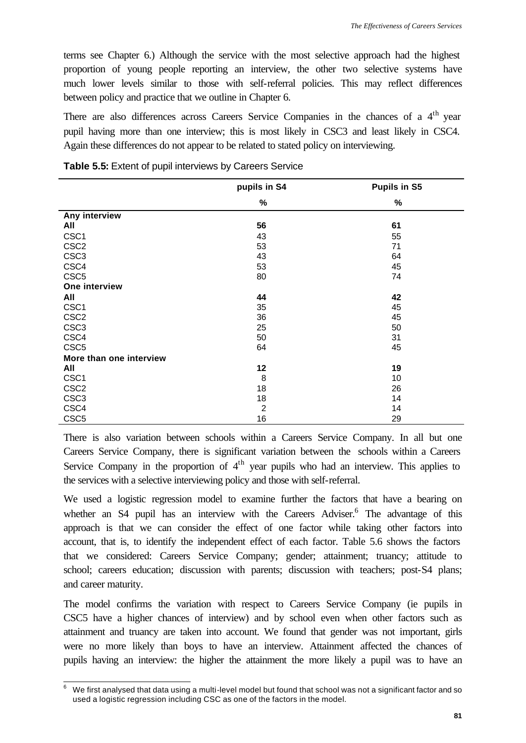terms see Chapter 6.) Although the service with the most selective approach had the highest proportion of young people reporting an interview, the other two selective systems have much lower levels similar to those with self-referral policies. This may reflect differences between policy and practice that we outline in Chapter 6.

There are also differences across Careers Service Companies in the chances of a 4<sup>th</sup> year pupil having more than one interview; this is most likely in CSC3 and least likely in CSC4. Again these differences do not appear to be related to stated policy on interviewing.

|                         | pupils in S4   | <b>Pupils in S5</b> |
|-------------------------|----------------|---------------------|
|                         | %              | $\%$                |
| Any interview           |                |                     |
| All                     | 56             | 61                  |
| CSC <sub>1</sub>        | 43             | 55                  |
| CSC <sub>2</sub>        | 53             | 71                  |
| CSC <sub>3</sub>        | 43             | 64                  |
| CSC4                    | 53             | 45                  |
| CSC <sub>5</sub>        | 80             | 74                  |
| One interview           |                |                     |
| All                     | 44             | 42                  |
| CSC <sub>1</sub>        | 35             | 45                  |
| CSC <sub>2</sub>        | 36             | 45                  |
| CSC <sub>3</sub>        | 25             | 50                  |
| CSC <sub>4</sub>        | 50             | 31                  |
| CSC <sub>5</sub>        | 64             | 45                  |
| More than one interview |                |                     |
| All                     | 12             | 19                  |
| CSC <sub>1</sub>        | 8              | 10                  |
| CSC <sub>2</sub>        | 18             | 26                  |
| CSC <sub>3</sub>        | 18             | 14                  |
| CSC <sub>4</sub>        | $\overline{2}$ | 14                  |
| CSC <sub>5</sub>        | 16             | 29                  |

**Table 5.5:** Extent of pupil interviews by Careers Service

There is also variation between schools within a Careers Service Company. In all but one Careers Service Company, there is significant variation between the schools within a Careers Service Company in the proportion of  $4<sup>th</sup>$  year pupils who had an interview. This applies to the services with a selective interviewing policy and those with self-referral.

We used a logistic regression model to examine further the factors that have a bearing on whether an S4 pupil has an interview with the Careers Adviser.<sup>6</sup> The advantage of this approach is that we can consider the effect of one factor while taking other factors into account, that is, to identify the independent effect of each factor. Table 5.6 shows the factors that we considered: Careers Service Company; gender; attainment; truancy; attitude to school; careers education; discussion with parents; discussion with teachers; post-S4 plans; and career maturity.

The model confirms the variation with respect to Careers Service Company (ie pupils in CSC5 have a higher chances of interview) and by school even when other factors such as attainment and truancy are taken into account. We found that gender was not important, girls were no more likely than boys to have an interview. Attainment affected the chances of pupils having an interview: the higher the attainment the more likely a pupil was to have an

 $\overline{\phantom{a}}$ We first analysed that data using a multi-level model but found that school was not a significant factor and so used a logistic regression including CSC as one of the factors in the model.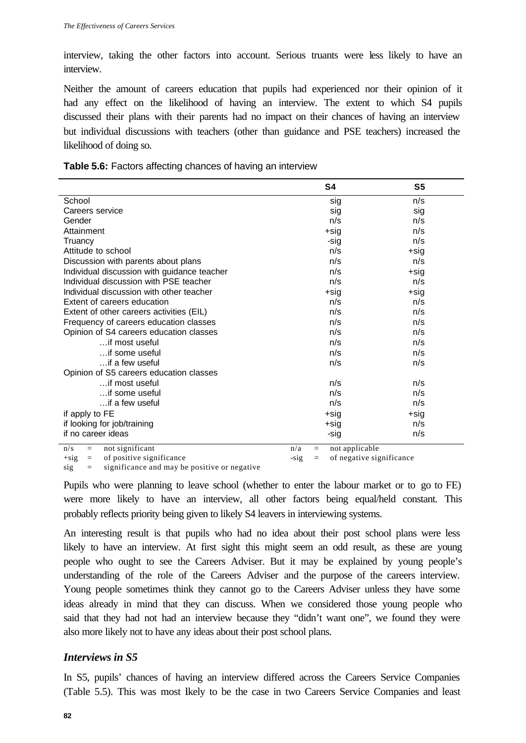interview, taking the other factors into account. Serious truants were less likely to have an interview.

Neither the amount of careers education that pupils had experienced nor their opinion of it had any effect on the likelihood of having an interview. The extent to which S4 pupils discussed their plans with their parents had no impact on their chances of having an interview but individual discussions with teachers (other than guidance and PSE teachers) increased the likelihood of doing so.

| <b>Table 5.6:</b> Factors affecting chances of having an interview |  |
|--------------------------------------------------------------------|--|
|                                                                    |  |

|                                             | S4                           | S5   |
|---------------------------------------------|------------------------------|------|
| School                                      | sig                          | n/s  |
| Careers service                             | sig                          | sig  |
| Gender                                      | n/s                          | n/s  |
| Attainment                                  | +sig                         | n/s  |
| Truancy                                     | -sig                         | n/s  |
| Attitude to school                          | n/s                          | +sig |
| Discussion with parents about plans         | n/s                          | n/s  |
| Individual discussion with guidance teacher | n/s                          | +sig |
| Individual discussion with PSE teacher      | n/s                          | n/s  |
| Individual discussion with other teacher    | +sig                         | +sig |
| Extent of careers education                 | n/s                          | n/s  |
| Extent of other careers activities (EIL)    | n/s                          | n/s  |
| Frequency of careers education classes      | n/s                          | n/s  |
| Opinion of S4 careers education classes     | n/s                          | n/s  |
| if most useful                              | n/s                          | n/s  |
| if some useful                              | n/s                          | n/s  |
| if a few useful                             | n/s                          | n/s  |
| Opinion of S5 careers education classes     |                              |      |
| if most useful                              | n/s                          | n/s  |
| if some useful                              | n/s                          | n/s  |
| if a few useful                             | n/s                          | n/s  |
| if apply to FE                              | +sig                         | +sig |
| if looking for job/training                 | +sig                         | n/s  |
| if no career ideas                          | -sig                         | n/s  |
| not significant<br>n/s<br>$=$               | not applicable<br>n/a<br>$=$ |      |

 $+sig =$  of positive significance  $-sig =$  of negative significance

 $sig =$  significance and may be positive or negative

Pupils who were planning to leave school (whether to enter the labour market or to go to FE) were more likely to have an interview, all other factors being equal/held constant. This probably reflects priority being given to likely S4 leavers in interviewing systems.

An interesting result is that pupils who had no idea about their post school plans were less likely to have an interview. At first sight this might seem an odd result, as these are young people who ought to see the Careers Adviser. But it may be explained by young people's understanding of the role of the Careers Adviser and the purpose of the careers interview. Young people sometimes think they cannot go to the Careers Adviser unless they have some ideas already in mind that they can discuss. When we considered those young people who said that they had not had an interview because they "didn't want one", we found they were also more likely not to have any ideas about their post school plans.

#### *Interviews in S5*

In S5, pupils' chances of having an interview differed across the Careers Service Companies (Table 5.5). This was most likely to be the case in two Careers Service Companies and least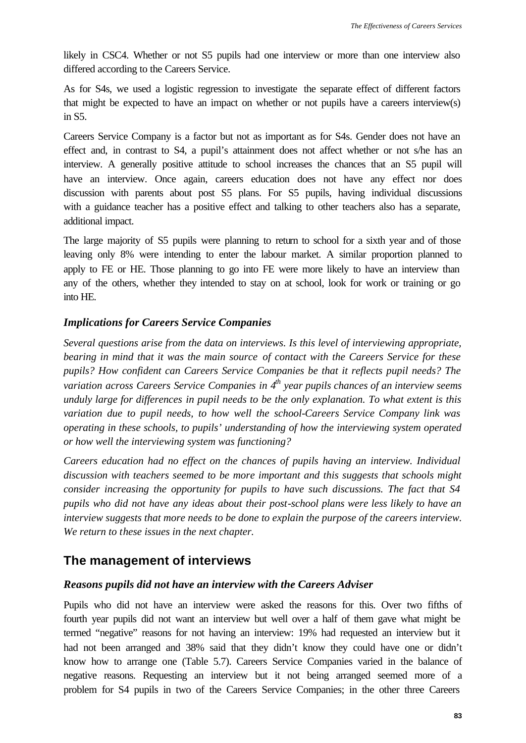likely in CSC4. Whether or not S5 pupils had one interview or more than one interview also differed according to the Careers Service.

As for S4s, we used a logistic regression to investigate the separate effect of different factors that might be expected to have an impact on whether or not pupils have a careers interview(s) in S5.

Careers Service Company is a factor but not as important as for S4s. Gender does not have an effect and, in contrast to S4, a pupil's attainment does not affect whether or not s/he has an interview. A generally positive attitude to school increases the chances that an S5 pupil will have an interview. Once again, careers education does not have any effect nor does discussion with parents about post S5 plans. For S5 pupils, having individual discussions with a guidance teacher has a positive effect and talking to other teachers also has a separate, additional impact.

The large majority of S5 pupils were planning to return to school for a sixth year and of those leaving only 8% were intending to enter the labour market. A similar proportion planned to apply to FE or HE. Those planning to go into FE were more likely to have an interview than any of the others, whether they intended to stay on at school, look for work or training or go into HE.

#### *Implications for Careers Service Companies*

*Several questions arise from the data on interviews. Is this level of interviewing appropriate, bearing in mind that it was the main source of contact with the Careers Service for these pupils? How confident can Careers Service Companies be that it reflects pupil needs? The variation across Careers Service Companies in 4th year pupils chances of an interview seems unduly large for differences in pupil needs to be the only explanation. To what extent is this variation due to pupil needs, to how well the school-Careers Service Company link was operating in these schools, to pupils' understanding of how the interviewing system operated or how well the interviewing system was functioning?*

*Careers education had no effect on the chances of pupils having an interview. Individual discussion with teachers seemed to be more important and this suggests that schools might consider increasing the opportunity for pupils to have such discussions. The fact that S4 pupils who did not have any ideas about their post-school plans were less likely to have an interview suggests that more needs to be done to explain the purpose of the careers interview. We return to these issues in the next chapter.*

### **The management of interviews**

#### *Reasons pupils did not have an interview with the Careers Adviser*

Pupils who did not have an interview were asked the reasons for this. Over two fifths of fourth year pupils did not want an interview but well over a half of them gave what might be termed "negative" reasons for not having an interview: 19% had requested an interview but it had not been arranged and 38% said that they didn't know they could have one or didn't know how to arrange one (Table 5.7). Careers Service Companies varied in the balance of negative reasons. Requesting an interview but it not being arranged seemed more of a problem for S4 pupils in two of the Careers Service Companies; in the other three Careers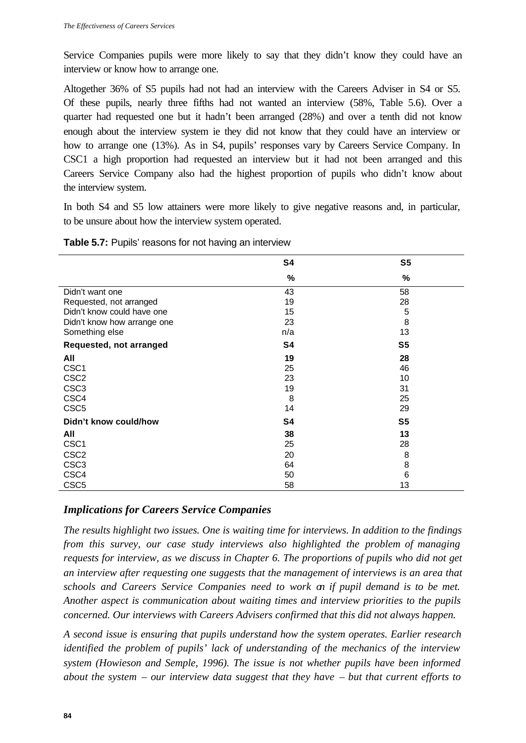Service Companies pupils were more likely to say that they didn't know they could have an interview or know how to arrange one.

Altogether 36% of S5 pupils had not had an interview with the Careers Adviser in S4 or S5. Of these pupils, nearly three fifths had not wanted an interview (58%, Table 5.6). Over a quarter had requested one but it hadn't been arranged (28%) and over a tenth did not know enough about the interview system ie they did not know that they could have an interview or how to arrange one (13%). As in S4, pupils' responses vary by Careers Service Company. In CSC1 a high proportion had requested an interview but it had not been arranged and this Careers Service Company also had the highest proportion of pupils who didn't know about the interview system.

In both S4 and S5 low attainers were more likely to give negative reasons and, in particular, to be unsure about how the interview system operated.

|                             | S4   | S <sub>5</sub> |
|-----------------------------|------|----------------|
|                             | $\%$ | $\%$           |
| Didn't want one             | 43   | 58             |
| Requested, not arranged     | 19   | 28             |
| Didn't know could have one  | 15   | 5              |
| Didn't know how arrange one | 23   | 8              |
| Something else              | n/a  | 13             |
| Requested, not arranged     | S4   | S <sub>5</sub> |
| All                         | 19   | 28             |
| CSC <sub>1</sub>            | 25   | 46             |
| CSC <sub>2</sub>            | 23   | 10             |
| CSC <sub>3</sub>            | 19   | 31             |
| CSC <sub>4</sub>            | 8    | 25             |
| CSC <sub>5</sub>            | 14   | 29             |
| Didn't know could/how       | S4   | S <sub>5</sub> |
| All                         | 38   | 13             |
| CSC <sub>1</sub>            | 25   | 28             |
| CSC <sub>2</sub>            | 20   | 8              |
| CSC <sub>3</sub>            | 64   | 8              |
| CSC <sub>4</sub>            | 50   | 6              |
| CSC <sub>5</sub>            | 58   | 13             |

**Table 5.7:** Pupils' reasons for not having an interview

### *Implications for Careers Service Companies*

*The results highlight two issues. One is waiting time for interviews. In addition to the findings from this survey, our case study interviews also highlighted the problem of managing requests for interview, as we discuss in Chapter 6. The proportions of pupils who did not get an interview after requesting one suggests that the management of interviews is an area that schools and Careers Service Companies need to work on if pupil demand is to be met. Another aspect is communication about waiting times and interview priorities to the pupils concerned. Our interviews with Careers Advisers confirmed that this did not always happen.* 

*A second issue is ensuring that pupils understand how the system operates. Earlier research identified the problem of pupils' lack of understanding of the mechanics of the interview system (Howieson and Semple, 1996). The issue is not whether pupils have been informed about the system – our interview data suggest that they have – but that current efforts to*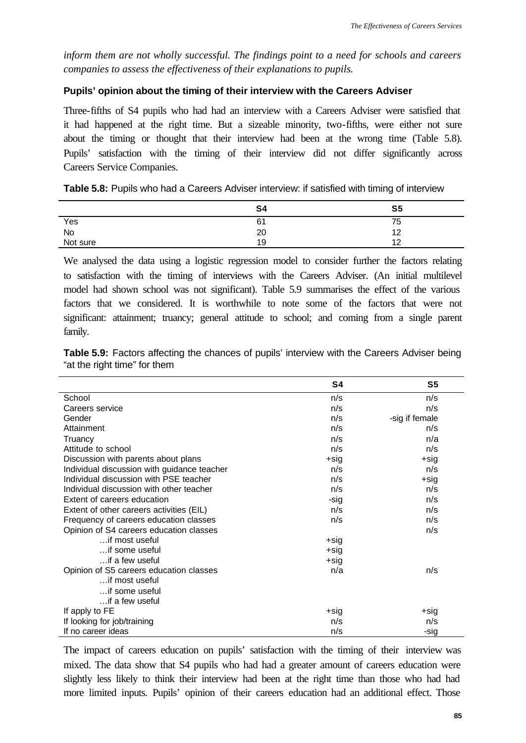*inform them are not wholly successful. The findings point to a need for schools and careers companies to assess the effectiveness of their explanations to pupils.* 

#### **Pupils' opinion about the timing of their interview with the Careers Adviser**

Three-fifths of S4 pupils who had had an interview with a Careers Adviser were satisfied that it had happened at the right time. But a sizeable minority, two-fifths, were either not sure about the timing or thought that their interview had been at the wrong time (Table 5.8). Pupils' satisfaction with the timing of their interview did not differ significantly across Careers Service Companies.

| Table 5.8: Pupils who had a Careers Adviser interview: if satisfied with timing of interview |  |  |
|----------------------------------------------------------------------------------------------|--|--|
|----------------------------------------------------------------------------------------------|--|--|

|          | S4 | S <sub>5</sub> |
|----------|----|----------------|
| Yes      | 61 | 75             |
| No       | 20 | 40<br>$-$      |
| Not sure | 19 | 40<br>. .      |

We analysed the data using a logistic regression model to consider further the factors relating to satisfaction with the timing of interviews with the Careers Adviser. (An initial multilevel model had shown school was not significant). Table 5.9 summarises the effect of the various factors that we considered. It is worthwhile to note some of the factors that were not significant: attainment; truancy; general attitude to school; and coming from a single parent family.

**Table 5.9:** Factors affecting the chances of pupils' interview with the Careers Adviser being "at the right time" for them

|                                             | S4   | S <sub>5</sub> |
|---------------------------------------------|------|----------------|
| School                                      | n/s  | n/s            |
| Careers service                             | n/s  | n/s            |
| Gender                                      | n/s  | -sig if female |
| Attainment                                  | n/s  | n/s            |
| Truancy                                     | n/s  | n/a            |
| Attitude to school                          | n/s  | n/s            |
| Discussion with parents about plans         | +sig | +sig           |
| Individual discussion with guidance teacher | n/s  | n/s            |
| Individual discussion with PSE teacher      | n/s  | +sig           |
| Individual discussion with other teacher    | n/s  | n/s            |
| Extent of careers education                 | -sig | n/s            |
| Extent of other careers activities (EIL)    | n/s  | n/s            |
| Frequency of careers education classes      | n/s  | n/s            |
| Opinion of S4 careers education classes     |      | n/s            |
| if most useful                              | +sig |                |
| if some useful                              | +sig |                |
| if a few useful                             | +sig |                |
| Opinion of S5 careers education classes     | n/a  | n/s            |
| if most useful                              |      |                |
| if some useful                              |      |                |
| if a few useful                             |      |                |
| If apply to FE                              | +sig | +sig           |
| If looking for job/training                 | n/s  | n/s            |
| If no career ideas                          | n/s  | -sig           |

The impact of careers education on pupils' satisfaction with the timing of their interview was mixed. The data show that S4 pupils who had had a greater amount of careers education were slightly less likely to think their interview had been at the right time than those who had had more limited inputs. Pupils' opinion of their careers education had an additional effect. Those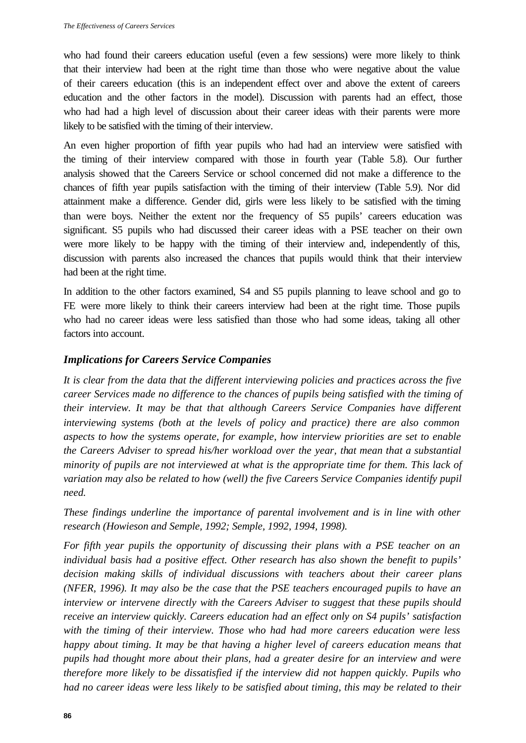who had found their careers education useful (even a few sessions) were more likely to think that their interview had been at the right time than those who were negative about the value of their careers education (this is an independent effect over and above the extent of careers education and the other factors in the model). Discussion with parents had an effect, those who had had a high level of discussion about their career ideas with their parents were more likely to be satisfied with the timing of their interview.

An even higher proportion of fifth year pupils who had had an interview were satisfied with the timing of their interview compared with those in fourth year (Table 5.8). Our further analysis showed that the Careers Service or school concerned did not make a difference to the chances of fifth year pupils satisfaction with the timing of their interview (Table 5.9). Nor did attainment make a difference. Gender did, girls were less likely to be satisfied with the timing than were boys. Neither the extent nor the frequency of S5 pupils' careers education was significant. S5 pupils who had discussed their career ideas with a PSE teacher on their own were more likely to be happy with the timing of their interview and, independently of this, discussion with parents also increased the chances that pupils would think that their interview had been at the right time.

In addition to the other factors examined, S4 and S5 pupils planning to leave school and go to FE were more likely to think their careers interview had been at the right time. Those pupils who had no career ideas were less satisfied than those who had some ideas, taking all other factors into account.

### *Implications for Careers Service Companies*

*It is clear from the data that the different interviewing policies and practices across the five career Services made no difference to the chances of pupils being satisfied with the timing of their interview. It may be that that although Careers Service Companies have different interviewing systems (both at the levels of policy and practice) there are also common aspects to how the systems operate, for example, how interview priorities are set to enable the Careers Adviser to spread his/her workload over the year, that mean that a substantial minority of pupils are not interviewed at what is the appropriate time for them. This lack of variation may also be related to how (well) the five Careers Service Companies identify pupil need.*

*These findings underline the importance of parental involvement and is in line with other research (Howieson and Semple, 1992; Semple, 1992, 1994, 1998).*

*For fifth year pupils the opportunity of discussing their plans with a PSE teacher on an individual basis had a positive effect. Other research has also shown the benefit to pupils' decision making skills of individual discussions with teachers about their career plans (NFER, 1996). It may also be the case that the PSE teachers encouraged pupils to have an interview or intervene directly with the Careers Adviser to suggest that these pupils should receive an interview quickly. Careers education had an effect only on S4 pupils' satisfaction with the timing of their interview. Those who had had more careers education were less happy about timing. It may be that having a higher level of careers education means that pupils had thought more about their plans, had a greater desire for an interview and were therefore more likely to be dissatisfied if the interview did not happen quickly. Pupils who had no career ideas were less likely to be satisfied about timing, this may be related to their*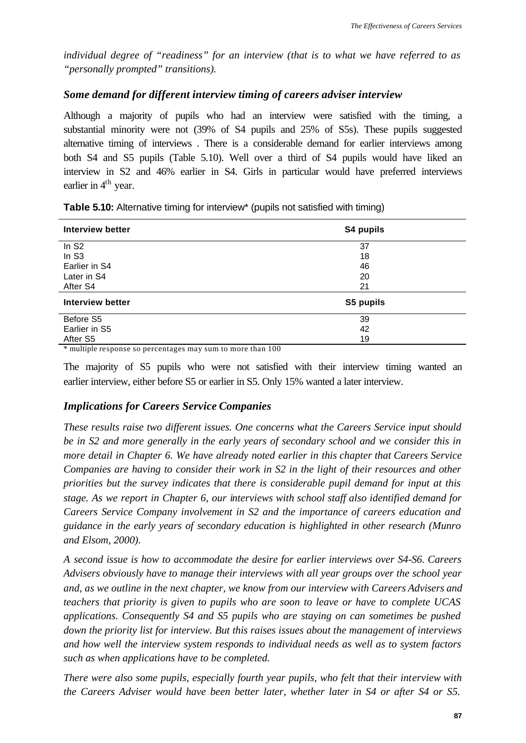*individual degree of "readiness" for an interview (that is to what we have referred to as "personally prompted" transitions).*

### *Some demand for different interview timing of careers adviser interview*

Although a majority of pupils who had an interview were satisfied with the timing, a substantial minority were not (39% of S4 pupils and 25% of S5s). These pupils suggested alternative timing of interviews . There is a considerable demand for earlier interviews among both S4 and S5 pupils (Table 5.10). Well over a third of S4 pupils would have liked an interview in S2 and 46% earlier in S4. Girls in particular would have preferred interviews earlier in  $4<sup>th</sup>$  year.

| <b>Interview better</b>                                        | S4 pupils               |  |
|----------------------------------------------------------------|-------------------------|--|
| In $S2$                                                        | 37                      |  |
| In S3                                                          | 18                      |  |
| Earlier in S4                                                  | 46                      |  |
| Later in S4                                                    | 20                      |  |
| After S4                                                       | 21                      |  |
| <b>Interview better</b>                                        | S5 pupils               |  |
| Before S5                                                      | 39                      |  |
| Earlier in S5                                                  | 42                      |  |
| After S5                                                       | 19                      |  |
| $-4x$ $-1x$ $+1$<br><b>Contract Contract Contract Contract</b> | $\sqrt{1}$ $\sqrt{100}$ |  |

| Table 5.10: Alternative timing for interview* (pupils not satisfied with timing) |  |  |  |
|----------------------------------------------------------------------------------|--|--|--|
|                                                                                  |  |  |  |

\* multiple response so percentages may sum to more than 100

The majority of S5 pupils who were not satisfied with their interview timing wanted an earlier interview, either before S5 or earlier in S5. Only 15% wanted a later interview.

### *Implications for Careers Service Companies*

*These results raise two different issues. One concerns what the Careers Service input should be in S2 and more generally in the early years of secondary school and we consider this in more detail in Chapter 6. We have already noted earlier in this chapter that Careers Service Companies are having to consider their work in S2 in the light of their resources and other priorities but the survey indicates that there is considerable pupil demand for input at this stage. As we report in Chapter 6, our interviews with school staff also identified demand for Careers Service Company involvement in S2 and the importance of careers education and guidance in the early years of secondary education is highlighted in other research (Munro and Elsom, 2000).* 

*A second issue is how to accommodate the desire for earlier interviews over S4-S6. Careers Advisers obviously have to manage their interviews with all year groups over the school year and, as we outline in the next chapter, we know from our interview with Careers Advisers and teachers that priority is given to pupils who are soon to leave or have to complete UCAS applications. Consequently S4 and S5 pupils who are staying on can sometimes be pushed down the priority list for interview. But this raises issues about the management of interviews and how well the interview system responds to individual needs as well as to system factors such as when applications have to be completed.* 

*There were also some pupils, especially fourth year pupils, who felt that their interview with the Careers Adviser would have been better later, whether later in S4 or after S4 or S5.*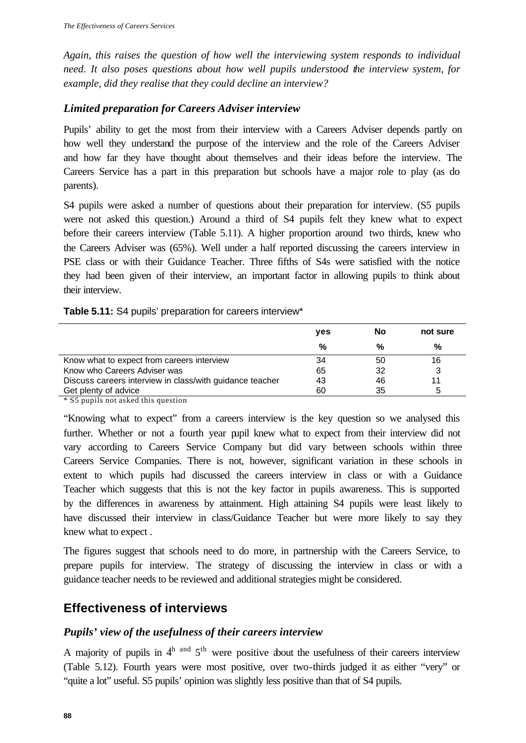*Again, this raises the question of how well the interviewing system responds to individual need. It also poses questions about how well pupils understood the interview system, for example, did they realise that they could decline an interview?*

### *Limited preparation for Careers Adviser interview*

Pupils' ability to get the most from their interview with a Careers Adviser depends partly on how well they understand the purpose of the interview and the role of the Careers Adviser and how far they have thought about themselves and their ideas before the interview. The Careers Service has a part in this preparation but schools have a major role to play (as do parents).

S4 pupils were asked a number of questions about their preparation for interview. (S5 pupils were not asked this question.) Around a third of S4 pupils felt they knew what to expect before their careers interview (Table 5.11). A higher proportion around two thirds, knew who the Careers Adviser was (65%). Well under a half reported discussing the careers interview in PSE class or with their Guidance Teacher. Three fifths of S4s were satisfied with the notice they had been given of their interview, an important factor in allowing pupils to think about their interview.

**Table 5.11:** S4 pupils' preparation for careers interview\*

|                                                          | <b>ves</b> | No  | not sure |
|----------------------------------------------------------|------------|-----|----------|
|                                                          | %          | %   | %        |
| Know what to expect from careers interview               | 34         | 50  | 16       |
| Know who Careers Adviser was                             | 65         | -32 |          |
| Discuss careers interview in class/with guidance teacher | 43         | 46  |          |
| Get plenty of advice                                     | 60         | 35  |          |

\* S5 pupils not asked this question

"Knowing what to expect" from a careers interview is the key question so we analysed this further. Whether or not a fourth year pupil knew what to expect from their interview did not vary according to Careers Service Company but did vary between schools within three Careers Service Companies. There is not, however, significant variation in these schools in extent to which pupils had discussed the careers interview in class or with a Guidance Teacher which suggests that this is not the key factor in pupils awareness. This is supported by the differences in awareness by attainment. High attaining S4 pupils were least likely to have discussed their interview in class/Guidance Teacher but were more likely to say they knew what to expect .

The figures suggest that schools need to do more, in partnership with the Careers Service, to prepare pupils for interview. The strategy of discussing the interview in class or with a guidance teacher needs to be reviewed and additional strategies might be considered.

# **Effectiveness of interviews**

### *Pupils' view of the usefulness of their careers interview*

A majority of pupils in  $4^h$  and  $5^h$  were positive about the usefulness of their careers interview (Table 5.12). Fourth years were most positive, over two-thirds judged it as either "very" or "quite a lot" useful. S5 pupils' opinion was slightly less positive than that of S4 pupils.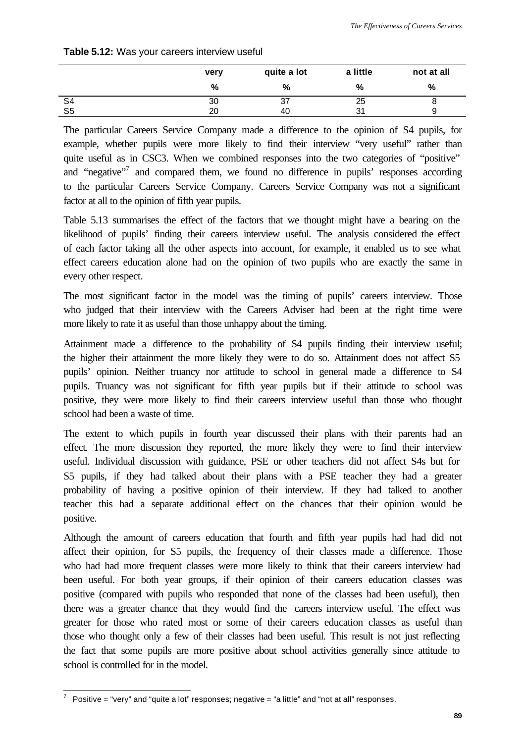|                | very | quite a lot | a little | not at all |
|----------------|------|-------------|----------|------------|
|                | %    | %           | %        | %          |
| S4             | 30   | 37          | 25       |            |
| S <sub>5</sub> | 20   | 40          | 21       |            |

**Table 5.12:** Was your careers interview useful

The particular Careers Service Company made a difference to the opinion of S4 pupils, for example, whether pupils were more likely to find their interview "very useful" rather than quite useful as in CSC3. When we combined responses into the two categories of "positive" and "negative"<sup>7</sup> and compared them, we found no difference in pupils' responses according to the particular Careers Service Company. Careers Service Company was not a significant factor at all to the opinion of fifth year pupils.

Table 5.13 summarises the effect of the factors that we thought might have a bearing on the likelihood of pupils' finding their careers interview useful. The analysis considered the effect of each factor taking all the other aspects into account, for example, it enabled us to see what effect careers education alone had on the opinion of two pupils who are exactly the same in every other respect.

The most significant factor in the model was the timing of pupils' careers interview. Those who judged that their interview with the Careers Adviser had been at the right time were more likely to rate it as useful than those unhappy about the timing.

Attainment made a difference to the probability of S4 pupils finding their interview useful; the higher their attainment the more likely they were to do so. Attainment does not affect S5 pupils' opinion. Neither truancy nor attitude to school in general made a difference to S4 pupils. Truancy was not significant for fifth year pupils but if their attitude to school was positive, they were more likely to find their careers interview useful than those who thought school had been a waste of time.

The extent to which pupils in fourth year discussed their plans with their parents had an effect. The more discussion they reported, the more likely they were to find their interview useful. Individual discussion with guidance, PSE or other teachers did not affect S4s but for S5 pupils, if they had talked about their plans with a PSE teacher they had a greater probability of having a positive opinion of their interview. If they had talked to another teacher this had a separate additional effect on the chances that their opinion would be positive.

Although the amount of careers education that fourth and fifth year pupils had had did not affect their opinion, for S5 pupils, the frequency of their classes made a difference. Those who had had more frequent classes were more likely to think that their careers interview had been useful. For both year groups, if their opinion of their careers education classes was positive (compared with pupils who responded that none of the classes had been useful), then there was a greater chance that they would find the careers interview useful. The effect was greater for those who rated most or some of their careers education classes as useful than those who thought only a few of their classes had been useful. This result is not just reflecting the fact that some pupils are more positive about school activities generally since attitude to school is controlled for in the model.

 $\overline{a}$  $7$  Positive = "very" and "quite a lot" responses; negative = "a little" and "not at all" responses.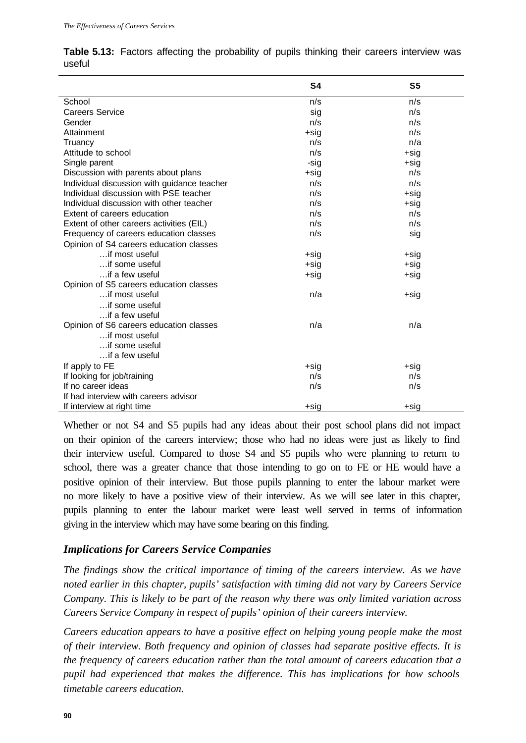|                                             | S <sub>4</sub> | S <sub>5</sub> |
|---------------------------------------------|----------------|----------------|
| School                                      | n/s            | n/s            |
| <b>Careers Service</b>                      | sig            | n/s            |
| Gender                                      | n/s            | n/s            |
| Attainment                                  | +sig           | n/s            |
| Truancy                                     | n/s            | n/a            |
| Attitude to school                          | n/s            | +sig           |
| Single parent                               | -sig           | +sig           |
| Discussion with parents about plans         | +sig           | n/s            |
| Individual discussion with guidance teacher | n/s            | n/s            |
| Individual discussion with PSE teacher      | n/s            | $+$ sig        |
| Individual discussion with other teacher    | n/s            | +sig           |
| Extent of careers education                 | n/s            | n/s            |
| Extent of other careers activities (EIL)    | n/s            | n/s            |
| Frequency of careers education classes      | n/s            | sig            |
| Opinion of S4 careers education classes     |                |                |
| if most useful                              | +sig           | +sig           |
| if some useful                              | +sig           | +sig           |
| if a few useful                             | +sig           | +sig           |
| Opinion of S5 careers education classes     |                |                |
| if most useful                              | n/a            | +sig           |
| if some useful                              |                |                |
| if a few useful                             |                |                |
| Opinion of S6 careers education classes     | n/a            | n/a            |
| if most useful                              |                |                |
| if some useful                              |                |                |
| if a few useful                             |                |                |
| If apply to FE                              | +sig           | +sig           |
| If looking for job/training                 | n/s            | n/s            |
| If no career ideas                          | n/s            | n/s            |
| If had interview with careers advisor       |                |                |
| If interview at right time                  | +sig           | +sig           |

**Table 5.13:** Factors affecting the probability of pupils thinking their careers interview was useful

Whether or not S4 and S5 pupils had any ideas about their post school plans did not impact on their opinion of the careers interview; those who had no ideas were just as likely to find their interview useful. Compared to those S4 and S5 pupils who were planning to return to school, there was a greater chance that those intending to go on to FE or HE would have a positive opinion of their interview. But those pupils planning to enter the labour market were no more likely to have a positive view of their interview. As we will see later in this chapter, pupils planning to enter the labour market were least well served in terms of information giving in the interview which may have some bearing on this finding.

#### *Implications for Careers Service Companies*

*The findings show the critical importance of timing of the careers interview. As we have noted earlier in this chapter, pupils' satisfaction with timing did not vary by Careers Service Company. This is likely to be part of the reason why there was only limited variation across Careers Service Company in respect of pupils' opinion of their careers interview.* 

*Careers education appears to have a positive effect on helping young people make the most of their interview. Both frequency and opinion of classes had separate positive effects. It is the frequency of careers education rather than the total amount of careers education that a pupil had experienced that makes the difference. This has implications for how schools timetable careers education.*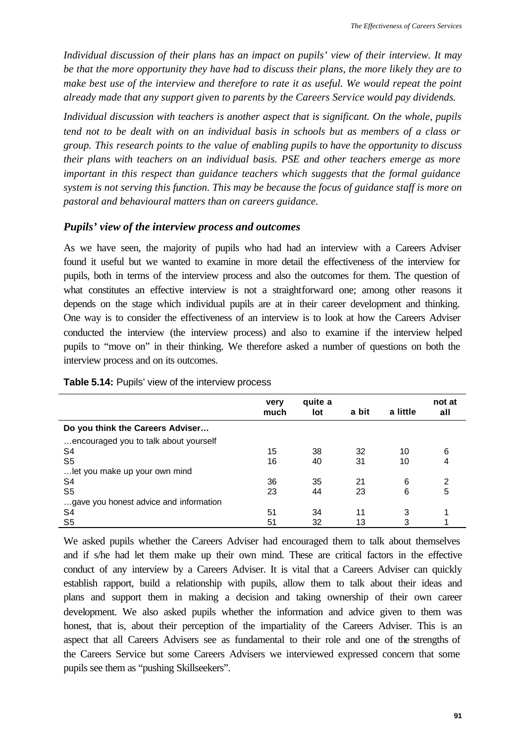*Individual discussion of their plans has an impact on pupils' view of their interview. It may be that the more opportunity they have had to discuss their plans, the more likely they are to make best use of the interview and therefore to rate it as useful. We would repeat the point already made that any support given to parents by the Careers Service would pay dividends.* 

*Individual discussion with teachers is another aspect that is significant. On the whole, pupils tend not to be dealt with on an individual basis in schools but as members of a class or group. This research points to the value of enabling pupils to have the opportunity to discuss their plans with teachers on an individual basis. PSE and other teachers emerge as more important in this respect than guidance teachers which suggests that the formal guidance system is not serving this function. This may be because the focus of guidance staff is more on pastoral and behavioural matters than on careers guidance.*

### *Pupils' view of the interview process and outcomes*

As we have seen, the majority of pupils who had had an interview with a Careers Adviser found it useful but we wanted to examine in more detail the effectiveness of the interview for pupils, both in terms of the interview process and also the outcomes for them. The question of what constitutes an effective interview is not a straightforward one; among other reasons it depends on the stage which individual pupils are at in their career development and thinking. One way is to consider the effectiveness of an interview is to look at how the Careers Adviser conducted the interview (the interview process) and also to examine if the interview helped pupils to "move on" in their thinking. We therefore asked a number of questions on both the interview process and on its outcomes.

|                                        | very<br>much | quite a<br>lot | a bit | a little | not at<br>all |
|----------------------------------------|--------------|----------------|-------|----------|---------------|
| Do you think the Careers Adviser       |              |                |       |          |               |
| encouraged you to talk about yourself  |              |                |       |          |               |
| S4                                     | 15           | 38             | 32    | 10       | 6             |
| S5                                     | 16           | 40             | 31    | 10       | 4             |
| let you make up your own mind          |              |                |       |          |               |
| S4                                     | 36           | 35             | 21    | 6        | 2             |
| S <sub>5</sub>                         | 23           | 44             | 23    | 6        | 5             |
| gave you honest advice and information |              |                |       |          |               |
| S <sub>4</sub>                         | 51           | 34             | 11    | 3        |               |
| S <sub>5</sub>                         | 51           | 32             | 13    | 3        |               |

| Table 5.14: Pupils' view of the interview process |  |
|---------------------------------------------------|--|
|---------------------------------------------------|--|

We asked pupils whether the Careers Adviser had encouraged them to talk about themselves and if s/he had let them make up their own mind. These are critical factors in the effective conduct of any interview by a Careers Adviser. It is vital that a Careers Adviser can quickly establish rapport, build a relationship with pupils, allow them to talk about their ideas and plans and support them in making a decision and taking ownership of their own career development. We also asked pupils whether the information and advice given to them was honest, that is, about their perception of the impartiality of the Careers Adviser. This is an aspect that all Careers Advisers see as fundamental to their role and one of the strengths of the Careers Service but some Careers Advisers we interviewed expressed concern that some pupils see them as "pushing Skillseekers".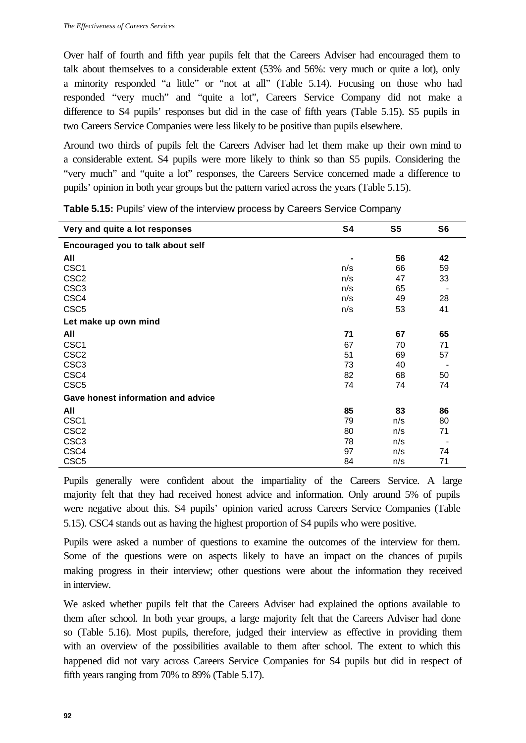Over half of fourth and fifth year pupils felt that the Careers Adviser had encouraged them to talk about themselves to a considerable extent (53% and 56%: very much or quite a lot), only a minority responded "a little" or "not at all" (Table 5.14). Focusing on those who had responded "very much" and "quite a lot", Careers Service Company did not make a difference to S4 pupils' responses but did in the case of fifth years (Table 5.15). S5 pupils in two Careers Service Companies were less likely to be positive than pupils elsewhere.

Around two thirds of pupils felt the Careers Adviser had let them make up their own mind to a considerable extent. S4 pupils were more likely to think so than S5 pupils. Considering the "very much" and "quite a lot" responses, the Careers Service concerned made a difference to pupils' opinion in both year groups but the pattern varied across the years (Table 5.15).

| Very and quite a lot responses     | <b>S4</b> | S <sub>5</sub> | S <sub>6</sub> |
|------------------------------------|-----------|----------------|----------------|
| Encouraged you to talk about self  |           |                |                |
| All                                |           | 56             | 42             |
| CSC <sub>1</sub>                   | n/s       | 66             | 59             |
| CSC <sub>2</sub>                   | n/s       | 47             | 33             |
| CSC <sub>3</sub>                   | n/s       | 65             |                |
| CSC4                               | n/s       | 49             | 28             |
| CSC <sub>5</sub>                   | n/s       | 53             | 41             |
| Let make up own mind               |           |                |                |
| All                                | 71        | 67             | 65             |
| CSC <sub>1</sub>                   | 67        | 70             | 71             |
| CSC <sub>2</sub>                   | 51        | 69             | 57             |
| CSC <sub>3</sub>                   | 73        | 40             |                |
| CSC4                               | 82        | 68             | 50             |
| CSC <sub>5</sub>                   | 74        | 74             | 74             |
| Gave honest information and advice |           |                |                |
| All                                | 85        | 83             | 86             |
| CSC <sub>1</sub>                   | 79        | n/s            | 80             |
| CSC <sub>2</sub>                   | 80        | n/s            | 71             |
| CSC <sub>3</sub>                   | 78        | n/s            |                |
| CSC <sub>4</sub>                   | 97        | n/s            | 74             |
| CSC <sub>5</sub>                   | 84        | n/s            | 71             |

**Table 5.15:** Pupils' view of the interview process by Careers Service Company

Pupils generally were confident about the impartiality of the Careers Service. A large majority felt that they had received honest advice and information. Only around 5% of pupils were negative about this. S4 pupils' opinion varied across Careers Service Companies (Table 5.15). CSC4 stands out as having the highest proportion of S4 pupils who were positive.

Pupils were asked a number of questions to examine the outcomes of the interview for them. Some of the questions were on aspects likely to have an impact on the chances of pupils making progress in their interview; other questions were about the information they received in interview.

We asked whether pupils felt that the Careers Adviser had explained the options available to them after school. In both year groups, a large majority felt that the Careers Adviser had done so (Table 5.16). Most pupils, therefore, judged their interview as effective in providing them with an overview of the possibilities available to them after school. The extent to which this happened did not vary across Careers Service Companies for S4 pupils but did in respect of fifth years ranging from 70% to 89% (Table 5.17).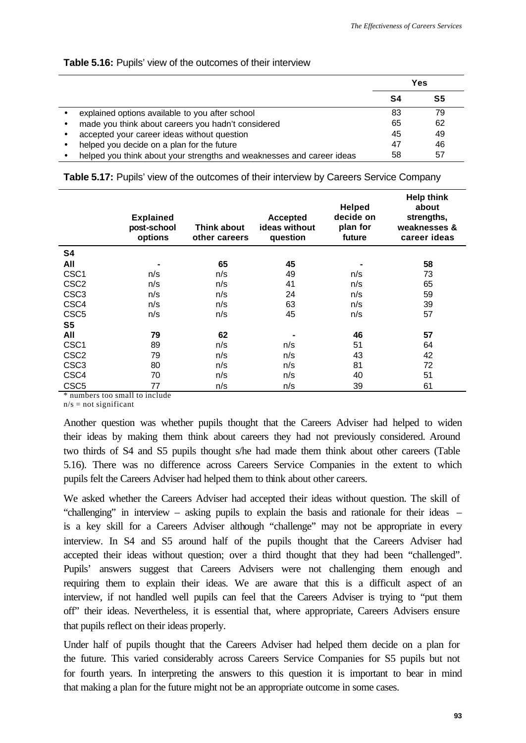| Table 5.16: Pupils' view of the outcomes of their interview |  |  |
|-------------------------------------------------------------|--|--|
|-------------------------------------------------------------|--|--|

|           |                                                                       | Yes |    |
|-----------|-----------------------------------------------------------------------|-----|----|
|           |                                                                       | S4  | S5 |
|           | explained options available to you after school                       | 83  | 79 |
|           | made you think about careers you hadn't considered                    | 65  | 62 |
| $\bullet$ | accepted your career ideas without question                           | 45  | 49 |
| $\bullet$ | helped you decide on a plan for the future                            | 47  | 46 |
|           | helped you think about your strengths and weaknesses and career ideas | 58  | 57 |

| Table 5.17: Pupils' view of the outcomes of their interview by Careers Service Company |  |  |  |  |
|----------------------------------------------------------------------------------------|--|--|--|--|
|----------------------------------------------------------------------------------------|--|--|--|--|

|                  | <b>Explained</b><br>post-school<br>options | Think about<br>other careers | <b>Accepted</b><br>ideas without<br>question | <b>Helped</b><br>decide on<br>plan for<br>future | <b>Help think</b><br>about<br>strengths,<br>weaknesses &<br>career ideas |
|------------------|--------------------------------------------|------------------------------|----------------------------------------------|--------------------------------------------------|--------------------------------------------------------------------------|
| S4               |                                            |                              |                                              |                                                  |                                                                          |
| All              |                                            | 65                           | 45                                           |                                                  | 58                                                                       |
| CSC <sub>1</sub> | n/s                                        | n/s                          | 49                                           | n/s                                              | 73                                                                       |
| CSC <sub>2</sub> | n/s                                        | n/s                          | 41                                           | n/s                                              | 65                                                                       |
| CSC <sub>3</sub> | n/s                                        | n/s                          | 24                                           | n/s                                              | 59                                                                       |
| CSC <sub>4</sub> | n/s                                        | n/s                          | 63                                           | n/s                                              | 39                                                                       |
| CSC <sub>5</sub> | n/s                                        | n/s                          | 45                                           | n/s                                              | 57                                                                       |
| S <sub>5</sub>   |                                            |                              |                                              |                                                  |                                                                          |
| All              | 79                                         | 62                           |                                              | 46                                               | 57                                                                       |
| CSC <sub>1</sub> | 89                                         | n/s                          | n/s                                          | 51                                               | 64                                                                       |
| CSC <sub>2</sub> | 79                                         | n/s                          | n/s                                          | 43                                               | 42                                                                       |
| CSC <sub>3</sub> | 80                                         | n/s                          | n/s                                          | 81                                               | 72                                                                       |
| CSC <sub>4</sub> | 70                                         | n/s                          | n/s                                          | 40                                               | 51                                                                       |
| CSC <sub>5</sub> | 77                                         | n/s                          | n/s                                          | 39                                               | 61                                                                       |

\* numbers too small to include

 $n/s = not significant$ 

Another question was whether pupils thought that the Careers Adviser had helped to widen their ideas by making them think about careers they had not previously considered. Around two thirds of S4 and S5 pupils thought s/he had made them think about other careers (Table 5.16). There was no difference across Careers Service Companies in the extent to which pupils felt the Careers Adviser had helped them to think about other careers.

We asked whether the Careers Adviser had accepted their ideas without question. The skill of "challenging" in interview – asking pupils to explain the basis and rationale for their ideas – is a key skill for a Careers Adviser although "challenge" may not be appropriate in every interview. In S4 and S5 around half of the pupils thought that the Careers Adviser had accepted their ideas without question; over a third thought that they had been "challenged". Pupils' answers suggest that Careers Advisers were not challenging them enough and requiring them to explain their ideas. We are aware that this is a difficult aspect of an interview, if not handled well pupils can feel that the Careers Adviser is trying to "put them off" their ideas. Nevertheless, it is essential that, where appropriate, Careers Advisers ensure that pupils reflect on their ideas properly.

Under half of pupils thought that the Careers Adviser had helped them decide on a plan for the future. This varied considerably across Careers Service Companies for S5 pupils but not for fourth years. In interpreting the answers to this question it is important to bear in mind that making a plan for the future might not be an appropriate outcome in some cases.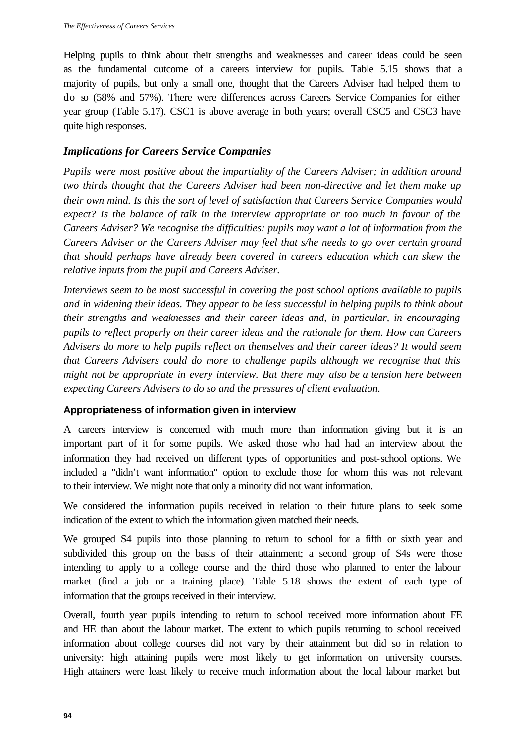Helping pupils to think about their strengths and weaknesses and career ideas could be seen as the fundamental outcome of a careers interview for pupils. Table 5.15 shows that a majority of pupils, but only a small one, thought that the Careers Adviser had helped them to do so (58% and 57%). There were differences across Careers Service Companies for either year group (Table 5.17). CSC1 is above average in both years; overall CSC5 and CSC3 have quite high responses.

### *Implications for Careers Service Companies*

*Pupils were most positive about the impartiality of the Careers Adviser; in addition around two thirds thought that the Careers Adviser had been non-directive and let them make up their own mind. Is this the sort of level of satisfaction that Careers Service Companies would expect? Is the balance of talk in the interview appropriate or too much in favour of the Careers Adviser? We recognise the difficulties: pupils may want a lot of information from the Careers Adviser or the Careers Adviser may feel that s/he needs to go over certain ground that should perhaps have already been covered in careers education which can skew the relative inputs from the pupil and Careers Adviser.* 

*Interviews seem to be most successful in covering the post school options available to pupils and in widening their ideas. They appear to be less successful in helping pupils to think about their strengths and weaknesses and their career ideas and, in particular, in encouraging pupils to reflect properly on their career ideas and the rationale for them. How can Careers Advisers do more to help pupils reflect on themselves and their career ideas? It would seem that Careers Advisers could do more to challenge pupils although we recognise that this might not be appropriate in every interview. But there may also be a tension here between expecting Careers Advisers to do so and the pressures of client evaluation.* 

### **Appropriateness of information given in interview**

A careers interview is concerned with much more than information giving but it is an important part of it for some pupils. We asked those who had had an interview about the information they had received on different types of opportunities and post-school options. We included a "didn't want information" option to exclude those for whom this was not relevant to their interview. We might note that only a minority did not want information.

We considered the information pupils received in relation to their future plans to seek some indication of the extent to which the information given matched their needs.

We grouped S4 pupils into those planning to return to school for a fifth or sixth year and subdivided this group on the basis of their attainment; a second group of S4s were those intending to apply to a college course and the third those who planned to enter the labour market (find a job or a training place). Table 5.18 shows the extent of each type of information that the groups received in their interview.

Overall, fourth year pupils intending to return to school received more information about FE and HE than about the labour market. The extent to which pupils returning to school received information about college courses did not vary by their attainment but did so in relation to university: high attaining pupils were most likely to get information on university courses. High attainers were least likely to receive much information about the local labour market but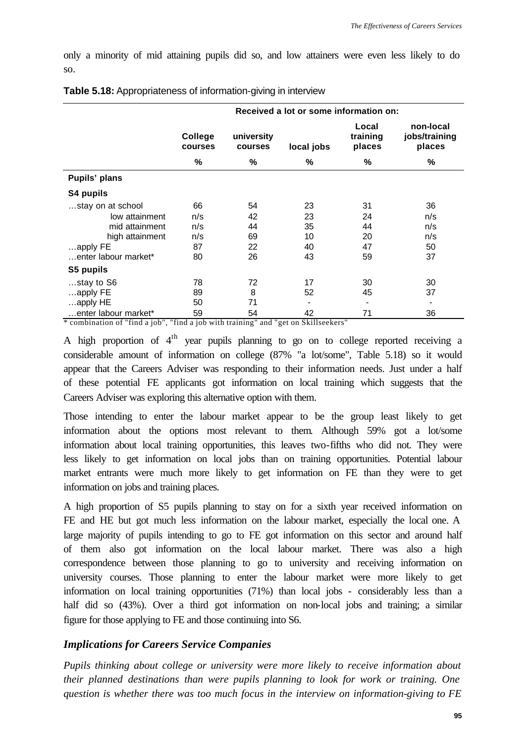only a minority of mid attaining pupils did so, and low attainers were even less likely to do so.

|                      | Received a lot or some information on: |                       |             |                             |                                      |
|----------------------|----------------------------------------|-----------------------|-------------|-----------------------------|--------------------------------------|
|                      | College<br>courses                     | university<br>courses | local jobs  | Local<br>training<br>places | non-local<br>jobs/training<br>places |
|                      | %                                      | %                     | %           | %                           | %                                    |
| Pupils' plans        |                                        |                       |             |                             |                                      |
| S4 pupils            |                                        |                       |             |                             |                                      |
| stay on at school    | 66                                     | 54                    | 23          | 31                          | 36                                   |
| low attainment       | n/s                                    | 42                    | 23          | 24                          | n/s                                  |
| mid attainment       | n/s                                    | 44                    | 35          | 44                          | n/s                                  |
| high attainment      | n/s                                    | 69                    | 10          | 20                          | n/s                                  |
| $$ apply FE          | 87                                     | 22                    | 40          | 47                          | 50                                   |
| enter labour market* | 80                                     | 26                    | 43          | 59                          | 37                                   |
| S5 pupils            |                                        |                       |             |                             |                                      |
| stay to S6           | 78                                     | 72                    | 17          | 30                          | 30                                   |
| apply FE             | 89                                     | 8                     | 52          | 45                          | 37                                   |
| apply HE             | 50                                     | 71                    |             |                             |                                      |
| enter labour market* | 59                                     | 54                    | 42<br>01.11 | 71                          | 36                                   |

| <b>Table 5.18:</b> Appropriateness of information-giving in interview |  |  |
|-----------------------------------------------------------------------|--|--|
|                                                                       |  |  |

\* combination of "find a job", "find a job with training" and "get on Skillseekers"

A high proportion of 4<sup>th</sup> year pupils planning to go on to college reported receiving a considerable amount of information on college (87% "a lot/some", Table 5.18) so it would appear that the Careers Adviser was responding to their information needs. Just under a half of these potential FE applicants got information on local training which suggests that the Careers Adviser was exploring this alternative option with them.

Those intending to enter the labour market appear to be the group least likely to get information about the options most relevant to them. Although 59% got a lot/some information about local training opportunities, this leaves two-fifths who did not. They were less likely to get information on local jobs than on training opportunities. Potential labour market entrants were much more likely to get information on FE than they were to get information on jobs and training places.

A high proportion of S5 pupils planning to stay on for a sixth year received information on FE and HE but got much less information on the labour market, especially the local one. A large majority of pupils intending to go to FE got information on this sector and around half of them also got information on the local labour market. There was also a high correspondence between those planning to go to university and receiving information on university courses. Those planning to enter the labour market were more likely to get information on local training opportunities (71%) than local jobs - considerably less than a half did so (43%). Over a third got information on non-local jobs and training; a similar figure for those applying to FE and those continuing into S6.

#### *Implications for Careers Service Companies*

*Pupils thinking about college or university were more likely to receive information about their planned destinations than were pupils planning to look for work or training. One question is whether there was too much focus in the interview on information-giving to FE*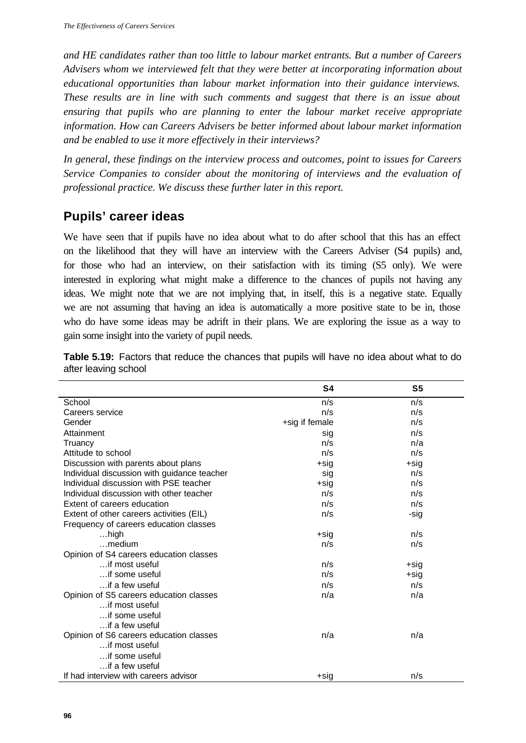*and HE candidates rather than too little to labour market entrants. But a number of Careers Advisers whom we interviewed felt that they were better at incorporating information about educational opportunities than labour market information into their guidance interviews. These results are in line with such comments and suggest that there is an issue about ensuring that pupils who are planning to enter the labour market receive appropriate information. How can Careers Advisers be better informed about labour market information and be enabled to use it more effectively in their interviews?*

*In general, these findings on the interview process and outcomes, point to issues for Careers Service Companies to consider about the monitoring of interviews and the evaluation of professional practice. We discuss these further later in this report.*

# **Pupils' career ideas**

We have seen that if pupils have no idea about what to do after school that this has an effect on the likelihood that they will have an interview with the Careers Adviser (S4 pupils) and, for those who had an interview, on their satisfaction with its timing (S5 only). We were interested in exploring what might make a difference to the chances of pupils not having any ideas. We might note that we are not implying that, in itself, this is a negative state. Equally we are not assuming that having an idea is automatically a more positive state to be in, those who do have some ideas may be adrift in their plans. We are exploring the issue as a way to gain some insight into the variety of pupil needs.

|                                             | S4             | S5   |
|---------------------------------------------|----------------|------|
| School                                      | n/s            | n/s  |
| Careers service                             | n/s            | n/s  |
| Gender                                      | +sig if female | n/s  |
| Attainment                                  | sig            | n/s  |
| Truancy                                     | n/s            | n/a  |
| Attitude to school                          | n/s            | n/s  |
| Discussion with parents about plans         | +sig           | +sig |
| Individual discussion with guidance teacher | sig            | n/s  |
| Individual discussion with PSE teacher      | +sig           | n/s  |
| Individual discussion with other teacher    | n/s            | n/s  |
| Extent of careers education                 | n/s            | n/s  |
| Extent of other careers activities (EIL)    | n/s            | -sig |
| Frequency of careers education classes      |                |      |
| $$ high                                     | +sig           | n/s  |
| medium                                      | n/s            | n/s  |
| Opinion of S4 careers education classes     |                |      |
| if most useful                              | n/s            | +sig |
| if some useful                              | n/s            | +sig |
| if a few useful                             | n/s            | n/s  |
| Opinion of S5 careers education classes     | n/a            | n/a  |
| if most useful                              |                |      |
| if some useful                              |                |      |
| if a few useful                             |                |      |
| Opinion of S6 careers education classes     | n/a            | n/a  |
| if most useful                              |                |      |
| if some useful                              |                |      |
| if a few useful                             |                |      |
| If had interview with careers advisor       | +sig           | n/s  |

**Table 5.19:** Factors that reduce the chances that pupils will have no idea about what to do after leaving school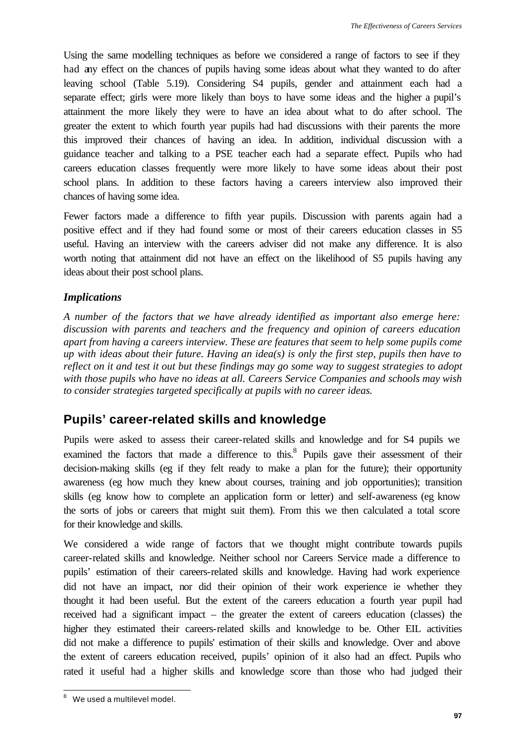Using the same modelling techniques as before we considered a range of factors to see if they had any effect on the chances of pupils having some ideas about what they wanted to do after leaving school (Table 5.19). Considering S4 pupils, gender and attainment each had a separate effect; girls were more likely than boys to have some ideas and the higher a pupil's attainment the more likely they were to have an idea about what to do after school. The greater the extent to which fourth year pupils had had discussions with their parents the more this improved their chances of having an idea. In addition, individual discussion with a guidance teacher and talking to a PSE teacher each had a separate effect. Pupils who had careers education classes frequently were more likely to have some ideas about their post school plans. In addition to these factors having a careers interview also improved their chances of having some idea.

Fewer factors made a difference to fifth year pupils. Discussion with parents again had a positive effect and if they had found some or most of their careers education classes in S5 useful. Having an interview with the careers adviser did not make any difference. It is also worth noting that attainment did not have an effect on the likelihood of S5 pupils having any ideas about their post school plans.

### *Implications*

*A number of the factors that we have already identified as important also emerge here: discussion with parents and teachers and the frequency and opinion of careers education apart from having a careers interview. These are features that seem to help some pupils come up with ideas about their future. Having an idea(s) is only the first step, pupils then have to reflect on it and test it out but these findings may go some way to suggest strategies to adopt with those pupils who have no ideas at all. Careers Service Companies and schools may wish to consider strategies targeted specifically at pupils with no career ideas.*

# **Pupils' career-related skills and knowledge**

Pupils were asked to assess their career-related skills and knowledge and for S4 pupils we examined the factors that made a difference to this.<sup>8</sup> Pupils gave their assessment of their decision-making skills (eg if they felt ready to make a plan for the future); their opportunity awareness (eg how much they knew about courses, training and job opportunities); transition skills (eg know how to complete an application form or letter) and self-awareness (eg know the sorts of jobs or careers that might suit them). From this we then calculated a total score for their knowledge and skills.

We considered a wide range of factors that we thought might contribute towards pupils career-related skills and knowledge. Neither school nor Careers Service made a difference to pupils' estimation of their careers-related skills and knowledge. Having had work experience did not have an impact, nor did their opinion of their work experience ie whether they thought it had been useful. But the extent of the careers education a fourth year pupil had received had a significant impact – the greater the extent of careers education (classes) the higher they estimated their careers-related skills and knowledge to be. Other EIL activities did not make a difference to pupils' estimation of their skills and knowledge. Over and above the extent of careers education received, pupils' opinion of it also had an effect. Pupils who rated it useful had a higher skills and knowledge score than those who had judged their

 $\overline{8}$ We used a multilevel model.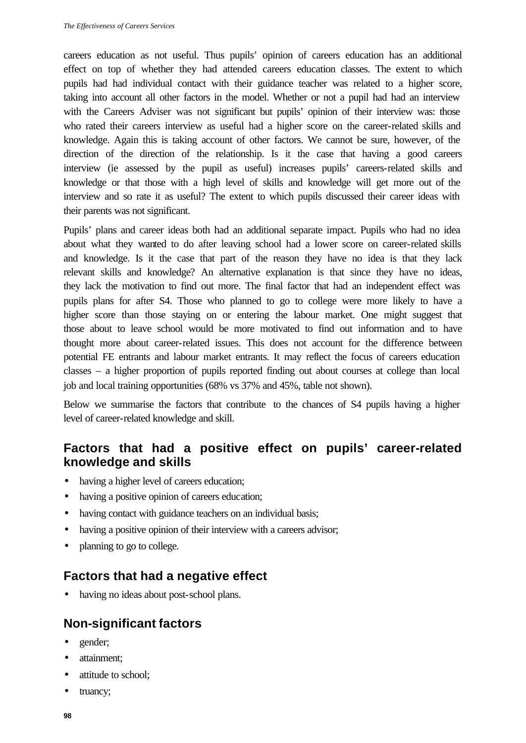careers education as not useful. Thus pupils' opinion of careers education has an additional effect on top of whether they had attended careers education classes. The extent to which pupils had had individual contact with their guidance teacher was related to a higher score, taking into account all other factors in the model. Whether or not a pupil had had an interview with the Careers Adviser was not significant but pupils' opinion of their interview was: those who rated their careers interview as useful had a higher score on the career-related skills and knowledge. Again this is taking account of other factors. We cannot be sure, however, of the direction of the direction of the relationship. Is it the case that having a good careers interview (ie assessed by the pupil as useful) increases pupils' careers-related skills and knowledge or that those with a high level of skills and knowledge will get more out of the interview and so rate it as useful? The extent to which pupils discussed their career ideas with their parents was not significant.

Pupils' plans and career ideas both had an additional separate impact. Pupils who had no idea about what they wanted to do after leaving school had a lower score on career-related skills and knowledge. Is it the case that part of the reason they have no idea is that they lack relevant skills and knowledge? An alternative explanation is that since they have no ideas, they lack the motivation to find out more. The final factor that had an independent effect was pupils plans for after S4. Those who planned to go to college were more likely to have a higher score than those staying on or entering the labour market. One might suggest that those about to leave school would be more motivated to find out information and to have thought more about career-related issues. This does not account for the difference between potential FE entrants and labour market entrants. It may reflect the focus of careers education classes – a higher proportion of pupils reported finding out about courses at college than local job and local training opportunities (68% vs 37% and 45%, table not shown).

Below we summarise the factors that contribute to the chances of S4 pupils having a higher level of career-related knowledge and skill.

# **Factors that had a positive effect on pupils' career-related knowledge and skills**

- having a higher level of careers education;
- having a positive opinion of careers education;
- having contact with guidance teachers on an individual basis;
- having a positive opinion of their interview with a careers advisor;
- planning to go to college.

# **Factors that had a negative effect**

• having no ideas about post-school plans.

# **Non-significant factors**

- gender;
- attainment:
- attitude to school;
- truancy;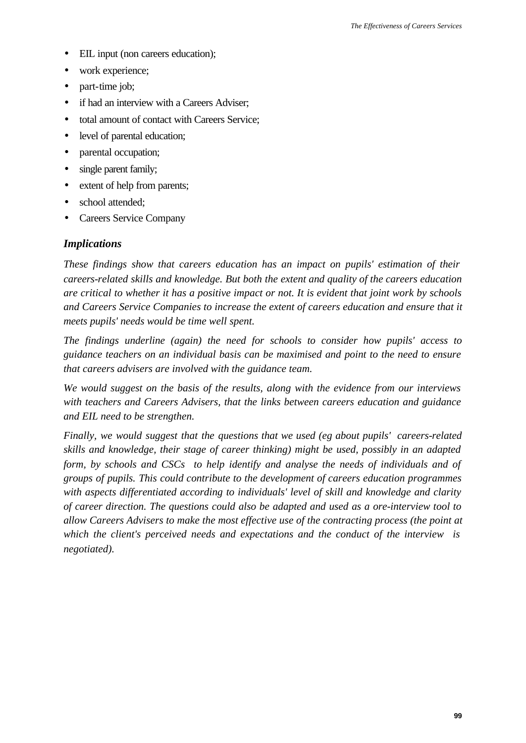- EIL input (non careers education);
- work experience;
- part-time job;
- if had an interview with a Careers Adviser;
- total amount of contact with Careers Service;
- level of parental education;
- parental occupation;
- single parent family;
- extent of help from parents;
- school attended;
- Careers Service Company

### *Implications*

*These findings show that careers education has an impact on pupils' estimation of their careers-related skills and knowledge. But both the extent and quality of the careers education are critical to whether it has a positive impact or not. It is evident that joint work by schools and Careers Service Companies to increase the extent of careers education and ensure that it meets pupils' needs would be time well spent.*

*The findings underline (again) the need for schools to consider how pupils' access to guidance teachers on an individual basis can be maximised and point to the need to ensure that careers advisers are involved with the guidance team.*

*We would suggest on the basis of the results, along with the evidence from our interviews with teachers and Careers Advisers, that the links between careers education and guidance and EIL need to be strengthen.* 

*Finally, we would suggest that the questions that we used (eg about pupils' careers-related skills and knowledge, their stage of career thinking) might be used, possibly in an adapted form, by schools and CSCs to help identify and analyse the needs of individuals and of groups of pupils. This could contribute to the development of careers education programmes with aspects differentiated according to individuals' level of skill and knowledge and clarity of career direction. The questions could also be adapted and used as a ore-interview tool to allow Careers Advisers to make the most effective use of the contracting process (the point at which the client's perceived needs and expectations and the conduct of the interview is negotiated).*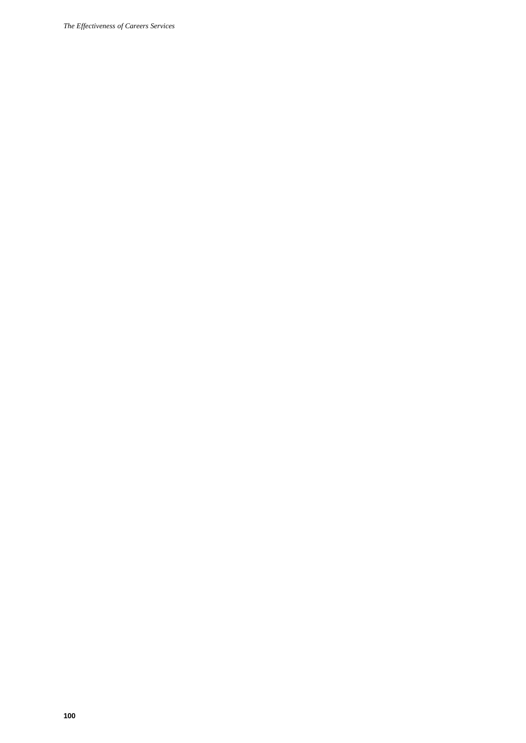*The Effectiveness of Careers Services*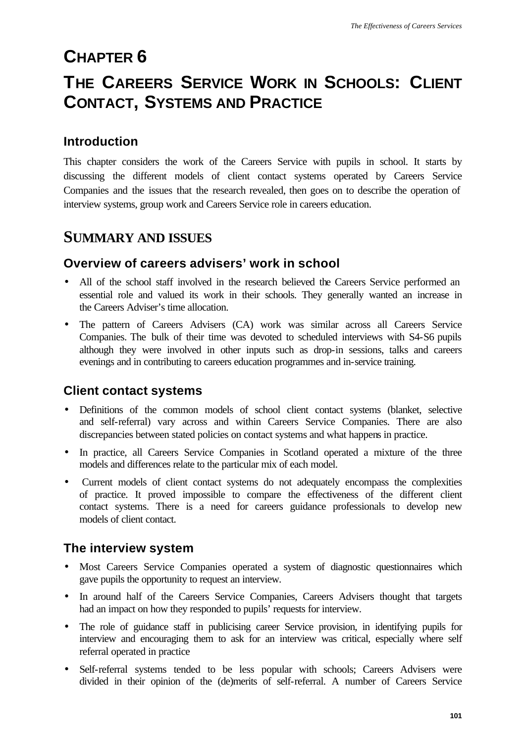# **CHAPTER 6 THE CAREERS SERVICE WORK IN SCHOOLS: CLIENT CONTACT, SYSTEMS AND PRACTICE**

# **Introduction**

This chapter considers the work of the Careers Service with pupils in school. It starts by discussing the different models of client contact systems operated by Careers Service Companies and the issues that the research revealed, then goes on to describe the operation of interview systems, group work and Careers Service role in careers education.

# **SUMMARY AND ISSUES**

# **Overview of careers advisers' work in school**

- All of the school staff involved in the research believed the Careers Service performed an essential role and valued its work in their schools. They generally wanted an increase in the Careers Adviser's time allocation.
- The pattern of Careers Advisers (CA) work was similar across all Careers Service Companies. The bulk of their time was devoted to scheduled interviews with S4-S6 pupils although they were involved in other inputs such as drop-in sessions, talks and careers evenings and in contributing to careers education programmes and in-service training.

# **Client contact systems**

- Definitions of the common models of school client contact systems (blanket, selective and self-referral) vary across and within Careers Service Companies. There are also discrepancies between stated policies on contact systems and what happens in practice.
- In practice, all Careers Service Companies in Scotland operated a mixture of the three models and differences relate to the particular mix of each model.
- Current models of client contact systems do not adequately encompass the complexities of practice. It proved impossible to compare the effectiveness of the different client contact systems. There is a need for careers guidance professionals to develop new models of client contact.

# **The interview system**

- Most Careers Service Companies operated a system of diagnostic questionnaires which gave pupils the opportunity to request an interview.
- In around half of the Careers Service Companies, Careers Advisers thought that targets had an impact on how they responded to pupils' requests for interview.
- The role of guidance staff in publicising career Service provision, in identifying pupils for interview and encouraging them to ask for an interview was critical, especially where self referral operated in practice
- Self-referral systems tended to be less popular with schools; Careers Advisers were divided in their opinion of the (de)merits of self-referral. A number of Careers Service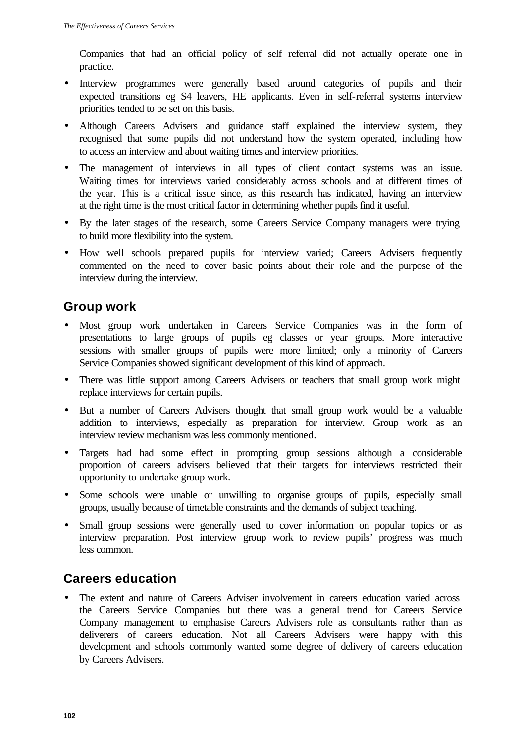Companies that had an official policy of self referral did not actually operate one in practice.

- Interview programmes were generally based around categories of pupils and their expected transitions eg S4 leavers, HE applicants. Even in self-referral systems interview priorities tended to be set on this basis.
- Although Careers Advisers and guidance staff explained the interview system, they recognised that some pupils did not understand how the system operated, including how to access an interview and about waiting times and interview priorities.
- The management of interviews in all types of client contact systems was an issue. Waiting times for interviews varied considerably across schools and at different times of the year. This is a critical issue since, as this research has indicated, having an interview at the right time is the most critical factor in determining whether pupils find it useful.
- By the later stages of the research, some Careers Service Company managers were trying to build more flexibility into the system.
- How well schools prepared pupils for interview varied; Careers Advisers frequently commented on the need to cover basic points about their role and the purpose of the interview during the interview.

# **Group work**

- Most group work undertaken in Careers Service Companies was in the form of presentations to large groups of pupils eg classes or year groups. More interactive sessions with smaller groups of pupils were more limited; only a minority of Careers Service Companies showed significant development of this kind of approach.
- There was little support among Careers Advisers or teachers that small group work might replace interviews for certain pupils.
- But a number of Careers Advisers thought that small group work would be a valuable addition to interviews, especially as preparation for interview. Group work as an interview review mechanism was less commonly mentioned.
- Targets had had some effect in prompting group sessions although a considerable proportion of careers advisers believed that their targets for interviews restricted their opportunity to undertake group work.
- Some schools were unable or unwilling to organise groups of pupils, especially small groups, usually because of timetable constraints and the demands of subject teaching.
- Small group sessions were generally used to cover information on popular topics or as interview preparation. Post interview group work to review pupils' progress was much less common.

# **Careers education**

• The extent and nature of Careers Adviser involvement in careers education varied across the Careers Service Companies but there was a general trend for Careers Service Company management to emphasise Careers Advisers role as consultants rather than as deliverers of careers education. Not all Careers Advisers were happy with this development and schools commonly wanted some degree of delivery of careers education by Careers Advisers.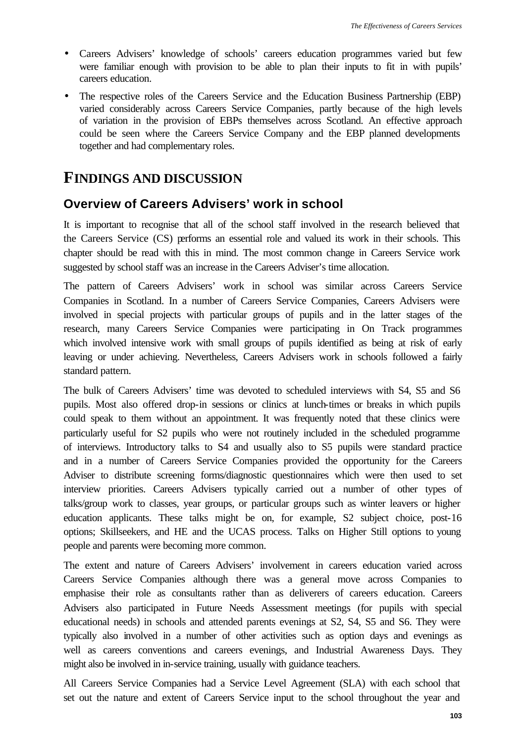- Careers Advisers' knowledge of schools' careers education programmes varied but few were familiar enough with provision to be able to plan their inputs to fit in with pupils' careers education.
- The respective roles of the Careers Service and the Education Business Partnership (EBP) varied considerably across Careers Service Companies, partly because of the high levels of variation in the provision of EBPs themselves across Scotland. An effective approach could be seen where the Careers Service Company and the EBP planned developments together and had complementary roles.

# **FINDINGS AND DISCUSSION**

# **Overview of Careers Advisers' work in school**

It is important to recognise that all of the school staff involved in the research believed that the Careers Service (CS) performs an essential role and valued its work in their schools. This chapter should be read with this in mind. The most common change in Careers Service work suggested by school staff was an increase in the Careers Adviser's time allocation.

The pattern of Careers Advisers' work in school was similar across Careers Service Companies in Scotland. In a number of Careers Service Companies, Careers Advisers were involved in special projects with particular groups of pupils and in the latter stages of the research, many Careers Service Companies were participating in On Track programmes which involved intensive work with small groups of pupils identified as being at risk of early leaving or under achieving. Nevertheless, Careers Advisers work in schools followed a fairly standard pattern.

The bulk of Careers Advisers' time was devoted to scheduled interviews with S4, S5 and S6 pupils. Most also offered drop-in sessions or clinics at lunch-times or breaks in which pupils could speak to them without an appointment. It was frequently noted that these clinics were particularly useful for S2 pupils who were not routinely included in the scheduled programme of interviews. Introductory talks to S4 and usually also to S5 pupils were standard practice and in a number of Careers Service Companies provided the opportunity for the Careers Adviser to distribute screening forms/diagnostic questionnaires which were then used to set interview priorities. Careers Advisers typically carried out a number of other types of talks/group work to classes, year groups, or particular groups such as winter leavers or higher education applicants. These talks might be on, for example, S2 subject choice, post-16 options; Skillseekers, and HE and the UCAS process. Talks on Higher Still options to young people and parents were becoming more common.

The extent and nature of Careers Advisers' involvement in careers education varied across Careers Service Companies although there was a general move across Companies to emphasise their role as consultants rather than as deliverers of careers education. Careers Advisers also participated in Future Needs Assessment meetings (for pupils with special educational needs) in schools and attended parents evenings at S2, S4, S5 and S6. They were typically also involved in a number of other activities such as option days and evenings as well as careers conventions and careers evenings, and Industrial Awareness Days. They might also be involved in in-service training, usually with guidance teachers.

All Careers Service Companies had a Service Level Agreement (SLA) with each school that set out the nature and extent of Careers Service input to the school throughout the year and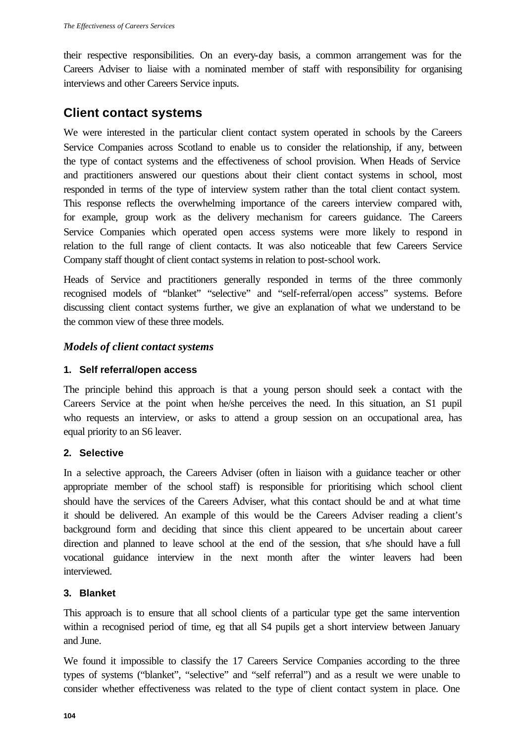their respective responsibilities. On an every-day basis, a common arrangement was for the Careers Adviser to liaise with a nominated member of staff with responsibility for organising interviews and other Careers Service inputs.

# **Client contact systems**

We were interested in the particular client contact system operated in schools by the Careers Service Companies across Scotland to enable us to consider the relationship, if any, between the type of contact systems and the effectiveness of school provision. When Heads of Service and practitioners answered our questions about their client contact systems in school, most responded in terms of the type of interview system rather than the total client contact system. This response reflects the overwhelming importance of the careers interview compared with, for example, group work as the delivery mechanism for careers guidance. The Careers Service Companies which operated open access systems were more likely to respond in relation to the full range of client contacts. It was also noticeable that few Careers Service Company staff thought of client contact systems in relation to post-school work.

Heads of Service and practitioners generally responded in terms of the three commonly recognised models of "blanket" "selective" and "self-referral/open access" systems. Before discussing client contact systems further, we give an explanation of what we understand to be the common view of these three models.

### *Models of client contact systems*

### **1. Self referral/open access**

The principle behind this approach is that a young person should seek a contact with the Careers Service at the point when he/she perceives the need. In this situation, an S1 pupil who requests an interview, or asks to attend a group session on an occupational area, has equal priority to an S6 leaver.

### **2. Selective**

In a selective approach, the Careers Adviser (often in liaison with a guidance teacher or other appropriate member of the school staff) is responsible for prioritising which school client should have the services of the Careers Adviser, what this contact should be and at what time it should be delivered. An example of this would be the Careers Adviser reading a client's background form and deciding that since this client appeared to be uncertain about career direction and planned to leave school at the end of the session, that s/he should have a full vocational guidance interview in the next month after the winter leavers had been interviewed.

### **3. Blanket**

This approach is to ensure that all school clients of a particular type get the same intervention within a recognised period of time, eg that all S4 pupils get a short interview between January and June.

We found it impossible to classify the 17 Careers Service Companies according to the three types of systems ("blanket", "selective" and "self referral") and as a result we were unable to consider whether effectiveness was related to the type of client contact system in place. One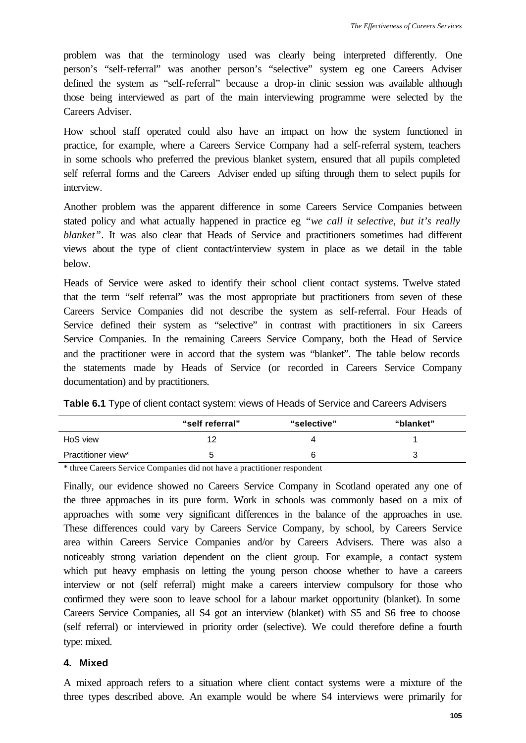problem was that the terminology used was clearly being interpreted differently. One person's "self-referral" was another person's "selective" system eg one Careers Adviser defined the system as "self-referral" because a drop-in clinic session was available although those being interviewed as part of the main interviewing programme were selected by the Careers Adviser.

How school staff operated could also have an impact on how the system functioned in practice, for example, where a Careers Service Company had a self-referral system, teachers in some schools who preferred the previous blanket system, ensured that all pupils completed self referral forms and the Careers Adviser ended up sifting through them to select pupils for interview.

Another problem was the apparent difference in some Careers Service Companies between stated policy and what actually happened in practice eg *"we call it selective, but it's really blanket"*. It was also clear that Heads of Service and practitioners sometimes had different views about the type of client contact/interview system in place as we detail in the table below.

Heads of Service were asked to identify their school client contact systems. Twelve stated that the term "self referral" was the most appropriate but practitioners from seven of these Careers Service Companies did not describe the system as self-referral. Four Heads of Service defined their system as "selective" in contrast with practitioners in six Careers Service Companies. In the remaining Careers Service Company, both the Head of Service and the practitioner were in accord that the system was "blanket". The table below records the statements made by Heads of Service (or recorded in Careers Service Company documentation) and by practitioners.

| Table 6.1 Type of client contact system: views of Heads of Service and Careers Advisers |  |  |
|-----------------------------------------------------------------------------------------|--|--|
|-----------------------------------------------------------------------------------------|--|--|

|                    | "self referral" | "selective" | "blanket" |
|--------------------|-----------------|-------------|-----------|
| HoS view           | 12              |             |           |
| Practitioner view* | 5               | ь           |           |

\* three Careers Service Companies did not have a practitioner respondent

Finally, our evidence showed no Careers Service Company in Scotland operated any one of the three approaches in its pure form. Work in schools was commonly based on a mix of approaches with some very significant differences in the balance of the approaches in use. These differences could vary by Careers Service Company, by school, by Careers Service area within Careers Service Companies and/or by Careers Advisers. There was also a noticeably strong variation dependent on the client group. For example, a contact system which put heavy emphasis on letting the young person choose whether to have a careers interview or not (self referral) might make a careers interview compulsory for those who confirmed they were soon to leave school for a labour market opportunity (blanket). In some Careers Service Companies, all S4 got an interview (blanket) with S5 and S6 free to choose (self referral) or interviewed in priority order (selective). We could therefore define a fourth type: mixed.

#### **4. Mixed**

A mixed approach refers to a situation where client contact systems were a mixture of the three types described above. An example would be where S4 interviews were primarily for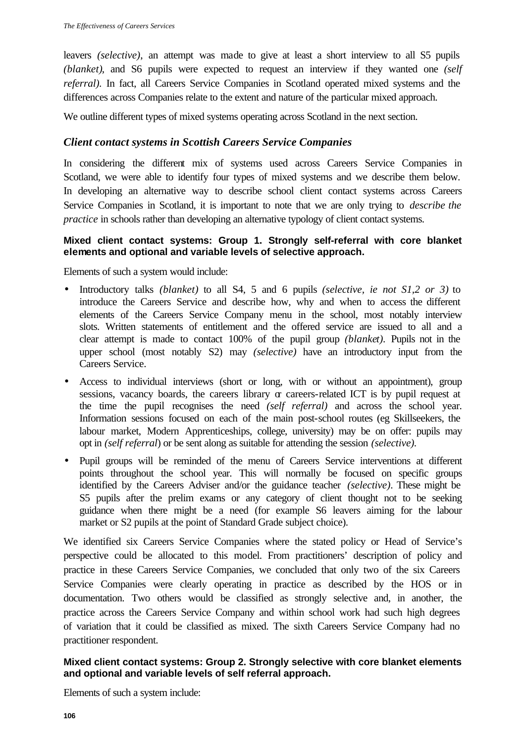leavers *(selective)*, an attempt was made to give at least a short interview to all S5 pupils *(blanket)*, and S6 pupils were expected to request an interview if they wanted one *(self referral).* In fact, all Careers Service Companies in Scotland operated mixed systems and the differences across Companies relate to the extent and nature of the particular mixed approach.

We outline different types of mixed systems operating across Scotland in the next section.

### *Client contact systems in Scottish Careers Service Companies*

In considering the different mix of systems used across Careers Service Companies in Scotland, we were able to identify four types of mixed systems and we describe them below. In developing an alternative way to describe school client contact systems across Careers Service Companies in Scotland, it is important to note that we are only trying to *describe the practice* in schools rather than developing an alternative typology of client contact systems.

#### **Mixed client contact systems: Group 1. Strongly self-referral with core blanket elements and optional and variable levels of selective approach.**

Elements of such a system would include:

- Introductory talks *(blanket)* to all S4, 5 and 6 pupils *(selective, ie not S1,2 or 3)* to introduce the Careers Service and describe how, why and when to access the different elements of the Careers Service Company menu in the school, most notably interview slots. Written statements of entitlement and the offered service are issued to all and a clear attempt is made to contact 100% of the pupil group *(blanket).* Pupils not in the upper school (most notably S2) may *(selective)* have an introductory input from the Careers Service.
- Access to individual interviews (short or long, with or without an appointment), group sessions, vacancy boards, the careers library or careers-related ICT is by pupil request at the time the pupil recognises the need *(self referral)* and across the school year. Information sessions focused on each of the main post-school routes (eg Skillseekers, the labour market, Modern Apprenticeships, college, university) may be on offer: pupils may opt in *(self referral*) or be sent along as suitable for attending the session *(selective).*
- Pupil groups will be reminded of the menu of Careers Service interventions at different points throughout the school year. This will normally be focused on specific groups identified by the Careers Adviser and/or the guidance teacher *(selective)*. These might be S5 pupils after the prelim exams or any category of client thought not to be seeking guidance when there might be a need (for example S6 leavers aiming for the labour market or S2 pupils at the point of Standard Grade subject choice).

We identified six Careers Service Companies where the stated policy or Head of Service's perspective could be allocated to this model. From practitioners' description of policy and practice in these Careers Service Companies, we concluded that only two of the six Careers Service Companies were clearly operating in practice as described by the HOS or in documentation. Two others would be classified as strongly selective and, in another, the practice across the Careers Service Company and within school work had such high degrees of variation that it could be classified as mixed. The sixth Careers Service Company had no practitioner respondent.

### **Mixed client contact systems: Group 2. Strongly selective with core blanket elements and optional and variable levels of self referral approach.**

Elements of such a system include: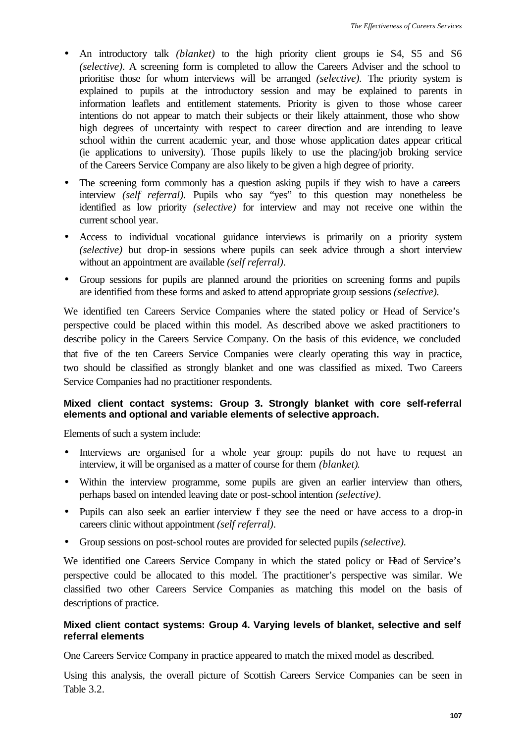- An introductory talk *(blanket)* to the high priority client groups ie S4, S5 and S6 *(selective)*. A screening form is completed to allow the Careers Adviser and the school to prioritise those for whom interviews will be arranged *(selective).* The priority system is explained to pupils at the introductory session and may be explained to parents in information leaflets and entitlement statements. Priority is given to those whose career intentions do not appear to match their subjects or their likely attainment, those who show high degrees of uncertainty with respect to career direction and are intending to leave school within the current academic year, and those whose application dates appear critical (ie applications to university). Those pupils likely to use the placing/job broking service of the Careers Service Company are also likely to be given a high degree of priority.
- The screening form commonly has a question asking pupils if they wish to have a careers interview *(self referral).* Pupils who say "yes" to this question may nonetheless be identified as low priority *(selective)* for interview and may not receive one within the current school year.
- Access to individual vocational guidance interviews is primarily on a priority system *(selective)* but drop-in sessions where pupils can seek advice through a short interview without an appointment are available *(self referral)*.
- Group sessions for pupils are planned around the priorities on screening forms and pupils are identified from these forms and asked to attend appropriate group sessions *(selective).*

We identified ten Careers Service Companies where the stated policy or Head of Service's perspective could be placed within this model. As described above we asked practitioners to describe policy in the Careers Service Company. On the basis of this evidence, we concluded that five of the ten Careers Service Companies were clearly operating this way in practice, two should be classified as strongly blanket and one was classified as mixed. Two Careers Service Companies had no practitioner respondents.

#### **Mixed client contact systems: Group 3. Strongly blanket with core self-referral elements and optional and variable elements of selective approach.**

Elements of such a system include:

- Interviews are organised for a whole year group: pupils do not have to request an interview, it will be organised as a matter of course for them *(blanket)*.
- Within the interview programme, some pupils are given an earlier interview than others, perhaps based on intended leaving date or post-school intention *(selective)*.
- Pupils can also seek an earlier interview f they see the need or have access to a drop-in careers clinic without appointment *(self referral)*.
- Group sessions on post-school routes are provided for selected pupils *(selective).*

We identified one Careers Service Company in which the stated policy or Head of Service's perspective could be allocated to this model. The practitioner's perspective was similar. We classified two other Careers Service Companies as matching this model on the basis of descriptions of practice.

#### **Mixed client contact systems: Group 4. Varying levels of blanket, selective and self referral elements**

One Careers Service Company in practice appeared to match the mixed model as described.

Using this analysis, the overall picture of Scottish Careers Service Companies can be seen in Table 3.2.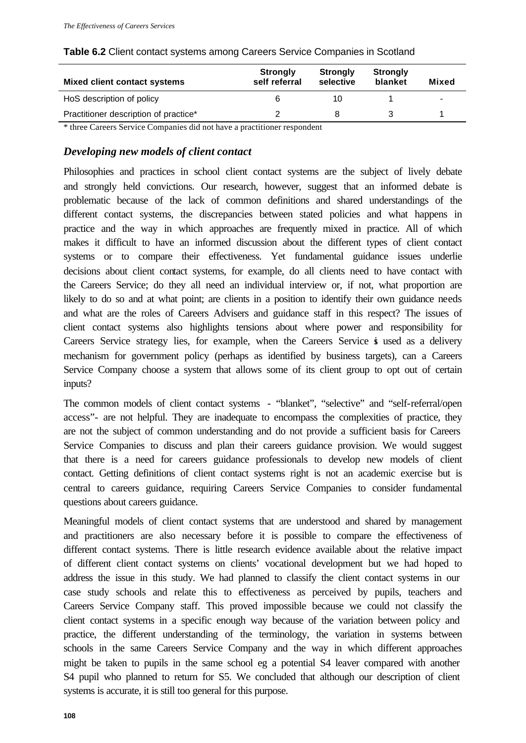| <b>Mixed client contact systems</b>   | <b>Strongly</b><br>self referral | <b>Strongly</b><br>selective | <b>Strongly</b><br>blanket | Mixed |
|---------------------------------------|----------------------------------|------------------------------|----------------------------|-------|
| HoS description of policy             |                                  |                              |                            |       |
| Practitioner description of practice* |                                  |                              |                            |       |

#### **Table 6.2** Client contact systems among Careers Service Companies in Scotland

\* three Careers Service Companies did not have a practitioner respondent

#### *Developing new models of client contact*

Philosophies and practices in school client contact systems are the subject of lively debate and strongly held convictions. Our research, however, suggest that an informed debate is problematic because of the lack of common definitions and shared understandings of the different contact systems, the discrepancies between stated policies and what happens in practice and the way in which approaches are frequently mixed in practice. All of which makes it difficult to have an informed discussion about the different types of client contact systems or to compare their effectiveness. Yet fundamental guidance issues underlie decisions about client contact systems, for example, do all clients need to have contact with the Careers Service; do they all need an individual interview or, if not, what proportion are likely to do so and at what point; are clients in a position to identify their own guidance needs and what are the roles of Careers Advisers and guidance staff in this respect? The issues of client contact systems also highlights tensions about where power and responsibility for Careers Service strategy lies, for example, when the Careers Service is used as a delivery mechanism for government policy (perhaps as identified by business targets), can a Careers Service Company choose a system that allows some of its client group to opt out of certain inputs?

The common models of client contact systems - "blanket", "selective" and "self-referral/open access"- are not helpful. They are inadequate to encompass the complexities of practice, they are not the subject of common understanding and do not provide a sufficient basis for Careers Service Companies to discuss and plan their careers guidance provision. We would suggest that there is a need for careers guidance professionals to develop new models of client contact. Getting definitions of client contact systems right is not an academic exercise but is central to careers guidance, requiring Careers Service Companies to consider fundamental questions about careers guidance.

Meaningful models of client contact systems that are understood and shared by management and practitioners are also necessary before it is possible to compare the effectiveness of different contact systems. There is little research evidence available about the relative impact of different client contact systems on clients' vocational development but we had hoped to address the issue in this study. We had planned to classify the client contact systems in our case study schools and relate this to effectiveness as perceived by pupils, teachers and Careers Service Company staff. This proved impossible because we could not classify the client contact systems in a specific enough way because of the variation between policy and practice, the different understanding of the terminology, the variation in systems between schools in the same Careers Service Company and the way in which different approaches might be taken to pupils in the same school eg a potential S4 leaver compared with another S4 pupil who planned to return for S5. We concluded that although our description of client systems is accurate, it is still too general for this purpose.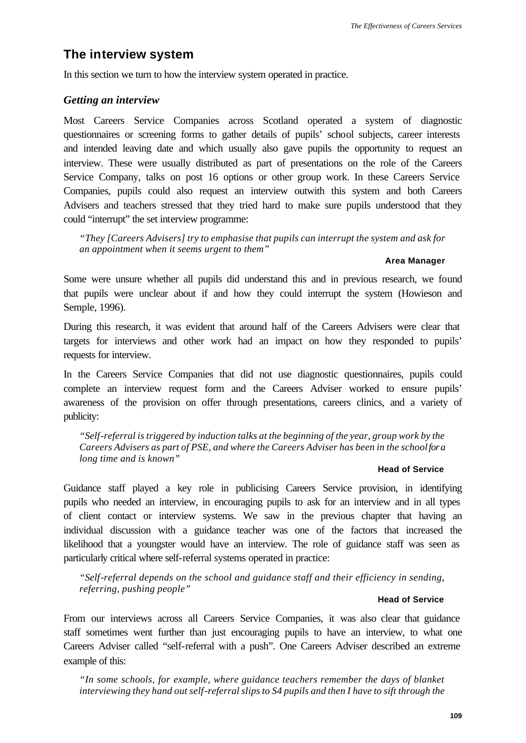## **The interview system**

In this section we turn to how the interview system operated in practice.

### *Getting an interview*

Most Careers Service Companies across Scotland operated a system of diagnostic questionnaires or screening forms to gather details of pupils' school subjects, career interests and intended leaving date and which usually also gave pupils the opportunity to request an interview. These were usually distributed as part of presentations on the role of the Careers Service Company, talks on post 16 options or other group work. In these Careers Service Companies, pupils could also request an interview outwith this system and both Careers Advisers and teachers stressed that they tried hard to make sure pupils understood that they could "interrupt" the set interview programme:

*"They [Careers Advisers] try to emphasise that pupils can interrupt the system and ask for an appointment when it seems urgent to them"* 

### **Area Manager**

Some were unsure whether all pupils did understand this and in previous research, we found that pupils were unclear about if and how they could interrupt the system (Howieson and Semple, 1996).

During this research, it was evident that around half of the Careers Advisers were clear that targets for interviews and other work had an impact on how they responded to pupils' requests for interview.

In the Careers Service Companies that did not use diagnostic questionnaires, pupils could complete an interview request form and the Careers Adviser worked to ensure pupils' awareness of the provision on offer through presentations, careers clinics, and a variety of publicity:

*"Self-referral is triggered by induction talks at the beginning of the year, group work by the Careers Advisers as part of PSE, and where the Careers Adviser has been in the school for a long time and is known"* 

### **Head of Service**

Guidance staff played a key role in publicising Careers Service provision, in identifying pupils who needed an interview, in encouraging pupils to ask for an interview and in all types of client contact or interview systems. We saw in the previous chapter that having an individual discussion with a guidance teacher was one of the factors that increased the likelihood that a youngster would have an interview. The role of guidance staff was seen as particularly critical where self-referral systems operated in practice:

*"Self-referral depends on the school and guidance staff and their efficiency in sending, referring, pushing people"* 

### **Head of Service**

From our interviews across all Careers Service Companies, it was also clear that guidance staff sometimes went further than just encouraging pupils to have an interview, to what one Careers Adviser called "self-referral with a push". One Careers Adviser described an extreme example of this:

*"In some schools, for example, where guidance teachers remember the days of blanket interviewing they hand out self-referral slips to S4 pupils and then I have to sift through the*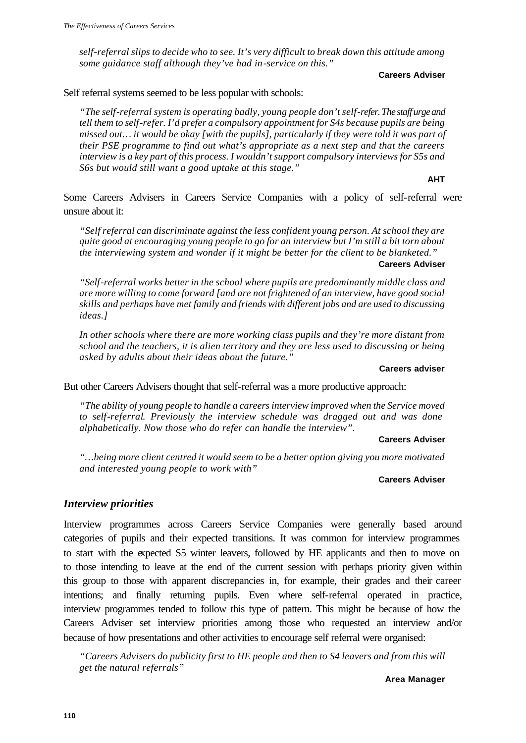*self-referral slips to decide who to see. It's very difficult to break down this attitude among some guidance staff although they've had in-service on this."* 

**Careers Adviser**

Self referral systems seemed to be less popular with schools:

*"The self-referral system is operating badly, young people don't self-refer. The staff urge and tell them to self-refer. I'd prefer a compulsory appointment for S4s because pupils are being missed out… it would be okay [with the pupils], particularly if they were told it was part of their PSE programme to find out what's appropriate as a next step and that the careers interview is a key part of this process. I wouldn't support compulsory interviews for S5s and S6s but would still want a good uptake at this stage."* 

**AHT**

Some Careers Advisers in Careers Service Companies with a policy of self-referral were unsure about it:

*"Self referral can discriminate against the less confident young person. At school they are quite good at encouraging young people to go for an interview but I'm still a bit torn about the interviewing system and wonder if it might be better for the client to be blanketed."* 

### **Careers Adviser**

*"Self-referral works better in the school where pupils are predominantly middle class and are more willing to come forward [and are not frightened of an interview, have good social skills and perhaps have met family and friends with different jobs and are used to discussing ideas.]*

*In other schools where there are more working class pupils and they're more distant from school and the teachers, it is alien territory and they are less used to discussing or being asked by adults about their ideas about the future."* 

#### **Careers adviser**

But other Careers Advisers thought that self-referral was a more productive approach:

*"The ability of young people to handle a careers interview improved when the Service moved to self-referral. Previously the interview schedule was dragged out and was done alphabetically. Now those who do refer can handle the interview".* 

### **Careers Adviser**

*"…being more client centred it would seem to be a better option giving you more motivated and interested young people to work with"*

### **Careers Adviser**

### *Interview priorities*

Interview programmes across Careers Service Companies were generally based around categories of pupils and their expected transitions. It was common for interview programmes to start with the expected S5 winter leavers, followed by HE applicants and then to move on to those intending to leave at the end of the current session with perhaps priority given within this group to those with apparent discrepancies in, for example, their grades and their career intentions; and finally returning pupils. Even where self-referral operated in practice, interview programmes tended to follow this type of pattern. This might be because of how the Careers Adviser set interview priorities among those who requested an interview and/or because of how presentations and other activities to encourage self referral were organised:

*"Careers Advisers do publicity first to HE people and then to S4 leavers and from this will get the natural referrals"* 

**Area Manager**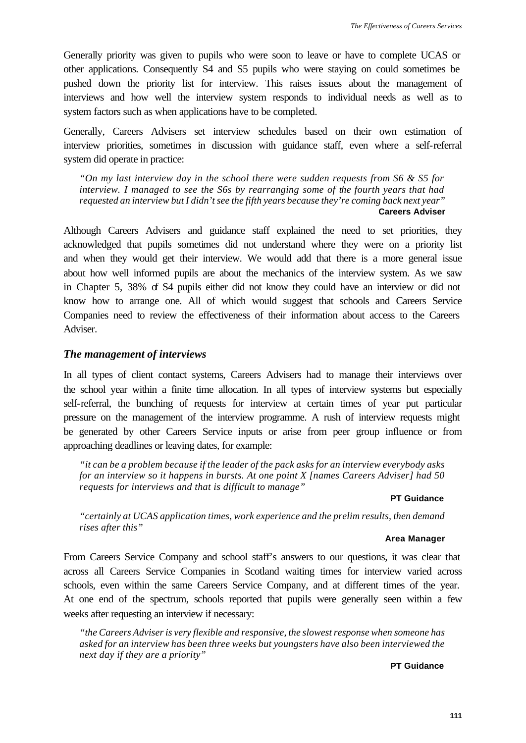Generally priority was given to pupils who were soon to leave or have to complete UCAS or other applications. Consequently S4 and S5 pupils who were staying on could sometimes be pushed down the priority list for interview. This raises issues about the management of interviews and how well the interview system responds to individual needs as well as to system factors such as when applications have to be completed.

Generally, Careers Advisers set interview schedules based on their own estimation of interview priorities, sometimes in discussion with guidance staff, even where a self-referral system did operate in practice:

*"On my last interview day in the school there were sudden requests from S6 & S5 for interview. I managed to see the S6s by rearranging some of the fourth years that had requested an interview but I didn't see the fifth years because they're coming back next year"* **Careers Adviser**

Although Careers Advisers and guidance staff explained the need to set priorities, they acknowledged that pupils sometimes did not understand where they were on a priority list and when they would get their interview. We would add that there is a more general issue about how well informed pupils are about the mechanics of the interview system. As we saw in Chapter 5, 38% of S4 pupils either did not know they could have an interview or did not know how to arrange one. All of which would suggest that schools and Careers Service Companies need to review the effectiveness of their information about access to the Careers Adviser.

### *The management of interviews*

In all types of client contact systems, Careers Advisers had to manage their interviews over the school year within a finite time allocation. In all types of interview systems but especially self-referral, the bunching of requests for interview at certain times of year put particular pressure on the management of the interview programme. A rush of interview requests might be generated by other Careers Service inputs or arise from peer group influence or from approaching deadlines or leaving dates, for example:

*"it can be a problem because if the leader of the pack asks for an interview everybody asks for an interview so it happens in bursts. At one point X [names Careers Adviser] had 50 requests for interviews and that is difficult to manage"* 

### **PT Guidance**

*"certainly at UCAS application times, work experience and the prelim results, then demand rises after this"* 

### **Area Manager**

From Careers Service Company and school staff's answers to our questions, it was clear that across all Careers Service Companies in Scotland waiting times for interview varied across schools, even within the same Careers Service Company, and at different times of the year. At one end of the spectrum, schools reported that pupils were generally seen within a few weeks after requesting an interview if necessary:

*"the Careers Adviser is very flexible and responsive, the slowest response when someone has asked for an interview has been three weeks but youngsters have also been interviewed the next day if they are a priority"* 

### **PT Guidance**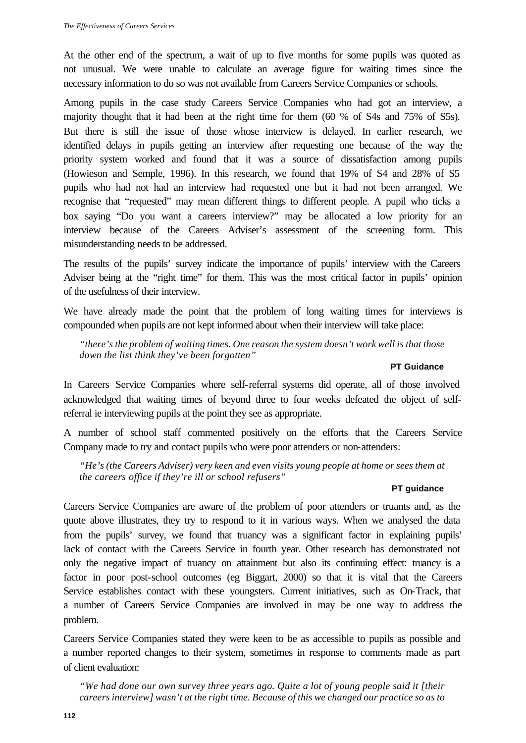At the other end of the spectrum, a wait of up to five months for some pupils was quoted as not unusual. We were unable to calculate an average figure for waiting times since the necessary information to do so was not available from Careers Service Companies or schools.

Among pupils in the case study Careers Service Companies who had got an interview, a majority thought that it had been at the right time for them (60 % of S4s and 75% of S5s). But there is still the issue of those whose interview is delayed. In earlier research, we identified delays in pupils getting an interview after requesting one because of the way the priority system worked and found that it was a source of dissatisfaction among pupils (Howieson and Semple, 1996). In this research, we found that 19% of S4 and 28% of S5 pupils who had not had an interview had requested one but it had not been arranged. We recognise that "requested" may mean different things to different people. A pupil who ticks a box saying "Do you want a careers interview?" may be allocated a low priority for an interview because of the Careers Adviser's assessment of the screening form. This misunderstanding needs to be addressed.

The results of the pupils' survey indicate the importance of pupils' interview with the Careers Adviser being at the "right time" for them. This was the most critical factor in pupils' opinion of the usefulness of their interview.

We have already made the point that the problem of long waiting times for interviews is compounded when pupils are not kept informed about when their interview will take place:

*"there's the problem of waiting times. One reason the system doesn't work well is that those down the list think they've been forgotten"* 

### **PT Guidance**

In Careers Service Companies where self-referral systems did operate, all of those involved acknowledged that waiting times of beyond three to four weeks defeated the object of selfreferral ie interviewing pupils at the point they see as appropriate.

A number of school staff commented positively on the efforts that the Careers Service Company made to try and contact pupils who were poor attenders or non-attenders:

*"He's (the Careers Adviser) very keen and even visits young people at home or sees them at the careers office if they're ill or school refusers"* 

### **PT guidance**

Careers Service Companies are aware of the problem of poor attenders or truants and, as the quote above illustrates, they try to respond to it in various ways. When we analysed the data from the pupils' survey, we found that truancy was a significant factor in explaining pupils' lack of contact with the Careers Service in fourth year. Other research has demonstrated not only the negative impact of truancy on attainment but also its continuing effect: truancy is a factor in poor post-school outcomes (eg Biggart, 2000) so that it is vital that the Careers Service establishes contact with these youngsters. Current initiatives, such as On-Track, that a number of Careers Service Companies are involved in may be one way to address the problem.

Careers Service Companies stated they were keen to be as accessible to pupils as possible and a number reported changes to their system, sometimes in response to comments made as part of client evaluation:

*"We had done our own survey three years ago. Quite a lot of young people said it [their careers interview] wasn't at the right time. Because of this we changed our practice so as to*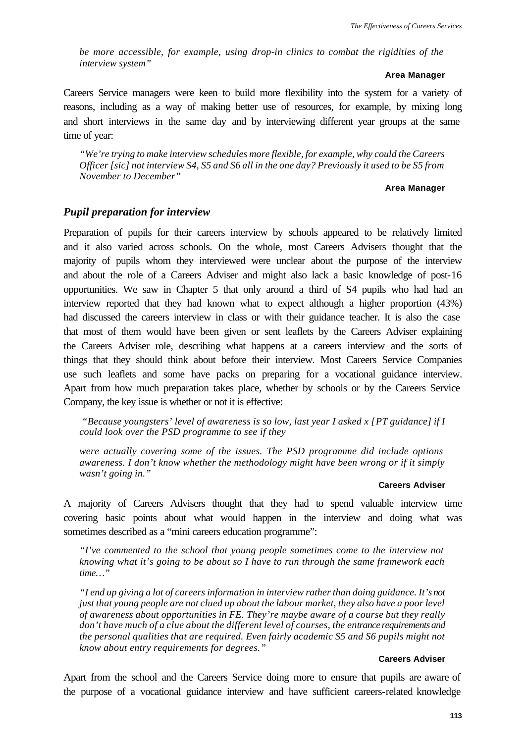*be more accessible, for example, using drop-in clinics to combat the rigidities of the interview system"* 

### **Area Manager**

Careers Service managers were keen to build more flexibility into the system for a variety of reasons, including as a way of making better use of resources, for example, by mixing long and short interviews in the same day and by interviewing different year groups at the same time of year:

*"We're trying to make interview schedules more flexible, for example, why could the Careers Officer [sic] not interview S4, S5 and S6 all in the one day? Previously it used to be S5 from November to December"* 

### **Area Manager**

### *Pupil preparation for interview*

Preparation of pupils for their careers interview by schools appeared to be relatively limited and it also varied across schools. On the whole, most Careers Advisers thought that the majority of pupils whom they interviewed were unclear about the purpose of the interview and about the role of a Careers Adviser and might also lack a basic knowledge of post-16 opportunities. We saw in Chapter 5 that only around a third of S4 pupils who had had an interview reported that they had known what to expect although a higher proportion (43%) had discussed the careers interview in class or with their guidance teacher. It is also the case that most of them would have been given or sent leaflets by the Careers Adviser explaining the Careers Adviser role, describing what happens at a careers interview and the sorts of things that they should think about before their interview. Most Careers Service Companies use such leaflets and some have packs on preparing for a vocational guidance interview. Apart from how much preparation takes place, whether by schools or by the Careers Service Company, the key issue is whether or not it is effective:

 *"Because youngsters' level of awareness is so low, last year I asked x [PT guidance] if I could look over the PSD programme to see if they* 

*were actually covering some of the issues. The PSD programme did include options awareness. I don't know whether the methodology might have been wrong or if it simply wasn't going in."* 

#### **Careers Adviser**

A majority of Careers Advisers thought that they had to spend valuable interview time covering basic points about what would happen in the interview and doing what was sometimes described as a "mini careers education programme":

*I've commented to the school that young people sometimes come to the interview not knowing what it's going to be about so I have to run through the same framework each time…"*

*"I end up giving a lot of careers information in interview rather than doing guidance. It's not just that young people are not clued up about the labour market, they also have a poor level of awareness about opportunities in FE. They're maybe aware of a course but they really don't have much of a clue about the different level of courses, the entrance requirements and the personal qualities that are required. Even fairly academic S5 and S6 pupils might not know about entry requirements for degrees."* 

#### **Careers Adviser**

Apart from the school and the Careers Service doing more to ensure that pupils are aware of the purpose of a vocational guidance interview and have sufficient careers-related knowledge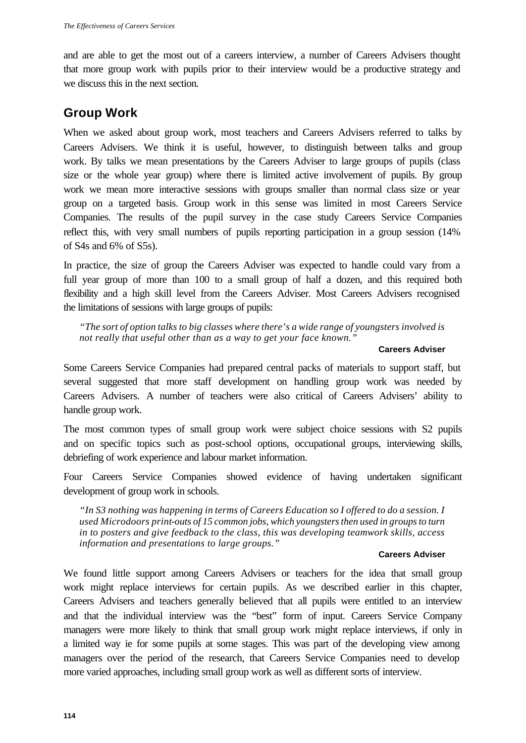and are able to get the most out of a careers interview, a number of Careers Advisers thought that more group work with pupils prior to their interview would be a productive strategy and we discuss this in the next section.

### **Group Work**

When we asked about group work, most teachers and Careers Advisers referred to talks by Careers Advisers. We think it is useful, however, to distinguish between talks and group work. By talks we mean presentations by the Careers Adviser to large groups of pupils (class size or the whole year group) where there is limited active involvement of pupils. By group work we mean more interactive sessions with groups smaller than normal class size or year group on a targeted basis. Group work in this sense was limited in most Careers Service Companies. The results of the pupil survey in the case study Careers Service Companies reflect this, with very small numbers of pupils reporting participation in a group session (14% of S4s and 6% of S5s).

In practice, the size of group the Careers Adviser was expected to handle could vary from a full year group of more than 100 to a small group of half a dozen, and this required both flexibility and a high skill level from the Careers Adviser. Most Careers Advisers recognised the limitations of sessions with large groups of pupils:

*"The sort of option talks to big classes where there's a wide range of youngsters involved is not really that useful other than as a way to get your face known."*

#### **Careers Adviser**

Some Careers Service Companies had prepared central packs of materials to support staff, but several suggested that more staff development on handling group work was needed by Careers Advisers. A number of teachers were also critical of Careers Advisers' ability to handle group work.

The most common types of small group work were subject choice sessions with S2 pupils and on specific topics such as post-school options, occupational groups, interviewing skills, debriefing of work experience and labour market information.

Four Careers Service Companies showed evidence of having undertaken significant development of group work in schools.

*"In S3 nothing was happening in terms of Careers Education so I offered to do a session. I used Microdoors print-outs of 15 common jobs, which youngsters then used in groups to turn in to posters and give feedback to the class, this was developing teamwork skills, access information and presentations to large groups."*

#### **Careers Adviser**

We found little support among Careers Advisers or teachers for the idea that small group work might replace interviews for certain pupils. As we described earlier in this chapter, Careers Advisers and teachers generally believed that all pupils were entitled to an interview and that the individual interview was the "best" form of input. Careers Service Company managers were more likely to think that small group work might replace interviews, if only in a limited way ie for some pupils at some stages. This was part of the developing view among managers over the period of the research, that Careers Service Companies need to develop more varied approaches, including small group work as well as different sorts of interview.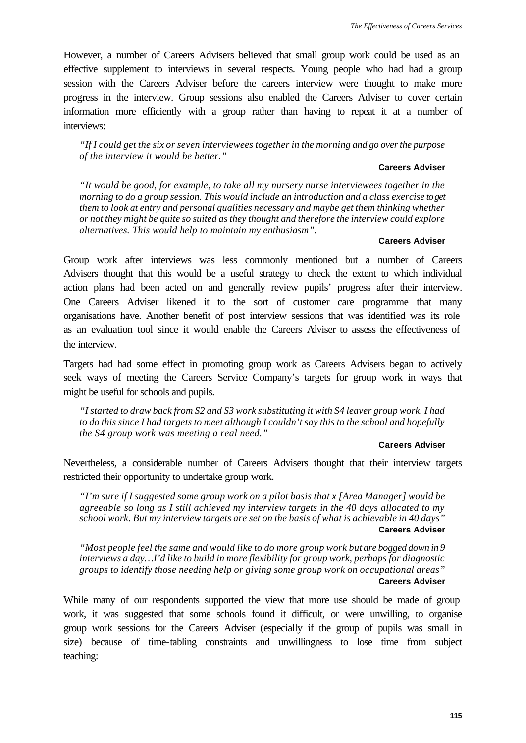However, a number of Careers Advisers believed that small group work could be used as an effective supplement to interviews in several respects. Young people who had had a group session with the Careers Adviser before the careers interview were thought to make more progress in the interview. Group sessions also enabled the Careers Adviser to cover certain information more efficiently with a group rather than having to repeat it at a number of interviews:

*"If I could get the six or seven interviewees together in the morning and go over the purpose of the interview it would be better."*

### **Careers Adviser**

*"It would be good, for example, to take all my nursery nurse interviewees together in the morning to do a group session. This would include an introduction and a class exercise to get them to look at entry and personal qualities necessary and maybe get them thinking whether or not they might be quite so suited as they thought and therefore the interview could explore alternatives. This would help to maintain my enthusiasm".*

### **Careers Adviser**

Group work after interviews was less commonly mentioned but a number of Careers Advisers thought that this would be a useful strategy to check the extent to which individual action plans had been acted on and generally review pupils' progress after their interview. One Careers Adviser likened it to the sort of customer care programme that many organisations have. Another benefit of post interview sessions that was identified was its role as an evaluation tool since it would enable the Careers Adviser to assess the effectiveness of the interview.

Targets had had some effect in promoting group work as Careers Advisers began to actively seek ways of meeting the Careers Service Company's targets for group work in ways that might be useful for schools and pupils.

*"I started to draw back from S2 and S3 work substituting it with S4 leaver group work. I had to do this since I had targets to meet although I couldn't say this to the school and hopefully the S4 group work was meeting a real need."*

### **Careers Adviser**

Nevertheless, a considerable number of Careers Advisers thought that their interview targets restricted their opportunity to undertake group work.

*"I'm sure if I suggested some group work on a pilot basis that x [Area Manager] would be agreeable so long as I still achieved my interview targets in the 40 days allocated to my school work. But my interview targets are set on the basis of what is achievable in 40 days"* **Careers Adviser**

*"Most people feel the same and would like to do more group work but are bogged down in 9 interviews a day…I'd like to build in more flexibility for group work, perhaps for diagnostic groups to identify those needing help or giving some group work on occupational areas"* **Careers Adviser**

While many of our respondents supported the view that more use should be made of group work, it was suggested that some schools found it difficult, or were unwilling, to organise group work sessions for the Careers Adviser (especially if the group of pupils was small in size) because of time-tabling constraints and unwillingness to lose time from subject teaching: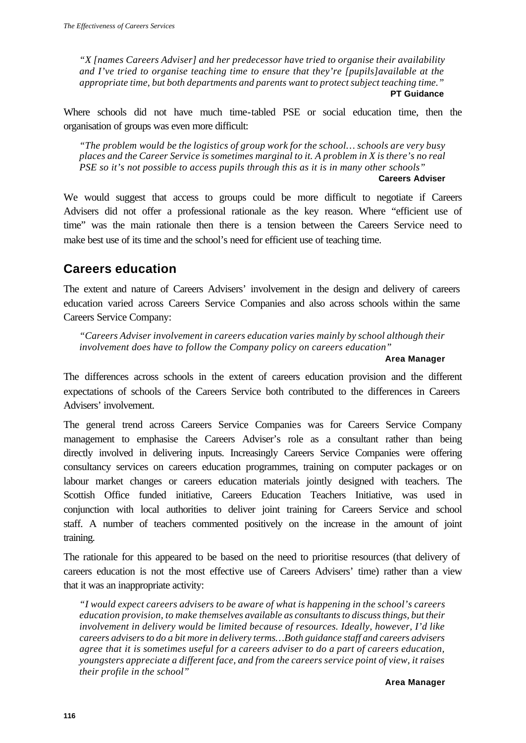*"X [names Careers Adviser] and her predecessor have tried to organise their availability and I've tried to organise teaching time to ensure that they're [pupils]available at the appropriate time, but both departments and parents want to protect subject teaching time."*  **PT Guidance**

Where schools did not have much time-tabled PSE or social education time, then the organisation of groups was even more difficult:

*"The problem would be the logistics of group work for the school… schools are very busy places and the Career Service is sometimes marginal to it. A problem in X is there's no real PSE so it's not possible to access pupils through this as it is in many other schools"* **Careers Adviser**

We would suggest that access to groups could be more difficult to negotiate if Careers Advisers did not offer a professional rationale as the key reason. Where "efficient use of time" was the main rationale then there is a tension between the Careers Service need to make best use of its time and the school's need for efficient use of teaching time.

## **Careers education**

The extent and nature of Careers Advisers' involvement in the design and delivery of careers education varied across Careers Service Companies and also across schools within the same Careers Service Company:

*"Careers Adviser involvement in careers education varies mainly by school although their involvement does have to follow the Company policy on careers education"* 

### **Area Manager**

The differences across schools in the extent of careers education provision and the different expectations of schools of the Careers Service both contributed to the differences in Careers Advisers' involvement.

The general trend across Careers Service Companies was for Careers Service Company management to emphasise the Careers Adviser's role as a consultant rather than being directly involved in delivering inputs. Increasingly Careers Service Companies were offering consultancy services on careers education programmes, training on computer packages or on labour market changes or careers education materials jointly designed with teachers. The Scottish Office funded initiative, Careers Education Teachers Initiative, was used in conjunction with local authorities to deliver joint training for Careers Service and school staff. A number of teachers commented positively on the increase in the amount of joint training.

The rationale for this appeared to be based on the need to prioritise resources (that delivery of careers education is not the most effective use of Careers Advisers' time) rather than a view that it was an inappropriate activity:

*"I would expect careers advisers to be aware of what is happening in the school's careers education provision, to make themselves available as consultants to discuss things, but their involvement in delivery would be limited because of resources. Ideally, however, I'd like careers advisers to do a bit more in delivery terms…Both guidance staff and careers advisers agree that it is sometimes useful for a careers adviser to do a part of careers education, youngsters appreciate a different face, and from the careers service point of view, it raises their profile in the school"*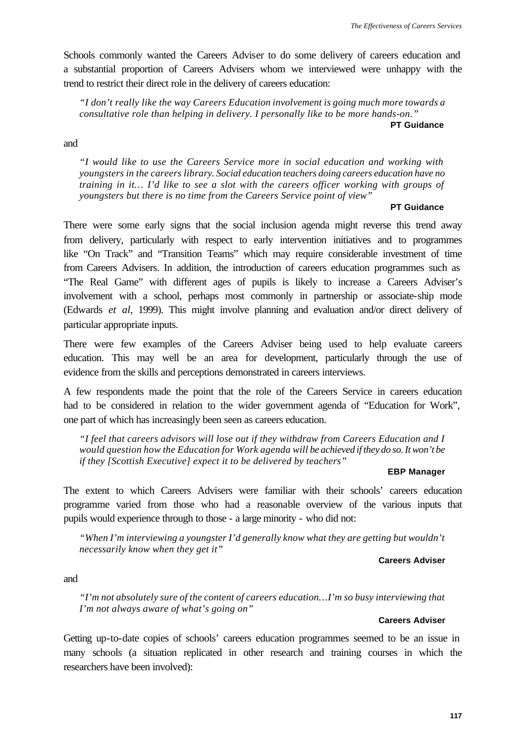Schools commonly wanted the Careers Adviser to do some delivery of careers education and a substantial proportion of Careers Advisers whom we interviewed were unhappy with the trend to restrict their direct role in the delivery of careers education:

*"I don't really like the way Careers Education involvement is going much more towards a consultative role than helping in delivery. I personally like to be more hands-on."*

**PT Guidance**

and

*"I would like to use the Careers Service more in social education and working with youngsters in the careers library. Social education teachers doing careers education have no training in it… I'd like to see a slot with the careers officer working with groups of youngsters but there is no time from the Careers Service point of view"* 

### **PT Guidance**

There were some early signs that the social inclusion agenda might reverse this trend away from delivery, particularly with respect to early intervention initiatives and to programmes like "On Track" and "Transition Teams" which may require considerable investment of time from Careers Advisers. In addition, the introduction of careers education programmes such as "The Real Game" with different ages of pupils is likely to increase a Careers Adviser's involvement with a school, perhaps most commonly in partnership or associate-ship mode (Edwards *et al*, 1999). This might involve planning and evaluation and/or direct delivery of particular appropriate inputs.

There were few examples of the Careers Adviser being used to help evaluate careers education. This may well be an area for development, particularly through the use of evidence from the skills and perceptions demonstrated in careers interviews.

A few respondents made the point that the role of the Careers Service in careers education had to be considered in relation to the wider government agenda of "Education for Work", one part of which has increasingly been seen as careers education.

*"I feel that careers advisors will lose out if they withdraw from Careers Education and I would question how the Education for Work agenda will be achieved if they do so. It won't be if they [Scottish Executive] expect it to be delivered by teachers"* 

#### **EBP Manager**

The extent to which Careers Advisers were familiar with their schools' careers education programme varied from those who had a reasonable overview of the various inputs that pupils would experience through to those - a large minority - who did not:

*"When I'm interviewing a youngster I'd generally know what they are getting but wouldn't necessarily know when they get it"* 

**Careers Adviser**

and

*"I'm not absolutely sure of the content of careers education…I'm so busy interviewing that I'm not always aware of what's going on"* 

### **Careers Adviser**

Getting up-to-date copies of schools' careers education programmes seemed to be an issue in many schools (a situation replicated in other research and training courses in which the researchers have been involved):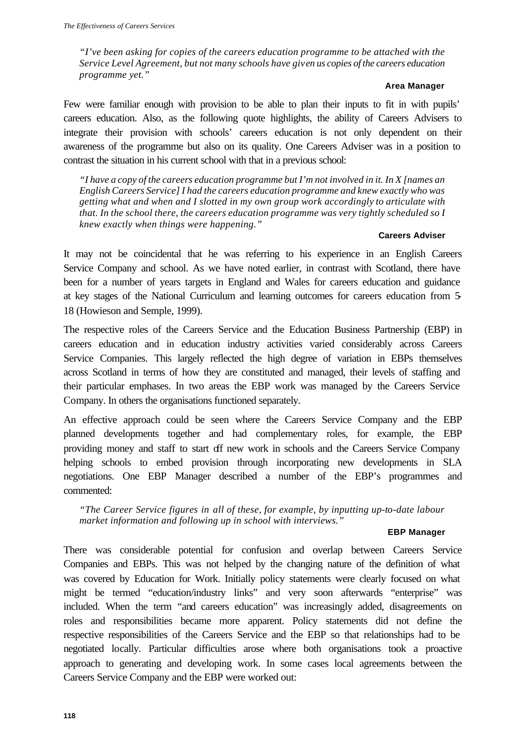*"I've been asking for copies of the careers education programme to be attached with the Service Level Agreement, but not many schools have given us copies of the careers education programme yet."*

### **Area Manager**

Few were familiar enough with provision to be able to plan their inputs to fit in with pupils' careers education. Also, as the following quote highlights, the ability of Careers Advisers to integrate their provision with schools' careers education is not only dependent on their awareness of the programme but also on its quality. One Careers Adviser was in a position to contrast the situation in his current school with that in a previous school:

*"I have a copy of the careers education programme but I'm not involved in it. In X [names an English Careers Service] I had the careers education programme and knew exactly who was getting what and when and I slotted in my own group work accordingly to articulate with that. In the school there, the careers education programme was very tightly scheduled so I knew exactly when things were happening."* 

### **Careers Adviser**

It may not be coincidental that he was referring to his experience in an English Careers Service Company and school. As we have noted earlier, in contrast with Scotland, there have been for a number of years targets in England and Wales for careers education and guidance at key stages of the National Curriculum and learning outcomes for careers education from 5- 18 (Howieson and Semple, 1999).

The respective roles of the Careers Service and the Education Business Partnership (EBP) in careers education and in education industry activities varied considerably across Careers Service Companies. This largely reflected the high degree of variation in EBPs themselves across Scotland in terms of how they are constituted and managed, their levels of staffing and their particular emphases. In two areas the EBP work was managed by the Careers Service Company. In others the organisations functioned separately.

An effective approach could be seen where the Careers Service Company and the EBP planned developments together and had complementary roles, for example, the EBP providing money and staff to start off new work in schools and the Careers Service Company helping schools to embed provision through incorporating new developments in SLA negotiations. One EBP Manager described a number of the EBP's programmes and commented:

*"The Career Service figures in all of these, for example, by inputting up-to-date labour market information and following up in school with interviews."* 

### **EBP Manager**

There was considerable potential for confusion and overlap between Careers Service Companies and EBPs. This was not helped by the changing nature of the definition of what was covered by Education for Work. Initially policy statements were clearly focused on what might be termed "education/industry links" and very soon afterwards "enterprise" was included. When the term "and careers education" was increasingly added, disagreements on roles and responsibilities became more apparent. Policy statements did not define the respective responsibilities of the Careers Service and the EBP so that relationships had to be negotiated locally. Particular difficulties arose where both organisations took a proactive approach to generating and developing work. In some cases local agreements between the Careers Service Company and the EBP were worked out: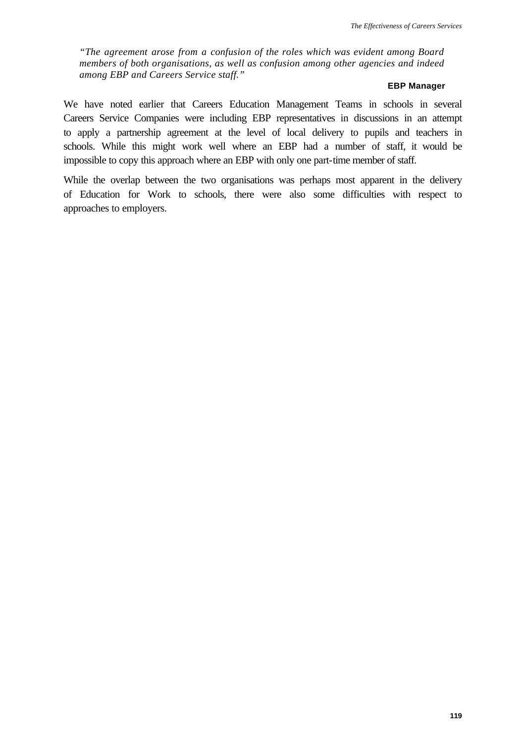*"The agreement arose from a confusion of the roles which was evident among Board members of both organisations, as well as confusion among other agencies and indeed among EBP and Careers Service staff."*

#### **EBP Manager**

We have noted earlier that Careers Education Management Teams in schools in several Careers Service Companies were including EBP representatives in discussions in an attempt to apply a partnership agreement at the level of local delivery to pupils and teachers in schools. While this might work well where an EBP had a number of staff, it would be impossible to copy this approach where an EBP with only one part-time member of staff.

While the overlap between the two organisations was perhaps most apparent in the delivery of Education for Work to schools, there were also some difficulties with respect to approaches to employers.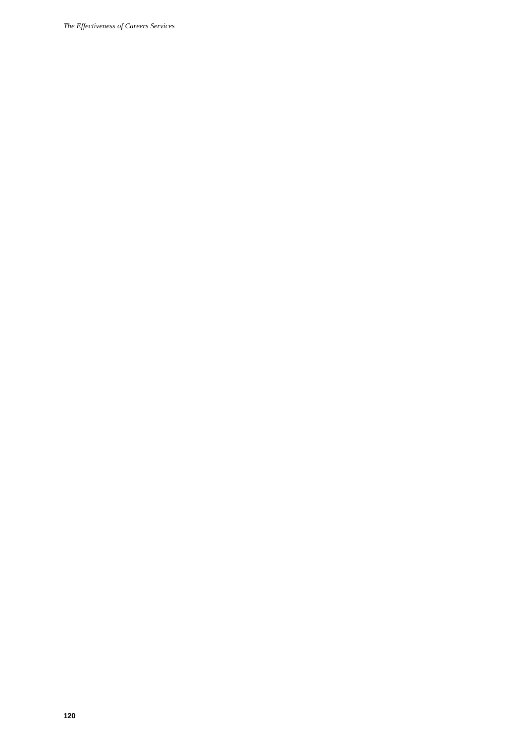*The Effectiveness of Careers Services*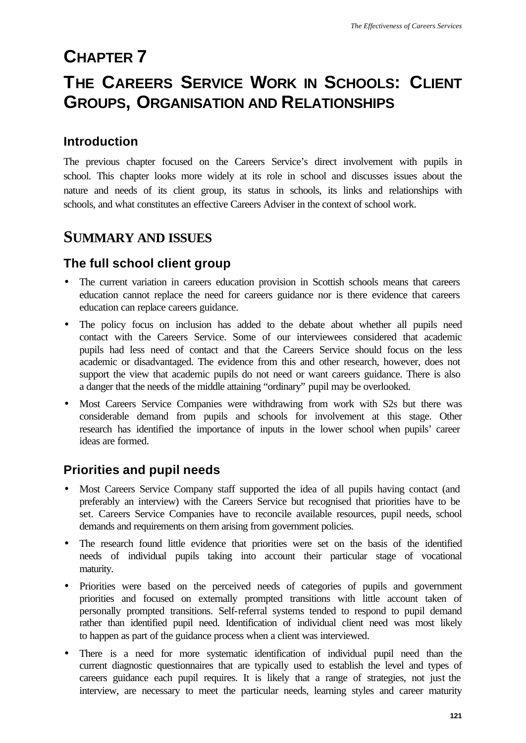# **CHAPTER 7**

# **THE CAREERS SERVICE WORK IN SCHOOLS: CLIENT GROUPS, ORGANISATION AND RELATIONSHIPS**

## **Introduction**

The previous chapter focused on the Careers Service's direct involvement with pupils in school. This chapter looks more widely at its role in school and discusses issues about the nature and needs of its client group, its status in schools, its links and relationships with schools, and what constitutes an effective Careers Adviser in the context of school work.

## **SUMMARY AND ISSUES**

## **The full school client group**

- The current variation in careers education provision in Scottish schools means that careers education cannot replace the need for careers guidance nor is there evidence that careers education can replace careers guidance.
- The policy focus on inclusion has added to the debate about whether all pupils need contact with the Careers Service. Some of our interviewees considered that academic pupils had less need of contact and that the Careers Service should focus on the less academic or disadvantaged. The evidence from this and other research, however, does not support the view that academic pupils do not need or want careers guidance. There is also a danger that the needs of the middle attaining "ordinary" pupil may be overlooked.
- Most Careers Service Companies were withdrawing from work with S2s but there was considerable demand from pupils and schools for involvement at this stage. Other research has identified the importance of inputs in the lower school when pupils' career ideas are formed.

## **Priorities and pupil needs**

- Most Careers Service Company staff supported the idea of all pupils having contact (and preferably an interview) with the Careers Service but recognised that priorities have to be set. Careers Service Companies have to reconcile available resources, pupil needs, school demands and requirements on them arising from government policies.
- The research found little evidence that priorities were set on the basis of the identified needs of individual pupils taking into account their particular stage of vocational maturity.
- Priorities were based on the perceived needs of categories of pupils and government priorities and focused on externally prompted transitions with little account taken of personally prompted transitions. Self-referral systems tended to respond to pupil demand rather than identified pupil need. Identification of individual client need was most likely to happen as part of the guidance process when a client was interviewed.
- There is a need for more systematic identification of individual pupil need than the current diagnostic questionnaires that are typically used to establish the level and types of careers guidance each pupil requires. It is likely that a range of strategies, not just the interview, are necessary to meet the particular needs, learning styles and career maturity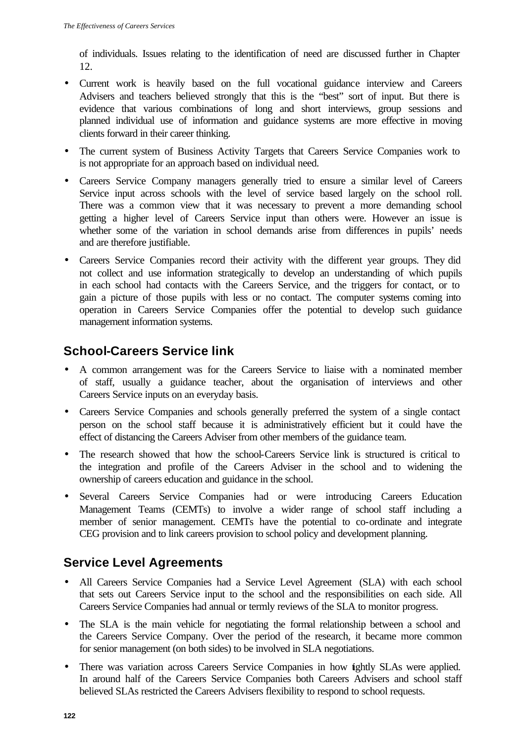of individuals. Issues relating to the identification of need are discussed further in Chapter 12.

- Current work is heavily based on the full vocational guidance interview and Careers Advisers and teachers believed strongly that this is the "best" sort of input. But there is evidence that various combinations of long and short interviews, group sessions and planned individual use of information and guidance systems are more effective in moving clients forward in their career thinking.
- The current system of Business Activity Targets that Careers Service Companies work to is not appropriate for an approach based on individual need.
- Careers Service Company managers generally tried to ensure a similar level of Careers Service input across schools with the level of service based largely on the school roll. There was a common view that it was necessary to prevent a more demanding school getting a higher level of Careers Service input than others were. However an issue is whether some of the variation in school demands arise from differences in pupils' needs and are therefore justifiable.
- Careers Service Companies record their activity with the different year groups. They did not collect and use information strategically to develop an understanding of which pupils in each school had contacts with the Careers Service, and the triggers for contact, or to gain a picture of those pupils with less or no contact. The computer systems coming into operation in Careers Service Companies offer the potential to develop such guidance management information systems.

## **School-Careers Service link**

- A common arrangement was for the Careers Service to liaise with a nominated member of staff, usually a guidance teacher, about the organisation of interviews and other Careers Service inputs on an everyday basis.
- Careers Service Companies and schools generally preferred the system of a single contact person on the school staff because it is administratively efficient but it could have the effect of distancing the Careers Adviser from other members of the guidance team.
- The research showed that how the school-Careers Service link is structured is critical to the integration and profile of the Careers Adviser in the school and to widening the ownership of careers education and guidance in the school.
- Several Careers Service Companies had or were introducing Careers Education Management Teams (CEMTs) to involve a wider range of school staff including a member of senior management. CEMTs have the potential to co-ordinate and integrate CEG provision and to link careers provision to school policy and development planning.

## **Service Level Agreements**

- All Careers Service Companies had a Service Level Agreement (SLA) with each school that sets out Careers Service input to the school and the responsibilities on each side. All Careers Service Companies had annual or termly reviews of the SLA to monitor progress.
- The SLA is the main vehicle for negotiating the formal relationship between a school and the Careers Service Company. Over the period of the research, it became more common for senior management (on both sides) to be involved in SLA negotiations.
- There was variation across Careers Service Companies in how tightly SLAs were applied. In around half of the Careers Service Companies both Careers Advisers and school staff believed SLAs restricted the Careers Advisers flexibility to respond to school requests.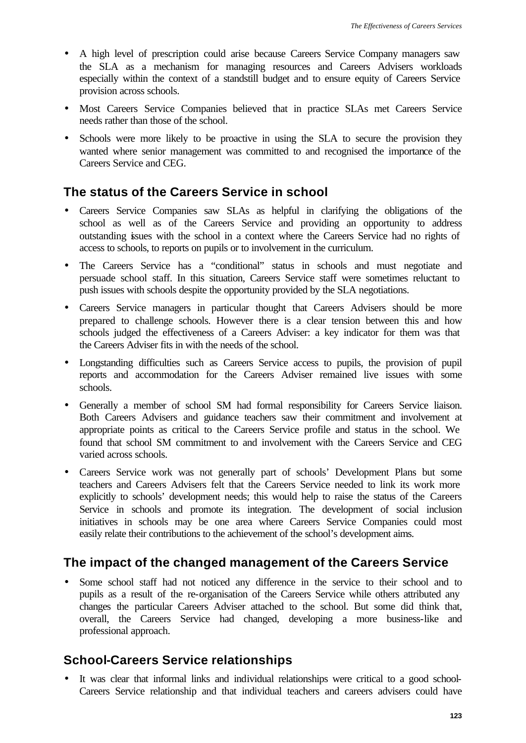- A high level of prescription could arise because Careers Service Company managers saw the SLA as a mechanism for managing resources and Careers Advisers workloads especially within the context of a standstill budget and to ensure equity of Careers Service provision across schools.
- Most Careers Service Companies believed that in practice SLAs met Careers Service needs rather than those of the school.
- Schools were more likely to be proactive in using the SLA to secure the provision they wanted where senior management was committed to and recognised the importance of the Careers Service and CEG.

## **The status of the Careers Service in school**

- Careers Service Companies saw SLAs as helpful in clarifying the obligations of the school as well as of the Careers Service and providing an opportunity to address outstanding issues with the school in a context where the Careers Service had no rights of access to schools, to reports on pupils or to involvement in the curriculum.
- The Careers Service has a "conditional" status in schools and must negotiate and persuade school staff. In this situation, Careers Service staff were sometimes reluctant to push issues with schools despite the opportunity provided by the SLA negotiations.
- Careers Service managers in particular thought that Careers Advisers should be more prepared to challenge schools. However there is a clear tension between this and how schools judged the effectiveness of a Careers Adviser: a key indicator for them was that the Careers Adviser fits in with the needs of the school.
- Longstanding difficulties such as Careers Service access to pupils, the provision of pupil reports and accommodation for the Careers Adviser remained live issues with some schools.
- Generally a member of school SM had formal responsibility for Careers Service liaison. Both Careers Advisers and guidance teachers saw their commitment and involvement at appropriate points as critical to the Careers Service profile and status in the school. We found that school SM commitment to and involvement with the Careers Service and CEG varied across schools.
- Careers Service work was not generally part of schools' Development Plans but some teachers and Careers Advisers felt that the Careers Service needed to link its work more explicitly to schools' development needs; this would help to raise the status of the Careers Service in schools and promote its integration. The development of social inclusion initiatives in schools may be one area where Careers Service Companies could most easily relate their contributions to the achievement of the school's development aims.

## **The impact of the changed management of the Careers Service**

Some school staff had not noticed any difference in the service to their school and to pupils as a result of the re-organisation of the Careers Service while others attributed any changes the particular Careers Adviser attached to the school. But some did think that, overall, the Careers Service had changed, developing a more business-like and professional approach.

## **School-Careers Service relationships**

• It was clear that informal links and individual relationships were critical to a good school-Careers Service relationship and that individual teachers and careers advisers could have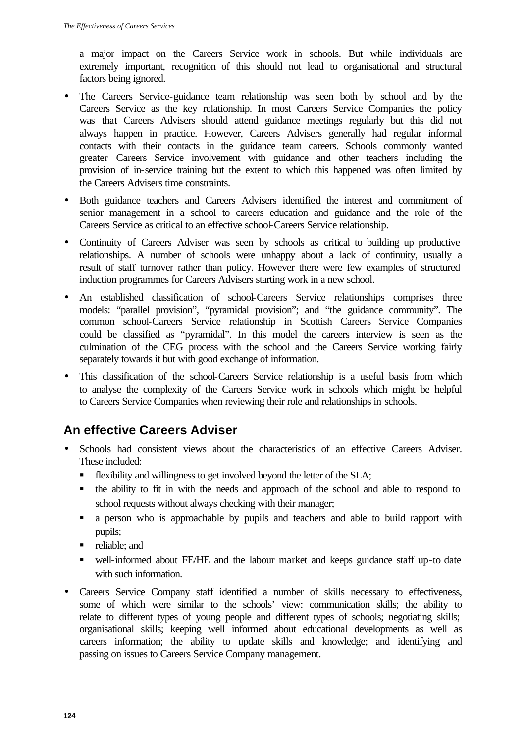a major impact on the Careers Service work in schools. But while individuals are extremely important, recognition of this should not lead to organisational and structural factors being ignored.

- The Careers Service-guidance team relationship was seen both by school and by the Careers Service as the key relationship. In most Careers Service Companies the policy was that Careers Advisers should attend guidance meetings regularly but this did not always happen in practice. However, Careers Advisers generally had regular informal contacts with their contacts in the guidance team careers. Schools commonly wanted greater Careers Service involvement with guidance and other teachers including the provision of in-service training but the extent to which this happened was often limited by the Careers Advisers time constraints.
- Both guidance teachers and Careers Advisers identified the interest and commitment of senior management in a school to careers education and guidance and the role of the Careers Service as critical to an effective school-Careers Service relationship.
- Continuity of Careers Adviser was seen by schools as critical to building up productive relationships. A number of schools were unhappy about a lack of continuity, usually a result of staff turnover rather than policy. However there were few examples of structured induction programmes for Careers Advisers starting work in a new school.
- An established classification of school-Careers Service relationships comprises three models: "parallel provision", "pyramidal provision"; and "the guidance community". The common school-Careers Service relationship in Scottish Careers Service Companies could be classified as "pyramidal". In this model the careers interview is seen as the culmination of the CEG process with the school and the Careers Service working fairly separately towards it but with good exchange of information.
- This classification of the school-Careers Service relationship is a useful basis from which to analyse the complexity of the Careers Service work in schools which might be helpful to Careers Service Companies when reviewing their role and relationships in schools.

## **An effective Careers Adviser**

- Schools had consistent views about the characteristics of an effective Careers Adviser. These included:
	- flexibility and willingness to get involved beyond the letter of the SLA;
	- $\blacksquare$  the ability to fit in with the needs and approach of the school and able to respond to school requests without always checking with their manager;
	- a person who is approachable by pupils and teachers and able to build rapport with pupils;
	- reliable; and
	- well-informed about FE/HE and the labour market and keeps guidance staff up-to date with such information.
- Careers Service Company staff identified a number of skills necessary to effectiveness, some of which were similar to the schools' view: communication skills; the ability to relate to different types of young people and different types of schools; negotiating skills; organisational skills; keeping well informed about educational developments as well as careers information; the ability to update skills and knowledge; and identifying and passing on issues to Careers Service Company management.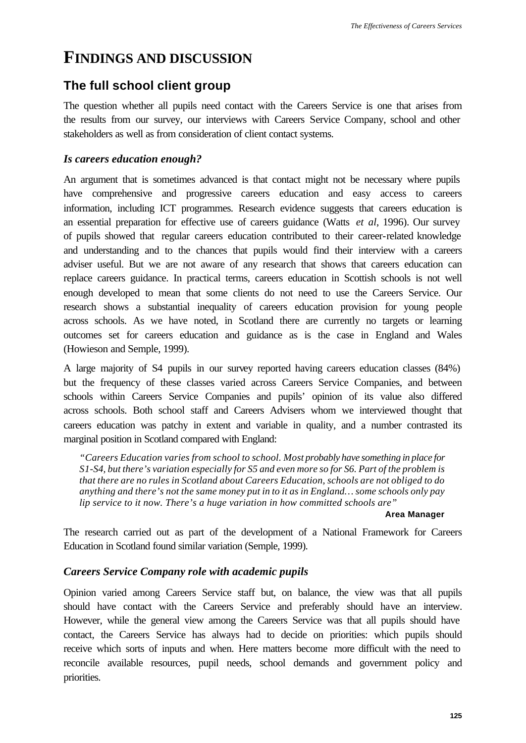# **FINDINGS AND DISCUSSION**

## **The full school client group**

The question whether all pupils need contact with the Careers Service is one that arises from the results from our survey, our interviews with Careers Service Company, school and other stakeholders as well as from consideration of client contact systems.

### *Is careers education enough?*

An argument that is sometimes advanced is that contact might not be necessary where pupils have comprehensive and progressive careers education and easy access to careers information, including ICT programmes. Research evidence suggests that careers education is an essential preparation for effective use of careers guidance (Watts *et al*, 1996). Our survey of pupils showed that regular careers education contributed to their career-related knowledge and understanding and to the chances that pupils would find their interview with a careers adviser useful. But we are not aware of any research that shows that careers education can replace careers guidance. In practical terms, careers education in Scottish schools is not well enough developed to mean that some clients do not need to use the Careers Service. Our research shows a substantial inequality of careers education provision for young people across schools. As we have noted, in Scotland there are currently no targets or learning outcomes set for careers education and guidance as is the case in England and Wales (Howieson and Semple, 1999).

A large majority of S4 pupils in our survey reported having careers education classes (84%) but the frequency of these classes varied across Careers Service Companies, and between schools within Careers Service Companies and pupils' opinion of its value also differed across schools. Both school staff and Careers Advisers whom we interviewed thought that careers education was patchy in extent and variable in quality, and a number contrasted its marginal position in Scotland compared with England:

*"Careers Education varies from school to school. Most probably have something in place for S1-S4, but there's variation especially for S5 and even more so for S6. Part of the problem is that there are no rules in Scotland about Careers Education, schools are not obliged to do anything and there's not the same money put in to it as in England… some schools only pay lip service to it now. There's a huge variation in how committed schools are"* 

### **Area Manager**

The research carried out as part of the development of a National Framework for Careers Education in Scotland found similar variation (Semple, 1999).

### *Careers Service Company role with academic pupils*

Opinion varied among Careers Service staff but, on balance, the view was that all pupils should have contact with the Careers Service and preferably should have an interview. However, while the general view among the Careers Service was that all pupils should have contact, the Careers Service has always had to decide on priorities: which pupils should receive which sorts of inputs and when. Here matters become more difficult with the need to reconcile available resources, pupil needs, school demands and government policy and priorities.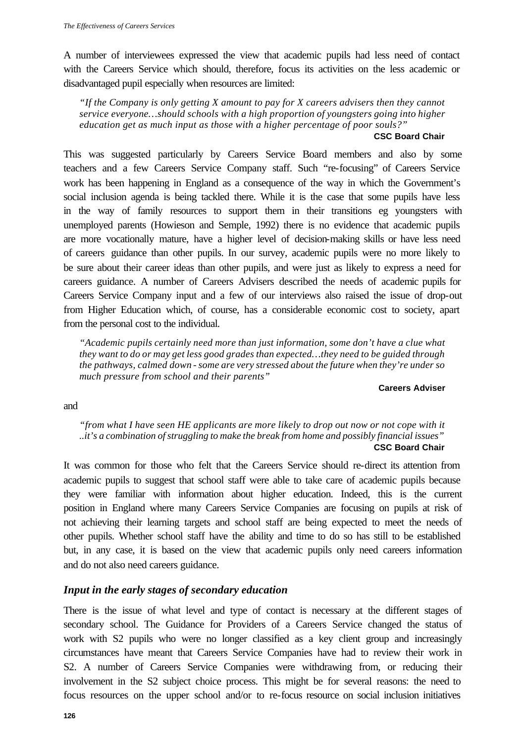A number of interviewees expressed the view that academic pupils had less need of contact with the Careers Service which should, therefore, focus its activities on the less academic or disadvantaged pupil especially when resources are limited:

*"If the Company is only getting X amount to pay for X careers advisers then they cannot service everyone…should schools with a high proportion of youngsters going into higher education get as much input as those with a higher percentage of poor souls?"*

### **CSC Board Chair**

This was suggested particularly by Careers Service Board members and also by some teachers and a few Careers Service Company staff. Such "re-focusing" of Careers Service work has been happening in England as a consequence of the way in which the Government's social inclusion agenda is being tackled there. While it is the case that some pupils have less in the way of family resources to support them in their transitions eg youngsters with unemployed parents (Howieson and Semple, 1992) there is no evidence that academic pupils are more vocationally mature, have a higher level of decision-making skills or have less need of careers guidance than other pupils. In our survey, academic pupils were no more likely to be sure about their career ideas than other pupils, and were just as likely to express a need for careers guidance. A number of Careers Advisers described the needs of academic pupils for Careers Service Company input and a few of our interviews also raised the issue of drop-out from Higher Education which, of course, has a considerable economic cost to society, apart from the personal cost to the individual.

*"Academic pupils certainly need more than just information, some don't have a clue what they want to do or may get less good grades than expected…they need to be guided through the pathways, calmed down - some are very stressed about the future when they're under so much pressure from school and their parents"* 

#### **Careers Adviser**

#### and

*"from what I have seen HE applicants are more likely to drop out now or not cope with it ..it's a combination of struggling to make the break from home and possibly financial issues"*  **CSC Board Chair**

It was common for those who felt that the Careers Service should re-direct its attention from academic pupils to suggest that school staff were able to take care of academic pupils because they were familiar with information about higher education. Indeed, this is the current position in England where many Careers Service Companies are focusing on pupils at risk of not achieving their learning targets and school staff are being expected to meet the needs of other pupils. Whether school staff have the ability and time to do so has still to be established but, in any case, it is based on the view that academic pupils only need careers information and do not also need careers guidance.

### *Input in the early stages of secondary education*

There is the issue of what level and type of contact is necessary at the different stages of secondary school. The Guidance for Providers of a Careers Service changed the status of work with S2 pupils who were no longer classified as a key client group and increasingly circumstances have meant that Careers Service Companies have had to review their work in S2. A number of Careers Service Companies were withdrawing from, or reducing their involvement in the S2 subject choice process. This might be for several reasons: the need to focus resources on the upper school and/or to re-focus resource on social inclusion initiatives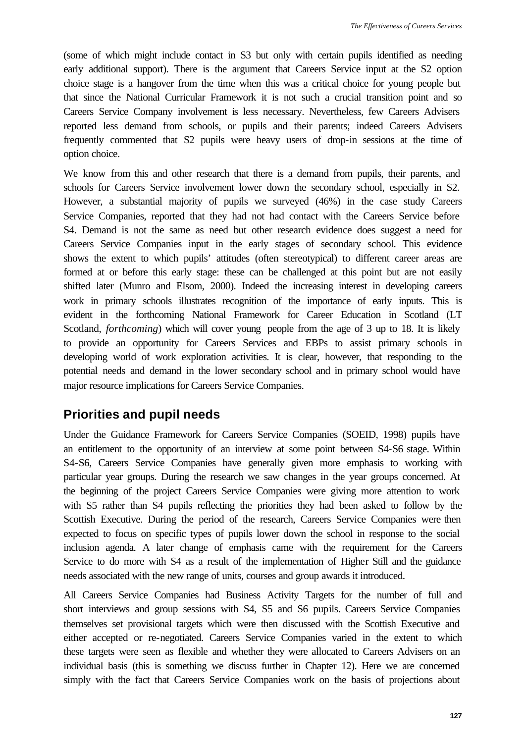(some of which might include contact in S3 but only with certain pupils identified as needing early additional support). There is the argument that Careers Service input at the S2 option choice stage is a hangover from the time when this was a critical choice for young people but that since the National Curricular Framework it is not such a crucial transition point and so Careers Service Company involvement is less necessary. Nevertheless, few Careers Advisers reported less demand from schools, or pupils and their parents; indeed Careers Advisers frequently commented that S2 pupils were heavy users of drop-in sessions at the time of option choice.

We know from this and other research that there is a demand from pupils, their parents, and schools for Careers Service involvement lower down the secondary school, especially in S2. However, a substantial majority of pupils we surveyed (46%) in the case study Careers Service Companies, reported that they had not had contact with the Careers Service before S4. Demand is not the same as need but other research evidence does suggest a need for Careers Service Companies input in the early stages of secondary school. This evidence shows the extent to which pupils' attitudes (often stereotypical) to different career areas are formed at or before this early stage: these can be challenged at this point but are not easily shifted later (Munro and Elsom, 2000). Indeed the increasing interest in developing careers work in primary schools illustrates recognition of the importance of early inputs. This is evident in the forthcoming National Framework for Career Education in Scotland (LT Scotland, *forthcoming*) which will cover young people from the age of 3 up to 18. It is likely to provide an opportunity for Careers Services and EBPs to assist primary schools in developing world of work exploration activities. It is clear, however, that responding to the potential needs and demand in the lower secondary school and in primary school would have major resource implications for Careers Service Companies.

## **Priorities and pupil needs**

Under the Guidance Framework for Careers Service Companies (SOEID, 1998) pupils have an entitlement to the opportunity of an interview at some point between S4-S6 stage. Within S4-S6, Careers Service Companies have generally given more emphasis to working with particular year groups. During the research we saw changes in the year groups concerned. At the beginning of the project Careers Service Companies were giving more attention to work with S5 rather than S4 pupils reflecting the priorities they had been asked to follow by the Scottish Executive. During the period of the research, Careers Service Companies were then expected to focus on specific types of pupils lower down the school in response to the social inclusion agenda. A later change of emphasis came with the requirement for the Careers Service to do more with S4 as a result of the implementation of Higher Still and the guidance needs associated with the new range of units, courses and group awards it introduced.

All Careers Service Companies had Business Activity Targets for the number of full and short interviews and group sessions with S4, S5 and S6 pupils. Careers Service Companies themselves set provisional targets which were then discussed with the Scottish Executive and either accepted or re-negotiated. Careers Service Companies varied in the extent to which these targets were seen as flexible and whether they were allocated to Careers Advisers on an individual basis (this is something we discuss further in Chapter 12). Here we are concerned simply with the fact that Careers Service Companies work on the basis of projections about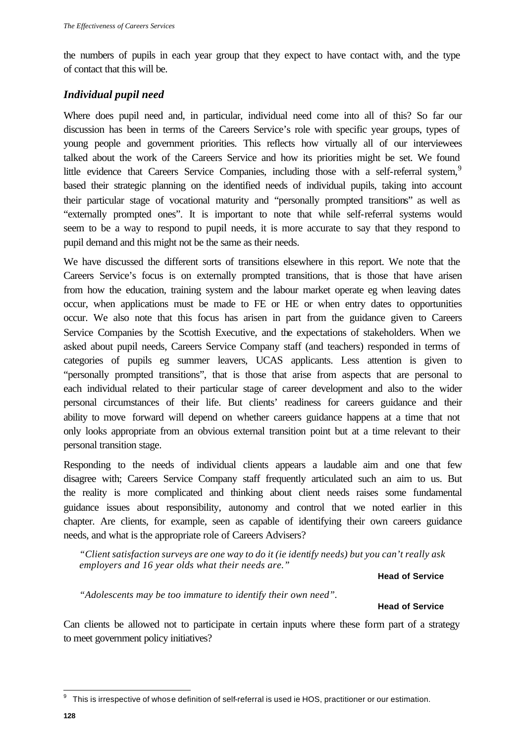the numbers of pupils in each year group that they expect to have contact with, and the type of contact that this will be.

### *Individual pupil need*

Where does pupil need and, in particular, individual need come into all of this? So far our discussion has been in terms of the Careers Service's role with specific year groups, types of young people and government priorities. This reflects how virtually all of our interviewees talked about the work of the Careers Service and how its priorities might be set. We found little evidence that Careers Service Companies, including those with a self-referral system,<sup>9</sup> based their strategic planning on the identified needs of individual pupils, taking into account their particular stage of vocational maturity and "personally prompted transitions" as well as "externally prompted ones". It is important to note that while self-referral systems would seem to be a way to respond to pupil needs, it is more accurate to say that they respond to pupil demand and this might not be the same as their needs.

We have discussed the different sorts of transitions elsewhere in this report. We note that the Careers Service's focus is on externally prompted transitions, that is those that have arisen from how the education, training system and the labour market operate eg when leaving dates occur, when applications must be made to FE or HE or when entry dates to opportunities occur. We also note that this focus has arisen in part from the guidance given to Careers Service Companies by the Scottish Executive, and the expectations of stakeholders. When we asked about pupil needs, Careers Service Company staff (and teachers) responded in terms of categories of pupils eg summer leavers, UCAS applicants. Less attention is given to "personally prompted transitions", that is those that arise from aspects that are personal to each individual related to their particular stage of career development and also to the wider personal circumstances of their life. But clients' readiness for careers guidance and their ability to move forward will depend on whether careers guidance happens at a time that not only looks appropriate from an obvious external transition point but at a time relevant to their personal transition stage.

Responding to the needs of individual clients appears a laudable aim and one that few disagree with; Careers Service Company staff frequently articulated such an aim to us. But the reality is more complicated and thinking about client needs raises some fundamental guidance issues about responsibility, autonomy and control that we noted earlier in this chapter. Are clients, for example, seen as capable of identifying their own careers guidance needs, and what is the appropriate role of Careers Advisers?

*"Client satisfaction surveys are one way to do it (ie identify needs) but you can't really ask employers and 16 year olds what their needs are."*

**Head of Service**

*"Adolescents may be too immature to identify their own need".*

**Head of Service**

Can clients be allowed not to participate in certain inputs where these form part of a strategy to meet government policy initiatives?

 9 This is irrespective of whose definition of self-referral is used ie HOS, practitioner or our estimation.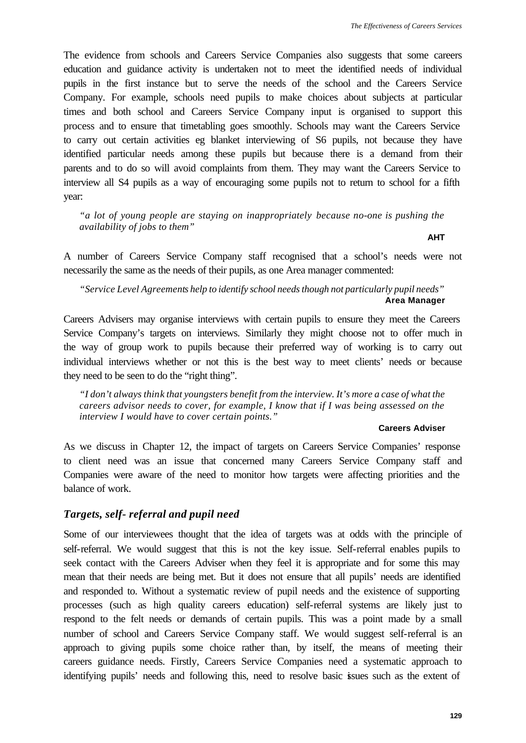The evidence from schools and Careers Service Companies also suggests that some careers education and guidance activity is undertaken not to meet the identified needs of individual pupils in the first instance but to serve the needs of the school and the Careers Service Company. For example, schools need pupils to make choices about subjects at particular times and both school and Careers Service Company input is organised to support this process and to ensure that timetabling goes smoothly. Schools may want the Careers Service to carry out certain activities eg blanket interviewing of S6 pupils, not because they have identified particular needs among these pupils but because there is a demand from their parents and to do so will avoid complaints from them. They may want the Careers Service to interview all S4 pupils as a way of encouraging some pupils not to return to school for a fifth year:

*"a lot of young people are staying on inappropriately because no-one is pushing the availability of jobs to them"* 

#### **AHT**

A number of Careers Service Company staff recognised that a school's needs were not necessarily the same as the needs of their pupils, as one Area manager commented:

*"Service Level Agreements help to identify school needs though not particularly pupil needs"*  **Area Manager**

Careers Advisers may organise interviews with certain pupils to ensure they meet the Careers Service Company's targets on interviews. Similarly they might choose not to offer much in the way of group work to pupils because their preferred way of working is to carry out individual interviews whether or not this is the best way to meet clients' needs or because they need to be seen to do the "right thing".

*"I don't always think that youngsters benefit from the interview. It's more a case of what the careers advisor needs to cover, for example, I know that if I was being assessed on the interview I would have to cover certain points."*

### **Careers Adviser**

As we discuss in Chapter 12, the impact of targets on Careers Service Companies' response to client need was an issue that concerned many Careers Service Company staff and Companies were aware of the need to monitor how targets were affecting priorities and the balance of work.

### *Targets, self- referral and pupil need*

Some of our interviewees thought that the idea of targets was at odds with the principle of self-referral. We would suggest that this is not the key issue. Self-referral enables pupils to seek contact with the Careers Adviser when they feel it is appropriate and for some this may mean that their needs are being met. But it does not ensure that all pupils' needs are identified and responded to. Without a systematic review of pupil needs and the existence of supporting processes (such as high quality careers education) self-referral systems are likely just to respond to the felt needs or demands of certain pupils. This was a point made by a small number of school and Careers Service Company staff. We would suggest self-referral is an approach to giving pupils some choice rather than, by itself, the means of meeting their careers guidance needs. Firstly, Careers Service Companies need a systematic approach to identifying pupils' needs and following this, need to resolve basic issues such as the extent of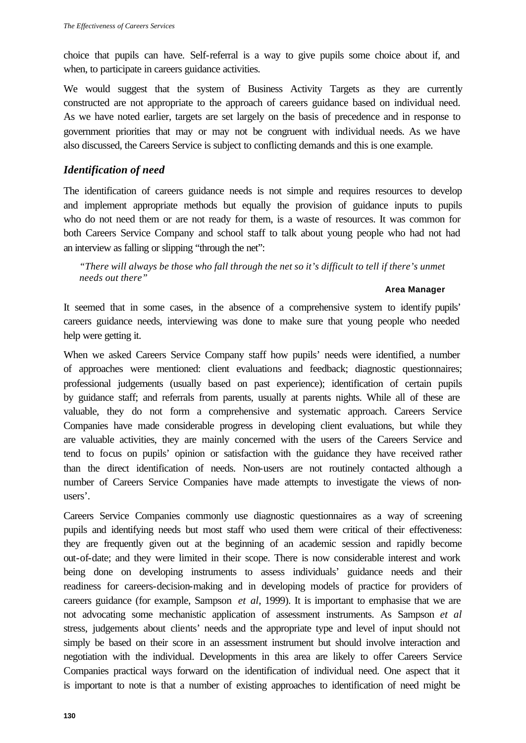choice that pupils can have. Self-referral is a way to give pupils some choice about if, and when, to participate in careers guidance activities.

We would suggest that the system of Business Activity Targets as they are currently constructed are not appropriate to the approach of careers guidance based on individual need. As we have noted earlier, targets are set largely on the basis of precedence and in response to government priorities that may or may not be congruent with individual needs. As we have also discussed, the Careers Service is subject to conflicting demands and this is one example.

### *Identification of need*

The identification of careers guidance needs is not simple and requires resources to develop and implement appropriate methods but equally the provision of guidance inputs to pupils who do not need them or are not ready for them, is a waste of resources. It was common for both Careers Service Company and school staff to talk about young people who had not had an interview as falling or slipping "through the net":

*"There will always be those who fall through the net so it's difficult to tell if there's unmet needs out there"* 

### **Area Manager**

It seemed that in some cases, in the absence of a comprehensive system to identify pupils' careers guidance needs, interviewing was done to make sure that young people who needed help were getting it.

When we asked Careers Service Company staff how pupils' needs were identified, a number of approaches were mentioned: client evaluations and feedback; diagnostic questionnaires; professional judgements (usually based on past experience); identification of certain pupils by guidance staff; and referrals from parents, usually at parents nights. While all of these are valuable, they do not form a comprehensive and systematic approach. Careers Service Companies have made considerable progress in developing client evaluations, but while they are valuable activities, they are mainly concerned with the users of the Careers Service and tend to focus on pupils' opinion or satisfaction with the guidance they have received rather than the direct identification of needs. Non-users are not routinely contacted although a number of Careers Service Companies have made attempts to investigate the views of nonusers'.

Careers Service Companies commonly use diagnostic questionnaires as a way of screening pupils and identifying needs but most staff who used them were critical of their effectiveness: they are frequently given out at the beginning of an academic session and rapidly become out-of-date; and they were limited in their scope. There is now considerable interest and work being done on developing instruments to assess individuals' guidance needs and their readiness for careers-decision-making and in developing models of practice for providers of careers guidance (for example, Sampson *et al*, 1999). It is important to emphasise that we are not advocating some mechanistic application of assessment instruments. As Sampson *et al* stress, judgements about clients' needs and the appropriate type and level of input should not simply be based on their score in an assessment instrument but should involve interaction and negotiation with the individual. Developments in this area are likely to offer Careers Service Companies practical ways forward on the identification of individual need. One aspect that it is important to note is that a number of existing approaches to identification of need might be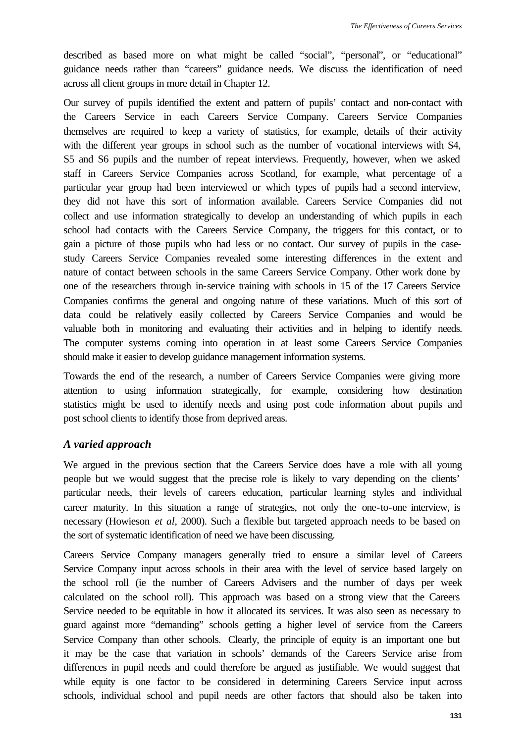described as based more on what might be called "social", "personal", or "educational" guidance needs rather than "careers" guidance needs. We discuss the identification of need across all client groups in more detail in Chapter 12.

Our survey of pupils identified the extent and pattern of pupils' contact and non-contact with the Careers Service in each Careers Service Company. Careers Service Companies themselves are required to keep a variety of statistics, for example, details of their activity with the different year groups in school such as the number of vocational interviews with S4, S5 and S6 pupils and the number of repeat interviews. Frequently, however, when we asked staff in Careers Service Companies across Scotland, for example, what percentage of a particular year group had been interviewed or which types of pupils had a second interview, they did not have this sort of information available. Careers Service Companies did not collect and use information strategically to develop an understanding of which pupils in each school had contacts with the Careers Service Company, the triggers for this contact, or to gain a picture of those pupils who had less or no contact. Our survey of pupils in the casestudy Careers Service Companies revealed some interesting differences in the extent and nature of contact between schools in the same Careers Service Company. Other work done by one of the researchers through in-service training with schools in 15 of the 17 Careers Service Companies confirms the general and ongoing nature of these variations. Much of this sort of data could be relatively easily collected by Careers Service Companies and would be valuable both in monitoring and evaluating their activities and in helping to identify needs. The computer systems coming into operation in at least some Careers Service Companies should make it easier to develop guidance management information systems.

Towards the end of the research, a number of Careers Service Companies were giving more attention to using information strategically, for example, considering how destination statistics might be used to identify needs and using post code information about pupils and post school clients to identify those from deprived areas.

### *A varied approach*

We argued in the previous section that the Careers Service does have a role with all young people but we would suggest that the precise role is likely to vary depending on the clients' particular needs, their levels of careers education, particular learning styles and individual career maturity. In this situation a range of strategies, not only the one-to-one interview, is necessary (Howieson *et al*, 2000). Such a flexible but targeted approach needs to be based on the sort of systematic identification of need we have been discussing.

Careers Service Company managers generally tried to ensure a similar level of Careers Service Company input across schools in their area with the level of service based largely on the school roll (ie the number of Careers Advisers and the number of days per week calculated on the school roll). This approach was based on a strong view that the Careers Service needed to be equitable in how it allocated its services. It was also seen as necessary to guard against more "demanding" schools getting a higher level of service from the Careers Service Company than other schools. Clearly, the principle of equity is an important one but it may be the case that variation in schools' demands of the Careers Service arise from differences in pupil needs and could therefore be argued as justifiable. We would suggest that while equity is one factor to be considered in determining Careers Service input across schools, individual school and pupil needs are other factors that should also be taken into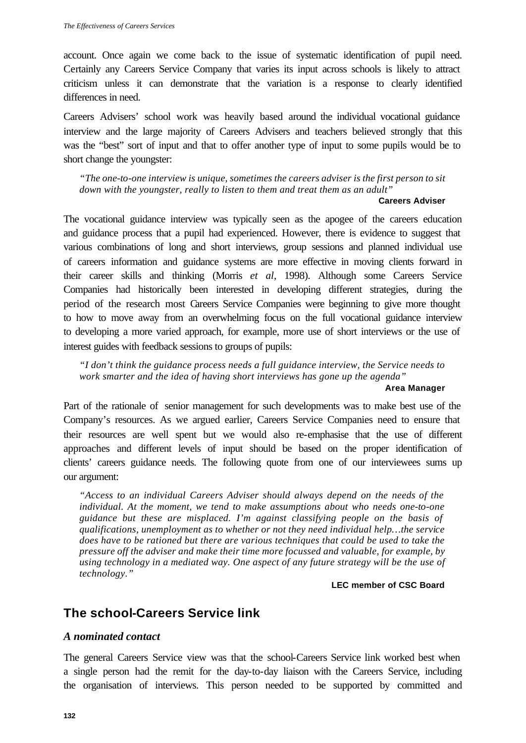account. Once again we come back to the issue of systematic identification of pupil need. Certainly any Careers Service Company that varies its input across schools is likely to attract criticism unless it can demonstrate that the variation is a response to clearly identified differences in need.

Careers Advisers' school work was heavily based around the individual vocational guidance interview and the large majority of Careers Advisers and teachers believed strongly that this was the "best" sort of input and that to offer another type of input to some pupils would be to short change the youngster:

*"The one-to-one interview is unique, sometimes the careers adviser is the first person to sit down with the youngster, really to listen to them and treat them as an adult"* 

### **Careers Adviser**

The vocational guidance interview was typically seen as the apogee of the careers education and guidance process that a pupil had experienced. However, there is evidence to suggest that various combinations of long and short interviews, group sessions and planned individual use of careers information and guidance systems are more effective in moving clients forward in their career skills and thinking (Morris *et al*, 1998). Although some Careers Service Companies had historically been interested in developing different strategies, during the period of the research most Careers Service Companies were beginning to give more thought to how to move away from an overwhelming focus on the full vocational guidance interview to developing a more varied approach, for example, more use of short interviews or the use of interest guides with feedback sessions to groups of pupils:

*"I don't think the guidance process needs a full guidance interview, the Service needs to work smarter and the idea of having short interviews has gone up the agenda"* 

### **Area Manager**

Part of the rationale of senior management for such developments was to make best use of the Company's resources. As we argued earlier, Careers Service Companies need to ensure that their resources are well spent but we would also re-emphasise that the use of different approaches and different levels of input should be based on the proper identification of clients' careers guidance needs. The following quote from one of our interviewees sums up our argument:

*"Access to an individual Careers Adviser should always depend on the needs of the individual. At the moment, we tend to make assumptions about who needs one-to-one guidance but these are misplaced. I'm against classifying people on the basis of qualifications, unemployment as to whether or not they need individual help…the service does have to be rationed but there are various techniques that could be used to take the pressure off the adviser and make their time more focussed and valuable, for example, by using technology in a mediated way. One aspect of any future strategy will be the use of technology."*

### **LEC member of CSC Board**

### **The school-Careers Service link**

### *A nominated contact*

The general Careers Service view was that the school-Careers Service link worked best when a single person had the remit for the day-to-day liaison with the Careers Service, including the organisation of interviews. This person needed to be supported by committed and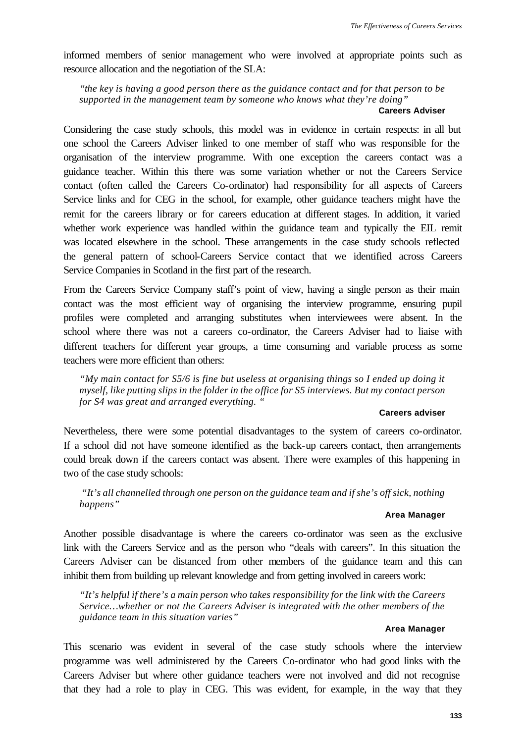informed members of senior management who were involved at appropriate points such as resource allocation and the negotiation of the SLA:

*"the key is having a good person there as the guidance contact and for that person to be supported in the management team by someone who knows what they're doing"* 

### **Careers Adviser**

Considering the case study schools, this model was in evidence in certain respects: in all but one school the Careers Adviser linked to one member of staff who was responsible for the organisation of the interview programme. With one exception the careers contact was a guidance teacher. Within this there was some variation whether or not the Careers Service contact (often called the Careers Co-ordinator) had responsibility for all aspects of Careers Service links and for CEG in the school, for example, other guidance teachers might have the remit for the careers library or for careers education at different stages. In addition, it varied whether work experience was handled within the guidance team and typically the EIL remit was located elsewhere in the school. These arrangements in the case study schools reflected the general pattern of school-Careers Service contact that we identified across Careers Service Companies in Scotland in the first part of the research.

From the Careers Service Company staff's point of view, having a single person as their main contact was the most efficient way of organising the interview programme, ensuring pupil profiles were completed and arranging substitutes when interviewees were absent. In the school where there was not a careers co-ordinator, the Careers Adviser had to liaise with different teachers for different year groups, a time consuming and variable process as some teachers were more efficient than others:

*"My main contact for S5/6 is fine but useless at organising things so I ended up doing it myself, like putting slips in the folder in the office for S5 interviews. But my contact person for S4 was great and arranged everything. "* 

### **Careers adviser**

Nevertheless, there were some potential disadvantages to the system of careers co-ordinator. If a school did not have someone identified as the back-up careers contact, then arrangements could break down if the careers contact was absent. There were examples of this happening in two of the case study schools:

 *"It's all channelled through one person on the guidance team and if she's off sick, nothing happens"* 

### **Area Manager**

Another possible disadvantage is where the careers co-ordinator was seen as the exclusive link with the Careers Service and as the person who "deals with careers". In this situation the Careers Adviser can be distanced from other members of the guidance team and this can inhibit them from building up relevant knowledge and from getting involved in careers work:

*"It's helpful if there's a main person who takes responsibility for the link with the Careers Service…whether or not the Careers Adviser is integrated with the other members of the guidance team in this situation varies"* 

#### **Area Manager**

This scenario was evident in several of the case study schools where the interview programme was well administered by the Careers Co-ordinator who had good links with the Careers Adviser but where other guidance teachers were not involved and did not recognise that they had a role to play in CEG. This was evident, for example, in the way that they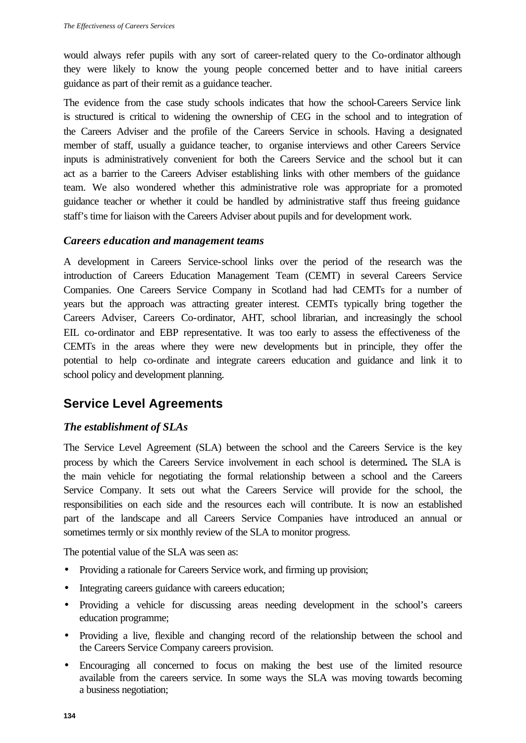would always refer pupils with any sort of career-related query to the Co-ordinator although they were likely to know the young people concerned better and to have initial careers guidance as part of their remit as a guidance teacher.

The evidence from the case study schools indicates that how the school-Careers Service link is structured is critical to widening the ownership of CEG in the school and to integration of the Careers Adviser and the profile of the Careers Service in schools. Having a designated member of staff, usually a guidance teacher, to organise interviews and other Careers Service inputs is administratively convenient for both the Careers Service and the school but it can act as a barrier to the Careers Adviser establishing links with other members of the guidance team. We also wondered whether this administrative role was appropriate for a promoted guidance teacher or whether it could be handled by administrative staff thus freeing guidance staff's time for liaison with the Careers Adviser about pupils and for development work.

### *Careers education and management teams*

A development in Careers Service-school links over the period of the research was the introduction of Careers Education Management Team (CEMT) in several Careers Service Companies. One Careers Service Company in Scotland had had CEMTs for a number of years but the approach was attracting greater interest. CEMTs typically bring together the Careers Adviser, Careers Co-ordinator, AHT, school librarian, and increasingly the school EIL co-ordinator and EBP representative. It was too early to assess the effectiveness of the CEMTs in the areas where they were new developments but in principle, they offer the potential to help co-ordinate and integrate careers education and guidance and link it to school policy and development planning.

## **Service Level Agreements**

### *The establishment of SLAs*

The Service Level Agreement (SLA) between the school and the Careers Service is the key process by which the Careers Service involvement in each school is determined**.** The SLA is the main vehicle for negotiating the formal relationship between a school and the Careers Service Company. It sets out what the Careers Service will provide for the school, the responsibilities on each side and the resources each will contribute. It is now an established part of the landscape and all Careers Service Companies have introduced an annual or sometimes termly or six monthly review of the SLA to monitor progress.

The potential value of the SLA was seen as:

- Providing a rationale for Careers Service work, and firming up provision;
- Integrating careers guidance with careers education;
- Providing a vehicle for discussing areas needing development in the school's careers education programme;
- Providing a live, flexible and changing record of the relationship between the school and the Careers Service Company careers provision.
- Encouraging all concerned to focus on making the best use of the limited resource available from the careers service. In some ways the SLA was moving towards becoming a business negotiation;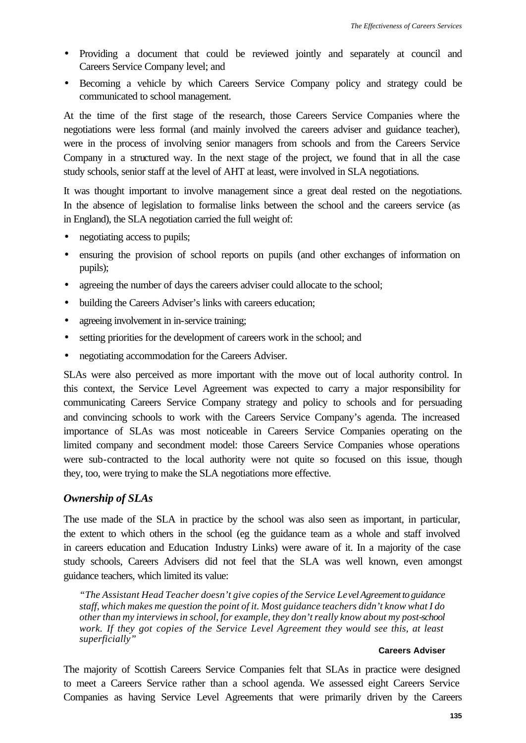- Providing a document that could be reviewed jointly and separately at council and Careers Service Company level; and
- Becoming a vehicle by which Careers Service Company policy and strategy could be communicated to school management.

At the time of the first stage of the research, those Careers Service Companies where the negotiations were less formal (and mainly involved the careers adviser and guidance teacher), were in the process of involving senior managers from schools and from the Careers Service Company in a structured way. In the next stage of the project, we found that in all the case study schools, senior staff at the level of AHT at least, were involved in SLA negotiations.

It was thought important to involve management since a great deal rested on the negotiations. In the absence of legislation to formalise links between the school and the careers service (as in England), the SLA negotiation carried the full weight of:

- negotiating access to pupils;
- ensuring the provision of school reports on pupils (and other exchanges of information on pupils);
- agreeing the number of days the careers adviser could allocate to the school;
- building the Careers Adviser's links with careers education;
- agreeing involvement in in-service training;
- setting priorities for the development of careers work in the school; and
- negotiating accommodation for the Careers Adviser.

SLAs were also perceived as more important with the move out of local authority control. In this context, the Service Level Agreement was expected to carry a major responsibility for communicating Careers Service Company strategy and policy to schools and for persuading and convincing schools to work with the Careers Service Company's agenda. The increased importance of SLAs was most noticeable in Careers Service Companies operating on the limited company and secondment model: those Careers Service Companies whose operations were sub-contracted to the local authority were not quite so focused on this issue, though they, too, were trying to make the SLA negotiations more effective.

### *Ownership of SLAs*

The use made of the SLA in practice by the school was also seen as important, in particular, the extent to which others in the school (eg the guidance team as a whole and staff involved in careers education and Education Industry Links) were aware of it. In a majority of the case study schools, Careers Advisers did not feel that the SLA was well known, even amongst guidance teachers, which limited its value:

*"The Assistant Head Teacher doesn't give copies of the Service Level Agreement to guidance staff, which makes me question the point of it. Most guidance teachers didn't know what I do other than my interviews in school, for example, they don't really know about my post-school work. If they got copies of the Service Level Agreement they would see this, at least superficially"* 

### **Careers Adviser**

The majority of Scottish Careers Service Companies felt that SLAs in practice were designed to meet a Careers Service rather than a school agenda. We assessed eight Careers Service Companies as having Service Level Agreements that were primarily driven by the Careers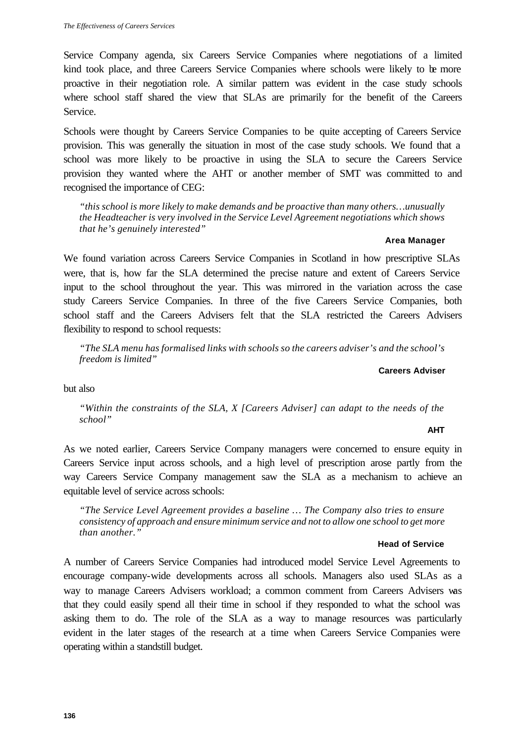Service Company agenda, six Careers Service Companies where negotiations of a limited kind took place, and three Careers Service Companies where schools were likely to be more proactive in their negotiation role. A similar pattern was evident in the case study schools where school staff shared the view that SLAs are primarily for the benefit of the Careers Service.

Schools were thought by Careers Service Companies to be quite accepting of Careers Service provision. This was generally the situation in most of the case study schools. We found that a school was more likely to be proactive in using the SLA to secure the Careers Service provision they wanted where the AHT or another member of SMT was committed to and recognised the importance of CEG:

*"this school is more likely to make demands and be proactive than many others…unusually the Headteacher is very involved in the Service Level Agreement negotiations which shows that he's genuinely interested"* 

### **Area Manager**

We found variation across Careers Service Companies in Scotland in how prescriptive SLAs were, that is, how far the SLA determined the precise nature and extent of Careers Service input to the school throughout the year. This was mirrored in the variation across the case study Careers Service Companies. In three of the five Careers Service Companies, both school staff and the Careers Advisers felt that the SLA restricted the Careers Advisers flexibility to respond to school requests:

*"The SLA menu has formalised links with schools so the careers adviser's and the school's freedom is limited"* 

### **Careers Adviser**

but also

*"Within the constraints of the SLA, X [Careers Adviser] can adapt to the needs of the school"* 

### **AHT**

As we noted earlier, Careers Service Company managers were concerned to ensure equity in Careers Service input across schools, and a high level of prescription arose partly from the way Careers Service Company management saw the SLA as a mechanism to achieve an equitable level of service across schools:

*"The Service Level Agreement provides a baseline … The Company also tries to ensure consistency of approach and ensure minimum service and not to allow one school to get more than another."*

### **Head of Service**

A number of Careers Service Companies had introduced model Service Level Agreements to encourage company-wide developments across all schools. Managers also used SLAs as a way to manage Careers Advisers workload; a common comment from Careers Advisers was that they could easily spend all their time in school if they responded to what the school was asking them to do. The role of the SLA as a way to manage resources was particularly evident in the later stages of the research at a time when Careers Service Companies were operating within a standstill budget.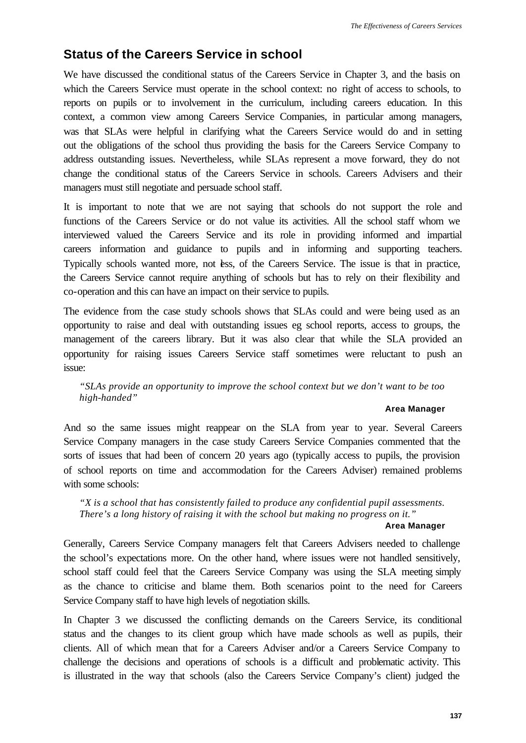## **Status of the Careers Service in school**

We have discussed the conditional status of the Careers Service in Chapter 3, and the basis on which the Careers Service must operate in the school context: no right of access to schools, to reports on pupils or to involvement in the curriculum, including careers education. In this context, a common view among Careers Service Companies, in particular among managers, was that SLAs were helpful in clarifying what the Careers Service would do and in setting out the obligations of the school thus providing the basis for the Careers Service Company to address outstanding issues. Nevertheless, while SLAs represent a move forward, they do not change the conditional status of the Careers Service in schools. Careers Advisers and their managers must still negotiate and persuade school staff.

It is important to note that we are not saying that schools do not support the role and functions of the Careers Service or do not value its activities. All the school staff whom we interviewed valued the Careers Service and its role in providing informed and impartial careers information and guidance to pupils and in informing and supporting teachers. Typically schools wanted more, not less, of the Careers Service. The issue is that in practice, the Careers Service cannot require anything of schools but has to rely on their flexibility and co-operation and this can have an impact on their service to pupils.

The evidence from the case study schools shows that SLAs could and were being used as an opportunity to raise and deal with outstanding issues eg school reports, access to groups, the management of the careers library. But it was also clear that while the SLA provided an opportunity for raising issues Careers Service staff sometimes were reluctant to push an issue:

*"SLAs provide an opportunity to improve the school context but we don't want to be too high-handed"* 

### **Area Manager**

And so the same issues might reappear on the SLA from year to year. Several Careers Service Company managers in the case study Careers Service Companies commented that the sorts of issues that had been of concern 20 years ago (typically access to pupils, the provision of school reports on time and accommodation for the Careers Adviser) remained problems with some schools:

*"X is a school that has consistently failed to produce any confidential pupil assessments. There's a long history of raising it with the school but making no progress on it."* 

### **Area Manager**

Generally, Careers Service Company managers felt that Careers Advisers needed to challenge the school's expectations more. On the other hand, where issues were not handled sensitively, school staff could feel that the Careers Service Company was using the SLA meeting simply as the chance to criticise and blame them. Both scenarios point to the need for Careers Service Company staff to have high levels of negotiation skills.

In Chapter 3 we discussed the conflicting demands on the Careers Service, its conditional status and the changes to its client group which have made schools as well as pupils, their clients. All of which mean that for a Careers Adviser and/or a Careers Service Company to challenge the decisions and operations of schools is a difficult and problematic activity. This is illustrated in the way that schools (also the Careers Service Company's client) judged the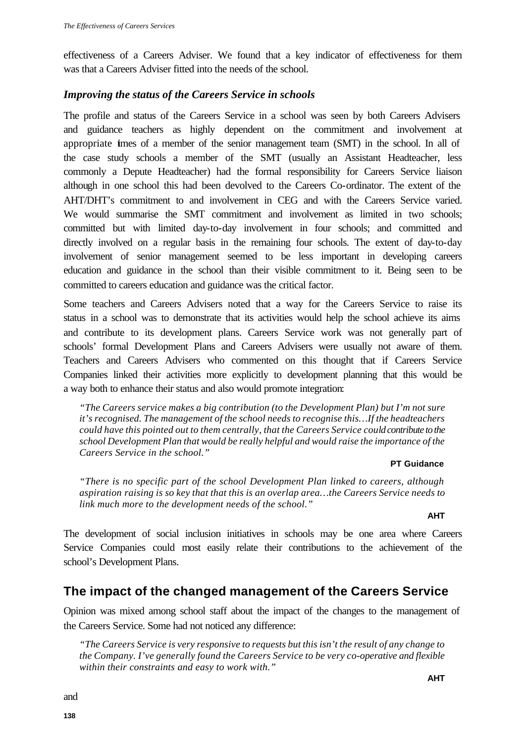effectiveness of a Careers Adviser. We found that a key indicator of effectiveness for them was that a Careers Adviser fitted into the needs of the school.

### *Improving the status of the Careers Service in schools*

The profile and status of the Careers Service in a school was seen by both Careers Advisers and guidance teachers as highly dependent on the commitment and involvement at appropriate times of a member of the senior management team (SMT) in the school. In all of the case study schools a member of the SMT (usually an Assistant Headteacher, less commonly a Depute Headteacher) had the formal responsibility for Careers Service liaison although in one school this had been devolved to the Careers Co-ordinator. The extent of the AHT/DHT's commitment to and involvement in CEG and with the Careers Service varied. We would summarise the SMT commitment and involvement as limited in two schools; committed but with limited day-to-day involvement in four schools; and committed and directly involved on a regular basis in the remaining four schools. The extent of day-to-day involvement of senior management seemed to be less important in developing careers education and guidance in the school than their visible commitment to it. Being seen to be committed to careers education and guidance was the critical factor.

Some teachers and Careers Advisers noted that a way for the Careers Service to raise its status in a school was to demonstrate that its activities would help the school achieve its aims and contribute to its development plans. Careers Service work was not generally part of schools' formal Development Plans and Careers Advisers were usually not aware of them. Teachers and Careers Advisers who commented on this thought that if Careers Service Companies linked their activities more explicitly to development planning that this would be a way both to enhance their status and also would promote integration:

*"The Careers service makes a big contribution (to the Development Plan) but I'm not sure it's recognised. The management of the school needs to recognise this…If the headteachers could have this pointed out to them centrally, that the Careers Service could contribute to the school Development Plan that would be really helpful and would raise the importance of the Careers Service in the school."*

### **PT Guidance**

*"There is no specific part of the school Development Plan linked to careers, although aspiration raising is so key that that this is an overlap area…the Careers Service needs to link much more to the development needs of the school."* 

### **AHT**

The development of social inclusion initiatives in schools may be one area where Careers Service Companies could most easily relate their contributions to the achievement of the school's Development Plans.

## **The impact of the changed management of the Careers Service**

Opinion was mixed among school staff about the impact of the changes to the management of the Careers Service. Some had not noticed any difference:

*"The Careers Service is very responsive to requests but this isn't the result of any change to the Company. I've generally found the Careers Service to be very co-operative and flexible within their constraints and easy to work with."*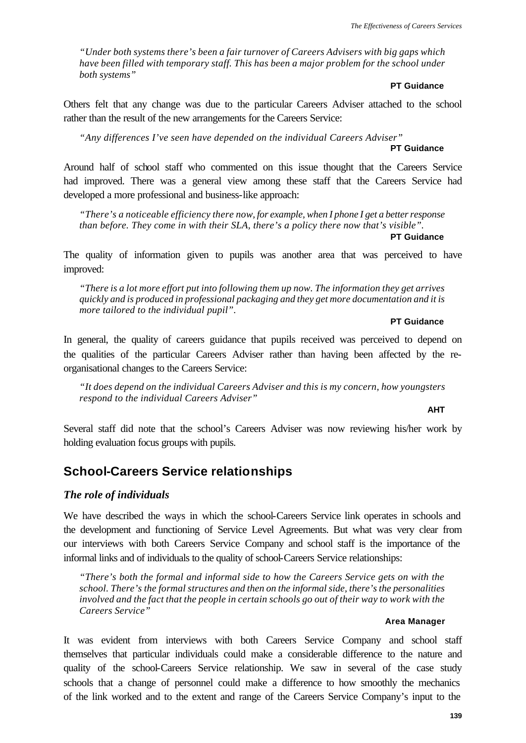*"Under both systems there's been a fair turnover of Careers Advisers with big gaps which have been filled with temporary staff. This has been a major problem for the school under both systems"* 

### **PT Guidance**

Others felt that any change was due to the particular Careers Adviser attached to the school rather than the result of the new arrangements for the Careers Service:

*"Any differences I've seen have depended on the individual Careers Adviser"*

### **PT Guidance**

Around half of school staff who commented on this issue thought that the Careers Service had improved. There was a general view among these staff that the Careers Service had developed a more professional and business-like approach:

*"There's a noticeable efficiency there now, for example, when I phone I get a better response than before. They come in with their SLA, there's a policy there now that's visible".* 

**PT Guidance**

The quality of information given to pupils was another area that was perceived to have improved:

*"There is a lot more effort put into following them up now. The information they get arrives quickly and is produced in professional packaging and they get more documentation and it is more tailored to the individual pupil".*

### **PT Guidance**

In general, the quality of careers guidance that pupils received was perceived to depend on the qualities of the particular Careers Adviser rather than having been affected by the reorganisational changes to the Careers Service:

*"It does depend on the individual Careers Adviser and this is my concern, how youngsters respond to the individual Careers Adviser"* 

### **AHT**

Several staff did note that the school's Careers Adviser was now reviewing his/her work by holding evaluation focus groups with pupils.

## **School-Careers Service relationships**

### *The role of individuals*

We have described the ways in which the school-Careers Service link operates in schools and the development and functioning of Service Level Agreements. But what was very clear from our interviews with both Careers Service Company and school staff is the importance of the informal links and of individuals to the quality of school-Careers Service relationships:

*"There's both the formal and informal side to how the Careers Service gets on with the school. There's the formal structures and then on the informal side, there's the personalities involved and the fact that the people in certain schools go out of their way to work with the Careers Service"* 

### **Area Manager**

It was evident from interviews with both Careers Service Company and school staff themselves that particular individuals could make a considerable difference to the nature and quality of the school-Careers Service relationship. We saw in several of the case study schools that a change of personnel could make a difference to how smoothly the mechanics of the link worked and to the extent and range of the Careers Service Company's input to the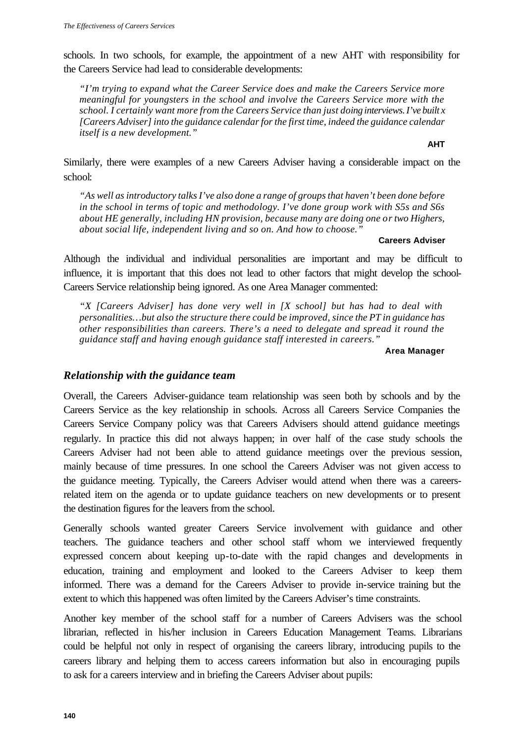schools. In two schools, for example, the appointment of a new AHT with responsibility for the Careers Service had lead to considerable developments:

*"I'm trying to expand what the Career Service does and make the Careers Service more meaningful for youngsters in the school and involve the Careers Service more with the school. I certainly want more from the Careers Service than just doing interviews. I've built x [Careers Adviser] into the guidance calendar for the first time, indeed the guidance calendar itself is a new development."* 

**AHT**

Similarly, there were examples of a new Careers Adviser having a considerable impact on the school:

*"As well as introductory talks I've also done a range of groups that haven't been done before in the school in terms of topic and methodology. I've done group work with S5s and S6s about HE generally, including HN provision, because many are doing one or two Highers, about social life, independent living and so on. And how to choose."* 

### **Careers Adviser**

Although the individual and individual personalities are important and may be difficult to influence, it is important that this does not lead to other factors that might develop the school-Careers Service relationship being ignored. As one Area Manager commented:

*"X [Careers Adviser] has done very well in [X school] but has had to deal with personalities…but also the structure there could be improved, since the PT in guidance has other responsibilities than careers. There's a need to delegate and spread it round the guidance staff and having enough guidance staff interested in careers."*

**Area Manager** 

### *Relationship with the guidance team*

Overall, the Careers Adviser-guidance team relationship was seen both by schools and by the Careers Service as the key relationship in schools. Across all Careers Service Companies the Careers Service Company policy was that Careers Advisers should attend guidance meetings regularly. In practice this did not always happen; in over half of the case study schools the Careers Adviser had not been able to attend guidance meetings over the previous session, mainly because of time pressures. In one school the Careers Adviser was not given access to the guidance meeting. Typically, the Careers Adviser would attend when there was a careersrelated item on the agenda or to update guidance teachers on new developments or to present the destination figures for the leavers from the school.

Generally schools wanted greater Careers Service involvement with guidance and other teachers. The guidance teachers and other school staff whom we interviewed frequently expressed concern about keeping up-to-date with the rapid changes and developments in education, training and employment and looked to the Careers Adviser to keep them informed. There was a demand for the Careers Adviser to provide in-service training but the extent to which this happened was often limited by the Careers Adviser's time constraints.

Another key member of the school staff for a number of Careers Advisers was the school librarian, reflected in his/her inclusion in Careers Education Management Teams. Librarians could be helpful not only in respect of organising the careers library, introducing pupils to the careers library and helping them to access careers information but also in encouraging pupils to ask for a careers interview and in briefing the Careers Adviser about pupils: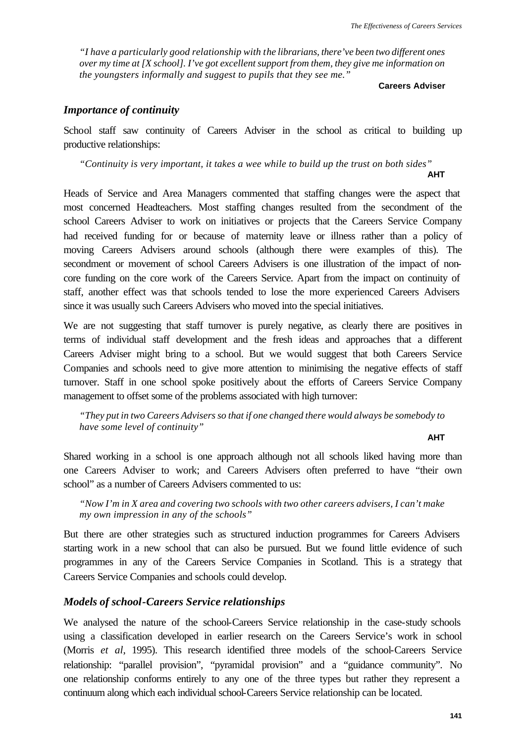*"I have a particularly good relationship with the librarians, there've been two different ones over my time at [X school]. I've got excellent support from them, they give me information on the youngsters informally and suggest to pupils that they see me."* 

#### **Careers Adviser**

### *Importance of continuity*

School staff saw continuity of Careers Adviser in the school as critical to building up productive relationships:

*"Continuity is very important, it takes a wee while to build up the trust on both sides"* 

**AHT**

Heads of Service and Area Managers commented that staffing changes were the aspect that most concerned Headteachers. Most staffing changes resulted from the secondment of the school Careers Adviser to work on initiatives or projects that the Careers Service Company had received funding for or because of maternity leave or illness rather than a policy of moving Careers Advisers around schools (although there were examples of this). The secondment or movement of school Careers Advisers is one illustration of the impact of noncore funding on the core work of the Careers Service. Apart from the impact on continuity of staff, another effect was that schools tended to lose the more experienced Careers Advisers since it was usually such Careers Advisers who moved into the special initiatives.

We are not suggesting that staff turnover is purely negative, as clearly there are positives in terms of individual staff development and the fresh ideas and approaches that a different Careers Adviser might bring to a school. But we would suggest that both Careers Service Companies and schools need to give more attention to minimising the negative effects of staff turnover. Staff in one school spoke positively about the efforts of Careers Service Company management to offset some of the problems associated with high turnover:

*"They put in two Careers Advisers so that if one changed there would always be somebody to have some level of continuity"* 

#### **AHT**

Shared working in a school is one approach although not all schools liked having more than one Careers Adviser to work; and Careers Advisers often preferred to have "their own school" as a number of Careers Advisers commented to us:

*"Now I'm in X area and covering two schools with two other careers advisers, I can't make my own impression in any of the schools"*

But there are other strategies such as structured induction programmes for Careers Advisers starting work in a new school that can also be pursued. But we found little evidence of such programmes in any of the Careers Service Companies in Scotland. This is a strategy that Careers Service Companies and schools could develop.

### *Models of school-Careers Service relationships*

We analysed the nature of the school-Careers Service relationship in the case-study schools using a classification developed in earlier research on the Careers Service's work in school (Morris *et al*, 1995). This research identified three models of the school-Careers Service relationship: "parallel provision", "pyramidal provision" and a "guidance community". No one relationship conforms entirely to any one of the three types but rather they represent a continuum along which each individual school-Careers Service relationship can be located.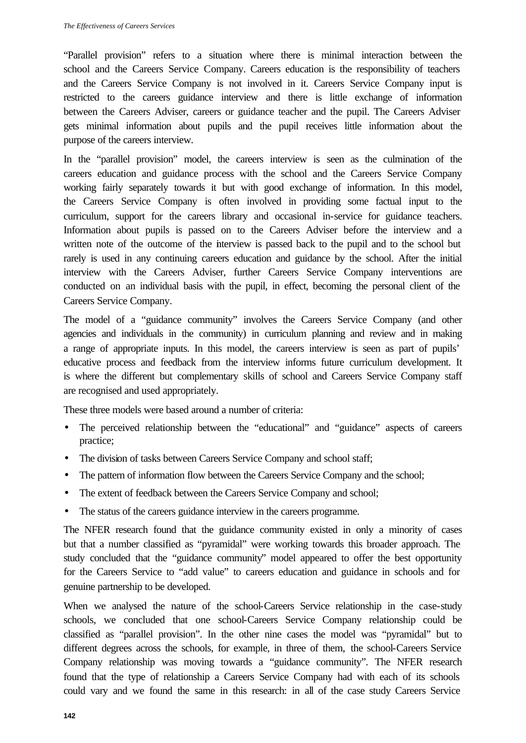"Parallel provision" refers to a situation where there is minimal interaction between the school and the Careers Service Company. Careers education is the responsibility of teachers and the Careers Service Company is not involved in it. Careers Service Company input is restricted to the careers guidance interview and there is little exchange of information between the Careers Adviser, careers or guidance teacher and the pupil. The Careers Adviser gets minimal information about pupils and the pupil receives little information about the purpose of the careers interview.

In the "parallel provision" model, the careers interview is seen as the culmination of the careers education and guidance process with the school and the Careers Service Company working fairly separately towards it but with good exchange of information. In this model, the Careers Service Company is often involved in providing some factual input to the curriculum, support for the careers library and occasional in-service for guidance teachers. Information about pupils is passed on to the Careers Adviser before the interview and a written note of the outcome of the interview is passed back to the pupil and to the school but rarely is used in any continuing careers education and guidance by the school. After the initial interview with the Careers Adviser, further Careers Service Company interventions are conducted on an individual basis with the pupil, in effect, becoming the personal client of the Careers Service Company.

The model of a "guidance community" involves the Careers Service Company (and other agencies and individuals in the community) in curriculum planning and review and in making a range of appropriate inputs. In this model, the careers interview is seen as part of pupils' educative process and feedback from the interview informs future curriculum development. It is where the different but complementary skills of school and Careers Service Company staff are recognised and used appropriately.

These three models were based around a number of criteria:

- The perceived relationship between the "educational" and "guidance" aspects of careers practice;
- The division of tasks between Careers Service Company and school staff;
- The pattern of information flow between the Careers Service Company and the school;
- The extent of feedback between the Careers Service Company and school;
- The status of the careers guidance interview in the careers programme.

The NFER research found that the guidance community existed in only a minority of cases but that a number classified as "pyramidal" were working towards this broader approach. The study concluded that the "guidance community" model appeared to offer the best opportunity for the Careers Service to "add value" to careers education and guidance in schools and for genuine partnership to be developed.

When we analysed the nature of the school-Careers Service relationship in the case-study schools, we concluded that one school-Careers Service Company relationship could be classified as "parallel provision". In the other nine cases the model was "pyramidal" but to different degrees across the schools, for example, in three of them, the school-Careers Service Company relationship was moving towards a "guidance community". The NFER research found that the type of relationship a Careers Service Company had with each of its schools could vary and we found the same in this research: in all of the case study Careers Service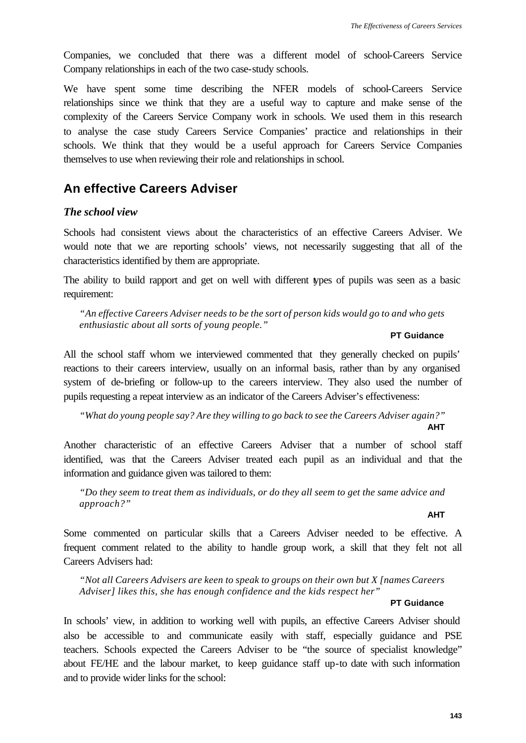Companies, we concluded that there was a different model of school-Careers Service Company relationships in each of the two case-study schools.

We have spent some time describing the NFER models of school-Careers Service relationships since we think that they are a useful way to capture and make sense of the complexity of the Careers Service Company work in schools. We used them in this research to analyse the case study Careers Service Companies' practice and relationships in their schools. We think that they would be a useful approach for Careers Service Companies themselves to use when reviewing their role and relationships in school.

## **An effective Careers Adviser**

### *The school view*

Schools had consistent views about the characteristics of an effective Careers Adviser. We would note that we are reporting schools' views, not necessarily suggesting that all of the characteristics identified by them are appropriate.

The ability to build rapport and get on well with different types of pupils was seen as a basic requirement:

*"An effective Careers Adviser needs to be the sort of person kids would go to and who gets enthusiastic about all sorts of young people."* 

### **PT Guidance**

All the school staff whom we interviewed commented that they generally checked on pupils' reactions to their careers interview, usually on an informal basis, rather than by any organised system of de-briefing or follow-up to the careers interview. They also used the number of pupils requesting a repeat interview as an indicator of the Careers Adviser's effectiveness:

*"What do young people say? Are they willing to go back to see the Careers Adviser again?"* **AHT**

Another characteristic of an effective Careers Adviser that a number of school staff identified, was that the Careers Adviser treated each pupil as an individual and that the information and guidance given was tailored to them:

*"Do they seem to treat them as individuals, or do they all seem to get the same advice and approach?"*

### **AHT**

Some commented on particular skills that a Careers Adviser needed to be effective. A frequent comment related to the ability to handle group work, a skill that they felt not all Careers Advisers had:

*"Not all Careers Advisers are keen to speak to groups on their own but X [names Careers Adviser] likes this, she has enough confidence and the kids respect her"*

### **PT Guidance**

In schools' view, in addition to working well with pupils, an effective Careers Adviser should also be accessible to and communicate easily with staff, especially guidance and PSE teachers. Schools expected the Careers Adviser to be "the source of specialist knowledge" about FE/HE and the labour market, to keep guidance staff up-to date with such information and to provide wider links for the school: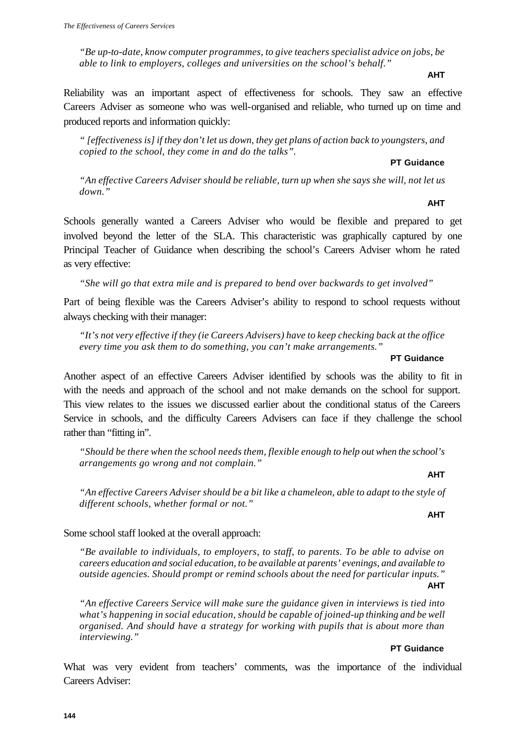*"Be up-to-date, know computer programmes, to give teachers specialist advice on jobs, be able to link to employers, colleges and universities on the school's behalf."*

**AHT**

Reliability was an important aspect of effectiveness for schools. They saw an effective Careers Adviser as someone who was well-organised and reliable, who turned up on time and produced reports and information quickly:

*" [effectiveness is] if they don't let us down, they get plans of action back to youngsters, and copied to the school, they come in and do the talks".*

### **PT Guidance**

*"An effective Careers Adviser should be reliable, turn up when she says she will, not let us down."*

Schools generally wanted a Careers Adviser who would be flexible and prepared to get involved beyond the letter of the SLA. This characteristic was graphically captured by one Principal Teacher of Guidance when describing the school's Careers Adviser whom he rated as very effective:

*"She will go that extra mile and is prepared to bend over backwards to get involved"*

Part of being flexible was the Careers Adviser's ability to respond to school requests without always checking with their manager:

*"It's not very effective if they (ie Careers Advisers) have to keep checking back at the office every time you ask them to do something, you can't make arrangements."*

### **PT Guidance**

**AHT**

**AHT**

Another aspect of an effective Careers Adviser identified by schools was the ability to fit in with the needs and approach of the school and not make demands on the school for support. This view relates to the issues we discussed earlier about the conditional status of the Careers Service in schools, and the difficulty Careers Advisers can face if they challenge the school rather than "fitting in".

*"Should be there when the school needs them, flexible enough to help out when the school's arrangements go wrong and not complain."*

*"An effective Careers Adviser should be a bit like a chameleon, able to adapt to the style of different schools, whether formal or not."*

#### Some school staff looked at the overall approach:

*"Be available to individuals, to employers, to staff, to parents. To be able to advise on careers education and social education, to be available at parents' evenings, and available to outside agencies. Should prompt or remind schools about the need for particular inputs."* **AHT**

*"An effective Careers Service will make sure the guidance given in interviews is tied into what's happening in social education, should be capable of joined-up thinking and be well organised. And should have a strategy for working with pupils that is about more than interviewing."*

#### **PT Guidance**

What was very evident from teachers' comments, was the importance of the individual Careers Adviser:

#### **AHT**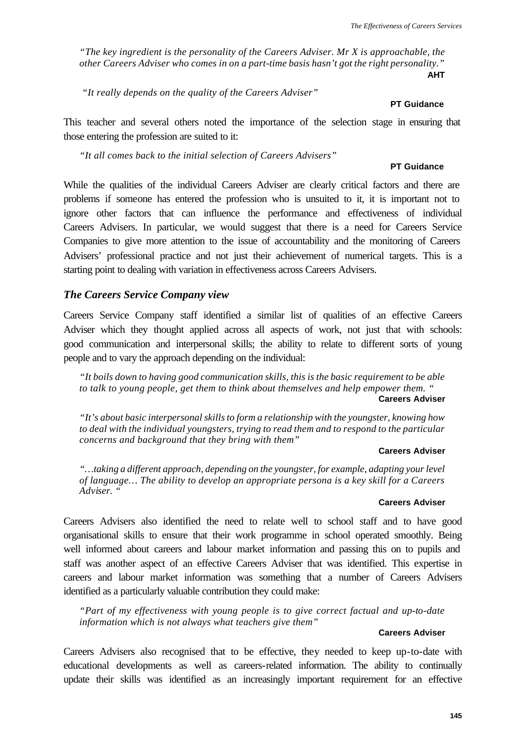*"The key ingredient is the personality of the Careers Adviser. Mr X is approachable, the other Careers Adviser who comes in on a part-time basis hasn't got the right personality."*  **AHT**

 *"It really depends on the quality of the Careers Adviser"*

#### **PT Guidance**

This teacher and several others noted the importance of the selection stage in ensuring that those entering the profession are suited to it:

*"It all comes back to the initial selection of Careers Advisers"*

#### **PT Guidance**

While the qualities of the individual Careers Adviser are clearly critical factors and there are problems if someone has entered the profession who is unsuited to it, it is important not to ignore other factors that can influence the performance and effectiveness of individual Careers Advisers. In particular, we would suggest that there is a need for Careers Service Companies to give more attention to the issue of accountability and the monitoring of Careers Advisers' professional practice and not just their achievement of numerical targets. This is a starting point to dealing with variation in effectiveness across Careers Advisers.

## *The Careers Service Company view*

Careers Service Company staff identified a similar list of qualities of an effective Careers Adviser which they thought applied across all aspects of work, not just that with schools: good communication and interpersonal skills; the ability to relate to different sorts of young people and to vary the approach depending on the individual:

*"It boils down to having good communication skills, this is the basic requirement to be able to talk to young people, get them to think about themselves and help empower them. "* **Careers Adviser**

*"It's about basic interpersonal skills to form a relationship with the youngster, knowing how to deal with the individual youngsters, trying to read them and to respond to the particular concerns and background that they bring with them"*

#### **Careers Adviser**

*"…taking a different approach, depending on the youngster, for example, adapting your level of language… The ability to develop an appropriate persona is a key skill for a Careers Adviser. "* 

#### **Careers Adviser**

Careers Advisers also identified the need to relate well to school staff and to have good organisational skills to ensure that their work programme in school operated smoothly. Being well informed about careers and labour market information and passing this on to pupils and staff was another aspect of an effective Careers Adviser that was identified. This expertise in careers and labour market information was something that a number of Careers Advisers identified as a particularly valuable contribution they could make:

*"Part of my effectiveness with young people is to give correct factual and up-to-date information which is not always what teachers give them"*

#### **Careers Adviser**

Careers Advisers also recognised that to be effective, they needed to keep up-to-date with educational developments as well as careers-related information. The ability to continually update their skills was identified as an increasingly important requirement for an effective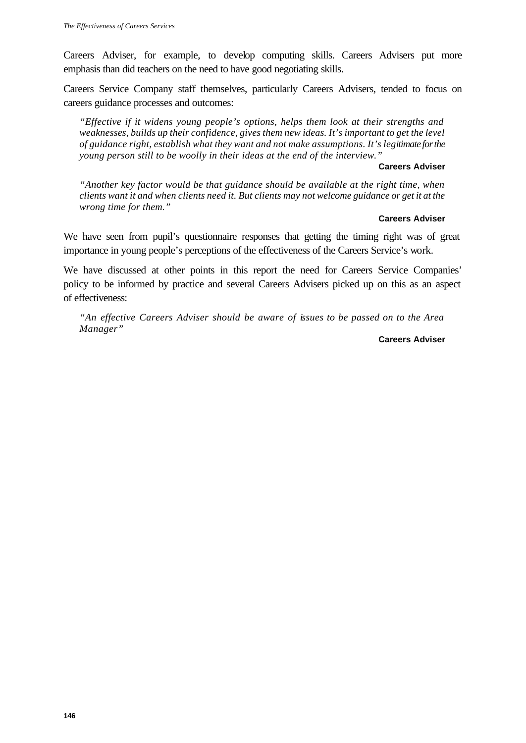Careers Adviser, for example, to develop computing skills. Careers Advisers put more emphasis than did teachers on the need to have good negotiating skills.

Careers Service Company staff themselves, particularly Careers Advisers, tended to focus on careers guidance processes and outcomes:

*"Effective if it widens young people's options, helps them look at their strengths and weaknesses, builds up their confidence, gives them new ideas. It's important to get the level of guidance right, establish what they want and not make assumptions. It's legitimate for the young person still to be woolly in their ideas at the end of the interview."*

#### **Careers Adviser**

*"Another key factor would be that guidance should be available at the right time, when clients want it and when clients need it. But clients may not welcome guidance or get it at the wrong time for them."*

#### **Careers Adviser**

We have seen from pupil's questionnaire responses that getting the timing right was of great importance in young people's perceptions of the effectiveness of the Careers Service's work.

We have discussed at other points in this report the need for Careers Service Companies' policy to be informed by practice and several Careers Advisers picked up on this as an aspect of effectiveness:

*"An effective Careers Adviser should be aware of issues to be passed on to the Area Manager"*

#### **Careers Adviser**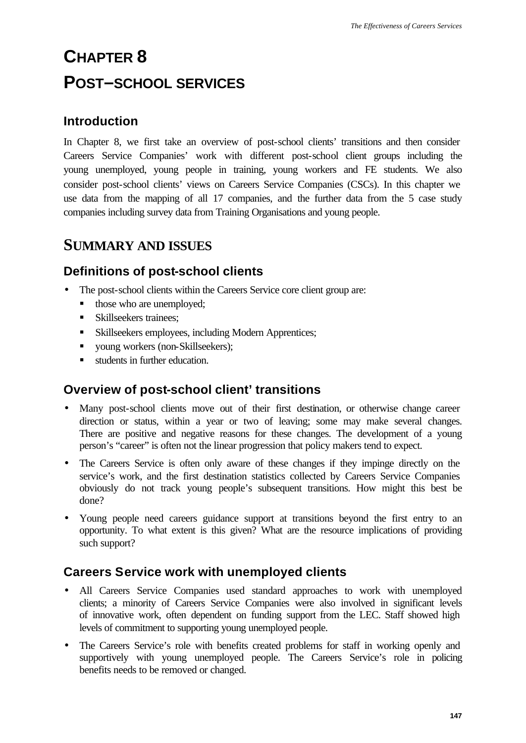# **CHAPTER 8 POST–SCHOOL SERVICES**

# **Introduction**

In Chapter 8, we first take an overview of post-school clients' transitions and then consider Careers Service Companies' work with different post-school client groups including the young unemployed, young people in training, young workers and FE students. We also consider post-school clients' views on Careers Service Companies (CSCs). In this chapter we use data from the mapping of all 17 companies, and the further data from the 5 case study companies including survey data from Training Organisations and young people.

# **SUMMARY AND ISSUES**

# **Definitions of post-school clients**

- The post-school clients within the Careers Service core client group are:
	- $\blacksquare$  those who are unemployed;
	- **Skillseekers trainees;**
	- **Example Skillseekers employees, including Modern Apprentices;**
	- young workers (non-Skillseekers);
	- students in further education.

# **Overview of post-school client' transitions**

- Many post-school clients move out of their first destination, or otherwise change career direction or status, within a year or two of leaving; some may make several changes. There are positive and negative reasons for these changes. The development of a young person's "career" is often not the linear progression that policy makers tend to expect.
- The Careers Service is often only aware of these changes if they impinge directly on the service's work, and the first destination statistics collected by Careers Service Companies obviously do not track young people's subsequent transitions. How might this best be done?
- Young people need careers guidance support at transitions beyond the first entry to an opportunity. To what extent is this given? What are the resource implications of providing such support?

# **Careers Service work with unemployed clients**

- All Careers Service Companies used standard approaches to work with unemployed clients; a minority of Careers Service Companies were also involved in significant levels of innovative work, often dependent on funding support from the LEC. Staff showed high levels of commitment to supporting young unemployed people.
- The Careers Service's role with benefits created problems for staff in working openly and supportively with young unemployed people. The Careers Service's role in policing benefits needs to be removed or changed.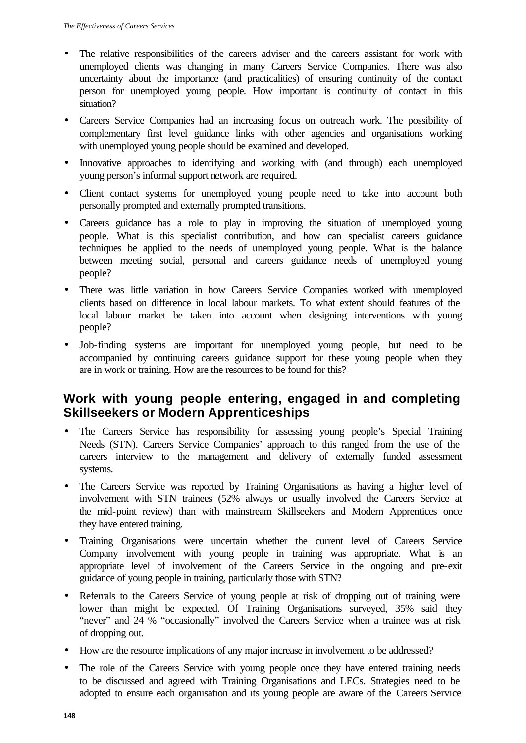- The relative responsibilities of the careers adviser and the careers assistant for work with unemployed clients was changing in many Careers Service Companies. There was also uncertainty about the importance (and practicalities) of ensuring continuity of the contact person for unemployed young people. How important is continuity of contact in this situation?
- Careers Service Companies had an increasing focus on outreach work. The possibility of complementary first level guidance links with other agencies and organisations working with unemployed young people should be examined and developed.
- Innovative approaches to identifying and working with (and through) each unemployed young person's informal support network are required.
- Client contact systems for unemployed young people need to take into account both personally prompted and externally prompted transitions.
- Careers guidance has a role to play in improving the situation of unemployed young people. What is this specialist contribution, and how can specialist careers guidance techniques be applied to the needs of unemployed young people. What is the balance between meeting social, personal and careers guidance needs of unemployed young people?
- There was little variation in how Careers Service Companies worked with unemployed clients based on difference in local labour markets. To what extent should features of the local labour market be taken into account when designing interventions with young people?
- Job-finding systems are important for unemployed young people, but need to be accompanied by continuing careers guidance support for these young people when they are in work or training. How are the resources to be found for this?

# **Work with young people entering, engaged in and completing Skillseekers or Modern Apprenticeships**

- The Careers Service has responsibility for assessing young people's Special Training Needs (STN). Careers Service Companies' approach to this ranged from the use of the careers interview to the management and delivery of externally funded assessment systems.
- The Careers Service was reported by Training Organisations as having a higher level of involvement with STN trainees (52% always or usually involved the Careers Service at the mid-point review) than with mainstream Skillseekers and Modern Apprentices once they have entered training.
- Training Organisations were uncertain whether the current level of Careers Service Company involvement with young people in training was appropriate. What is an appropriate level of involvement of the Careers Service in the ongoing and pre-exit guidance of young people in training, particularly those with STN?
- Referrals to the Careers Service of young people at risk of dropping out of training were lower than might be expected. Of Training Organisations surveyed, 35% said they "never" and 24 % "occasionally" involved the Careers Service when a trainee was at risk of dropping out.
- How are the resource implications of any major increase in involvement to be addressed?
- The role of the Careers Service with young people once they have entered training needs to be discussed and agreed with Training Organisations and LECs. Strategies need to be adopted to ensure each organisation and its young people are aware of the Careers Service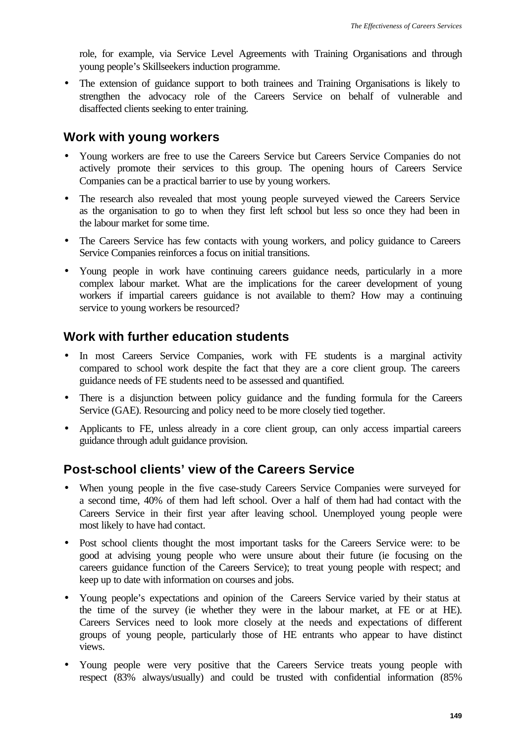role, for example, via Service Level Agreements with Training Organisations and through young people's Skillseekers induction programme.

• The extension of guidance support to both trainees and Training Organisations is likely to strengthen the advocacy role of the Careers Service on behalf of vulnerable and disaffected clients seeking to enter training.

## **Work with young workers**

- Young workers are free to use the Careers Service but Careers Service Companies do not actively promote their services to this group. The opening hours of Careers Service Companies can be a practical barrier to use by young workers.
- The research also revealed that most young people surveyed viewed the Careers Service as the organisation to go to when they first left school but less so once they had been in the labour market for some time.
- The Careers Service has few contacts with young workers, and policy guidance to Careers Service Companies reinforces a focus on initial transitions.
- Young people in work have continuing careers guidance needs, particularly in a more complex labour market. What are the implications for the career development of young workers if impartial careers guidance is not available to them? How may a continuing service to young workers be resourced?

# **Work with further education students**

- In most Careers Service Companies, work with FE students is a marginal activity compared to school work despite the fact that they are a core client group. The careers guidance needs of FE students need to be assessed and quantified.
- There is a disjunction between policy guidance and the funding formula for the Careers Service (GAE). Resourcing and policy need to be more closely tied together.
- Applicants to FE, unless already in a core client group, can only access impartial careers guidance through adult guidance provision.

# **Post-school clients' view of the Careers Service**

- When young people in the five case-study Careers Service Companies were surveyed for a second time, 40% of them had left school. Over a half of them had had contact with the Careers Service in their first year after leaving school. Unemployed young people were most likely to have had contact.
- Post school clients thought the most important tasks for the Careers Service were: to be good at advising young people who were unsure about their future (ie focusing on the careers guidance function of the Careers Service); to treat young people with respect; and keep up to date with information on courses and jobs.
- Young people's expectations and opinion of the Careers Service varied by their status at the time of the survey (ie whether they were in the labour market, at FE or at HE). Careers Services need to look more closely at the needs and expectations of different groups of young people, particularly those of HE entrants who appear to have distinct views.
- Young people were very positive that the Careers Service treats young people with respect (83% always/usually) and could be trusted with confidential information (85%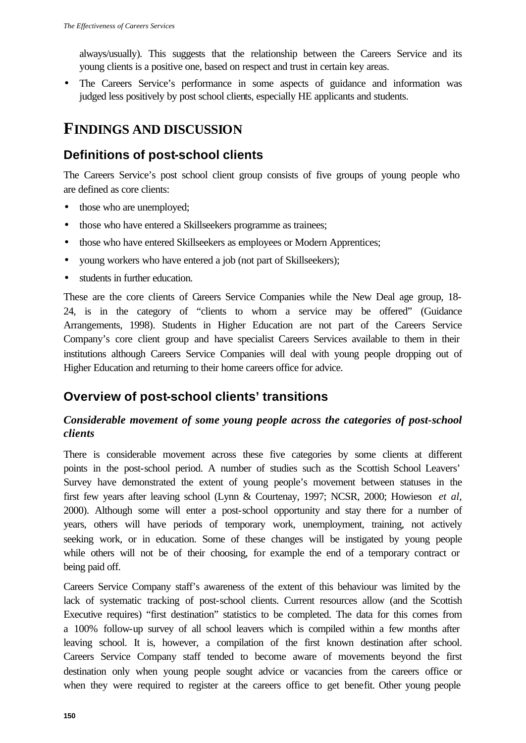always/usually). This suggests that the relationship between the Careers Service and its young clients is a positive one, based on respect and trust in certain key areas.

• The Careers Service's performance in some aspects of guidance and information was judged less positively by post school clients, especially HE applicants and students.

# **FINDINGS AND DISCUSSION**

# **Definitions of post-school clients**

The Careers Service's post school client group consists of five groups of young people who are defined as core clients:

- those who are unemployed;
- those who have entered a Skillseekers programme as trainees;
- those who have entered Skillseekers as employees or Modern Apprentices;
- young workers who have entered a job (not part of Skillseekers);
- students in further education.

These are the core clients of Careers Service Companies while the New Deal age group, 18- 24, is in the category of "clients to whom a service may be offered" (Guidance Arrangements, 1998). Students in Higher Education are not part of the Careers Service Company's core client group and have specialist Careers Services available to them in their institutions although Careers Service Companies will deal with young people dropping out of Higher Education and returning to their home careers office for advice.

# **Overview of post-school clients' transitions**

## *Considerable movement of some young people across the categories of post-school clients*

There is considerable movement across these five categories by some clients at different points in the post-school period. A number of studies such as the Scottish School Leavers' Survey have demonstrated the extent of young people's movement between statuses in the first few years after leaving school (Lynn & Courtenay, 1997; NCSR, 2000; Howieson *et al*, 2000). Although some will enter a post-school opportunity and stay there for a number of years, others will have periods of temporary work, unemployment, training, not actively seeking work, or in education. Some of these changes will be instigated by young people while others will not be of their choosing, for example the end of a temporary contract or being paid off.

Careers Service Company staff's awareness of the extent of this behaviour was limited by the lack of systematic tracking of post-school clients. Current resources allow (and the Scottish Executive requires) "first destination" statistics to be completed. The data for this comes from a 100% follow-up survey of all school leavers which is compiled within a few months after leaving school. It is, however, a compilation of the first known destination after school. Careers Service Company staff tended to become aware of movements beyond the first destination only when young people sought advice or vacancies from the careers office or when they were required to register at the careers office to get benefit. Other young people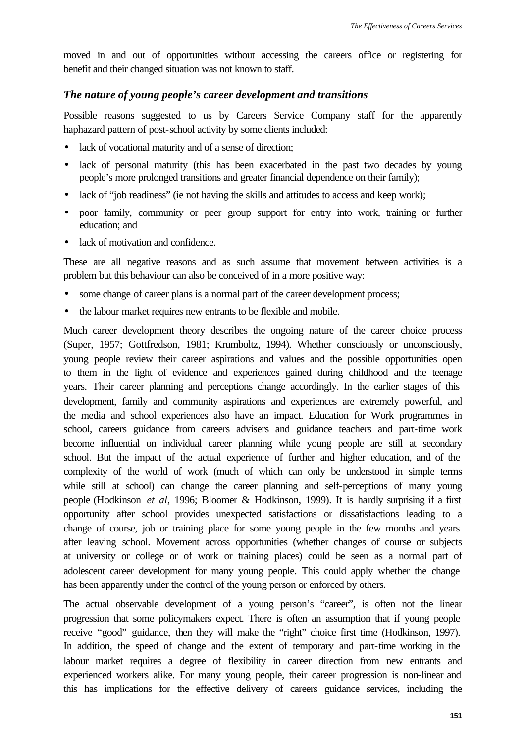moved in and out of opportunities without accessing the careers office or registering for benefit and their changed situation was not known to staff.

#### *The nature of young people's career development and transitions*

Possible reasons suggested to us by Careers Service Company staff for the apparently haphazard pattern of post-school activity by some clients included:

- lack of vocational maturity and of a sense of direction;
- lack of personal maturity (this has been exacerbated in the past two decades by young people's more prolonged transitions and greater financial dependence on their family);
- lack of "job readiness" (ie not having the skills and attitudes to access and keep work);
- poor family, community or peer group support for entry into work, training or further education; and
- lack of motivation and confidence.

These are all negative reasons and as such assume that movement between activities is a problem but this behaviour can also be conceived of in a more positive way:

- some change of career plans is a normal part of the career development process;
- the labour market requires new entrants to be flexible and mobile.

Much career development theory describes the ongoing nature of the career choice process (Super, 1957; Gottfredson, 1981; Krumboltz, 1994). Whether consciously or unconsciously, young people review their career aspirations and values and the possible opportunities open to them in the light of evidence and experiences gained during childhood and the teenage years. Their career planning and perceptions change accordingly. In the earlier stages of this development, family and community aspirations and experiences are extremely powerful, and the media and school experiences also have an impact. Education for Work programmes in school, careers guidance from careers advisers and guidance teachers and part-time work become influential on individual career planning while young people are still at secondary school. But the impact of the actual experience of further and higher education, and of the complexity of the world of work (much of which can only be understood in simple terms while still at school) can change the career planning and self-perceptions of many young people (Hodkinson *et al*, 1996; Bloomer & Hodkinson, 1999). It is hardly surprising if a first opportunity after school provides unexpected satisfactions or dissatisfactions leading to a change of course, job or training place for some young people in the few months and years after leaving school. Movement across opportunities (whether changes of course or subjects at university or college or of work or training places) could be seen as a normal part of adolescent career development for many young people. This could apply whether the change has been apparently under the control of the young person or enforced by others.

The actual observable development of a young person's "career", is often not the linear progression that some policymakers expect. There is often an assumption that if young people receive "good" guidance, then they will make the "right" choice first time (Hodkinson, 1997). In addition, the speed of change and the extent of temporary and part-time working in the labour market requires a degree of flexibility in career direction from new entrants and experienced workers alike. For many young people, their career progression is non-linear and this has implications for the effective delivery of careers guidance services, including the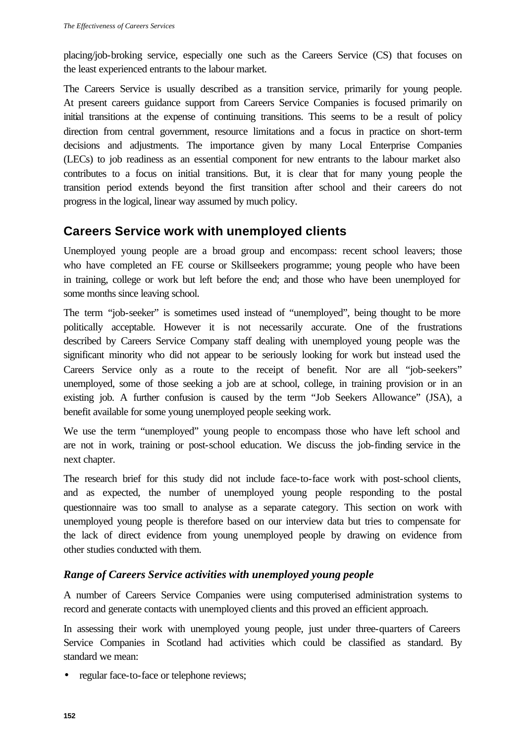placing/job-broking service, especially one such as the Careers Service (CS) that focuses on the least experienced entrants to the labour market.

The Careers Service is usually described as a transition service, primarily for young people. At present careers guidance support from Careers Service Companies is focused primarily on initial transitions at the expense of continuing transitions. This seems to be a result of policy direction from central government, resource limitations and a focus in practice on short-term decisions and adjustments. The importance given by many Local Enterprise Companies (LECs) to job readiness as an essential component for new entrants to the labour market also contributes to a focus on initial transitions. But, it is clear that for many young people the transition period extends beyond the first transition after school and their careers do not progress in the logical, linear way assumed by much policy.

# **Careers Service work with unemployed clients**

Unemployed young people are a broad group and encompass: recent school leavers; those who have completed an FE course or Skillseekers programme; young people who have been in training, college or work but left before the end; and those who have been unemployed for some months since leaving school.

The term "job-seeker" is sometimes used instead of "unemployed", being thought to be more politically acceptable. However it is not necessarily accurate. One of the frustrations described by Careers Service Company staff dealing with unemployed young people was the significant minority who did not appear to be seriously looking for work but instead used the Careers Service only as a route to the receipt of benefit. Nor are all "job-seekers" unemployed, some of those seeking a job are at school, college, in training provision or in an existing job. A further confusion is caused by the term "Job Seekers Allowance" (JSA), a benefit available for some young unemployed people seeking work.

We use the term "unemployed" young people to encompass those who have left school and are not in work, training or post-school education. We discuss the job-finding service in the next chapter.

The research brief for this study did not include face-to-face work with post-school clients, and as expected, the number of unemployed young people responding to the postal questionnaire was too small to analyse as a separate category. This section on work with unemployed young people is therefore based on our interview data but tries to compensate for the lack of direct evidence from young unemployed people by drawing on evidence from other studies conducted with them.

## *Range of Careers Service activities with unemployed young people*

A number of Careers Service Companies were using computerised administration systems to record and generate contacts with unemployed clients and this proved an efficient approach.

In assessing their work with unemployed young people, just under three-quarters of Careers Service Companies in Scotland had activities which could be classified as standard. By standard we mean:

• regular face-to-face or telephone reviews;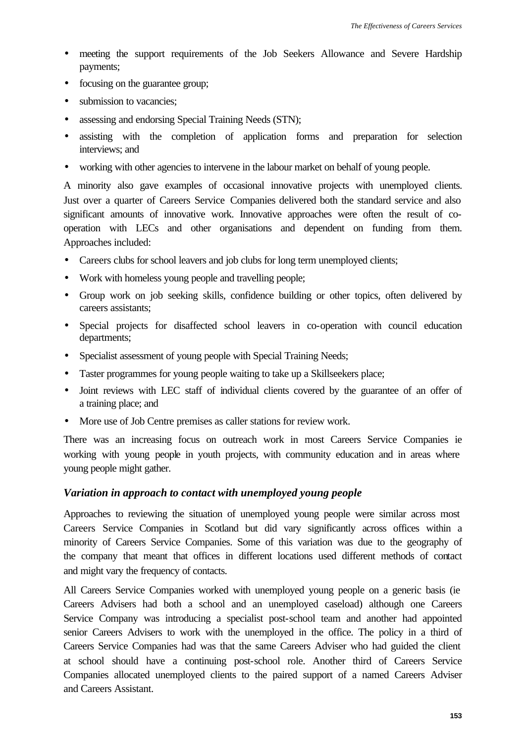- meeting the support requirements of the Job Seekers Allowance and Severe Hardship payments;
- focusing on the guarantee group;
- submission to vacancies:
- assessing and endorsing Special Training Needs (STN);
- assisting with the completion of application forms and preparation for selection interviews; and
- working with other agencies to intervene in the labour market on behalf of young people.

A minority also gave examples of occasional innovative projects with unemployed clients. Just over a quarter of Careers Service Companies delivered both the standard service and also significant amounts of innovative work. Innovative approaches were often the result of cooperation with LECs and other organisations and dependent on funding from them. Approaches included:

- Careers clubs for school leavers and job clubs for long term unemployed clients;
- Work with homeless young people and travelling people;
- Group work on job seeking skills, confidence building or other topics, often delivered by careers assistants;
- Special projects for disaffected school leavers in co-operation with council education departments;
- Specialist assessment of young people with Special Training Needs;
- Taster programmes for young people waiting to take up a Skillseekers place;
- Joint reviews with LEC staff of individual clients covered by the guarantee of an offer of a training place; and
- More use of Job Centre premises as caller stations for review work.

There was an increasing focus on outreach work in most Careers Service Companies ie working with young people in youth projects, with community education and in areas where young people might gather.

## *Variation in approach to contact with unemployed young people*

Approaches to reviewing the situation of unemployed young people were similar across most Careers Service Companies in Scotland but did vary significantly across offices within a minority of Careers Service Companies. Some of this variation was due to the geography of the company that meant that offices in different locations used different methods of contact and might vary the frequency of contacts.

All Careers Service Companies worked with unemployed young people on a generic basis (ie Careers Advisers had both a school and an unemployed caseload) although one Careers Service Company was introducing a specialist post-school team and another had appointed senior Careers Advisers to work with the unemployed in the office. The policy in a third of Careers Service Companies had was that the same Careers Adviser who had guided the client at school should have a continuing post-school role. Another third of Careers Service Companies allocated unemployed clients to the paired support of a named Careers Adviser and Careers Assistant.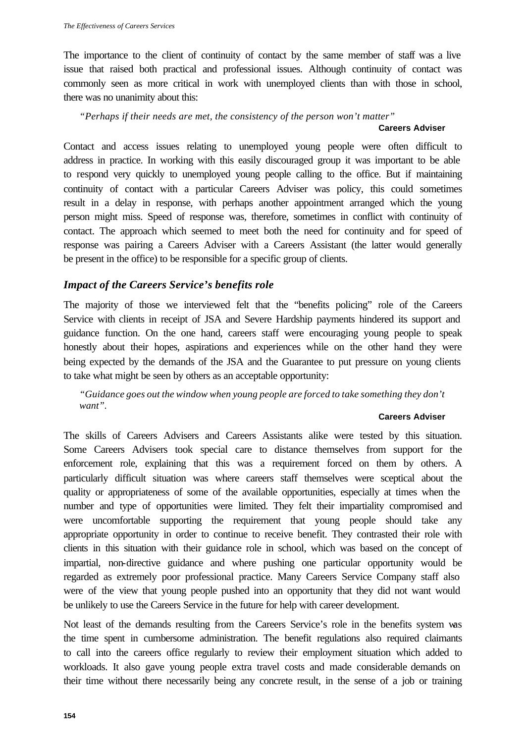The importance to the client of continuity of contact by the same member of staff was a live issue that raised both practical and professional issues. Although continuity of contact was commonly seen as more critical in work with unemployed clients than with those in school, there was no unanimity about this:

*"Perhaps if their needs are met, the consistency of the person won't matter"*

#### **Careers Adviser**

Contact and access issues relating to unemployed young people were often difficult to address in practice. In working with this easily discouraged group it was important to be able to respond very quickly to unemployed young people calling to the office. But if maintaining continuity of contact with a particular Careers Adviser was policy, this could sometimes result in a delay in response, with perhaps another appointment arranged which the young person might miss. Speed of response was, therefore, sometimes in conflict with continuity of contact. The approach which seemed to meet both the need for continuity and for speed of response was pairing a Careers Adviser with a Careers Assistant (the latter would generally be present in the office) to be responsible for a specific group of clients.

#### *Impact of the Careers Service's benefits role*

The majority of those we interviewed felt that the "benefits policing" role of the Careers Service with clients in receipt of JSA and Severe Hardship payments hindered its support and guidance function. On the one hand, careers staff were encouraging young people to speak honestly about their hopes, aspirations and experiences while on the other hand they were being expected by the demands of the JSA and the Guarantee to put pressure on young clients to take what might be seen by others as an acceptable opportunity:

*"Guidance goes out the window when young people are forced to take something they don't want".*

#### **Careers Adviser**

The skills of Careers Advisers and Careers Assistants alike were tested by this situation. Some Careers Advisers took special care to distance themselves from support for the enforcement role, explaining that this was a requirement forced on them by others. A particularly difficult situation was where careers staff themselves were sceptical about the quality or appropriateness of some of the available opportunities, especially at times when the number and type of opportunities were limited. They felt their impartiality compromised and were uncomfortable supporting the requirement that young people should take any appropriate opportunity in order to continue to receive benefit. They contrasted their role with clients in this situation with their guidance role in school, which was based on the concept of impartial, non-directive guidance and where pushing one particular opportunity would be regarded as extremely poor professional practice. Many Careers Service Company staff also were of the view that young people pushed into an opportunity that they did not want would be unlikely to use the Careers Service in the future for help with career development.

Not least of the demands resulting from the Careers Service's role in the benefits system was the time spent in cumbersome administration. The benefit regulations also required claimants to call into the careers office regularly to review their employment situation which added to workloads. It also gave young people extra travel costs and made considerable demands on their time without there necessarily being any concrete result, in the sense of a job or training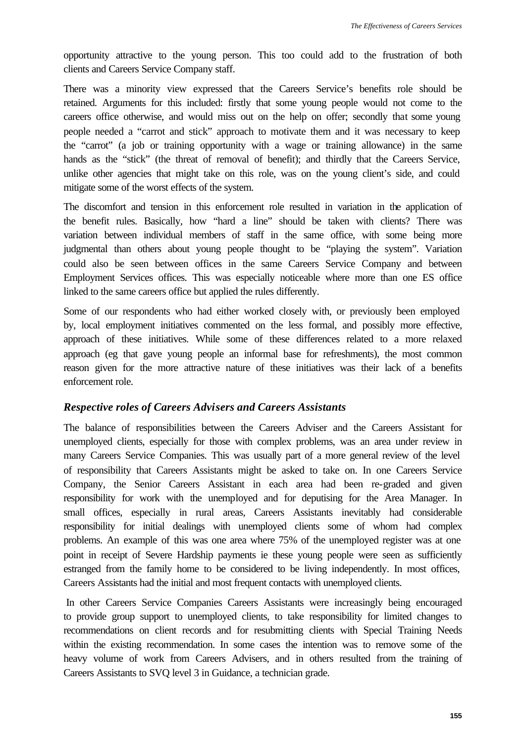opportunity attractive to the young person. This too could add to the frustration of both clients and Careers Service Company staff.

There was a minority view expressed that the Careers Service's benefits role should be retained. Arguments for this included: firstly that some young people would not come to the careers office otherwise, and would miss out on the help on offer; secondly that some young people needed a "carrot and stick" approach to motivate them and it was necessary to keep the "carrot" (a job or training opportunity with a wage or training allowance) in the same hands as the "stick" (the threat of removal of benefit); and thirdly that the Careers Service, unlike other agencies that might take on this role, was on the young client's side, and could mitigate some of the worst effects of the system.

The discomfort and tension in this enforcement role resulted in variation in the application of the benefit rules. Basically, how "hard a line" should be taken with clients? There was variation between individual members of staff in the same office, with some being more judgmental than others about young people thought to be "playing the system". Variation could also be seen between offices in the same Careers Service Company and between Employment Services offices. This was especially noticeable where more than one ES office linked to the same careers office but applied the rules differently.

Some of our respondents who had either worked closely with, or previously been employed by, local employment initiatives commented on the less formal, and possibly more effective, approach of these initiatives. While some of these differences related to a more relaxed approach (eg that gave young people an informal base for refreshments), the most common reason given for the more attractive nature of these initiatives was their lack of a benefits enforcement role.

#### *Respective roles of Careers Advisers and Careers Assistants*

The balance of responsibilities between the Careers Adviser and the Careers Assistant for unemployed clients, especially for those with complex problems, was an area under review in many Careers Service Companies. This was usually part of a more general review of the level of responsibility that Careers Assistants might be asked to take on. In one Careers Service Company, the Senior Careers Assistant in each area had been re-graded and given responsibility for work with the unemployed and for deputising for the Area Manager. In small offices, especially in rural areas, Careers Assistants inevitably had considerable responsibility for initial dealings with unemployed clients some of whom had complex problems. An example of this was one area where 75% of the unemployed register was at one point in receipt of Severe Hardship payments ie these young people were seen as sufficiently estranged from the family home to be considered to be living independently. In most offices, Careers Assistants had the initial and most frequent contacts with unemployed clients.

 In other Careers Service Companies Careers Assistants were increasingly being encouraged to provide group support to unemployed clients, to take responsibility for limited changes to recommendations on client records and for resubmitting clients with Special Training Needs within the existing recommendation. In some cases the intention was to remove some of the heavy volume of work from Careers Advisers, and in others resulted from the training of Careers Assistants to SVQ level 3 in Guidance, a technician grade.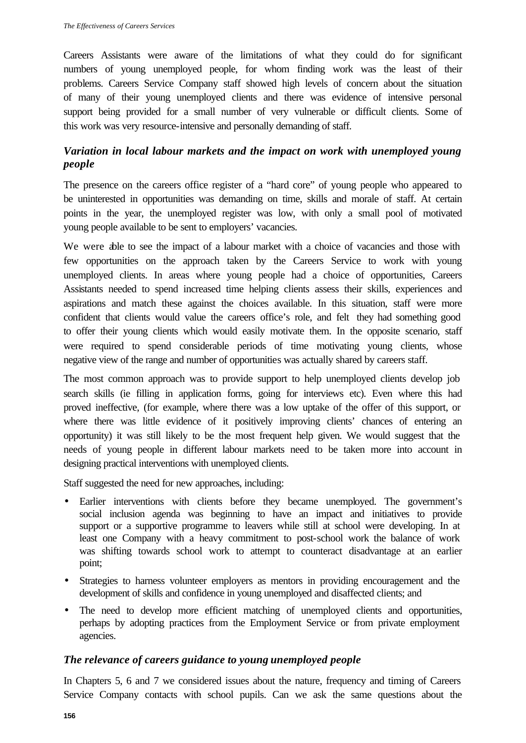Careers Assistants were aware of the limitations of what they could do for significant numbers of young unemployed people, for whom finding work was the least of their problems. Careers Service Company staff showed high levels of concern about the situation of many of their young unemployed clients and there was evidence of intensive personal support being provided for a small number of very vulnerable or difficult clients. Some of this work was very resource-intensive and personally demanding of staff.

## *Variation in local labour markets and the impact on work with unemployed young people*

The presence on the careers office register of a "hard core" of young people who appeared to be uninterested in opportunities was demanding on time, skills and morale of staff. At certain points in the year, the unemployed register was low, with only a small pool of motivated young people available to be sent to employers' vacancies.

We were able to see the impact of a labour market with a choice of vacancies and those with few opportunities on the approach taken by the Careers Service to work with young unemployed clients. In areas where young people had a choice of opportunities, Careers Assistants needed to spend increased time helping clients assess their skills, experiences and aspirations and match these against the choices available. In this situation, staff were more confident that clients would value the careers office's role, and felt they had something good to offer their young clients which would easily motivate them. In the opposite scenario, staff were required to spend considerable periods of time motivating young clients, whose negative view of the range and number of opportunities was actually shared by careers staff.

The most common approach was to provide support to help unemployed clients develop job search skills (ie filling in application forms, going for interviews etc). Even where this had proved ineffective, (for example, where there was a low uptake of the offer of this support, or where there was little evidence of it positively improving clients' chances of entering an opportunity) it was still likely to be the most frequent help given. We would suggest that the needs of young people in different labour markets need to be taken more into account in designing practical interventions with unemployed clients.

Staff suggested the need for new approaches, including:

- Earlier interventions with clients before they became unemployed. The government's social inclusion agenda was beginning to have an impact and initiatives to provide support or a supportive programme to leavers while still at school were developing. In at least one Company with a heavy commitment to post-school work the balance of work was shifting towards school work to attempt to counteract disadvantage at an earlier point;
- Strategies to harness volunteer employers as mentors in providing encouragement and the development of skills and confidence in young unemployed and disaffected clients; and
- The need to develop more efficient matching of unemployed clients and opportunities, perhaps by adopting practices from the Employment Service or from private employment agencies.

## *The relevance of careers guidance to young unemployed people*

In Chapters 5, 6 and 7 we considered issues about the nature, frequency and timing of Careers Service Company contacts with school pupils. Can we ask the same questions about the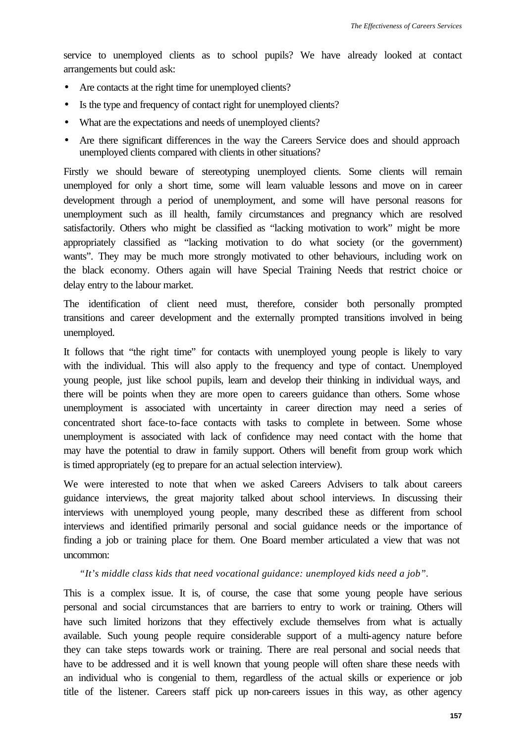service to unemployed clients as to school pupils? We have already looked at contact arrangements but could ask:

- Are contacts at the right time for unemployed clients?
- Is the type and frequency of contact right for unemployed clients?
- What are the expectations and needs of unemployed clients?
- Are there significant differences in the way the Careers Service does and should approach unemployed clients compared with clients in other situations?

Firstly we should beware of stereotyping unemployed clients. Some clients will remain unemployed for only a short time, some will learn valuable lessons and move on in career development through a period of unemployment, and some will have personal reasons for unemployment such as ill health, family circumstances and pregnancy which are resolved satisfactorily. Others who might be classified as "lacking motivation to work" might be more appropriately classified as "lacking motivation to do what society (or the government) wants". They may be much more strongly motivated to other behaviours, including work on the black economy. Others again will have Special Training Needs that restrict choice or delay entry to the labour market.

The identification of client need must, therefore, consider both personally prompted transitions and career development and the externally prompted transitions involved in being unemployed.

It follows that "the right time" for contacts with unemployed young people is likely to vary with the individual. This will also apply to the frequency and type of contact. Unemployed young people, just like school pupils, learn and develop their thinking in individual ways, and there will be points when they are more open to careers guidance than others. Some whose unemployment is associated with uncertainty in career direction may need a series of concentrated short face-to-face contacts with tasks to complete in between. Some whose unemployment is associated with lack of confidence may need contact with the home that may have the potential to draw in family support. Others will benefit from group work which is timed appropriately (eg to prepare for an actual selection interview).

We were interested to note that when we asked Careers Advisers to talk about careers guidance interviews, the great majority talked about school interviews. In discussing their interviews with unemployed young people, many described these as different from school interviews and identified primarily personal and social guidance needs or the importance of finding a job or training place for them. One Board member articulated a view that was not uncommon:

#### *"It's middle class kids that need vocational guidance: unemployed kids need a job".*

This is a complex issue. It is, of course, the case that some young people have serious personal and social circumstances that are barriers to entry to work or training. Others will have such limited horizons that they effectively exclude themselves from what is actually available. Such young people require considerable support of a multi-agency nature before they can take steps towards work or training. There are real personal and social needs that have to be addressed and it is well known that young people will often share these needs with an individual who is congenial to them, regardless of the actual skills or experience or job title of the listener. Careers staff pick up non-careers issues in this way, as other agency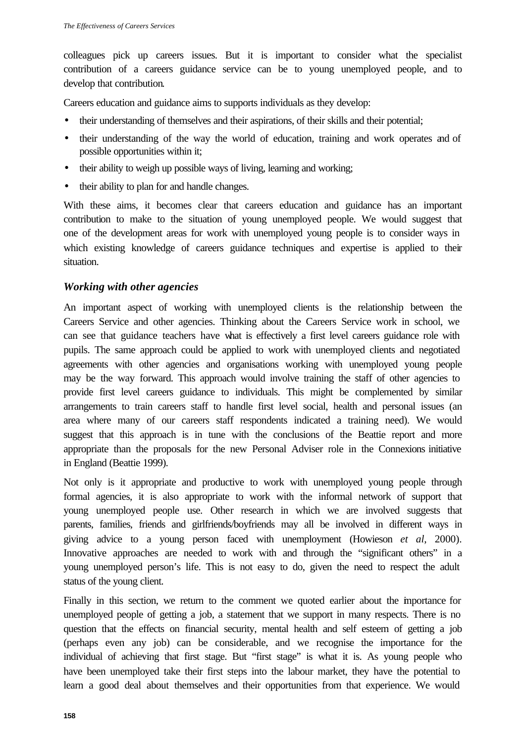colleagues pick up careers issues. But it is important to consider what the specialist contribution of a careers guidance service can be to young unemployed people, and to develop that contribution.

Careers education and guidance aims to supports individuals as they develop:

- their understanding of themselves and their aspirations, of their skills and their potential;
- their understanding of the way the world of education, training and work operates and of possible opportunities within it;
- their ability to weigh up possible ways of living, learning and working;
- their ability to plan for and handle changes.

With these aims, it becomes clear that careers education and guidance has an important contribution to make to the situation of young unemployed people. We would suggest that one of the development areas for work with unemployed young people is to consider ways in which existing knowledge of careers guidance techniques and expertise is applied to their situation.

## *Working with other agencies*

An important aspect of working with unemployed clients is the relationship between the Careers Service and other agencies. Thinking about the Careers Service work in school, we can see that guidance teachers have what is effectively a first level careers guidance role with pupils. The same approach could be applied to work with unemployed clients and negotiated agreements with other agencies and organisations working with unemployed young people may be the way forward. This approach would involve training the staff of other agencies to provide first level careers guidance to individuals. This might be complemented by similar arrangements to train careers staff to handle first level social, health and personal issues (an area where many of our careers staff respondents indicated a training need). We would suggest that this approach is in tune with the conclusions of the Beattie report and more appropriate than the proposals for the new Personal Adviser role in the Connexions initiative in England (Beattie 1999).

Not only is it appropriate and productive to work with unemployed young people through formal agencies, it is also appropriate to work with the informal network of support that young unemployed people use. Other research in which we are involved suggests that parents, families, friends and girlfriends/boyfriends may all be involved in different ways in giving advice to a young person faced with unemployment (Howieson *et al*, 2000). Innovative approaches are needed to work with and through the "significant others" in a young unemployed person's life. This is not easy to do, given the need to respect the adult status of the young client.

Finally in this section, we return to the comment we quoted earlier about the importance for unemployed people of getting a job, a statement that we support in many respects. There is no question that the effects on financial security, mental health and self esteem of getting a job (perhaps even any job) can be considerable, and we recognise the importance for the individual of achieving that first stage. But "first stage" is what it is. As young people who have been unemployed take their first steps into the labour market, they have the potential to learn a good deal about themselves and their opportunities from that experience. We would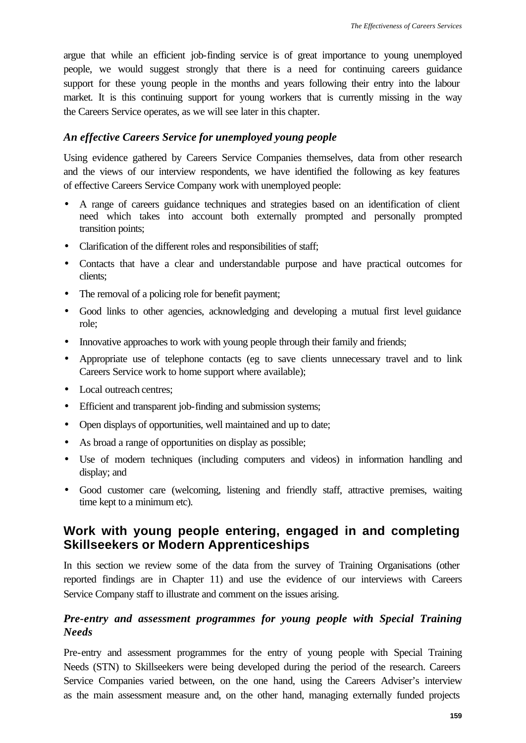argue that while an efficient job-finding service is of great importance to young unemployed people, we would suggest strongly that there is a need for continuing careers guidance support for these young people in the months and years following their entry into the labour market. It is this continuing support for young workers that is currently missing in the way the Careers Service operates, as we will see later in this chapter.

## *An effective Careers Service for unemployed young people*

Using evidence gathered by Careers Service Companies themselves, data from other research and the views of our interview respondents, we have identified the following as key features of effective Careers Service Company work with unemployed people:

- A range of careers guidance techniques and strategies based on an identification of client need which takes into account both externally prompted and personally prompted transition points;
- Clarification of the different roles and responsibilities of staff;
- Contacts that have a clear and understandable purpose and have practical outcomes for clients;
- The removal of a policing role for benefit payment;
- Good links to other agencies, acknowledging and developing a mutual first level guidance role;
- Innovative approaches to work with young people through their family and friends;
- Appropriate use of telephone contacts (eg to save clients unnecessary travel and to link Careers Service work to home support where available);
- Local outreach centres;
- Efficient and transparent job-finding and submission systems;
- Open displays of opportunities, well maintained and up to date;
- As broad a range of opportunities on display as possible;
- Use of modern techniques (including computers and videos) in information handling and display; and
- Good customer care (welcoming, listening and friendly staff, attractive premises, waiting time kept to a minimum etc).

# **Work with young people entering, engaged in and completing Skillseekers or Modern Apprenticeships**

In this section we review some of the data from the survey of Training Organisations (other reported findings are in Chapter 11) and use the evidence of our interviews with Careers Service Company staff to illustrate and comment on the issues arising.

## *Pre-entry and assessment programmes for young people with Special Training Needs*

Pre-entry and assessment programmes for the entry of young people with Special Training Needs (STN) to Skillseekers were being developed during the period of the research. Careers Service Companies varied between, on the one hand, using the Careers Adviser's interview as the main assessment measure and, on the other hand, managing externally funded projects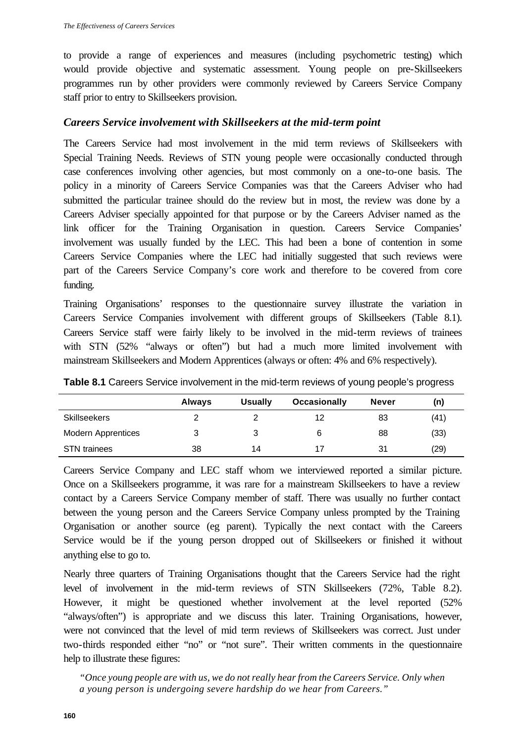to provide a range of experiences and measures (including psychometric testing) which would provide objective and systematic assessment. Young people on pre-Skillseekers programmes run by other providers were commonly reviewed by Careers Service Company staff prior to entry to Skillseekers provision.

### *Careers Service involvement with Skillseekers at the mid-term point*

The Careers Service had most involvement in the mid term reviews of Skillseekers with Special Training Needs. Reviews of STN young people were occasionally conducted through case conferences involving other agencies, but most commonly on a one-to-one basis. The policy in a minority of Careers Service Companies was that the Careers Adviser who had submitted the particular trainee should do the review but in most, the review was done by a Careers Adviser specially appointed for that purpose or by the Careers Adviser named as the link officer for the Training Organisation in question. Careers Service Companies' involvement was usually funded by the LEC. This had been a bone of contention in some Careers Service Companies where the LEC had initially suggested that such reviews were part of the Careers Service Company's core work and therefore to be covered from core funding.

Training Organisations' responses to the questionnaire survey illustrate the variation in Careers Service Companies involvement with different groups of Skillseekers (Table 8.1). Careers Service staff were fairly likely to be involved in the mid-term reviews of trainees with STN (52% "always or often") but had a much more limited involvement with mainstream Skillseekers and Modern Apprentices (always or often: 4% and 6% respectively).

|                           | <b>Always</b> | <b>Usually</b> | <b>Occasionally</b> | <b>Never</b> | (n)  |
|---------------------------|---------------|----------------|---------------------|--------------|------|
| <b>Skillseekers</b>       |               |                | 12                  | 83           | (41) |
| <b>Modern Apprentices</b> |               | 3              | 6                   | 88           | (33) |
| <b>STN</b> trainees       | 38            | 14             |                     | 31           | (29) |

**Table 8.1** Careers Service involvement in the mid-term reviews of young people's progress

Careers Service Company and LEC staff whom we interviewed reported a similar picture. Once on a Skillseekers programme, it was rare for a mainstream Skillseekers to have a review contact by a Careers Service Company member of staff. There was usually no further contact between the young person and the Careers Service Company unless prompted by the Training Organisation or another source (eg parent). Typically the next contact with the Careers Service would be if the young person dropped out of Skillseekers or finished it without anything else to go to.

Nearly three quarters of Training Organisations thought that the Careers Service had the right level of involvement in the mid-term reviews of STN Skillseekers (72%, Table 8.2). However, it might be questioned whether involvement at the level reported (52% "always/often") is appropriate and we discuss this later. Training Organisations, however, were not convinced that the level of mid term reviews of Skillseekers was correct. Just under two-thirds responded either "no" or "not sure". Their written comments in the questionnaire help to illustrate these figures:

*"Once young people are with us, we do not really hear from the Careers Service. Only when a young person is undergoing severe hardship do we hear from Careers."*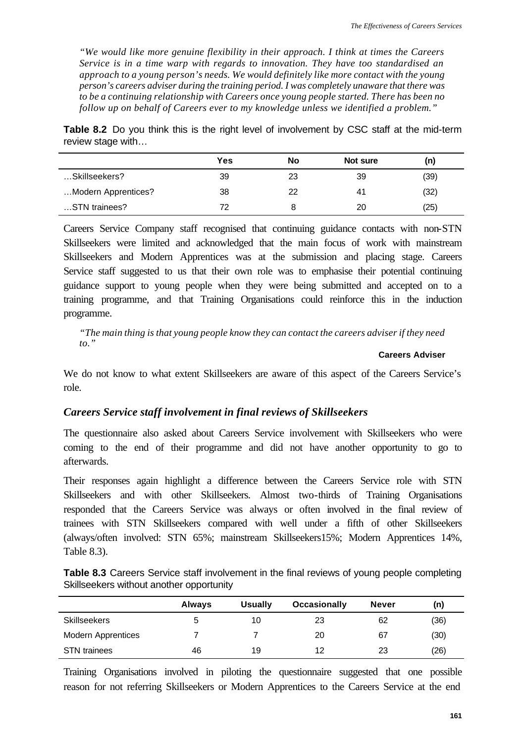*"We would like more genuine flexibility in their approach. I think at times the Careers Service is in a time warp with regards to innovation. They have too standardised an approach to a young person's needs. We would definitely like more contact with the young person's careers adviser during the training period. I was completely unaware that there was to be a continuing relationship with Careers once young people started. There has been no follow up on behalf of Careers ever to my knowledge unless we identified a problem."*

**Table 8.2** Do you think this is the right level of involvement by CSC staff at the mid-term review stage with…

|                     | Yes | No | Not sure | (n)  |
|---------------------|-----|----|----------|------|
| Skillseekers?       | 39  | 23 | 39       | (39) |
| Modern Apprentices? | 38  | 22 | 41       | (32) |
| STN trainees?       | 72  |    | 20       | (25) |

Careers Service Company staff recognised that continuing guidance contacts with non-STN Skillseekers were limited and acknowledged that the main focus of work with mainstream Skillseekers and Modern Apprentices was at the submission and placing stage. Careers Service staff suggested to us that their own role was to emphasise their potential continuing guidance support to young people when they were being submitted and accepted on to a training programme, and that Training Organisations could reinforce this in the induction programme.

*"The main thing is that young people know they can contact the careers adviser if they need to."*

#### **Careers Adviser**

We do not know to what extent Skillseekers are aware of this aspect of the Careers Service's role.

## *Careers Service staff involvement in final reviews of Skillseekers*

The questionnaire also asked about Careers Service involvement with Skillseekers who were coming to the end of their programme and did not have another opportunity to go to afterwards.

Their responses again highlight a difference between the Careers Service role with STN Skillseekers and with other Skillseekers. Almost two-thirds of Training Organisations responded that the Careers Service was always or often involved in the final review of trainees with STN Skillseekers compared with well under a fifth of other Skillseekers (always/often involved: STN 65%; mainstream Skillseekers15%; Modern Apprentices 14%, Table 8.3).

| Table 8.3 Careers Service staff involvement in the final reviews of young people completing |  |  |  |
|---------------------------------------------------------------------------------------------|--|--|--|
| Skillseekers without another opportunity                                                    |  |  |  |

|                           | <b>Always</b> | <b>Usually</b> | Occasionally | <b>Never</b> | (n)  |
|---------------------------|---------------|----------------|--------------|--------------|------|
| <b>Skillseekers</b>       |               | 10             | 23           | 62           | (36) |
| <b>Modern Apprentices</b> |               |                | 20           | 67           | (30) |
| <b>STN</b> trainees       | 46            | 19             | 12           | 23           | (26) |

Training Organisations involved in piloting the questionnaire suggested that one possible reason for not referring Skillseekers or Modern Apprentices to the Careers Service at the end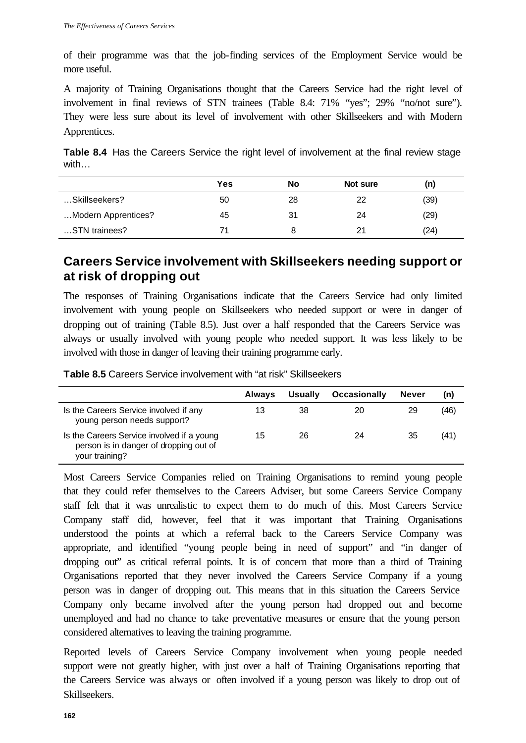of their programme was that the job-finding services of the Employment Service would be more useful.

A majority of Training Organisations thought that the Careers Service had the right level of involvement in final reviews of STN trainees (Table 8.4: 71% "yes"; 29% "no/not sure"). They were less sure about its level of involvement with other Skillseekers and with Modern Apprentices.

**Table 8.4** Has the Careers Service the right level of involvement at the final review stage with…

|                     | Yes | No | Not sure | (n)  |
|---------------------|-----|----|----------|------|
| Skillseekers?       | 50  | 28 | 22       | (39) |
| Modern Apprentices? | 45  | 31 | 24       | (29) |
| STN trainees?       | 71  |    | 21       | (24) |

# **Careers Service involvement with Skillseekers needing support or at risk of dropping out**

The responses of Training Organisations indicate that the Careers Service had only limited involvement with young people on Skillseekers who needed support or were in danger of dropping out of training (Table 8.5). Just over a half responded that the Careers Service was always or usually involved with young people who needed support. It was less likely to be involved with those in danger of leaving their training programme early.

| Table 8.5 Careers Service involvement with "at risk" Skillseekers |  |  |  |  |  |
|-------------------------------------------------------------------|--|--|--|--|--|
|-------------------------------------------------------------------|--|--|--|--|--|

|                                                                                                        | <b>Always</b> | <b>Usually</b> | <b>Occasionally</b> | <b>Never</b> | (n)  |
|--------------------------------------------------------------------------------------------------------|---------------|----------------|---------------------|--------------|------|
| Is the Careers Service involved if any<br>young person needs support?                                  | 13            | 38             | 20                  | 29           | (46) |
| Is the Careers Service involved if a young<br>person is in danger of dropping out of<br>your training? | 15            | 26             | 24                  | 35           | (41) |

Most Careers Service Companies relied on Training Organisations to remind young people that they could refer themselves to the Careers Adviser, but some Careers Service Company staff felt that it was unrealistic to expect them to do much of this. Most Careers Service Company staff did, however, feel that it was important that Training Organisations understood the points at which a referral back to the Careers Service Company was appropriate, and identified "young people being in need of support" and "in danger of dropping out" as critical referral points. It is of concern that more than a third of Training Organisations reported that they never involved the Careers Service Company if a young person was in danger of dropping out. This means that in this situation the Careers Service Company only became involved after the young person had dropped out and become unemployed and had no chance to take preventative measures or ensure that the young person considered alternatives to leaving the training programme.

Reported levels of Careers Service Company involvement when young people needed support were not greatly higher, with just over a half of Training Organisations reporting that the Careers Service was always or often involved if a young person was likely to drop out of Skillseekers.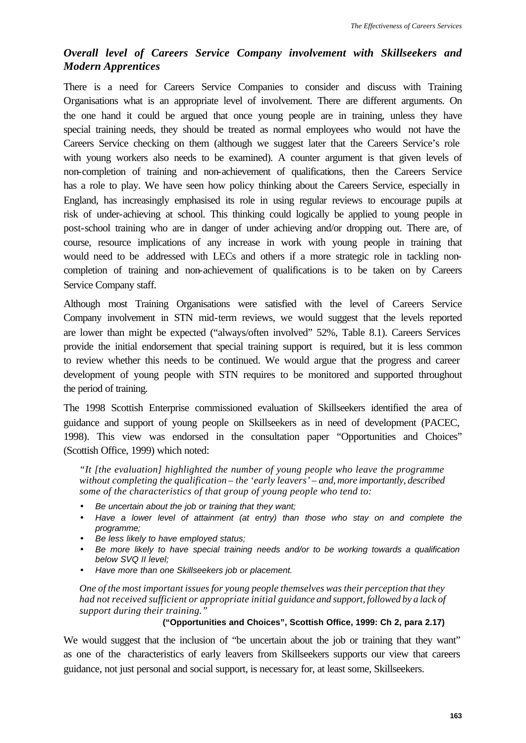## *Overall level of Careers Service Company involvement with Skillseekers and Modern Apprentices*

There is a need for Careers Service Companies to consider and discuss with Training Organisations what is an appropriate level of involvement. There are different arguments. On the one hand it could be argued that once young people are in training, unless they have special training needs, they should be treated as normal employees who would not have the Careers Service checking on them (although we suggest later that the Careers Service's role with young workers also needs to be examined). A counter argument is that given levels of non-completion of training and non-achievement of qualifications, then the Careers Service has a role to play. We have seen how policy thinking about the Careers Service, especially in England, has increasingly emphasised its role in using regular reviews to encourage pupils at risk of under-achieving at school. This thinking could logically be applied to young people in post-school training who are in danger of under achieving and/or dropping out. There are, of course, resource implications of any increase in work with young people in training that would need to be addressed with LECs and others if a more strategic role in tackling noncompletion of training and non-achievement of qualifications is to be taken on by Careers Service Company staff.

Although most Training Organisations were satisfied with the level of Careers Service Company involvement in STN mid-term reviews, we would suggest that the levels reported are lower than might be expected ("always/often involved" 52%, Table 8.1). Careers Services provide the initial endorsement that special training support is required, but it is less common to review whether this needs to be continued. We would argue that the progress and career development of young people with STN requires to be monitored and supported throughout the period of training.

The 1998 Scottish Enterprise commissioned evaluation of Skillseekers identified the area of guidance and support of young people on Skillseekers as in need of development (PACEC, 1998). This view was endorsed in the consultation paper "Opportunities and Choices" (Scottish Office, 1999) which noted:

*"It [the evaluation] highlighted the number of young people who leave the programme without completing the qualification – the 'early leavers' – and, more importantly, described some of the characteristics of that group of young people who tend to:*

- *Be uncertain about the job or training that they want;*
- *Have a lower level of attainment (at entry) than those who stay on and complete the programme;*
- *Be less likely to have employed status;*
- *Be more likely to have special training needs and/or to be working towards a qualification below SVQ II level;*
- *Have more than one Skillseekers job or placement.*

*One of the most important issues for young people themselves was their perception that they had not received sufficient or appropriate initial guidance and support, followed by a lack of support during their training."*

#### **("Opportunities and Choices", Scottish Office, 1999: Ch 2, para 2.17)**

We would suggest that the inclusion of "be uncertain about the job or training that they want" as one of the characteristics of early leavers from Skillseekers supports our view that careers guidance, not just personal and social support, is necessary for, at least some, Skillseekers.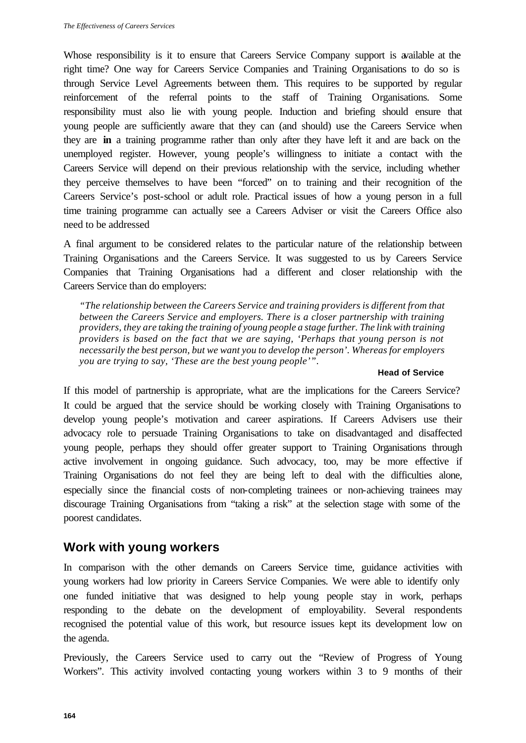Whose responsibility is it to ensure that Careers Service Company support is available at the right time? One way for Careers Service Companies and Training Organisations to do so is through Service Level Agreements between them. This requires to be supported by regular reinforcement of the referral points to the staff of Training Organisations. Some responsibility must also lie with young people. Induction and briefing should ensure that young people are sufficiently aware that they can (and should) use the Careers Service when they are **in** a training programme rather than only after they have left it and are back on the unemployed register. However, young people's willingness to initiate a contact with the Careers Service will depend on their previous relationship with the service, including whether they perceive themselves to have been "forced" on to training and their recognition of the Careers Service's post-school or adult role. Practical issues of how a young person in a full time training programme can actually see a Careers Adviser or visit the Careers Office also need to be addressed

A final argument to be considered relates to the particular nature of the relationship between Training Organisations and the Careers Service. It was suggested to us by Careers Service Companies that Training Organisations had a different and closer relationship with the Careers Service than do employers:

*"The relationship between the Careers Service and training providers is different from that between the Careers Service and employers. There is a closer partnership with training providers, they are taking the training of young people a stage further. The link with training providers is based on the fact that we are saying, 'Perhaps that young person is not necessarily the best person, but we want you to develop the person'. Whereas for employers you are trying to say, 'These are the best young people'"*.

#### **Head of Service**

If this model of partnership is appropriate, what are the implications for the Careers Service? It could be argued that the service should be working closely with Training Organisations to develop young people's motivation and career aspirations. If Careers Advisers use their advocacy role to persuade Training Organisations to take on disadvantaged and disaffected young people, perhaps they should offer greater support to Training Organisations through active involvement in ongoing guidance. Such advocacy, too, may be more effective if Training Organisations do not feel they are being left to deal with the difficulties alone, especially since the financial costs of non-completing trainees or non-achieving trainees may discourage Training Organisations from "taking a risk" at the selection stage with some of the poorest candidates.

## **Work with young workers**

In comparison with the other demands on Careers Service time, guidance activities with young workers had low priority in Careers Service Companies. We were able to identify only one funded initiative that was designed to help young people stay in work, perhaps responding to the debate on the development of employability. Several respondents recognised the potential value of this work, but resource issues kept its development low on the agenda.

Previously, the Careers Service used to carry out the "Review of Progress of Young Workers". This activity involved contacting young workers within 3 to 9 months of their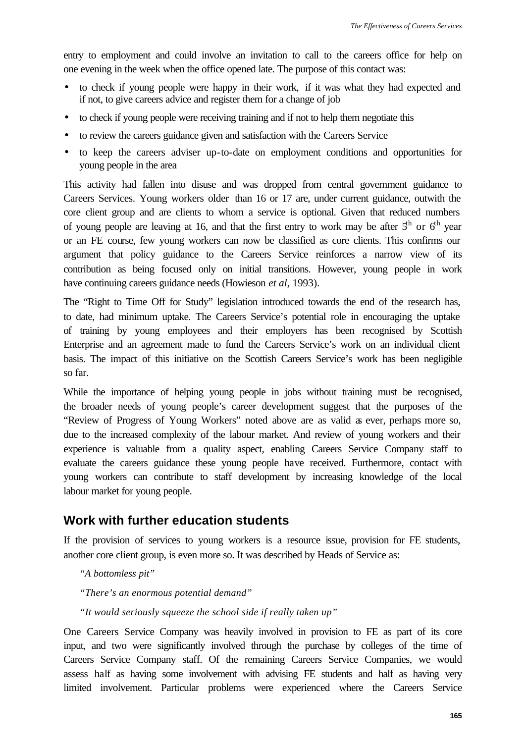entry to employment and could involve an invitation to call to the careers office for help on one evening in the week when the office opened late. The purpose of this contact was:

- to check if young people were happy in their work, if it was what they had expected and if not, to give careers advice and register them for a change of job
- to check if young people were receiving training and if not to help them negotiate this
- to review the careers guidance given and satisfaction with the Careers Service
- to keep the careers adviser up-to-date on employment conditions and opportunities for young people in the area

This activity had fallen into disuse and was dropped from central government guidance to Careers Services. Young workers older than 16 or 17 are, under current guidance, outwith the core client group and are clients to whom a service is optional. Given that reduced numbers of young people are leaving at 16, and that the first entry to work may be after  $5<sup>th</sup>$  or  $6<sup>th</sup>$  year or an FE course, few young workers can now be classified as core clients. This confirms our argument that policy guidance to the Careers Service reinforces a narrow view of its contribution as being focused only on initial transitions. However, young people in work have continuing careers guidance needs (Howieson *et al*, 1993).

The "Right to Time Off for Study" legislation introduced towards the end of the research has, to date, had minimum uptake. The Careers Service's potential role in encouraging the uptake of training by young employees and their employers has been recognised by Scottish Enterprise and an agreement made to fund the Careers Service's work on an individual client basis. The impact of this initiative on the Scottish Careers Service's work has been negligible so far.

While the importance of helping young people in jobs without training must be recognised, the broader needs of young people's career development suggest that the purposes of the "Review of Progress of Young Workers" noted above are as valid as ever, perhaps more so, due to the increased complexity of the labour market. And review of young workers and their experience is valuable from a quality aspect, enabling Careers Service Company staff to evaluate the careers guidance these young people have received. Furthermore, contact with young workers can contribute to staff development by increasing knowledge of the local labour market for young people.

## **Work with further education students**

If the provision of services to young workers is a resource issue, provision for FE students, another core client group, is even more so. It was described by Heads of Service as:

*"A bottomless pit"*

*"There's an enormous potential demand"*

*"It would seriously squeeze the school side if really taken up"*

One Careers Service Company was heavily involved in provision to FE as part of its core input, and two were significantly involved through the purchase by colleges of the time of Careers Service Company staff. Of the remaining Careers Service Companies, we would assess half as having some involvement with advising FE students and half as having very limited involvement. Particular problems were experienced where the Careers Service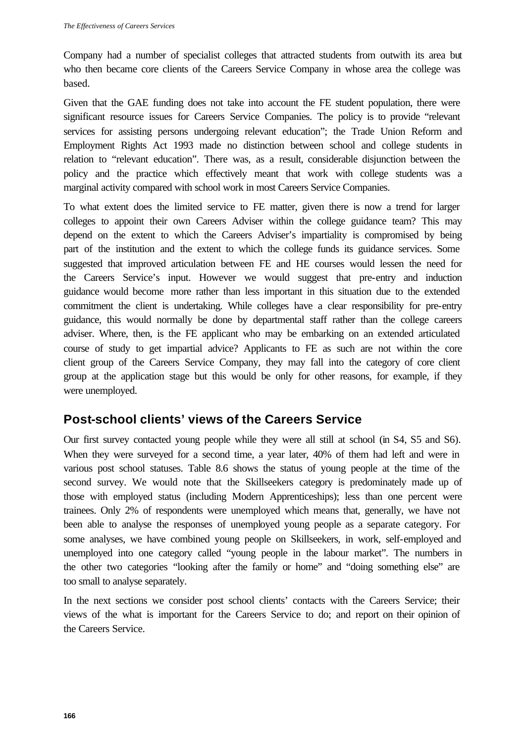Company had a number of specialist colleges that attracted students from outwith its area but who then became core clients of the Careers Service Company in whose area the college was based.

Given that the GAE funding does not take into account the FE student population, there were significant resource issues for Careers Service Companies. The policy is to provide "relevant services for assisting persons undergoing relevant education"; the Trade Union Reform and Employment Rights Act 1993 made no distinction between school and college students in relation to "relevant education". There was, as a result, considerable disjunction between the policy and the practice which effectively meant that work with college students was a marginal activity compared with school work in most Careers Service Companies.

To what extent does the limited service to FE matter, given there is now a trend for larger colleges to appoint their own Careers Adviser within the college guidance team? This may depend on the extent to which the Careers Adviser's impartiality is compromised by being part of the institution and the extent to which the college funds its guidance services. Some suggested that improved articulation between FE and HE courses would lessen the need for the Careers Service's input. However we would suggest that pre-entry and induction guidance would become more rather than less important in this situation due to the extended commitment the client is undertaking. While colleges have a clear responsibility for pre-entry guidance, this would normally be done by departmental staff rather than the college careers adviser. Where, then, is the FE applicant who may be embarking on an extended articulated course of study to get impartial advice? Applicants to FE as such are not within the core client group of the Careers Service Company, they may fall into the category of core client group at the application stage but this would be only for other reasons, for example, if they were unemployed.

# **Post-school clients' views of the Careers Service**

Our first survey contacted young people while they were all still at school (in S4, S5 and S6). When they were surveyed for a second time, a year later, 40% of them had left and were in various post school statuses. Table 8.6 shows the status of young people at the time of the second survey. We would note that the Skillseekers category is predominately made up of those with employed status (including Modern Apprenticeships); less than one percent were trainees. Only 2% of respondents were unemployed which means that, generally, we have not been able to analyse the responses of unemployed young people as a separate category. For some analyses, we have combined young people on Skillseekers, in work, self-employed and unemployed into one category called "young people in the labour market". The numbers in the other two categories "looking after the family or home" and "doing something else" are too small to analyse separately.

In the next sections we consider post school clients' contacts with the Careers Service; their views of the what is important for the Careers Service to do; and report on their opinion of the Careers Service.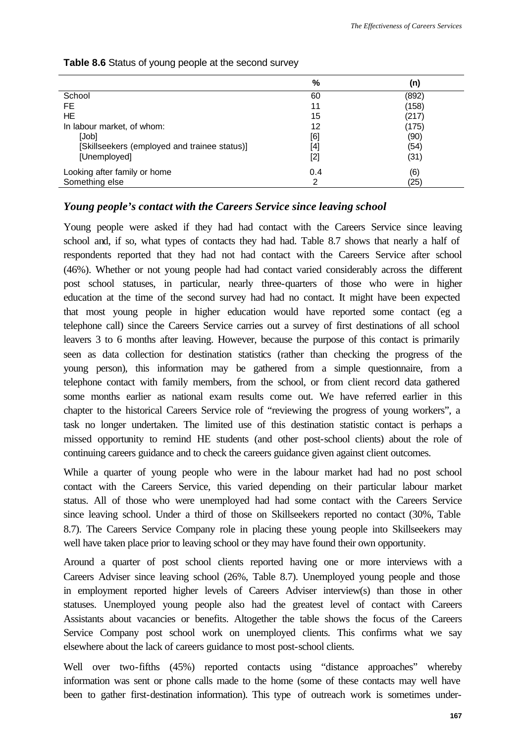| Table 8.6 Status of young people at the second survey |  |
|-------------------------------------------------------|--|
|-------------------------------------------------------|--|

|                                              | %   | (n)   |
|----------------------------------------------|-----|-------|
| School                                       | 60  | (892) |
| FE                                           | 11  | (158) |
| HE.                                          | 15  | (217) |
| In labour market, of whom:                   | 12  | (175) |
| [Job]                                        | [6] | (90)  |
| [Skillseekers (employed and trainee status)] | [4] | (54)  |
| [Unemployed]                                 |     | (31)  |
| Looking after family or home                 | 0.4 | (6)   |
| Something else                               | າ   | (25)  |

### *Young people's contact with the Careers Service since leaving school*

Young people were asked if they had had contact with the Careers Service since leaving school and, if so, what types of contacts they had had. Table 8.7 shows that nearly a half of respondents reported that they had not had contact with the Careers Service after school (46%). Whether or not young people had had contact varied considerably across the different post school statuses, in particular, nearly three-quarters of those who were in higher education at the time of the second survey had had no contact. It might have been expected that most young people in higher education would have reported some contact (eg a telephone call) since the Careers Service carries out a survey of first destinations of all school leavers 3 to 6 months after leaving. However, because the purpose of this contact is primarily seen as data collection for destination statistics (rather than checking the progress of the young person), this information may be gathered from a simple questionnaire, from a telephone contact with family members, from the school, or from client record data gathered some months earlier as national exam results come out. We have referred earlier in this chapter to the historical Careers Service role of "reviewing the progress of young workers", a task no longer undertaken. The limited use of this destination statistic contact is perhaps a missed opportunity to remind HE students (and other post-school clients) about the role of continuing careers guidance and to check the careers guidance given against client outcomes.

While a quarter of young people who were in the labour market had had no post school contact with the Careers Service, this varied depending on their particular labour market status. All of those who were unemployed had had some contact with the Careers Service since leaving school. Under a third of those on Skillseekers reported no contact (30%, Table 8.7). The Careers Service Company role in placing these young people into Skillseekers may well have taken place prior to leaving school or they may have found their own opportunity.

Around a quarter of post school clients reported having one or more interviews with a Careers Adviser since leaving school (26%, Table 8.7). Unemployed young people and those in employment reported higher levels of Careers Adviser interview(s) than those in other statuses. Unemployed young people also had the greatest level of contact with Careers Assistants about vacancies or benefits. Altogether the table shows the focus of the Careers Service Company post school work on unemployed clients. This confirms what we say elsewhere about the lack of careers guidance to most post-school clients.

Well over two-fifths (45%) reported contacts using "distance approaches" whereby information was sent or phone calls made to the home (some of these contacts may well have been to gather first-destination information). This type of outreach work is sometimes under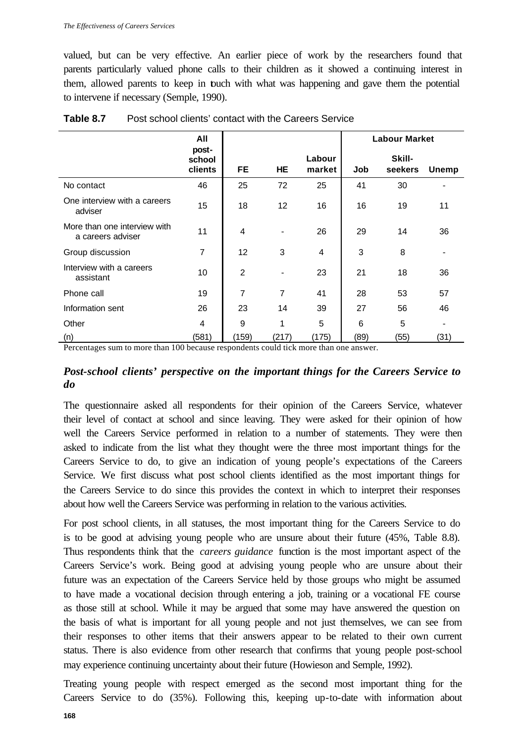valued, but can be very effective. An earlier piece of work by the researchers found that parents particularly valued phone calls to their children as it showed a continuing interest in them, allowed parents to keep in touch with what was happening and gave them the potential to intervene if necessary (Semple, 1990).

|                                                   | All                        |       |       |                  |      | <b>Labour Market</b> |       |
|---------------------------------------------------|----------------------------|-------|-------|------------------|------|----------------------|-------|
|                                                   | post-<br>school<br>clients | FE    | HE    | Labour<br>market | Job  | Skill-<br>seekers    | Unemp |
| No contact                                        | 46                         | 25    | 72    | 25               | 41   | 30                   |       |
| One interview with a careers<br>adviser           | 15                         | 18    | 12    | 16               | 16   | 19                   | 11    |
| More than one interview with<br>a careers adviser | 11                         | 4     |       | 26               | 29   | 14                   | 36    |
| Group discussion                                  | 7                          | 12    | 3     | 4                | 3    | 8                    |       |
| Interview with a careers<br>assistant             | 10                         | 2     | ۰     | 23               | 21   | 18                   | 36    |
| Phone call                                        | 19                         | 7     | 7     | 41               | 28   | 53                   | 57    |
| Information sent                                  | 26                         | 23    | 14    | 39               | 27   | 56                   | 46    |
| Other                                             | 4                          | 9     | 1     | 5                | 6    | 5                    |       |
| (n)                                               | (581)                      | (159) | (217) | (175)            | (89) | (55)                 | (31)  |

### **Table 8.7** Post school clients' contact with the Careers Service

Percentages sum to more than 100 because respondents could tick more than one answer.

## *Post-school clients' perspective on the important things for the Careers Service to do*

The questionnaire asked all respondents for their opinion of the Careers Service, whatever their level of contact at school and since leaving. They were asked for their opinion of how well the Careers Service performed in relation to a number of statements. They were then asked to indicate from the list what they thought were the three most important things for the Careers Service to do, to give an indication of young people's expectations of the Careers Service. We first discuss what post school clients identified as the most important things for the Careers Service to do since this provides the context in which to interpret their responses about how well the Careers Service was performing in relation to the various activities.

For post school clients, in all statuses, the most important thing for the Careers Service to do is to be good at advising young people who are unsure about their future (45%, Table 8.8). Thus respondents think that the *careers guidance* function is the most important aspect of the Careers Service's work. Being good at advising young people who are unsure about their future was an expectation of the Careers Service held by those groups who might be assumed to have made a vocational decision through entering a job, training or a vocational FE course as those still at school. While it may be argued that some may have answered the question on the basis of what is important for all young people and not just themselves, we can see from their responses to other items that their answers appear to be related to their own current status. There is also evidence from other research that confirms that young people post-school may experience continuing uncertainty about their future (Howieson and Semple, 1992).

Treating young people with respect emerged as the second most important thing for the Careers Service to do (35%). Following this, keeping up-to-date with information about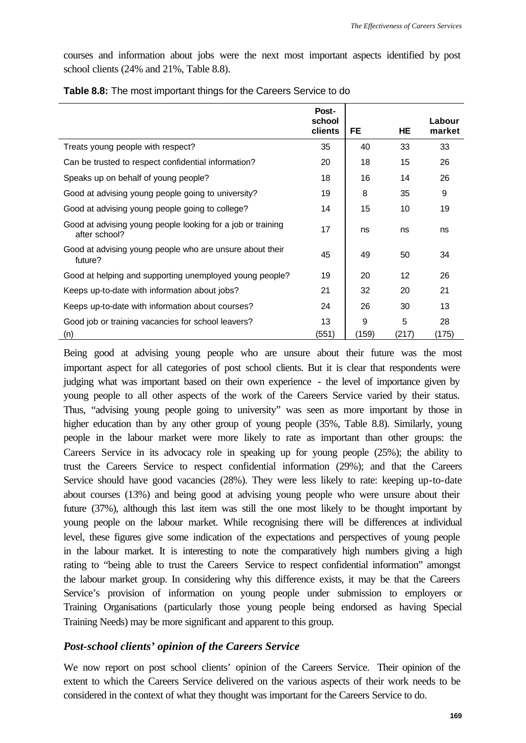courses and information about jobs were the next most important aspects identified by post school clients (24% and 21%, Table 8.8).

|                                                                              | Post-<br>school<br><b>clients</b> | FE.   | <b>HE</b> | Labour<br>market |
|------------------------------------------------------------------------------|-----------------------------------|-------|-----------|------------------|
|                                                                              |                                   |       |           |                  |
| Treats young people with respect?                                            | 35                                | 40    | 33        | 33               |
| Can be trusted to respect confidential information?                          | 20                                | 18    | 15        | 26               |
| Speaks up on behalf of young people?                                         | 18                                | 16    | 14        | 26               |
| Good at advising young people going to university?                           | 19                                | 8     | 35        | 9                |
| Good at advising young people going to college?                              | 14                                | 15    | 10        | 19               |
| Good at advising young people looking for a job or training<br>after school? | 17                                | ns    | ns        | ns               |
| Good at advising young people who are unsure about their<br>future?          | 45                                | 49    | 50        | 34               |
| Good at helping and supporting unemployed young people?                      | 19                                | 20    | 12        | 26               |
| Keeps up-to-date with information about jobs?                                | 21                                | 32    | 20        | 21               |
| Keeps up-to-date with information about courses?                             | 24                                | 26    | 30        | 13               |
| Good job or training vacancies for school leavers?                           | 13                                | 9     | 5         | 28               |
| (n)                                                                          | (551)                             | (159) | (217)     | (175)            |

|  | Table 8.8: The most important things for the Careers Service to do |
|--|--------------------------------------------------------------------|
|--|--------------------------------------------------------------------|

Being good at advising young people who are unsure about their future was the most important aspect for all categories of post school clients. But it is clear that respondents were judging what was important based on their own experience - the level of importance given by young people to all other aspects of the work of the Careers Service varied by their status. Thus, "advising young people going to university" was seen as more important by those in higher education than by any other group of young people (35%, Table 8.8). Similarly, young people in the labour market were more likely to rate as important than other groups: the Careers Service in its advocacy role in speaking up for young people (25%); the ability to trust the Careers Service to respect confidential information (29%); and that the Careers Service should have good vacancies (28%). They were less likely to rate: keeping up-to-date about courses (13%) and being good at advising young people who were unsure about their future (37%), although this last item was still the one most likely to be thought important by young people on the labour market. While recognising there will be differences at individual level, these figures give some indication of the expectations and perspectives of young people in the labour market. It is interesting to note the comparatively high numbers giving a high rating to "being able to trust the Careers Service to respect confidential information" amongst the labour market group. In considering why this difference exists, it may be that the Careers Service's provision of information on young people under submission to employers or Training Organisations (particularly those young people being endorsed as having Special Training Needs) may be more significant and apparent to this group.

#### *Post-school clients' opinion of the Careers Service*

We now report on post school clients' opinion of the Careers Service. Their opinion of the extent to which the Careers Service delivered on the various aspects of their work needs to be considered in the context of what they thought was important for the Careers Service to do.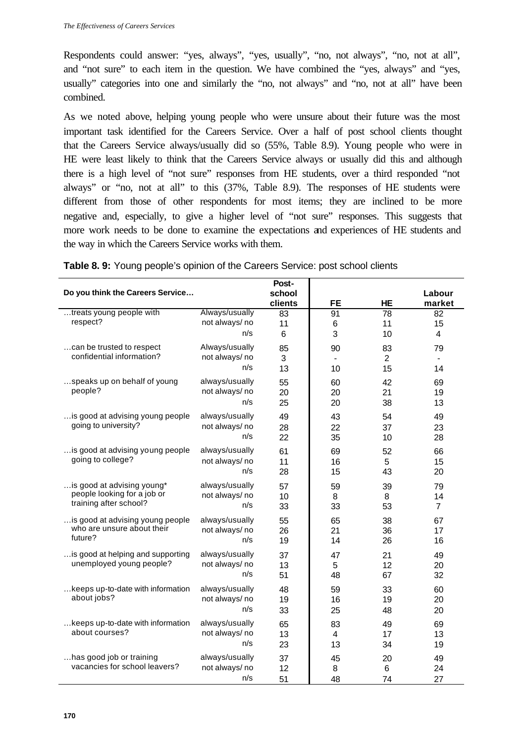Respondents could answer: "yes, always", "yes, usually", "no, not always", "no, not at all", and "not sure" to each item in the question. We have combined the "yes, always" and "yes, usually" categories into one and similarly the "no, not always" and "no, not at all" have been combined.

As we noted above, helping young people who were unsure about their future was the most important task identified for the Careers Service. Over a half of post school clients thought that the Careers Service always/usually did so (55%, Table 8.9). Young people who were in HE were least likely to think that the Careers Service always or usually did this and although there is a high level of "not sure" responses from HE students, over a third responded "not always" or "no, not at all" to this (37%, Table 8.9). The responses of HE students were different from those of other respondents for most items; they are inclined to be more negative and, especially, to give a higher level of "not sure" responses. This suggests that more work needs to be done to examine the expectations and experiences of HE students and the way in which the Careers Service works with them.

|                                                                                     |                | Post-           |           |                |                |
|-------------------------------------------------------------------------------------|----------------|-----------------|-----------|----------------|----------------|
| Do you think the Careers Service                                                    |                | school          |           |                | Labour         |
|                                                                                     |                | clients         | <b>FE</b> | <b>HE</b>      | market         |
| treats young people with<br>respect?                                                | Always/usually | 83              | 91        | 78             | 82             |
|                                                                                     | not always/ no | 11              | 6         | 11             | 15             |
|                                                                                     | n/s            | $6\phantom{1}6$ | 3         | 10             | 4              |
| can be trusted to respect<br>confidential information?                              | Always/usually | 85              | 90        | 83             | 79             |
|                                                                                     | not always/ no | 3               |           | $\overline{c}$ |                |
|                                                                                     | n/s            | 13              | 10        | 15             | 14             |
| speaks up on behalf of young<br>people?                                             | always/usually | 55              | 60        | 42             | 69             |
|                                                                                     | not always/ no | 20              | 20        | 21             | 19             |
|                                                                                     | n/s            | 25              | 20        | 38             | 13             |
| is good at advising young people<br>going to university?                            | always/usually | 49              | 43        | 54             | 49             |
|                                                                                     | not always/no  | 28              | 22        | 37             | 23             |
|                                                                                     | n/s            | 22              | 35        | 10             | 28             |
| is good at advising young people<br>going to college?                               | always/usually | 61              | 69        | 52             | 66             |
|                                                                                     | not always/ no | 11              | 16        | 5              | 15             |
|                                                                                     | n/s            | 28              | 15        | 43             | 20             |
| is good at advising young*<br>people looking for a job or<br>training after school? | always/usually | 57              | 59        | 39             | 79             |
|                                                                                     | not always/no  | 10              | 8         | 8              | 14             |
|                                                                                     | n/s            | 33              | 33        | 53             | $\overline{7}$ |
| is good at advising young people<br>who are unsure about their<br>future?           | always/usually | 55              | 65        | 38             | 67             |
|                                                                                     | not always/no  | 26              | 21        | 36             | 17             |
|                                                                                     | n/s            | 19              | 14        | 26             | 16             |
| is good at helping and supporting<br>unemployed young people?                       | always/usually | 37              | 47        | 21             | 49             |
|                                                                                     | not always/no  | 13              | 5         | 12             | 20             |
|                                                                                     | n/s            | 51              | 48        | 67             | 32             |
| keeps up-to-date with information<br>about jobs?                                    | always/usually | 48              | 59        | 33             | 60             |
|                                                                                     | not always/no  | 19              | 16        | 19             | 20             |
|                                                                                     | n/s            | 33              | 25        | 48             | 20             |
| keeps up-to-date with information<br>about courses?                                 | always/usually | 65              | 83        | 49             | 69             |
|                                                                                     | not always/no  | 13              | 4         | 17             | 13             |
|                                                                                     | n/s            | 23              | 13        | 34             | 19             |
| has good job or training<br>vacancies for school leavers?                           | always/usually | 37              | 45        | 20             | 49             |
|                                                                                     | not always/no  | 12              | 8         | 6              | 24             |
|                                                                                     | n/s            | 51              | 48        | 74             | 27             |

**Table 8. 9:** Young people's opinion of the Careers Service: post school clients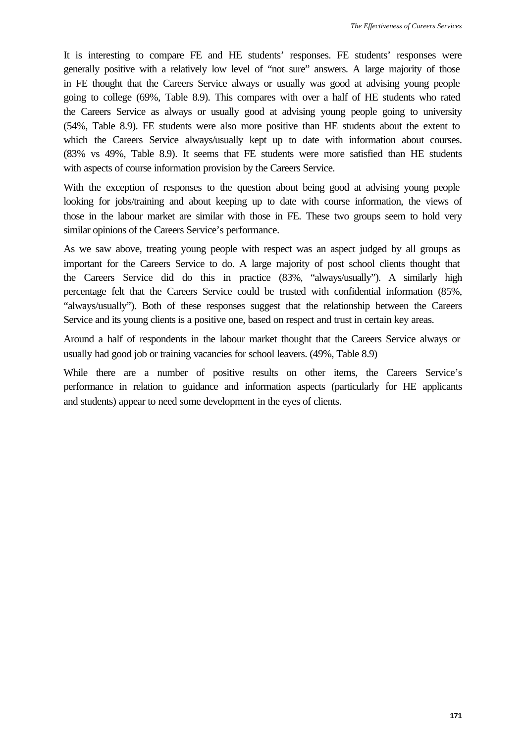It is interesting to compare FE and HE students' responses. FE students' responses were generally positive with a relatively low level of "not sure" answers. A large majority of those in FE thought that the Careers Service always or usually was good at advising young people going to college (69%, Table 8.9). This compares with over a half of HE students who rated the Careers Service as always or usually good at advising young people going to university (54%, Table 8.9). FE students were also more positive than HE students about the extent to which the Careers Service always/usually kept up to date with information about courses. (83% vs 49%, Table 8.9). It seems that FE students were more satisfied than HE students with aspects of course information provision by the Careers Service.

With the exception of responses to the question about being good at advising young people looking for jobs/training and about keeping up to date with course information, the views of those in the labour market are similar with those in FE. These two groups seem to hold very similar opinions of the Careers Service's performance.

As we saw above, treating young people with respect was an aspect judged by all groups as important for the Careers Service to do. A large majority of post school clients thought that the Careers Service did do this in practice (83%, "always/usually"). A similarly high percentage felt that the Careers Service could be trusted with confidential information (85%, "always/usually"). Both of these responses suggest that the relationship between the Careers Service and its young clients is a positive one, based on respect and trust in certain key areas.

Around a half of respondents in the labour market thought that the Careers Service always or usually had good job or training vacancies for school leavers. (49%, Table 8.9)

While there are a number of positive results on other items, the Careers Service's performance in relation to guidance and information aspects (particularly for HE applicants and students) appear to need some development in the eyes of clients.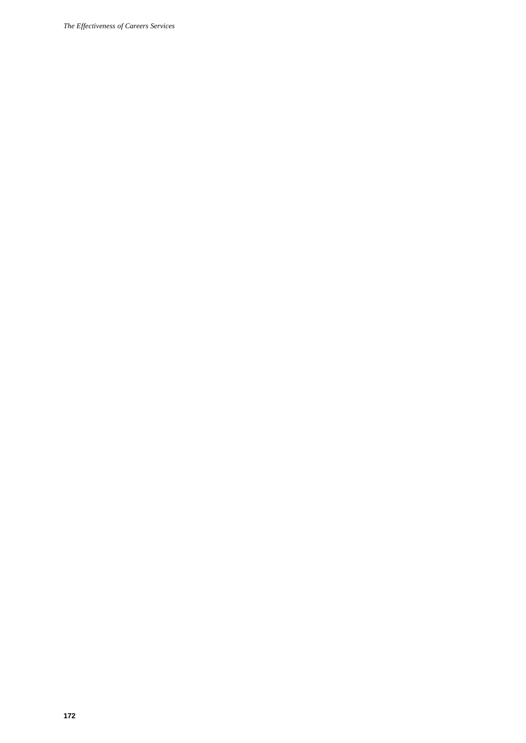*The Effectiveness of Careers Services*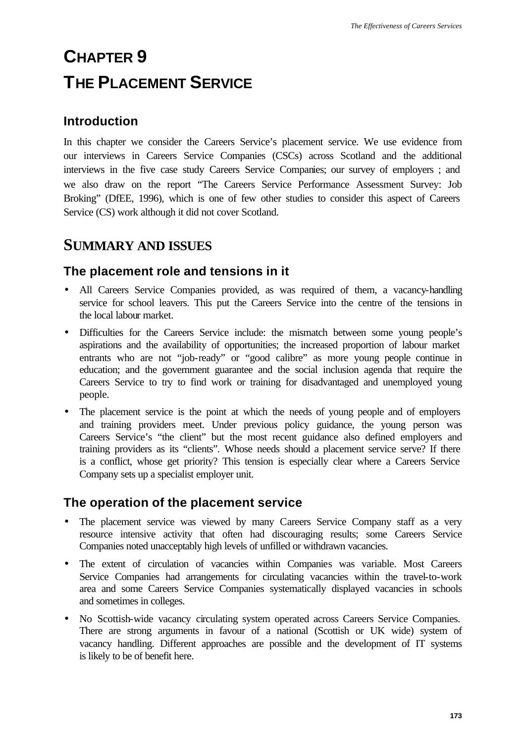# **CHAPTER 9 THE PLACEMENT SERVICE**

# **Introduction**

In this chapter we consider the Careers Service's placement service. We use evidence from our interviews in Careers Service Companies (CSCs) across Scotland and the additional interviews in the five case study Careers Service Companies; our survey of employers ; and we also draw on the report "The Careers Service Performance Assessment Survey: Job Broking" (DfEE, 1996), which is one of few other studies to consider this aspect of Careers Service (CS) work although it did not cover Scotland.

# **SUMMARY AND ISSUES**

# **The placement role and tensions in it**

- All Careers Service Companies provided, as was required of them, a vacancy-handling service for school leavers. This put the Careers Service into the centre of the tensions in the local labour market.
- Difficulties for the Careers Service include: the mismatch between some young people's aspirations and the availability of opportunities; the increased proportion of labour market entrants who are not "job-ready" or "good calibre" as more young people continue in education; and the government guarantee and the social inclusion agenda that require the Careers Service to try to find work or training for disadvantaged and unemployed young people.
- The placement service is the point at which the needs of young people and of employers and training providers meet. Under previous policy guidance, the young person was Careers Service's "the client" but the most recent guidance also defined employers and training providers as its "clients". Whose needs should a placement service serve? If there is a conflict, whose get priority? This tension is especially clear where a Careers Service Company sets up a specialist employer unit.

# **The operation of the placement service**

- The placement service was viewed by many Careers Service Company staff as a very resource intensive activity that often had discouraging results; some Careers Service Companies noted unacceptably high levels of unfilled or withdrawn vacancies.
- The extent of circulation of vacancies within Companies was variable. Most Careers Service Companies had arrangements for circulating vacancies within the travel-to-work area and some Careers Service Companies systematically displayed vacancies in schools and sometimes in colleges.
- No Scottish-wide vacancy circulating system operated across Careers Service Companies. There are strong arguments in favour of a national (Scottish or UK wide) system of vacancy handling. Different approaches are possible and the development of IT systems is likely to be of benefit here.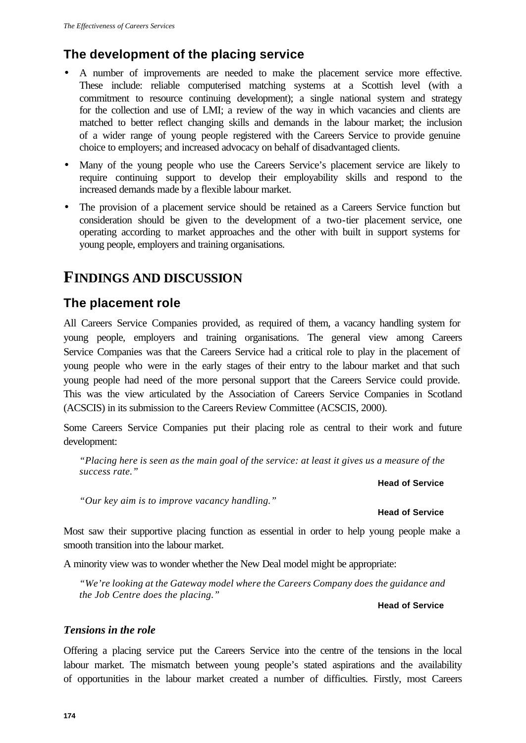# **The development of the placing service**

- A number of improvements are needed to make the placement service more effective. These include: reliable computerised matching systems at a Scottish level (with a commitment to resource continuing development); a single national system and strategy for the collection and use of LMI; a review of the way in which vacancies and clients are matched to better reflect changing skills and demands in the labour market; the inclusion of a wider range of young people registered with the Careers Service to provide genuine choice to employers; and increased advocacy on behalf of disadvantaged clients.
- Many of the young people who use the Careers Service's placement service are likely to require continuing support to develop their employability skills and respond to the increased demands made by a flexible labour market.
- The provision of a placement service should be retained as a Careers Service function but consideration should be given to the development of a two-tier placement service, one operating according to market approaches and the other with built in support systems for young people, employers and training organisations.

# **FINDINGS AND DISCUSSION**

# **The placement role**

All Careers Service Companies provided, as required of them, a vacancy handling system for young people, employers and training organisations. The general view among Careers Service Companies was that the Careers Service had a critical role to play in the placement of young people who were in the early stages of their entry to the labour market and that such young people had need of the more personal support that the Careers Service could provide. This was the view articulated by the Association of Careers Service Companies in Scotland (ACSCIS) in its submission to the Careers Review Committee (ACSCIS, 2000).

Some Careers Service Companies put their placing role as central to their work and future development:

*"Placing here is seen as the main goal of the service: at least it gives us a measure of the success rate."*

**Head of Service**

*"Our key aim is to improve vacancy handling."*

**Head of Service**

Most saw their supportive placing function as essential in order to help young people make a smooth transition into the labour market.

A minority view was to wonder whether the New Deal model might be appropriate:

*"We're looking at the Gateway model where the Careers Company does the guidance and the Job Centre does the placing."*

**Head of Service**

## *Tensions in the role*

Offering a placing service put the Careers Service into the centre of the tensions in the local labour market. The mismatch between young people's stated aspirations and the availability of opportunities in the labour market created a number of difficulties. Firstly, most Careers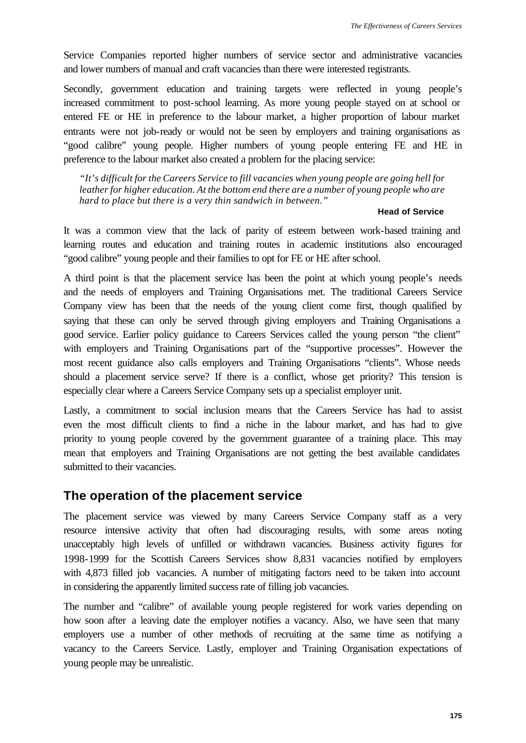Service Companies reported higher numbers of service sector and administrative vacancies and lower numbers of manual and craft vacancies than there were interested registrants.

Secondly, government education and training targets were reflected in young people's increased commitment to post-school learning. As more young people stayed on at school or entered FE or HE in preference to the labour market, a higher proportion of labour market entrants were not job-ready or would not be seen by employers and training organisations as "good calibre" young people. Higher numbers of young people entering FE and HE in preference to the labour market also created a problem for the placing service:

*"It's difficult for the Careers Service to fill vacancies when young people are going hell for leather for higher education. At the bottom end there are a number of young people who are hard to place but there is a very thin sandwich in between."*

#### **Head of Service**

It was a common view that the lack of parity of esteem between work-based training and learning routes and education and training routes in academic institutions also encouraged "good calibre" young people and their families to opt for FE or HE after school.

A third point is that the placement service has been the point at which young people's needs and the needs of employers and Training Organisations met. The traditional Careers Service Company view has been that the needs of the young client come first, though qualified by saying that these can only be served through giving employers and Training Organisations a good service. Earlier policy guidance to Careers Services called the young person "the client" with employers and Training Organisations part of the "supportive processes". However the most recent guidance also calls employers and Training Organisations "clients". Whose needs should a placement service serve? If there is a conflict, whose get priority? This tension is especially clear where a Careers Service Company sets up a specialist employer unit.

Lastly, a commitment to social inclusion means that the Careers Service has had to assist even the most difficult clients to find a niche in the labour market, and has had to give priority to young people covered by the government guarantee of a training place. This may mean that employers and Training Organisations are not getting the best available candidates submitted to their vacancies.

## **The operation of the placement service**

The placement service was viewed by many Careers Service Company staff as a very resource intensive activity that often had discouraging results, with some areas noting unacceptably high levels of unfilled or withdrawn vacancies. Business activity figures for 1998-1999 for the Scottish Careers Services show 8,831 vacancies notified by employers with 4,873 filled job vacancies. A number of mitigating factors need to be taken into account in considering the apparently limited success rate of filling job vacancies.

The number and "calibre" of available young people registered for work varies depending on how soon after a leaving date the employer notifies a vacancy. Also, we have seen that many employers use a number of other methods of recruiting at the same time as notifying a vacancy to the Careers Service. Lastly, employer and Training Organisation expectations of young people may be unrealistic.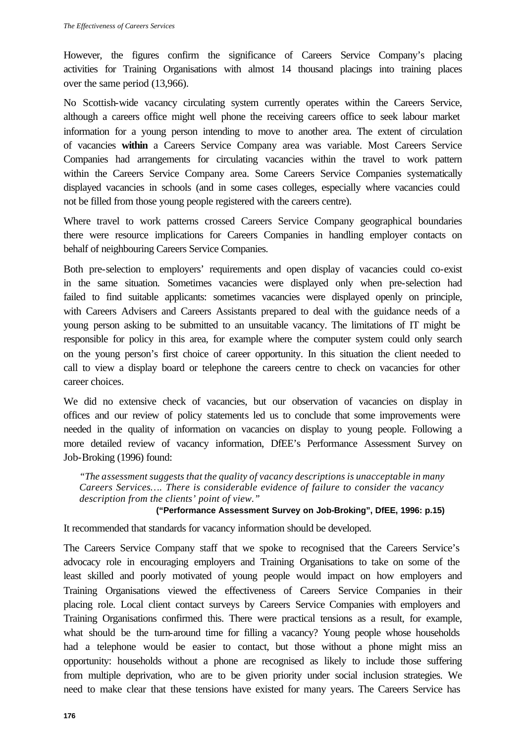However, the figures confirm the significance of Careers Service Company's placing activities for Training Organisations with almost 14 thousand placings into training places over the same period (13,966).

No Scottish-wide vacancy circulating system currently operates within the Careers Service, although a careers office might well phone the receiving careers office to seek labour market information for a young person intending to move to another area. The extent of circulation of vacancies **within** a Careers Service Company area was variable. Most Careers Service Companies had arrangements for circulating vacancies within the travel to work pattern within the Careers Service Company area. Some Careers Service Companies systematically displayed vacancies in schools (and in some cases colleges, especially where vacancies could not be filled from those young people registered with the careers centre).

Where travel to work patterns crossed Careers Service Company geographical boundaries there were resource implications for Careers Companies in handling employer contacts on behalf of neighbouring Careers Service Companies.

Both pre-selection to employers' requirements and open display of vacancies could co-exist in the same situation. Sometimes vacancies were displayed only when pre-selection had failed to find suitable applicants: sometimes vacancies were displayed openly on principle, with Careers Advisers and Careers Assistants prepared to deal with the guidance needs of a young person asking to be submitted to an unsuitable vacancy. The limitations of IT might be responsible for policy in this area, for example where the computer system could only search on the young person's first choice of career opportunity. In this situation the client needed to call to view a display board or telephone the careers centre to check on vacancies for other career choices.

We did no extensive check of vacancies, but our observation of vacancies on display in offices and our review of policy statements led us to conclude that some improvements were needed in the quality of information on vacancies on display to young people. Following a more detailed review of vacancy information, DfEE's Performance Assessment Survey on Job-Broking (1996) found:

*"The assessment suggests that the quality of vacancy descriptions is unacceptable in many Careers Services…. There is considerable evidence of failure to consider the vacancy description from the clients' point of view."*

#### **("Performance Assessment Survey on Job-Broking", DfEE, 1996: p.15)**

It recommended that standards for vacancy information should be developed.

The Careers Service Company staff that we spoke to recognised that the Careers Service's advocacy role in encouraging employers and Training Organisations to take on some of the least skilled and poorly motivated of young people would impact on how employers and Training Organisations viewed the effectiveness of Careers Service Companies in their placing role. Local client contact surveys by Careers Service Companies with employers and Training Organisations confirmed this. There were practical tensions as a result, for example, what should be the turn-around time for filling a vacancy? Young people whose households had a telephone would be easier to contact, but those without a phone might miss an opportunity: households without a phone are recognised as likely to include those suffering from multiple deprivation, who are to be given priority under social inclusion strategies. We need to make clear that these tensions have existed for many years. The Careers Service has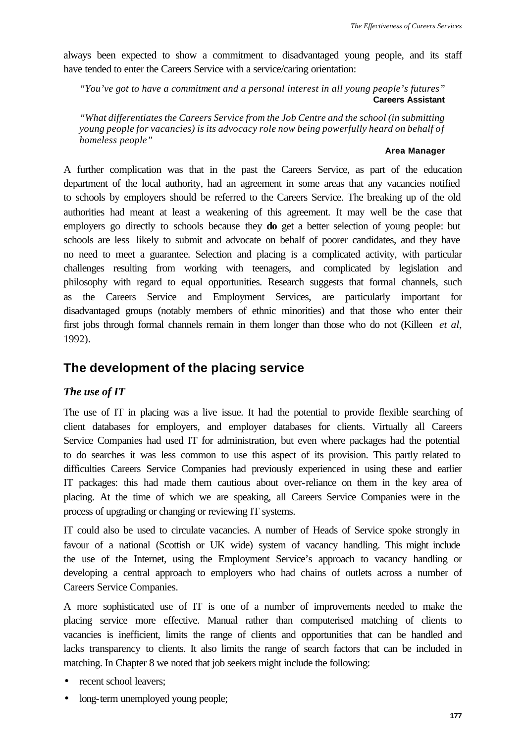always been expected to show a commitment to disadvantaged young people, and its staff have tended to enter the Careers Service with a service/caring orientation:

*"You've got to have a commitment and a personal interest in all young people's futures"* **Careers Assistant**

*"What differentiates the Careers Service from the Job Centre and the school (in submitting young people for vacancies) is its advocacy role now being powerfully heard on behalf of homeless people"*

#### **Area Manager**

A further complication was that in the past the Careers Service, as part of the education department of the local authority, had an agreement in some areas that any vacancies notified to schools by employers should be referred to the Careers Service. The breaking up of the old authorities had meant at least a weakening of this agreement. It may well be the case that employers go directly to schools because they **do** get a better selection of young people: but schools are less likely to submit and advocate on behalf of poorer candidates, and they have no need to meet a guarantee. Selection and placing is a complicated activity, with particular challenges resulting from working with teenagers, and complicated by legislation and philosophy with regard to equal opportunities. Research suggests that formal channels, such as the Careers Service and Employment Services, are particularly important for disadvantaged groups (notably members of ethnic minorities) and that those who enter their first jobs through formal channels remain in them longer than those who do not (Killeen *et al*, 1992).

# **The development of the placing service**

## *The use of IT*

The use of IT in placing was a live issue. It had the potential to provide flexible searching of client databases for employers, and employer databases for clients. Virtually all Careers Service Companies had used IT for administration, but even where packages had the potential to do searches it was less common to use this aspect of its provision. This partly related to difficulties Careers Service Companies had previously experienced in using these and earlier IT packages: this had made them cautious about over-reliance on them in the key area of placing. At the time of which we are speaking, all Careers Service Companies were in the process of upgrading or changing or reviewing IT systems.

IT could also be used to circulate vacancies. A number of Heads of Service spoke strongly in favour of a national (Scottish or UK wide) system of vacancy handling. This might include the use of the Internet, using the Employment Service's approach to vacancy handling or developing a central approach to employers who had chains of outlets across a number of Careers Service Companies.

A more sophisticated use of IT is one of a number of improvements needed to make the placing service more effective. Manual rather than computerised matching of clients to vacancies is inefficient, limits the range of clients and opportunities that can be handled and lacks transparency to clients. It also limits the range of search factors that can be included in matching. In Chapter 8 we noted that job seekers might include the following:

- recent school leavers:
- long-term unemployed young people;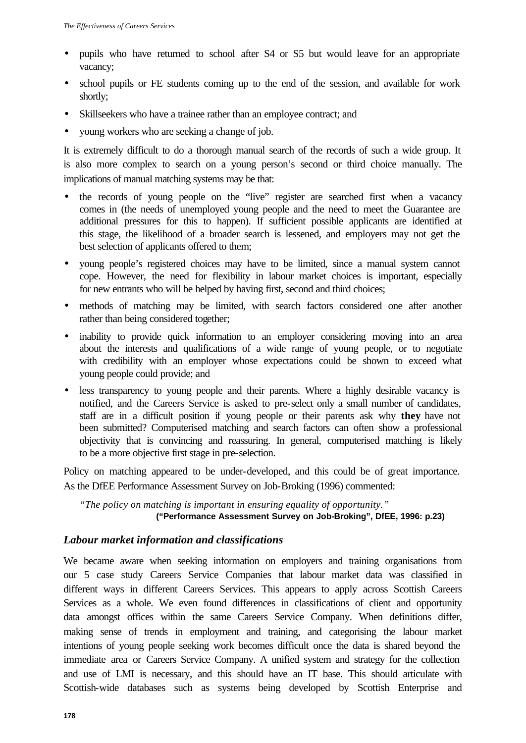- pupils who have returned to school after S4 or S5 but would leave for an appropriate vacancy;
- school pupils or FE students coming up to the end of the session, and available for work shortly;
- Skillseekers who have a trainee rather than an employee contract; and
- young workers who are seeking a change of job.

It is extremely difficult to do a thorough manual search of the records of such a wide group. It is also more complex to search on a young person's second or third choice manually. The implications of manual matching systems may be that:

- the records of young people on the "live" register are searched first when a vacancy comes in (the needs of unemployed young people and the need to meet the Guarantee are additional pressures for this to happen). If sufficient possible applicants are identified at this stage, the likelihood of a broader search is lessened, and employers may not get the best selection of applicants offered to them;
- young people's registered choices may have to be limited, since a manual system cannot cope. However, the need for flexibility in labour market choices is important, especially for new entrants who will be helped by having first, second and third choices;
- methods of matching may be limited, with search factors considered one after another rather than being considered together;
- inability to provide quick information to an employer considering moving into an area about the interests and qualifications of a wide range of young people, or to negotiate with credibility with an employer whose expectations could be shown to exceed what young people could provide; and
- less transparency to young people and their parents. Where a highly desirable vacancy is notified, and the Careers Service is asked to pre-select only a small number of candidates, staff are in a difficult position if young people or their parents ask why **they** have not been submitted? Computerised matching and search factors can often show a professional objectivity that is convincing and reassuring. In general, computerised matching is likely to be a more objective first stage in pre-selection.

Policy on matching appeared to be under-developed, and this could be of great importance. As the DfEE Performance Assessment Survey on Job-Broking (1996) commented:

*"The policy on matching is important in ensuring equality of opportunity."* **("Performance Assessment Survey on Job-Broking", DfEE, 1996: p.23)**

## *Labour market information and classifications*

We became aware when seeking information on employers and training organisations from our 5 case study Careers Service Companies that labour market data was classified in different ways in different Careers Services. This appears to apply across Scottish Careers Services as a whole. We even found differences in classifications of client and opportunity data amongst offices within the same Careers Service Company. When definitions differ, making sense of trends in employment and training, and categorising the labour market intentions of young people seeking work becomes difficult once the data is shared beyond the immediate area or Careers Service Company. A unified system and strategy for the collection and use of LMI is necessary, and this should have an IT base. This should articulate with Scottish-wide databases such as systems being developed by Scottish Enterprise and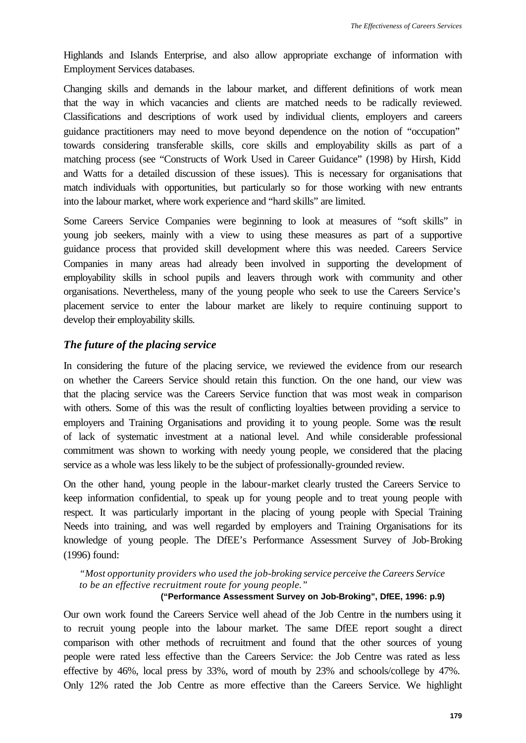Highlands and Islands Enterprise, and also allow appropriate exchange of information with Employment Services databases.

Changing skills and demands in the labour market, and different definitions of work mean that the way in which vacancies and clients are matched needs to be radically reviewed. Classifications and descriptions of work used by individual clients, employers and careers guidance practitioners may need to move beyond dependence on the notion of "occupation" towards considering transferable skills, core skills and employability skills as part of a matching process (see "Constructs of Work Used in Career Guidance" (1998) by Hirsh, Kidd and Watts for a detailed discussion of these issues). This is necessary for organisations that match individuals with opportunities, but particularly so for those working with new entrants into the labour market, where work experience and "hard skills" are limited.

Some Careers Service Companies were beginning to look at measures of "soft skills" in young job seekers, mainly with a view to using these measures as part of a supportive guidance process that provided skill development where this was needed. Careers Service Companies in many areas had already been involved in supporting the development of employability skills in school pupils and leavers through work with community and other organisations. Nevertheless, many of the young people who seek to use the Careers Service's placement service to enter the labour market are likely to require continuing support to develop their employability skills.

### *The future of the placing service*

In considering the future of the placing service, we reviewed the evidence from our research on whether the Careers Service should retain this function. On the one hand, our view was that the placing service was the Careers Service function that was most weak in comparison with others. Some of this was the result of conflicting loyalties between providing a service to employers and Training Organisations and providing it to young people. Some was the result of lack of systematic investment at a national level. And while considerable professional commitment was shown to working with needy young people, we considered that the placing service as a whole was less likely to be the subject of professionally-grounded review.

On the other hand, young people in the labour-market clearly trusted the Careers Service to keep information confidential, to speak up for young people and to treat young people with respect. It was particularly important in the placing of young people with Special Training Needs into training, and was well regarded by employers and Training Organisations for its knowledge of young people. The DfEE's Performance Assessment Survey of Job-Broking (1996) found:

*"Most opportunity providers who used the job-broking service perceive the Careers Service to be an effective recruitment route for young people."* **("Performance Assessment Survey on Job-Broking", DfEE, 1996: p.9)**

Our own work found the Careers Service well ahead of the Job Centre in the numbers using it to recruit young people into the labour market. The same DfEE report sought a direct comparison with other methods of recruitment and found that the other sources of young people were rated less effective than the Careers Service: the Job Centre was rated as less effective by 46%, local press by 33%, word of mouth by 23% and schools/college by 47%. Only 12% rated the Job Centre as more effective than the Careers Service. We highlight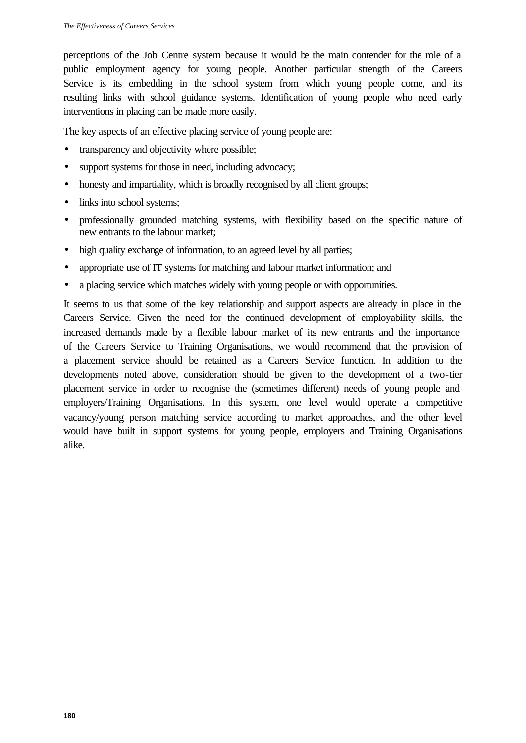perceptions of the Job Centre system because it would be the main contender for the role of a public employment agency for young people. Another particular strength of the Careers Service is its embedding in the school system from which young people come, and its resulting links with school guidance systems. Identification of young people who need early interventions in placing can be made more easily.

The key aspects of an effective placing service of young people are:

- transparency and objectivity where possible;
- support systems for those in need, including advocacy;
- honesty and impartiality, which is broadly recognised by all client groups;
- links into school systems;
- professionally grounded matching systems, with flexibility based on the specific nature of new entrants to the labour market;
- high quality exchange of information, to an agreed level by all parties;
- appropriate use of IT systems for matching and labour market information; and
- a placing service which matches widely with young people or with opportunities.

It seems to us that some of the key relationship and support aspects are already in place in the Careers Service. Given the need for the continued development of employability skills, the increased demands made by a flexible labour market of its new entrants and the importance of the Careers Service to Training Organisations, we would recommend that the provision of a placement service should be retained as a Careers Service function. In addition to the developments noted above, consideration should be given to the development of a two-tier placement service in order to recognise the (sometimes different) needs of young people and employers/Training Organisations. In this system, one level would operate a competitive vacancy/young person matching service according to market approaches, and the other level would have built in support systems for young people, employers and Training Organisations alike.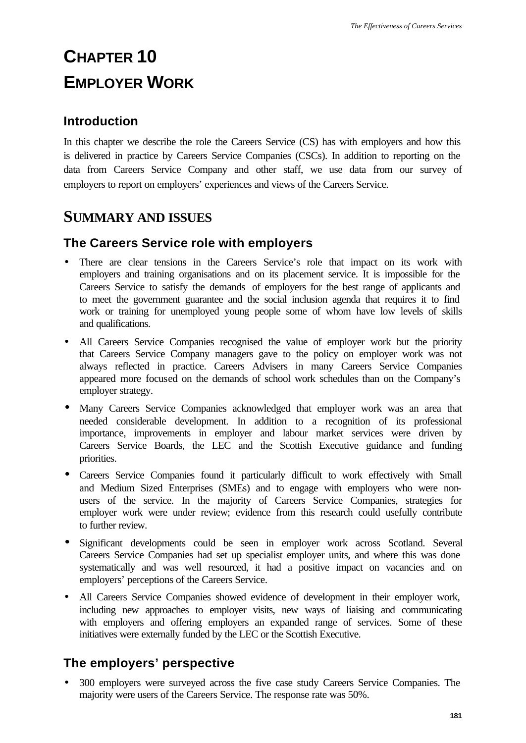# **CHAPTER 10 EMPLOYER WORK**

## **Introduction**

In this chapter we describe the role the Careers Service (CS) has with employers and how this is delivered in practice by Careers Service Companies (CSCs). In addition to reporting on the data from Careers Service Company and other staff, we use data from our survey of employers to report on employers' experiences and views of the Careers Service.

# **SUMMARY AND ISSUES**

## **The Careers Service role with employers**

- There are clear tensions in the Careers Service's role that impact on its work with employers and training organisations and on its placement service. It is impossible for the Careers Service to satisfy the demands of employers for the best range of applicants and to meet the government guarantee and the social inclusion agenda that requires it to find work or training for unemployed young people some of whom have low levels of skills and qualifications.
- All Careers Service Companies recognised the value of employer work but the priority that Careers Service Company managers gave to the policy on employer work was not always reflected in practice. Careers Advisers in many Careers Service Companies appeared more focused on the demands of school work schedules than on the Company's employer strategy.
- Many Careers Service Companies acknowledged that employer work was an area that needed considerable development. In addition to a recognition of its professional importance, improvements in employer and labour market services were driven by Careers Service Boards, the LEC and the Scottish Executive guidance and funding priorities.
- Careers Service Companies found it particularly difficult to work effectively with Small and Medium Sized Enterprises (SMEs) and to engage with employers who were nonusers of the service. In the majority of Careers Service Companies, strategies for employer work were under review; evidence from this research could usefully contribute to further review.
- Significant developments could be seen in employer work across Scotland. Several Careers Service Companies had set up specialist employer units, and where this was done systematically and was well resourced, it had a positive impact on vacancies and on employers' perceptions of the Careers Service.
- All Careers Service Companies showed evidence of development in their employer work, including new approaches to employer visits, new ways of liaising and communicating with employers and offering employers an expanded range of services. Some of these initiatives were externally funded by the LEC or the Scottish Executive.

# **The employers' perspective**

• 300 employers were surveyed across the five case study Careers Service Companies. The majority were users of the Careers Service. The response rate was 50%.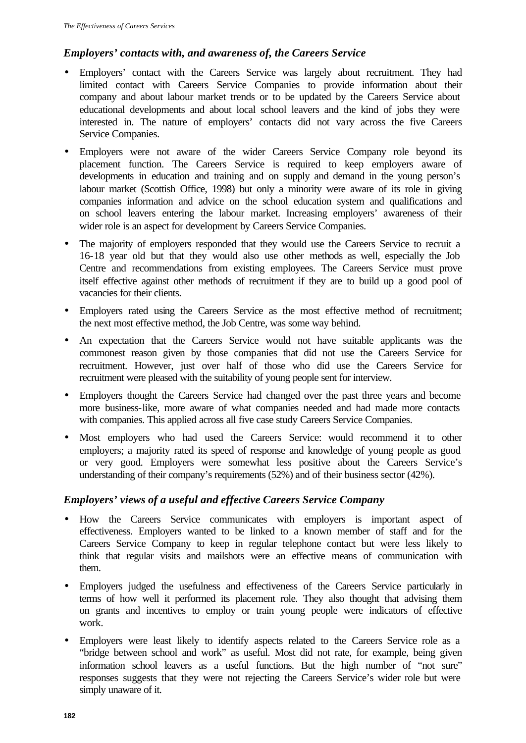## *Employers' contacts with, and awareness of, the Careers Service*

- Employers' contact with the Careers Service was largely about recruitment. They had limited contact with Careers Service Companies to provide information about their company and about labour market trends or to be updated by the Careers Service about educational developments and about local school leavers and the kind of jobs they were interested in. The nature of employers' contacts did not vary across the five Careers Service Companies.
- Employers were not aware of the wider Careers Service Company role beyond its placement function. The Careers Service is required to keep employers aware of developments in education and training and on supply and demand in the young person's labour market (Scottish Office, 1998) but only a minority were aware of its role in giving companies information and advice on the school education system and qualifications and on school leavers entering the labour market. Increasing employers' awareness of their wider role is an aspect for development by Careers Service Companies.
- The majority of employers responded that they would use the Careers Service to recruit a 16-18 year old but that they would also use other methods as well, especially the Job Centre and recommendations from existing employees. The Careers Service must prove itself effective against other methods of recruitment if they are to build up a good pool of vacancies for their clients.
- Employers rated using the Careers Service as the most effective method of recruitment; the next most effective method, the Job Centre, was some way behind.
- An expectation that the Careers Service would not have suitable applicants was the commonest reason given by those companies that did not use the Careers Service for recruitment. However, just over half of those who did use the Careers Service for recruitment were pleased with the suitability of young people sent for interview.
- Employers thought the Careers Service had changed over the past three years and become more business-like, more aware of what companies needed and had made more contacts with companies. This applied across all five case study Careers Service Companies.
- Most employers who had used the Careers Service: would recommend it to other employers; a majority rated its speed of response and knowledge of young people as good or very good. Employers were somewhat less positive about the Careers Service's understanding of their company's requirements (52%) and of their business sector (42%).

## *Employers' views of a useful and effective Careers Service Company*

- How the Careers Service communicates with employers is important aspect of effectiveness. Employers wanted to be linked to a known member of staff and for the Careers Service Company to keep in regular telephone contact but were less likely to think that regular visits and mailshots were an effective means of communication with them.
- Employers judged the usefulness and effectiveness of the Careers Service particularly in terms of how well it performed its placement role. They also thought that advising them on grants and incentives to employ or train young people were indicators of effective work.
- Employers were least likely to identify aspects related to the Careers Service role as a "bridge between school and work" as useful. Most did not rate, for example, being given information school leavers as a useful functions. But the high number of "not sure" responses suggests that they were not rejecting the Careers Service's wider role but were simply unaware of it.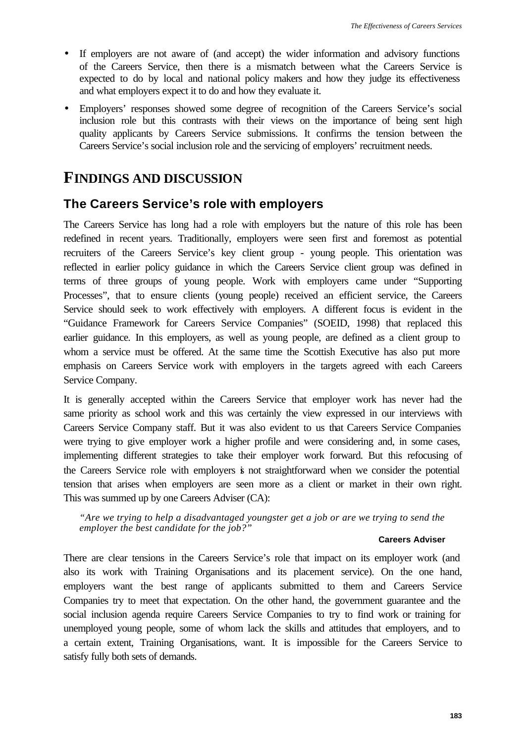- If employers are not aware of (and accept) the wider information and advisory functions of the Careers Service, then there is a mismatch between what the Careers Service is expected to do by local and national policy makers and how they judge its effectiveness and what employers expect it to do and how they evaluate it.
- Employers' responses showed some degree of recognition of the Careers Service's social inclusion role but this contrasts with their views on the importance of being sent high quality applicants by Careers Service submissions. It confirms the tension between the Careers Service's social inclusion role and the servicing of employers' recruitment needs.

# **FINDINGS AND DISCUSSION**

## **The Careers Service's role with employers**

The Careers Service has long had a role with employers but the nature of this role has been redefined in recent years. Traditionally, employers were seen first and foremost as potential recruiters of the Careers Service's key client group - young people. This orientation was reflected in earlier policy guidance in which the Careers Service client group was defined in terms of three groups of young people. Work with employers came under "Supporting Processes", that to ensure clients (young people) received an efficient service, the Careers Service should seek to work effectively with employers. A different focus is evident in the "Guidance Framework for Careers Service Companies" (SOEID, 1998) that replaced this earlier guidance. In this employers, as well as young people, are defined as a client group to whom a service must be offered. At the same time the Scottish Executive has also put more emphasis on Careers Service work with employers in the targets agreed with each Careers Service Company.

It is generally accepted within the Careers Service that employer work has never had the same priority as school work and this was certainly the view expressed in our interviews with Careers Service Company staff. But it was also evident to us that Careers Service Companies were trying to give employer work a higher profile and were considering and, in some cases, implementing different strategies to take their employer work forward. But this refocusing of the Careers Service role with employers is not straightforward when we consider the potential tension that arises when employers are seen more as a client or market in their own right. This was summed up by one Careers Adviser (CA):

*"Are we trying to help a disadvantaged youngster get a job or are we trying to send the employer the best candidate for the job?"* 

#### **Careers Adviser**

There are clear tensions in the Careers Service's role that impact on its employer work (and also its work with Training Organisations and its placement service). On the one hand, employers want the best range of applicants submitted to them and Careers Service Companies try to meet that expectation. On the other hand, the government guarantee and the social inclusion agenda require Careers Service Companies to try to find work or training for unemployed young people, some of whom lack the skills and attitudes that employers, and to a certain extent, Training Organisations, want. It is impossible for the Careers Service to satisfy fully both sets of demands.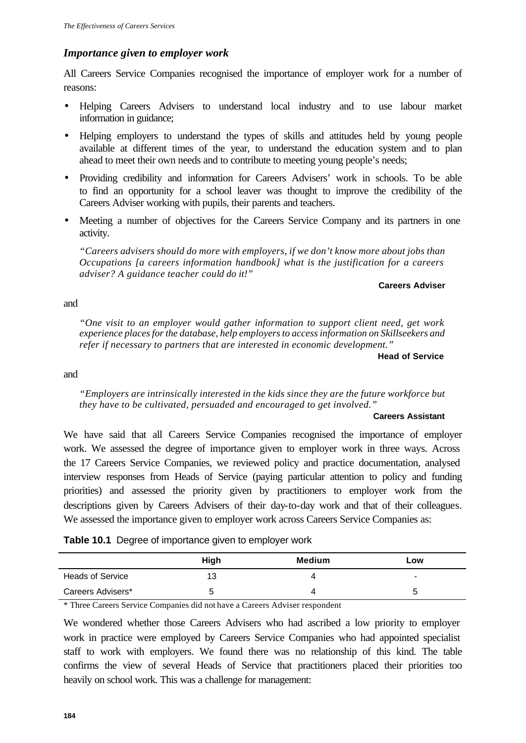### *Importance given to employer work*

All Careers Service Companies recognised the importance of employer work for a number of reasons:

- Helping Careers Advisers to understand local industry and to use labour market information in guidance;
- Helping employers to understand the types of skills and attitudes held by young people available at different times of the year, to understand the education system and to plan ahead to meet their own needs and to contribute to meeting young people's needs;
- Providing credibility and information for Careers Advisers' work in schools. To be able to find an opportunity for a school leaver was thought to improve the credibility of the Careers Adviser working with pupils, their parents and teachers.
- Meeting a number of objectives for the Careers Service Company and its partners in one activity.

*"Careers advisers should do more with employers, if we don't know more about jobs than Occupations [a careers information handbook] what is the justification for a careers adviser? A guidance teacher could do it!"* 

#### **Careers Adviser**

#### and

*"One visit to an employer would gather information to support client need, get work experience places for the database, help employers to access information on Skillseekers and refer if necessary to partners that are interested in economic development."*

**Head of Service**

#### and

*"Employers are intrinsically interested in the kids since they are the future workforce but they have to be cultivated, persuaded and encouraged to get involved."*

#### **Careers Assistant**

We have said that all Careers Service Companies recognised the importance of employer work. We assessed the degree of importance given to employer work in three ways. Across the 17 Careers Service Companies, we reviewed policy and practice documentation, analysed interview responses from Heads of Service (paying particular attention to policy and funding priorities) and assessed the priority given by practitioners to employer work from the descriptions given by Careers Advisers of their day-to-day work and that of their colleagues. We assessed the importance given to employer work across Careers Service Companies as:

**Table 10.1** Degree of importance given to employer work

|                         | High | <b>Medium</b> | Low            |
|-------------------------|------|---------------|----------------|
| <b>Heads of Service</b> | 13   |               | $\blacksquare$ |
| Careers Advisers*       |      | 4             |                |

\* Three Careers Service Companies did not have a Careers Adviser respondent

We wondered whether those Careers Advisers who had ascribed a low priority to employer work in practice were employed by Careers Service Companies who had appointed specialist staff to work with employers. We found there was no relationship of this kind. The table confirms the view of several Heads of Service that practitioners placed their priorities too heavily on school work. This was a challenge for management: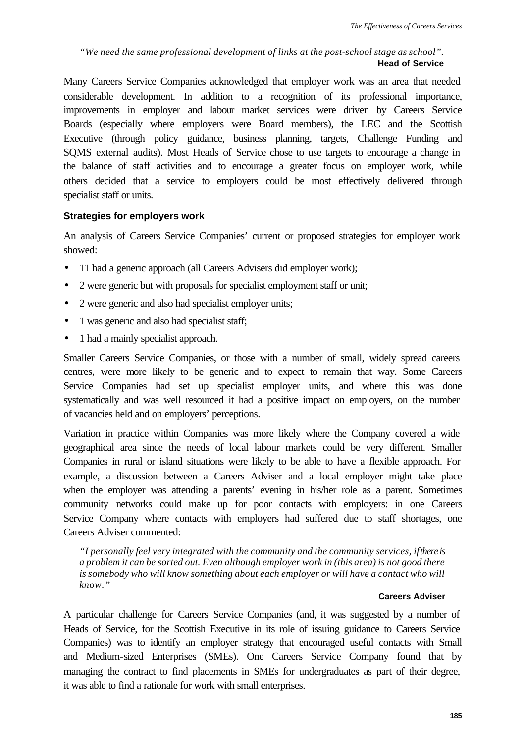#### *"We need the same professional development of links at the post-school stage as school".* **Head of Service**

Many Careers Service Companies acknowledged that employer work was an area that needed considerable development. In addition to a recognition of its professional importance, improvements in employer and labour market services were driven by Careers Service Boards (especially where employers were Board members), the LEC and the Scottish Executive (through policy guidance, business planning, targets, Challenge Funding and SQMS external audits). Most Heads of Service chose to use targets to encourage a change in the balance of staff activities and to encourage a greater focus on employer work, while others decided that a service to employers could be most effectively delivered through specialist staff or units.

#### **Strategies for employers work**

An analysis of Careers Service Companies' current or proposed strategies for employer work showed:

- 11 had a generic approach (all Careers Advisers did employer work);
- 2 were generic but with proposals for specialist employment staff or unit;
- 2 were generic and also had specialist employer units;
- 1 was generic and also had specialist staff;
- 1 had a mainly specialist approach.

Smaller Careers Service Companies, or those with a number of small, widely spread careers centres, were more likely to be generic and to expect to remain that way. Some Careers Service Companies had set up specialist employer units, and where this was done systematically and was well resourced it had a positive impact on employers, on the number of vacancies held and on employers' perceptions.

Variation in practice within Companies was more likely where the Company covered a wide geographical area since the needs of local labour markets could be very different. Smaller Companies in rural or island situations were likely to be able to have a flexible approach. For example, a discussion between a Careers Adviser and a local employer might take place when the employer was attending a parents' evening in his/her role as a parent. Sometimes community networks could make up for poor contacts with employers: in one Careers Service Company where contacts with employers had suffered due to staff shortages, one Careers Adviser commented:

*"I personally feel very integrated with the community and the community services, if there is a problem it can be sorted out. Even although employer work in (this area) is not good there is somebody who will know something about each employer or will have a contact who will know."*

#### **Careers Adviser**

A particular challenge for Careers Service Companies (and, it was suggested by a number of Heads of Service, for the Scottish Executive in its role of issuing guidance to Careers Service Companies) was to identify an employer strategy that encouraged useful contacts with Small and Medium-sized Enterprises (SMEs). One Careers Service Company found that by managing the contract to find placements in SMEs for undergraduates as part of their degree, it was able to find a rationale for work with small enterprises.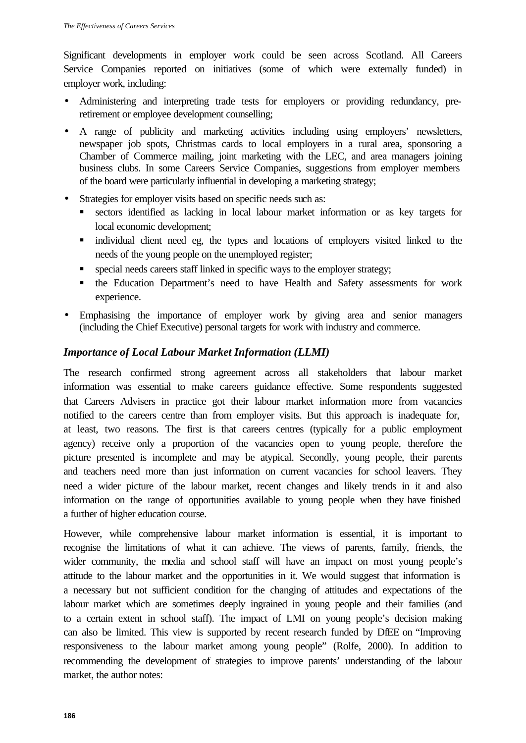Significant developments in employer work could be seen across Scotland. All Careers Service Companies reported on initiatives (some of which were externally funded) in employer work, including:

- Administering and interpreting trade tests for employers or providing redundancy, preretirement or employee development counselling;
- A range of publicity and marketing activities including using employers' newsletters, newspaper job spots, Christmas cards to local employers in a rural area, sponsoring a Chamber of Commerce mailing, joint marketing with the LEC, and area managers joining business clubs. In some Careers Service Companies, suggestions from employer members of the board were particularly influential in developing a marketing strategy;
- Strategies for employer visits based on specific needs such as:
	- ß sectors identified as lacking in local labour market information or as key targets for local economic development;
	- individual client need eg, the types and locations of employers visited linked to the needs of the young people on the unemployed register;
	- $\blacksquare$  special needs careers staff linked in specific ways to the employer strategy;
	- **•** the Education Department's need to have Health and Safety assessments for work experience.
- Emphasising the importance of employer work by giving area and senior managers (including the Chief Executive) personal targets for work with industry and commerce.

## *Importance of Local Labour Market Information (LLMI)*

The research confirmed strong agreement across all stakeholders that labour market information was essential to make careers guidance effective. Some respondents suggested that Careers Advisers in practice got their labour market information more from vacancies notified to the careers centre than from employer visits. But this approach is inadequate for, at least, two reasons. The first is that careers centres (typically for a public employment agency) receive only a proportion of the vacancies open to young people, therefore the picture presented is incomplete and may be atypical. Secondly, young people, their parents and teachers need more than just information on current vacancies for school leavers. They need a wider picture of the labour market, recent changes and likely trends in it and also information on the range of opportunities available to young people when they have finished a further of higher education course.

However, while comprehensive labour market information is essential, it is important to recognise the limitations of what it can achieve. The views of parents, family, friends, the wider community, the media and school staff will have an impact on most young people's attitude to the labour market and the opportunities in it. We would suggest that information is a necessary but not sufficient condition for the changing of attitudes and expectations of the labour market which are sometimes deeply ingrained in young people and their families (and to a certain extent in school staff). The impact of LMI on young people's decision making can also be limited. This view is supported by recent research funded by DfEE on "Improving responsiveness to the labour market among young people" (Rolfe, 2000). In addition to recommending the development of strategies to improve parents' understanding of the labour market, the author notes: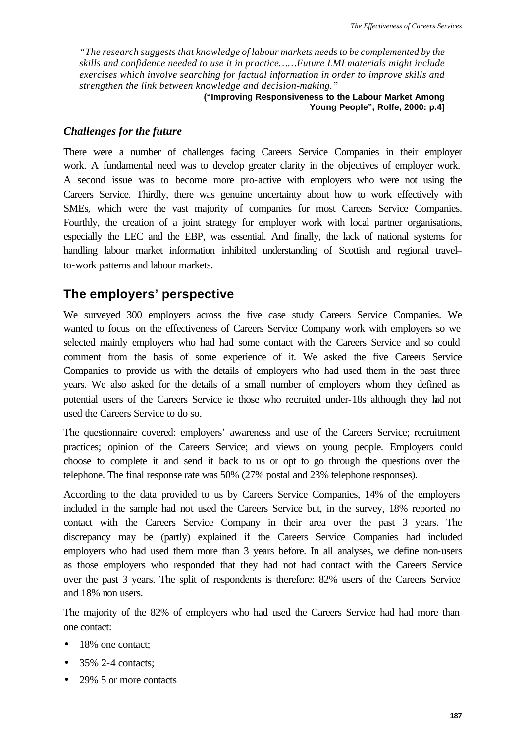*"The research suggests that knowledge of labour markets needs to be complemented by the skills and confidence needed to use it in practice……Future LMI materials might include exercises which involve searching for factual information in order to improve skills and strengthen the link between knowledge and decision-making."* 

**("Improving Responsiveness to the Labour Market Among Young People", Rolfe, 2000: p.4]**

#### *Challenges for the future*

There were a number of challenges facing Careers Service Companies in their employer work. A fundamental need was to develop greater clarity in the objectives of employer work. A second issue was to become more pro-active with employers who were not using the Careers Service. Thirdly, there was genuine uncertainty about how to work effectively with SMEs, which were the vast majority of companies for most Careers Service Companies. Fourthly, the creation of a joint strategy for employer work with local partner organisations, especially the LEC and the EBP, was essential. And finally, the lack of national systems for handling labour market information inhibited understanding of Scottish and regional travelto-work patterns and labour markets.

## **The employers' perspective**

We surveyed 300 employers across the five case study Careers Service Companies. We wanted to focus on the effectiveness of Careers Service Company work with employers so we selected mainly employers who had had some contact with the Careers Service and so could comment from the basis of some experience of it. We asked the five Careers Service Companies to provide us with the details of employers who had used them in the past three years. We also asked for the details of a small number of employers whom they defined as potential users of the Careers Service ie those who recruited under-18s although they had not used the Careers Service to do so.

The questionnaire covered: employers' awareness and use of the Careers Service; recruitment practices; opinion of the Careers Service; and views on young people. Employers could choose to complete it and send it back to us or opt to go through the questions over the telephone. The final response rate was 50% (27% postal and 23% telephone responses).

According to the data provided to us by Careers Service Companies, 14% of the employers included in the sample had not used the Careers Service but, in the survey, 18% reported no contact with the Careers Service Company in their area over the past 3 years. The discrepancy may be (partly) explained if the Careers Service Companies had included employers who had used them more than 3 years before. In all analyses, we define non-users as those employers who responded that they had not had contact with the Careers Service over the past 3 years. The split of respondents is therefore: 82% users of the Careers Service and 18% non users.

The majority of the 82% of employers who had used the Careers Service had had more than one contact:

- 18% one contact:
- $\bullet$  35% 2-4 contacts:
- 29% 5 or more contacts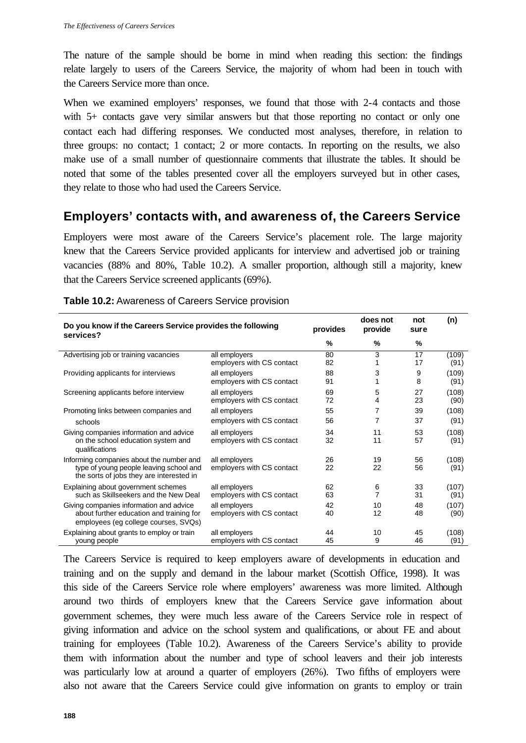The nature of the sample should be borne in mind when reading this section: the findings relate largely to users of the Careers Service, the majority of whom had been in touch with the Careers Service more than once.

When we examined employers' responses, we found that those with 2-4 contacts and those with 5+ contacts gave very similar answers but that those reporting no contact or only one contact each had differing responses. We conducted most analyses, therefore, in relation to three groups: no contact; 1 contact; 2 or more contacts. In reporting on the results, we also make use of a small number of questionnaire comments that illustrate the tables. It should be noted that some of the tables presented cover all the employers surveyed but in other cases, they relate to those who had used the Careers Service.

## **Employers' contacts with, and awareness of, the Careers Service**

Employers were most aware of the Careers Service's placement role. The large majority knew that the Careers Service provided applicants for interview and advertised job or training vacancies (88% and 80%, Table 10.2). A smaller proportion, although still a majority, knew that the Careers Service screened applicants (69%).

| Do you know if the Careers Service provides the following<br>services?                                                          |                                            | provides      | does not<br>provide | not<br>sure           | (n)           |
|---------------------------------------------------------------------------------------------------------------------------------|--------------------------------------------|---------------|---------------------|-----------------------|---------------|
|                                                                                                                                 |                                            | $\frac{9}{6}$ | %                   | %                     |               |
| Advertising job or training vacancies                                                                                           | all employers<br>employers with CS contact | 80<br>82      | 3                   | $\overline{17}$<br>17 | (109)<br>(91) |
| Providing applicants for interviews                                                                                             | all employers<br>employers with CS contact | 88<br>91      | 3<br>1              | 9<br>8                | (109)<br>(91) |
| Screening applicants before interview                                                                                           | all employers<br>employers with CS contact | 69<br>72      | 5<br>4              | 27<br>23              | (108)<br>(90) |
| Promoting links between companies and                                                                                           | all employers                              | 55            | 7                   | 39                    | (108)         |
| schools                                                                                                                         | employers with CS contact                  | 56            | 7                   | 37                    | (91)          |
| Giving companies information and advice<br>on the school education system and<br>qualifications                                 | all employers<br>employers with CS contact | 34<br>32      | 11<br>11            | 53<br>57              | (108)<br>(91) |
| Informing companies about the number and<br>type of young people leaving school and<br>the sorts of jobs they are interested in | all employers<br>employers with CS contact | 26<br>22      | 19<br>22            | 56<br>56              | (108)<br>(91) |
| Explaining about government schemes<br>such as Skillseekers and the New Deal                                                    | all employers<br>employers with CS contact | 62<br>63      | 6<br>7              | 33<br>31              | (107)<br>(91) |
| Giving companies information and advice<br>about further education and training for<br>employees (eg college courses, SVQs)     | all employers<br>employers with CS contact | 42<br>40      | 10<br>12            | 48<br>48              | (107)<br>(90) |
| Explaining about grants to employ or train<br>young people                                                                      | all employers<br>employers with CS contact | 44<br>45      | 10<br>9             | 45<br>46              | (108)<br>(91) |

|  | Table 10.2: Awareness of Careers Service provision |  |  |
|--|----------------------------------------------------|--|--|
|  |                                                    |  |  |

The Careers Service is required to keep employers aware of developments in education and training and on the supply and demand in the labour market (Scottish Office, 1998). It was this side of the Careers Service role where employers' awareness was more limited. Although around two thirds of employers knew that the Careers Service gave information about government schemes, they were much less aware of the Careers Service role in respect of giving information and advice on the school system and qualifications, or about FE and about training for employees (Table 10.2). Awareness of the Careers Service's ability to provide them with information about the number and type of school leavers and their job interests was particularly low at around a quarter of employers (26%). Two fifths of employers were also not aware that the Careers Service could give information on grants to employ or train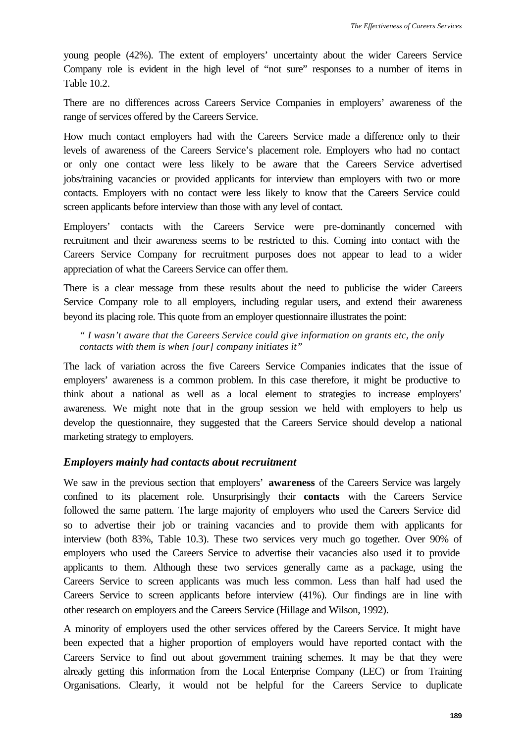young people (42%). The extent of employers' uncertainty about the wider Careers Service Company role is evident in the high level of "not sure" responses to a number of items in Table 10.2.

There are no differences across Careers Service Companies in employers' awareness of the range of services offered by the Careers Service.

How much contact employers had with the Careers Service made a difference only to their levels of awareness of the Careers Service's placement role. Employers who had no contact or only one contact were less likely to be aware that the Careers Service advertised jobs/training vacancies or provided applicants for interview than employers with two or more contacts. Employers with no contact were less likely to know that the Careers Service could screen applicants before interview than those with any level of contact.

Employers' contacts with the Careers Service were pre-dominantly concerned with recruitment and their awareness seems to be restricted to this. Coming into contact with the Careers Service Company for recruitment purposes does not appear to lead to a wider appreciation of what the Careers Service can offer them.

There is a clear message from these results about the need to publicise the wider Careers Service Company role to all employers, including regular users, and extend their awareness beyond its placing role. This quote from an employer questionnaire illustrates the point:

*" I wasn't aware that the Careers Service could give information on grants etc, the only contacts with them is when [our] company initiates it"*

The lack of variation across the five Careers Service Companies indicates that the issue of employers' awareness is a common problem. In this case therefore, it might be productive to think about a national as well as a local element to strategies to increase employers' awareness. We might note that in the group session we held with employers to help us develop the questionnaire, they suggested that the Careers Service should develop a national marketing strategy to employers.

#### *Employers mainly had contacts about recruitment*

We saw in the previous section that employers' **awareness** of the Careers Service was largely confined to its placement role. Unsurprisingly their **contacts** with the Careers Service followed the same pattern. The large majority of employers who used the Careers Service did so to advertise their job or training vacancies and to provide them with applicants for interview (both 83%, Table 10.3). These two services very much go together. Over 90% of employers who used the Careers Service to advertise their vacancies also used it to provide applicants to them. Although these two services generally came as a package, using the Careers Service to screen applicants was much less common. Less than half had used the Careers Service to screen applicants before interview (41%). Our findings are in line with other research on employers and the Careers Service (Hillage and Wilson, 1992).

A minority of employers used the other services offered by the Careers Service. It might have been expected that a higher proportion of employers would have reported contact with the Careers Service to find out about government training schemes. It may be that they were already getting this information from the Local Enterprise Company (LEC) or from Training Organisations. Clearly, it would not be helpful for the Careers Service to duplicate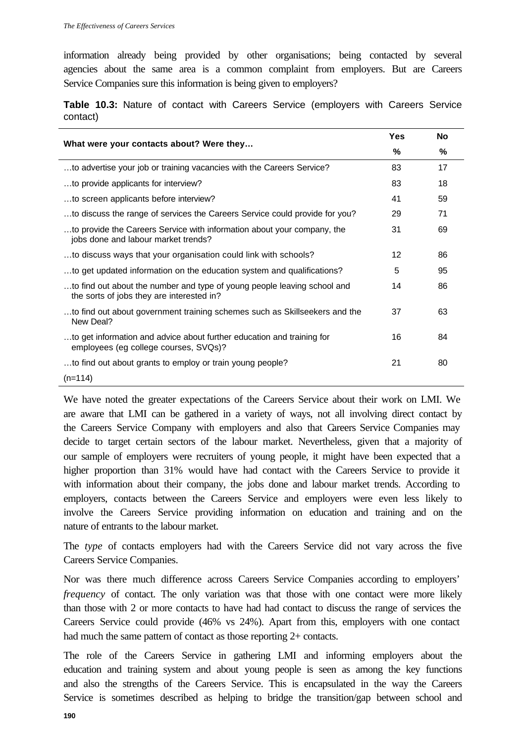information already being provided by other organisations; being contacted by several agencies about the same area is a common complaint from employers. But are Careers Service Companies sure this information is being given to employers?

**Table 10.3:** Nature of contact with Careers Service (employers with Careers Service contact)

|                                                                                                                       |    | No |
|-----------------------------------------------------------------------------------------------------------------------|----|----|
| What were your contacts about? Were they                                                                              | %  | %  |
| to advertise your job or training vacancies with the Careers Service?                                                 | 83 | 17 |
| to provide applicants for interview?                                                                                  | 83 | 18 |
| to screen applicants before interview?                                                                                | 41 | 59 |
| to discuss the range of services the Careers Service could provide for you?                                           | 29 | 71 |
| to provide the Careers Service with information about your company, the<br>jobs done and labour market trends?        | 31 | 69 |
| to discuss ways that your organisation could link with schools?                                                       | 12 | 86 |
| to get updated information on the education system and qualifications?                                                | 5  | 95 |
| to find out about the number and type of young people leaving school and<br>the sorts of jobs they are interested in? | 14 | 86 |
| to find out about government training schemes such as Skillseekers and the<br>New Deal?                               | 37 | 63 |
| to get information and advice about further education and training for<br>employees (eg college courses, SVQs)?       | 16 | 84 |
| to find out about grants to employ or train young people?                                                             | 21 | 80 |
| $(n=114)$                                                                                                             |    |    |

We have noted the greater expectations of the Careers Service about their work on LMI. We are aware that LMI can be gathered in a variety of ways, not all involving direct contact by the Careers Service Company with employers and also that Careers Service Companies may decide to target certain sectors of the labour market. Nevertheless, given that a majority of our sample of employers were recruiters of young people, it might have been expected that a higher proportion than 31% would have had contact with the Careers Service to provide it with information about their company, the jobs done and labour market trends. According to employers, contacts between the Careers Service and employers were even less likely to involve the Careers Service providing information on education and training and on the nature of entrants to the labour market.

The *type* of contacts employers had with the Careers Service did not vary across the five Careers Service Companies.

Nor was there much difference across Careers Service Companies according to employers' *frequency* of contact. The only variation was that those with one contact were more likely than those with 2 or more contacts to have had had contact to discuss the range of services the Careers Service could provide (46% vs 24%). Apart from this, employers with one contact had much the same pattern of contact as those reporting 2+ contacts.

The role of the Careers Service in gathering LMI and informing employers about the education and training system and about young people is seen as among the key functions and also the strengths of the Careers Service. This is encapsulated in the way the Careers Service is sometimes described as helping to bridge the transition/gap between school and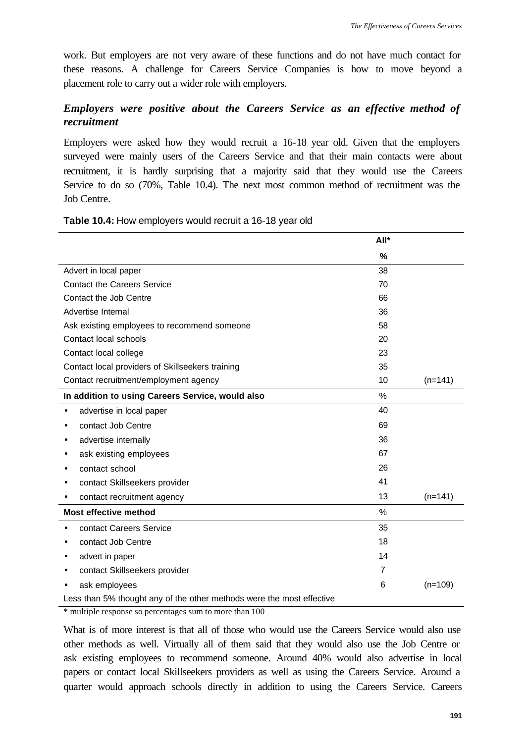work. But employers are not very aware of these functions and do not have much contact for these reasons. A challenge for Careers Service Companies is how to move beyond a placement role to carry out a wider role with employers.

## *Employers were positive about the Careers Service as an effective method of recruitment*

Employers were asked how they would recruit a 16-18 year old. Given that the employers surveyed were mainly users of the Careers Service and that their main contacts were about recruitment, it is hardly surprising that a majority said that they would use the Careers Service to do so (70%, Table 10.4). The next most common method of recruitment was the Job Centre.

|                                                                       | All* |           |
|-----------------------------------------------------------------------|------|-----------|
|                                                                       | %    |           |
| Advert in local paper                                                 | 38   |           |
| <b>Contact the Careers Service</b>                                    | 70   |           |
| Contact the Job Centre                                                | 66   |           |
| Advertise Internal                                                    | 36   |           |
| Ask existing employees to recommend someone                           | 58   |           |
| Contact local schools                                                 | 20   |           |
| Contact local college                                                 | 23   |           |
| Contact local providers of Skillseekers training                      | 35   |           |
| Contact recruitment/employment agency                                 | 10   | $(n=141)$ |
| In addition to using Careers Service, would also                      | %    |           |
| advertise in local paper<br>$\bullet$                                 | 40   |           |
| contact Job Centre<br>$\bullet$                                       | 69   |           |
| advertise internally<br>٠                                             | 36   |           |
| ask existing employees                                                | 67   |           |
| contact school                                                        | 26   |           |
| contact Skillseekers provider                                         | 41   |           |
| contact recruitment agency                                            | 13   | $(n=141)$ |
| <b>Most effective method</b>                                          | $\%$ |           |
| contact Careers Service<br>$\bullet$                                  | 35   |           |
| contact Job Centre                                                    | 18   |           |
| advert in paper                                                       | 14   |           |
| contact Skillseekers provider                                         | 7    |           |
| ask employees                                                         | 6    | $(n=109)$ |
| Less than 5% thought any of the other methods were the most effective |      |           |

#### **Table 10.4:** How employers would recruit a 16-18 year old

\* multiple response so percentages sum to more than 100

What is of more interest is that all of those who would use the Careers Service would also use other methods as well. Virtually all of them said that they would also use the Job Centre or ask existing employees to recommend someone. Around 40% would also advertise in local papers or contact local Skillseekers providers as well as using the Careers Service. Around a quarter would approach schools directly in addition to using the Careers Service. Careers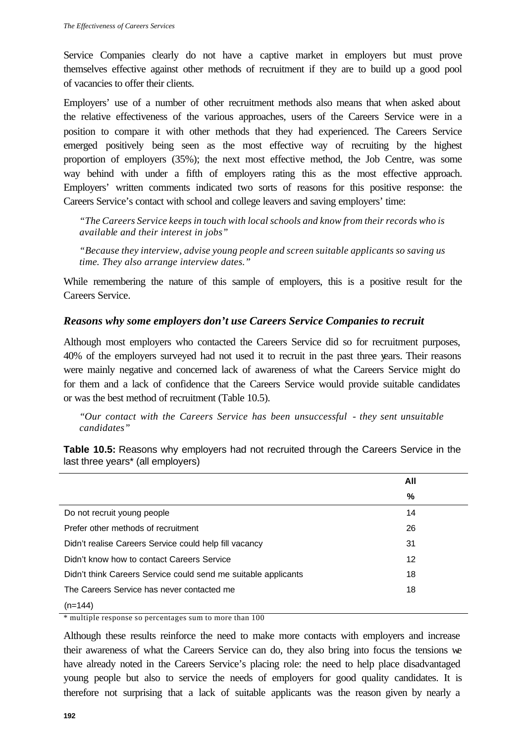Service Companies clearly do not have a captive market in employers but must prove themselves effective against other methods of recruitment if they are to build up a good pool of vacancies to offer their clients.

Employers' use of a number of other recruitment methods also means that when asked about the relative effectiveness of the various approaches, users of the Careers Service were in a position to compare it with other methods that they had experienced. The Careers Service emerged positively being seen as the most effective way of recruiting by the highest proportion of employers (35%); the next most effective method, the Job Centre, was some way behind with under a fifth of employers rating this as the most effective approach. Employers' written comments indicated two sorts of reasons for this positive response: the Careers Service's contact with school and college leavers and saving employers' time:

*"The Careers Service keeps in touch with local schools and know from their records who is available and their interest in jobs"*

*"Because they interview, advise young people and screen suitable applicants so saving us time. They also arrange interview dates."*

While remembering the nature of this sample of employers, this is a positive result for the Careers Service.

#### *Reasons why some employers don't use Careers Service Companies to recruit*

Although most employers who contacted the Careers Service did so for recruitment purposes, 40% of the employers surveyed had not used it to recruit in the past three years. Their reasons were mainly negative and concerned lack of awareness of what the Careers Service might do for them and a lack of confidence that the Careers Service would provide suitable candidates or was the best method of recruitment (Table 10.5).

*"Our contact with the Careers Service has been unsuccessful - they sent unsuitable candidates"*

|                                                                | All |  |
|----------------------------------------------------------------|-----|--|
|                                                                | %   |  |
| Do not recruit young people                                    | 14  |  |
| Prefer other methods of recruitment                            | 26  |  |
| Didn't realise Careers Service could help fill vacancy         | 31  |  |
| Didn't know how to contact Careers Service                     | 12  |  |
| Didn't think Careers Service could send me suitable applicants | 18  |  |
| The Careers Service has never contacted me                     | 18  |  |
| $(n=144)$                                                      |     |  |

**Table 10.5:** Reasons why employers had not recruited through the Careers Service in the last three years\* (all employers)

\* multiple response so percentages sum to more than 100

Although these results reinforce the need to make more contacts with employers and increase their awareness of what the Careers Service can do, they also bring into focus the tensions we have already noted in the Careers Service's placing role: the need to help place disadvantaged young people but also to service the needs of employers for good quality candidates. It is therefore not surprising that a lack of suitable applicants was the reason given by nearly a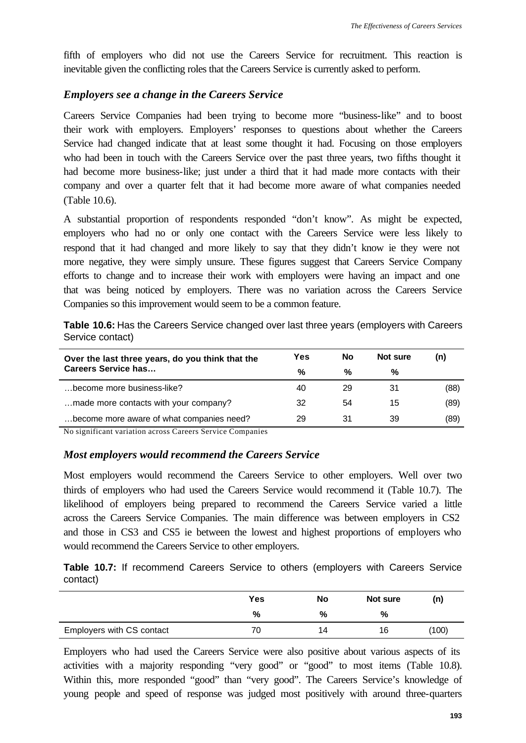fifth of employers who did not use the Careers Service for recruitment. This reaction is inevitable given the conflicting roles that the Careers Service is currently asked to perform.

#### *Employers see a change in the Careers Service*

Careers Service Companies had been trying to become more "business-like" and to boost their work with employers. Employers' responses to questions about whether the Careers Service had changed indicate that at least some thought it had. Focusing on those employers who had been in touch with the Careers Service over the past three years, two fifths thought it had become more business-like; just under a third that it had made more contacts with their company and over a quarter felt that it had become more aware of what companies needed (Table 10.6).

A substantial proportion of respondents responded "don't know". As might be expected, employers who had no or only one contact with the Careers Service were less likely to respond that it had changed and more likely to say that they didn't know ie they were not more negative, they were simply unsure. These figures suggest that Careers Service Company efforts to change and to increase their work with employers were having an impact and one that was being noticed by employers. There was no variation across the Careers Service Companies so this improvement would seem to be a common feature.

| Table 10.6: Has the Careers Service changed over last three years (employers with Careers |  |  |
|-------------------------------------------------------------------------------------------|--|--|
| Service contact)                                                                          |  |  |

| Over the last three years, do you think that the | Yes | No | Not sure | (n)  |
|--------------------------------------------------|-----|----|----------|------|
| <b>Careers Service has</b>                       | %   | %  | %        |      |
| become more business-like?                       | 40  | 29 | 31       | (88) |
| made more contacts with your company?            | 32  | 54 | 15       | (89) |
| become more aware of what companies need?        | 29  | 31 | 39       | (89) |

No significant variation across Careers Service Companies

#### *Most employers would recommend the Careers Service*

Most employers would recommend the Careers Service to other employers. Well over two thirds of employers who had used the Careers Service would recommend it (Table 10.7). The likelihood of employers being prepared to recommend the Careers Service varied a little across the Careers Service Companies. The main difference was between employers in CS2 and those in CS3 and CS5 ie between the lowest and highest proportions of employers who would recommend the Careers Service to other employers.

**Table 10.7:** If recommend Careers Service to others (employers with Careers Service contact)

|                           | Yes | No | Not sure | (n)   |
|---------------------------|-----|----|----------|-------|
|                           | %   | %  | %        |       |
| Employers with CS contact | 70  |    | 16       | (100) |

Employers who had used the Careers Service were also positive about various aspects of its activities with a majority responding "very good" or "good" to most items (Table 10.8). Within this, more responded "good" than "very good". The Careers Service's knowledge of young people and speed of response was judged most positively with around three-quarters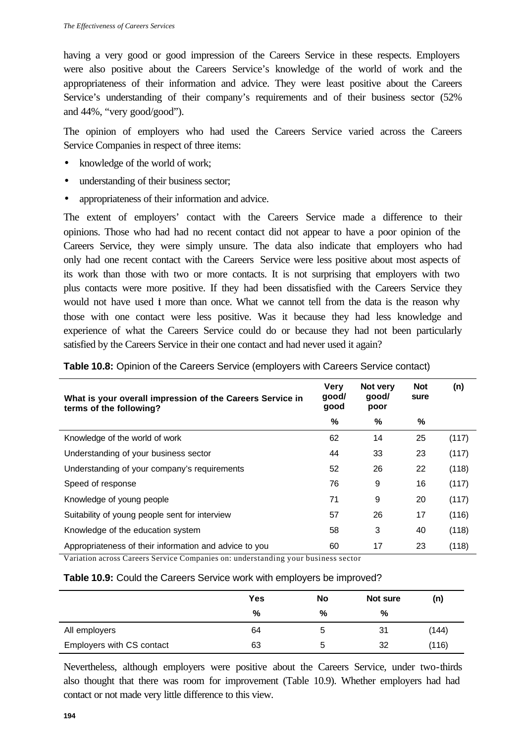having a very good or good impression of the Careers Service in these respects. Employers were also positive about the Careers Service's knowledge of the world of work and the appropriateness of their information and advice. They were least positive about the Careers Service's understanding of their company's requirements and of their business sector (52% and 44%, "very good/good").

The opinion of employers who had used the Careers Service varied across the Careers Service Companies in respect of three items:

- knowledge of the world of work;
- understanding of their business sector;
- appropriateness of their information and advice.

The extent of employers' contact with the Careers Service made a difference to their opinions. Those who had had no recent contact did not appear to have a poor opinion of the Careers Service, they were simply unsure. The data also indicate that employers who had only had one recent contact with the Careers Service were less positive about most aspects of its work than those with two or more contacts. It is not surprising that employers with two plus contacts were more positive. If they had been dissatisfied with the Careers Service they would not have used if more than once. What we cannot tell from the data is the reason why those with one contact were less positive. Was it because they had less knowledge and experience of what the Careers Service could do or because they had not been particularly satisfied by the Careers Service in their one contact and had never used it again?

| What is your overall impression of the Careers Service in<br>terms of the following? | <b>Very</b><br>good/<br>good | Not very<br>qood/<br>poor | <b>Not</b><br>sure | (n)   |
|--------------------------------------------------------------------------------------|------------------------------|---------------------------|--------------------|-------|
|                                                                                      | %                            | ℅                         | %                  |       |
| Knowledge of the world of work                                                       | 62                           | 14                        | 25                 | (117) |
| Understanding of your business sector                                                | 44                           | 33                        | 23                 | (117) |
| Understanding of your company's requirements                                         | 52                           | 26                        | 22                 | (118) |
| Speed of response                                                                    | 76                           | 9                         | 16                 | (117) |
| Knowledge of young people                                                            | 71                           | 9                         | 20                 | (117) |
| Suitability of young people sent for interview                                       | 57                           | 26                        | 17                 | (116) |
| Knowledge of the education system                                                    | 58                           | 3                         | 40                 | (118) |
| Appropriateness of their information and advice to you                               | 60                           | 17                        | 23                 | (118) |

**Table 10.8:** Opinion of the Careers Service (employers with Careers Service contact)

Variation across Careers Service Companies on: understanding your business sector

| Table 10.9: Could the Careers Service work with employers be improved? |  |  |  |
|------------------------------------------------------------------------|--|--|--|
|------------------------------------------------------------------------|--|--|--|

|                           | Yes | <b>No</b> | Not sure | (n)   |
|---------------------------|-----|-----------|----------|-------|
|                           | %   | %         | %        |       |
| All employers             | 64  | b         | 31       | (144) |
| Employers with CS contact | 63  | b         | 32       | (116) |

Nevertheless, although employers were positive about the Careers Service, under two-thirds also thought that there was room for improvement (Table 10.9). Whether employers had had contact or not made very little difference to this view.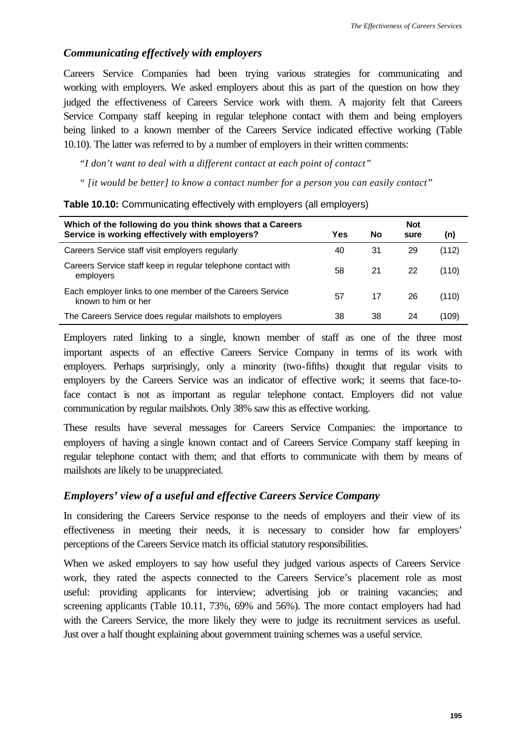## *Communicating effectively with employers*

Careers Service Companies had been trying various strategies for communicating and working with employers. We asked employers about this as part of the question on how they judged the effectiveness of Careers Service work with them. A majority felt that Careers Service Company staff keeping in regular telephone contact with them and being employers being linked to a known member of the Careers Service indicated effective working (Table 10.10). The latter was referred to by a number of employers in their written comments:

*"I don't want to deal with a different contact at each point of contact"* 

*" [it would be better] to know a contact number for a person you can easily contact"*

| Which of the following do you think shows that a Careers<br>Service is working effectively with employers? | Yes | No | <b>Not</b><br>sure | (n)   |
|------------------------------------------------------------------------------------------------------------|-----|----|--------------------|-------|
| Careers Service staff visit employers regularly                                                            | 40  | 31 | 29                 | (112) |
| Careers Service staff keep in regular telephone contact with<br>employers                                  | 58  | 21 | 22                 | (110) |
| Each employer links to one member of the Careers Service<br>known to him or her                            | 57  | 17 | 26                 | (110) |
| The Careers Service does regular mailshots to employers                                                    | 38  | 38 | 24                 | (109) |

#### **Table 10.10:** Communicating effectively with employers (all employers)

Employers rated linking to a single, known member of staff as one of the three most important aspects of an effective Careers Service Company in terms of its work with employers. Perhaps surprisingly, only a minority (two-fifths) thought that regular visits to employers by the Careers Service was an indicator of effective work; it seems that face-toface contact is not as important as regular telephone contact. Employers did not value communication by regular mailshots. Only 38% saw this as effective working.

These results have several messages for Careers Service Companies: the importance to employers of having a single known contact and of Careers Service Company staff keeping in regular telephone contact with them; and that efforts to communicate with them by means of mailshots are likely to be unappreciated.

#### *Employers' view of a useful and effective Careers Service Company*

In considering the Careers Service response to the needs of employers and their view of its effectiveness in meeting their needs, it is necessary to consider how far employers' perceptions of the Careers Service match its official statutory responsibilities.

When we asked employers to say how useful they judged various aspects of Careers Service work, they rated the aspects connected to the Careers Service's placement role as most useful: providing applicants for interview; advertising job or training vacancies; and screening applicants (Table 10.11, 73%, 69% and 56%). The more contact employers had had with the Careers Service, the more likely they were to judge its recruitment services as useful. Just over a half thought explaining about government training schemes was a useful service.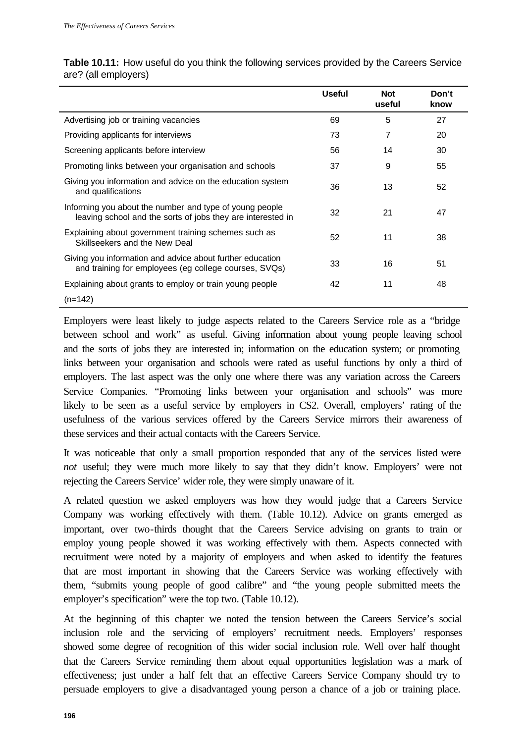|                                                                                                                        | <b>Useful</b> | <b>Not</b><br>useful | Don't<br>know |
|------------------------------------------------------------------------------------------------------------------------|---------------|----------------------|---------------|
| Advertising job or training vacancies                                                                                  | 69            | 5                    | 27            |
| Providing applicants for interviews                                                                                    | 73            | 7                    | 20            |
| Screening applicants before interview                                                                                  | 56            | 14                   | 30            |
| Promoting links between your organisation and schools                                                                  | 37            | 9                    | 55            |
| Giving you information and advice on the education system<br>and qualifications                                        | 36            | 13                   | 52            |
| Informing you about the number and type of young people<br>leaving school and the sorts of jobs they are interested in | 32            | 21                   | 47            |
| Explaining about government training schemes such as<br>Skillseekers and the New Deal                                  | 52            | 11                   | 38            |
| Giving you information and advice about further education<br>and training for employees (eg college courses, SVQs)     | 33            | 16                   | 51            |
| Explaining about grants to employ or train young people                                                                | 42            | 11                   | 48            |
| $(n=142)$                                                                                                              |               |                      |               |

**Table 10.11:** How useful do you think the following services provided by the Careers Service are? (all employers)

Employers were least likely to judge aspects related to the Careers Service role as a "bridge between school and work" as useful. Giving information about young people leaving school and the sorts of jobs they are interested in; information on the education system; or promoting links between your organisation and schools were rated as useful functions by only a third of employers. The last aspect was the only one where there was any variation across the Careers Service Companies. "Promoting links between your organisation and schools" was more likely to be seen as a useful service by employers in CS2. Overall, employers' rating of the usefulness of the various services offered by the Careers Service mirrors their awareness of these services and their actual contacts with the Careers Service.

It was noticeable that only a small proportion responded that any of the services listed were *not* useful; they were much more likely to say that they didn't know. Employers' were not rejecting the Careers Service' wider role, they were simply unaware of it.

A related question we asked employers was how they would judge that a Careers Service Company was working effectively with them. (Table 10.12). Advice on grants emerged as important, over two-thirds thought that the Careers Service advising on grants to train or employ young people showed it was working effectively with them. Aspects connected with recruitment were noted by a majority of employers and when asked to identify the features that are most important in showing that the Careers Service was working effectively with them, "submits young people of good calibre" and "the young people submitted meets the employer's specification" were the top two. (Table 10.12).

At the beginning of this chapter we noted the tension between the Careers Service's social inclusion role and the servicing of employers' recruitment needs. Employers' responses showed some degree of recognition of this wider social inclusion role. Well over half thought that the Careers Service reminding them about equal opportunities legislation was a mark of effectiveness; just under a half felt that an effective Careers Service Company should try to persuade employers to give a disadvantaged young person a chance of a job or training place.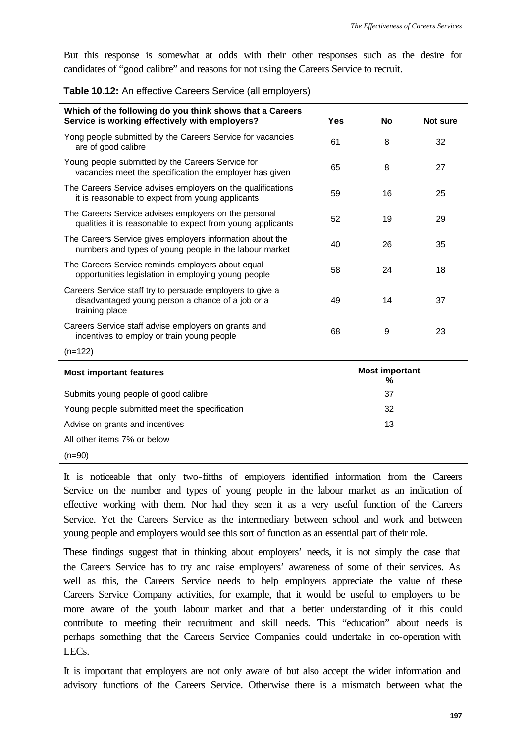But this response is somewhat at odds with their other responses such as the desire for candidates of "good calibre" and reasons for not using the Careers Service to recruit.

| Which of the following do you think shows that a Careers<br>Service is working effectively with employers?                       | Yes | <b>No</b> | Not sure |
|----------------------------------------------------------------------------------------------------------------------------------|-----|-----------|----------|
| Yong people submitted by the Careers Service for vacancies<br>are of good calibre                                                | 61  | 8         | 32       |
| Young people submitted by the Careers Service for<br>vacancies meet the specification the employer has given                     | 65  | 8         | 27       |
| The Careers Service advises employers on the qualifications<br>it is reasonable to expect from young applicants                  | 59  | 16        | 25       |
| The Careers Service advises employers on the personal<br>qualities it is reasonable to expect from young applicants              | 52  | 19        | 29       |
| The Careers Service gives employers information about the<br>numbers and types of young people in the labour market              | 40  | 26        | 35       |
| The Careers Service reminds employers about equal<br>opportunities legislation in employing young people                         | 58  | 24        | 18       |
| Careers Service staff try to persuade employers to give a<br>disadvantaged young person a chance of a job or a<br>training place | 49  | 14        | 37       |
| Careers Service staff advise employers on grants and<br>incentives to employ or train young people                               | 68  | 9         | 23       |
| $(n=122)$                                                                                                                        |     |           |          |
|                                                                                                                                  |     |           |          |

| <b>Most important features</b>                | <b>Most important</b><br>% |  |
|-----------------------------------------------|----------------------------|--|
| Submits young people of good calibre          | 37                         |  |
| Young people submitted meet the specification | 32                         |  |
| Advise on grants and incentives               | 13                         |  |
| All other items 7% or below                   |                            |  |

(n=90)

It is noticeable that only two-fifths of employers identified information from the Careers Service on the number and types of young people in the labour market as an indication of effective working with them. Nor had they seen it as a very useful function of the Careers Service. Yet the Careers Service as the intermediary between school and work and between young people and employers would see this sort of function as an essential part of their role.

These findings suggest that in thinking about employers' needs, it is not simply the case that the Careers Service has to try and raise employers' awareness of some of their services. As well as this, the Careers Service needs to help employers appreciate the value of these Careers Service Company activities, for example, that it would be useful to employers to be more aware of the youth labour market and that a better understanding of it this could contribute to meeting their recruitment and skill needs. This "education" about needs is perhaps something that the Careers Service Companies could undertake in co-operation with LECs.

It is important that employers are not only aware of but also accept the wider information and advisory functions of the Careers Service. Otherwise there is a mismatch between what the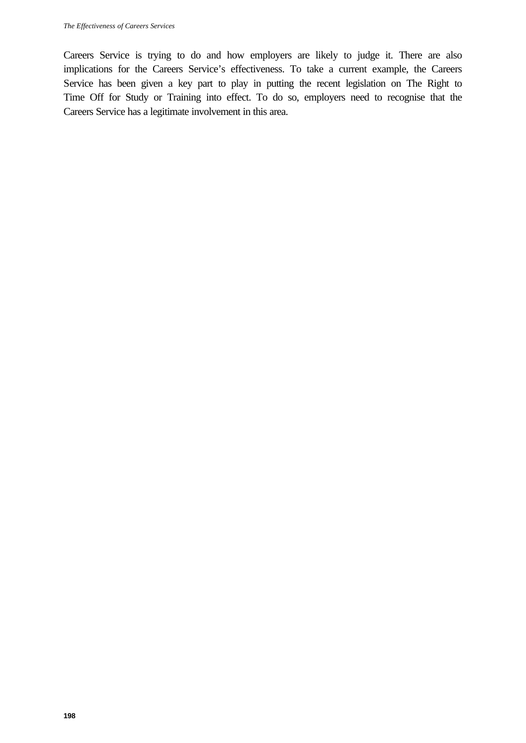Careers Service is trying to do and how employers are likely to judge it. There are also implications for the Careers Service's effectiveness. To take a current example, the Careers Service has been given a key part to play in putting the recent legislation on The Right to Time Off for Study or Training into effect. To do so, employers need to recognise that the Careers Service has a legitimate involvement in this area.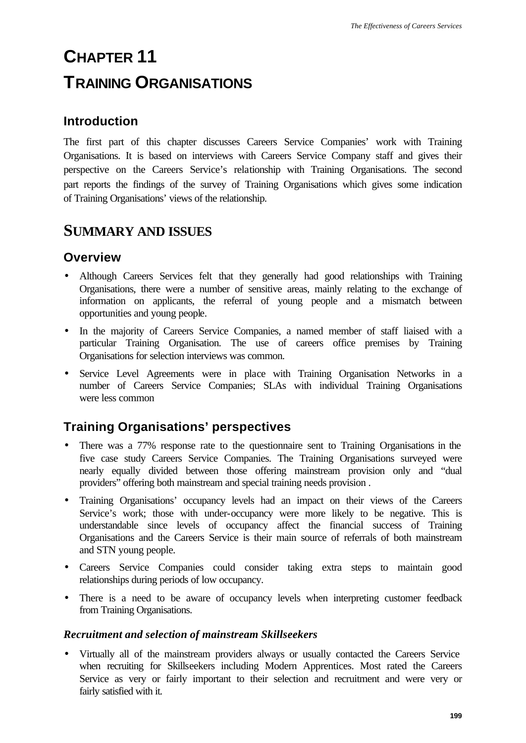# **CHAPTER 11 TRAINING ORGANISATIONS**

## **Introduction**

The first part of this chapter discusses Careers Service Companies' work with Training Organisations. It is based on interviews with Careers Service Company staff and gives their perspective on the Careers Service's relationship with Training Organisations. The second part reports the findings of the survey of Training Organisations which gives some indication of Training Organisations' views of the relationship.

# **SUMMARY AND ISSUES**

## **Overview**

- Although Careers Services felt that they generally had good relationships with Training Organisations, there were a number of sensitive areas, mainly relating to the exchange of information on applicants, the referral of young people and a mismatch between opportunities and young people.
- In the majority of Careers Service Companies, a named member of staff liaised with a particular Training Organisation. The use of careers office premises by Training Organisations for selection interviews was common.
- Service Level Agreements were in place with Training Organisation Networks in a number of Careers Service Companies; SLAs with individual Training Organisations were less common

# **Training Organisations' perspectives**

- There was a 77% response rate to the questionnaire sent to Training Organisations in the five case study Careers Service Companies. The Training Organisations surveyed were nearly equally divided between those offering mainstream provision only and "dual providers" offering both mainstream and special training needs provision .
- Training Organisations' occupancy levels had an impact on their views of the Careers Service's work; those with under-occupancy were more likely to be negative. This is understandable since levels of occupancy affect the financial success of Training Organisations and the Careers Service is their main source of referrals of both mainstream and STN young people.
- Careers Service Companies could consider taking extra steps to maintain good relationships during periods of low occupancy.
- There is a need to be aware of occupancy levels when interpreting customer feedback from Training Organisations.

## *Recruitment and selection of mainstream Skillseekers*

• Virtually all of the mainstream providers always or usually contacted the Careers Service when recruiting for Skillseekers including Modern Apprentices. Most rated the Careers Service as very or fairly important to their selection and recruitment and were very or fairly satisfied with it.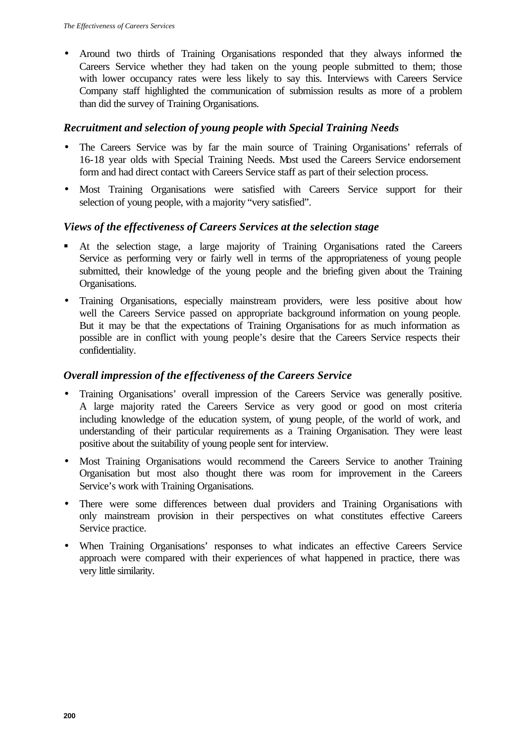• Around two thirds of Training Organisations responded that they always informed the Careers Service whether they had taken on the young people submitted to them; those with lower occupancy rates were less likely to say this. Interviews with Careers Service Company staff highlighted the communication of submission results as more of a problem than did the survey of Training Organisations.

### *Recruitment and selection of young people with Special Training Needs*

- The Careers Service was by far the main source of Training Organisations' referrals of 16-18 year olds with Special Training Needs. Most used the Careers Service endorsement form and had direct contact with Careers Service staff as part of their selection process.
- Most Training Organisations were satisfied with Careers Service support for their selection of young people, with a majority "very satisfied".

### *Views of the effectiveness of Careers Services at the selection stage*

- ß At the selection stage, a large majority of Training Organisations rated the Careers Service as performing very or fairly well in terms of the appropriateness of young people submitted, their knowledge of the young people and the briefing given about the Training Organisations.
- Training Organisations, especially mainstream providers, were less positive about how well the Careers Service passed on appropriate background information on young people. But it may be that the expectations of Training Organisations for as much information as possible are in conflict with young people's desire that the Careers Service respects their confidentiality.

## *Overall impression of the effectiveness of the Careers Service*

- Training Organisations' overall impression of the Careers Service was generally positive. A large majority rated the Careers Service as very good or good on most criteria including knowledge of the education system, of young people, of the world of work, and understanding of their particular requirements as a Training Organisation. They were least positive about the suitability of young people sent for interview.
- Most Training Organisations would recommend the Careers Service to another Training Organisation but most also thought there was room for improvement in the Careers Service's work with Training Organisations.
- There were some differences between dual providers and Training Organisations with only mainstream provision in their perspectives on what constitutes effective Careers Service practice.
- When Training Organisations' responses to what indicates an effective Careers Service approach were compared with their experiences of what happened in practice, there was very little similarity.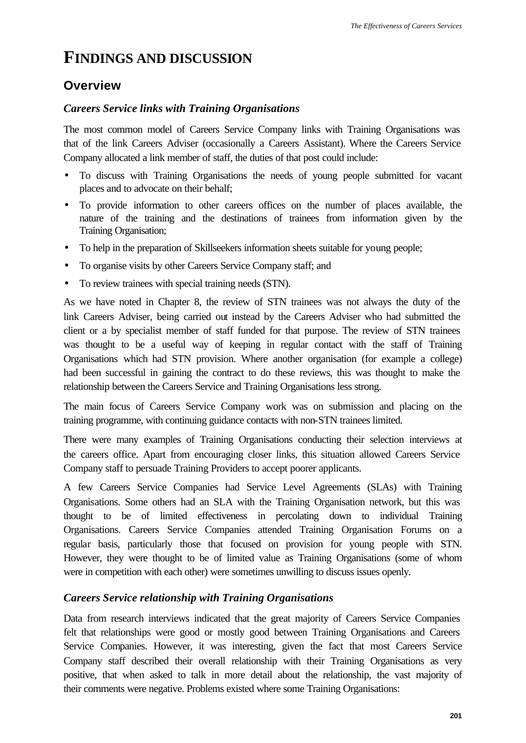# **FINDINGS AND DISCUSSION**

## **Overview**

## *Careers Service links with Training Organisations*

The most common model of Careers Service Company links with Training Organisations was that of the link Careers Adviser (occasionally a Careers Assistant). Where the Careers Service Company allocated a link member of staff, the duties of that post could include:

- To discuss with Training Organisations the needs of young people submitted for vacant places and to advocate on their behalf;
- To provide information to other careers offices on the number of places available, the nature of the training and the destinations of trainees from information given by the Training Organisation;
- To help in the preparation of Skillseekers information sheets suitable for young people;
- To organise visits by other Careers Service Company staff; and
- To review trainees with special training needs (STN).

As we have noted in Chapter 8, the review of STN trainees was not always the duty of the link Careers Adviser, being carried out instead by the Careers Adviser who had submitted the client or a by specialist member of staff funded for that purpose. The review of STN trainees was thought to be a useful way of keeping in regular contact with the staff of Training Organisations which had STN provision. Where another organisation (for example a college) had been successful in gaining the contract to do these reviews, this was thought to make the relationship between the Careers Service and Training Organisations less strong.

The main focus of Careers Service Company work was on submission and placing on the training programme, with continuing guidance contacts with non-STN trainees limited.

There were many examples of Training Organisations conducting their selection interviews at the careers office. Apart from encouraging closer links, this situation allowed Careers Service Company staff to persuade Training Providers to accept poorer applicants.

A few Careers Service Companies had Service Level Agreements (SLAs) with Training Organisations. Some others had an SLA with the Training Organisation network, but this was thought to be of limited effectiveness in percolating down to individual Training Organisations. Careers Service Companies attended Training Organisation Forums on a regular basis, particularly those that focused on provision for young people with STN. However, they were thought to be of limited value as Training Organisations (some of whom were in competition with each other) were sometimes unwilling to discuss issues openly.

## *Careers Service relationship with Training Organisations*

Data from research interviews indicated that the great majority of Careers Service Companies felt that relationships were good or mostly good between Training Organisations and Careers Service Companies. However, it was interesting, given the fact that most Careers Service Company staff described their overall relationship with their Training Organisations as very positive, that when asked to talk in more detail about the relationship, the vast majority of their comments were negative. Problems existed where some Training Organisations: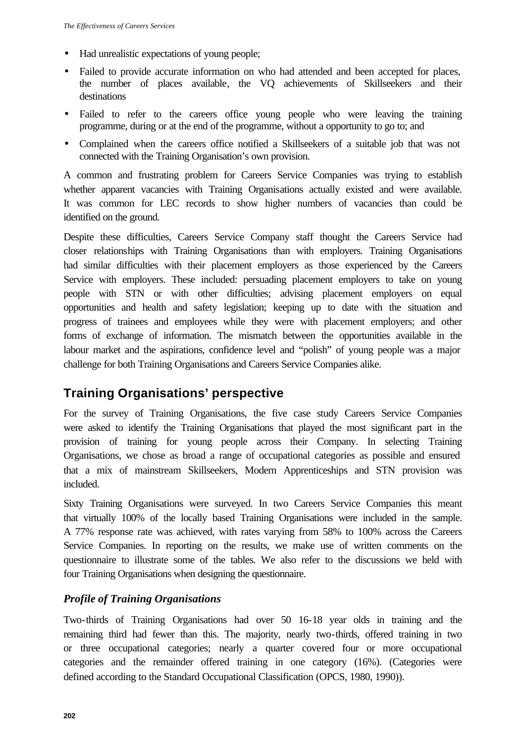- Had unrealistic expectations of young people;
- Failed to provide accurate information on who had attended and been accepted for places, the number of places available, the VQ achievements of Skillseekers and their destinations
- Failed to refer to the careers office young people who were leaving the training programme, during or at the end of the programme, without a opportunity to go to; and
- Complained when the careers office notified a Skillseekers of a suitable job that was not connected with the Training Organisation's own provision.

A common and frustrating problem for Careers Service Companies was trying to establish whether apparent vacancies with Training Organisations actually existed and were available. It was common for LEC records to show higher numbers of vacancies than could be identified on the ground.

Despite these difficulties, Careers Service Company staff thought the Careers Service had closer relationships with Training Organisations than with employers. Training Organisations had similar difficulties with their placement employers as those experienced by the Careers Service with employers. These included: persuading placement employers to take on young people with STN or with other difficulties; advising placement employers on equal opportunities and health and safety legislation; keeping up to date with the situation and progress of trainees and employees while they were with placement employers; and other forms of exchange of information. The mismatch between the opportunities available in the labour market and the aspirations, confidence level and "polish" of young people was a major challenge for both Training Organisations and Careers Service Companies alike.

## **Training Organisations' perspective**

For the survey of Training Organisations, the five case study Careers Service Companies were asked to identify the Training Organisations that played the most significant part in the provision of training for young people across their Company. In selecting Training Organisations, we chose as broad a range of occupational categories as possible and ensured that a mix of mainstream Skillseekers, Modern Apprenticeships and STN provision was included.

Sixty Training Organisations were surveyed. In two Careers Service Companies this meant that virtually 100% of the locally based Training Organisations were included in the sample. A 77% response rate was achieved, with rates varying from 58% to 100% across the Careers Service Companies. In reporting on the results, we make use of written comments on the questionnaire to illustrate some of the tables. We also refer to the discussions we held with four Training Organisations when designing the questionnaire.

## *Profile of Training Organisations*

Two-thirds of Training Organisations had over 50 16-18 year olds in training and the remaining third had fewer than this. The majority, nearly two-thirds, offered training in two or three occupational categories; nearly a quarter covered four or more occupational categories and the remainder offered training in one category (16%). (Categories were defined according to the Standard Occupational Classification (OPCS, 1980, 1990)).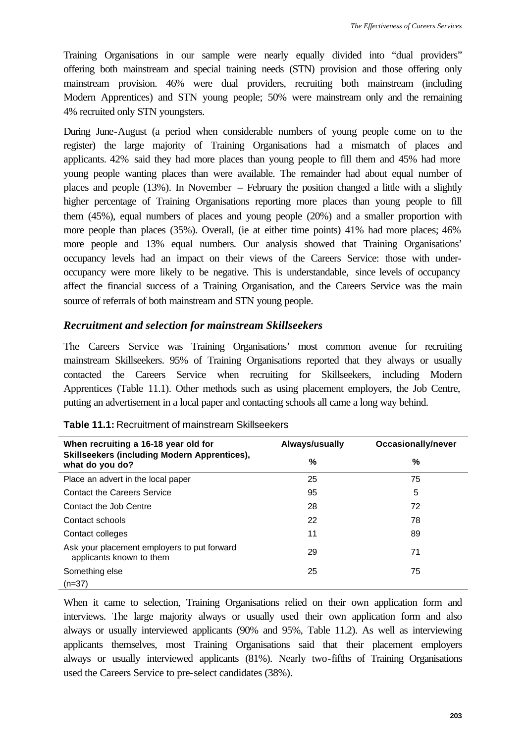Training Organisations in our sample were nearly equally divided into "dual providers" offering both mainstream and special training needs (STN) provision and those offering only mainstream provision. 46% were dual providers, recruiting both mainstream (including Modern Apprentices) and STN young people; 50% were mainstream only and the remaining 4% recruited only STN youngsters.

During June-August (a period when considerable numbers of young people come on to the register) the large majority of Training Organisations had a mismatch of places and applicants. 42% said they had more places than young people to fill them and 45% had more young people wanting places than were available. The remainder had about equal number of places and people (13%). In November – February the position changed a little with a slightly higher percentage of Training Organisations reporting more places than young people to fill them (45%), equal numbers of places and young people (20%) and a smaller proportion with more people than places (35%). Overall, (ie at either time points) 41% had more places; 46% more people and 13% equal numbers. Our analysis showed that Training Organisations' occupancy levels had an impact on their views of the Careers Service: those with underoccupancy were more likely to be negative. This is understandable, since levels of occupancy affect the financial success of a Training Organisation, and the Careers Service was the main source of referrals of both mainstream and STN young people.

#### *Recruitment and selection for mainstream Skillseekers*

The Careers Service was Training Organisations' most common avenue for recruiting mainstream Skillseekers. 95% of Training Organisations reported that they always or usually contacted the Careers Service when recruiting for Skillseekers, including Modern Apprentices (Table 11.1). Other methods such as using placement employers, the Job Centre, putting an advertisement in a local paper and contacting schools all came a long way behind.

| When recruiting a 16-18 year old for                                    | Always/usually | Occasionally/never |
|-------------------------------------------------------------------------|----------------|--------------------|
| <b>Skillseekers (including Modern Apprentices),</b><br>what do you do?  | %              | %                  |
| Place an advert in the local paper                                      | 25             | 75                 |
| <b>Contact the Careers Service</b>                                      | 95             | 5                  |
| Contact the Job Centre                                                  | 28             | 72                 |
| Contact schools                                                         | 22             | 78                 |
| Contact colleges                                                        | 11             | 89                 |
| Ask your placement employers to put forward<br>applicants known to them | 29             | 71                 |
| Something else                                                          | 25             | 75                 |
| (n=37)                                                                  |                |                    |

|  | <b>Table 11.1: Recruitment of mainstream Skillseekers</b> |
|--|-----------------------------------------------------------|
|--|-----------------------------------------------------------|

When it came to selection, Training Organisations relied on their own application form and interviews. The large majority always or usually used their own application form and also always or usually interviewed applicants (90% and 95%, Table 11.2). As well as interviewing applicants themselves, most Training Organisations said that their placement employers always or usually interviewed applicants (81%). Nearly two-fifths of Training Organisations used the Careers Service to pre-select candidates (38%).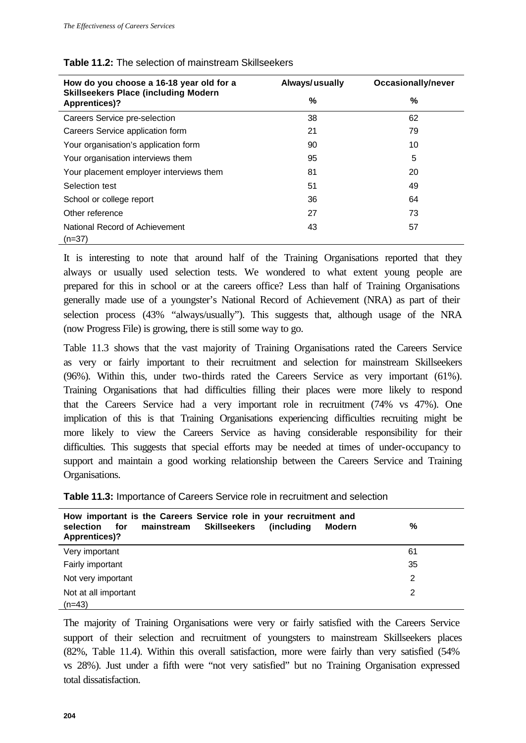| How do you choose a 16-18 year old for a                            | Always/usually | <b>Occasionally/never</b> |
|---------------------------------------------------------------------|----------------|---------------------------|
| <b>Skillseekers Place (including Modern</b><br><b>Apprentices)?</b> | %              | ℅                         |
| Careers Service pre-selection                                       | 38             | 62                        |
| Careers Service application form                                    | 21             | 79                        |
| Your organisation's application form                                | 90             | 10                        |
| Your organisation interviews them                                   | 95             | 5                         |
| Your placement employer interviews them                             | 81             | 20                        |
| Selection test                                                      | 51             | 49                        |
| School or college report                                            | 36             | 64                        |
| Other reference                                                     | 27             | 73                        |
| National Record of Achievement<br>$(n=37)$                          | 43             | 57                        |

It is interesting to note that around half of the Training Organisations reported that they always or usually used selection tests. We wondered to what extent young people are prepared for this in school or at the careers office? Less than half of Training Organisations generally made use of a youngster's National Record of Achievement (NRA) as part of their selection process (43% "always/usually"). This suggests that, although usage of the NRA (now Progress File) is growing, there is still some way to go.

Table 11.3 shows that the vast majority of Training Organisations rated the Careers Service as very or fairly important to their recruitment and selection for mainstream Skillseekers (96%). Within this, under two-thirds rated the Careers Service as very important (61%). Training Organisations that had difficulties filling their places were more likely to respond that the Careers Service had a very important role in recruitment (74% vs 47%). One implication of this is that Training Organisations experiencing difficulties recruiting might be more likely to view the Careers Service as having considerable responsibility for their difficulties. This suggests that special efforts may be needed at times of under-occupancy to support and maintain a good working relationship between the Careers Service and Training Organisations.

|  |  | <b>Table 11.3:</b> Importance of Careers Service role in recruitment and selection |
|--|--|------------------------------------------------------------------------------------|
|--|--|------------------------------------------------------------------------------------|

| How important is the Careers Service role in your recruitment and<br><b>Skillseekers</b><br>mainstream<br>(including)<br>for<br>selection<br><b>Apprentices)?</b> | %<br>Modern |
|-------------------------------------------------------------------------------------------------------------------------------------------------------------------|-------------|
| Very important                                                                                                                                                    | 61          |
| Fairly important                                                                                                                                                  | 35          |
| Not very important                                                                                                                                                | 2           |
| Not at all important                                                                                                                                              | 2           |
| $(n=43)$                                                                                                                                                          |             |

The majority of Training Organisations were very or fairly satisfied with the Careers Service support of their selection and recruitment of youngsters to mainstream Skillseekers places (82%, Table 11.4). Within this overall satisfaction, more were fairly than very satisfied (54% vs 28%). Just under a fifth were "not very satisfied" but no Training Organisation expressed total dissatisfaction.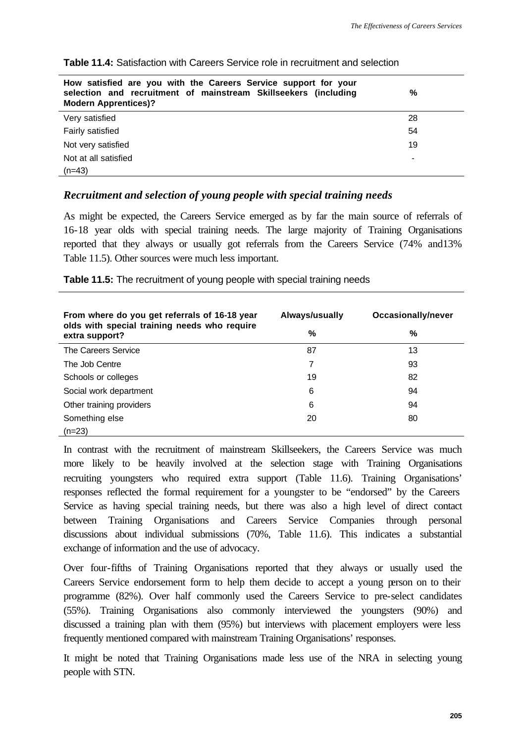| How satisfied are you with the Careers Service support for your<br>selection and recruitment of mainstream Skillseekers (including<br><b>Modern Apprentices)?</b> | %  |
|-------------------------------------------------------------------------------------------------------------------------------------------------------------------|----|
| Very satisfied                                                                                                                                                    | 28 |
| Fairly satisfied                                                                                                                                                  | 54 |
| Not very satisfied                                                                                                                                                | 19 |
| Not at all satisfied                                                                                                                                              |    |
| $(n=43)$                                                                                                                                                          |    |

#### **Table 11.4:** Satisfaction with Careers Service role in recruitment and selection

#### *Recruitment and selection of young people with special training needs*

As might be expected, the Careers Service emerged as by far the main source of referrals of 16-18 year olds with special training needs. The large majority of Training Organisations reported that they always or usually got referrals from the Careers Service (74% and13% Table 11.5). Other sources were much less important.

| From where do you get referrals of 16-18 year                  | Always/usually | Occasionally/never |  |  |
|----------------------------------------------------------------|----------------|--------------------|--|--|
| olds with special training needs who require<br>extra support? | %              | %                  |  |  |
| The Careers Service                                            | 87             | 13                 |  |  |
| The Job Centre                                                 | 7              | 93                 |  |  |
| Schools or colleges                                            | 19             | 82                 |  |  |
| Social work department                                         | 6              | 94                 |  |  |
| Other training providers                                       | 6              | 94                 |  |  |
| Something else                                                 | 20             | 80                 |  |  |
| $(n=23)$                                                       |                |                    |  |  |

**Table 11.5:** The recruitment of young people with special training needs

In contrast with the recruitment of mainstream Skillseekers, the Careers Service was much more likely to be heavily involved at the selection stage with Training Organisations recruiting youngsters who required extra support (Table 11.6). Training Organisations' responses reflected the formal requirement for a youngster to be "endorsed" by the Careers Service as having special training needs, but there was also a high level of direct contact between Training Organisations and Careers Service Companies through personal discussions about individual submissions (70%, Table 11.6). This indicates a substantial exchange of information and the use of advocacy.

Over four-fifths of Training Organisations reported that they always or usually used the Careers Service endorsement form to help them decide to accept a young person on to their programme (82%). Over half commonly used the Careers Service to pre-select candidates (55%). Training Organisations also commonly interviewed the youngsters (90%) and discussed a training plan with them (95%) but interviews with placement employers were less frequently mentioned compared with mainstream Training Organisations' responses.

It might be noted that Training Organisations made less use of the NRA in selecting young people with STN.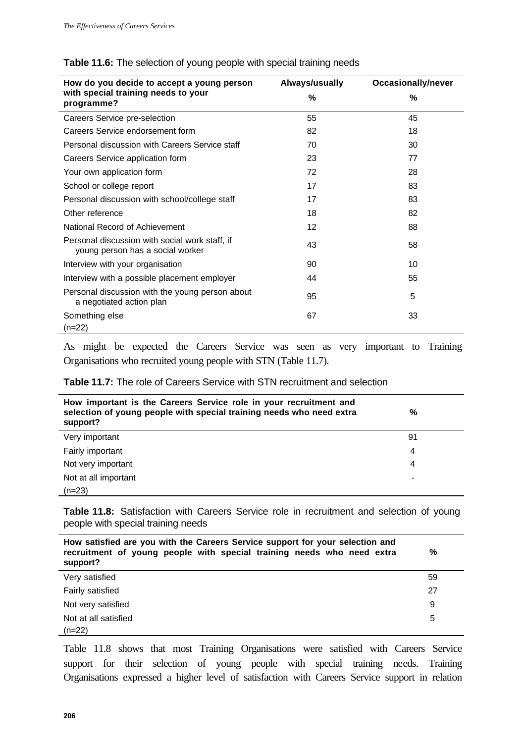| How do you decide to accept a young person                                         | Always/usually | Occasionally/never |
|------------------------------------------------------------------------------------|----------------|--------------------|
| with special training needs to your<br>programme?                                  | %              | %                  |
| Careers Service pre-selection                                                      | 55             | 45                 |
| Careers Service endorsement form                                                   | 82             | 18                 |
| Personal discussion with Careers Service staff                                     | 70             | 30                 |
| Careers Service application form                                                   | 23             | 77                 |
| Your own application form                                                          | 72             | 28                 |
| School or college report                                                           | 17             | 83                 |
| Personal discussion with school/college staff                                      | 17             | 83                 |
| Other reference                                                                    | 18             | 82                 |
| National Record of Achievement                                                     | 12             | 88                 |
| Personal discussion with social work staff, if<br>young person has a social worker | 43             | 58                 |
| Interview with your organisation                                                   | 90             | 10                 |
| Interview with a possible placement employer                                       | 44             | 55                 |
| Personal discussion with the young person about<br>a negotiated action plan        | 95             | 5                  |
| Something else                                                                     | 67             | 33                 |
| (n=22)                                                                             |                |                    |

#### **Table 11.6:** The selection of young people with special training needs

As might be expected the Careers Service was seen as very important to Training Organisations who recruited young people with STN (Table 11.7).

| <b>Table 11.7:</b> The role of Careers Service with STN recruitment and selection |  |
|-----------------------------------------------------------------------------------|--|
|-----------------------------------------------------------------------------------|--|

| How important is the Careers Service role in your recruitment and<br>selection of young people with special training needs who need extra<br>support? | %  |
|-------------------------------------------------------------------------------------------------------------------------------------------------------|----|
| Very important                                                                                                                                        | 91 |
| Fairly important                                                                                                                                      | 4  |
| Not very important                                                                                                                                    | 4  |
| Not at all important                                                                                                                                  | -  |
| $(n=23)$                                                                                                                                              |    |

**Table 11.8:** Satisfaction with Careers Service role in recruitment and selection of young people with special training needs

| How satisfied are you with the Careers Service support for your selection and<br>recruitment of young people with special training needs who need extra<br>support? | ℅  |
|---------------------------------------------------------------------------------------------------------------------------------------------------------------------|----|
| Very satisfied                                                                                                                                                      | 59 |
| Fairly satisfied                                                                                                                                                    | 27 |
| Not very satisfied                                                                                                                                                  | 9  |
| Not at all satisfied                                                                                                                                                | 5  |
| $(n=22)$                                                                                                                                                            |    |

Table 11.8 shows that most Training Organisations were satisfied with Careers Service support for their selection of young people with special training needs. Training Organisations expressed a higher level of satisfaction with Careers Service support in relation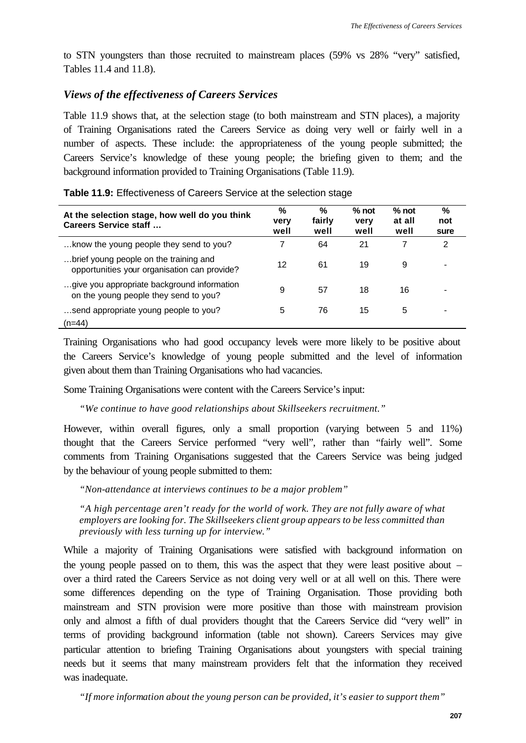to STN youngsters than those recruited to mainstream places (59% vs 28% "very" satisfied, Tables 11.4 and 11.8).

### *Views of the effectiveness of Careers Services*

Table 11.9 shows that, at the selection stage (to both mainstream and STN places), a majority of Training Organisations rated the Careers Service as doing very well or fairly well in a number of aspects. These include: the appropriateness of the young people submitted; the Careers Service's knowledge of these young people; the briefing given to them; and the background information provided to Training Organisations (Table 11.9).

| At the selection stage, how well do you think<br>Careers Service staff                 | %<br>very<br>well | %<br>fairly<br>well | $%$ not<br>very<br>well | $%$ not<br>at all<br>well | %<br>not<br>sure |
|----------------------------------------------------------------------------------------|-------------------|---------------------|-------------------------|---------------------------|------------------|
| know the young people they send to you?                                                |                   | 64                  | 21                      |                           | 2                |
| brief young people on the training and<br>opportunities your organisation can provide? | 12                | 61                  | 19                      | 9                         |                  |
| give you appropriate background information<br>on the young people they send to you?   | 9                 | 57                  | 18                      | 16                        |                  |
| send appropriate young people to you?<br>(n=44)                                        | 5                 | 76                  | 15                      | 5                         |                  |

#### **Table 11.9:** Effectiveness of Careers Service at the selection stage

Training Organisations who had good occupancy levels were more likely to be positive about the Careers Service's knowledge of young people submitted and the level of information given about them than Training Organisations who had vacancies.

Some Training Organisations were content with the Careers Service's input:

*"We continue to have good relationships about Skillseekers recruitment."*

However, within overall figures, only a small proportion (varying between 5 and 11%) thought that the Careers Service performed "very well", rather than "fairly well". Some comments from Training Organisations suggested that the Careers Service was being judged by the behaviour of young people submitted to them:

*"Non-attendance at interviews continues to be a major problem"*

*"A high percentage aren't ready for the world of work. They are not fully aware of what employers are looking for. The Skillseekers client group appears to be less committed than previously with less turning up for interview."*

While a majority of Training Organisations were satisfied with background information on the young people passed on to them, this was the aspect that they were least positive about – over a third rated the Careers Service as not doing very well or at all well on this. There were some differences depending on the type of Training Organisation. Those providing both mainstream and STN provision were more positive than those with mainstream provision only and almost a fifth of dual providers thought that the Careers Service did "very well" in terms of providing background information (table not shown). Careers Services may give particular attention to briefing Training Organisations about youngsters with special training needs but it seems that many mainstream providers felt that the information they received was inadequate.

*"If more information about the young person can be provided, it's easier to support them"*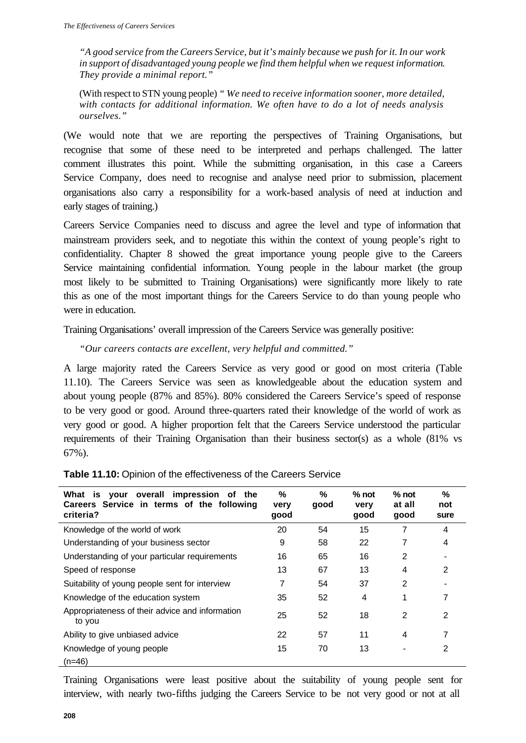*"A good service from the Careers Service, but it's mainly because we push for it. In our work in support of disadvantaged young people we find them helpful when we request information. They provide a minimal report."*

(With respect to STN young people) *" We need to receive information sooner, more detailed, with contacts for additional information. We often have to do a lot of needs analysis ourselves."*

(We would note that we are reporting the perspectives of Training Organisations, but recognise that some of these need to be interpreted and perhaps challenged. The latter comment illustrates this point. While the submitting organisation, in this case a Careers Service Company, does need to recognise and analyse need prior to submission, placement organisations also carry a responsibility for a work-based analysis of need at induction and early stages of training.)

Careers Service Companies need to discuss and agree the level and type of information that mainstream providers seek, and to negotiate this within the context of young people's right to confidentiality. Chapter 8 showed the great importance young people give to the Careers Service maintaining confidential information. Young people in the labour market (the group most likely to be submitted to Training Organisations) were significantly more likely to rate this as one of the most important things for the Careers Service to do than young people who were in education.

Training Organisations' overall impression of the Careers Service was generally positive:

#### *"Our careers contacts are excellent, very helpful and committed."*

A large majority rated the Careers Service as very good or good on most criteria (Table 11.10). The Careers Service was seen as knowledgeable about the education system and about young people (87% and 85%). 80% considered the Careers Service's speed of response to be very good or good. Around three-quarters rated their knowledge of the world of work as very good or good. A higher proportion felt that the Careers Service understood the particular requirements of their Training Organisation than their business sector(s) as a whole (81% vs 67%).

| overall impression of<br>What<br>is<br>the<br>vour<br>Careers Service in terms of the following<br>criteria? | %<br>very<br>good | %<br>good | $%$ not<br>very<br>good | $%$ not<br>at all<br>good | $\%$<br>not<br>sure |
|--------------------------------------------------------------------------------------------------------------|-------------------|-----------|-------------------------|---------------------------|---------------------|
| Knowledge of the world of work                                                                               | 20                | 54        | 15                      | 7                         | 4                   |
| Understanding of your business sector                                                                        | 9                 | 58        | 22                      | 7                         | 4                   |
| Understanding of your particular requirements                                                                | 16                | 65        | 16                      | 2                         |                     |
| Speed of response                                                                                            | 13                | 67        | 13                      | 4                         | 2                   |
| Suitability of young people sent for interview                                                               | 7                 | 54        | 37                      | 2                         |                     |
| Knowledge of the education system                                                                            | 35                | 52        | 4                       | 1                         | 7                   |
| Appropriateness of their advice and information<br>to you                                                    | 25                | 52        | 18                      | 2                         | 2                   |
| Ability to give unbiased advice                                                                              | 22                | 57        | 11                      | 4                         | 7                   |
| Knowledge of young people<br>$(n=46)$                                                                        | 15                | 70        | 13                      |                           | 2                   |

#### **Table 11.10:** Opinion of the effectiveness of the Careers Service

Training Organisations were least positive about the suitability of young people sent for interview, with nearly two-fifths judging the Careers Service to be not very good or not at all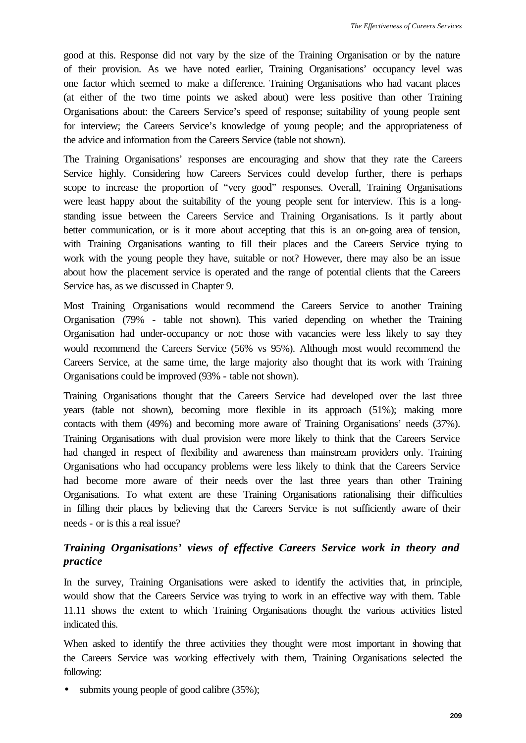good at this. Response did not vary by the size of the Training Organisation or by the nature of their provision. As we have noted earlier, Training Organisations' occupancy level was one factor which seemed to make a difference. Training Organisations who had vacant places (at either of the two time points we asked about) were less positive than other Training Organisations about: the Careers Service's speed of response; suitability of young people sent for interview; the Careers Service's knowledge of young people; and the appropriateness of the advice and information from the Careers Service (table not shown).

The Training Organisations' responses are encouraging and show that they rate the Careers Service highly. Considering how Careers Services could develop further, there is perhaps scope to increase the proportion of "very good" responses. Overall, Training Organisations were least happy about the suitability of the young people sent for interview. This is a longstanding issue between the Careers Service and Training Organisations. Is it partly about better communication, or is it more about accepting that this is an on-going area of tension, with Training Organisations wanting to fill their places and the Careers Service trying to work with the young people they have, suitable or not? However, there may also be an issue about how the placement service is operated and the range of potential clients that the Careers Service has, as we discussed in Chapter 9.

Most Training Organisations would recommend the Careers Service to another Training Organisation (79% - table not shown). This varied depending on whether the Training Organisation had under-occupancy or not: those with vacancies were less likely to say they would recommend the Careers Service (56% vs 95%). Although most would recommend the Careers Service, at the same time, the large majority also thought that its work with Training Organisations could be improved (93% - table not shown).

Training Organisations thought that the Careers Service had developed over the last three years (table not shown), becoming more flexible in its approach (51%); making more contacts with them (49%) and becoming more aware of Training Organisations' needs (37%). Training Organisations with dual provision were more likely to think that the Careers Service had changed in respect of flexibility and awareness than mainstream providers only. Training Organisations who had occupancy problems were less likely to think that the Careers Service had become more aware of their needs over the last three years than other Training Organisations. To what extent are these Training Organisations rationalising their difficulties in filling their places by believing that the Careers Service is not sufficiently aware of their needs - or is this a real issue?

## *Training Organisations' views of effective Careers Service work in theory and practice*

In the survey, Training Organisations were asked to identify the activities that, in principle, would show that the Careers Service was trying to work in an effective way with them. Table 11.11 shows the extent to which Training Organisations thought the various activities listed indicated this.

When asked to identify the three activities they thought were most important in showing that the Careers Service was working effectively with them, Training Organisations selected the following:

• submits young people of good calibre (35%);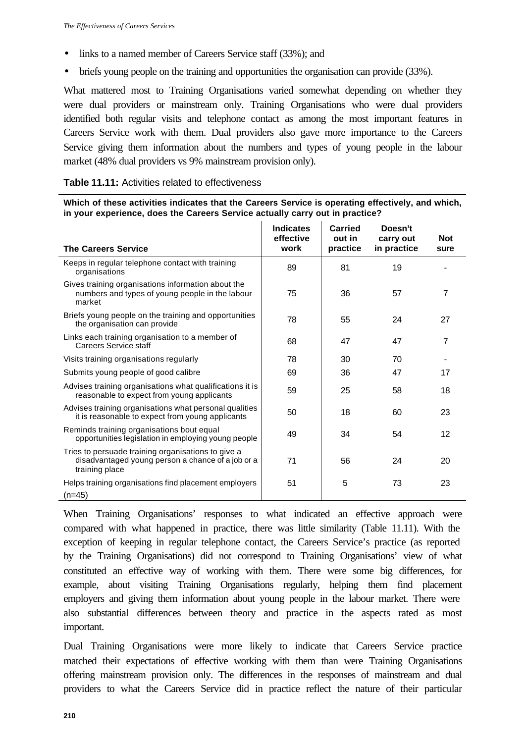- links to a named member of Careers Service staff (33%); and
- briefs young people on the training and opportunities the organisation can provide (33%).

What mattered most to Training Organisations varied somewhat depending on whether they were dual providers or mainstream only. Training Organisations who were dual providers identified both regular visits and telephone contact as among the most important features in Careers Service work with them. Dual providers also gave more importance to the Careers Service giving them information about the numbers and types of young people in the labour market (48% dual providers vs 9% mainstream provision only).

#### **Table 11.11:** Activities related to effectiveness

| Which of these activities indicates that the Careers Service is operating effectively, and which, |  |
|---------------------------------------------------------------------------------------------------|--|
| in your experience, does the Careers Service actually carry out in practice?                      |  |

| <b>The Careers Service</b>                                                                                                | <b>Indicates</b><br>effective<br>work | <b>Carried</b><br>out in<br>practice | Doesn't<br>carry out<br>in practice | <b>Not</b><br>sure |
|---------------------------------------------------------------------------------------------------------------------------|---------------------------------------|--------------------------------------|-------------------------------------|--------------------|
| Keeps in regular telephone contact with training<br>organisations                                                         | 89                                    | 81                                   | 19                                  |                    |
| Gives training organisations information about the<br>numbers and types of young people in the labour<br>market           | 75                                    | 36                                   | 57                                  | 7                  |
| Briefs young people on the training and opportunities<br>the organisation can provide                                     | 78                                    | 55                                   | 24                                  | 27                 |
| Links each training organisation to a member of<br>Careers Service staff                                                  | 68                                    | 47                                   | 47                                  | $\overline{7}$     |
| Visits training organisations regularly                                                                                   | 78                                    | 30                                   | 70                                  |                    |
| Submits young people of good calibre                                                                                      | 69                                    | 36                                   | 47                                  | 17                 |
| Advises training organisations what qualifications it is<br>reasonable to expect from young applicants                    | 59                                    | 25                                   | 58                                  | 18                 |
| Advises training organisations what personal qualities<br>it is reasonable to expect from young applicants                | 50                                    | 18                                   | 60                                  | 23                 |
| Reminds training organisations bout equal<br>opportunities legislation in employing young people                          | 49                                    | 34                                   | 54                                  | 12                 |
| Tries to persuade training organisations to give a<br>disadvantaged young person a chance of a job or a<br>training place | 71                                    | 56                                   | 24                                  | 20                 |
| Helps training organisations find placement employers                                                                     | 51                                    | 5                                    | 73                                  | 23                 |
| (n=45)                                                                                                                    |                                       |                                      |                                     |                    |

When Training Organisations' responses to what indicated an effective approach were compared with what happened in practice, there was little similarity (Table 11.11). With the exception of keeping in regular telephone contact, the Careers Service's practice (as reported by the Training Organisations) did not correspond to Training Organisations' view of what constituted an effective way of working with them. There were some big differences, for example, about visiting Training Organisations regularly, helping them find placement employers and giving them information about young people in the labour market. There were also substantial differences between theory and practice in the aspects rated as most important.

Dual Training Organisations were more likely to indicate that Careers Service practice matched their expectations of effective working with them than were Training Organisations offering mainstream provision only. The differences in the responses of mainstream and dual providers to what the Careers Service did in practice reflect the nature of their particular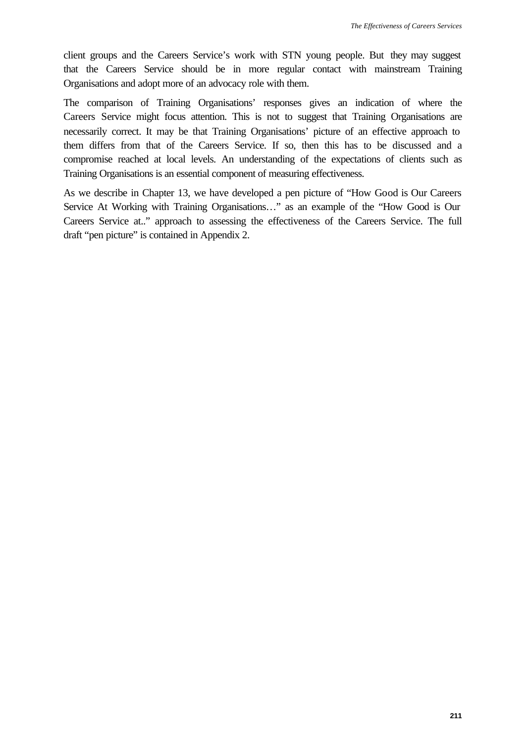client groups and the Careers Service's work with STN young people. But they may suggest that the Careers Service should be in more regular contact with mainstream Training Organisations and adopt more of an advocacy role with them.

The comparison of Training Organisations' responses gives an indication of where the Careers Service might focus attention. This is not to suggest that Training Organisations are necessarily correct. It may be that Training Organisations' picture of an effective approach to them differs from that of the Careers Service. If so, then this has to be discussed and a compromise reached at local levels. An understanding of the expectations of clients such as Training Organisations is an essential component of measuring effectiveness.

As we describe in Chapter 13, we have developed a pen picture of "How Good is Our Careers Service At Working with Training Organisations…" as an example of the "How Good is Our Careers Service at.." approach to assessing the effectiveness of the Careers Service. The full draft "pen picture" is contained in Appendix 2.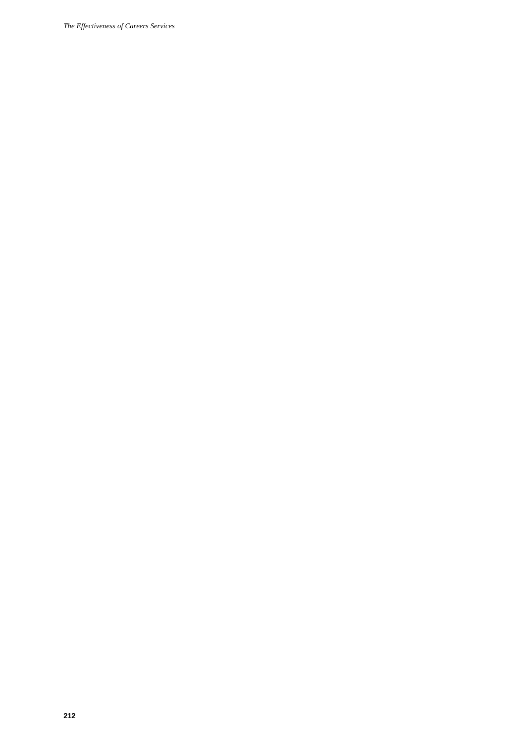*The Effectiveness of Careers Services*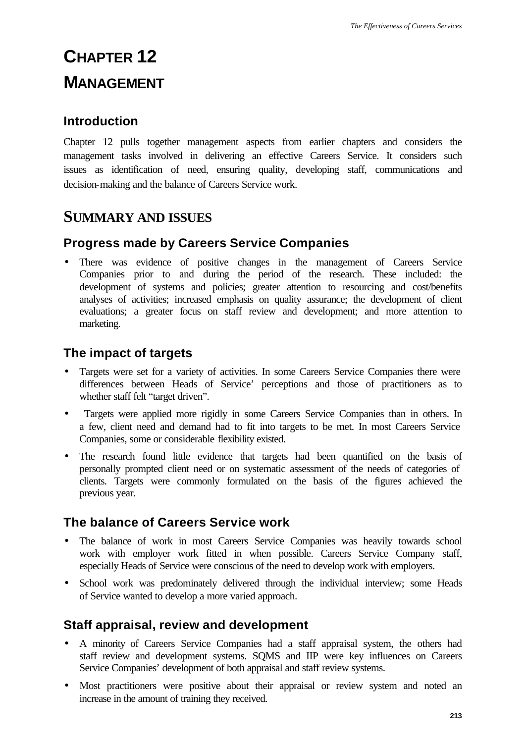# **CHAPTER 12 MANAGEMENT**

## **Introduction**

Chapter 12 pulls together management aspects from earlier chapters and considers the management tasks involved in delivering an effective Careers Service. It considers such issues as identification of need, ensuring quality, developing staff, communications and decision-making and the balance of Careers Service work.

# **SUMMARY AND ISSUES**

# **Progress made by Careers Service Companies**

• There was evidence of positive changes in the management of Careers Service Companies prior to and during the period of the research. These included: the development of systems and policies; greater attention to resourcing and cost/benefits analyses of activities; increased emphasis on quality assurance; the development of client evaluations; a greater focus on staff review and development; and more attention to marketing.

# **The impact of targets**

- Targets were set for a variety of activities. In some Careers Service Companies there were differences between Heads of Service' perceptions and those of practitioners as to whether staff felt "target driven".
- Targets were applied more rigidly in some Careers Service Companies than in others. In a few, client need and demand had to fit into targets to be met. In most Careers Service Companies, some or considerable flexibility existed.
- The research found little evidence that targets had been quantified on the basis of personally prompted client need or on systematic assessment of the needs of categories of clients. Targets were commonly formulated on the basis of the figures achieved the previous year.

# **The balance of Careers Service work**

- The balance of work in most Careers Service Companies was heavily towards school work with employer work fitted in when possible. Careers Service Company staff, especially Heads of Service were conscious of the need to develop work with employers.
- School work was predominately delivered through the individual interview; some Heads of Service wanted to develop a more varied approach.

## **Staff appraisal, review and development**

- A minority of Careers Service Companies had a staff appraisal system, the others had staff review and development systems. SQMS and IIP were key influences on Careers Service Companies' development of both appraisal and staff review systems.
- Most practitioners were positive about their appraisal or review system and noted an increase in the amount of training they received.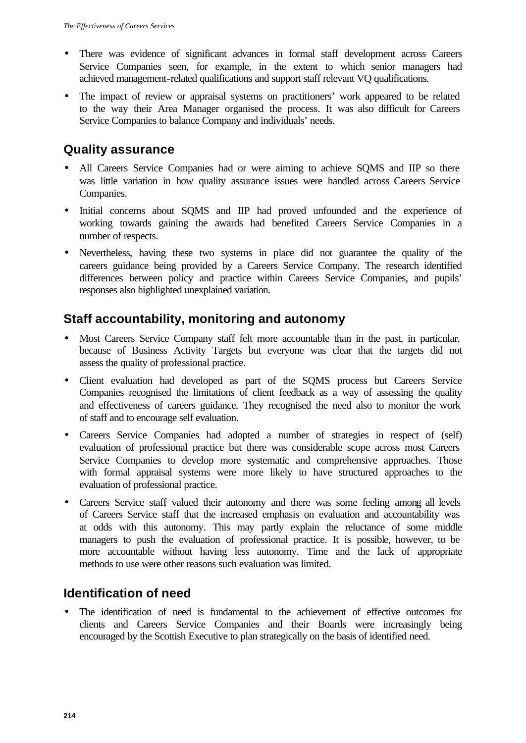- There was evidence of significant advances in formal staff development across Careers Service Companies seen, for example, in the extent to which senior managers had achieved management-related qualifications and support staff relevant VQ qualifications.
- The impact of review or appraisal systems on practitioners' work appeared to be related to the way their Area Manager organised the process. It was also difficult for Careers Service Companies to balance Company and individuals' needs.

# **Quality assurance**

- All Careers Service Companies had or were aiming to achieve SQMS and IIP so there was little variation in how quality assurance issues were handled across Careers Service Companies.
- Initial concerns about SQMS and IIP had proved unfounded and the experience of working towards gaining the awards had benefited Careers Service Companies in a number of respects.
- Nevertheless, having these two systems in place did not guarantee the quality of the careers guidance being provided by a Careers Service Company. The research identified differences between policy and practice within Careers Service Companies, and pupils' responses also highlighted unexplained variation.

## **Staff accountability, monitoring and autonomy**

- Most Careers Service Company staff felt more accountable than in the past, in particular, because of Business Activity Targets but everyone was clear that the targets did not assess the quality of professional practice.
- Client evaluation had developed as part of the SQMS process but Careers Service Companies recognised the limitations of client feedback as a way of assessing the quality and effectiveness of careers guidance. They recognised the need also to monitor the work of staff and to encourage self evaluation.
- Careers Service Companies had adopted a number of strategies in respect of (self) evaluation of professional practice but there was considerable scope across most Careers Service Companies to develop more systematic and comprehensive approaches. Those with formal appraisal systems were more likely to have structured approaches to the evaluation of professional practice.
- Careers Service staff valued their autonomy and there was some feeling among all levels of Careers Service staff that the increased emphasis on evaluation and accountability was at odds with this autonomy. This may partly explain the reluctance of some middle managers to push the evaluation of professional practice. It is possible, however, to be more accountable without having less autonomy. Time and the lack of appropriate methods to use were other reasons such evaluation was limited.

# **Identification of need**

• The identification of need is fundamental to the achievement of effective outcomes for clients and Careers Service Companies and their Boards were increasingly being encouraged by the Scottish Executive to plan strategically on the basis of identified need.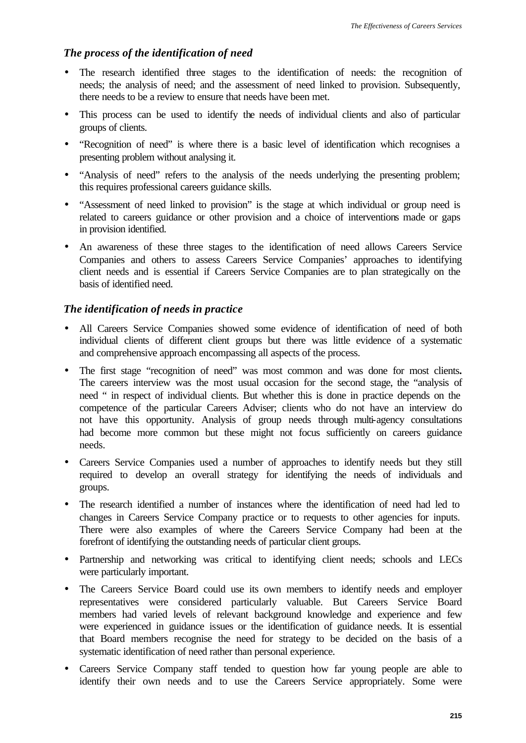### *The process of the identification of need*

- The research identified three stages to the identification of needs: the recognition of needs; the analysis of need; and the assessment of need linked to provision. Subsequently, there needs to be a review to ensure that needs have been met.
- This process can be used to identify the needs of individual clients and also of particular groups of clients.
- "Recognition of need" is where there is a basic level of identification which recognises a presenting problem without analysing it.
- "Analysis of need" refers to the analysis of the needs underlying the presenting problem; this requires professional careers guidance skills.
- "Assessment of need linked to provision" is the stage at which individual or group need is related to careers guidance or other provision and a choice of interventions made or gaps in provision identified.
- An awareness of these three stages to the identification of need allows Careers Service Companies and others to assess Careers Service Companies' approaches to identifying client needs and is essential if Careers Service Companies are to plan strategically on the basis of identified need.

#### *The identification of needs in practice*

- All Careers Service Companies showed some evidence of identification of need of both individual clients of different client groups but there was little evidence of a systematic and comprehensive approach encompassing all aspects of the process.
- The first stage "recognition of need" was most common and was done for most clients**.**  The careers interview was the most usual occasion for the second stage, the "analysis of need " in respect of individual clients. But whether this is done in practice depends on the competence of the particular Careers Adviser; clients who do not have an interview do not have this opportunity. Analysis of group needs through multi-agency consultations had become more common but these might not focus sufficiently on careers guidance needs.
- Careers Service Companies used a number of approaches to identify needs but they still required to develop an overall strategy for identifying the needs of individuals and groups.
- The research identified a number of instances where the identification of need had led to changes in Careers Service Company practice or to requests to other agencies for inputs. There were also examples of where the Careers Service Company had been at the forefront of identifying the outstanding needs of particular client groups.
- Partnership and networking was critical to identifying client needs; schools and LECs were particularly important.
- The Careers Service Board could use its own members to identify needs and employer representatives were considered particularly valuable. But Careers Service Board members had varied levels of relevant background knowledge and experience and few were experienced in guidance issues or the identification of guidance needs. It is essential that Board members recognise the need for strategy to be decided on the basis of a systematic identification of need rather than personal experience.
- Careers Service Company staff tended to question how far young people are able to identify their own needs and to use the Careers Service appropriately. Some were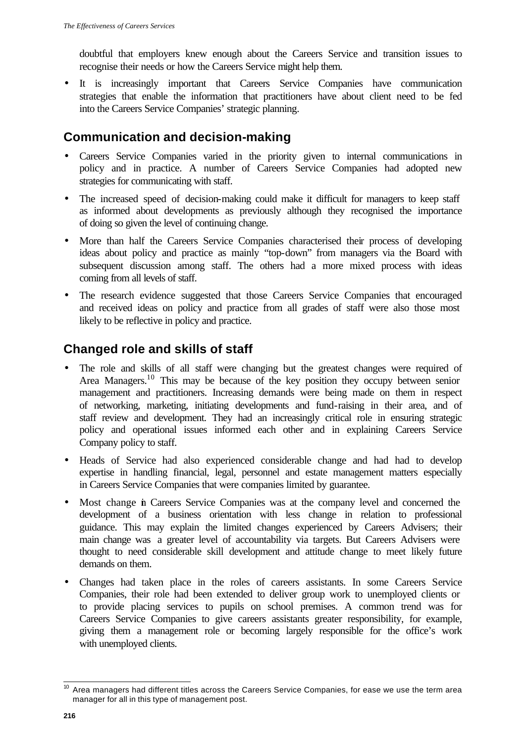doubtful that employers knew enough about the Careers Service and transition issues to recognise their needs or how the Careers Service might help them.

• It is increasingly important that Careers Service Companies have communication strategies that enable the information that practitioners have about client need to be fed into the Careers Service Companies' strategic planning.

## **Communication and decision-making**

- Careers Service Companies varied in the priority given to internal communications in policy and in practice. A number of Careers Service Companies had adopted new strategies for communicating with staff.
- The increased speed of decision-making could make it difficult for managers to keep staff as informed about developments as previously although they recognised the importance of doing so given the level of continuing change.
- More than half the Careers Service Companies characterised their process of developing ideas about policy and practice as mainly "top-down" from managers via the Board with subsequent discussion among staff. The others had a more mixed process with ideas coming from all levels of staff.
- The research evidence suggested that those Careers Service Companies that encouraged and received ideas on policy and practice from all grades of staff were also those most likely to be reflective in policy and practice.

## **Changed role and skills of staff**

- The role and skills of all staff were changing but the greatest changes were required of Area Managers.<sup>10</sup> This may be because of the key position they occupy between senior management and practitioners. Increasing demands were being made on them in respect of networking, marketing, initiating developments and fund-raising in their area, and of staff review and development. They had an increasingly critical role in ensuring strategic policy and operational issues informed each other and in explaining Careers Service Company policy to staff.
- Heads of Service had also experienced considerable change and had had to develop expertise in handling financial, legal, personnel and estate management matters especially in Careers Service Companies that were companies limited by guarantee.
- Most change in Careers Service Companies was at the company level and concerned the development of a business orientation with less change in relation to professional guidance. This may explain the limited changes experienced by Careers Advisers; their main change was a greater level of accountability via targets. But Careers Advisers were thought to need considerable skill development and attitude change to meet likely future demands on them.
- Changes had taken place in the roles of careers assistants. In some Careers Service Companies, their role had been extended to deliver group work to unemployed clients or to provide placing services to pupils on school premises. A common trend was for Careers Service Companies to give careers assistants greater responsibility, for example, giving them a management role or becoming largely responsible for the office's work with unemployed clients.

 $\overline{1}$  $10$  Area managers had different titles across the Careers Service Companies, for ease we use the term area manager for all in this type of management post.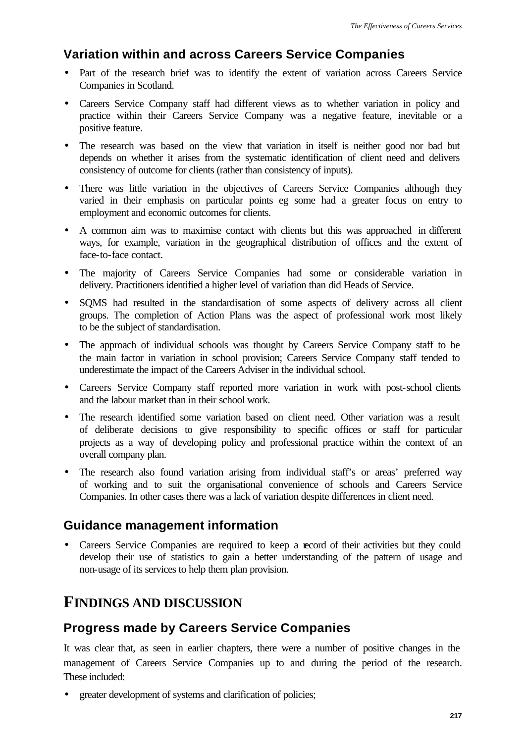# **Variation within and across Careers Service Companies**

- Part of the research brief was to identify the extent of variation across Careers Service Companies in Scotland.
- Careers Service Company staff had different views as to whether variation in policy and practice within their Careers Service Company was a negative feature, inevitable or a positive feature.
- The research was based on the view that variation in itself is neither good nor bad but depends on whether it arises from the systematic identification of client need and delivers consistency of outcome for clients (rather than consistency of inputs).
- There was little variation in the objectives of Careers Service Companies although they varied in their emphasis on particular points eg some had a greater focus on entry to employment and economic outcomes for clients.
- A common aim was to maximise contact with clients but this was approached in different ways, for example, variation in the geographical distribution of offices and the extent of face-to-face contact.
- The majority of Careers Service Companies had some or considerable variation in delivery. Practitioners identified a higher level of variation than did Heads of Service.
- SQMS had resulted in the standardisation of some aspects of delivery across all client groups. The completion of Action Plans was the aspect of professional work most likely to be the subject of standardisation.
- The approach of individual schools was thought by Careers Service Company staff to be the main factor in variation in school provision; Careers Service Company staff tended to underestimate the impact of the Careers Adviser in the individual school.
- Careers Service Company staff reported more variation in work with post-school clients and the labour market than in their school work.
- The research identified some variation based on client need. Other variation was a result of deliberate decisions to give responsibility to specific offices or staff for particular projects as a way of developing policy and professional practice within the context of an overall company plan.
- The research also found variation arising from individual staff's or areas' preferred way of working and to suit the organisational convenience of schools and Careers Service Companies. In other cases there was a lack of variation despite differences in client need.

# **Guidance management information**

• Careers Service Companies are required to keep a record of their activities but they could develop their use of statistics to gain a better understanding of the pattern of usage and non-usage of its services to help them plan provision.

# **FINDINGS AND DISCUSSION**

# **Progress made by Careers Service Companies**

It was clear that, as seen in earlier chapters, there were a number of positive changes in the management of Careers Service Companies up to and during the period of the research. These included:

• greater development of systems and clarification of policies;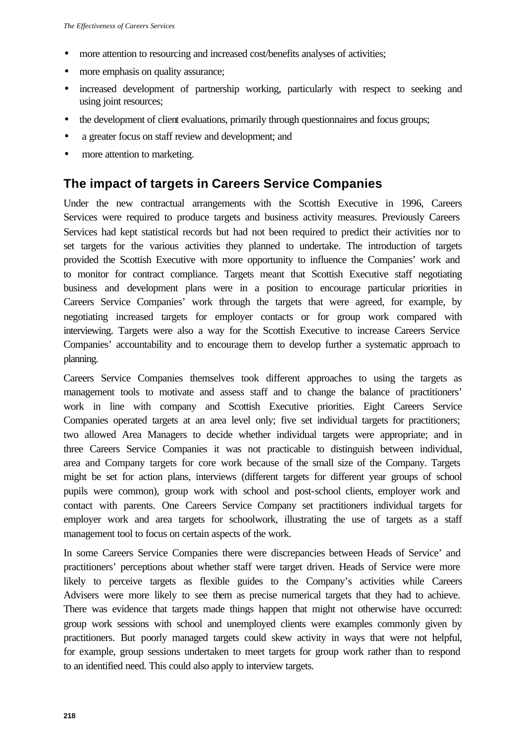- more attention to resourcing and increased cost/benefits analyses of activities;
- more emphasis on quality assurance;
- increased development of partnership working, particularly with respect to seeking and using joint resources;
- the development of client evaluations, primarily through questionnaires and focus groups;
- a greater focus on staff review and development; and
- more attention to marketing.

# **The impact of targets in Careers Service Companies**

Under the new contractual arrangements with the Scottish Executive in 1996, Careers Services were required to produce targets and business activity measures. Previously Careers Services had kept statistical records but had not been required to predict their activities nor to set targets for the various activities they planned to undertake. The introduction of targets provided the Scottish Executive with more opportunity to influence the Companies' work and to monitor for contract compliance. Targets meant that Scottish Executive staff negotiating business and development plans were in a position to encourage particular priorities in Careers Service Companies' work through the targets that were agreed, for example, by negotiating increased targets for employer contacts or for group work compared with interviewing. Targets were also a way for the Scottish Executive to increase Careers Service Companies' accountability and to encourage them to develop further a systematic approach to planning.

Careers Service Companies themselves took different approaches to using the targets as management tools to motivate and assess staff and to change the balance of practitioners' work in line with company and Scottish Executive priorities. Eight Careers Service Companies operated targets at an area level only; five set individual targets for practitioners; two allowed Area Managers to decide whether individual targets were appropriate; and in three Careers Service Companies it was not practicable to distinguish between individual, area and Company targets for core work because of the small size of the Company. Targets might be set for action plans, interviews (different targets for different year groups of school pupils were common), group work with school and post-school clients, employer work and contact with parents. One Careers Service Company set practitioners individual targets for employer work and area targets for schoolwork, illustrating the use of targets as a staff management tool to focus on certain aspects of the work.

In some Careers Service Companies there were discrepancies between Heads of Service' and practitioners' perceptions about whether staff were target driven. Heads of Service were more likely to perceive targets as flexible guides to the Company's activities while Careers Advisers were more likely to see them as precise numerical targets that they had to achieve. There was evidence that targets made things happen that might not otherwise have occurred: group work sessions with school and unemployed clients were examples commonly given by practitioners. But poorly managed targets could skew activity in ways that were not helpful, for example, group sessions undertaken to meet targets for group work rather than to respond to an identified need. This could also apply to interview targets.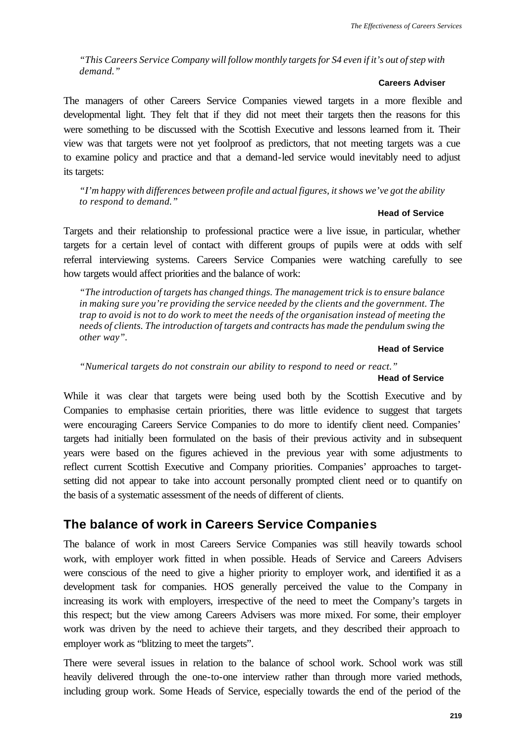*"This Careers Service Company will follow monthly targets for S4 even if it's out of step with demand."*

#### **Careers Adviser**

The managers of other Careers Service Companies viewed targets in a more flexible and developmental light. They felt that if they did not meet their targets then the reasons for this were something to be discussed with the Scottish Executive and lessons learned from it. Their view was that targets were not yet foolproof as predictors, that not meeting targets was a cue to examine policy and practice and that a demand-led service would inevitably need to adjust its targets:

*"I'm happy with differences between profile and actual figures, it shows we've got the ability to respond to demand."*

#### **Head of Service**

Targets and their relationship to professional practice were a live issue, in particular, whether targets for a certain level of contact with different groups of pupils were at odds with self referral interviewing systems. Careers Service Companies were watching carefully to see how targets would affect priorities and the balance of work:

*"The introduction of targets has changed things. The management trick is to ensure balance in making sure you're providing the service needed by the clients and the government. The trap to avoid is not to do work to meet the needs of the organisation instead of meeting the needs of clients. The introduction of targets and contracts has made the pendulum swing the other way".*

#### **Head of Service**

*"Numerical targets do not constrain our ability to respond to need or react."* 

#### **Head of Service**

While it was clear that targets were being used both by the Scottish Executive and by Companies to emphasise certain priorities, there was little evidence to suggest that targets were encouraging Careers Service Companies to do more to identify client need. Companies' targets had initially been formulated on the basis of their previous activity and in subsequent years were based on the figures achieved in the previous year with some adjustments to reflect current Scottish Executive and Company priorities. Companies' approaches to targetsetting did not appear to take into account personally prompted client need or to quantify on the basis of a systematic assessment of the needs of different of clients.

# **The balance of work in Careers Service Companies**

The balance of work in most Careers Service Companies was still heavily towards school work, with employer work fitted in when possible. Heads of Service and Careers Advisers were conscious of the need to give a higher priority to employer work, and identified it as a development task for companies. HOS generally perceived the value to the Company in increasing its work with employers, irrespective of the need to meet the Company's targets in this respect; but the view among Careers Advisers was more mixed. For some, their employer work was driven by the need to achieve their targets, and they described their approach to employer work as "blitzing to meet the targets".

There were several issues in relation to the balance of school work. School work was still heavily delivered through the one-to-one interview rather than through more varied methods, including group work. Some Heads of Service, especially towards the end of the period of the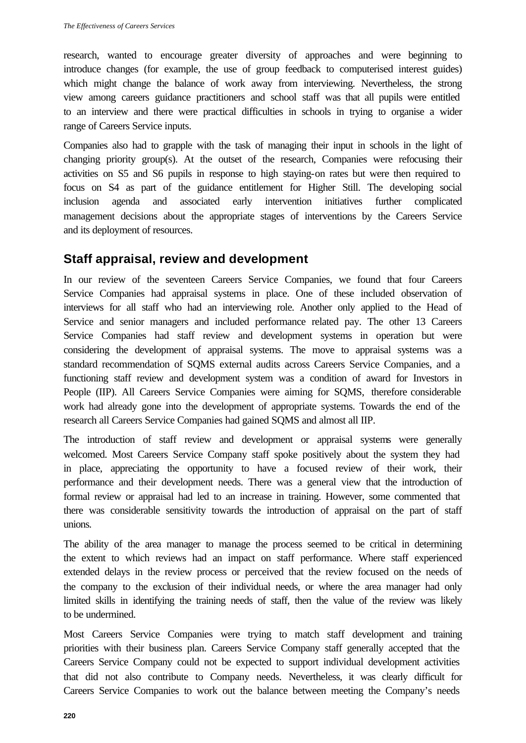research, wanted to encourage greater diversity of approaches and were beginning to introduce changes (for example, the use of group feedback to computerised interest guides) which might change the balance of work away from interviewing. Nevertheless, the strong view among careers guidance practitioners and school staff was that all pupils were entitled to an interview and there were practical difficulties in schools in trying to organise a wider range of Careers Service inputs.

Companies also had to grapple with the task of managing their input in schools in the light of changing priority group(s). At the outset of the research, Companies were refocusing their activities on S5 and S6 pupils in response to high staying-on rates but were then required to focus on S4 as part of the guidance entitlement for Higher Still. The developing social inclusion agenda and associated early intervention initiatives further complicated management decisions about the appropriate stages of interventions by the Careers Service and its deployment of resources.

# **Staff appraisal, review and development**

In our review of the seventeen Careers Service Companies, we found that four Careers Service Companies had appraisal systems in place. One of these included observation of interviews for all staff who had an interviewing role. Another only applied to the Head of Service and senior managers and included performance related pay. The other 13 Careers Service Companies had staff review and development systems in operation but were considering the development of appraisal systems. The move to appraisal systems was a standard recommendation of SQMS external audits across Careers Service Companies, and a functioning staff review and development system was a condition of award for Investors in People (IIP). All Careers Service Companies were aiming for SQMS, therefore considerable work had already gone into the development of appropriate systems. Towards the end of the research all Careers Service Companies had gained SQMS and almost all IIP.

The introduction of staff review and development or appraisal systems were generally welcomed. Most Careers Service Company staff spoke positively about the system they had in place, appreciating the opportunity to have a focused review of their work, their performance and their development needs. There was a general view that the introduction of formal review or appraisal had led to an increase in training. However, some commented that there was considerable sensitivity towards the introduction of appraisal on the part of staff unions.

The ability of the area manager to manage the process seemed to be critical in determining the extent to which reviews had an impact on staff performance. Where staff experienced extended delays in the review process or perceived that the review focused on the needs of the company to the exclusion of their individual needs, or where the area manager had only limited skills in identifying the training needs of staff, then the value of the review was likely to be undermined.

Most Careers Service Companies were trying to match staff development and training priorities with their business plan. Careers Service Company staff generally accepted that the Careers Service Company could not be expected to support individual development activities that did not also contribute to Company needs. Nevertheless, it was clearly difficult for Careers Service Companies to work out the balance between meeting the Company's needs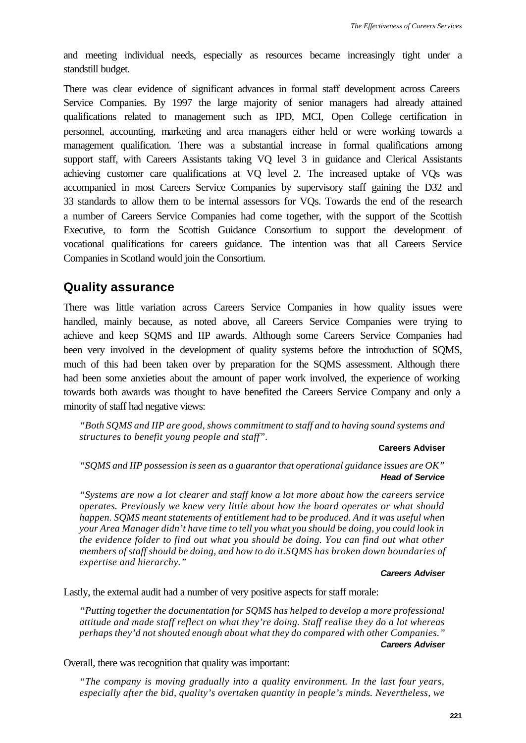and meeting individual needs, especially as resources became increasingly tight under a standstill budget.

There was clear evidence of significant advances in formal staff development across Careers Service Companies. By 1997 the large majority of senior managers had already attained qualifications related to management such as IPD, MCI, Open College certification in personnel, accounting, marketing and area managers either held or were working towards a management qualification. There was a substantial increase in formal qualifications among support staff, with Careers Assistants taking VQ level 3 in guidance and Clerical Assistants achieving customer care qualifications at VQ level 2. The increased uptake of VQs was accompanied in most Careers Service Companies by supervisory staff gaining the D32 and 33 standards to allow them to be internal assessors for VQs. Towards the end of the research a number of Careers Service Companies had come together, with the support of the Scottish Executive, to form the Scottish Guidance Consortium to support the development of vocational qualifications for careers guidance. The intention was that all Careers Service Companies in Scotland would join the Consortium.

# **Quality assurance**

There was little variation across Careers Service Companies in how quality issues were handled, mainly because, as noted above, all Careers Service Companies were trying to achieve and keep SQMS and IIP awards. Although some Careers Service Companies had been very involved in the development of quality systems before the introduction of SQMS, much of this had been taken over by preparation for the SQMS assessment. Although there had been some anxieties about the amount of paper work involved, the experience of working towards both awards was thought to have benefited the Careers Service Company and only a minority of staff had negative views:

*"Both SQMS and IIP are good, shows commitment to staff and to having sound systems and structures to benefit young people and staff".*

#### **Careers Adviser**

*"SQMS and IIP possession is seen as a guarantor that operational guidance issues are OK" Head of Service*

*"Systems are now a lot clearer and staff know a lot more about how the careers service operates. Previously we knew very little about how the board operates or what should happen. SQMS meant statements of entitlement had to be produced. And it was useful when your Area Manager didn't have time to tell you what you should be doing, you could look in the evidence folder to find out what you should be doing. You can find out what other members of staff should be doing, and how to do it.SQMS has broken down boundaries of expertise and hierarchy."*

#### *Careers Adviser*

Lastly, the external audit had a number of very positive aspects for staff morale:

*"Putting together the documentation for SQMS has helped to develop a more professional attitude and made staff reflect on what they're doing. Staff realise they do a lot whereas perhaps they'd not shouted enough about what they do compared with other Companies." Careers Adviser*

Overall, there was recognition that quality was important:

*"The company is moving gradually into a quality environment. In the last four years, especially after the bid, quality's overtaken quantity in people's minds. Nevertheless, we*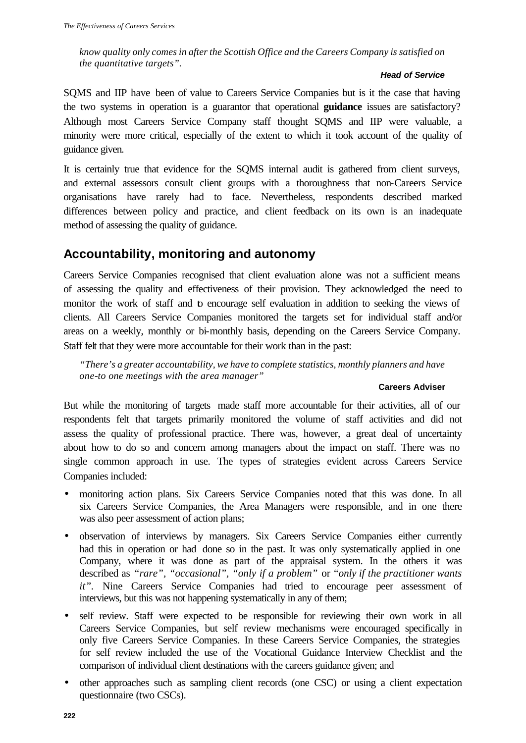*know quality only comes in after the Scottish Office and the Careers Company is satisfied on the quantitative targets".*

#### *Head of Service*

SQMS and IIP have been of value to Careers Service Companies but is it the case that having the two systems in operation is a guarantor that operational **guidance** issues are satisfactory? Although most Careers Service Company staff thought SQMS and IIP were valuable, a minority were more critical, especially of the extent to which it took account of the quality of guidance given.

It is certainly true that evidence for the SQMS internal audit is gathered from client surveys, and external assessors consult client groups with a thoroughness that non-Careers Service organisations have rarely had to face. Nevertheless, respondents described marked differences between policy and practice, and client feedback on its own is an inadequate method of assessing the quality of guidance.

# **Accountability, monitoring and autonomy**

Careers Service Companies recognised that client evaluation alone was not a sufficient means of assessing the quality and effectiveness of their provision. They acknowledged the need to monitor the work of staff and to encourage self evaluation in addition to seeking the views of clients. All Careers Service Companies monitored the targets set for individual staff and/or areas on a weekly, monthly or bi-monthly basis, depending on the Careers Service Company. Staff felt that they were more accountable for their work than in the past:

*"There's a greater accountability, we have to complete statistics, monthly planners and have one-to one meetings with the area manager"*

### **Careers Adviser**

But while the monitoring of targets made staff more accountable for their activities, all of our respondents felt that targets primarily monitored the volume of staff activities and did not assess the quality of professional practice. There was, however, a great deal of uncertainty about how to do so and concern among managers about the impact on staff. There was no single common approach in use. The types of strategies evident across Careers Service Companies included:

- monitoring action plans. Six Careers Service Companies noted that this was done. In all six Careers Service Companies, the Area Managers were responsible, and in one there was also peer assessment of action plans;
- observation of interviews by managers. Six Careers Service Companies either currently had this in operation or had done so in the past. It was only systematically applied in one Company, where it was done as part of the appraisal system. In the others it was described as *"rare", "occasional", "only if a problem"* or *"only if the practitioner wants it".* Nine Careers Service Companies had tried to encourage peer assessment of interviews, but this was not happening systematically in any of them;
- self review. Staff were expected to be responsible for reviewing their own work in all Careers Service Companies, but self review mechanisms were encouraged specifically in only five Careers Service Companies. In these Careers Service Companies, the strategies for self review included the use of the Vocational Guidance Interview Checklist and the comparison of individual client destinations with the careers guidance given; and
- other approaches such as sampling client records (one CSC) or using a client expectation questionnaire (two CSCs).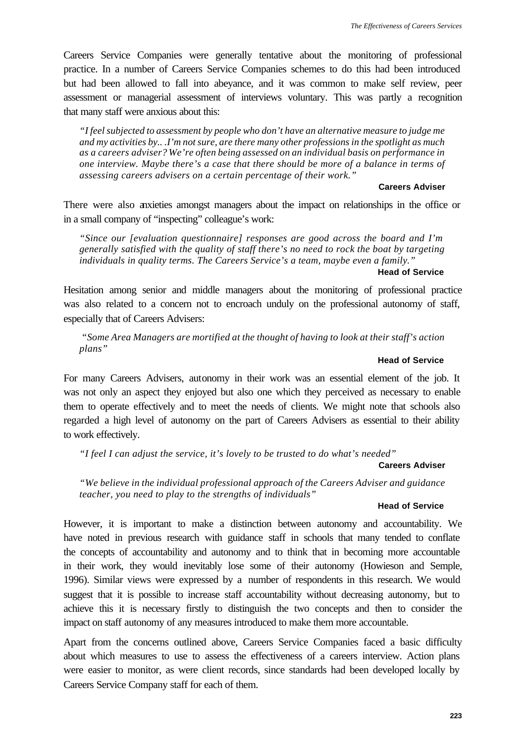Careers Service Companies were generally tentative about the monitoring of professional practice. In a number of Careers Service Companies schemes to do this had been introduced but had been allowed to fall into abeyance, and it was common to make self review, peer assessment or managerial assessment of interviews voluntary. This was partly a recognition that many staff were anxious about this:

*"I feel subjected to assessment by people who don't have an alternative measure to judge me and my activities by.. .I'm not sure, are there many other professions in the spotlight as much as a careers adviser? We're often being assessed on an individual basis on performance in one interview. Maybe there's a case that there should be more of a balance in terms of assessing careers advisers on a certain percentage of their work."*

#### **Careers Adviser**

There were also anxieties amongst managers about the impact on relationships in the office or in a small company of "inspecting" colleague's work:

*"Since our [evaluation questionnaire] responses are good across the board and I'm generally satisfied with the quality of staff there's no need to rock the boat by targeting individuals in quality terms. The Careers Service's a team, maybe even a family."*

#### **Head of Service**

Hesitation among senior and middle managers about the monitoring of professional practice was also related to a concern not to encroach unduly on the professional autonomy of staff, especially that of Careers Advisers:

 *"Some Area Managers are mortified at the thought of having to look at their staff's action plans"*

#### **Head of Service**

For many Careers Advisers, autonomy in their work was an essential element of the job. It was not only an aspect they enjoyed but also one which they perceived as necessary to enable them to operate effectively and to meet the needs of clients. We might note that schools also regarded a high level of autonomy on the part of Careers Advisers as essential to their ability to work effectively.

*"I feel I can adjust the service, it's lovely to be trusted to do what's needed"*

#### **Careers Adviser**

*"We believe in the individual professional approach of the Careers Adviser and guidance teacher, you need to play to the strengths of individuals"*

#### **Head of Service**

However, it is important to make a distinction between autonomy and accountability. We have noted in previous research with guidance staff in schools that many tended to conflate the concepts of accountability and autonomy and to think that in becoming more accountable in their work, they would inevitably lose some of their autonomy (Howieson and Semple, 1996). Similar views were expressed by a number of respondents in this research. We would suggest that it is possible to increase staff accountability without decreasing autonomy, but to achieve this it is necessary firstly to distinguish the two concepts and then to consider the impact on staff autonomy of any measures introduced to make them more accountable.

Apart from the concerns outlined above, Careers Service Companies faced a basic difficulty about which measures to use to assess the effectiveness of a careers interview. Action plans were easier to monitor, as were client records, since standards had been developed locally by Careers Service Company staff for each of them.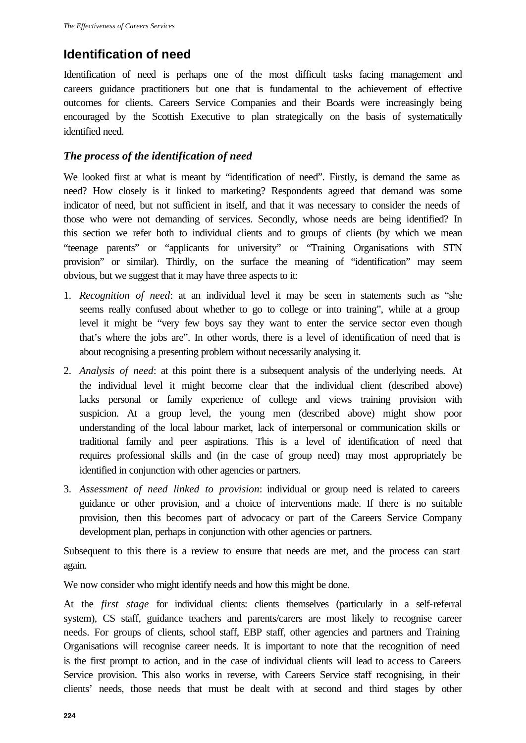# **Identification of need**

Identification of need is perhaps one of the most difficult tasks facing management and careers guidance practitioners but one that is fundamental to the achievement of effective outcomes for clients. Careers Service Companies and their Boards were increasingly being encouraged by the Scottish Executive to plan strategically on the basis of systematically identified need.

# *The process of the identification of need*

We looked first at what is meant by "identification of need". Firstly, is demand the same as need? How closely is it linked to marketing? Respondents agreed that demand was some indicator of need, but not sufficient in itself, and that it was necessary to consider the needs of those who were not demanding of services. Secondly, whose needs are being identified? In this section we refer both to individual clients and to groups of clients (by which we mean "teenage parents" or "applicants for university" or "Training Organisations with STN provision" or similar). Thirdly, on the surface the meaning of "identification" may seem obvious, but we suggest that it may have three aspects to it:

- 1. *Recognition of need*: at an individual level it may be seen in statements such as "she seems really confused about whether to go to college or into training", while at a group level it might be "very few boys say they want to enter the service sector even though that's where the jobs are". In other words, there is a level of identification of need that is about recognising a presenting problem without necessarily analysing it.
- 2. *Analysis of need*: at this point there is a subsequent analysis of the underlying needs. At the individual level it might become clear that the individual client (described above) lacks personal or family experience of college and views training provision with suspicion. At a group level, the young men (described above) might show poor understanding of the local labour market, lack of interpersonal or communication skills or traditional family and peer aspirations. This is a level of identification of need that requires professional skills and (in the case of group need) may most appropriately be identified in conjunction with other agencies or partners.
- 3. *Assessment of need linked to provision*: individual or group need is related to careers guidance or other provision, and a choice of interventions made. If there is no suitable provision, then this becomes part of advocacy or part of the Careers Service Company development plan, perhaps in conjunction with other agencies or partners.

Subsequent to this there is a review to ensure that needs are met, and the process can start again.

We now consider who might identify needs and how this might be done.

At the *first stage* for individual clients: clients themselves (particularly in a self-referral system), CS staff, guidance teachers and parents/carers are most likely to recognise career needs. For groups of clients, school staff, EBP staff, other agencies and partners and Training Organisations will recognise career needs. It is important to note that the recognition of need is the first prompt to action, and in the case of individual clients will lead to access to Careers Service provision. This also works in reverse, with Careers Service staff recognising, in their clients' needs, those needs that must be dealt with at second and third stages by other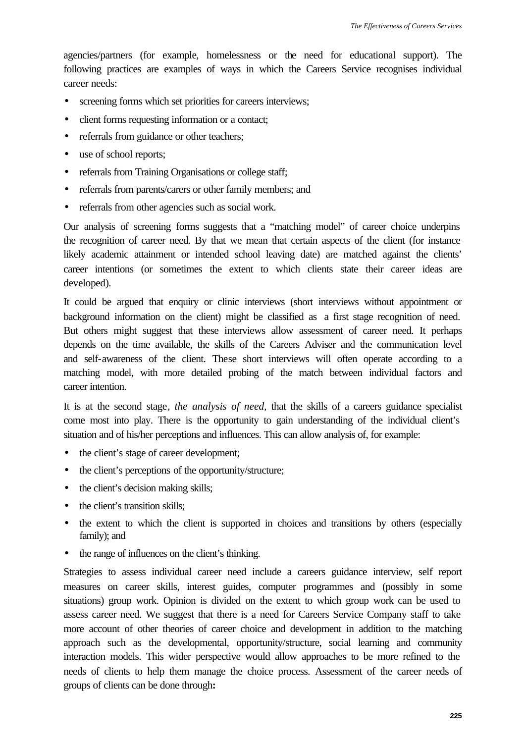agencies/partners (for example, homelessness or the need for educational support). The following practices are examples of ways in which the Careers Service recognises individual career needs:

- screening forms which set priorities for careers interviews;
- client forms requesting information or a contact;
- referrals from guidance or other teachers;
- use of school reports;
- referrals from Training Organisations or college staff;
- referrals from parents/carers or other family members; and
- referrals from other agencies such as social work.

Our analysis of screening forms suggests that a "matching model" of career choice underpins the recognition of career need. By that we mean that certain aspects of the client (for instance likely academic attainment or intended school leaving date) are matched against the clients' career intentions (or sometimes the extent to which clients state their career ideas are developed).

It could be argued that enquiry or clinic interviews (short interviews without appointment or background information on the client) might be classified as a first stage recognition of need. But others might suggest that these interviews allow assessment of career need. It perhaps depends on the time available, the skills of the Careers Adviser and the communication level and self-awareness of the client. These short interviews will often operate according to a matching model, with more detailed probing of the match between individual factors and career intention.

It is at the second stage*, the analysis of need,* that the skills of a careers guidance specialist come most into play. There is the opportunity to gain understanding of the individual client's situation and of his/her perceptions and influences. This can allow analysis of, for example:

- the client's stage of career development;
- the client's perceptions of the opportunity/structure;
- the client's decision making skills;
- the client's transition skills;
- the extent to which the client is supported in choices and transitions by others (especially family); and
- the range of influences on the client's thinking.

Strategies to assess individual career need include a careers guidance interview, self report measures on career skills, interest guides, computer programmes and (possibly in some situations) group work. Opinion is divided on the extent to which group work can be used to assess career need. We suggest that there is a need for Careers Service Company staff to take more account of other theories of career choice and development in addition to the matching approach such as the developmental, opportunity/structure, social learning and community interaction models. This wider perspective would allow approaches to be more refined to the needs of clients to help them manage the choice process. Assessment of the career needs of groups of clients can be done through**:**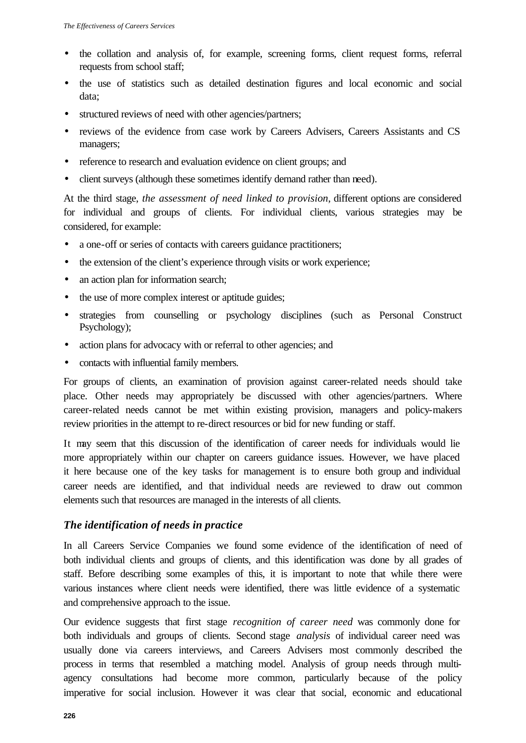- the collation and analysis of, for example, screening forms, client request forms, referral requests from school staff;
- the use of statistics such as detailed destination figures and local economic and social data;
- structured reviews of need with other agencies/partners;
- reviews of the evidence from case work by Careers Advisers, Careers Assistants and CS managers;
- reference to research and evaluation evidence on client groups; and
- client surveys (although these sometimes identify demand rather than need).

At the third stage, *the assessment of need linked to provision*, different options are considered for individual and groups of clients. For individual clients, various strategies may be considered, for example:

- a one-off or series of contacts with careers guidance practitioners;
- the extension of the client's experience through visits or work experience;
- an action plan for information search;
- the use of more complex interest or aptitude guides;
- strategies from counselling or psychology disciplines (such as Personal Construct Psychology);
- action plans for advocacy with or referral to other agencies; and
- contacts with influential family members.

For groups of clients, an examination of provision against career-related needs should take place. Other needs may appropriately be discussed with other agencies/partners. Where career-related needs cannot be met within existing provision, managers and policy-makers review priorities in the attempt to re-direct resources or bid for new funding or staff.

It may seem that this discussion of the identification of career needs for individuals would lie more appropriately within our chapter on careers guidance issues. However, we have placed it here because one of the key tasks for management is to ensure both group and individual career needs are identified, and that individual needs are reviewed to draw out common elements such that resources are managed in the interests of all clients.

#### *The identification of needs in practice*

In all Careers Service Companies we found some evidence of the identification of need of both individual clients and groups of clients, and this identification was done by all grades of staff. Before describing some examples of this, it is important to note that while there were various instances where client needs were identified, there was little evidence of a systematic and comprehensive approach to the issue.

Our evidence suggests that first stage *recognition of career need* was commonly done for both individuals and groups of clients. Second stage *analysis* of individual career need was usually done via careers interviews, and Careers Advisers most commonly described the process in terms that resembled a matching model. Analysis of group needs through multiagency consultations had become more common, particularly because of the policy imperative for social inclusion. However it was clear that social, economic and educational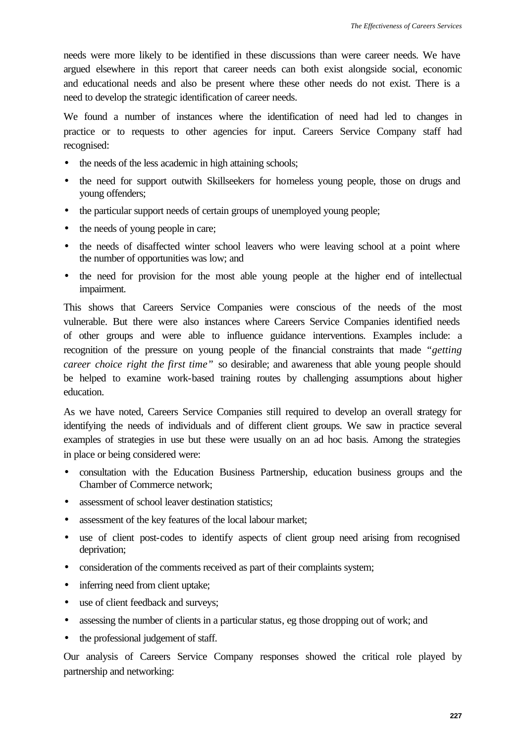needs were more likely to be identified in these discussions than were career needs. We have argued elsewhere in this report that career needs can both exist alongside social, economic and educational needs and also be present where these other needs do not exist. There is a need to develop the strategic identification of career needs.

We found a number of instances where the identification of need had led to changes in practice or to requests to other agencies for input. Careers Service Company staff had recognised:

- the needs of the less academic in high attaining schools;
- the need for support outwith Skillseekers for homeless young people, those on drugs and young offenders;
- the particular support needs of certain groups of unemployed young people;
- the needs of young people in care;
- the needs of disaffected winter school leavers who were leaving school at a point where the number of opportunities was low; and
- the need for provision for the most able young people at the higher end of intellectual impairment.

This shows that Careers Service Companies were conscious of the needs of the most vulnerable. But there were also instances where Careers Service Companies identified needs of other groups and were able to influence guidance interventions. Examples include: a recognition of the pressure on young people of the financial constraints that made *"getting career choice right the first time"* so desirable; and awareness that able young people should be helped to examine work-based training routes by challenging assumptions about higher education.

As we have noted, Careers Service Companies still required to develop an overall strategy for identifying the needs of individuals and of different client groups. We saw in practice several examples of strategies in use but these were usually on an ad hoc basis. Among the strategies in place or being considered were:

- consultation with the Education Business Partnership, education business groups and the Chamber of Commerce network;
- assessment of school leaver destination statistics:
- assessment of the key features of the local labour market;
- use of client post-codes to identify aspects of client group need arising from recognised deprivation;
- consideration of the comments received as part of their complaints system;
- inferring need from client uptake;
- use of client feedback and surveys;
- assessing the number of clients in a particular status, eg those dropping out of work; and
- the professional judgement of staff.

Our analysis of Careers Service Company responses showed the critical role played by partnership and networking: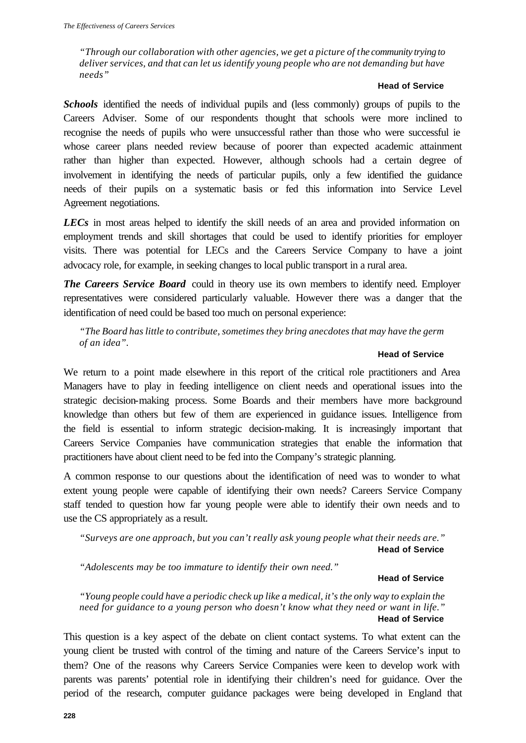*"Through our collaboration with other agencies, we get a picture of the community trying to deliver services, and that can let us identify young people who are not demanding but have needs"*

#### **Head of Service**

*Schools* identified the needs of individual pupils and (less commonly) groups of pupils to the Careers Adviser. Some of our respondents thought that schools were more inclined to recognise the needs of pupils who were unsuccessful rather than those who were successful ie whose career plans needed review because of poorer than expected academic attainment rather than higher than expected. However, although schools had a certain degree of involvement in identifying the needs of particular pupils, only a few identified the guidance needs of their pupils on a systematic basis or fed this information into Service Level Agreement negotiations.

*LECs* in most areas helped to identify the skill needs of an area and provided information on employment trends and skill shortages that could be used to identify priorities for employer visits. There was potential for LECs and the Careers Service Company to have a joint advocacy role, for example, in seeking changes to local public transport in a rural area.

*The Careers Service Board* could in theory use its own members to identify need. Employer representatives were considered particularly valuable. However there was a danger that the identification of need could be based too much on personal experience:

*"The Board has little to contribute, sometimes they bring anecdotes that may have the germ of an idea".*

#### **Head of Service**

We return to a point made elsewhere in this report of the critical role practitioners and Area Managers have to play in feeding intelligence on client needs and operational issues into the strategic decision-making process. Some Boards and their members have more background knowledge than others but few of them are experienced in guidance issues. Intelligence from the field is essential to inform strategic decision-making. It is increasingly important that Careers Service Companies have communication strategies that enable the information that practitioners have about client need to be fed into the Company's strategic planning.

A common response to our questions about the identification of need was to wonder to what extent young people were capable of identifying their own needs? Careers Service Company staff tended to question how far young people were able to identify their own needs and to use the CS appropriately as a result.

*"Surveys are one approach, but you can't really ask young people what their needs are."* **Head of Service**

*"Adolescents may be too immature to identify their own need."*

#### **Head of Service**

*"Young people could have a periodic check up like a medical, it's the only way to explain the need for guidance to a young person who doesn't know what they need or want in life."* **Head of Service**

This question is a key aspect of the debate on client contact systems. To what extent can the young client be trusted with control of the timing and nature of the Careers Service's input to them? One of the reasons why Careers Service Companies were keen to develop work with parents was parents' potential role in identifying their children's need for guidance. Over the period of the research, computer guidance packages were being developed in England that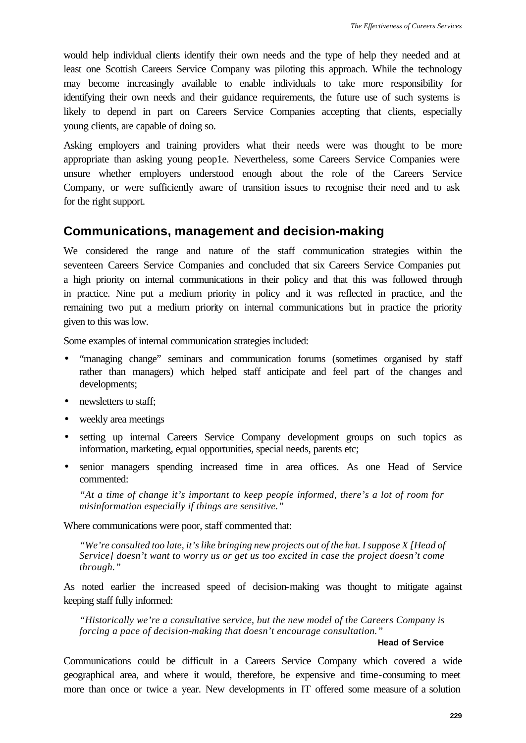would help individual clients identify their own needs and the type of help they needed and at least one Scottish Careers Service Company was piloting this approach. While the technology may become increasingly available to enable individuals to take more responsibility for identifying their own needs and their guidance requirements, the future use of such systems is likely to depend in part on Careers Service Companies accepting that clients, especially young clients, are capable of doing so.

Asking employers and training providers what their needs were was thought to be more appropriate than asking young peop1e. Nevertheless, some Careers Service Companies were unsure whether employers understood enough about the role of the Careers Service Company, or were sufficiently aware of transition issues to recognise their need and to ask for the right support.

# **Communications, management and decision-making**

We considered the range and nature of the staff communication strategies within the seventeen Careers Service Companies and concluded that six Careers Service Companies put a high priority on internal communications in their policy and that this was followed through in practice. Nine put a medium priority in policy and it was reflected in practice, and the remaining two put a medium priority on internal communications but in practice the priority given to this was low.

Some examples of internal communication strategies included:

- "managing change" seminars and communication forums (sometimes organised by staff rather than managers) which helped staff anticipate and feel part of the changes and developments;
- newsletters to staff:
- weekly area meetings
- setting up internal Careers Service Company development groups on such topics as information, marketing, equal opportunities, special needs, parents etc;
- senior managers spending increased time in area offices. As one Head of Service commented:

*"At a time of change it's important to keep people informed, there's a lot of room for misinformation especially if things are sensitive."*

Where communications were poor, staff commented that:

*"We're consulted too late, it's like bringing new projects out of the hat. I suppose X [Head of Service] doesn't want to worry us or get us too excited in case the project doesn't come through."*

As noted earlier the increased speed of decision-making was thought to mitigate against keeping staff fully informed:

*"Historically we're a consultative service, but the new model of the Careers Company is forcing a pace of decision-making that doesn't encourage consultation."*

#### **Head of Service**

Communications could be difficult in a Careers Service Company which covered a wide geographical area, and where it would, therefore, be expensive and time-consuming to meet more than once or twice a year. New developments in IT offered some measure of a solution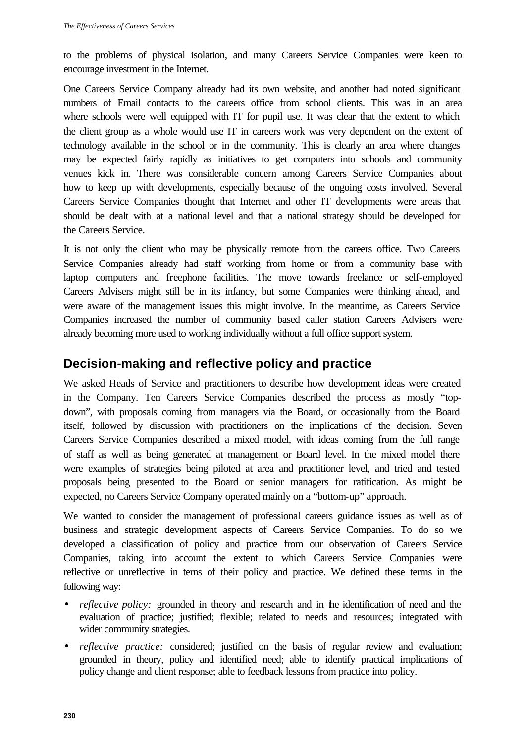to the problems of physical isolation, and many Careers Service Companies were keen to encourage investment in the Internet.

One Careers Service Company already had its own website, and another had noted significant numbers of Email contacts to the careers office from school clients. This was in an area where schools were well equipped with IT for pupil use. It was clear that the extent to which the client group as a whole would use IT in careers work was very dependent on the extent of technology available in the school or in the community. This is clearly an area where changes may be expected fairly rapidly as initiatives to get computers into schools and community venues kick in. There was considerable concern among Careers Service Companies about how to keep up with developments, especially because of the ongoing costs involved. Several Careers Service Companies thought that Internet and other IT developments were areas that should be dealt with at a national level and that a national strategy should be developed for the Careers Service.

It is not only the client who may be physically remote from the careers office. Two Careers Service Companies already had staff working from home or from a community base with laptop computers and freephone facilities. The move towards freelance or self-employed Careers Advisers might still be in its infancy, but some Companies were thinking ahead, and were aware of the management issues this might involve. In the meantime, as Careers Service Companies increased the number of community based caller station Careers Advisers were already becoming more used to working individually without a full office support system.

# **Decision-making and reflective policy and practice**

We asked Heads of Service and practitioners to describe how development ideas were created in the Company. Ten Careers Service Companies described the process as mostly "topdown", with proposals coming from managers via the Board, or occasionally from the Board itself, followed by discussion with practitioners on the implications of the decision. Seven Careers Service Companies described a mixed model, with ideas coming from the full range of staff as well as being generated at management or Board level. In the mixed model there were examples of strategies being piloted at area and practitioner level, and tried and tested proposals being presented to the Board or senior managers for ratification. As might be expected, no Careers Service Company operated mainly on a "bottom-up" approach.

We wanted to consider the management of professional careers guidance issues as well as of business and strategic development aspects of Careers Service Companies. To do so we developed a classification of policy and practice from our observation of Careers Service Companies, taking into account the extent to which Careers Service Companies were reflective or unreflective in terns of their policy and practice. We defined these terms in the following way:

- *reflective policy:* grounded in theory and research and in the identification of need and the evaluation of practice; justified; flexible; related to needs and resources; integrated with wider community strategies.
- *reflective practice:* considered; justified on the basis of regular review and evaluation; grounded in theory, policy and identified need; able to identify practical implications of policy change and client response; able to feedback lessons from practice into policy.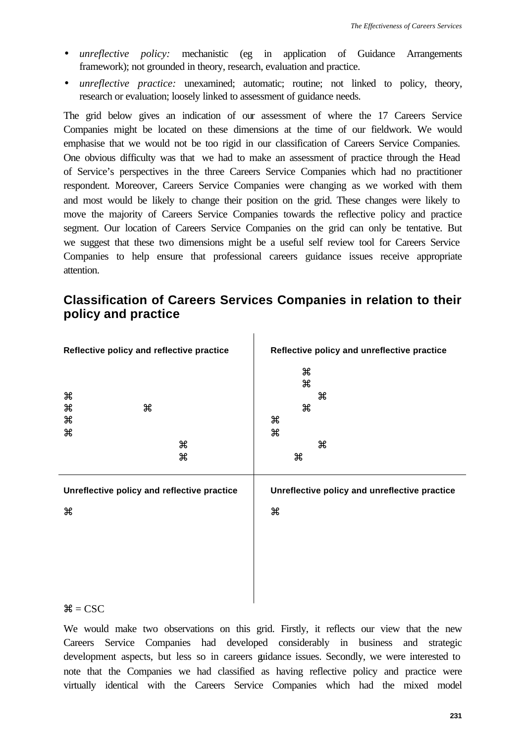- *unreflective policy:* mechanistic (eg in application of Guidance Arrangements framework); not grounded in theory, research, evaluation and practice.
- *unreflective practice:* unexamined; automatic; routine; not linked to policy, theory, research or evaluation; loosely linked to assessment of guidance needs.

The grid below gives an indication of our assessment of where the 17 Careers Service Companies might be located on these dimensions at the time of our fieldwork. We would emphasise that we would not be too rigid in our classification of Careers Service Companies. One obvious difficulty was that we had to make an assessment of practice through the Head of Service's perspectives in the three Careers Service Companies which had no practitioner respondent. Moreover, Careers Service Companies were changing as we worked with them and most would be likely to change their position on the grid. These changes were likely to move the majority of Careers Service Companies towards the reflective policy and practice segment. Our location of Careers Service Companies on the grid can only be tentative. But we suggest that these two dimensions might be a useful self review tool for Careers Service Companies to help ensure that professional careers guidance issues receive appropriate attention.

# **Classification of Careers Services Companies in relation to their policy and practice**

 $\mathbf{I}$ 

| Reflective policy and reflective practice |                                             | Reflective policy and unreflective practice   |
|-------------------------------------------|---------------------------------------------|-----------------------------------------------|
| æ<br>æ<br>æ<br>æ                          | æ<br>æ<br>æ                                 | æ<br>æ<br>æ<br>æ<br>æ<br>æ<br>æ<br>æ          |
|                                           |                                             |                                               |
|                                           | Unreflective policy and reflective practice | Unreflective policy and unreflective practice |
| æ                                         |                                             | æ                                             |
|                                           |                                             |                                               |
|                                           |                                             |                                               |
|                                           |                                             |                                               |

 $\mathcal{E} = \mathbf{C} \mathbf{S} \mathbf{C}$ 

We would make two observations on this grid. Firstly, it reflects our view that the new Careers Service Companies had developed considerably in business and strategic development aspects, but less so in careers guidance issues. Secondly, we were interested to note that the Companies we had classified as having reflective policy and practice were virtually identical with the Careers Service Companies which had the mixed model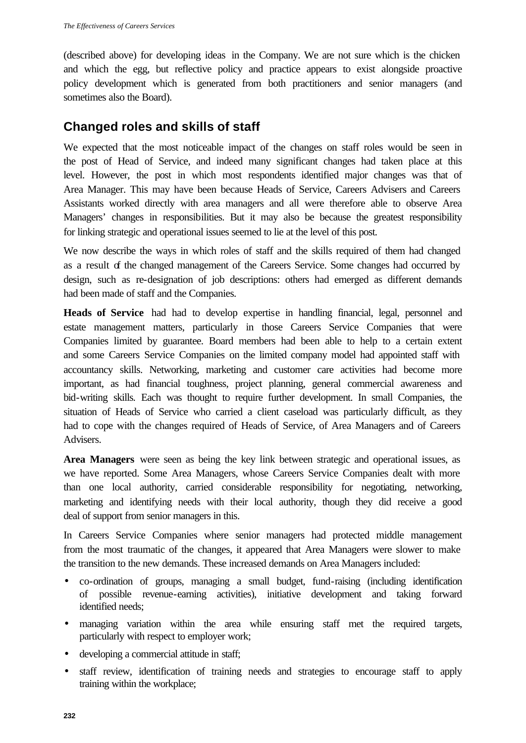(described above) for developing ideas in the Company. We are not sure which is the chicken and which the egg, but reflective policy and practice appears to exist alongside proactive policy development which is generated from both practitioners and senior managers (and sometimes also the Board).

# **Changed roles and skills of staff**

We expected that the most noticeable impact of the changes on staff roles would be seen in the post of Head of Service, and indeed many significant changes had taken place at this level. However, the post in which most respondents identified major changes was that of Area Manager. This may have been because Heads of Service, Careers Advisers and Careers Assistants worked directly with area managers and all were therefore able to observe Area Managers' changes in responsibilities. But it may also be because the greatest responsibility for linking strategic and operational issues seemed to lie at the level of this post.

We now describe the ways in which roles of staff and the skills required of them had changed as a result of the changed management of the Careers Service. Some changes had occurred by design, such as re-designation of job descriptions: others had emerged as different demands had been made of staff and the Companies.

**Heads of Service** had had to develop expertise in handling financial, legal, personnel and estate management matters, particularly in those Careers Service Companies that were Companies limited by guarantee. Board members had been able to help to a certain extent and some Careers Service Companies on the limited company model had appointed staff with accountancy skills. Networking, marketing and customer care activities had become more important, as had financial toughness, project planning, general commercial awareness and bid-writing skills. Each was thought to require further development. In small Companies, the situation of Heads of Service who carried a client caseload was particularly difficult, as they had to cope with the changes required of Heads of Service, of Area Managers and of Careers Advisers.

**Area Managers** were seen as being the key link between strategic and operational issues, as we have reported. Some Area Managers, whose Careers Service Companies dealt with more than one local authority, carried considerable responsibility for negotiating, networking, marketing and identifying needs with their local authority, though they did receive a good deal of support from senior managers in this.

In Careers Service Companies where senior managers had protected middle management from the most traumatic of the changes, it appeared that Area Managers were slower to make the transition to the new demands. These increased demands on Area Managers included:

- co-ordination of groups, managing a small budget, fund-raising (including identification of possible revenue-earning activities), initiative development and taking forward identified needs;
- managing variation within the area while ensuring staff met the required targets, particularly with respect to employer work;
- developing a commercial attitude in staff;
- staff review, identification of training needs and strategies to encourage staff to apply training within the workplace;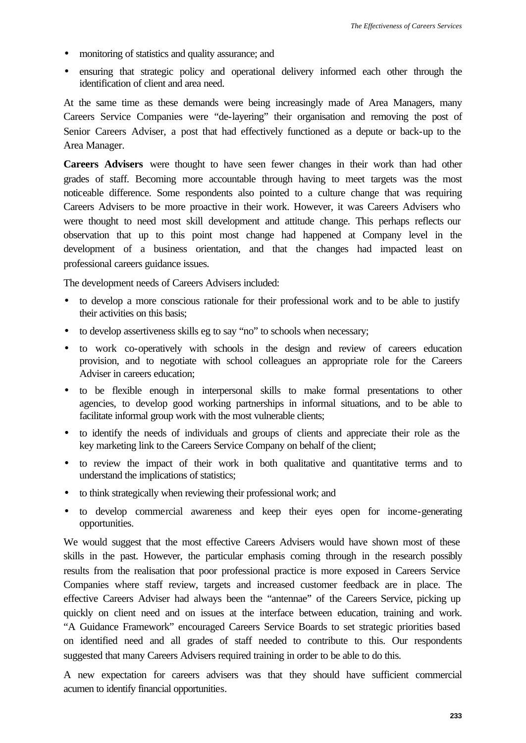- monitoring of statistics and quality assurance; and
- ensuring that strategic policy and operational delivery informed each other through the identification of client and area need.

At the same time as these demands were being increasingly made of Area Managers, many Careers Service Companies were "de-layering" their organisation and removing the post of Senior Careers Adviser, a post that had effectively functioned as a depute or back-up to the Area Manager.

**Careers Advisers** were thought to have seen fewer changes in their work than had other grades of staff. Becoming more accountable through having to meet targets was the most noticeable difference. Some respondents also pointed to a culture change that was requiring Careers Advisers to be more proactive in their work. However, it was Careers Advisers who were thought to need most skill development and attitude change. This perhaps reflects our observation that up to this point most change had happened at Company level in the development of a business orientation, and that the changes had impacted least on professional careers guidance issues.

The development needs of Careers Advisers included:

- to develop a more conscious rationale for their professional work and to be able to justify their activities on this basis;
- to develop assertiveness skills eg to say "no" to schools when necessary;
- to work co-operatively with schools in the design and review of careers education provision, and to negotiate with school colleagues an appropriate role for the Careers Adviser in careers education;
- to be flexible enough in interpersonal skills to make formal presentations to other agencies, to develop good working partnerships in informal situations, and to be able to facilitate informal group work with the most vulnerable clients;
- to identify the needs of individuals and groups of clients and appreciate their role as the key marketing link to the Careers Service Company on behalf of the client;
- to review the impact of their work in both qualitative and quantitative terms and to understand the implications of statistics;
- to think strategically when reviewing their professional work; and
- to develop commercial awareness and keep their eyes open for income-generating opportunities.

We would suggest that the most effective Careers Advisers would have shown most of these skills in the past. However, the particular emphasis coming through in the research possibly results from the realisation that poor professional practice is more exposed in Careers Service Companies where staff review, targets and increased customer feedback are in place. The effective Careers Adviser had always been the "antennae" of the Careers Service, picking up quickly on client need and on issues at the interface between education, training and work. "A Guidance Framework" encouraged Careers Service Boards to set strategic priorities based on identified need and all grades of staff needed to contribute to this. Our respondents suggested that many Careers Advisers required training in order to be able to do this.

A new expectation for careers advisers was that they should have sufficient commercial acumen to identify financial opportunities.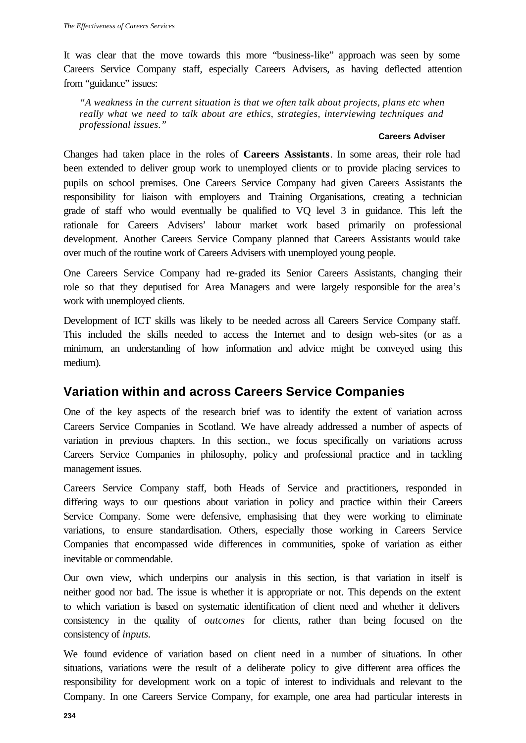*The Effectiveness of Careers Services*

It was clear that the move towards this more "business-like" approach was seen by some Careers Service Company staff, especially Careers Advisers, as having deflected attention from "guidance" issues:

*"A weakness in the current situation is that we often talk about projects, plans etc when really what we need to talk about are ethics, strategies, interviewing techniques and professional issues."*

#### **Careers Adviser**

Changes had taken place in the roles of **Careers Assistants**. In some areas, their role had been extended to deliver group work to unemployed clients or to provide placing services to pupils on school premises. One Careers Service Company had given Careers Assistants the responsibility for liaison with employers and Training Organisations, creating a technician grade of staff who would eventually be qualified to VQ level 3 in guidance. This left the rationale for Careers Advisers' labour market work based primarily on professional development. Another Careers Service Company planned that Careers Assistants would take over much of the routine work of Careers Advisers with unemployed young people.

One Careers Service Company had re-graded its Senior Careers Assistants, changing their role so that they deputised for Area Managers and were largely responsible for the area's work with unemployed clients.

Development of ICT skills was likely to be needed across all Careers Service Company staff. This included the skills needed to access the Internet and to design web-sites (or as a minimum, an understanding of how information and advice might be conveyed using this medium).

# **Variation within and across Careers Service Companies**

One of the key aspects of the research brief was to identify the extent of variation across Careers Service Companies in Scotland. We have already addressed a number of aspects of variation in previous chapters. In this section., we focus specifically on variations across Careers Service Companies in philosophy, policy and professional practice and in tackling management issues.

Careers Service Company staff, both Heads of Service and practitioners, responded in differing ways to our questions about variation in policy and practice within their Careers Service Company. Some were defensive, emphasising that they were working to eliminate variations, to ensure standardisation. Others, especially those working in Careers Service Companies that encompassed wide differences in communities, spoke of variation as either inevitable or commendable.

Our own view, which underpins our analysis in this section, is that variation in itself is neither good nor bad. The issue is whether it is appropriate or not. This depends on the extent to which variation is based on systematic identification of client need and whether it delivers consistency in the quality of *outcomes* for clients, rather than being focused on the consistency of *inputs.*

We found evidence of variation based on client need in a number of situations. In other situations, variations were the result of a deliberate policy to give different area offices the responsibility for development work on a topic of interest to individuals and relevant to the Company. In one Careers Service Company, for example, one area had particular interests in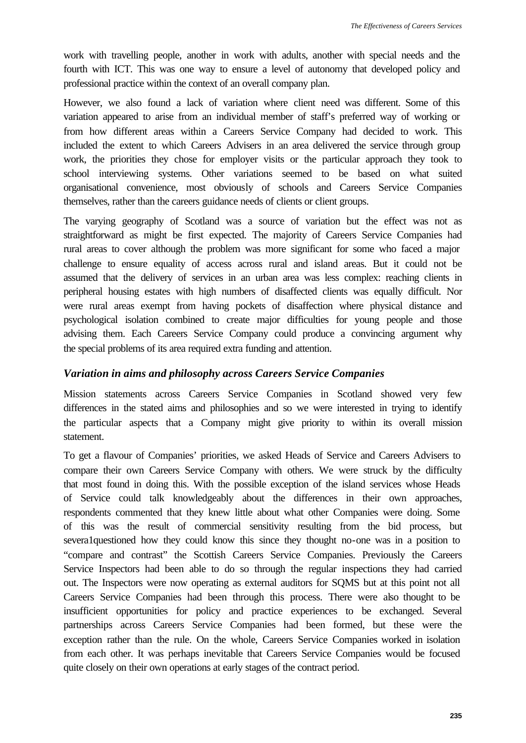work with travelling people, another in work with adults, another with special needs and the fourth with ICT. This was one way to ensure a level of autonomy that developed policy and professional practice within the context of an overall company plan.

However, we also found a lack of variation where client need was different. Some of this variation appeared to arise from an individual member of staff's preferred way of working or from how different areas within a Careers Service Company had decided to work. This included the extent to which Careers Advisers in an area delivered the service through group work, the priorities they chose for employer visits or the particular approach they took to school interviewing systems. Other variations seemed to be based on what suited organisational convenience, most obviously of schools and Careers Service Companies themselves, rather than the careers guidance needs of clients or client groups.

The varying geography of Scotland was a source of variation but the effect was not as straightforward as might be first expected. The majority of Careers Service Companies had rural areas to cover although the problem was more significant for some who faced a major challenge to ensure equality of access across rural and island areas. But it could not be assumed that the delivery of services in an urban area was less complex: reaching clients in peripheral housing estates with high numbers of disaffected clients was equally difficult. Nor were rural areas exempt from having pockets of disaffection where physical distance and psychological isolation combined to create major difficulties for young people and those advising them. Each Careers Service Company could produce a convincing argument why the special problems of its area required extra funding and attention.

#### *Variation in aims and philosophy across Careers Service Companies*

Mission statements across Careers Service Companies in Scotland showed very few differences in the stated aims and philosophies and so we were interested in trying to identify the particular aspects that a Company might give priority to within its overall mission statement.

To get a flavour of Companies' priorities, we asked Heads of Service and Careers Advisers to compare their own Careers Service Company with others. We were struck by the difficulty that most found in doing this. With the possible exception of the island services whose Heads of Service could talk knowledgeably about the differences in their own approaches, respondents commented that they knew little about what other Companies were doing. Some of this was the result of commercial sensitivity resulting from the bid process, but severa1questioned how they could know this since they thought no-one was in a position to "compare and contrast" the Scottish Careers Service Companies. Previously the Careers Service Inspectors had been able to do so through the regular inspections they had carried out. The Inspectors were now operating as external auditors for SQMS but at this point not all Careers Service Companies had been through this process. There were also thought to be insufficient opportunities for policy and practice experiences to be exchanged. Several partnerships across Careers Service Companies had been formed, but these were the exception rather than the rule. On the whole, Careers Service Companies worked in isolation from each other. It was perhaps inevitable that Careers Service Companies would be focused quite closely on their own operations at early stages of the contract period.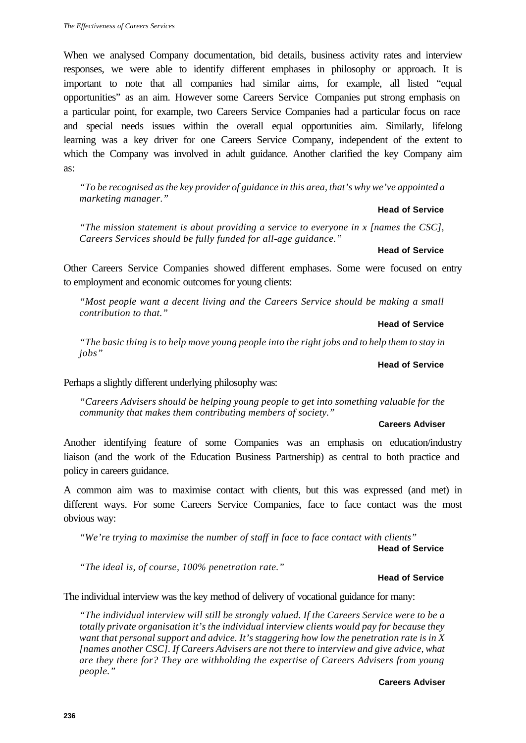*The Effectiveness of Careers Services*

When we analysed Company documentation, bid details, business activity rates and interview responses, we were able to identify different emphases in philosophy or approach. It is important to note that all companies had similar aims, for example, all listed "equal opportunities" as an aim. However some Careers Service Companies put strong emphasis on a particular point, for example, two Careers Service Companies had a particular focus on race and special needs issues within the overall equal opportunities aim. Similarly, lifelong learning was a key driver for one Careers Service Company, independent of the extent to which the Company was involved in adult guidance. Another clarified the key Company aim as:

*"To be recognised as the key provider of guidance in this area, that's why we've appointed a marketing manager."*

#### **Head of Service**

*"The mission statement is about providing a service to everyone in x [names the CSC], Careers Services should be fully funded for all-age guidance."*

**Head of Service**

Other Careers Service Companies showed different emphases. Some were focused on entry to employment and economic outcomes for young clients:

*"Most people want a decent living and the Careers Service should be making a small contribution to that."*

**Head of Service**

*"The basic thing is to help move young people into the right jobs and to help them to stay in jobs"*

**Head of Service**

Perhaps a slightly different underlying philosophy was:

*"Careers Advisers should be helping young people to get into something valuable for the community that makes them contributing members of society."*

#### **Careers Adviser**

Another identifying feature of some Companies was an emphasis on education/industry liaison (and the work of the Education Business Partnership) as central to both practice and policy in careers guidance.

A common aim was to maximise contact with clients, but this was expressed (and met) in different ways. For some Careers Service Companies, face to face contact was the most obvious way:

*"We're trying to maximise the number of staff in face to face contact with clients"* 

**Head of Service**

*"The ideal is, of course, 100% penetration rate."*

**Head of Service**

The individual interview was the key method of delivery of vocational guidance for many:

*"The individual interview will still be strongly valued. If the Careers Service were to be a totally private organisation it's the individual interview clients would pay for because they want that personal support and advice. It's staggering how low the penetration rate is in X [names another CSC]. If Careers Advisers are not there to interview and give advice, what are they there for? They are withholding the expertise of Careers Advisers from young people."*

**Careers Adviser**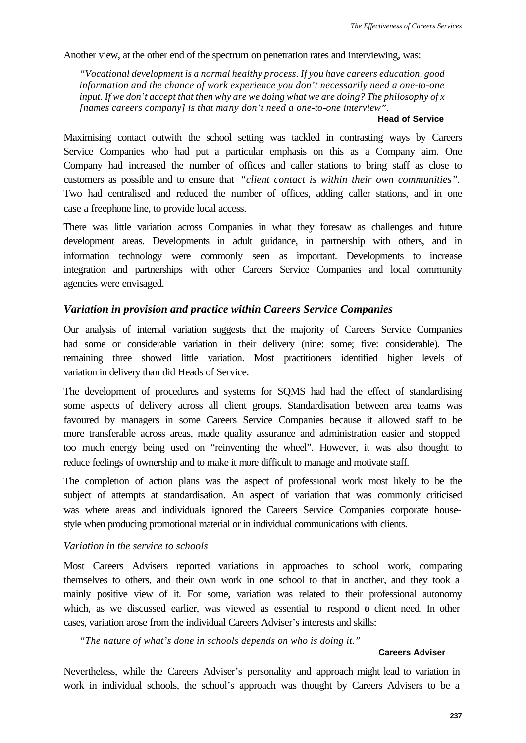Another view, at the other end of the spectrum on penetration rates and interviewing, was:

*"Vocational development is a normal healthy process. If you have careers education, good information and the chance of work experience you don't necessarily need a one-to-one input. If we don't accept that then why are we doing what we are doing? The philosophy of x [names careers company] is that many don't need a one-to-one interview".*

#### **Head of Service**

Maximising contact outwith the school setting was tackled in contrasting ways by Careers Service Companies who had put a particular emphasis on this as a Company aim. One Company had increased the number of offices and caller stations to bring staff as close to customers as possible and to ensure that *"client contact is within their own communities".*  Two had centralised and reduced the number of offices, adding caller stations, and in one case a freephone line, to provide local access.

There was little variation across Companies in what they foresaw as challenges and future development areas. Developments in adult guidance, in partnership with others, and in information technology were commonly seen as important. Developments to increase integration and partnerships with other Careers Service Companies and local community agencies were envisaged.

#### *Variation in provision and practice within Careers Service Companies*

Our analysis of internal variation suggests that the majority of Careers Service Companies had some or considerable variation in their delivery (nine: some; five: considerable). The remaining three showed little variation. Most practitioners identified higher levels of variation in delivery than did Heads of Service.

The development of procedures and systems for SQMS had had the effect of standardising some aspects of delivery across all client groups. Standardisation between area teams was favoured by managers in some Careers Service Companies because it allowed staff to be more transferable across areas, made quality assurance and administration easier and stopped too much energy being used on "reinventing the wheel". However, it was also thought to reduce feelings of ownership and to make it more difficult to manage and motivate staff.

The completion of action plans was the aspect of professional work most likely to be the subject of attempts at standardisation. An aspect of variation that was commonly criticised was where areas and individuals ignored the Careers Service Companies corporate housestyle when producing promotional material or in individual communications with clients.

#### *Variation in the service to schools*

Most Careers Advisers reported variations in approaches to school work, comparing themselves to others, and their own work in one school to that in another, and they took a mainly positive view of it. For some, variation was related to their professional autonomy which, as we discussed earlier, was viewed as essential to respond to client need. In other cases, variation arose from the individual Careers Adviser's interests and skills:

*"The nature of what's done in schools depends on who is doing it."*

#### **Careers Adviser**

Nevertheless, while the Careers Adviser's personality and approach might lead to variation in work in individual schools, the school's approach was thought by Careers Advisers to be a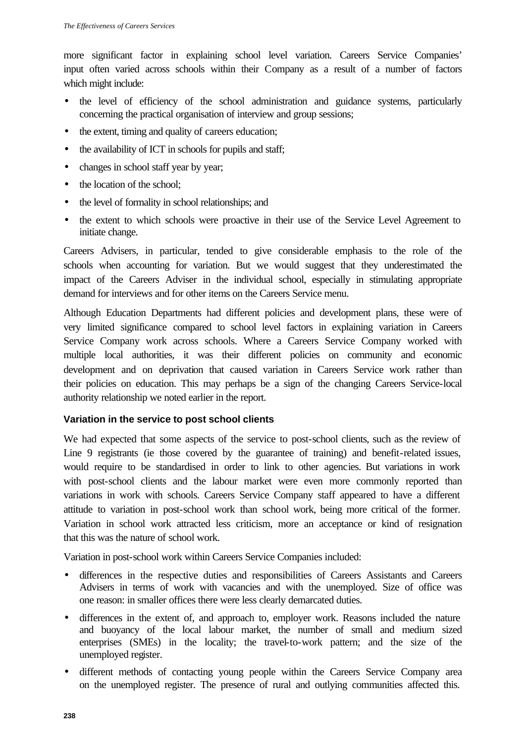more significant factor in explaining school level variation. Careers Service Companies' input often varied across schools within their Company as a result of a number of factors which might include:

- the level of efficiency of the school administration and guidance systems, particularly concerning the practical organisation of interview and group sessions;
- the extent, timing and quality of careers education;
- the availability of ICT in schools for pupils and staff;
- changes in school staff year by year;
- the location of the school;
- the level of formality in school relationships; and
- the extent to which schools were proactive in their use of the Service Level Agreement to initiate change.

Careers Advisers, in particular, tended to give considerable emphasis to the role of the schools when accounting for variation. But we would suggest that they underestimated the impact of the Careers Adviser in the individual school, especially in stimulating appropriate demand for interviews and for other items on the Careers Service menu.

Although Education Departments had different policies and development plans, these were of very limited significance compared to school level factors in explaining variation in Careers Service Company work across schools. Where a Careers Service Company worked with multiple local authorities, it was their different policies on community and economic development and on deprivation that caused variation in Careers Service work rather than their policies on education. This may perhaps be a sign of the changing Careers Service-local authority relationship we noted earlier in the report.

#### **Variation in the service to post school clients**

We had expected that some aspects of the service to post-school clients, such as the review of Line 9 registrants (ie those covered by the guarantee of training) and benefit-related issues, would require to be standardised in order to link to other agencies. But variations in work with post-school clients and the labour market were even more commonly reported than variations in work with schools. Careers Service Company staff appeared to have a different attitude to variation in post-school work than school work, being more critical of the former. Variation in school work attracted less criticism, more an acceptance or kind of resignation that this was the nature of school work.

Variation in post-school work within Careers Service Companies included:

- differences in the respective duties and responsibilities of Careers Assistants and Careers Advisers in terms of work with vacancies and with the unemployed. Size of office was one reason: in smaller offices there were less clearly demarcated duties.
- differences in the extent of, and approach to, employer work. Reasons included the nature and buoyancy of the local labour market, the number of small and medium sized enterprises (SMEs) in the locality; the travel-to-work pattern; and the size of the unemployed register.
- different methods of contacting young people within the Careers Service Company area on the unemployed register. The presence of rural and outlying communities affected this.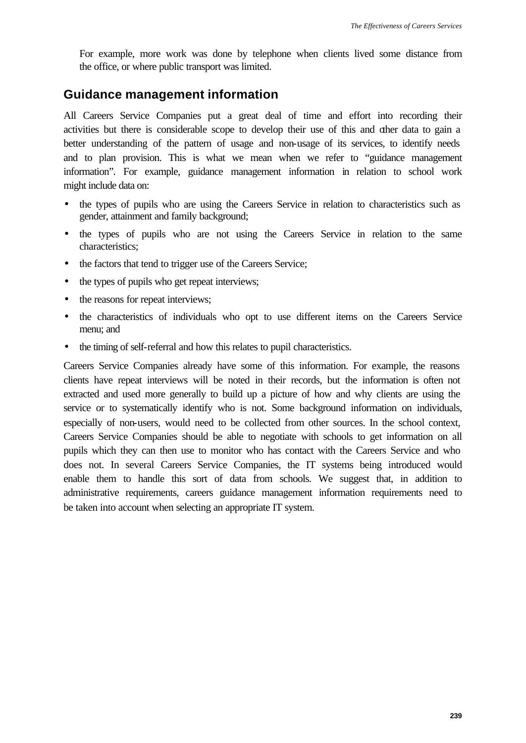For example, more work was done by telephone when clients lived some distance from the office, or where public transport was limited.

## **Guidance management information**

All Careers Service Companies put a great deal of time and effort into recording their activities but there is considerable scope to develop their use of this and other data to gain a better understanding of the pattern of usage and non-usage of its services, to identify needs and to plan provision. This is what we mean when we refer to "guidance management information". For example, guidance management information in relation to school work might include data on:

- the types of pupils who are using the Careers Service in relation to characteristics such as gender, attainment and family background;
- the types of pupils who are not using the Careers Service in relation to the same characteristics;
- the factors that tend to trigger use of the Careers Service;
- the types of pupils who get repeat interviews;
- the reasons for repeat interviews;
- the characteristics of individuals who opt to use different items on the Careers Service menu; and
- the timing of self-referral and how this relates to pupil characteristics.

Careers Service Companies already have some of this information. For example, the reasons clients have repeat interviews will be noted in their records, but the information is often not extracted and used more generally to build up a picture of how and why clients are using the service or to systematically identify who is not. Some background information on individuals, especially of non-users, would need to be collected from other sources. In the school context, Careers Service Companies should be able to negotiate with schools to get information on all pupils which they can then use to monitor who has contact with the Careers Service and who does not. In several Careers Service Companies, the IT systems being introduced would enable them to handle this sort of data from schools. We suggest that, in addition to administrative requirements, careers guidance management information requirements need to be taken into account when selecting an appropriate IT system.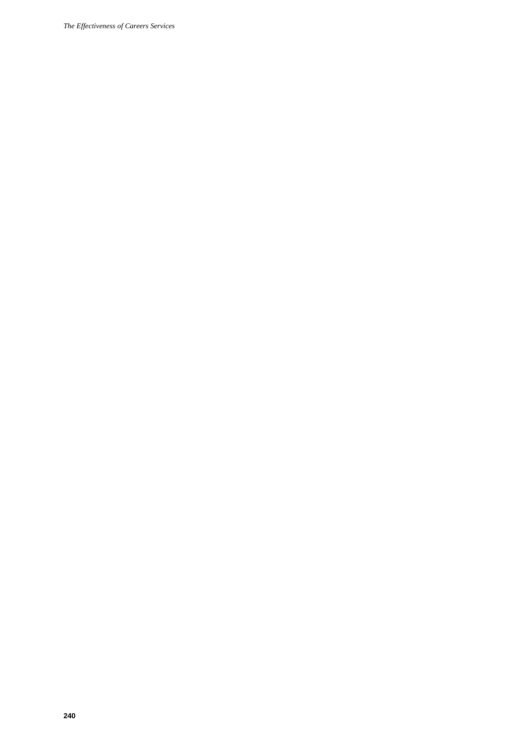*The Effectiveness of Careers Services*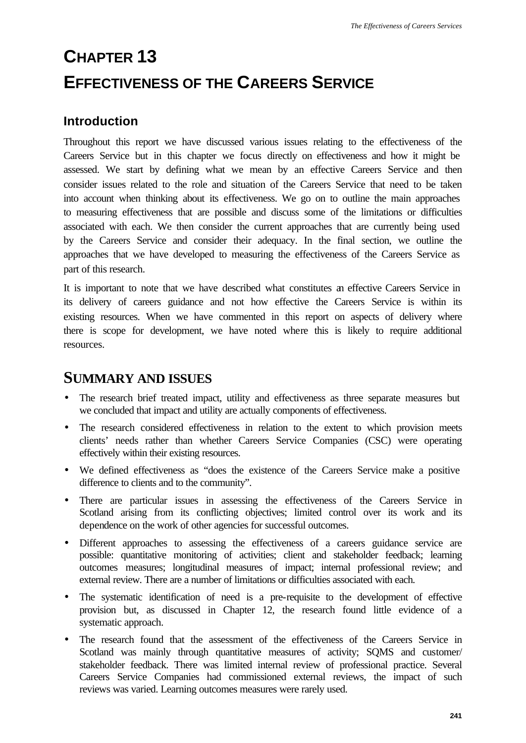# **CHAPTER 13 EFFECTIVENESS OF THE CAREERS SERVICE**

## **Introduction**

Throughout this report we have discussed various issues relating to the effectiveness of the Careers Service but in this chapter we focus directly on effectiveness and how it might be assessed. We start by defining what we mean by an effective Careers Service and then consider issues related to the role and situation of the Careers Service that need to be taken into account when thinking about its effectiveness. We go on to outline the main approaches to measuring effectiveness that are possible and discuss some of the limitations or difficulties associated with each. We then consider the current approaches that are currently being used by the Careers Service and consider their adequacy. In the final section, we outline the approaches that we have developed to measuring the effectiveness of the Careers Service as part of this research.

It is important to note that we have described what constitutes an effective Careers Service in its delivery of careers guidance and not how effective the Careers Service is within its existing resources. When we have commented in this report on aspects of delivery where there is scope for development, we have noted where this is likely to require additional resources.

# **SUMMARY AND ISSUES**

- The research brief treated impact, utility and effectiveness as three separate measures but we concluded that impact and utility are actually components of effectiveness.
- The research considered effectiveness in relation to the extent to which provision meets clients' needs rather than whether Careers Service Companies (CSC) were operating effectively within their existing resources.
- We defined effectiveness as "does the existence of the Careers Service make a positive difference to clients and to the community".
- There are particular issues in assessing the effectiveness of the Careers Service in Scotland arising from its conflicting objectives; limited control over its work and its dependence on the work of other agencies for successful outcomes.
- Different approaches to assessing the effectiveness of a careers guidance service are possible: quantitative monitoring of activities; client and stakeholder feedback; learning outcomes measures; longitudinal measures of impact; internal professional review; and external review. There are a number of limitations or difficulties associated with each.
- The systematic identification of need is a pre-requisite to the development of effective provision but, as discussed in Chapter 12, the research found little evidence of a systematic approach.
- The research found that the assessment of the effectiveness of the Careers Service in Scotland was mainly through quantitative measures of activity; SOMS and customer/ stakeholder feedback. There was limited internal review of professional practice. Several Careers Service Companies had commissioned external reviews, the impact of such reviews was varied. Learning outcomes measures were rarely used.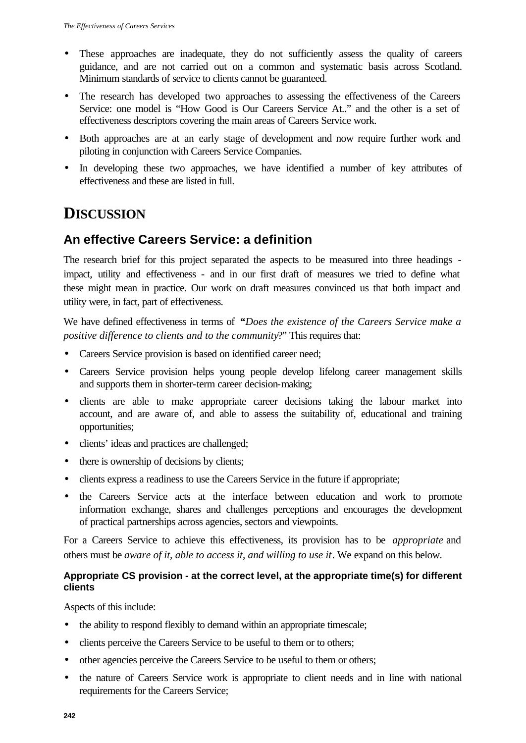- These approaches are inadequate, they do not sufficiently assess the quality of careers guidance, and are not carried out on a common and systematic basis across Scotland. Minimum standards of service to clients cannot be guaranteed.
- The research has developed two approaches to assessing the effectiveness of the Careers Service: one model is "How Good is Our Careers Service At.." and the other is a set of effectiveness descriptors covering the main areas of Careers Service work.
- Both approaches are at an early stage of development and now require further work and piloting in conjunction with Careers Service Companies.
- In developing these two approaches, we have identified a number of key attributes of effectiveness and these are listed in full.

# **DISCUSSION**

# **An effective Careers Service: a definition**

The research brief for this project separated the aspects to be measured into three headings impact, utility and effectiveness - and in our first draft of measures we tried to define what these might mean in practice. Our work on draft measures convinced us that both impact and utility were, in fact, part of effectiveness.

We have defined effectiveness in terms of **"***Does the existence of the Careers Service make a positive difference to clients and to the community*?" This requires that:

- Careers Service provision is based on identified career need;
- Careers Service provision helps young people develop lifelong career management skills and supports them in shorter-term career decision-making;
- clients are able to make appropriate career decisions taking the labour market into account, and are aware of, and able to assess the suitability of, educational and training opportunities;
- clients' ideas and practices are challenged;
- there is ownership of decisions by clients;
- clients express a readiness to use the Careers Service in the future if appropriate;
- the Careers Service acts at the interface between education and work to promote information exchange, shares and challenges perceptions and encourages the development of practical partnerships across agencies, sectors and viewpoints.

For a Careers Service to achieve this effectiveness, its provision has to be *appropriate* and others must be *aware of it, able to access it, and willing to use it*. We expand on this below.

#### **Appropriate CS provision - at the correct level, at the appropriate time(s) for different clients**

Aspects of this include:

- the ability to respond flexibly to demand within an appropriate timescale;
- clients perceive the Careers Service to be useful to them or to others;
- other agencies perceive the Careers Service to be useful to them or others;
- the nature of Careers Service work is appropriate to client needs and in line with national requirements for the Careers Service;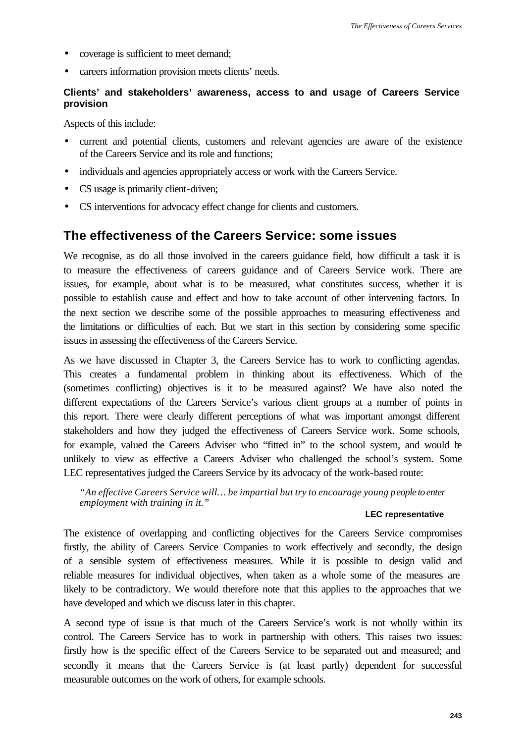- coverage is sufficient to meet demand;
- careers information provision meets clients' needs.

#### **Clients' and stakeholders' awareness, access to and usage of Careers Service provision**

Aspects of this include:

- current and potential clients, customers and relevant agencies are aware of the existence of the Careers Service and its role and functions;
- individuals and agencies appropriately access or work with the Careers Service.
- CS usage is primarily client-driven;
- CS interventions for advocacy effect change for clients and customers.

# **The effectiveness of the Careers Service: some issues**

We recognise, as do all those involved in the careers guidance field, how difficult a task it is to measure the effectiveness of careers guidance and of Careers Service work. There are issues, for example, about what is to be measured, what constitutes success, whether it is possible to establish cause and effect and how to take account of other intervening factors. In the next section we describe some of the possible approaches to measuring effectiveness and the limitations or difficulties of each. But we start in this section by considering some specific issues in assessing the effectiveness of the Careers Service.

As we have discussed in Chapter 3, the Careers Service has to work to conflicting agendas. This creates a fundamental problem in thinking about its effectiveness. Which of the (sometimes conflicting) objectives is it to be measured against? We have also noted the different expectations of the Careers Service's various client groups at a number of points in this report. There were clearly different perceptions of what was important amongst different stakeholders and how they judged the effectiveness of Careers Service work. Some schools, for example, valued the Careers Adviser who "fitted in" to the school system, and would be unlikely to view as effective a Careers Adviser who challenged the school's system. Some LEC representatives judged the Careers Service by its advocacy of the work-based route:

*"An effective Careers Service will… be impartial but try to encourage young people to enter employment with training in it."* 

#### **LEC representative**

The existence of overlapping and conflicting objectives for the Careers Service compromises firstly, the ability of Careers Service Companies to work effectively and secondly, the design of a sensible system of effectiveness measures. While it is possible to design valid and reliable measures for individual objectives, when taken as a whole some of the measures are likely to be contradictory. We would therefore note that this applies to the approaches that we have developed and which we discuss later in this chapter.

A second type of issue is that much of the Careers Service's work is not wholly within its control. The Careers Service has to work in partnership with others. This raises two issues: firstly how is the specific effect of the Careers Service to be separated out and measured; and secondly it means that the Careers Service is (at least partly) dependent for successful measurable outcomes on the work of others, for example schools.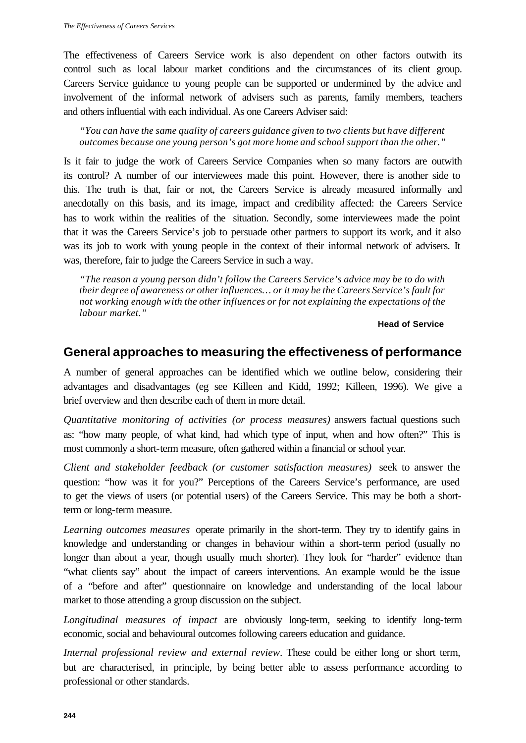The effectiveness of Careers Service work is also dependent on other factors outwith its control such as local labour market conditions and the circumstances of its client group. Careers Service guidance to young people can be supported or undermined by the advice and involvement of the informal network of advisers such as parents, family members, teachers and others influential with each individual. As one Careers Adviser said:

*"You can have the same quality of careers guidance given to two clients but have different outcomes because one young person's got more home and school support than the other."*

Is it fair to judge the work of Careers Service Companies when so many factors are outwith its control? A number of our interviewees made this point. However, there is another side to this. The truth is that, fair or not, the Careers Service is already measured informally and anecdotally on this basis, and its image, impact and credibility affected: the Careers Service has to work within the realities of the situation. Secondly, some interviewees made the point that it was the Careers Service's job to persuade other partners to support its work, and it also was its job to work with young people in the context of their informal network of advisers. It was, therefore, fair to judge the Careers Service in such a way.

*"The reason a young person didn't follow the Careers Service's advice may be to do with their degree of awareness or other influences… or it may be the Careers Service's fault for not working enough with the other influences or for not explaining the expectations of the labour market."*

#### **Head of Service**

# **General approaches to measuring the effectiveness of performance**

A number of general approaches can be identified which we outline below, considering their advantages and disadvantages (eg see Killeen and Kidd, 1992; Killeen, 1996). We give a brief overview and then describe each of them in more detail.

*Quantitative monitoring of activities (or process measures)* answers factual questions such as: "how many people, of what kind, had which type of input, when and how often?" This is most commonly a short-term measure, often gathered within a financial or school year.

*Client and stakeholder feedback (or customer satisfaction measures)* seek to answer the question: "how was it for you?" Perceptions of the Careers Service's performance, are used to get the views of users (or potential users) of the Careers Service. This may be both a shortterm or long-term measure.

*Learning outcomes measures* operate primarily in the short-term. They try to identify gains in knowledge and understanding or changes in behaviour within a short-term period (usually no longer than about a year, though usually much shorter). They look for "harder" evidence than "what clients say" about the impact of careers interventions. An example would be the issue of a "before and after" questionnaire on knowledge and understanding of the local labour market to those attending a group discussion on the subject.

*Longitudinal measures of impact* are obviously long-term, seeking to identify long-term economic, social and behavioural outcomes following careers education and guidance.

*Internal professional review and external review*. These could be either long or short term, but are characterised, in principle, by being better able to assess performance according to professional or other standards.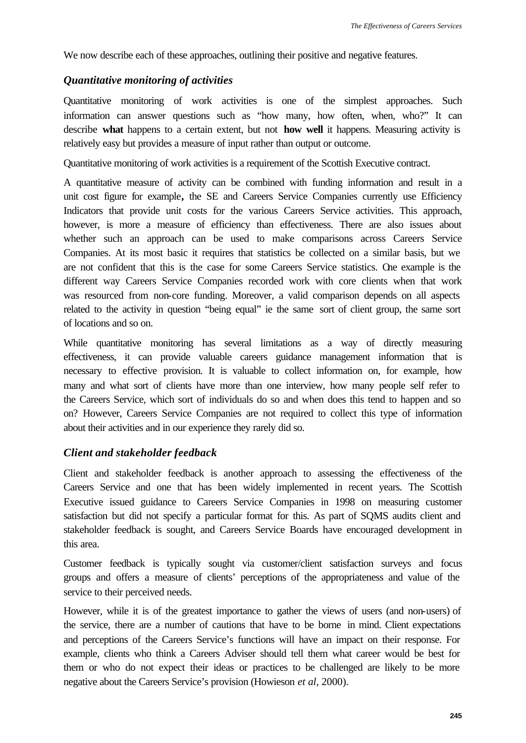We now describe each of these approaches, outlining their positive and negative features.

### *Quantitative monitoring of activities*

Quantitative monitoring of work activities is one of the simplest approaches. Such information can answer questions such as "how many, how often, when, who?" It can describe **what** happens to a certain extent, but not **how well** it happens. Measuring activity is relatively easy but provides a measure of input rather than output or outcome.

Quantitative monitoring of work activities is a requirement of the Scottish Executive contract.

A quantitative measure of activity can be combined with funding information and result in a unit cost figure for example**,** the SE and Careers Service Companies currently use Efficiency Indicators that provide unit costs for the various Careers Service activities. This approach, however, is more a measure of efficiency than effectiveness. There are also issues about whether such an approach can be used to make comparisons across Careers Service Companies. At its most basic it requires that statistics be collected on a similar basis, but we are not confident that this is the case for some Careers Service statistics. One example is the different way Careers Service Companies recorded work with core clients when that work was resourced from non-core funding. Moreover, a valid comparison depends on all aspects related to the activity in question "being equal" ie the same sort of client group, the same sort of locations and so on.

While quantitative monitoring has several limitations as a way of directly measuring effectiveness, it can provide valuable careers guidance management information that is necessary to effective provision. It is valuable to collect information on, for example, how many and what sort of clients have more than one interview, how many people self refer to the Careers Service, which sort of individuals do so and when does this tend to happen and so on? However, Careers Service Companies are not required to collect this type of information about their activities and in our experience they rarely did so.

## *Client and stakeholder feedback*

Client and stakeholder feedback is another approach to assessing the effectiveness of the Careers Service and one that has been widely implemented in recent years. The Scottish Executive issued guidance to Careers Service Companies in 1998 on measuring customer satisfaction but did not specify a particular format for this. As part of SQMS audits client and stakeholder feedback is sought, and Careers Service Boards have encouraged development in this area.

Customer feedback is typically sought via customer/client satisfaction surveys and focus groups and offers a measure of clients' perceptions of the appropriateness and value of the service to their perceived needs.

However, while it is of the greatest importance to gather the views of users (and non-users) of the service, there are a number of cautions that have to be borne in mind. Client expectations and perceptions of the Careers Service's functions will have an impact on their response. For example, clients who think a Careers Adviser should tell them what career would be best for them or who do not expect their ideas or practices to be challenged are likely to be more negative about the Careers Service's provision (Howieson *et al*, 2000).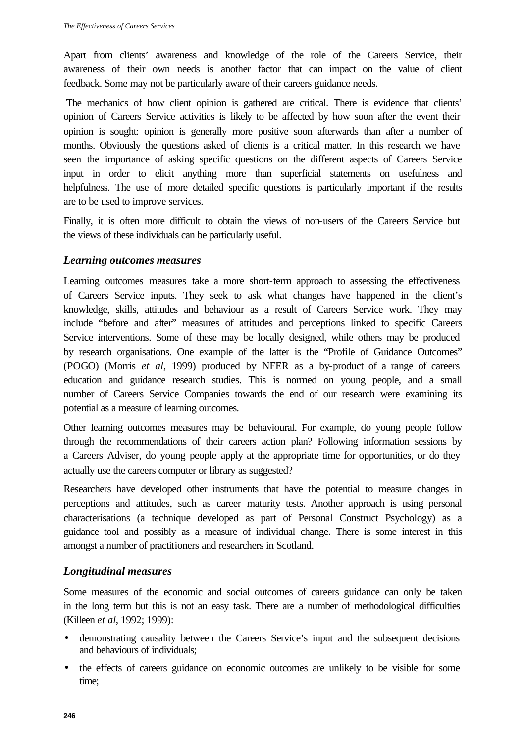Apart from clients' awareness and knowledge of the role of the Careers Service, their awareness of their own needs is another factor that can impact on the value of client feedback. Some may not be particularly aware of their careers guidance needs.

 The mechanics of how client opinion is gathered are critical. There is evidence that clients' opinion of Careers Service activities is likely to be affected by how soon after the event their opinion is sought: opinion is generally more positive soon afterwards than after a number of months. Obviously the questions asked of clients is a critical matter. In this research we have seen the importance of asking specific questions on the different aspects of Careers Service input in order to elicit anything more than superficial statements on usefulness and helpfulness. The use of more detailed specific questions is particularly important if the results are to be used to improve services.

Finally, it is often more difficult to obtain the views of non-users of the Careers Service but the views of these individuals can be particularly useful.

## *Learning outcomes measures*

Learning outcomes measures take a more short-term approach to assessing the effectiveness of Careers Service inputs. They seek to ask what changes have happened in the client's knowledge, skills, attitudes and behaviour as a result of Careers Service work. They may include "before and after" measures of attitudes and perceptions linked to specific Careers Service interventions. Some of these may be locally designed, while others may be produced by research organisations. One example of the latter is the "Profile of Guidance Outcomes" (POGO) (Morris *et al*, 1999) produced by NFER as a by-product of a range of careers education and guidance research studies. This is normed on young people, and a small number of Careers Service Companies towards the end of our research were examining its potential as a measure of learning outcomes.

Other learning outcomes measures may be behavioural. For example, do young people follow through the recommendations of their careers action plan? Following information sessions by a Careers Adviser, do young people apply at the appropriate time for opportunities, or do they actually use the careers computer or library as suggested?

Researchers have developed other instruments that have the potential to measure changes in perceptions and attitudes, such as career maturity tests. Another approach is using personal characterisations (a technique developed as part of Personal Construct Psychology) as a guidance tool and possibly as a measure of individual change. There is some interest in this amongst a number of practitioners and researchers in Scotland.

## *Longitudinal measures*

Some measures of the economic and social outcomes of careers guidance can only be taken in the long term but this is not an easy task. There are a number of methodological difficulties (Killeen *et al*, 1992; 1999):

- demonstrating causality between the Careers Service's input and the subsequent decisions and behaviours of individuals;
- the effects of careers guidance on economic outcomes are unlikely to be visible for some time;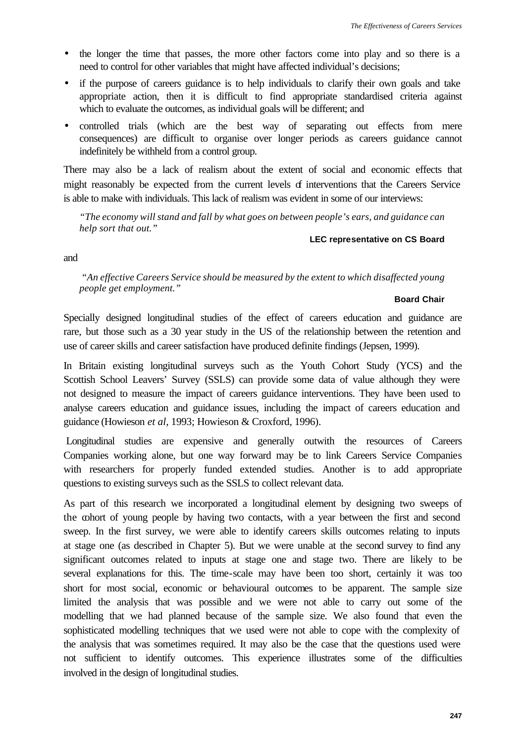- the longer the time that passes, the more other factors come into play and so there is a need to control for other variables that might have affected individual's decisions;
- if the purpose of careers guidance is to help individuals to clarify their own goals and take appropriate action, then it is difficult to find appropriate standardised criteria against which to evaluate the outcomes, as individual goals will be different; and
- controlled trials (which are the best way of separating out effects from mere consequences) are difficult to organise over longer periods as careers guidance cannot indefinitely be withheld from a control group.

There may also be a lack of realism about the extent of social and economic effects that might reasonably be expected from the current levels of interventions that the Careers Service is able to make with individuals. This lack of realism was evident in some of our interviews:

*"The economy will stand and fall by what goes on between people's ears, and guidance can help sort that out."* 

#### **LEC representative on CS Board**

and

 *"An effective Careers Service should be measured by the extent to which disaffected young people get employment."* 

#### **Board Chair**

Specially designed longitudinal studies of the effect of careers education and guidance are rare, but those such as a 30 year study in the US of the relationship between the retention and use of career skills and career satisfaction have produced definite findings (Jepsen, 1999).

In Britain existing longitudinal surveys such as the Youth Cohort Study (YCS) and the Scottish School Leavers' Survey (SSLS) can provide some data of value although they were not designed to measure the impact of careers guidance interventions. They have been used to analyse careers education and guidance issues, including the impact of careers education and guidance (Howieson *et al*, 1993; Howieson & Croxford, 1996).

 Longitudinal studies are expensive and generally outwith the resources of Careers Companies working alone, but one way forward may be to link Careers Service Companies with researchers for properly funded extended studies. Another is to add appropriate questions to existing surveys such as the SSLS to collect relevant data.

As part of this research we incorporated a longitudinal element by designing two sweeps of the cohort of young people by having two contacts, with a year between the first and second sweep. In the first survey, we were able to identify careers skills outcomes relating to inputs at stage one (as described in Chapter 5). But we were unable at the second survey to find any significant outcomes related to inputs at stage one and stage two. There are likely to be several explanations for this. The time-scale may have been too short, certainly it was too short for most social, economic or behavioural outcomes to be apparent. The sample size limited the analysis that was possible and we were not able to carry out some of the modelling that we had planned because of the sample size. We also found that even the sophisticated modelling techniques that we used were not able to cope with the complexity of the analysis that was sometimes required. It may also be the case that the questions used were not sufficient to identify outcomes. This experience illustrates some of the difficulties involved in the design of longitudinal studies.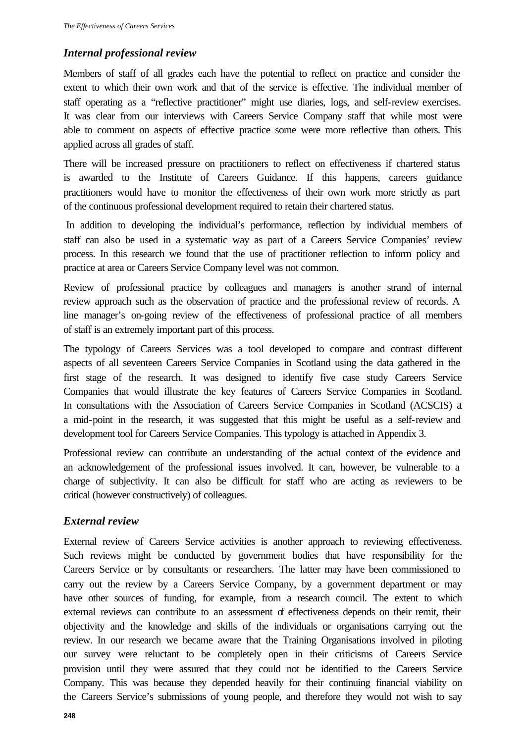# *Internal professional review*

Members of staff of all grades each have the potential to reflect on practice and consider the extent to which their own work and that of the service is effective. The individual member of staff operating as a "reflective practitioner" might use diaries, logs, and self-review exercises. It was clear from our interviews with Careers Service Company staff that while most were able to comment on aspects of effective practice some were more reflective than others. This applied across all grades of staff.

There will be increased pressure on practitioners to reflect on effectiveness if chartered status is awarded to the Institute of Careers Guidance. If this happens, careers guidance practitioners would have to monitor the effectiveness of their own work more strictly as part of the continuous professional development required to retain their chartered status.

 In addition to developing the individual's performance, reflection by individual members of staff can also be used in a systematic way as part of a Careers Service Companies' review process. In this research we found that the use of practitioner reflection to inform policy and practice at area or Careers Service Company level was not common.

Review of professional practice by colleagues and managers is another strand of internal review approach such as the observation of practice and the professional review of records. A line manager's on-going review of the effectiveness of professional practice of all members of staff is an extremely important part of this process.

The typology of Careers Services was a tool developed to compare and contrast different aspects of all seventeen Careers Service Companies in Scotland using the data gathered in the first stage of the research. It was designed to identify five case study Careers Service Companies that would illustrate the key features of Careers Service Companies in Scotland. In consultations with the Association of Careers Service Companies in Scotland (ACSCIS) at a mid-point in the research, it was suggested that this might be useful as a self-review and development tool for Careers Service Companies. This typology is attached in Appendix 3.

Professional review can contribute an understanding of the actual context of the evidence and an acknowledgement of the professional issues involved. It can, however, be vulnerable to a charge of subjectivity. It can also be difficult for staff who are acting as reviewers to be critical (however constructively) of colleagues.

# *External review*

External review of Careers Service activities is another approach to reviewing effectiveness. Such reviews might be conducted by government bodies that have responsibility for the Careers Service or by consultants or researchers. The latter may have been commissioned to carry out the review by a Careers Service Company, by a government department or may have other sources of funding, for example, from a research council. The extent to which external reviews can contribute to an assessment of effectiveness depends on their remit, their objectivity and the knowledge and skills of the individuals or organisations carrying out the review. In our research we became aware that the Training Organisations involved in piloting our survey were reluctant to be completely open in their criticisms of Careers Service provision until they were assured that they could not be identified to the Careers Service Company. This was because they depended heavily for their continuing financial viability on the Careers Service's submissions of young people, and therefore they would not wish to say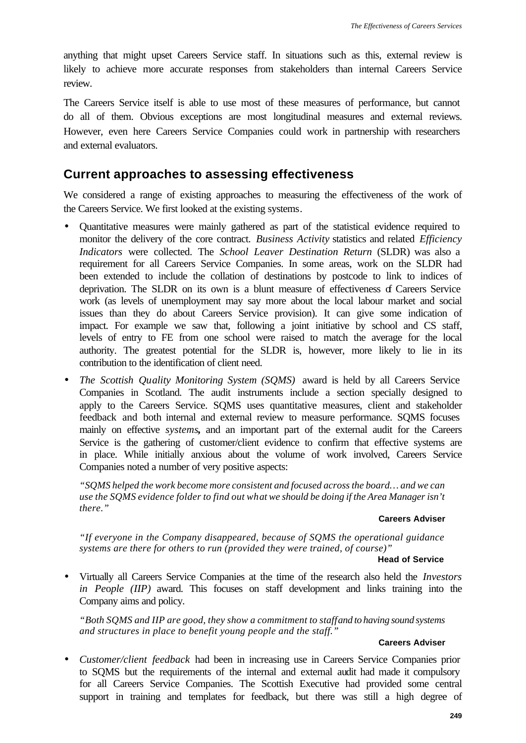anything that might upset Careers Service staff. In situations such as this, external review is likely to achieve more accurate responses from stakeholders than internal Careers Service review.

The Careers Service itself is able to use most of these measures of performance, but cannot do all of them. Obvious exceptions are most longitudinal measures and external reviews. However, even here Careers Service Companies could work in partnership with researchers and external evaluators.

# **Current approaches to assessing effectiveness**

We considered a range of existing approaches to measuring the effectiveness of the work of the Careers Service. We first looked at the existing systems.

- Quantitative measures were mainly gathered as part of the statistical evidence required to monitor the delivery of the core contract. *Business Activity* statistics and related *Efficiency Indicators* were collected. The *School Leaver Destination Return* (SLDR) was also a requirement for all Careers Service Companies. In some areas, work on the SLDR had been extended to include the collation of destinations by postcode to link to indices of deprivation. The SLDR on its own is a blunt measure of effectiveness of Careers Service work (as levels of unemployment may say more about the local labour market and social issues than they do about Careers Service provision). It can give some indication of impact. For example we saw that, following a joint initiative by school and CS staff, levels of entry to FE from one school were raised to match the average for the local authority. The greatest potential for the SLDR is, however, more likely to lie in its contribution to the identification of client need.
- *The Scottish Quality Monitoring System (SQMS)* award is held by all Careers Service Companies in Scotland. The audit instruments include a section specially designed to apply to the Careers Service. SQMS uses quantitative measures, client and stakeholder feedback and both internal and external review to measure performance. SQMS focuses mainly on effective *systems***,** and an important part of the external audit for the Careers Service is the gathering of customer/client evidence to confirm that effective systems are in place. While initially anxious about the volume of work involved, Careers Service Companies noted a number of very positive aspects:

*"SQMS helped the work become more consistent and focused across the board… and we can use the SQMS evidence folder to find out what we should be doing if the Area Manager isn't there."*

#### **Careers Adviser**

*"If everyone in the Company disappeared, because of SQMS the operational guidance systems are there for others to run (provided they were trained, of course)"*

#### **Head of Service**

• Virtually all Careers Service Companies at the time of the research also held the *Investors in Pe*o*ple (IIP)* award. This focuses on staff development and links training into the Company aims and policy.

*"Both SQMS and IIP are good, they show a commitment to staff and to having sound systems and structures in place to benefit young people and the staff."*

#### **Careers Adviser**

• *Customer/client feedback* had been in increasing use in Careers Service Companies prior to SQMS but the requirements of the internal and external audit had made it compulsory for all Careers Service Companies. The Scottish Executive had provided some central support in training and templates for feedback, but there was still a high degree of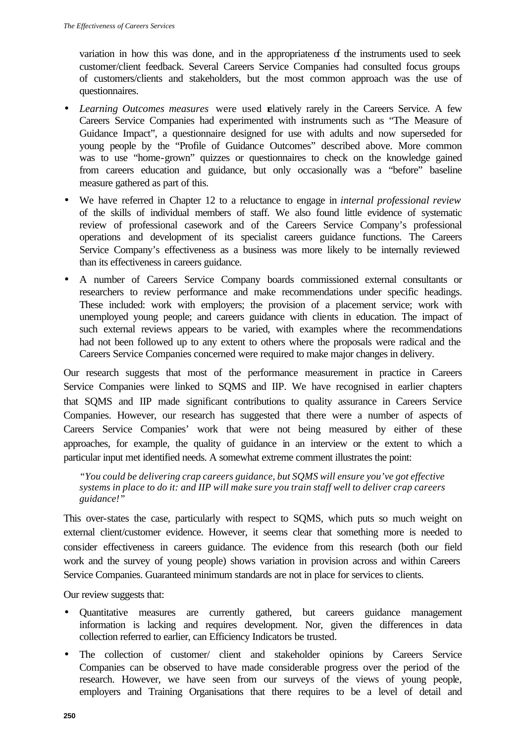variation in how this was done, and in the appropriateness of the instruments used to seek customer/client feedback. Several Careers Service Companies had consulted focus groups of customers/clients and stakeholders, but the most common approach was the use of questionnaires.

- *Learning Outcomes measures* were used **elatively** rarely in the Careers Service. A few Careers Service Companies had experimented with instruments such as "The Measure of Guidance Impact", a questionnaire designed for use with adults and now superseded for young people by the "Profile of Guidance Outcomes" described above. More common was to use "home-grown" quizzes or questionnaires to check on the knowledge gained from careers education and guidance, but only occasionally was a "before" baseline measure gathered as part of this.
- We have referred in Chapter 12 to a reluctance to engage in *internal professional review*  of the skills of individual members of staff. We also found little evidence of systematic review of professional casework and of the Careers Service Company's professional operations and development of its specialist careers guidance functions. The Careers Service Company's effectiveness as a business was more likely to be internally reviewed than its effectiveness in careers guidance.
- A number of Careers Service Company boards commissioned external consultants or researchers to review performance and make recommendations under specific headings. These included: work with employers; the provision of a placement service; work with unemployed young people; and careers guidance with clients in education. The impact of such external reviews appears to be varied, with examples where the recommendations had not been followed up to any extent to others where the proposals were radical and the Careers Service Companies concerned were required to make major changes in delivery.

Our research suggests that most of the performance measurement in practice in Careers Service Companies were linked to SQMS and IIP. We have recognised in earlier chapters that SQMS and IIP made significant contributions to quality assurance in Careers Service Companies. However, our research has suggested that there were a number of aspects of Careers Service Companies' work that were not being measured by either of these approaches, for example, the quality of guidance in an interview or the extent to which a particular input met identified needs. A somewhat extreme comment illustrates the point:

*"You could be delivering crap careers guidance, but SQMS will ensure you've got effective systems in place to do it: and IIP will make sure you train staff well to deliver crap careers guidance!"*

This over-states the case, particularly with respect to SQMS, which puts so much weight on external client/customer evidence. However, it seems clear that something more is needed to consider effectiveness in careers guidance. The evidence from this research (both our field work and the survey of young people) shows variation in provision across and within Careers Service Companies. Guaranteed minimum standards are not in place for services to clients.

Our review suggests that:

- Quantitative measures are currently gathered, but careers guidance management information is lacking and requires development. Nor, given the differences in data collection referred to earlier, can Efficiency Indicators be trusted.
- The collection of customer/ client and stakeholder opinions by Careers Service Companies can be observed to have made considerable progress over the period of the research. However, we have seen from our surveys of the views of young people, employers and Training Organisations that there requires to be a level of detail and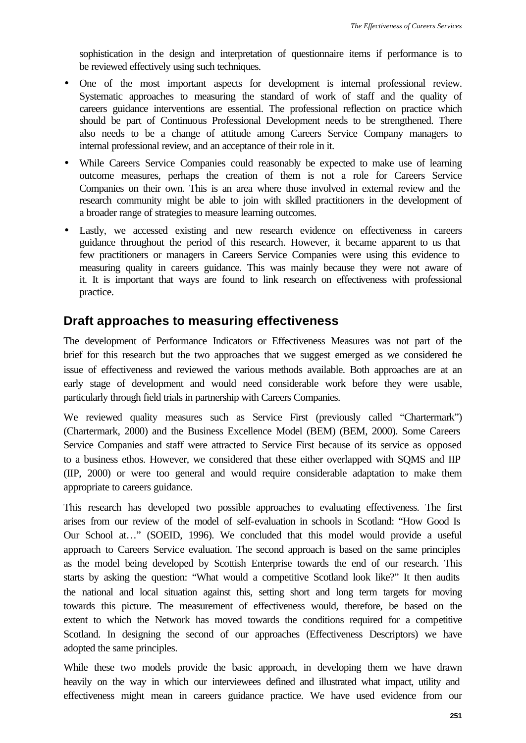sophistication in the design and interpretation of questionnaire items if performance is to be reviewed effectively using such techniques.

- One of the most important aspects for development is internal professional review. Systematic approaches to measuring the standard of work of staff and the quality of careers guidance interventions are essential. The professional reflection on practice which should be part of Continuous Professional Development needs to be strengthened. There also needs to be a change of attitude among Careers Service Company managers to internal professional review, and an acceptance of their role in it.
- While Careers Service Companies could reasonably be expected to make use of learning outcome measures, perhaps the creation of them is not a role for Careers Service Companies on their own. This is an area where those involved in external review and the research community might be able to join with skilled practitioners in the development of a broader range of strategies to measure learning outcomes.
- Lastly, we accessed existing and new research evidence on effectiveness in careers guidance throughout the period of this research. However, it became apparent to us that few practitioners or managers in Careers Service Companies were using this evidence to measuring quality in careers guidance. This was mainly because they were not aware of it. It is important that ways are found to link research on effectiveness with professional practice.

# **Draft approaches to measuring effectiveness**

The development of Performance Indicators or Effectiveness Measures was not part of the brief for this research but the two approaches that we suggest emerged as we considered the issue of effectiveness and reviewed the various methods available. Both approaches are at an early stage of development and would need considerable work before they were usable, particularly through field trials in partnership with Careers Companies.

We reviewed quality measures such as Service First (previously called "Chartermark") (Chartermark, 2000) and the Business Excellence Model (BEM) (BEM, 2000). Some Careers Service Companies and staff were attracted to Service First because of its service as opposed to a business ethos. However, we considered that these either overlapped with SQMS and IIP (IIP, 2000) or were too general and would require considerable adaptation to make them appropriate to careers guidance.

This research has developed two possible approaches to evaluating effectiveness. The first arises from our review of the model of self-evaluation in schools in Scotland: "How Good Is Our School at…" (SOEID, 1996). We concluded that this model would provide a useful approach to Careers Service evaluation. The second approach is based on the same principles as the model being developed by Scottish Enterprise towards the end of our research. This starts by asking the question: "What would a competitive Scotland look like?" It then audits the national and local situation against this, setting short and long term targets for moving towards this picture. The measurement of effectiveness would, therefore, be based on the extent to which the Network has moved towards the conditions required for a competitive Scotland. In designing the second of our approaches (Effectiveness Descriptors) we have adopted the same principles.

While these two models provide the basic approach, in developing them we have drawn heavily on the way in which our interviewees defined and illustrated what impact, utility and effectiveness might mean in careers guidance practice. We have used evidence from our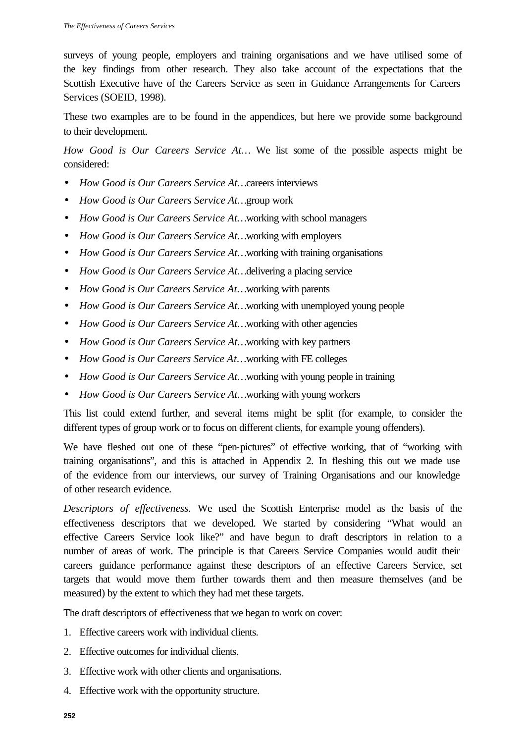surveys of young people, employers and training organisations and we have utilised some of the key findings from other research. They also take account of the expectations that the Scottish Executive have of the Careers Service as seen in Guidance Arrangements for Careers Services (SOEID, 1998).

These two examples are to be found in the appendices, but here we provide some background to their development.

*How Good is Our Careers Service At…* We list some of the possible aspects might be considered:

- *How Good is Our Careers Service At…*careers interviews
- *How Good is Our Careers Service At…*group work
- *How Good is Our Careers Service At...* working with school managers
- *How Good is Our Careers Service At…*working with employers
- *How Good is Our Careers Service At...* working with training organisations
- *How Good is Our Careers Service At…*delivering a placing service
- *How Good is Our Careers Service At…*working with parents
- *How Good is Our Careers Service At...* working with unemployed young people
- *How Good is Our Careers Service At…*working with other agencies
- *How Good is Our Careers Service At…*working with key partners
- *How Good is Our Careers Service At...* working with FE colleges
- *How Good is Our Careers Service At...* working with young people in training
- *How Good is Our Careers Service At...* working with young workers

This list could extend further, and several items might be split (for example, to consider the different types of group work or to focus on different clients, for example young offenders).

We have fleshed out one of these "pen-pictures" of effective working, that of "working with training organisations", and this is attached in Appendix 2. In fleshing this out we made use of the evidence from our interviews, our survey of Training Organisations and our knowledge of other research evidence.

*Descriptors of effectiveness.* We used the Scottish Enterprise model as the basis of the effectiveness descriptors that we developed. We started by considering "What would an effective Careers Service look like?" and have begun to draft descriptors in relation to a number of areas of work. The principle is that Careers Service Companies would audit their careers guidance performance against these descriptors of an effective Careers Service, set targets that would move them further towards them and then measure themselves (and be measured) by the extent to which they had met these targets.

The draft descriptors of effectiveness that we began to work on cover:

- 1. Effective careers work with individual clients.
- 2. Effective outcomes for individual clients.
- 3. Effective work with other clients and organisations.
- 4. Effective work with the opportunity structure.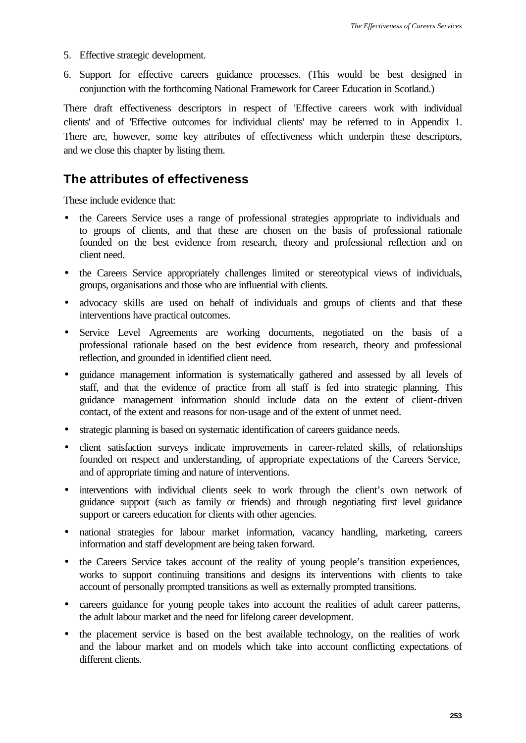- 5. Effective strategic development.
- 6. Support for effective careers guidance processes. (This would be best designed in conjunction with the forthcoming National Framework for Career Education in Scotland.)

There draft effectiveness descriptors in respect of 'Effective careers work with individual clients' and of 'Effective outcomes for individual clients' may be referred to in Appendix 1. There are, however, some key attributes of effectiveness which underpin these descriptors, and we close this chapter by listing them.

### **The attributes of effectiveness**

These include evidence that:

- the Careers Service uses a range of professional strategies appropriate to individuals and to groups of clients, and that these are chosen on the basis of professional rationale founded on the best evidence from research, theory and professional reflection and on client need.
- the Careers Service appropriately challenges limited or stereotypical views of individuals, groups, organisations and those who are influential with clients.
- advocacy skills are used on behalf of individuals and groups of clients and that these interventions have practical outcomes.
- Service Level Agreements are working documents, negotiated on the basis of a professional rationale based on the best evidence from research, theory and professional reflection, and grounded in identified client need.
- guidance management information is systematically gathered and assessed by all levels of staff, and that the evidence of practice from all staff is fed into strategic planning. This guidance management information should include data on the extent of client-driven contact, of the extent and reasons for non-usage and of the extent of unmet need.
- strategic planning is based on systematic identification of careers guidance needs.
- client satisfaction surveys indicate improvements in career-related skills, of relationships founded on respect and understanding, of appropriate expectations of the Careers Service, and of appropriate timing and nature of interventions.
- interventions with individual clients seek to work through the client's own network of guidance support (such as family or friends) and through negotiating first level guidance support or careers education for clients with other agencies.
- national strategies for labour market information, vacancy handling, marketing, careers information and staff development are being taken forward.
- the Careers Service takes account of the reality of young people's transition experiences, works to support continuing transitions and designs its interventions with clients to take account of personally prompted transitions as well as externally prompted transitions.
- careers guidance for young people takes into account the realities of adult career patterns, the adult labour market and the need for lifelong career development.
- the placement service is based on the best available technology, on the realities of work and the labour market and on models which take into account conflicting expectations of different clients.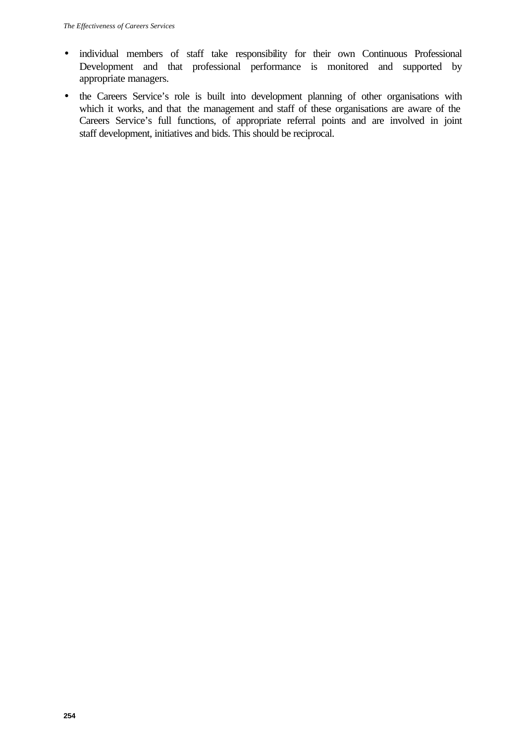- individual members of staff take responsibility for their own Continuous Professional Development and that professional performance is monitored and supported by appropriate managers.
- the Careers Service's role is built into development planning of other organisations with which it works, and that the management and staff of these organisations are aware of the Careers Service's full functions, of appropriate referral points and are involved in joint staff development, initiatives and bids. This should be reciprocal.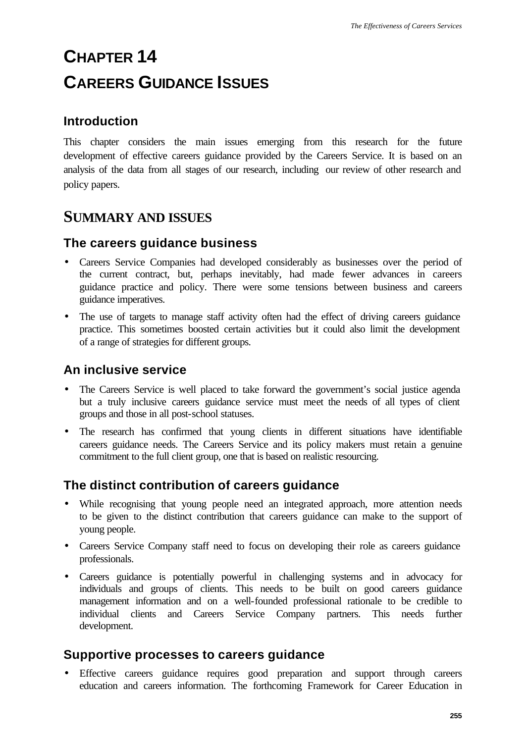# **CHAPTER 14 CAREERS GUIDANCE ISSUES**

## **Introduction**

This chapter considers the main issues emerging from this research for the future development of effective careers guidance provided by the Careers Service. It is based on an analysis of the data from all stages of our research, including our review of other research and policy papers.

# **SUMMARY AND ISSUES**

# **The careers guidance business**

- Careers Service Companies had developed considerably as businesses over the period of the current contract, but, perhaps inevitably, had made fewer advances in careers guidance practice and policy. There were some tensions between business and careers guidance imperatives.
- The use of targets to manage staff activity often had the effect of driving careers guidance practice. This sometimes boosted certain activities but it could also limit the development of a range of strategies for different groups.

# **An inclusive service**

- The Careers Service is well placed to take forward the government's social justice agenda but a truly inclusive careers guidance service must meet the needs of all types of client groups and those in all post-school statuses.
- The research has confirmed that young clients in different situations have identifiable careers guidance needs. The Careers Service and its policy makers must retain a genuine commitment to the full client group, one that is based on realistic resourcing.

# **The distinct contribution of careers guidance**

- While recognising that young people need an integrated approach, more attention needs to be given to the distinct contribution that careers guidance can make to the support of young people.
- Careers Service Company staff need to focus on developing their role as careers guidance professionals.
- Careers guidance is potentially powerful in challenging systems and in advocacy for individuals and groups of clients. This needs to be built on good careers guidance management information and on a well-founded professional rationale to be credible to individual clients and Careers Service Company partners. This needs further development.

# **Supportive processes to careers guidance**

• Effective careers guidance requires good preparation and support through careers education and careers information. The forthcoming Framework for Career Education in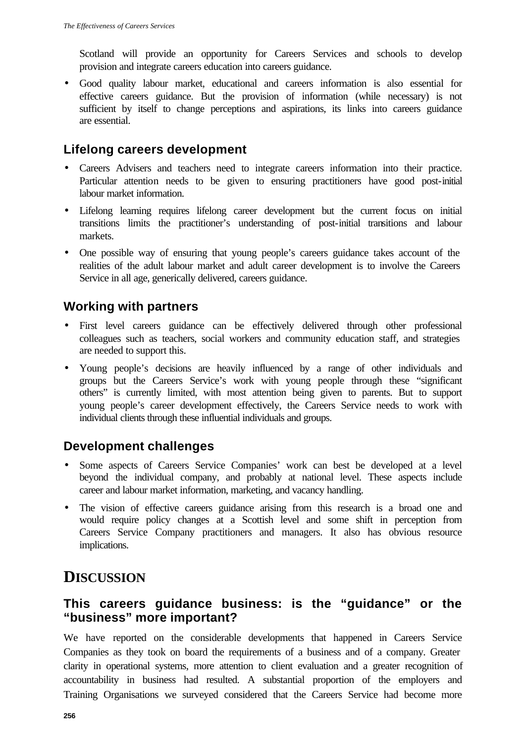Scotland will provide an opportunity for Careers Services and schools to develop provision and integrate careers education into careers guidance.

• Good quality labour market, educational and careers information is also essential for effective careers guidance. But the provision of information (while necessary) is not sufficient by itself to change perceptions and aspirations, its links into careers guidance are essential.

## **Lifelong careers development**

- Careers Advisers and teachers need to integrate careers information into their practice. Particular attention needs to be given to ensuring practitioners have good post-initial labour market information.
- Lifelong learning requires lifelong career development but the current focus on initial transitions limits the practitioner's understanding of post-initial transitions and labour markets.
- One possible way of ensuring that young people's careers guidance takes account of the realities of the adult labour market and adult career development is to involve the Careers Service in all age, generically delivered, careers guidance.

### **Working with partners**

- First level careers guidance can be effectively delivered through other professional colleagues such as teachers, social workers and community education staff, and strategies are needed to support this.
- Young people's decisions are heavily influenced by a range of other individuals and groups but the Careers Service's work with young people through these "significant others" is currently limited, with most attention being given to parents. But to support young people's career development effectively, the Careers Service needs to work with individual clients through these influential individuals and groups.

## **Development challenges**

- Some aspects of Careers Service Companies' work can best be developed at a level beyond the individual company, and probably at national level. These aspects include career and labour market information, marketing, and vacancy handling.
- The vision of effective careers guidance arising from this research is a broad one and would require policy changes at a Scottish level and some shift in perception from Careers Service Company practitioners and managers. It also has obvious resource implications.

# **DISCUSSION**

### **This careers guidance business: is the "guidance" or the "business" more important?**

We have reported on the considerable developments that happened in Careers Service Companies as they took on board the requirements of a business and of a company. Greater clarity in operational systems, more attention to client evaluation and a greater recognition of accountability in business had resulted. A substantial proportion of the employers and Training Organisations we surveyed considered that the Careers Service had become more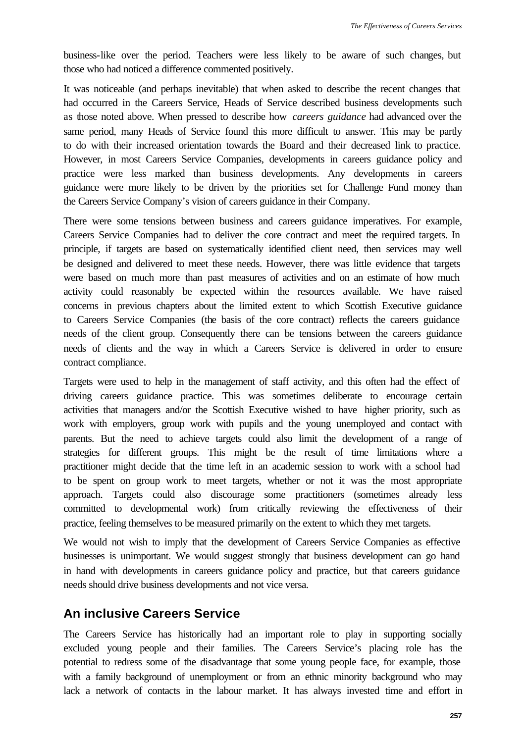business-like over the period. Teachers were less likely to be aware of such changes, but those who had noticed a difference commented positively.

It was noticeable (and perhaps inevitable) that when asked to describe the recent changes that had occurred in the Careers Service, Heads of Service described business developments such as those noted above. When pressed to describe how *careers guidance* had advanced over the same period, many Heads of Service found this more difficult to answer. This may be partly to do with their increased orientation towards the Board and their decreased link to practice. However, in most Careers Service Companies, developments in careers guidance policy and practice were less marked than business developments. Any developments in careers guidance were more likely to be driven by the priorities set for Challenge Fund money than the Careers Service Company's vision of careers guidance in their Company.

There were some tensions between business and careers guidance imperatives. For example, Careers Service Companies had to deliver the core contract and meet the required targets. In principle, if targets are based on systematically identified client need, then services may well be designed and delivered to meet these needs. However, there was little evidence that targets were based on much more than past measures of activities and on an estimate of how much activity could reasonably be expected within the resources available. We have raised concerns in previous chapters about the limited extent to which Scottish Executive guidance to Careers Service Companies (the basis of the core contract) reflects the careers guidance needs of the client group. Consequently there can be tensions between the careers guidance needs of clients and the way in which a Careers Service is delivered in order to ensure contract compliance.

Targets were used to help in the management of staff activity, and this often had the effect of driving careers guidance practice. This was sometimes deliberate to encourage certain activities that managers and/or the Scottish Executive wished to have higher priority, such as work with employers, group work with pupils and the young unemployed and contact with parents. But the need to achieve targets could also limit the development of a range of strategies for different groups. This might be the result of time limitations where a practitioner might decide that the time left in an academic session to work with a school had to be spent on group work to meet targets, whether or not it was the most appropriate approach. Targets could also discourage some practitioners (sometimes already less committed to developmental work) from critically reviewing the effectiveness of their practice, feeling themselves to be measured primarily on the extent to which they met targets.

We would not wish to imply that the development of Careers Service Companies as effective businesses is unimportant. We would suggest strongly that business development can go hand in hand with developments in careers guidance policy and practice, but that careers guidance needs should drive business developments and not vice versa.

### **An inclusive Careers Service**

The Careers Service has historically had an important role to play in supporting socially excluded young people and their families. The Careers Service's placing role has the potential to redress some of the disadvantage that some young people face, for example, those with a family background of unemployment or from an ethnic minority background who may lack a network of contacts in the labour market. It has always invested time and effort in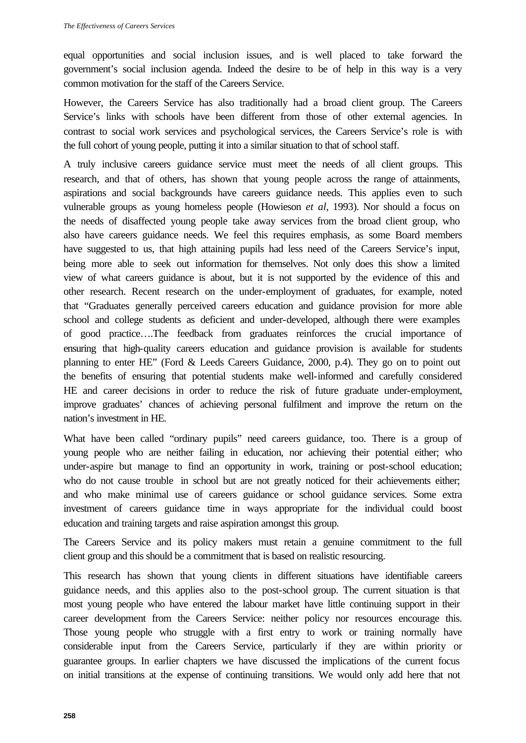equal opportunities and social inclusion issues, and is well placed to take forward the government's social inclusion agenda. Indeed the desire to be of help in this way is a very common motivation for the staff of the Careers Service.

However, the Careers Service has also traditionally had a broad client group. The Careers Service's links with schools have been different from those of other external agencies. In contrast to social work services and psychological services, the Careers Service's role is with the full cohort of young people, putting it into a similar situation to that of school staff.

A truly inclusive careers guidance service must meet the needs of all client groups. This research, and that of others, has shown that young people across the range of attainments, aspirations and social backgrounds have careers guidance needs. This applies even to such vulnerable groups as young homeless people (Howieson *et al*, 1993). Nor should a focus on the needs of disaffected young people take away services from the broad client group, who also have careers guidance needs. We feel this requires emphasis, as some Board members have suggested to us, that high attaining pupils had less need of the Careers Service's input, being more able to seek out information for themselves. Not only does this show a limited view of what careers guidance is about, but it is not supported by the evidence of this and other research. Recent research on the under-employment of graduates, for example, noted that "Graduates generally perceived careers education and guidance provision for more able school and college students as deficient and under-developed, although there were examples of good practice….The feedback from graduates reinforces the crucial importance of ensuring that high-quality careers education and guidance provision is available for students planning to enter HE" (Ford & Leeds Careers Guidance, 2000, p.4). They go on to point out the benefits of ensuring that potential students make well-informed and carefully considered HE and career decisions in order to reduce the risk of future graduate under-employment, improve graduates' chances of achieving personal fulfilment and improve the return on the nation's investment in HE.

What have been called "ordinary pupils" need careers guidance, too. There is a group of young people who are neither failing in education, nor achieving their potential either; who under-aspire but manage to find an opportunity in work, training or post-school education; who do not cause trouble in school but are not greatly noticed for their achievements either; and who make minimal use of careers guidance or school guidance services. Some extra investment of careers guidance time in ways appropriate for the individual could boost education and training targets and raise aspiration amongst this group.

The Careers Service and its policy makers must retain a genuine commitment to the full client group and this should be a commitment that is based on realistic resourcing.

This research has shown that young clients in different situations have identifiable careers guidance needs, and this applies also to the post-school group. The current situation is that most young people who have entered the labour market have little continuing support in their career development from the Careers Service: neither policy nor resources encourage this. Those young people who struggle with a first entry to work or training normally have considerable input from the Careers Service, particularly if they are within priority or guarantee groups. In earlier chapters we have discussed the implications of the current focus on initial transitions at the expense of continuing transitions. We would only add here that not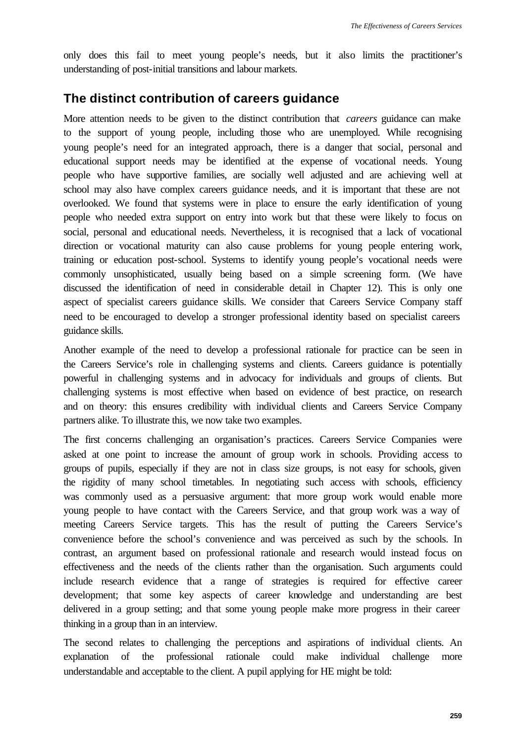only does this fail to meet young people's needs, but it also limits the practitioner's understanding of post-initial transitions and labour markets.

### **The distinct contribution of careers guidance**

More attention needs to be given to the distinct contribution that *careers* guidance can make to the support of young people, including those who are unemployed. While recognising young people's need for an integrated approach, there is a danger that social, personal and educational support needs may be identified at the expense of vocational needs. Young people who have supportive families, are socially well adjusted and are achieving well at school may also have complex careers guidance needs, and it is important that these are not overlooked. We found that systems were in place to ensure the early identification of young people who needed extra support on entry into work but that these were likely to focus on social, personal and educational needs. Nevertheless, it is recognised that a lack of vocational direction or vocational maturity can also cause problems for young people entering work, training or education post-school. Systems to identify young people's vocational needs were commonly unsophisticated, usually being based on a simple screening form. (We have discussed the identification of need in considerable detail in Chapter 12). This is only one aspect of specialist careers guidance skills. We consider that Careers Service Company staff need to be encouraged to develop a stronger professional identity based on specialist careers guidance skills.

Another example of the need to develop a professional rationale for practice can be seen in the Careers Service's role in challenging systems and clients. Careers guidance is potentially powerful in challenging systems and in advocacy for individuals and groups of clients. But challenging systems is most effective when based on evidence of best practice, on research and on theory: this ensures credibility with individual clients and Careers Service Company partners alike. To illustrate this, we now take two examples.

The first concerns challenging an organisation's practices. Careers Service Companies were asked at one point to increase the amount of group work in schools. Providing access to groups of pupils, especially if they are not in class size groups, is not easy for schools, given the rigidity of many school timetables. In negotiating such access with schools, efficiency was commonly used as a persuasive argument: that more group work would enable more young people to have contact with the Careers Service, and that group work was a way of meeting Careers Service targets. This has the result of putting the Careers Service's convenience before the school's convenience and was perceived as such by the schools. In contrast, an argument based on professional rationale and research would instead focus on effectiveness and the needs of the clients rather than the organisation. Such arguments could include research evidence that a range of strategies is required for effective career development; that some key aspects of career knowledge and understanding are best delivered in a group setting; and that some young people make more progress in their career thinking in a group than in an interview.

The second relates to challenging the perceptions and aspirations of individual clients. An explanation of the professional rationale could make individual challenge more understandable and acceptable to the client. A pupil applying for HE might be told: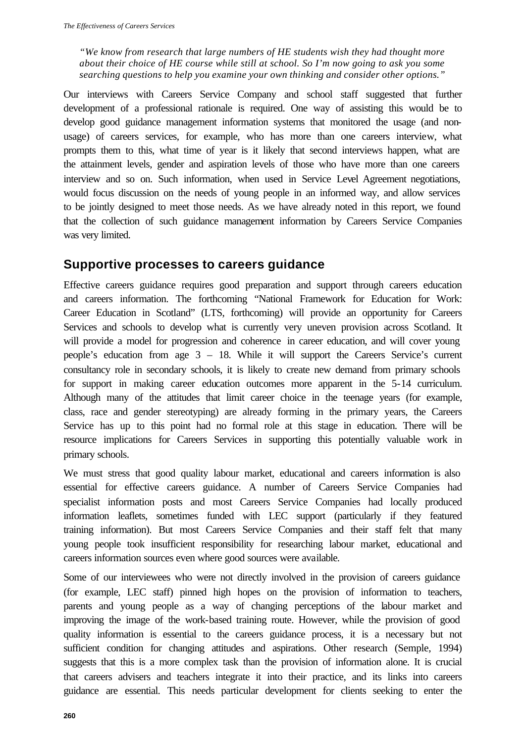*"We know from research that large numbers of HE students wish they had thought more about their choice of HE course while still at school. So I'm now going to ask you some searching questions to help you examine your own thinking and consider other options."*

Our interviews with Careers Service Company and school staff suggested that further development of a professional rationale is required. One way of assisting this would be to develop good guidance management information systems that monitored the usage (and nonusage) of careers services, for example, who has more than one careers interview, what prompts them to this, what time of year is it likely that second interviews happen, what are the attainment levels, gender and aspiration levels of those who have more than one careers interview and so on. Such information, when used in Service Level Agreement negotiations, would focus discussion on the needs of young people in an informed way, and allow services to be jointly designed to meet those needs. As we have already noted in this report, we found that the collection of such guidance management information by Careers Service Companies was very limited.

### **Supportive processes to careers guidance**

Effective careers guidance requires good preparation and support through careers education and careers information. The forthcoming "National Framework for Education for Work: Career Education in Scotland" (LTS, forthcoming) will provide an opportunity for Careers Services and schools to develop what is currently very uneven provision across Scotland. It will provide a model for progression and coherence in career education, and will cover young people's education from age 3 – 18. While it will support the Careers Service's current consultancy role in secondary schools, it is likely to create new demand from primary schools for support in making career education outcomes more apparent in the 5-14 curriculum. Although many of the attitudes that limit career choice in the teenage years (for example, class, race and gender stereotyping) are already forming in the primary years, the Careers Service has up to this point had no formal role at this stage in education. There will be resource implications for Careers Services in supporting this potentially valuable work in primary schools.

We must stress that good quality labour market, educational and careers information is also essential for effective careers guidance. A number of Careers Service Companies had specialist information posts and most Careers Service Companies had locally produced information leaflets, sometimes funded with LEC support (particularly if they featured training information). But most Careers Service Companies and their staff felt that many young people took insufficient responsibility for researching labour market, educational and careers information sources even where good sources were available.

Some of our interviewees who were not directly involved in the provision of careers guidance (for example, LEC staff) pinned high hopes on the provision of information to teachers, parents and young people as a way of changing perceptions of the labour market and improving the image of the work-based training route. However, while the provision of good quality information is essential to the careers guidance process, it is a necessary but not sufficient condition for changing attitudes and aspirations. Other research (Semple, 1994) suggests that this is a more complex task than the provision of information alone. It is crucial that careers advisers and teachers integrate it into their practice, and its links into careers guidance are essential. This needs particular development for clients seeking to enter the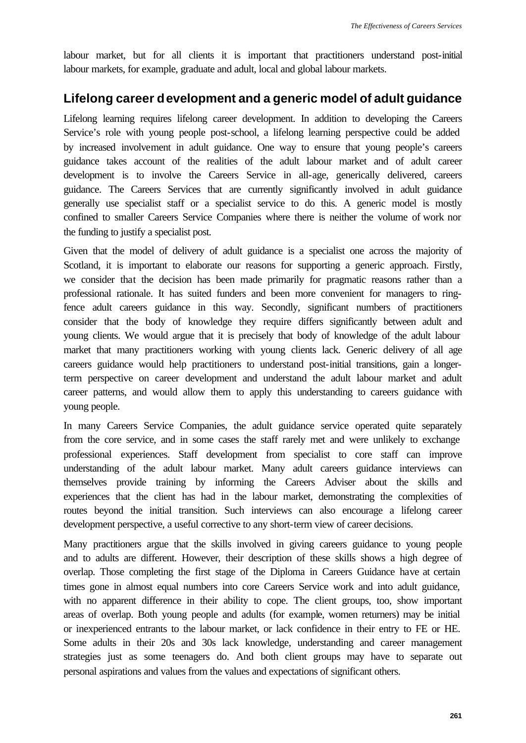labour market, but for all clients it is important that practitioners understand post-initial labour markets, for example, graduate and adult, local and global labour markets.

#### **Lifelong career development and a generic model of adult guidance**

Lifelong learning requires lifelong career development. In addition to developing the Careers Service's role with young people post-school, a lifelong learning perspective could be added by increased involvement in adult guidance. One way to ensure that young people's careers guidance takes account of the realities of the adult labour market and of adult career development is to involve the Careers Service in all-age, generically delivered, careers guidance. The Careers Services that are currently significantly involved in adult guidance generally use specialist staff or a specialist service to do this. A generic model is mostly confined to smaller Careers Service Companies where there is neither the volume of work nor the funding to justify a specialist post.

Given that the model of delivery of adult guidance is a specialist one across the majority of Scotland, it is important to elaborate our reasons for supporting a generic approach. Firstly, we consider that the decision has been made primarily for pragmatic reasons rather than a professional rationale. It has suited funders and been more convenient for managers to ringfence adult careers guidance in this way. Secondly, significant numbers of practitioners consider that the body of knowledge they require differs significantly between adult and young clients. We would argue that it is precisely that body of knowledge of the adult labour market that many practitioners working with young clients lack. Generic delivery of all age careers guidance would help practitioners to understand post-initial transitions, gain a longerterm perspective on career development and understand the adult labour market and adult career patterns, and would allow them to apply this understanding to careers guidance with young people.

In many Careers Service Companies, the adult guidance service operated quite separately from the core service, and in some cases the staff rarely met and were unlikely to exchange professional experiences. Staff development from specialist to core staff can improve understanding of the adult labour market. Many adult careers guidance interviews can themselves provide training by informing the Careers Adviser about the skills and experiences that the client has had in the labour market, demonstrating the complexities of routes beyond the initial transition. Such interviews can also encourage a lifelong career development perspective, a useful corrective to any short-term view of career decisions.

Many practitioners argue that the skills involved in giving careers guidance to young people and to adults are different. However, their description of these skills shows a high degree of overlap. Those completing the first stage of the Diploma in Careers Guidance have at certain times gone in almost equal numbers into core Careers Service work and into adult guidance, with no apparent difference in their ability to cope. The client groups, too, show important areas of overlap. Both young people and adults (for example, women returners) may be initial or inexperienced entrants to the labour market, or lack confidence in their entry to FE or HE. Some adults in their 20s and 30s lack knowledge, understanding and career management strategies just as some teenagers do. And both client groups may have to separate out personal aspirations and values from the values and expectations of significant others.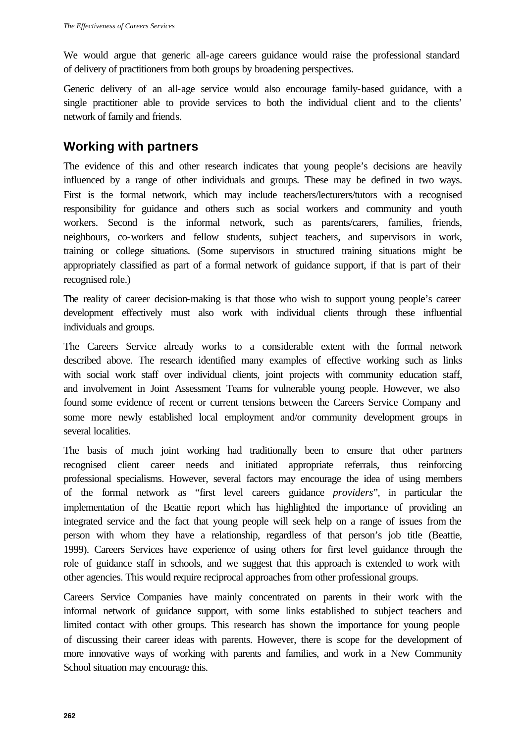We would argue that generic all-age careers guidance would raise the professional standard of delivery of practitioners from both groups by broadening perspectives.

Generic delivery of an all-age service would also encourage family-based guidance, with a single practitioner able to provide services to both the individual client and to the clients' network of family and friends.

### **Working with partners**

The evidence of this and other research indicates that young people's decisions are heavily influenced by a range of other individuals and groups. These may be defined in two ways. First is the formal network, which may include teachers/lecturers/tutors with a recognised responsibility for guidance and others such as social workers and community and youth workers. Second is the informal network, such as parents/carers, families, friends, neighbours, co-workers and fellow students, subject teachers, and supervisors in work, training or college situations. (Some supervisors in structured training situations might be appropriately classified as part of a formal network of guidance support, if that is part of their recognised role.)

The reality of career decision-making is that those who wish to support young people's career development effectively must also work with individual clients through these influential individuals and groups.

The Careers Service already works to a considerable extent with the formal network described above. The research identified many examples of effective working such as links with social work staff over individual clients, joint projects with community education staff, and involvement in Joint Assessment Teams for vulnerable young people. However, we also found some evidence of recent or current tensions between the Careers Service Company and some more newly established local employment and/or community development groups in several localities.

The basis of much joint working had traditionally been to ensure that other partners recognised client career needs and initiated appropriate referrals, thus reinforcing professional specialisms. However, several factors may encourage the idea of using members of the formal network as "first level careers guidance *providers*", in particular the implementation of the Beattie report which has highlighted the importance of providing an integrated service and the fact that young people will seek help on a range of issues from the person with whom they have a relationship, regardless of that person's job title (Beattie, 1999). Careers Services have experience of using others for first level guidance through the role of guidance staff in schools, and we suggest that this approach is extended to work with other agencies. This would require reciprocal approaches from other professional groups.

Careers Service Companies have mainly concentrated on parents in their work with the informal network of guidance support, with some links established to subject teachers and limited contact with other groups. This research has shown the importance for young people of discussing their career ideas with parents. However, there is scope for the development of more innovative ways of working with parents and families, and work in a New Community School situation may encourage this.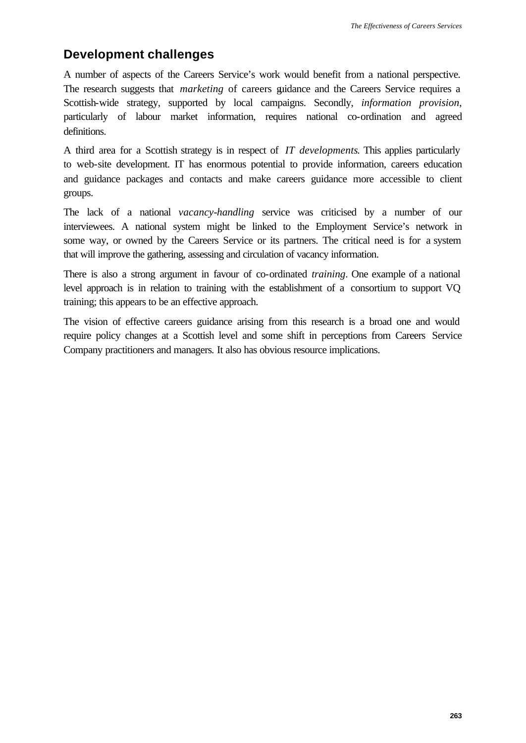# **Development challenges**

A number of aspects of the Careers Service's work would benefit from a national perspective. The research suggests that *marketing* of careers guidance and the Careers Service requires a Scottish-wide strategy, supported by local campaigns. Secondly, *information provision*, particularly of labour market information, requires national co-ordination and agreed definitions.

A third area for a Scottish strategy is in respect of *IT developments*. This applies particularly to web-site development. IT has enormous potential to provide information, careers education and guidance packages and contacts and make careers guidance more accessible to client groups.

The lack of a national *vacancy-handling* service was criticised by a number of our interviewees. A national system might be linked to the Employment Service's network in some way, or owned by the Careers Service or its partners. The critical need is for a system that will improve the gathering, assessing and circulation of vacancy information.

There is also a strong argument in favour of co-ordinated *training*. One example of a national level approach is in relation to training with the establishment of a consortium to support VQ training; this appears to be an effective approach.

The vision of effective careers guidance arising from this research is a broad one and would require policy changes at a Scottish level and some shift in perceptions from Careers Service Company practitioners and managers*.* It also has obvious resource implications.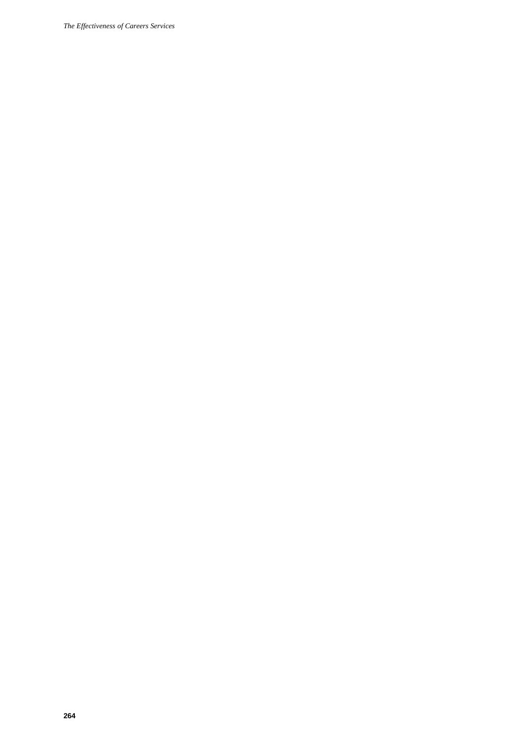*The Effectiveness of Careers Services*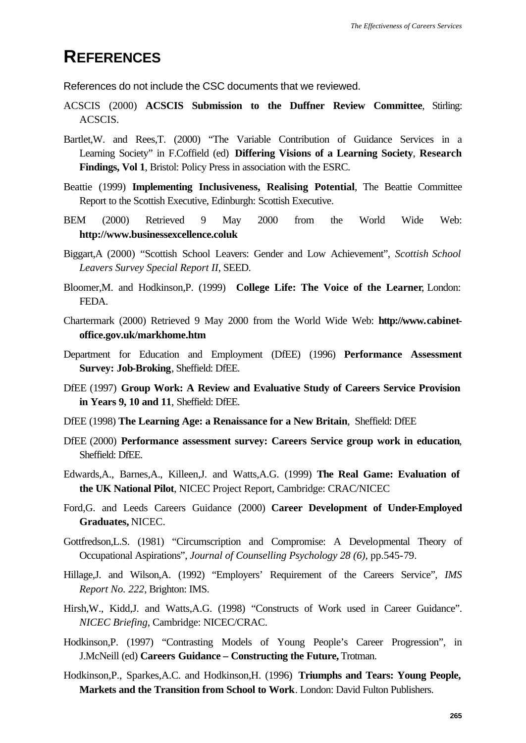# **REFERENCES**

References do not include the CSC documents that we reviewed.

- ACSCIS (2000) **ACSCIS Submission to the Duffner Review Committee**, Stirling: ACSCIS.
- Bartlet,W. and Rees,T. (2000) "The Variable Contribution of Guidance Services in a Learning Society" in F.Coffield (ed) **Differing Visions of a Learning Society**, **Research Findings, Vol 1**, Bristol: Policy Press in association with the ESRC.
- Beattie (1999) **Implementing Inclusiveness, Realising Potential**, The Beattie Committee Report to the Scottish Executive, Edinburgh: Scottish Executive.
- BEM (2000) Retrieved 9 May 2000 from the World Wide Web: **http://www.businessexcellence.coluk**
- Biggart,A (2000) "Scottish School Leavers: Gender and Low Achievement", *Scottish School Leavers Survey Special Report II*, SEED.
- Bloomer,M. and Hodkinson,P. (1999) **College Life: The Voice of the Learner**, London: FEDA.
- Chartermark (2000) Retrieved 9 May 2000 from the World Wide Web: **http://www.cabinetoffice.gov.uk/markhome.htm**
- Department for Education and Employment (DfEE) (1996) **Performance Assessment Survey: Job-Broking**, Sheffield: DfEE.
- DfEE (1997) **Group Work: A Review and Evaluative Study of Careers Service Provision in Years 9, 10 and 11**, Sheffield: DfEE.
- DfEE (1998) **The Learning Age: a Renaissance for a New Britain**, Sheffield: DfEE
- DfEE (2000) **Performance assessment survey: Careers Service group work in education**, Sheffield: DfEE.
- Edwards,A., Barnes,A., Killeen,J. and Watts,A.G. (1999) **The Real Game: Evaluation of the UK National Pilot**, NICEC Project Report, Cambridge: CRAC/NICEC
- Ford,G. and Leeds Careers Guidance (2000) **Career Development of Under-Employed Graduates,** NICEC.
- Gottfredson,L.S. (1981) "Circumscription and Compromise: A Developmental Theory of Occupational Aspirations", *Journal of Counselling Psychology 28 (6),* pp.545-79.
- Hillage,J. and Wilson,A. (1992) "Employers' Requirement of the Careers Service", *IMS Report No. 222*, Brighton: IMS.
- Hirsh,W., Kidd,J. and Watts,A.G. (1998) "Constructs of Work used in Career Guidance". *NICEC Briefing*, Cambridge: NICEC/CRAC.
- Hodkinson,P. (1997) "Contrasting Models of Young People's Career Progression", in J.McNeill (ed) **Careers Guidance – Constructing the Future,** Trotman.
- Hodkinson,P., Sparkes,A.C. and Hodkinson,H. (1996) **Triumphs and Tears: Young People, Markets and the Transition from School to Work**. London: David Fulton Publishers.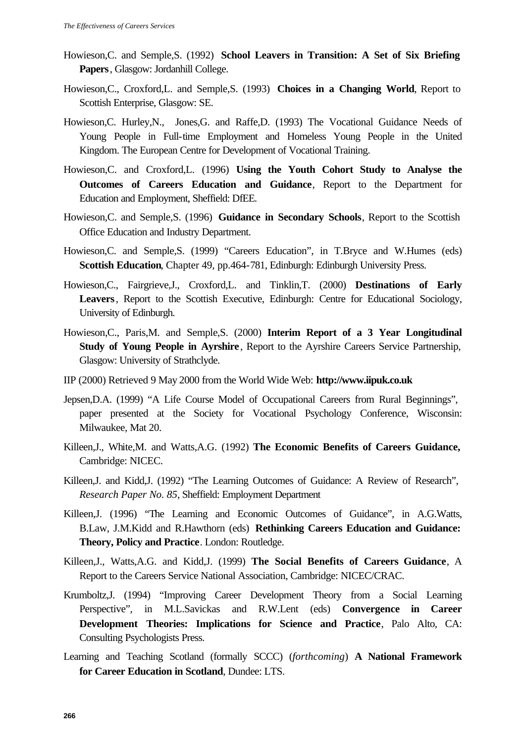- Howieson,C. and Semple,S. (1992) **School Leavers in Transition: A Set of Six Briefing Papers**, Glasgow: Jordanhill College.
- Howieson,C., Croxford,L. and Semple,S. (1993) **Choices in a Changing World**, Report to Scottish Enterprise, Glasgow: SE.
- Howieson,C. Hurley,N., Jones,G. and Raffe,D. (1993) The Vocational Guidance Needs of Young People in Full-time Employment and Homeless Young People in the United Kingdom. The European Centre for Development of Vocational Training.
- Howieson,C. and Croxford,L. (1996) **Using the Youth Cohort Study to Analyse the Outcomes of Careers Education and Guidance**, Report to the Department for Education and Employment, Sheffield: DfEE.
- Howieson,C. and Semple,S. (1996) **Guidance in Secondary Schools**, Report to the Scottish Office Education and Industry Department.
- Howieson,C. and Semple,S. (1999) "Careers Education", in T.Bryce and W.Humes (eds) **Scottish Education**, Chapter 49, pp.464-781, Edinburgh: Edinburgh University Press.
- Howieson,C., Fairgrieve,J., Croxford,L. and Tinklin,T. (2000) **Destinations of Early Leavers**, Report to the Scottish Executive, Edinburgh: Centre for Educational Sociology, University of Edinburgh.
- Howieson,C., Paris,M. and Semple,S. (2000) **Interim Report of a 3 Year Longitudinal Study of Young People in Ayrshire**, Report to the Ayrshire Careers Service Partnership, Glasgow: University of Strathclyde.
- IIP (2000) Retrieved 9 May 2000 from the World Wide Web: **http://www.iipuk.co.uk**
- Jepsen,D.A. (1999) "A Life Course Model of Occupational Careers from Rural Beginnings", paper presented at the Society for Vocational Psychology Conference, Wisconsin: Milwaukee, Mat 20.
- Killeen,J., White,M. and Watts,A.G. (1992) **The Economic Benefits of Careers Guidance,**  Cambridge: NICEC.
- Killeen,J. and Kidd,J. (1992) "The Learning Outcomes of Guidance: A Review of Research", *Research Paper No. 85*, Sheffield: Employment Department
- Killeen,J. (1996) "The Learning and Economic Outcomes of Guidance", in A.G.Watts, B.Law, J.M.Kidd and R.Hawthorn (eds) **Rethinking Careers Education and Guidance: Theory, Policy and Practice**. London: Routledge.
- Killeen,J., Watts,A.G. and Kidd,J. (1999) **The Social Benefits of Careers Guidance**, A Report to the Careers Service National Association, Cambridge: NICEC/CRAC.
- Krumboltz,J. (1994) "Improving Career Development Theory from a Social Learning Perspective", in M.L.Savickas and R.W.Lent (eds) **Convergence in Career Development Theories: Implications for Science and Practice**, Palo Alto, CA: Consulting Psychologists Press.
- Learning and Teaching Scotland (formally SCCC) (*forthcoming*) **A National Framework for Career Education in Scotland**, Dundee: LTS.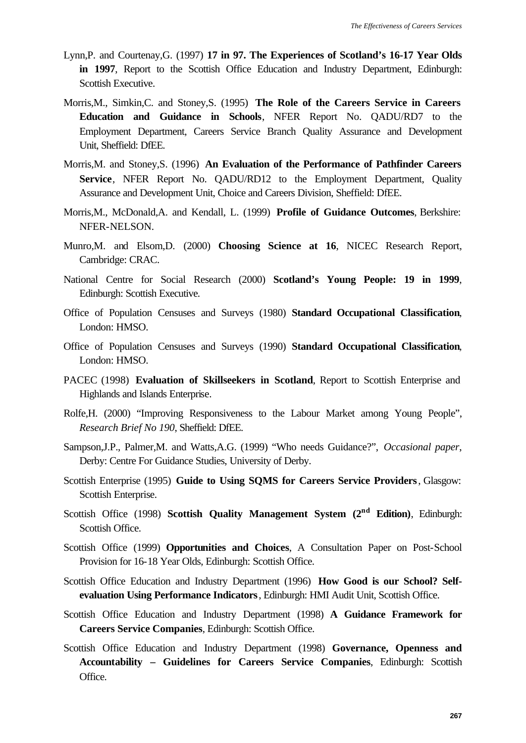- Lynn,P. and Courtenay,G. (1997) **17 in 97. The Experiences of Scotland's 16-17 Year Olds in 1997**, Report to the Scottish Office Education and Industry Department, Edinburgh: Scottish Executive.
- Morris,M., Simkin,C. and Stoney,S. (1995) **The Role of the Careers Service in Careers Education and Guidance in Schools**, NFER Report No. QADU/RD7 to the Employment Department, Careers Service Branch Quality Assurance and Development Unit, Sheffield: DfEE.
- Morris,M. and Stoney,S. (1996) **An Evaluation of the Performance of Pathfinder Careers Service**, NFER Report No. QADU/RD12 to the Employment Department, Quality Assurance and Development Unit, Choice and Careers Division, Sheffield: DfEE.
- Morris,M., McDonald,A. and Kendall, L. (1999) **Profile of Guidance Outcomes**, Berkshire: NFER-NELSON.
- Munro,M. and Elsom,D. (2000) **Choosing Science at 16**, NICEC Research Report, Cambridge: CRAC.
- National Centre for Social Research (2000) **Scotland's Young People: 19 in 1999**, Edinburgh: Scottish Executive.
- Office of Population Censuses and Surveys (1980) **Standard Occupational Classification**, London: HMSO.
- Office of Population Censuses and Surveys (1990) **Standard Occupational Classification**, London: HMSO.
- PACEC (1998) **Evaluation of Skillseekers in Scotland**, Report to Scottish Enterprise and Highlands and Islands Enterprise.
- Rolfe,H. (2000) "Improving Responsiveness to the Labour Market among Young People", *Research Brief No 190*, Sheffield: DfEE.
- Sampson,J.P., Palmer,M. and Watts,A.G. (1999) "Who needs Guidance?", *Occasional paper*, Derby: Centre For Guidance Studies, University of Derby.
- Scottish Enterprise (1995) **Guide to Using SQMS for Careers Service Providers**, Glasgow: Scottish Enterprise.
- Scottish Office (1998) **Scottish Quality Management System (2nd Edition)**, Edinburgh: Scottish Office.
- Scottish Office (1999) **Opportunities and Choices**, A Consultation Paper on Post-School Provision for 16-18 Year Olds, Edinburgh: Scottish Office.
- Scottish Office Education and Industry Department (1996) **How Good is our School? Selfevaluation Using Performance Indicators**, Edinburgh: HMI Audit Unit, Scottish Office.
- Scottish Office Education and Industry Department (1998) **A Guidance Framework for Careers Service Companies**, Edinburgh: Scottish Office.
- Scottish Office Education and Industry Department (1998) **Governance, Openness and Accountability – Guidelines for Careers Service Companies**, Edinburgh: Scottish Office.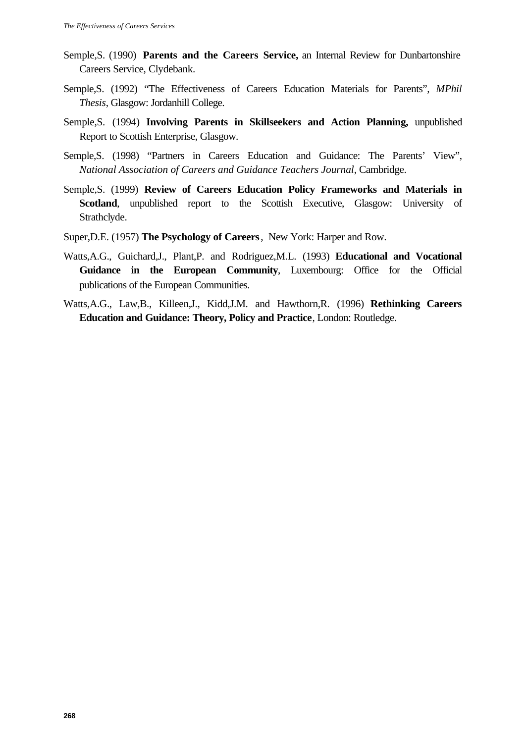- Semple,S. (1990) **Parents and the Careers Service,** an Internal Review for Dunbartonshire Careers Service, Clydebank.
- Semple,S. (1992) "The Effectiveness of Careers Education Materials for Parents", *MPhil Thesis*, Glasgow: Jordanhill College.
- Semple,S. (1994) **Involving Parents in Skillseekers and Action Planning,** unpublished Report to Scottish Enterprise, Glasgow.
- Semple,S. (1998) "Partners in Careers Education and Guidance: The Parents' View", *National Association of Careers and Guidance Teachers Journal*, Cambridge.
- Semple,S. (1999) **Review of Careers Education Policy Frameworks and Materials in** Scotland, unpublished report to the Scottish Executive, Glasgow: University of Strathclyde.
- Super,D.E. (1957) **The Psychology of Careers**, New York: Harper and Row.
- Watts,A.G., Guichard,J., Plant,P. and Rodriguez,M.L. (1993) **Educational and Vocational** Guidance in the European Community, Luxembourg: Office for the Official publications of the European Communities.
- Watts,A.G., Law,B., Killeen,J., Kidd,J.M. and Hawthorn,R. (1996) **Rethinking Careers Education and Guidance: Theory, Policy and Practice**, London: Routledge.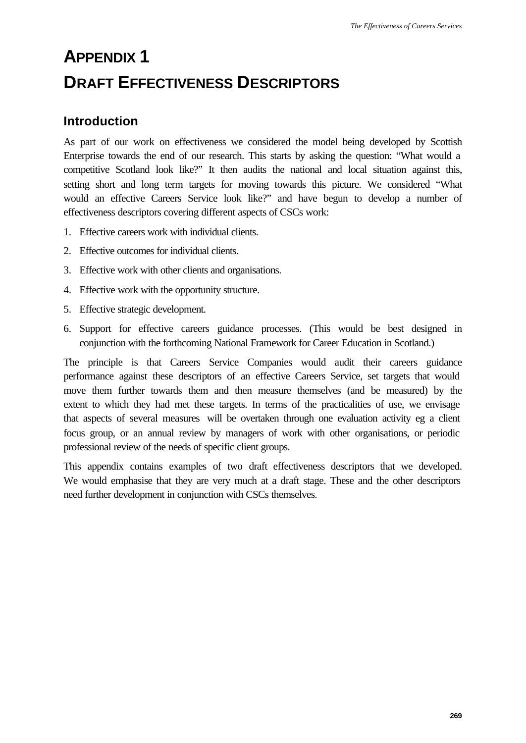# **APPENDIX 1 DRAFT EFFECTIVENESS DESCRIPTORS**

#### **Introduction**

As part of our work on effectiveness we considered the model being developed by Scottish Enterprise towards the end of our research. This starts by asking the question: "What would a competitive Scotland look like?" It then audits the national and local situation against this, setting short and long term targets for moving towards this picture. We considered "What would an effective Careers Service look like?" and have begun to develop a number of effectiveness descriptors covering different aspects of CSCs work:

- 1. Effective careers work with individual clients.
- 2. Effective outcomes for individual clients.
- 3. Effective work with other clients and organisations.
- 4. Effective work with the opportunity structure.
- 5. Effective strategic development.
- 6. Support for effective careers guidance processes. (This would be best designed in conjunction with the forthcoming National Framework for Career Education in Scotland.)

The principle is that Careers Service Companies would audit their careers guidance performance against these descriptors of an effective Careers Service, set targets that would move them further towards them and then measure themselves (and be measured) by the extent to which they had met these targets. In terms of the practicalities of use, we envisage that aspects of several measures will be overtaken through one evaluation activity eg a client focus group, or an annual review by managers of work with other organisations, or periodic professional review of the needs of specific client groups.

This appendix contains examples of two draft effectiveness descriptors that we developed. We would emphasise that they are very much at a draft stage. These and the other descriptors need further development in conjunction with CSCs themselves.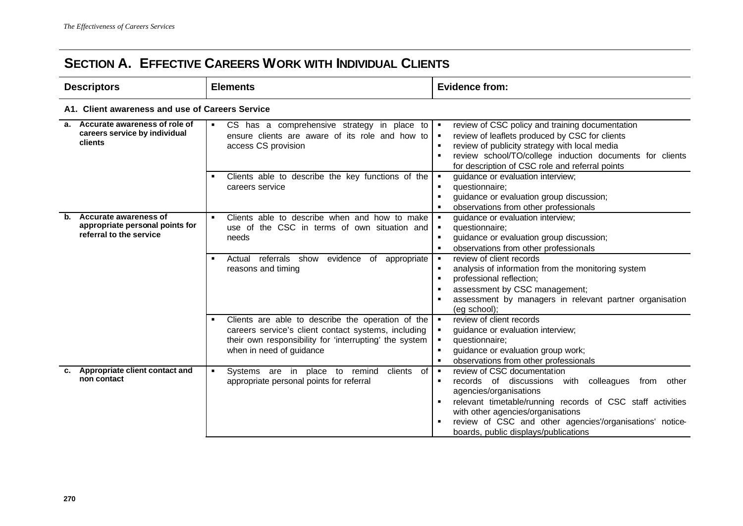# **SECTION A. EFFECTIVE CAREERS WORK WITH INDIVIDUAL CLIENTS**

| <b>Descriptors</b>                                                                  | <b>Elements</b>                                                                                                                                                                                | <b>Evidence from:</b>                                                                                                                                                                                                                                                                                                     |  |  |
|-------------------------------------------------------------------------------------|------------------------------------------------------------------------------------------------------------------------------------------------------------------------------------------------|---------------------------------------------------------------------------------------------------------------------------------------------------------------------------------------------------------------------------------------------------------------------------------------------------------------------------|--|--|
| A1. Client awareness and use of Careers Service                                     |                                                                                                                                                                                                |                                                                                                                                                                                                                                                                                                                           |  |  |
| Accurate awareness of role of<br>а.<br>careers service by individual<br>clients     | CS has a comprehensive strategy in place to<br>$\blacksquare$<br>ensure clients are aware of its role and how to<br>access CS provision                                                        | review of CSC policy and training documentation<br>$\blacksquare$<br>review of leaflets produced by CSC for clients<br>review of publicity strategy with local media<br>review school/TO/college induction documents for clients<br>for description of CSC role and referral points                                       |  |  |
|                                                                                     | Clients able to describe the key functions of the<br>٠<br>careers service                                                                                                                      | guidance or evaluation interview;<br>٠<br>questionnaire;<br>guidance or evaluation group discussion;<br>observations from other professionals                                                                                                                                                                             |  |  |
| Accurate awareness of<br>appropriate personal points for<br>referral to the service | Clients able to describe when and how to make<br>$\blacksquare$<br>use of the CSC in terms of own situation and<br>needs                                                                       | guidance or evaluation interview;<br>questionnaire;<br>۰.<br>guidance or evaluation group discussion;<br>$\blacksquare$<br>observations from other professionals                                                                                                                                                          |  |  |
|                                                                                     | referrals show<br>evidence<br>Actual<br>of<br>appropriate<br>reasons and timing                                                                                                                | review of client records<br>analysis of information from the monitoring system<br>professional reflection;<br>assessment by CSC management;<br>assessment by managers in relevant partner organisation<br>(eg school);                                                                                                    |  |  |
|                                                                                     | Clients are able to describe the operation of the<br>careers service's client contact systems, including<br>their own responsibility for 'interrupting' the system<br>when in need of guidance | review of client records<br>$\blacksquare$<br>guidance or evaluation interview;<br>questionnaire;<br>guidance or evaluation group work;<br>observations from other professionals                                                                                                                                          |  |  |
| Appropriate client contact and<br>С.<br>non contact                                 | Systems are in place to remind<br>clients<br>of<br>$\blacksquare$<br>appropriate personal points for referral                                                                                  | review of CSC documentation<br>٠<br>records of discussions with colleagues<br>from other<br>agencies/organisations<br>relevant timetable/running records of CSC staff activities<br>with other agencies/organisations<br>review of CSC and other agencies'/organisations' notice-<br>boards, public displays/publications |  |  |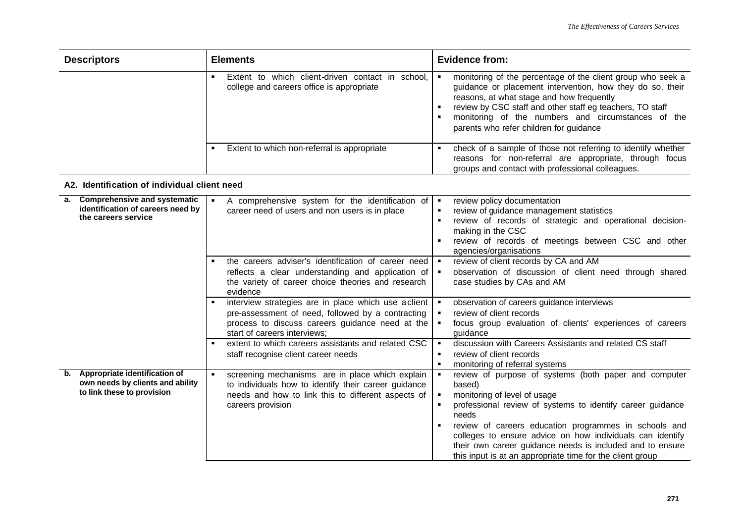| <b>Descriptors</b> | <b>Elements</b>                                                                               | Evidence from:                                                                                                                                                                                                                                                                                                                      |  |  |
|--------------------|-----------------------------------------------------------------------------------------------|-------------------------------------------------------------------------------------------------------------------------------------------------------------------------------------------------------------------------------------------------------------------------------------------------------------------------------------|--|--|
|                    | Extent to which client-driven contact in school,<br>college and careers office is appropriate | monitoring of the percentage of the client group who seek a<br>guidance or placement intervention, how they do so, their<br>reasons, at what stage and how frequently<br>review by CSC staff and other staff eg teachers, TO staff<br>monitoring of the numbers and circumstances of the<br>parents who refer children for guidance |  |  |
|                    | Extent to which non-referral is appropriate                                                   | check of a sample of those not referring to identify whether<br>reasons for non-referral are appropriate, through focus<br>groups and contact with professional colleagues.                                                                                                                                                         |  |  |

#### **A2. Identification of individual client need**

| <b>Comprehensive and systematic</b><br>identification of careers need by<br>the careers service       |                | A comprehensive system for the identification of<br>career need of users and non users is in place                                                                                          |                                                                                                                                | review policy documentation<br>review of guidance management statistics<br>review of records of strategic and operational decision-<br>making in the CSC<br>review of records of meetings between CSC and other<br>agencies/organisations                                                                                                                                                                              |  |
|-------------------------------------------------------------------------------------------------------|----------------|---------------------------------------------------------------------------------------------------------------------------------------------------------------------------------------------|--------------------------------------------------------------------------------------------------------------------------------|------------------------------------------------------------------------------------------------------------------------------------------------------------------------------------------------------------------------------------------------------------------------------------------------------------------------------------------------------------------------------------------------------------------------|--|
|                                                                                                       |                | the careers adviser's identification of career need<br>reflects a clear understanding and application of<br>the variety of career choice theories and research<br>evidence                  | review of client records by CA and AM<br>observation of discussion of client need through shared<br>case studies by CAs and AM |                                                                                                                                                                                                                                                                                                                                                                                                                        |  |
|                                                                                                       |                | interview strategies are in place which use aclient<br>pre-assessment of need, followed by a contracting<br>process to discuss careers guidance need at the<br>start of careers interviews; |                                                                                                                                | observation of careers guidance interviews<br>review of client records<br>focus group evaluation of clients' experiences of careers<br>guidance                                                                                                                                                                                                                                                                        |  |
|                                                                                                       |                | extent to which careers assistants and related CSC<br>staff recognise client career needs                                                                                                   |                                                                                                                                | discussion with Careers Assistants and related CS staff<br>review of client records<br>monitoring of referral systems                                                                                                                                                                                                                                                                                                  |  |
| Appropriate identification of<br>b.<br>own needs by clients and ability<br>to link these to provision | $\blacksquare$ | screening mechanisms are in place which explain<br>to individuals how to identify their career guidance<br>needs and how to link this to different aspects of<br>careers provision          |                                                                                                                                | review of purpose of systems (both paper and computer<br>based)<br>monitoring of level of usage<br>professional review of systems to identify career guidance<br>needs<br>review of careers education programmes in schools and<br>colleges to ensure advice on how individuals can identify<br>their own career guidance needs is included and to ensure<br>this input is at an appropriate time for the client group |  |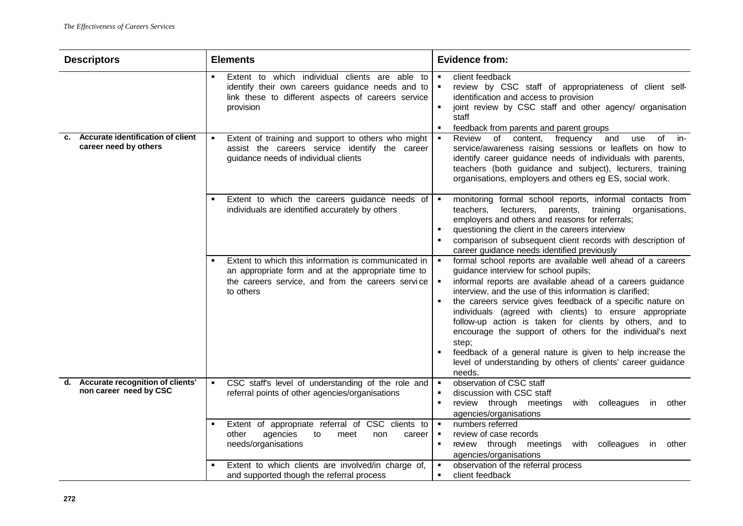| <b>Descriptors</b>                                                | <b>Elements</b>                                                                                                                                                             | <b>Evidence from:</b>                                                                                                                                                                                                                                                                                                                                                                                                                                                                                                                                                                                                                              |  |  |
|-------------------------------------------------------------------|-----------------------------------------------------------------------------------------------------------------------------------------------------------------------------|----------------------------------------------------------------------------------------------------------------------------------------------------------------------------------------------------------------------------------------------------------------------------------------------------------------------------------------------------------------------------------------------------------------------------------------------------------------------------------------------------------------------------------------------------------------------------------------------------------------------------------------------------|--|--|
|                                                                   | Extent to which individual clients are able to<br>identify their own careers guidance needs and to<br>link these to different aspects of careers service<br>provision       | client feedback<br>$\blacksquare$<br>review by CSC staff of appropriateness of client self-<br>$\blacksquare$<br>identification and access to provision<br>joint review by CSC staff and other agency/ organisation<br>staff<br>feedback from parents and parent groups                                                                                                                                                                                                                                                                                                                                                                            |  |  |
| Accurate identification of client<br>c.<br>career need by others  | Extent of training and support to others who might<br>$\blacksquare$<br>assist the careers service identify the career<br>guidance needs of individual clients              | Review of content, frequency<br>and<br>$\blacksquare$<br>use<br>οf<br>in-<br>service/awareness raising sessions or leaflets on how to<br>identify career guidance needs of individuals with parents,<br>teachers (both guidance and subject), lecturers, training<br>organisations, employers and others eg ES, social work.                                                                                                                                                                                                                                                                                                                       |  |  |
|                                                                   | Extent to which the careers guidance needs of<br>individuals are identified accurately by others                                                                            | monitoring formal school reports, informal contacts from<br>teachers.<br>lecturers, parents, training<br>organisations,<br>employers and others and reasons for referrals;<br>questioning the client in the careers interview<br>comparison of subsequent client records with description of<br>career guidance needs identified previously                                                                                                                                                                                                                                                                                                        |  |  |
|                                                                   | Extent to which this information is communicated in<br>an appropriate form and at the appropriate time to<br>the careers service, and from the careers service<br>to others | formal school reports are available well ahead of a careers<br>$\blacksquare$<br>guidance interview for school pupils;<br>informal reports are available ahead of a careers guidance<br>interview, and the use of this information is clarified;<br>the careers service gives feedback of a specific nature on<br>individuals (agreed with clients) to ensure appropriate<br>follow-up action is taken for clients by others, and to<br>encourage the support of others for the individual's next<br>step;<br>feedback of a general nature is given to help increase the<br>level of understanding by others of clients' career guidance<br>needs. |  |  |
| <b>Accurate recognition of clients'</b><br>non career need by CSC | CSC staff's level of understanding of the role and<br>$\blacksquare$<br>referral points of other agencies/organisations                                                     | observation of CSC staff<br>discussion with CSC staff<br>$\blacksquare$<br>review through meetings<br>with colleagues in<br>other<br>agencies/organisations                                                                                                                                                                                                                                                                                                                                                                                                                                                                                        |  |  |
|                                                                   | Extent of appropriate referral of CSC clients to<br>other<br>agencies<br>to<br>meet<br>non<br>career<br>needs/organisations                                                 | numbers referred<br>$\blacksquare$<br>review of case records<br>٠<br>review through meetings<br>with colleagues<br>in other<br>agencies/organisations                                                                                                                                                                                                                                                                                                                                                                                                                                                                                              |  |  |
|                                                                   | Extent to which clients are involved/in charge of,<br>and supported though the referral process                                                                             | observation of the referral process<br>client feedback<br>٠                                                                                                                                                                                                                                                                                                                                                                                                                                                                                                                                                                                        |  |  |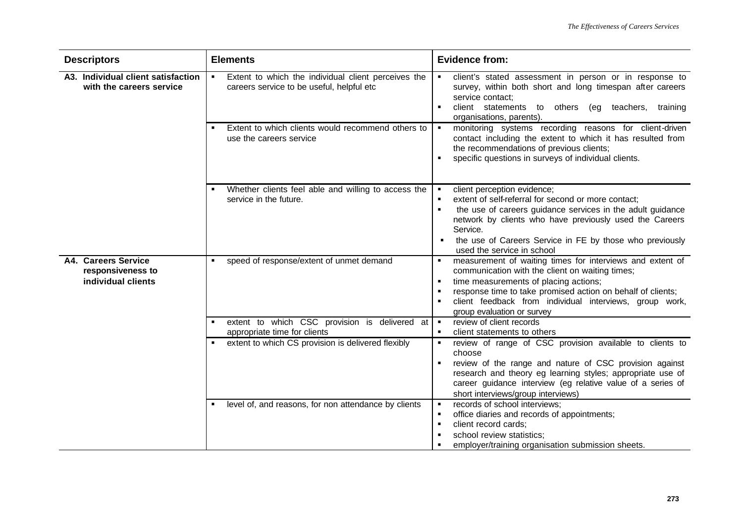| <b>Descriptors</b>                                                    | <b>Elements</b>                                                                                                    | <b>Evidence from:</b>                                                                                                                                                                                                                                                                                                  |
|-----------------------------------------------------------------------|--------------------------------------------------------------------------------------------------------------------|------------------------------------------------------------------------------------------------------------------------------------------------------------------------------------------------------------------------------------------------------------------------------------------------------------------------|
| A3. Individual client satisfaction<br>with the careers service        | Extent to which the individual client perceives the<br>$\blacksquare$<br>careers service to be useful, helpful etc | client's stated assessment in person or in response to<br>survey, within both short and long timespan after careers<br>service contact;<br>client statements to others (eg teachers, training<br>$\blacksquare$<br>organisations, parents).                                                                            |
|                                                                       | Extent to which clients would recommend others to<br>use the careers service                                       | monitoring systems recording reasons for client-driven<br>$\blacksquare$<br>contact including the extent to which it has resulted from<br>the recommendations of previous clients;<br>specific questions in surveys of individual clients.                                                                             |
|                                                                       | Whether clients feel able and willing to access the<br>service in the future.                                      | client perception evidence;<br>extent of self-referral for second or more contact;<br>the use of careers guidance services in the adult guidance<br>network by clients who have previously used the Careers<br>Service.<br>the use of Careers Service in FE by those who previously<br>٠<br>used the service in school |
| <b>A4. Careers Service</b><br>responsiveness to<br>individual clients | speed of response/extent of unmet demand<br>٠                                                                      | measurement of waiting times for interviews and extent of<br>communication with the client on waiting times;<br>time measurements of placing actions;<br>response time to take promised action on behalf of clients;<br>client feedback from individual interviews, group work,<br>group evaluation or survey          |
|                                                                       | extent to which CSC provision is delivered at<br>appropriate time for clients                                      | review of client records<br>$\blacksquare$<br>client statements to others<br>$\blacksquare$                                                                                                                                                                                                                            |
|                                                                       | extent to which CS provision is delivered flexibly                                                                 | review of range of CSC provision available to clients to<br>choose<br>review of the range and nature of CSC provision against<br>research and theory eg learning styles; appropriate use of<br>career guidance interview (eg relative value of a series of<br>short interviews/group interviews)                       |
|                                                                       | level of, and reasons, for non attendance by clients                                                               | records of school interviews;<br>office diaries and records of appointments;<br>client record cards;<br>л.<br>school review statistics;<br>employer/training organisation submission sheets.                                                                                                                           |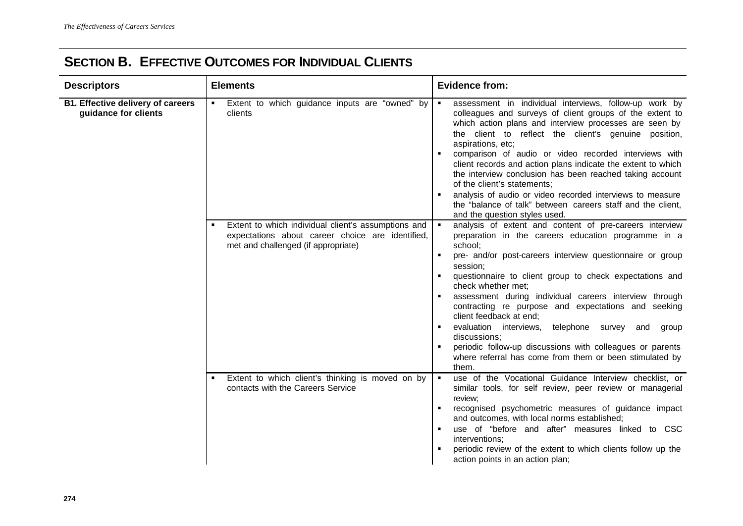|  |  | <b>SECTION B. EFFECTIVE OUTCOMES FOR INDIVIDUAL CLIENTS</b> |  |  |
|--|--|-------------------------------------------------------------|--|--|
|--|--|-------------------------------------------------------------|--|--|

| <b>Descriptors</b>                                               | <b>Elements</b>                                                                                                                                | <b>Evidence from:</b>                                                                                                                                                                                                                                                                                                                                                                                                                                                                                                                                                                                                                                                 |
|------------------------------------------------------------------|------------------------------------------------------------------------------------------------------------------------------------------------|-----------------------------------------------------------------------------------------------------------------------------------------------------------------------------------------------------------------------------------------------------------------------------------------------------------------------------------------------------------------------------------------------------------------------------------------------------------------------------------------------------------------------------------------------------------------------------------------------------------------------------------------------------------------------|
| <b>B1. Effective delivery of careers</b><br>guidance for clients | Extent to which guidance inputs are "owned" by<br>clients                                                                                      | assessment in individual interviews, follow-up work by<br>$\blacksquare$<br>colleagues and surveys of client groups of the extent to<br>which action plans and interview processes are seen by<br>the client to reflect the client's genuine position,<br>aspirations, etc;<br>comparison of audio or video recorded interviews with<br>client records and action plans indicate the extent to which<br>the interview conclusion has been reached taking account<br>of the client's statements;<br>analysis of audio or video recorded interviews to measure<br>the "balance of talk" between careers staff and the client,<br>and the question styles used.          |
|                                                                  | Extent to which individual client's assumptions and<br>expectations about career choice are identified,<br>met and challenged (if appropriate) | analysis of extent and content of pre-careers interview<br>preparation in the careers education programme in a<br>school;<br>pre- and/or post-careers interview questionnaire or group<br>session:<br>questionnaire to client group to check expectations and<br>check whether met;<br>assessment during individual careers interview through<br>contracting re purpose and expectations and seeking<br>client feedback at end;<br>evaluation interviews,<br>telephone survey<br>and<br>٠<br>group<br>discussions:<br>periodic follow-up discussions with colleagues or parents<br>$\blacksquare$<br>where referral has come from them or been stimulated by<br>them. |
|                                                                  | Extent to which client's thinking is moved on by<br>contacts with the Careers Service                                                          | use of the Vocational Guidance Interview checklist, or<br>$\blacksquare$<br>similar tools, for self review, peer review or managerial<br>review;<br>recognised psychometric measures of guidance impact<br>and outcomes, with local norms established;<br>use of "before and after" measures linked to CSC<br>interventions;<br>periodic review of the extent to which clients follow up the<br>action points in an action plan;                                                                                                                                                                                                                                      |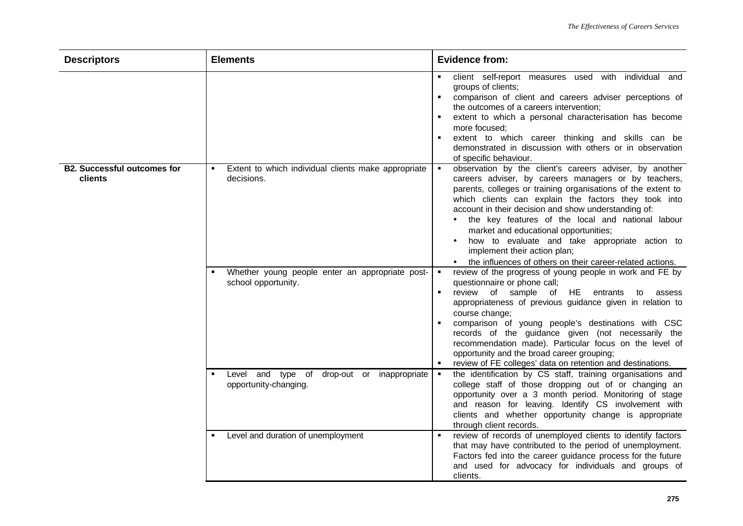| <b>Descriptors</b>                            | <b>Elements</b>                                                                                                                             | <b>Evidence from:</b>                                                                                                                                                                                                                                                                                                                                                                                                                                                                                                                                                                                                                                      |  |  |
|-----------------------------------------------|---------------------------------------------------------------------------------------------------------------------------------------------|------------------------------------------------------------------------------------------------------------------------------------------------------------------------------------------------------------------------------------------------------------------------------------------------------------------------------------------------------------------------------------------------------------------------------------------------------------------------------------------------------------------------------------------------------------------------------------------------------------------------------------------------------------|--|--|
|                                               |                                                                                                                                             | client self-report measures used with individual and<br>groups of clients;<br>comparison of client and careers adviser perceptions of<br>the outcomes of a careers intervention;<br>extent to which a personal characterisation has become<br>more focused:<br>extent to which career thinking and skills can be<br>٠<br>demonstrated in discussion with others or in observation<br>of specific behaviour.                                                                                                                                                                                                                                                |  |  |
| <b>B2. Successful outcomes for</b><br>clients | Extent to which individual clients make appropriate<br>decisions.<br>Whether young people enter an appropriate post-<br>school opportunity. | observation by the client's careers adviser, by another<br>careers adviser, by careers managers or by teachers,<br>parents, colleges or training organisations of the extent to<br>which clients can explain the factors they took into<br>account in their decision and show understanding of:<br>the key features of the local and national labour<br>market and educational opportunities;<br>how to evaluate and take appropriate action to<br>implement their action plan;<br>the influences of others on their career-related actions.<br>review of the progress of young people in work and FE by<br>$\blacksquare$<br>questionnaire or phone call; |  |  |
|                                               |                                                                                                                                             | review of sample of HE entrants<br>to assess<br>appropriateness of previous guidance given in relation to<br>course change;<br>comparison of young people's destinations with CSC<br>records of the guidance given (not necessarily the<br>recommendation made). Particular focus on the level of<br>opportunity and the broad career grouping;<br>review of FE colleges' data on retention and destinations.<br>$\blacksquare$                                                                                                                                                                                                                            |  |  |
|                                               | Level and<br>type of<br>drop-out or inappropriate<br>opportunity-changing.                                                                  | the identification by CS staff, training organisations and<br>college staff of those dropping out of or changing an<br>opportunity over a 3 month period. Monitoring of stage<br>and reason for leaving. Identify CS involvement with<br>clients and whether opportunity change is appropriate<br>through client records.                                                                                                                                                                                                                                                                                                                                  |  |  |
|                                               | Level and duration of unemployment                                                                                                          | review of records of unemployed clients to identify factors<br>$\blacksquare$<br>that may have contributed to the period of unemployment.<br>Factors fed into the career guidance process for the future<br>and used for advocacy for individuals and groups of<br>clients.                                                                                                                                                                                                                                                                                                                                                                                |  |  |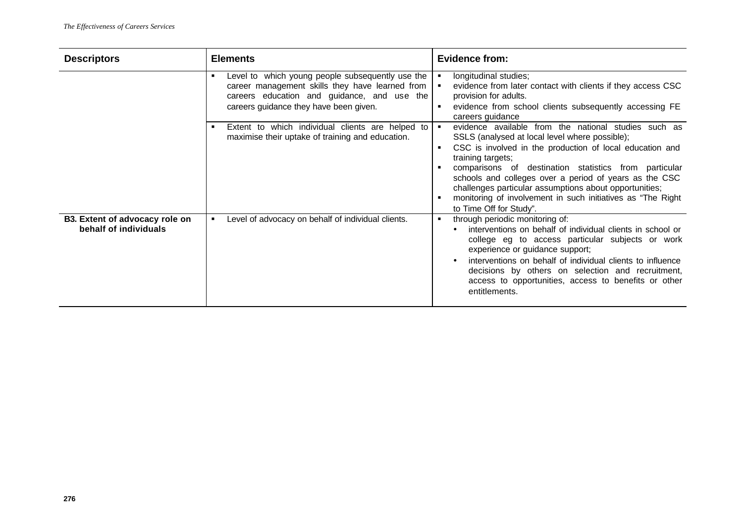| <b>Descriptors</b>                                      | <b>Elements</b>                                                                                                                                                                                   | <b>Evidence from:</b>                                                                                                                                                                                                                                                                                                                                                                                                                                                                 |  |  |
|---------------------------------------------------------|---------------------------------------------------------------------------------------------------------------------------------------------------------------------------------------------------|---------------------------------------------------------------------------------------------------------------------------------------------------------------------------------------------------------------------------------------------------------------------------------------------------------------------------------------------------------------------------------------------------------------------------------------------------------------------------------------|--|--|
|                                                         | Level to which young people subsequently use the<br>٠<br>career management skills they have learned from<br>careers education and guidance, and use the<br>careers guidance they have been given. | longitudinal studies;<br>evidence from later contact with clients if they access CSC<br>provision for adults.<br>evidence from school clients subsequently accessing FE<br>careers guidance                                                                                                                                                                                                                                                                                           |  |  |
|                                                         | Extent to which individual clients are helped to<br>maximise their uptake of training and education.                                                                                              | evidence available from the national studies such as<br>$\blacksquare$<br>SSLS (analysed at local level where possible);<br>CSC is involved in the production of local education and<br>٠<br>training targets;<br>comparisons of destination statistics from particular<br>schools and colleges over a period of years as the CSC<br>challenges particular assumptions about opportunities;<br>monitoring of involvement in such initiatives as "The Right<br>to Time Off for Study". |  |  |
| B3. Extent of advocacy role on<br>behalf of individuals | Level of advocacy on behalf of individual clients.<br>$\blacksquare$                                                                                                                              | through periodic monitoring of:<br>٠<br>interventions on behalf of individual clients in school or<br>college eg to access particular subjects or work<br>experience or guidance support;<br>interventions on behalf of individual clients to influence<br>decisions by others on selection and recruitment,<br>access to opportunities, access to benefits or other<br>entitlements.                                                                                                 |  |  |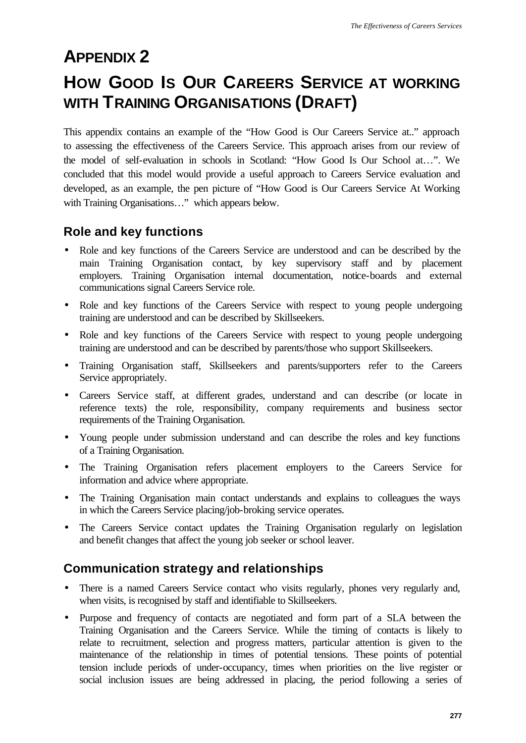# **APPENDIX 2 HOW GOOD IS OUR CAREERS SERVICE AT WORKING WITH TRAINING ORGANISATIONS (DRAFT)**

This appendix contains an example of the "How Good is Our Careers Service at.." approach to assessing the effectiveness of the Careers Service. This approach arises from our review of the model of self-evaluation in schools in Scotland: "How Good Is Our School at…". We concluded that this model would provide a useful approach to Careers Service evaluation and developed, as an example, the pen picture of "How Good is Our Careers Service At Working with Training Organisations..." which appears below.

# **Role and key functions**

- Role and key functions of the Careers Service are understood and can be described by the main Training Organisation contact, by key supervisory staff and by placement employers. Training Organisation internal documentation, notice-boards and external communications signal Careers Service role.
- Role and key functions of the Careers Service with respect to young people undergoing training are understood and can be described by Skillseekers.
- Role and key functions of the Careers Service with respect to young people undergoing training are understood and can be described by parents/those who support Skillseekers.
- Training Organisation staff, Skillseekers and parents/supporters refer to the Careers Service appropriately.
- Careers Service staff, at different grades, understand and can describe (or locate in reference texts) the role, responsibility, company requirements and business sector requirements of the Training Organisation.
- Young people under submission understand and can describe the roles and key functions of a Training Organisation.
- The Training Organisation refers placement employers to the Careers Service for information and advice where appropriate.
- The Training Organisation main contact understands and explains to colleagues the ways in which the Careers Service placing/job-broking service operates.
- The Careers Service contact updates the Training Organisation regularly on legislation and benefit changes that affect the young job seeker or school leaver.

# **Communication strategy and relationships**

- There is a named Careers Service contact who visits regularly, phones very regularly and, when visits, is recognised by staff and identifiable to Skillseekers.
- Purpose and frequency of contacts are negotiated and form part of a SLA between the Training Organisation and the Careers Service. While the timing of contacts is likely to relate to recruitment, selection and progress matters, particular attention is given to the maintenance of the relationship in times of potential tensions. These points of potential tension include periods of under-occupancy, times when priorities on the live register or social inclusion issues are being addressed in placing, the period following a series of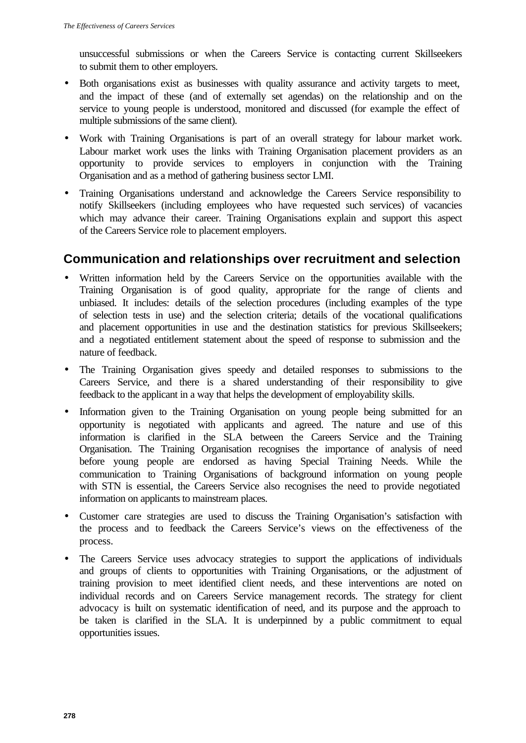unsuccessful submissions or when the Careers Service is contacting current Skillseekers to submit them to other employers.

- Both organisations exist as businesses with quality assurance and activity targets to meet, and the impact of these (and of externally set agendas) on the relationship and on the service to young people is understood, monitored and discussed (for example the effect of multiple submissions of the same client).
- Work with Training Organisations is part of an overall strategy for labour market work. Labour market work uses the links with Training Organisation placement providers as an opportunity to provide services to employers in conjunction with the Training Organisation and as a method of gathering business sector LMI.
- Training Organisations understand and acknowledge the Careers Service responsibility to notify Skillseekers (including employees who have requested such services) of vacancies which may advance their career. Training Organisations explain and support this aspect of the Careers Service role to placement employers.

### **Communication and relationships over recruitment and selection**

- Written information held by the Careers Service on the opportunities available with the Training Organisation is of good quality, appropriate for the range of clients and unbiased. It includes: details of the selection procedures (including examples of the type of selection tests in use) and the selection criteria; details of the vocational qualifications and placement opportunities in use and the destination statistics for previous Skillseekers; and a negotiated entitlement statement about the speed of response to submission and the nature of feedback.
- The Training Organisation gives speedy and detailed responses to submissions to the Careers Service, and there is a shared understanding of their responsibility to give feedback to the applicant in a way that helps the development of employability skills.
- Information given to the Training Organisation on young people being submitted for an opportunity is negotiated with applicants and agreed. The nature and use of this information is clarified in the SLA between the Careers Service and the Training Organisation. The Training Organisation recognises the importance of analysis of need before young people are endorsed as having Special Training Needs. While the communication to Training Organisations of background information on young people with STN is essential, the Careers Service also recognises the need to provide negotiated information on applicants to mainstream places.
- Customer care strategies are used to discuss the Training Organisation's satisfaction with the process and to feedback the Careers Service's views on the effectiveness of the process.
- The Careers Service uses advocacy strategies to support the applications of individuals and groups of clients to opportunities with Training Organisations, or the adjustment of training provision to meet identified client needs, and these interventions are noted on individual records and on Careers Service management records. The strategy for client advocacy is built on systematic identification of need, and its purpose and the approach to be taken is clarified in the SLA. It is underpinned by a public commitment to equal opportunities issues.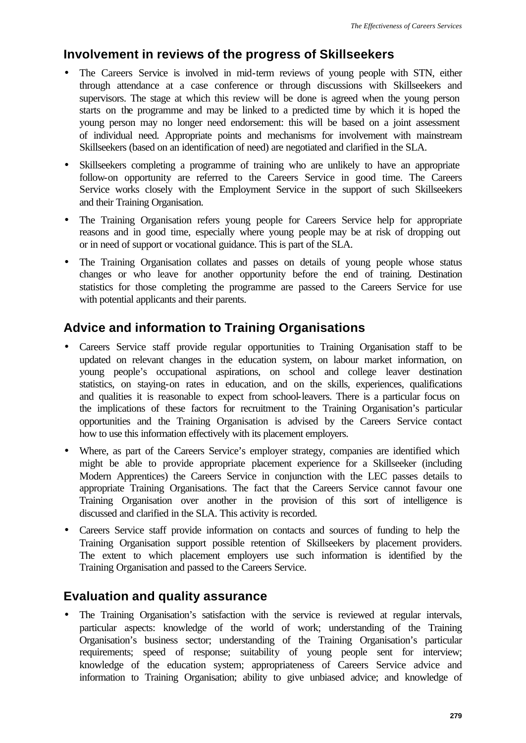## **Involvement in reviews of the progress of Skillseekers**

- The Careers Service is involved in mid-term reviews of young people with STN, either through attendance at a case conference or through discussions with Skillseekers and supervisors. The stage at which this review will be done is agreed when the young person starts on the programme and may be linked to a predicted time by which it is hoped the young person may no longer need endorsement: this will be based on a joint assessment of individual need. Appropriate points and mechanisms for involvement with mainstream Skillseekers (based on an identification of need) are negotiated and clarified in the SLA.
- Skillseekers completing a programme of training who are unlikely to have an appropriate follow-on opportunity are referred to the Careers Service in good time. The Careers Service works closely with the Employment Service in the support of such Skillseekers and their Training Organisation.
- The Training Organisation refers young people for Careers Service help for appropriate reasons and in good time, especially where young people may be at risk of dropping out or in need of support or vocational guidance. This is part of the SLA.
- The Training Organisation collates and passes on details of young people whose status changes or who leave for another opportunity before the end of training. Destination statistics for those completing the programme are passed to the Careers Service for use with potential applicants and their parents.

## **Advice and information to Training Organisations**

- Careers Service staff provide regular opportunities to Training Organisation staff to be updated on relevant changes in the education system, on labour market information, on young people's occupational aspirations, on school and college leaver destination statistics, on staying-on rates in education, and on the skills, experiences, qualifications and qualities it is reasonable to expect from school-leavers. There is a particular focus on the implications of these factors for recruitment to the Training Organisation's particular opportunities and the Training Organisation is advised by the Careers Service contact how to use this information effectively with its placement employers.
- Where, as part of the Careers Service's employer strategy, companies are identified which might be able to provide appropriate placement experience for a Skillseeker (including Modern Apprentices) the Careers Service in conjunction with the LEC passes details to appropriate Training Organisations. The fact that the Careers Service cannot favour one Training Organisation over another in the provision of this sort of intelligence is discussed and clarified in the SLA. This activity is recorded.
- Careers Service staff provide information on contacts and sources of funding to help the Training Organisation support possible retention of Skillseekers by placement providers. The extent to which placement employers use such information is identified by the Training Organisation and passed to the Careers Service.

## **Evaluation and quality assurance**

The Training Organisation's satisfaction with the service is reviewed at regular intervals, particular aspects: knowledge of the world of work; understanding of the Training Organisation's business sector; understanding of the Training Organisation's particular requirements; speed of response; suitability of young people sent for interview; knowledge of the education system; appropriateness of Careers Service advice and information to Training Organisation; ability to give unbiased advice; and knowledge of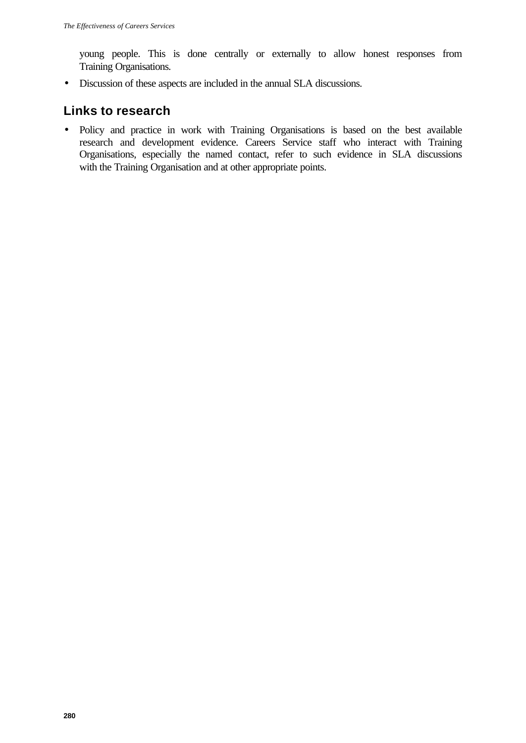young people. This is done centrally or externally to allow honest responses from Training Organisations.

• Discussion of these aspects are included in the annual SLA discussions.

## **Links to research**

• Policy and practice in work with Training Organisations is based on the best available research and development evidence. Careers Service staff who interact with Training Organisations, especially the named contact, refer to such evidence in SLA discussions with the Training Organisation and at other appropriate points.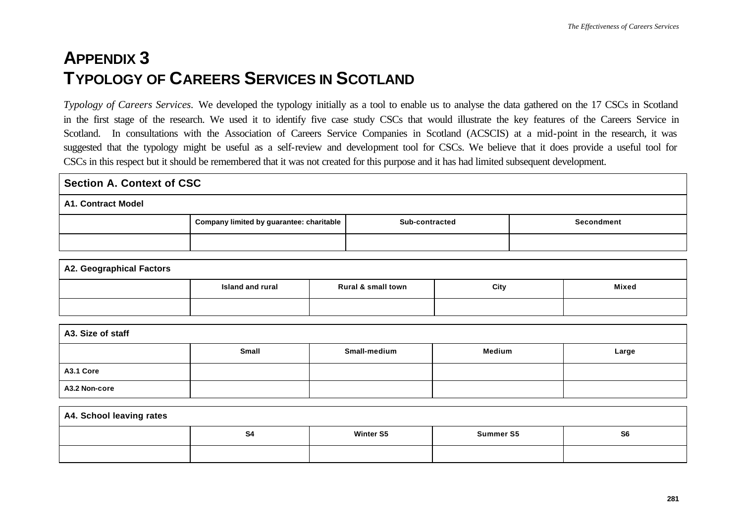# **APPENDIX 3 TYPOLOGY OF CAREERS SERVICES IN SCOTLAND**

*Typology of Careers Services.* We developed the typology initially as a tool to enable us to analyse the data gathered on the 17 CSCs in Scotland in the first stage of the research. We used it to identify five case study CSCs that would illustrate the key features of the Careers Service in Scotland. In consultations with the Association of Careers Service Companies in Scotland (ACSCIS) at a mid-point in the research, it was suggested that the typology might be useful as a self-review and development tool for CSCs. We believe that it does provide a useful tool for CSCs in this respect but it should be remembered that it was not created for this purpose and it has had limited subsequent development.

| <b>Section A. Context of CSC</b> |                                                                          |                            |                  |               |       |                |  |
|----------------------------------|--------------------------------------------------------------------------|----------------------------|------------------|---------------|-------|----------------|--|
| <b>A1. Contract Model</b>        |                                                                          |                            |                  |               |       |                |  |
|                                  | Company limited by guarantee: charitable<br>Secondment<br>Sub-contracted |                            |                  |               |       |                |  |
|                                  |                                                                          |                            |                  |               |       |                |  |
| <b>A2. Geographical Factors</b>  |                                                                          |                            |                  |               |       |                |  |
|                                  | <b>Island and rural</b>                                                  | City<br>Rural & small town |                  |               | Mixed |                |  |
|                                  |                                                                          |                            |                  |               |       |                |  |
| A3. Size of staff                |                                                                          |                            |                  |               |       |                |  |
|                                  | <b>Small</b>                                                             | Small-medium               |                  | <b>Medium</b> |       | Large          |  |
| A3.1 Core                        |                                                                          |                            |                  |               |       |                |  |
| A3.2 Non-core                    |                                                                          |                            |                  |               |       |                |  |
| A4. School leaving rates         |                                                                          |                            |                  |               |       |                |  |
|                                  | <b>S4</b>                                                                |                            | <b>Winter S5</b> | Summer S5     |       | S <sub>6</sub> |  |
|                                  |                                                                          |                            |                  |               |       |                |  |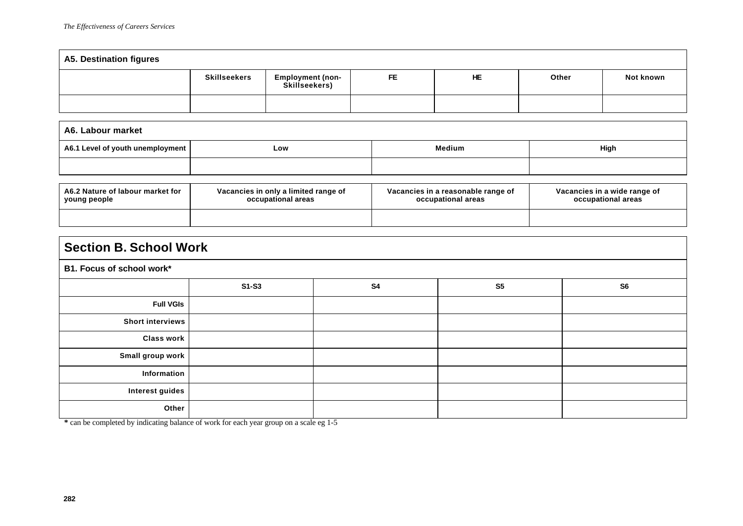| <b>A5. Destination figures</b> |                     |                                          |           |    |       |           |
|--------------------------------|---------------------|------------------------------------------|-----------|----|-------|-----------|
|                                | <b>Skillseekers</b> | <b>Employment (non-</b><br>Skillseekers) | <b>FE</b> | HE | Other | Not known |
|                                |                     |                                          |           |    |       |           |

| A6. Labour market                |     |        |      |  |  |
|----------------------------------|-----|--------|------|--|--|
| A6.1 Level of youth unemployment | Low | Medium | High |  |  |
|                                  |     |        |      |  |  |
|                                  |     |        |      |  |  |

| A6.2 Nature of labour market for | Vacancies in only a limited range of | Vacancies in a reasonable range of | Vacancies in a wide range of |
|----------------------------------|--------------------------------------|------------------------------------|------------------------------|
| young people                     | occupational areas                   | occupational areas                 | occupational areas           |
|                                  |                                      |                                    |                              |

| <b>Section B. School Work</b> |         |           |                |                |
|-------------------------------|---------|-----------|----------------|----------------|
| B1. Focus of school work*     |         |           |                |                |
|                               | $S1-S3$ | <b>S4</b> | S <sub>5</sub> | S <sub>6</sub> |
| <b>Full VGIs</b>              |         |           |                |                |
| <b>Short interviews</b>       |         |           |                |                |
| <b>Class work</b>             |         |           |                |                |
| Small group work              |         |           |                |                |
| Information                   |         |           |                |                |
| Interest guides               |         |           |                |                |
| Other                         |         |           |                |                |

**\*** can be completed by indicating balance of work for each year group on a scale eg 1-5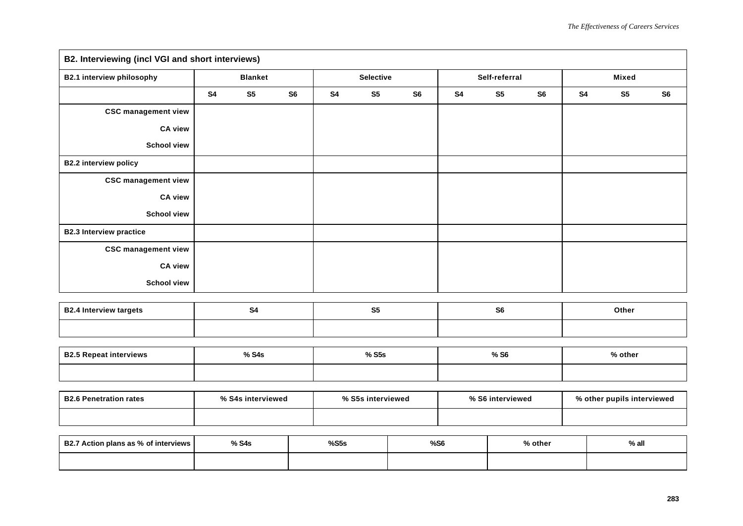| B2. Interviewing (incl VGI and short interviews) |           |                   |    |           |                   |                |           |                  |                |           |                            |                |                |
|--------------------------------------------------|-----------|-------------------|----|-----------|-------------------|----------------|-----------|------------------|----------------|-----------|----------------------------|----------------|----------------|
| <b>B2.1 interview philosophy</b>                 |           | <b>Blanket</b>    |    |           | <b>Selective</b>  |                |           | Self-referral    |                |           |                            | <b>Mixed</b>   |                |
|                                                  | <b>S4</b> | S <sub>5</sub>    | S6 | <b>S4</b> | S <sub>5</sub>    | S <sub>6</sub> | <b>S4</b> | S <sub>5</sub>   | S <sub>6</sub> | <b>S4</b> |                            | S <sub>5</sub> | S <sub>6</sub> |
| <b>CSC management view</b>                       |           |                   |    |           |                   |                |           |                  |                |           |                            |                |                |
| <b>CA view</b>                                   |           |                   |    |           |                   |                |           |                  |                |           |                            |                |                |
| <b>School view</b>                               |           |                   |    |           |                   |                |           |                  |                |           |                            |                |                |
| <b>B2.2 interview policy</b>                     |           |                   |    |           |                   |                |           |                  |                |           |                            |                |                |
| <b>CSC management view</b>                       |           |                   |    |           |                   |                |           |                  |                |           |                            |                |                |
| <b>CA view</b>                                   |           |                   |    |           |                   |                |           |                  |                |           |                            |                |                |
| <b>School view</b>                               |           |                   |    |           |                   |                |           |                  |                |           |                            |                |                |
| <b>B2.3 Interview practice</b>                   |           |                   |    |           |                   |                |           |                  |                |           |                            |                |                |
| <b>CSC management view</b>                       |           |                   |    |           |                   |                |           |                  |                |           |                            |                |                |
| <b>CA view</b>                                   |           |                   |    |           |                   |                |           |                  |                |           |                            |                |                |
| <b>School view</b>                               |           |                   |    |           |                   |                |           |                  |                |           |                            |                |                |
|                                                  |           |                   |    |           |                   |                |           |                  |                |           |                            |                |                |
| <b>B2.4 Interview targets</b>                    |           | S <sub>4</sub>    |    |           | S <sub>5</sub>    |                |           | S <sub>6</sub>   |                |           |                            | Other          |                |
|                                                  |           |                   |    |           |                   |                |           |                  |                |           |                            |                |                |
| <b>B2.5 Repeat interviews</b>                    |           | % S4s             |    |           | % S5s             |                |           | %S6              |                |           |                            | % other        |                |
|                                                  |           |                   |    |           |                   |                |           |                  |                |           |                            |                |                |
|                                                  |           |                   |    |           |                   |                |           |                  |                |           |                            |                |                |
| <b>B2.6 Penetration rates</b>                    |           | % S4s interviewed |    |           | % S5s interviewed |                |           | % S6 interviewed |                |           | % other pupils interviewed |                |                |
|                                                  |           |                   |    |           |                   |                |           |                  |                |           |                            |                |                |
| B2.7 Action plans as % of interviews             |           | % S4s             |    | %S5s      |                   |                | %S6       |                  | % other        |           |                            | $%$ all        |                |
|                                                  |           |                   |    |           |                   |                |           |                  |                |           |                            |                |                |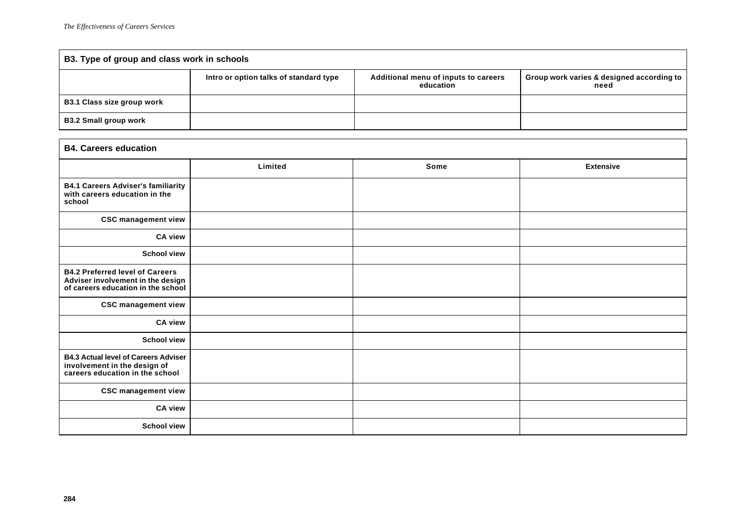| B3. Type of group and class work in schools                                          |                                        |                                                   |                                                   |  |  |
|--------------------------------------------------------------------------------------|----------------------------------------|---------------------------------------------------|---------------------------------------------------|--|--|
|                                                                                      | Intro or option talks of standard type | Additional menu of inputs to careers<br>education | Group work varies & designed according to<br>need |  |  |
| <b>B3.1 Class size group work</b>                                                    |                                        |                                                   |                                                   |  |  |
| <b>B3.2 Small group work</b>                                                         |                                        |                                                   |                                                   |  |  |
| <b>B4. Careers education</b>                                                         |                                        |                                                   |                                                   |  |  |
|                                                                                      | Limited                                | Some                                              | <b>Extensive</b>                                  |  |  |
| <b>B4.1 Careers Adviser's familiarity</b><br>with careers education in the<br>school |                                        |                                                   |                                                   |  |  |

|                                                                                                                   | Limited | <b>Some</b> | <b>Extensive</b> |
|-------------------------------------------------------------------------------------------------------------------|---------|-------------|------------------|
| <b>B4.1 Careers Adviser's familiarity</b><br>with careers education in the<br>school                              |         |             |                  |
| <b>CSC management view</b>                                                                                        |         |             |                  |
| <b>CA view</b>                                                                                                    |         |             |                  |
| <b>School view</b>                                                                                                |         |             |                  |
| <b>B4.2 Preferred level of Careers</b><br>Adviser involvement in the design<br>of careers education in the school |         |             |                  |
| <b>CSC management view</b>                                                                                        |         |             |                  |
| <b>CA view</b>                                                                                                    |         |             |                  |
| <b>School view</b>                                                                                                |         |             |                  |
| <b>B4.3 Actual level of Careers Adviser</b><br>involvement in the design of<br>careers education in the school    |         |             |                  |
| <b>CSC management view</b>                                                                                        |         |             |                  |
| <b>CA view</b>                                                                                                    |         |             |                  |
| <b>School view</b>                                                                                                |         |             |                  |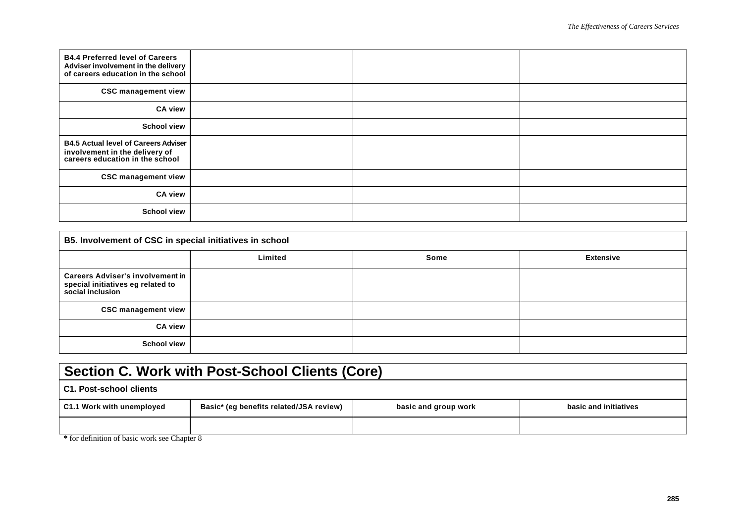| <b>B4.4 Preferred level of Careers</b><br>Adviser involvement in the delivery<br>of careers education in the school |  |  |
|---------------------------------------------------------------------------------------------------------------------|--|--|
| <b>CSC management view</b>                                                                                          |  |  |
| <b>CA view</b>                                                                                                      |  |  |
| <b>School view</b>                                                                                                  |  |  |
| <b>B4.5 Actual level of Careers Adviser</b><br>involvement in the delivery of<br>careers education in the school    |  |  |
| <b>CSC management view</b>                                                                                          |  |  |
| <b>CA view</b>                                                                                                      |  |  |
| <b>School view</b>                                                                                                  |  |  |

| B5. Involvement of CSC in special initiatives in school                                          |         |      |                  |  |  |
|--------------------------------------------------------------------------------------------------|---------|------|------------------|--|--|
|                                                                                                  | Limited | Some | <b>Extensive</b> |  |  |
| <b>Careers Adviser's involvement in</b><br>special initiatives eg related to<br>social inclusion |         |      |                  |  |  |
| <b>CSC management view</b>                                                                       |         |      |                  |  |  |
| <b>CA view</b>                                                                                   |         |      |                  |  |  |
| <b>School view</b>                                                                               |         |      |                  |  |  |

| Section C. Work with Post-School Clients (Core) |                                         |                      |                       |  |  |
|-------------------------------------------------|-----------------------------------------|----------------------|-----------------------|--|--|
| <b>C1. Post-school clients</b>                  |                                         |                      |                       |  |  |
| C1.1 Work with unemployed                       | Basic* (eg benefits related/JSA review) | basic and group work | basic and initiatives |  |  |
|                                                 |                                         |                      |                       |  |  |

**\*** for definition of basic work see Chapter 8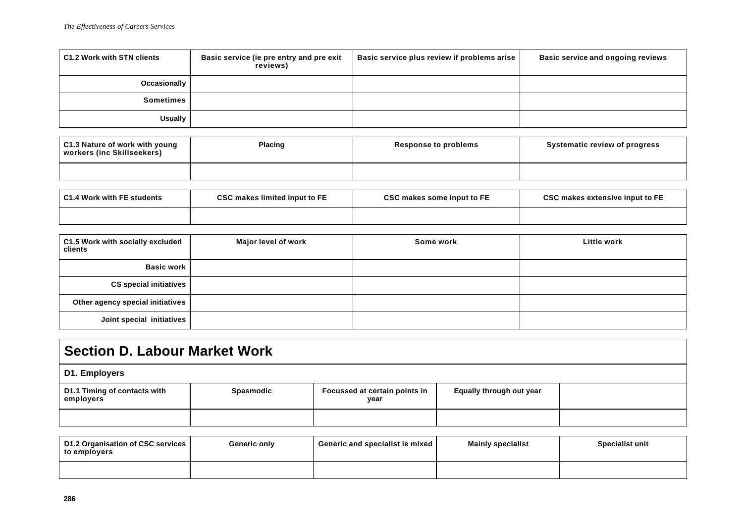| C1.2 Work with STN clients | Basic service (ie pre entry and pre exit<br>reviews) | Basic service plus review if problems arise | <b>Basic service and ongoing reviews</b> |
|----------------------------|------------------------------------------------------|---------------------------------------------|------------------------------------------|
| Occasionally               |                                                      |                                             |                                          |
| <b>Sometimes</b>           |                                                      |                                             |                                          |
| <b>Usually</b>             |                                                      |                                             |                                          |

| C1.3 Nature of work with young<br>workers (inc Skillseekers) | <b>Placing</b> | <b>Response to problems</b> | Systematic review of progress |
|--------------------------------------------------------------|----------------|-----------------------------|-------------------------------|
|                                                              |                |                             |                               |

| C1.4 Work with FE students | <b>CSC makes limited input to FE</b> | CSC makes some input to FE | CSC makes extensive input to FE |
|----------------------------|--------------------------------------|----------------------------|---------------------------------|
|                            |                                      |                            |                                 |

| C1.5 Work with socially excluded<br>clients | Major level of work | Some work | Little work |
|---------------------------------------------|---------------------|-----------|-------------|
| <b>Basic work</b>                           |                     |           |             |
| <b>CS special initiatives</b>               |                     |           |             |
| Other agency special initiatives            |                     |           |             |
| Joint special initiatives                   |                     |           |             |

# **Section D. Labour Market Work**

#### **D1. Employers**

| D1.1 Timing of contacts with<br>employers | Spasmodic | Focussed at certain points in<br>year | Equally through out year |  |
|-------------------------------------------|-----------|---------------------------------------|--------------------------|--|
|                                           |           |                                       |                          |  |

| D1.2 Organisation of CSC services  <br>to employers | Generic only | Generic and specialist ie mixed | <b>Mainly specialist</b> | <b>Specialist unit</b> |
|-----------------------------------------------------|--------------|---------------------------------|--------------------------|------------------------|
|                                                     |              |                                 |                          |                        |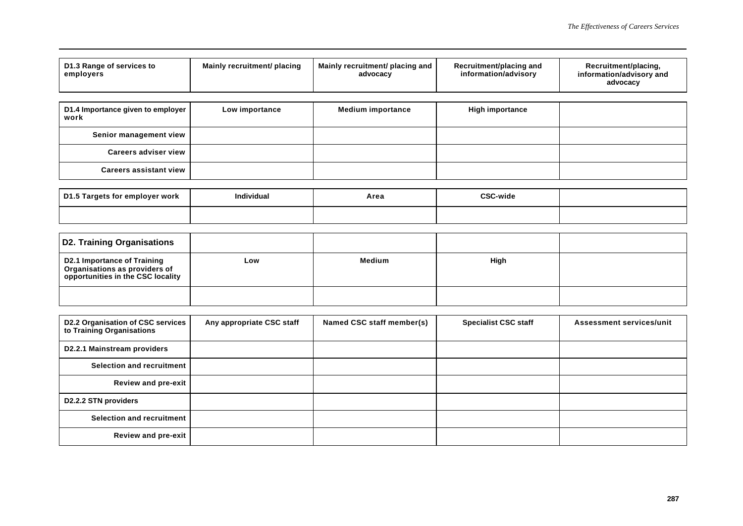| D1.3 Range of services to<br>employers                                                                   | Mainly recruitment/ placing | Mainly recruitment/ placing and<br>advocacy | Recruitment/placing and<br>information/advisory | Recruitment/placing,<br>information/advisory and<br>advocacy |
|----------------------------------------------------------------------------------------------------------|-----------------------------|---------------------------------------------|-------------------------------------------------|--------------------------------------------------------------|
|                                                                                                          |                             |                                             |                                                 |                                                              |
| D1.4 Importance given to employer<br>work                                                                | Low importance              | <b>Medium importance</b>                    | <b>High importance</b>                          |                                                              |
| Senior management view                                                                                   |                             |                                             |                                                 |                                                              |
| <b>Careers adviser view</b>                                                                              |                             |                                             |                                                 |                                                              |
| <b>Careers assistant view</b>                                                                            |                             |                                             |                                                 |                                                              |
|                                                                                                          |                             |                                             |                                                 |                                                              |
| D1.5 Targets for employer work                                                                           | <b>Individual</b>           | Area                                        | <b>CSC-wide</b>                                 |                                                              |
|                                                                                                          |                             |                                             |                                                 |                                                              |
|                                                                                                          |                             |                                             |                                                 |                                                              |
| <b>D2. Training Organisations</b>                                                                        |                             |                                             |                                                 |                                                              |
| <b>D2.1 Importance of Training</b><br>Organisations as providers of<br>opportunities in the CSC locality | Low                         | <b>Medium</b>                               | High                                            |                                                              |
|                                                                                                          |                             |                                             |                                                 |                                                              |
|                                                                                                          |                             |                                             |                                                 |                                                              |
| D2.2 Organisation of CSC services<br>to Training Organisations                                           | Any appropriate CSC staff   | Named CSC staff member(s)                   | <b>Specialist CSC staff</b>                     | Assessment services/unit                                     |
| D2.2.1 Mainstream providers                                                                              |                             |                                             |                                                 |                                                              |
| <b>Selection and recruitment</b>                                                                         |                             |                                             |                                                 |                                                              |
| <b>Review and pre-exit</b>                                                                               |                             |                                             |                                                 |                                                              |
| D2.2.2 STN providers                                                                                     |                             |                                             |                                                 |                                                              |
| <b>Selection and recruitment</b>                                                                         |                             |                                             |                                                 |                                                              |
| <b>Review and pre-exit</b>                                                                               |                             |                                             |                                                 |                                                              |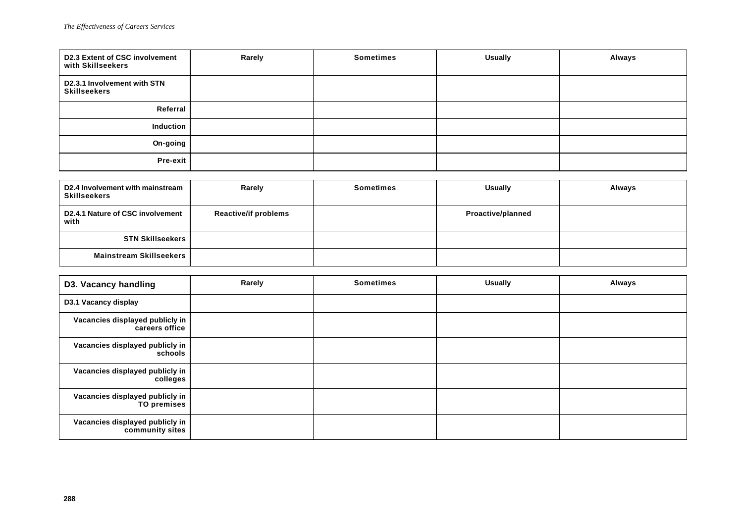| D2.3 Extent of CSC involvement<br>with Skillseekers | Rarely | <b>Sometimes</b> | <b>Usually</b> | Always |
|-----------------------------------------------------|--------|------------------|----------------|--------|
| D2.3.1 Involvement with STN<br><b>Skillseekers</b>  |        |                  |                |        |
| Referral                                            |        |                  |                |        |
| Induction                                           |        |                  |                |        |
| On-going                                            |        |                  |                |        |
| <b>Pre-exit</b>                                     |        |                  |                |        |

| D2.4 Involvement with mainstream<br><b>Skillseekers</b> | Rarely                      | <b>Sometimes</b> | <b>Usually</b>           | Always |
|---------------------------------------------------------|-----------------------------|------------------|--------------------------|--------|
| D2.4.1 Nature of CSC involvement<br>with                | <b>Reactive/if problems</b> |                  | <b>Proactive/planned</b> |        |
| <b>STN Skillseekers</b>                                 |                             |                  |                          |        |
| <b>Mainstream Skillseekers</b>                          |                             |                  |                          |        |

| D3. Vacancy handling                               | Rarely | <b>Sometimes</b> | <b>Usually</b> | Always |
|----------------------------------------------------|--------|------------------|----------------|--------|
| D3.1 Vacancy display                               |        |                  |                |        |
| Vacancies displayed publicly in<br>careers office  |        |                  |                |        |
| Vacancies displayed publicly in<br>schools         |        |                  |                |        |
| Vacancies displayed publicly in<br>colleges        |        |                  |                |        |
| Vacancies displayed publicly in<br>TO premises     |        |                  |                |        |
| Vacancies displayed publicly in<br>community sites |        |                  |                |        |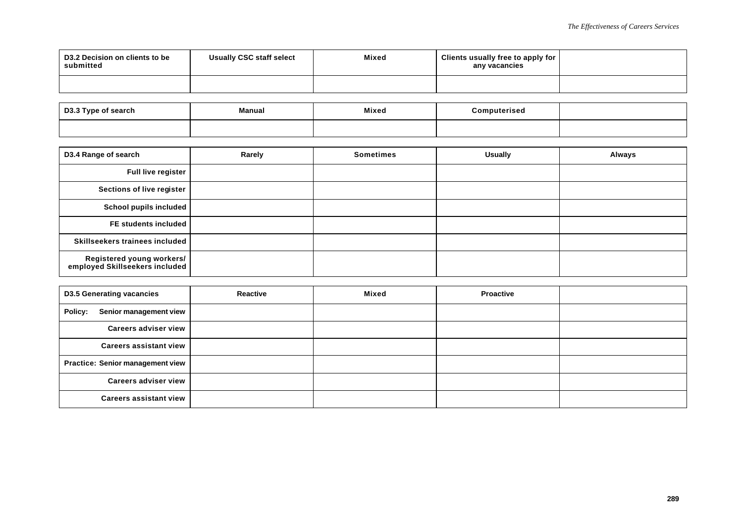| D3.2 Decision on clients to be<br>submitted | <b>Usually CSC staff select</b> | Mixed | Clients usually free to apply for<br>any vacancies |  |
|---------------------------------------------|---------------------------------|-------|----------------------------------------------------|--|
|                                             |                                 |       |                                                    |  |

| D3.3 Type of search | Manual | Mixed | `omputerised<br>. |  |
|---------------------|--------|-------|-------------------|--|
|                     |        |       |                   |  |

| D3.4 Range of search                                          | Rarely | <b>Sometimes</b> | <b>Usually</b> | Always |
|---------------------------------------------------------------|--------|------------------|----------------|--------|
| <b>Full live register</b>                                     |        |                  |                |        |
| Sections of live register                                     |        |                  |                |        |
| School pupils included                                        |        |                  |                |        |
| <b>FE students included</b>                                   |        |                  |                |        |
| Skillseekers trainees included                                |        |                  |                |        |
| Registered young workers/<br>  employed Skillseekers included |        |                  |                |        |

| <b>D3.5 Generating vacancies</b>  | Reactive | Mixed | Proactive |  |
|-----------------------------------|----------|-------|-----------|--|
| Senior management view<br>Policy: |          |       |           |  |
| <b>Careers adviser view</b>       |          |       |           |  |
| <b>Careers assistant view</b>     |          |       |           |  |
| Practice: Senior management view  |          |       |           |  |
| <b>Careers adviser view</b>       |          |       |           |  |
| <b>Careers assistant view</b>     |          |       |           |  |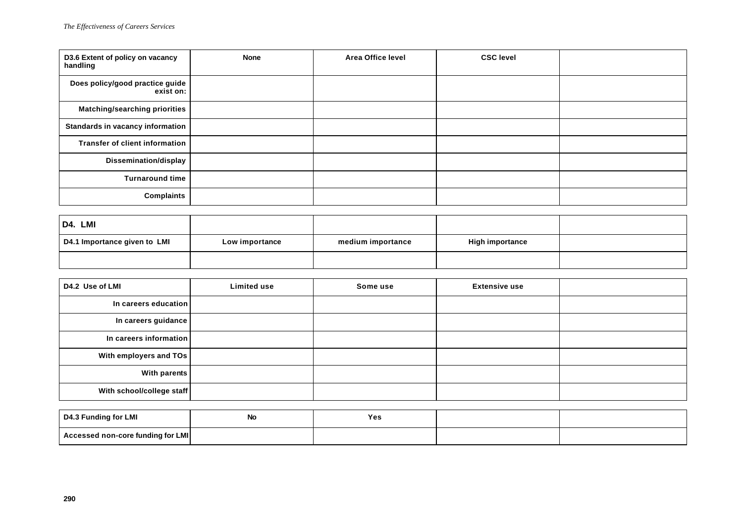| D3.6 Extent of policy on vacancy<br>handling | <b>None</b> | <b>Area Office level</b> | <b>CSC level</b> |  |
|----------------------------------------------|-------------|--------------------------|------------------|--|
| Does policy/good practice guide<br>exist on: |             |                          |                  |  |
| <b>Matching/searching priorities</b>         |             |                          |                  |  |
| Standards in vacancy information             |             |                          |                  |  |
| <b>Transfer of client information</b>        |             |                          |                  |  |
| <b>Dissemination/display</b>                 |             |                          |                  |  |
| <b>Turnaround time</b>                       |             |                          |                  |  |
| <b>Complaints</b>                            |             |                          |                  |  |

| D4. LMI                      |                |                   |                        |  |
|------------------------------|----------------|-------------------|------------------------|--|
| D4.1 Importance given to LMI | Low importance | medium importance | <b>High importance</b> |  |
|                              |                |                   |                        |  |

| D4.2 Use of LMI           | <b>Limited use</b> | Some use | <b>Extensive use</b> |  |
|---------------------------|--------------------|----------|----------------------|--|
| In careers education      |                    |          |                      |  |
| In careers guidance       |                    |          |                      |  |
| In careers information    |                    |          |                      |  |
| With employers and TOs    |                    |          |                      |  |
| With parents              |                    |          |                      |  |
| With school/college staff |                    |          |                      |  |

| D4.3 Funding for LMI              | No | Yes |  |
|-----------------------------------|----|-----|--|
| Accessed non-core funding for LMI |    |     |  |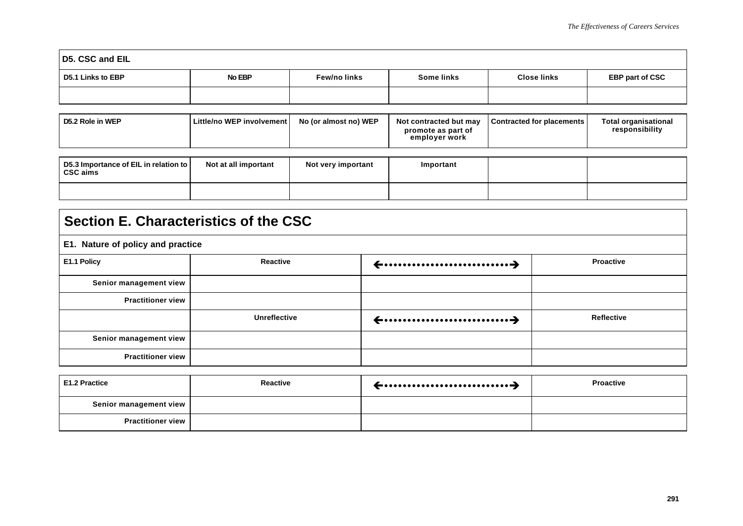| D5. CSC and EIL                                   |                           |                       |                                                               |                                  |                                               |  |
|---------------------------------------------------|---------------------------|-----------------------|---------------------------------------------------------------|----------------------------------|-----------------------------------------------|--|
| D5.1 Links to EBP                                 | No EBP                    | Few/no links          | <b>Some links</b>                                             | <b>Close links</b>               | <b>EBP part of CSC</b>                        |  |
|                                                   |                           |                       |                                                               |                                  |                                               |  |
| D5.2 Role in WEP                                  | Little/no WEP involvement | No (or almost no) WEP | Not contracted but may<br>promote as part of<br>employer work | <b>Contracted for placements</b> | <b>Total organisational</b><br>responsibility |  |
| D5.3 Importance of EIL in relation to<br>CSC aims | Not at all important      | Not very important    | Important                                                     |                                  |                                               |  |
|                                                   |                           |                       |                                                               |                                  |                                               |  |

| Section E. Characteristics of the CSC |                     |                                                             |                   |  |  |
|---------------------------------------|---------------------|-------------------------------------------------------------|-------------------|--|--|
| E1. Nature of policy and practice     |                     |                                                             |                   |  |  |
| E1.1 Policy                           | Reactive            | $\leftarrow \cdots \cdots \cdots \cdots \cdots \rightarrow$ | <b>Proactive</b>  |  |  |
| Senior management view                |                     |                                                             |                   |  |  |
| <b>Practitioner view</b>              |                     |                                                             |                   |  |  |
|                                       | <b>Unreflective</b> | $\leftarrow \cdots \cdots \cdots \cdots \cdots \rightarrow$ | <b>Reflective</b> |  |  |
| Senior management view                |                     |                                                             |                   |  |  |
| <b>Practitioner view</b>              |                     |                                                             |                   |  |  |

| E1.2 Practice            | <b>Reactive</b> | $\leftarrow \cdots \cdots \cdots \cdots \cdots \cdots \cdots \rightarrow$ | <b>Proactive</b> |
|--------------------------|-----------------|---------------------------------------------------------------------------|------------------|
| Senior management view   |                 |                                                                           |                  |
| <b>Practitioner view</b> |                 |                                                                           |                  |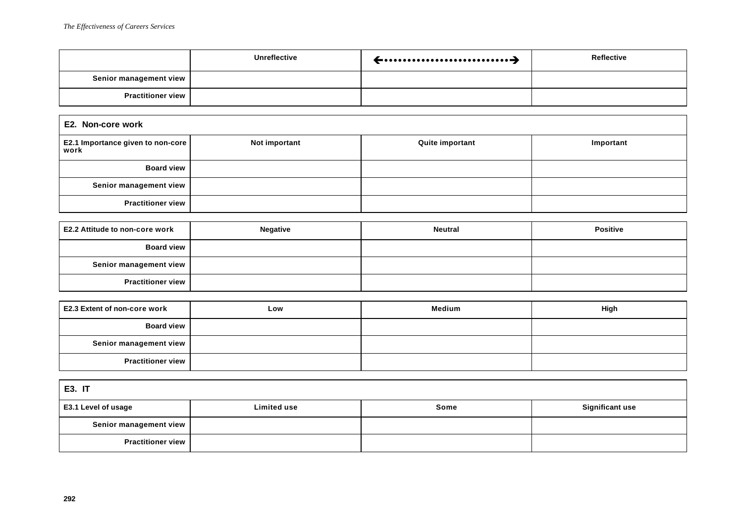|                          | <b>Unreflective</b> | $\leftarrow \cdots \cdots \cdots \cdots \cdots \cdots \cdots \rightarrow$ | Reflective |
|--------------------------|---------------------|---------------------------------------------------------------------------|------------|
| Senior management view   |                     |                                                                           |            |
| <b>Practitioner view</b> |                     |                                                                           |            |

| E2. Non-core work                         |                      |                        |           |  |
|-------------------------------------------|----------------------|------------------------|-----------|--|
| E2.1 Importance given to non-core<br>work | <b>Not important</b> | <b>Quite important</b> | Important |  |
| <b>Board view</b>                         |                      |                        |           |  |
| Senior management view                    |                      |                        |           |  |
| <b>Practitioner view</b>                  |                      |                        |           |  |

| <b>E2.2 Attitude to non-core work</b> | Negative | <b>Neutral</b> | <b>Positive</b> |
|---------------------------------------|----------|----------------|-----------------|
| <b>Board view</b>                     |          |                |                 |
| Senior management view                |          |                |                 |
| <b>Practitioner view</b>              |          |                |                 |

| E2.3 Extent of non-core work | Low | Medium | High |
|------------------------------|-----|--------|------|
| <b>Board view</b>            |     |        |      |
| Senior management view       |     |        |      |
| <b>Practitioner view</b>     |     |        |      |

| E3. IT                   |             |      |                        |  |  |
|--------------------------|-------------|------|------------------------|--|--|
| E3.1 Level of usage      | Limited use | Some | <b>Significant use</b> |  |  |
| Senior management view   |             |      |                        |  |  |
| <b>Practitioner view</b> |             |      |                        |  |  |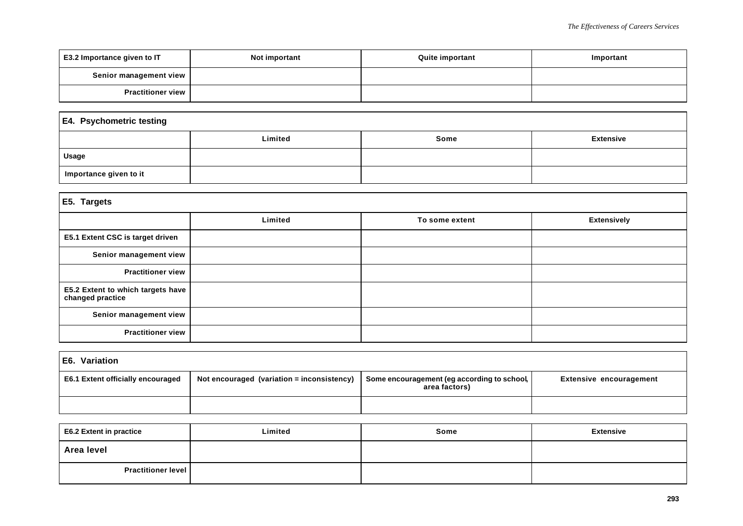| E3.2 Importance given to IT | <b>Not important</b> | <b>Quite important</b> | Important |
|-----------------------------|----------------------|------------------------|-----------|
| Senior management view      |                      |                        |           |
| <b>Practitioner view</b>    |                      |                        |           |

| <b>E4. Psychometric testing</b> |         |      |                  |  |  |
|---------------------------------|---------|------|------------------|--|--|
|                                 | Limited | Some | <b>Extensive</b> |  |  |
| <b>Usage</b>                    |         |      |                  |  |  |
| Importance given to it          |         |      |                  |  |  |

| <b>E5. Targets</b>                                    |         |                |                    |  |
|-------------------------------------------------------|---------|----------------|--------------------|--|
|                                                       | Limited | To some extent | <b>Extensively</b> |  |
| E5.1 Extent CSC is target driven                      |         |                |                    |  |
| Senior management view                                |         |                |                    |  |
| <b>Practitioner view</b>                              |         |                |                    |  |
| E5.2 Extent to which targets have<br>changed practice |         |                |                    |  |
| Senior management view                                |         |                |                    |  |
| <b>Practitioner view</b>                              |         |                |                    |  |

| <b>IE6. Variation</b>                    |                                            |                                                              |                                |
|------------------------------------------|--------------------------------------------|--------------------------------------------------------------|--------------------------------|
| <b>E6.1 Extent officially encouraged</b> | Not encouraged (variation = inconsistency) | Some encouragement (eg according to school,<br>area factors) | <b>Extensive encouragement</b> |
|                                          |                                            |                                                              |                                |

| <b>E6.2 Extent in practice</b> | Limited | Some | <b>Extensive</b> |
|--------------------------------|---------|------|------------------|
| Area level                     |         |      |                  |
| <b>Practitioner level</b>      |         |      |                  |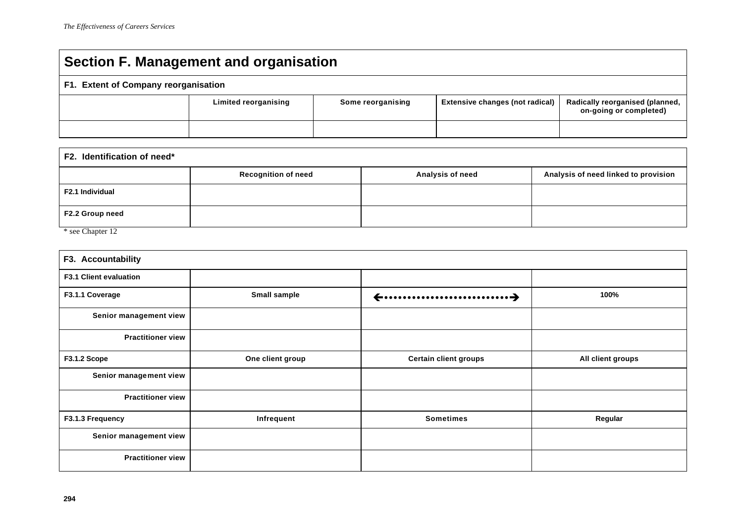#### **Section F. Management and organisation**

#### **F1. Extent of Company reorganisation**

| Limited reorganising | Some reorganising | <b>Extensive changes (not radical)</b> | Radically reorganised (planned,<br>on-going or completed) |
|----------------------|-------------------|----------------------------------------|-----------------------------------------------------------|
|                      |                   |                                        |                                                           |

| F2. Identification of need*  |                            |                  |                                      |  |  |
|------------------------------|----------------------------|------------------|--------------------------------------|--|--|
|                              | <b>Recognition of need</b> | Analysis of need | Analysis of need linked to provision |  |  |
| <b>F2.1 Individual</b>       |                            |                  |                                      |  |  |
| F2.2 Group need<br>_________ |                            |                  |                                      |  |  |

\* see Chapter 12

| F3. Accountability            |                  |                                                                    |                   |  |
|-------------------------------|------------------|--------------------------------------------------------------------|-------------------|--|
| <b>F3.1 Client evaluation</b> |                  |                                                                    |                   |  |
| F3.1.1 Coverage               | Small sample     | $\leftarrow \cdots \cdots \cdots \cdots \cdots \cdots \rightarrow$ | 100%              |  |
| Senior management view        |                  |                                                                    |                   |  |
| <b>Practitioner view</b>      |                  |                                                                    |                   |  |
| <b>F3.1.2 Scope</b>           | One client group | <b>Certain client groups</b>                                       | All client groups |  |
| Senior management view        |                  |                                                                    |                   |  |
| <b>Practitioner view</b>      |                  |                                                                    |                   |  |
| F3.1.3 Frequency              | Infrequent       | <b>Sometimes</b>                                                   | Regular           |  |
| Senior management view        |                  |                                                                    |                   |  |
| <b>Practitioner view</b>      |                  |                                                                    |                   |  |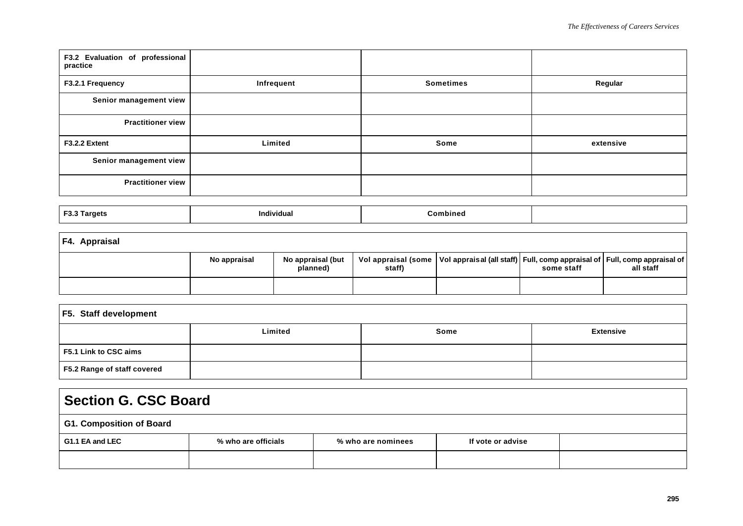| F3.2 Evaluation of professional<br>practice |            |                  |           |
|---------------------------------------------|------------|------------------|-----------|
| F3.2.1 Frequency                            | Infrequent | <b>Sometimes</b> | Regular   |
| Senior management view                      |            |                  |           |
| <b>Practitioner view</b>                    |            |                  |           |
| F3.2.2 Extent                               | Limited    | Some             | extensive |
| Senior management view                      |            |                  |           |
| <b>Practitioner view</b>                    |            |                  |           |

| E2.3         |           |          |  |
|--------------|-----------|----------|--|
| argets       | ndividual | .        |  |
| <b>гэ.</b> э |           | compined |  |
|              |           |          |  |

| <b>F4. Appraisal</b> |              |                               |        |                                                                                                                   |           |
|----------------------|--------------|-------------------------------|--------|-------------------------------------------------------------------------------------------------------------------|-----------|
|                      | No appraisal | No appraisal (but<br>planned) | staff) | Vol appraisal (some   Vol appraisal (all staff)   Full, comp appraisal of   Full, comp appraisal of<br>some staff | all staff |
|                      |              |                               |        |                                                                                                                   |           |

| <b>F5.</b> Staff development |         |      |                  |  |
|------------------------------|---------|------|------------------|--|
|                              | Limited | Some | <b>Extensive</b> |  |
| F5.1 Link to CSC aims        |         |      |                  |  |
| F5.2 Range of staff covered  |         |      |                  |  |

| <b>Section G. CSC Board</b>     |                     |                    |                   |  |  |  |
|---------------------------------|---------------------|--------------------|-------------------|--|--|--|
| <b>G1. Composition of Board</b> |                     |                    |                   |  |  |  |
| G1.1 EA and LEC                 | % who are officials | % who are nominees | If vote or advise |  |  |  |
|                                 |                     |                    |                   |  |  |  |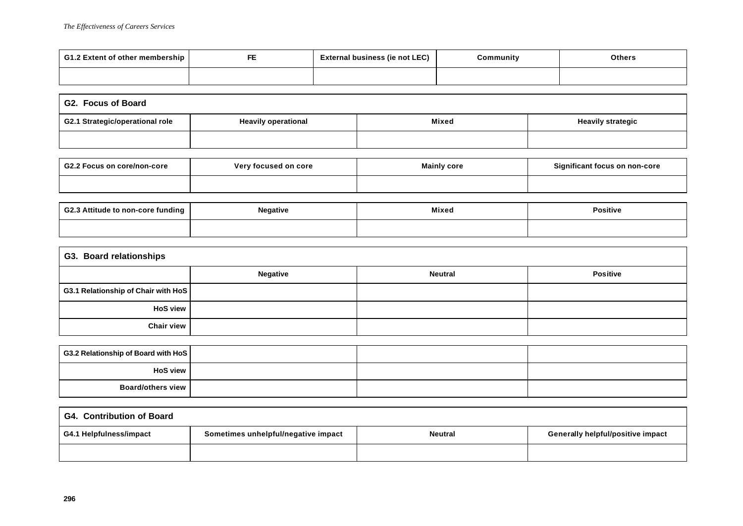| G1<br>r membership!<br>i other<br>⊥xtent of ⊴ | سرس<br>--<br>. . | External business (ie not LEC) | Community | <b>Others</b> |
|-----------------------------------------------|------------------|--------------------------------|-----------|---------------|
|                                               |                  |                                |           |               |

| G2. Focus of Board                     |                            |       |                          |  |  |
|----------------------------------------|----------------------------|-------|--------------------------|--|--|
| <b>G2.1 Strategic/operational role</b> | <b>Heavily operational</b> | Mixed | <b>Heavily strategic</b> |  |  |
|                                        |                            |       |                          |  |  |

| G2.2 Focus on core/non-core | Verv<br>i on core<br>tocused | Mainly core | nt focus on non-core<br>sianificant |
|-----------------------------|------------------------------|-------------|-------------------------------------|
|                             |                              |             |                                     |

| G2<br>Attitude<br>e to non-core funding | <b>Negative</b> | Mixed | <b>Positive</b> |
|-----------------------------------------|-----------------|-------|-----------------|
|                                         |                 |       |                 |

| <b>G3. Board relationships</b>      |                 |                |                 |  |
|-------------------------------------|-----------------|----------------|-----------------|--|
|                                     | <b>Negative</b> | <b>Neutral</b> | <b>Positive</b> |  |
| G3.1 Relationship of Chair with HoS |                 |                |                 |  |
| <b>HoS view</b>                     |                 |                |                 |  |
| <b>Chair view</b>                   |                 |                |                 |  |

| G3.2 Relationship of Board with HoS |  |  |
|-------------------------------------|--|--|
| <b>HoS view</b>                     |  |  |
| Board/others view                   |  |  |

| <b>G4. Contribution of Board</b> |                                     |                |                                          |  |  |
|----------------------------------|-------------------------------------|----------------|------------------------------------------|--|--|
| G4.1 Helpfulness/impact          | Sometimes unhelpful/negative impact | <b>Neutral</b> | <b>Generally helpful/positive impact</b> |  |  |
|                                  |                                     |                |                                          |  |  |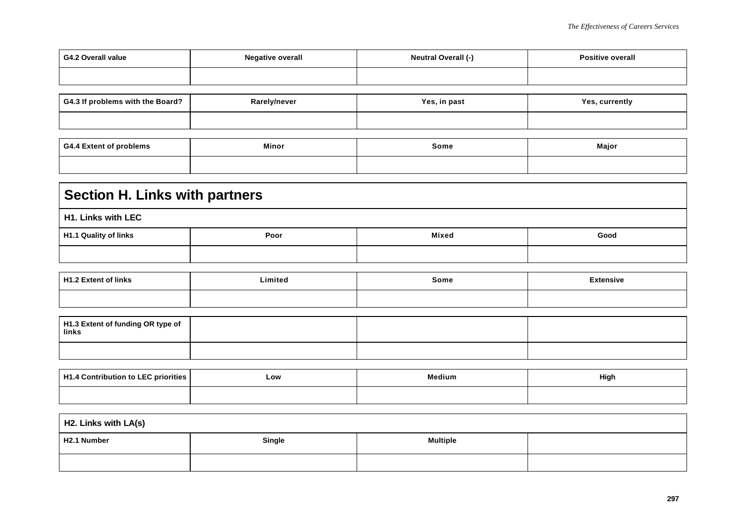| G4.2 Overall value | <b>Negative overall</b> | <b>Neutral Overall (-)</b> | <b>Positive overall</b> |
|--------------------|-------------------------|----------------------------|-------------------------|
|                    |                         |                            |                         |

| oblems with the Board?<br>G <sub>4</sub> | Rarely/never | Yes, in past | Yes.<br>, currently<br>vuı |
|------------------------------------------|--------------|--------------|----------------------------|
|                                          |              |              |                            |

| G4.4<br>blems\<br>. Extent | Minor | Some | Major |
|----------------------------|-------|------|-------|
|                            |       |      |       |

| <b>Section H. Links with partners</b>          |  |  |  |  |  |
|------------------------------------------------|--|--|--|--|--|
| <b>H1. Links with LEC</b>                      |  |  |  |  |  |
| H1.1 Quality of links<br>Mixed<br>Good<br>Poor |  |  |  |  |  |
|                                                |  |  |  |  |  |
|                                                |  |  |  |  |  |

| <b>Extent of links</b><br>H12 | .imited | Some | <sup>−</sup> ≃tensive |
|-------------------------------|---------|------|-----------------------|
|                               |         |      |                       |

| H1.3 Extent of funding OR type of<br><b>Ilinks</b> |  |  |
|----------------------------------------------------|--|--|
|                                                    |  |  |

| Contribution to LEC priorities   <br>ни | Low | Medium | High |
|-----------------------------------------|-----|--------|------|
|                                         |     |        |      |

| H2. Links with LA(s)                     |  |  |  |  |
|------------------------------------------|--|--|--|--|
| H2.1 Number<br>Single<br><b>Multiple</b> |  |  |  |  |
|                                          |  |  |  |  |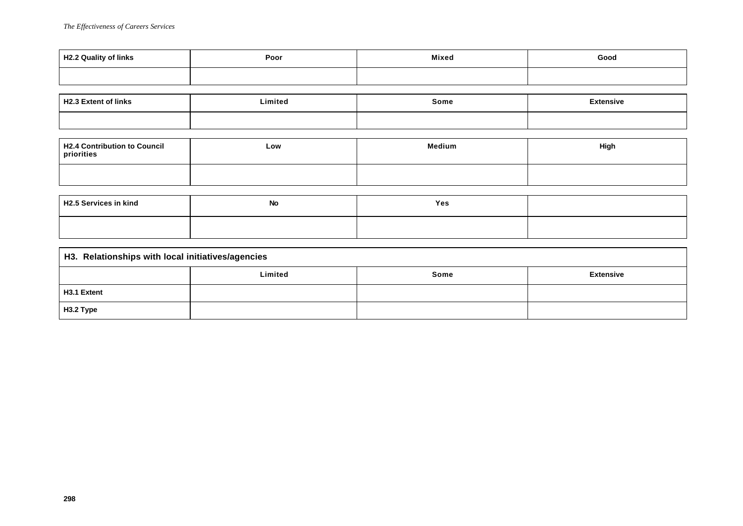| H2.2 Quality of links                             | Poor      | Mixed         | Good             |  |  |
|---------------------------------------------------|-----------|---------------|------------------|--|--|
|                                                   |           |               |                  |  |  |
| H2.3 Extent of links                              | Limited   | Some          | <b>Extensive</b> |  |  |
|                                                   |           |               |                  |  |  |
|                                                   |           |               |                  |  |  |
| <b>H2.4 Contribution to Council</b><br>priorities | Low       | <b>Medium</b> | High             |  |  |
|                                                   |           |               |                  |  |  |
| H2.5 Services in kind                             | <b>No</b> | Yes           |                  |  |  |
|                                                   |           |               |                  |  |  |
|                                                   |           |               |                  |  |  |
|                                                   |           |               |                  |  |  |
| H3. Relationships with local initiatives/agencies |           |               |                  |  |  |

|             | Limited | Some | <b>Extensive</b> |
|-------------|---------|------|------------------|
| H3.1 Extent |         |      |                  |
| H3.2 Type   |         |      |                  |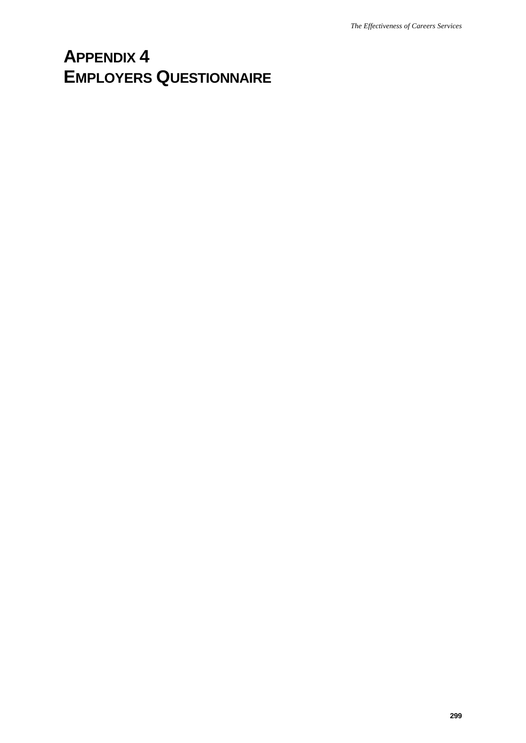## **APPENDIX 4 EMPLOYERS QUESTIONNAIRE**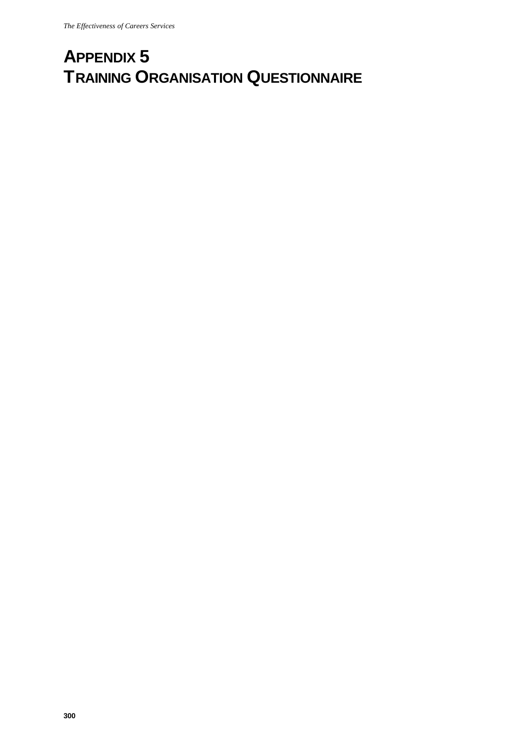# **APPENDIX 5 TRAINING ORGANISATION QUESTIONNAIRE**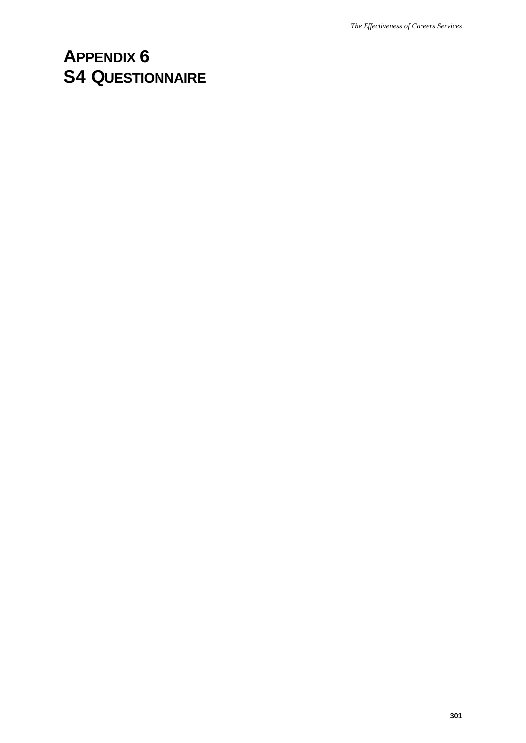## **APPENDIX 6 S4 QUESTIONNAIRE**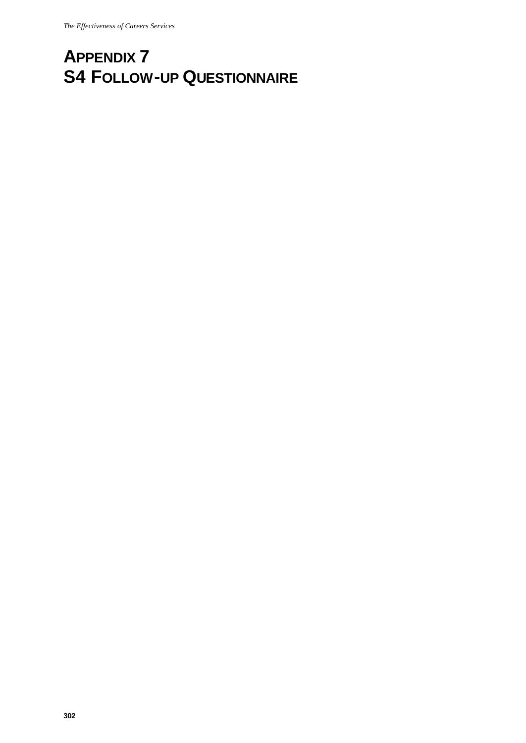## **APPENDIX 7 S4 FOLLOW-UP QUESTIONNAIRE**